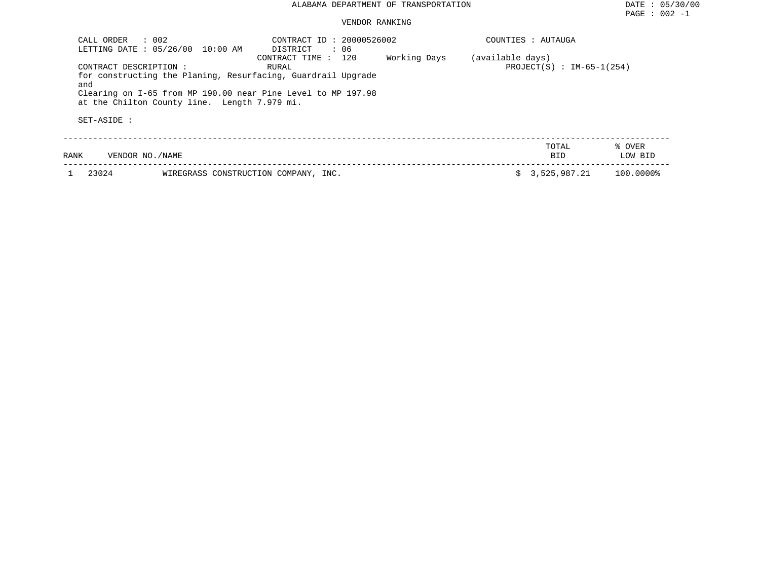### VENDOR RANKING

| CALL ORDER<br>LETTING DATE: 05/26/00 | $\therefore$ 002<br>10:00 AM                 | CONTRACT ID: 20000526002<br>DISTRICT<br>: 06                                                                                                                 |              |                  | COUNTIES : AUTAUGA          |                   |
|--------------------------------------|----------------------------------------------|--------------------------------------------------------------------------------------------------------------------------------------------------------------|--------------|------------------|-----------------------------|-------------------|
| CONTRACT DESCRIPTION :<br>and        | at the Chilton County line. Length 7.979 mi. | CONTRACT TIME : 120<br>RURAL<br>for constructing the Planing, Resurfacing, Guardrail Upgrade<br>Clearing on I-65 from MP 190.00 near Pine Level to MP 197.98 | Working Days | (available days) | $PROJECT(S) : IM-65-1(254)$ |                   |
| SET-ASIDE :                          |                                              |                                                                                                                                                              |              |                  |                             |                   |
| VENDOR NO./NAME<br>RANK              |                                              |                                                                                                                                                              |              |                  | TOTAL<br><b>BID</b>         | % OVER<br>LOW BID |
| 23024                                | WIREGRASS CONSTRUCTION COMPANY, INC.         |                                                                                                                                                              |              |                  | \$3,525,987.21              | 100.00008         |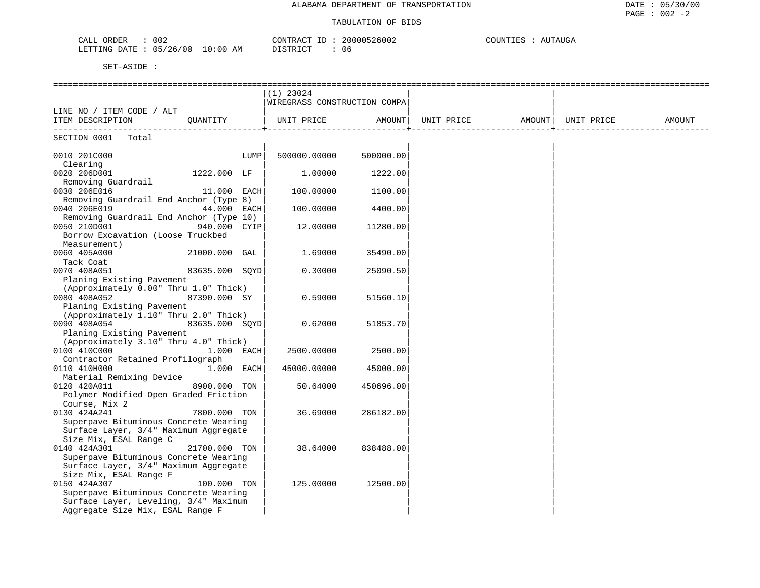| 902<br>ORDER<br>$\sim$ $\sim$ $\sim$ $\sim$<br>$A$ $I$ | 20000526002<br>CONTRACT | COUNT.<br>$\Delta$ TITAIIC<br>EAUGE<br>- 65 |
|--------------------------------------------------------|-------------------------|---------------------------------------------|
| 05/26/00<br>10:00<br>LETTING DATE                      | AM<br>DISTRICT<br>06    |                                             |

|                                                                       | $(1)$ 23024                  |           |                   |            |        |
|-----------------------------------------------------------------------|------------------------------|-----------|-------------------|------------|--------|
|                                                                       | WIREGRASS CONSTRUCTION COMPA |           |                   |            |        |
| LINE NO / ITEM CODE / ALT                                             |                              |           |                   |            |        |
| ITEM DESCRIPTION<br>QUANTITY                                          | UNIT PRICE AMOUNT            |           | UNIT PRICE AMOUNT | UNIT PRICE | AMOUNT |
|                                                                       |                              |           |                   |            |        |
| SECTION 0001 Total                                                    |                              |           |                   |            |        |
| 0010 201C000<br>LUMP                                                  | 500000.00000                 | 500000.00 |                   |            |        |
| Clearing                                                              |                              |           |                   |            |        |
| 1222.000 LF<br>0020 206D001                                           | 1,00000                      | 1222.00   |                   |            |        |
| Removing Guardrail                                                    |                              |           |                   |            |        |
| 0030 206E016<br>11.000 EACH                                           | 100.00000                    | 1100.00   |                   |            |        |
| Removing Guardrail End Anchor (Type 8)                                |                              |           |                   |            |        |
| 0040 206E019<br>44.000 EACH                                           | 100.00000                    | 4400.00   |                   |            |        |
| Removing Guardrail End Anchor (Type 10)                               |                              |           |                   |            |        |
| 0050 210D001<br>940.000 CYIP                                          | 12.00000                     | 11280.00  |                   |            |        |
| Borrow Excavation (Loose Truckbed                                     |                              |           |                   |            |        |
| Measurement)                                                          |                              |           |                   |            |        |
| 21000.000 GAL<br>0060 405A000                                         | 1.69000                      | 35490.00  |                   |            |        |
| Tack Coat                                                             |                              |           |                   |            |        |
| 0070 408A051<br>83635.000 SQYD                                        | 0.30000                      | 25090.50  |                   |            |        |
| Planing Existing Pavement                                             |                              |           |                   |            |        |
| (Approximately 0.00" Thru 1.0" Thick)                                 |                              |           |                   |            |        |
| 0080 408A052<br>87390.000 SY                                          | 0.59000                      | 51560.10  |                   |            |        |
| Planing Existing Pavement                                             |                              |           |                   |            |        |
| (Approximately 1.10" Thru 2.0" Thick)                                 |                              |           |                   |            |        |
| 0090 408A054<br>83635.000 SOYD                                        | 0.62000                      | 51853.70  |                   |            |        |
| Planing Existing Pavement                                             |                              |           |                   |            |        |
| (Approximately 3.10" Thru 4.0" Thick)                                 |                              |           |                   |            |        |
| 0100 410C000<br>1.000 EACH                                            | 2500.00000                   | 2500.00   |                   |            |        |
| Contractor Retained Profilograph                                      |                              |           |                   |            |        |
| 0110 410H000<br>$1.000$ EACH                                          | 45000.00000                  | 45000.00  |                   |            |        |
| Material Remixing Device                                              |                              |           |                   |            |        |
| 0120 420A011<br>8900.000 TON<br>Polymer Modified Open Graded Friction | 50.64000                     | 450696.00 |                   |            |        |
| Course, Mix 2                                                         |                              |           |                   |            |        |
| 0130 424A241<br>7800.000 TON                                          | 36.69000                     | 286182.00 |                   |            |        |
| Superpave Bituminous Concrete Wearing                                 |                              |           |                   |            |        |
| Surface Layer, 3/4" Maximum Aggregate                                 |                              |           |                   |            |        |
| Size Mix, ESAL Range C                                                |                              |           |                   |            |        |
| 0140 424A301<br>21700.000 TON                                         | 38.64000                     | 838488.00 |                   |            |        |
| Superpave Bituminous Concrete Wearing                                 |                              |           |                   |            |        |
| Surface Layer, 3/4" Maximum Aggregate                                 |                              |           |                   |            |        |
| Size Mix, ESAL Range F                                                |                              |           |                   |            |        |
| 0150 424A307<br>100.000 TON                                           | 125.00000                    | 12500.00  |                   |            |        |
| Superpave Bituminous Concrete Wearing                                 |                              |           |                   |            |        |
| Surface Layer, Leveling, 3/4" Maximum                                 |                              |           |                   |            |        |
| Aggregate Size Mix, ESAL Range F                                      |                              |           |                   |            |        |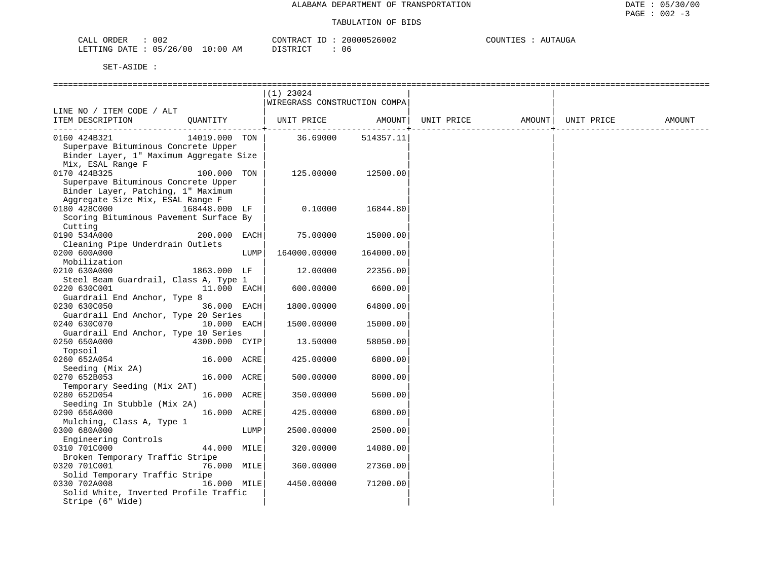| CALI<br>ORDER | ∩∩′<br>JUZ |             | CONTRACT. | 20000526002 | COUNTIES | <b>NUTAUGA</b> |
|---------------|------------|-------------|-----------|-------------|----------|----------------|
| LETTING DATE  | 05/26/00   | 10:00<br>AΜ | STR TOT   |             |          |                |

| $(1)$ 23024<br>WIREGRASS CONSTRUCTION COMPA<br>LINE NO / ITEM CODE / ALT<br>UNIT PRICE AMOUNT<br>QUANTITY<br>UNIT PRICE<br>AMOUNT  <br>UNIT PRICE<br>ITEM DESCRIPTION<br>AMOUNT<br>36.69000<br>14019.000 TON<br>0160 424B321<br>514357.11<br>Superpave Bituminous Concrete Upper<br>Binder Layer, 1" Maximum Aggregate Size<br>Mix, ESAL Range F<br>0170 424B325<br>100.000 TON<br>125.00000<br>12500.00<br>Superpave Bituminous Concrete Upper<br>Binder Layer, Patching, 1" Maximum<br>Aggregate Size Mix, ESAL Range F<br>0180 428C000<br>168448.000 LF<br>0.10000<br>16844.80<br>Scoring Bituminous Pavement Surface By<br>Cutting<br>0190 534A000<br>200.000 EACH<br>75.00000<br>15000.00<br>Cleaning Pipe Underdrain Outlets<br>0200 600A000<br>LUMP<br>164000.00000<br>164000.00<br>Mobilization<br>0210 630A000<br>1863.000 LF<br>12.00000<br>22356.00<br>Steel Beam Guardrail, Class A, Type 1<br>11.000 EACH<br>0220 630C001<br>600.00000<br>6600.00<br>Guardrail End Anchor, Type 8<br>0230 630C050<br>36.000 EACH<br>64800.00<br>1800.00000<br>Guardrail End Anchor, Type 20 Series<br>0240 630C070<br>10.000 EACH<br>1500.00000<br>15000.00<br>Guardrail End Anchor, Type 10 Series<br>0250 650A000<br>4300.000 CYIP<br>13.50000<br>58050.00<br>Topsoil<br>0260 652A054<br>6800.00<br>16.000 ACRE<br>425.00000<br>Seeding (Mix 2A)<br>0270 652B053<br>16.000 ACRE<br>8000.00<br>500.00000<br>Temporary Seeding (Mix 2AT)<br>0280 652D054<br>16.000 ACRE<br>350.00000<br>5600.00<br>Seeding In Stubble (Mix 2A)<br>16.000 ACRE<br>0290 656A000<br>425.00000<br>6800.00<br>Mulching, Class A, Type 1<br>0300 680A000<br>LUMP<br>2500.00000<br>2500.00<br>Engineering Controls<br>0310 701C000<br>44.000 MILE<br>320.00000<br>14080.00<br>Broken Temporary Traffic Stripe<br>0320 701C001<br>76.000 MILE<br>360.00000<br>27360.00<br>Solid Temporary Traffic Stripe<br>0330 702A008<br>16.000 MILE<br>71200.00<br>4450.00000<br>Solid White, Inverted Profile Traffic<br>Stripe (6" Wide) |  |  |  |  |  |
|-----------------------------------------------------------------------------------------------------------------------------------------------------------------------------------------------------------------------------------------------------------------------------------------------------------------------------------------------------------------------------------------------------------------------------------------------------------------------------------------------------------------------------------------------------------------------------------------------------------------------------------------------------------------------------------------------------------------------------------------------------------------------------------------------------------------------------------------------------------------------------------------------------------------------------------------------------------------------------------------------------------------------------------------------------------------------------------------------------------------------------------------------------------------------------------------------------------------------------------------------------------------------------------------------------------------------------------------------------------------------------------------------------------------------------------------------------------------------------------------------------------------------------------------------------------------------------------------------------------------------------------------------------------------------------------------------------------------------------------------------------------------------------------------------------------------------------------------------------------------------------------------------------------------------------------------------------------------------------------------------------|--|--|--|--|--|
|                                                                                                                                                                                                                                                                                                                                                                                                                                                                                                                                                                                                                                                                                                                                                                                                                                                                                                                                                                                                                                                                                                                                                                                                                                                                                                                                                                                                                                                                                                                                                                                                                                                                                                                                                                                                                                                                                                                                                                                                     |  |  |  |  |  |
|                                                                                                                                                                                                                                                                                                                                                                                                                                                                                                                                                                                                                                                                                                                                                                                                                                                                                                                                                                                                                                                                                                                                                                                                                                                                                                                                                                                                                                                                                                                                                                                                                                                                                                                                                                                                                                                                                                                                                                                                     |  |  |  |  |  |
|                                                                                                                                                                                                                                                                                                                                                                                                                                                                                                                                                                                                                                                                                                                                                                                                                                                                                                                                                                                                                                                                                                                                                                                                                                                                                                                                                                                                                                                                                                                                                                                                                                                                                                                                                                                                                                                                                                                                                                                                     |  |  |  |  |  |
|                                                                                                                                                                                                                                                                                                                                                                                                                                                                                                                                                                                                                                                                                                                                                                                                                                                                                                                                                                                                                                                                                                                                                                                                                                                                                                                                                                                                                                                                                                                                                                                                                                                                                                                                                                                                                                                                                                                                                                                                     |  |  |  |  |  |
|                                                                                                                                                                                                                                                                                                                                                                                                                                                                                                                                                                                                                                                                                                                                                                                                                                                                                                                                                                                                                                                                                                                                                                                                                                                                                                                                                                                                                                                                                                                                                                                                                                                                                                                                                                                                                                                                                                                                                                                                     |  |  |  |  |  |
|                                                                                                                                                                                                                                                                                                                                                                                                                                                                                                                                                                                                                                                                                                                                                                                                                                                                                                                                                                                                                                                                                                                                                                                                                                                                                                                                                                                                                                                                                                                                                                                                                                                                                                                                                                                                                                                                                                                                                                                                     |  |  |  |  |  |
|                                                                                                                                                                                                                                                                                                                                                                                                                                                                                                                                                                                                                                                                                                                                                                                                                                                                                                                                                                                                                                                                                                                                                                                                                                                                                                                                                                                                                                                                                                                                                                                                                                                                                                                                                                                                                                                                                                                                                                                                     |  |  |  |  |  |
|                                                                                                                                                                                                                                                                                                                                                                                                                                                                                                                                                                                                                                                                                                                                                                                                                                                                                                                                                                                                                                                                                                                                                                                                                                                                                                                                                                                                                                                                                                                                                                                                                                                                                                                                                                                                                                                                                                                                                                                                     |  |  |  |  |  |
|                                                                                                                                                                                                                                                                                                                                                                                                                                                                                                                                                                                                                                                                                                                                                                                                                                                                                                                                                                                                                                                                                                                                                                                                                                                                                                                                                                                                                                                                                                                                                                                                                                                                                                                                                                                                                                                                                                                                                                                                     |  |  |  |  |  |
|                                                                                                                                                                                                                                                                                                                                                                                                                                                                                                                                                                                                                                                                                                                                                                                                                                                                                                                                                                                                                                                                                                                                                                                                                                                                                                                                                                                                                                                                                                                                                                                                                                                                                                                                                                                                                                                                                                                                                                                                     |  |  |  |  |  |
|                                                                                                                                                                                                                                                                                                                                                                                                                                                                                                                                                                                                                                                                                                                                                                                                                                                                                                                                                                                                                                                                                                                                                                                                                                                                                                                                                                                                                                                                                                                                                                                                                                                                                                                                                                                                                                                                                                                                                                                                     |  |  |  |  |  |
|                                                                                                                                                                                                                                                                                                                                                                                                                                                                                                                                                                                                                                                                                                                                                                                                                                                                                                                                                                                                                                                                                                                                                                                                                                                                                                                                                                                                                                                                                                                                                                                                                                                                                                                                                                                                                                                                                                                                                                                                     |  |  |  |  |  |
|                                                                                                                                                                                                                                                                                                                                                                                                                                                                                                                                                                                                                                                                                                                                                                                                                                                                                                                                                                                                                                                                                                                                                                                                                                                                                                                                                                                                                                                                                                                                                                                                                                                                                                                                                                                                                                                                                                                                                                                                     |  |  |  |  |  |
|                                                                                                                                                                                                                                                                                                                                                                                                                                                                                                                                                                                                                                                                                                                                                                                                                                                                                                                                                                                                                                                                                                                                                                                                                                                                                                                                                                                                                                                                                                                                                                                                                                                                                                                                                                                                                                                                                                                                                                                                     |  |  |  |  |  |
|                                                                                                                                                                                                                                                                                                                                                                                                                                                                                                                                                                                                                                                                                                                                                                                                                                                                                                                                                                                                                                                                                                                                                                                                                                                                                                                                                                                                                                                                                                                                                                                                                                                                                                                                                                                                                                                                                                                                                                                                     |  |  |  |  |  |
|                                                                                                                                                                                                                                                                                                                                                                                                                                                                                                                                                                                                                                                                                                                                                                                                                                                                                                                                                                                                                                                                                                                                                                                                                                                                                                                                                                                                                                                                                                                                                                                                                                                                                                                                                                                                                                                                                                                                                                                                     |  |  |  |  |  |
|                                                                                                                                                                                                                                                                                                                                                                                                                                                                                                                                                                                                                                                                                                                                                                                                                                                                                                                                                                                                                                                                                                                                                                                                                                                                                                                                                                                                                                                                                                                                                                                                                                                                                                                                                                                                                                                                                                                                                                                                     |  |  |  |  |  |
|                                                                                                                                                                                                                                                                                                                                                                                                                                                                                                                                                                                                                                                                                                                                                                                                                                                                                                                                                                                                                                                                                                                                                                                                                                                                                                                                                                                                                                                                                                                                                                                                                                                                                                                                                                                                                                                                                                                                                                                                     |  |  |  |  |  |
|                                                                                                                                                                                                                                                                                                                                                                                                                                                                                                                                                                                                                                                                                                                                                                                                                                                                                                                                                                                                                                                                                                                                                                                                                                                                                                                                                                                                                                                                                                                                                                                                                                                                                                                                                                                                                                                                                                                                                                                                     |  |  |  |  |  |
|                                                                                                                                                                                                                                                                                                                                                                                                                                                                                                                                                                                                                                                                                                                                                                                                                                                                                                                                                                                                                                                                                                                                                                                                                                                                                                                                                                                                                                                                                                                                                                                                                                                                                                                                                                                                                                                                                                                                                                                                     |  |  |  |  |  |
|                                                                                                                                                                                                                                                                                                                                                                                                                                                                                                                                                                                                                                                                                                                                                                                                                                                                                                                                                                                                                                                                                                                                                                                                                                                                                                                                                                                                                                                                                                                                                                                                                                                                                                                                                                                                                                                                                                                                                                                                     |  |  |  |  |  |
|                                                                                                                                                                                                                                                                                                                                                                                                                                                                                                                                                                                                                                                                                                                                                                                                                                                                                                                                                                                                                                                                                                                                                                                                                                                                                                                                                                                                                                                                                                                                                                                                                                                                                                                                                                                                                                                                                                                                                                                                     |  |  |  |  |  |
|                                                                                                                                                                                                                                                                                                                                                                                                                                                                                                                                                                                                                                                                                                                                                                                                                                                                                                                                                                                                                                                                                                                                                                                                                                                                                                                                                                                                                                                                                                                                                                                                                                                                                                                                                                                                                                                                                                                                                                                                     |  |  |  |  |  |
|                                                                                                                                                                                                                                                                                                                                                                                                                                                                                                                                                                                                                                                                                                                                                                                                                                                                                                                                                                                                                                                                                                                                                                                                                                                                                                                                                                                                                                                                                                                                                                                                                                                                                                                                                                                                                                                                                                                                                                                                     |  |  |  |  |  |
|                                                                                                                                                                                                                                                                                                                                                                                                                                                                                                                                                                                                                                                                                                                                                                                                                                                                                                                                                                                                                                                                                                                                                                                                                                                                                                                                                                                                                                                                                                                                                                                                                                                                                                                                                                                                                                                                                                                                                                                                     |  |  |  |  |  |
|                                                                                                                                                                                                                                                                                                                                                                                                                                                                                                                                                                                                                                                                                                                                                                                                                                                                                                                                                                                                                                                                                                                                                                                                                                                                                                                                                                                                                                                                                                                                                                                                                                                                                                                                                                                                                                                                                                                                                                                                     |  |  |  |  |  |
|                                                                                                                                                                                                                                                                                                                                                                                                                                                                                                                                                                                                                                                                                                                                                                                                                                                                                                                                                                                                                                                                                                                                                                                                                                                                                                                                                                                                                                                                                                                                                                                                                                                                                                                                                                                                                                                                                                                                                                                                     |  |  |  |  |  |
|                                                                                                                                                                                                                                                                                                                                                                                                                                                                                                                                                                                                                                                                                                                                                                                                                                                                                                                                                                                                                                                                                                                                                                                                                                                                                                                                                                                                                                                                                                                                                                                                                                                                                                                                                                                                                                                                                                                                                                                                     |  |  |  |  |  |
|                                                                                                                                                                                                                                                                                                                                                                                                                                                                                                                                                                                                                                                                                                                                                                                                                                                                                                                                                                                                                                                                                                                                                                                                                                                                                                                                                                                                                                                                                                                                                                                                                                                                                                                                                                                                                                                                                                                                                                                                     |  |  |  |  |  |
|                                                                                                                                                                                                                                                                                                                                                                                                                                                                                                                                                                                                                                                                                                                                                                                                                                                                                                                                                                                                                                                                                                                                                                                                                                                                                                                                                                                                                                                                                                                                                                                                                                                                                                                                                                                                                                                                                                                                                                                                     |  |  |  |  |  |
|                                                                                                                                                                                                                                                                                                                                                                                                                                                                                                                                                                                                                                                                                                                                                                                                                                                                                                                                                                                                                                                                                                                                                                                                                                                                                                                                                                                                                                                                                                                                                                                                                                                                                                                                                                                                                                                                                                                                                                                                     |  |  |  |  |  |
|                                                                                                                                                                                                                                                                                                                                                                                                                                                                                                                                                                                                                                                                                                                                                                                                                                                                                                                                                                                                                                                                                                                                                                                                                                                                                                                                                                                                                                                                                                                                                                                                                                                                                                                                                                                                                                                                                                                                                                                                     |  |  |  |  |  |
|                                                                                                                                                                                                                                                                                                                                                                                                                                                                                                                                                                                                                                                                                                                                                                                                                                                                                                                                                                                                                                                                                                                                                                                                                                                                                                                                                                                                                                                                                                                                                                                                                                                                                                                                                                                                                                                                                                                                                                                                     |  |  |  |  |  |
|                                                                                                                                                                                                                                                                                                                                                                                                                                                                                                                                                                                                                                                                                                                                                                                                                                                                                                                                                                                                                                                                                                                                                                                                                                                                                                                                                                                                                                                                                                                                                                                                                                                                                                                                                                                                                                                                                                                                                                                                     |  |  |  |  |  |
|                                                                                                                                                                                                                                                                                                                                                                                                                                                                                                                                                                                                                                                                                                                                                                                                                                                                                                                                                                                                                                                                                                                                                                                                                                                                                                                                                                                                                                                                                                                                                                                                                                                                                                                                                                                                                                                                                                                                                                                                     |  |  |  |  |  |
|                                                                                                                                                                                                                                                                                                                                                                                                                                                                                                                                                                                                                                                                                                                                                                                                                                                                                                                                                                                                                                                                                                                                                                                                                                                                                                                                                                                                                                                                                                                                                                                                                                                                                                                                                                                                                                                                                                                                                                                                     |  |  |  |  |  |
|                                                                                                                                                                                                                                                                                                                                                                                                                                                                                                                                                                                                                                                                                                                                                                                                                                                                                                                                                                                                                                                                                                                                                                                                                                                                                                                                                                                                                                                                                                                                                                                                                                                                                                                                                                                                                                                                                                                                                                                                     |  |  |  |  |  |
|                                                                                                                                                                                                                                                                                                                                                                                                                                                                                                                                                                                                                                                                                                                                                                                                                                                                                                                                                                                                                                                                                                                                                                                                                                                                                                                                                                                                                                                                                                                                                                                                                                                                                                                                                                                                                                                                                                                                                                                                     |  |  |  |  |  |
|                                                                                                                                                                                                                                                                                                                                                                                                                                                                                                                                                                                                                                                                                                                                                                                                                                                                                                                                                                                                                                                                                                                                                                                                                                                                                                                                                                                                                                                                                                                                                                                                                                                                                                                                                                                                                                                                                                                                                                                                     |  |  |  |  |  |
|                                                                                                                                                                                                                                                                                                                                                                                                                                                                                                                                                                                                                                                                                                                                                                                                                                                                                                                                                                                                                                                                                                                                                                                                                                                                                                                                                                                                                                                                                                                                                                                                                                                                                                                                                                                                                                                                                                                                                                                                     |  |  |  |  |  |
|                                                                                                                                                                                                                                                                                                                                                                                                                                                                                                                                                                                                                                                                                                                                                                                                                                                                                                                                                                                                                                                                                                                                                                                                                                                                                                                                                                                                                                                                                                                                                                                                                                                                                                                                                                                                                                                                                                                                                                                                     |  |  |  |  |  |
|                                                                                                                                                                                                                                                                                                                                                                                                                                                                                                                                                                                                                                                                                                                                                                                                                                                                                                                                                                                                                                                                                                                                                                                                                                                                                                                                                                                                                                                                                                                                                                                                                                                                                                                                                                                                                                                                                                                                                                                                     |  |  |  |  |  |
|                                                                                                                                                                                                                                                                                                                                                                                                                                                                                                                                                                                                                                                                                                                                                                                                                                                                                                                                                                                                                                                                                                                                                                                                                                                                                                                                                                                                                                                                                                                                                                                                                                                                                                                                                                                                                                                                                                                                                                                                     |  |  |  |  |  |
|                                                                                                                                                                                                                                                                                                                                                                                                                                                                                                                                                                                                                                                                                                                                                                                                                                                                                                                                                                                                                                                                                                                                                                                                                                                                                                                                                                                                                                                                                                                                                                                                                                                                                                                                                                                                                                                                                                                                                                                                     |  |  |  |  |  |
|                                                                                                                                                                                                                                                                                                                                                                                                                                                                                                                                                                                                                                                                                                                                                                                                                                                                                                                                                                                                                                                                                                                                                                                                                                                                                                                                                                                                                                                                                                                                                                                                                                                                                                                                                                                                                                                                                                                                                                                                     |  |  |  |  |  |
|                                                                                                                                                                                                                                                                                                                                                                                                                                                                                                                                                                                                                                                                                                                                                                                                                                                                                                                                                                                                                                                                                                                                                                                                                                                                                                                                                                                                                                                                                                                                                                                                                                                                                                                                                                                                                                                                                                                                                                                                     |  |  |  |  |  |
|                                                                                                                                                                                                                                                                                                                                                                                                                                                                                                                                                                                                                                                                                                                                                                                                                                                                                                                                                                                                                                                                                                                                                                                                                                                                                                                                                                                                                                                                                                                                                                                                                                                                                                                                                                                                                                                                                                                                                                                                     |  |  |  |  |  |
|                                                                                                                                                                                                                                                                                                                                                                                                                                                                                                                                                                                                                                                                                                                                                                                                                                                                                                                                                                                                                                                                                                                                                                                                                                                                                                                                                                                                                                                                                                                                                                                                                                                                                                                                                                                                                                                                                                                                                                                                     |  |  |  |  |  |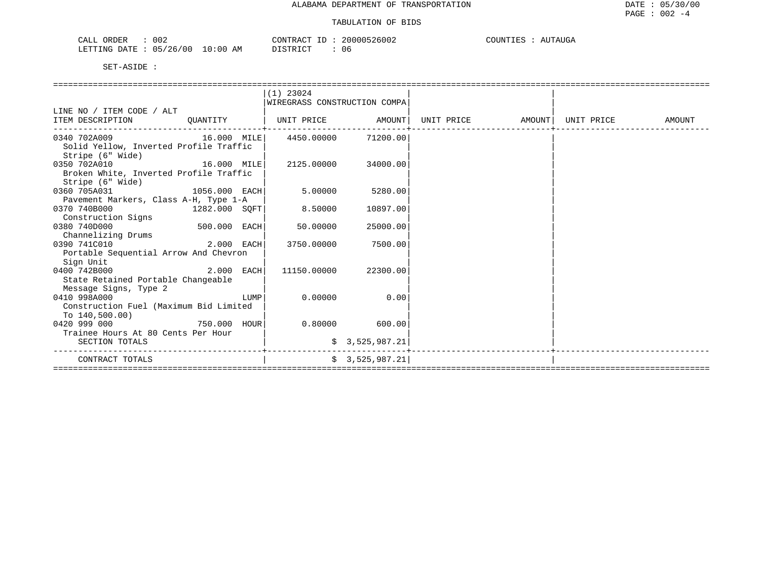| 002<br>ORDER<br>CALL       |             | CONTRACT      | 20000526002 | COUNTIES<br>AUTAUGA |
|----------------------------|-------------|---------------|-------------|---------------------|
| : 05/26/00<br>LETTING DATE | 10:00<br>AΜ | חימת סידים דת | ، ۱۴۰       |                     |

|                                              |              |      | $(1)$ 23024                  |                  |                                |  |        |
|----------------------------------------------|--------------|------|------------------------------|------------------|--------------------------------|--|--------|
|                                              |              |      | WIREGRASS CONSTRUCTION COMPA |                  |                                |  |        |
| LINE NO / ITEM CODE / ALT                    |              |      |                              |                  |                                |  |        |
| ITEM DESCRIPTION QUANTITY                    |              |      | UNIT PRICE AMOUNT            |                  | UNIT PRICE AMOUNT   UNIT PRICE |  | AMOUNT |
| 0340 702A009 16.000 MILE 4450.00000 71200.00 |              |      |                              |                  |                                |  |        |
| Solid Yellow, Inverted Profile Traffic       |              |      |                              |                  |                                |  |        |
| Stripe (6" Wide)                             |              |      |                              |                  |                                |  |        |
| 16.000 MILE<br>0350 702A010                  |              |      | 2125.00000 34000.00          |                  |                                |  |        |
| Broken White, Inverted Profile Traffic       |              |      |                              |                  |                                |  |        |
| Stripe (6" Wide)                             |              |      |                              |                  |                                |  |        |
| 0360 705A031<br>$1056.000$ EACH              |              |      | 5.00000                      | 5280.00          |                                |  |        |
| Pavement Markers, Class A-H, Type 1-A        |              |      |                              |                  |                                |  |        |
| 0370 740B000<br>$1282.000$ SQFT              |              |      | 8.50000                      | 10897.00         |                                |  |        |
| Construction Signs                           |              |      |                              |                  |                                |  |        |
| 0380 740D000                                 | 500.000 EACH |      | 50.00000                     | 25000.00         |                                |  |        |
| Channelizing Drums                           |              |      |                              |                  |                                |  |        |
| $2.000$ EACH<br>0390 741C010                 |              |      | 3750.00000                   | 7500.00          |                                |  |        |
| Portable Sequential Arrow And Chevron        |              |      |                              |                  |                                |  |        |
| Sign Unit                                    |              |      |                              |                  |                                |  |        |
| 0400 742B000                                 | 2.000 EACH   |      | 11150.00000                  | 22300.001        |                                |  |        |
| State Retained Portable Changeable           |              |      |                              |                  |                                |  |        |
| Message Signs, Type 2                        |              |      |                              |                  |                                |  |        |
| 0410 998A000                                 |              | LUMP | 0.00000                      | 0.00             |                                |  |        |
| Construction Fuel (Maximum Bid Limited       |              |      |                              |                  |                                |  |        |
| To $140,500.00$ )                            |              |      |                              |                  |                                |  |        |
| 750.000 HOUR<br>0420 999 000                 |              |      |                              | $0.80000$ 600.00 |                                |  |        |
| Trainee Hours At 80 Cents Per Hour           |              |      |                              |                  |                                |  |        |
| SECTION TOTALS                               |              |      |                              | \$3,525,987.21   |                                |  |        |
| CONTRACT TOTALS                              |              |      |                              | \$3,525,987.21]  |                                |  |        |
|                                              |              |      |                              |                  |                                |  |        |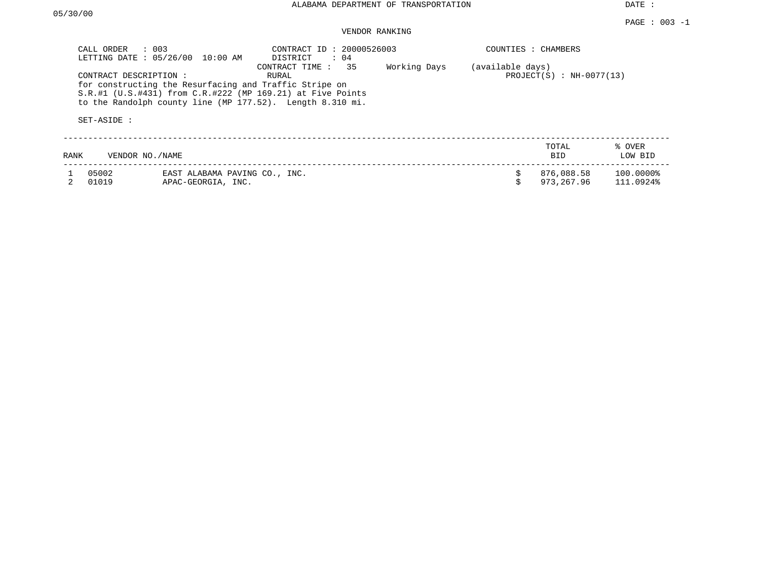DATE :

#### PAGE : 003 -1 VENDOR RANKING

| CALL ORDER<br>LETTING DATE: 05/26/00 | $\therefore$ 003<br>10:00 AM                                                                                                                                                        | CONTRACT ID: 20000526003<br>DISTRICT<br>$\therefore$ 04 |              |                  | COUNTIES : CHAMBERS        |                        |
|--------------------------------------|-------------------------------------------------------------------------------------------------------------------------------------------------------------------------------------|---------------------------------------------------------|--------------|------------------|----------------------------|------------------------|
| CONTRACT DESCRIPTION:<br>SET-ASIDE : | for constructing the Resurfacing and Traffic Stripe on<br>$S.R.#1$ (U.S.#431) from C.R.#222 (MP 169.21) at Five Points<br>to the Randolph county line (MP 177.52). Length 8.310 mi. | 35<br>CONTRACT TIME :<br>RURAL                          | Working Days | (available days) | $PROJECT(S) : NH-0077(13)$ |                        |
| RANK                                 | VENDOR NO./NAME                                                                                                                                                                     |                                                         |              |                  | TOTAL<br><b>BID</b>        | % OVER<br>LOW BID      |
| 05002<br>01019                       | EAST ALABAMA PAVING CO., INC.<br>APAC-GEORGIA, INC.                                                                                                                                 |                                                         |              |                  | 876,088.58<br>973, 267, 96 | 100.0000%<br>111.0924% |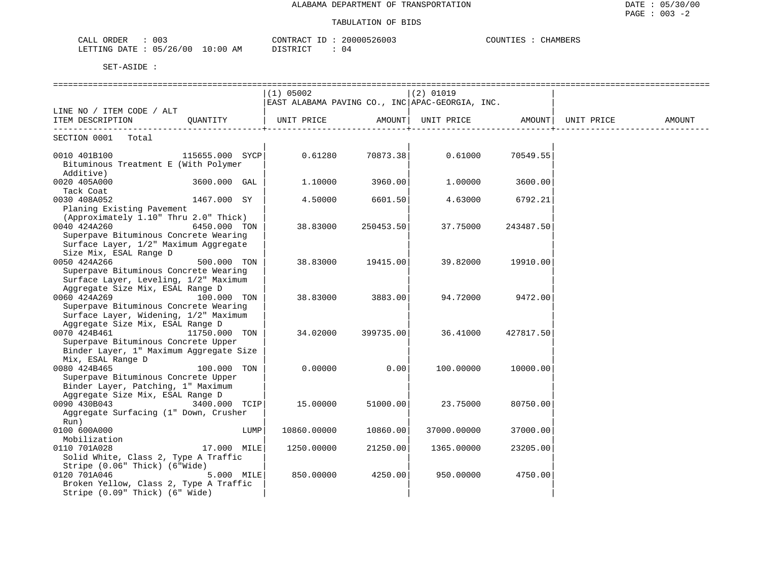#### TABULATION OF BIDS

| 003<br>ORDER<br>$\sim$ $\sim$ $\sim$ $\sim$<br>الملائمات | CONTRACT                            | 20000526003 | COUNTIES<br>HAMBERS |
|----------------------------------------------------------|-------------------------------------|-------------|---------------------|
| 05/26/00<br>LETTING DATE                                 | $10:00$ AM<br>יד פידף דר <b>י</b> ד | U 4         |                     |

|                                                                                                                                         |                 | $(1)$ 05002<br>EAST ALABAMA PAVING CO., INC APAC-GEORGIA, INC. |                   | $(2)$ 01019                               |           |        |
|-----------------------------------------------------------------------------------------------------------------------------------------|-----------------|----------------------------------------------------------------|-------------------|-------------------------------------------|-----------|--------|
| LINE NO / ITEM CODE / ALT                                                                                                               |                 |                                                                |                   |                                           |           |        |
| ITEM DESCRIPTION QUANTITY   UNIT PRICE AMOUNT                                                                                           |                 |                                                                |                   | UNIT PRICE AMOUNT   UNIT PRICE            |           | AMOUNT |
| SECTION 0001 Total                                                                                                                      |                 |                                                                |                   |                                           |           |        |
| 0010 401B100<br>Bituminous Treatment E (With Polymer<br>Additive)                                                                       | 115655.000 SYCP |                                                                |                   | $0.61280$ $70873.38$ $0.61000$ $70549.55$ |           |        |
| 0020 405A000<br>Tack Coat                                                                                                               | 3600.000 GAL    | 1,10000                                                        | 3960.00           | 1.00000                                   | 3600.00   |        |
| 0030 408A052<br>Planing Existing Pavement                                                                                               | 1467.000 SY     | 4.50000                                                        | 6601.50           | 4.63000                                   | 6792.21   |        |
| (Approximately 1.10" Thru 2.0" Thick)<br>0040 424A260<br>Superpave Bituminous Concrete Wearing<br>Surface Layer, 1/2" Maximum Aggregate | 6450.000 TON    | 38.83000                                                       | 250453.50         | 37.75000                                  | 243487.50 |        |
| Size Mix, ESAL Range D<br>0050 424A266<br>Superpave Bituminous Concrete Wearing<br>Surface Layer, Leveling, 1/2" Maximum                | 500.000 TON     |                                                                | 38.83000 19415.00 | 39.82000                                  | 19910.00  |        |
| Aggregate Size Mix, ESAL Range D<br>0060 424A269<br>Superpave Bituminous Concrete Wearing<br>Surface Layer, Widening, 1/2" Maximum      | 100.000 TON     | 38.83000                                                       | 3883.00           | 94.72000                                  | 9472.00   |        |
| Aggregate Size Mix, ESAL Range D<br>0070 424B461<br>Superpave Bituminous Concrete Upper<br>Binder Layer, 1" Maximum Aggregate Size      | 11750.000 TON   | 34.02000                                                       | 399735.00         | 36.41000                                  | 427817.50 |        |
| Mix, ESAL Range D<br>0080 424B465<br>Superpave Bituminous Concrete Upper<br>Binder Layer, Patching, 1" Maximum                          | 100.000 TON     | 0.00000                                                        | 0.00              | 100.00000                                 | 10000.00  |        |
| Aggregate Size Mix, ESAL Range D<br>0090 430B043 3400.000 TCIP<br>Aggregate Surfacing (1" Down, Crusher<br>Run)                         |                 | 15.00000                                                       | 51000.00          | 23.75000                                  | 80750.00  |        |
| 0100 600A000<br>Mobilization                                                                                                            | LUMP            | 10860.00000                                                    | 10860.00          | 37000.00000                               | 37000.00  |        |
| 0110 701A028<br>Solid White, Class 2, Type A Traffic<br>Stripe (0.06" Thick) (6"Wide)                                                   | 17.000 MILE     | 1250.00000                                                     | 21250.00          | 1365.00000                                | 23205.00  |        |
| 0120 701A046<br>Broken Yellow, Class 2, Type A Traffic<br>Stripe (0.09" Thick) (6" Wide)                                                | $5.000$ MILE    | 850,00000                                                      | 4250.00           | 950.00000                                 | 4750.00   |        |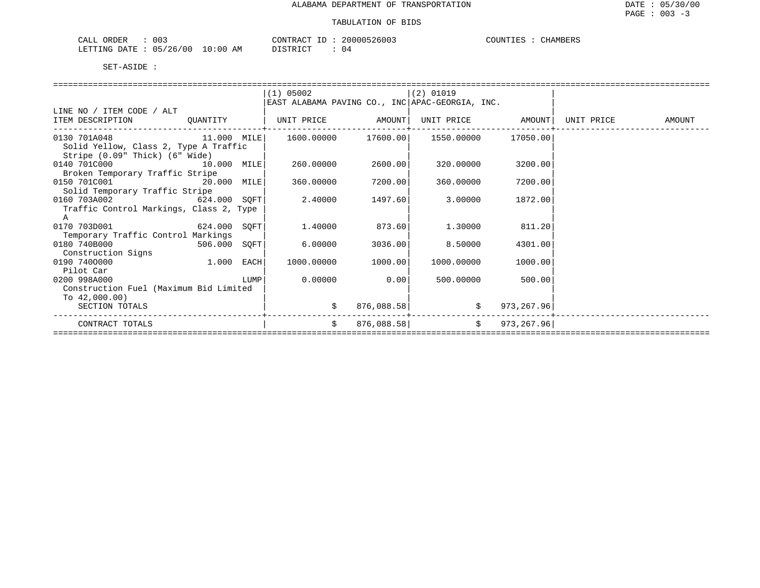| ORDER<br>CALL | 003            |            | CONTRACT ID | 20000526003 | COUNTIES | <b>CHAMBERS</b> |
|---------------|----------------|------------|-------------|-------------|----------|-----------------|
| LETTING DATE  | $: 05/26/00$ 1 | $10:00$ AM | DISTRICT    | 04          |          |                 |

|                                         |              |      | $(1)$ 05002                                     |            | $(2)$ 01019                     |                   |            |        |  |  |  |
|-----------------------------------------|--------------|------|-------------------------------------------------|------------|---------------------------------|-------------------|------------|--------|--|--|--|
|                                         |              |      | EAST ALABAMA PAVING CO., INC APAC-GEORGIA, INC. |            |                                 |                   |            |        |  |  |  |
| LINE NO / ITEM CODE / ALT               |              |      |                                                 |            |                                 |                   |            |        |  |  |  |
| ITEM DESCRIPTION                        | QUANTITY     |      | UNIT PRICE AMOUNT                               |            |                                 | UNIT PRICE AMOUNT | UNIT PRICE | AMOUNT |  |  |  |
| 11.000 MILE<br>0130 701A048             |              |      |                                                 |            | 1600.00000 17600.00  1550.00000 | 17050.00          |            |        |  |  |  |
| Solid Yellow, Class 2, Type A Traffic   |              |      |                                                 |            |                                 |                   |            |        |  |  |  |
| Stripe (0.09" Thick) (6" Wide)          |              |      |                                                 |            |                                 |                   |            |        |  |  |  |
| 0140 701C000<br>10.000 MILE             |              |      | 260,00000                                       | 2600.00    | 320.00000                       | 3200.00           |            |        |  |  |  |
| Broken Temporary Traffic Stripe         |              |      |                                                 |            |                                 |                   |            |        |  |  |  |
| 0150 701C001<br>20.000 MILE             |              |      | 360.00000                                       | 7200.00    | 360.00000                       | 7200.00           |            |        |  |  |  |
| Solid Temporary Traffic Stripe          |              |      |                                                 |            |                                 |                   |            |        |  |  |  |
| 0160 703A002<br>624.000 SOFT            |              |      | 2.40000                                         | 1497.60    | 3.00000                         | 1872.00           |            |        |  |  |  |
| Traffic Control Markings, Class 2, Type |              |      |                                                 |            |                                 |                   |            |        |  |  |  |
| A                                       |              |      |                                                 |            |                                 |                   |            |        |  |  |  |
| 0170 703D001<br>624.000 SOFT            |              |      | 1,40000                                         | 873.60     | 1.30000                         | 811.20            |            |        |  |  |  |
| Temporary Traffic Control Markings      |              |      |                                                 |            |                                 |                   |            |        |  |  |  |
| 0180 740B000<br>506.000 SQFT            |              |      | 6.00000                                         | 3036.00    | 8.50000                         | 4301.00           |            |        |  |  |  |
| Construction Signs                      |              |      |                                                 |            |                                 |                   |            |        |  |  |  |
| 0190 7400000                            | $1.000$ EACH |      | 1000.00000                                      | 1000.00    | 1000.00000                      | 1000.00           |            |        |  |  |  |
| Pilot Car                               |              |      |                                                 |            |                                 |                   |            |        |  |  |  |
| 0200 998A000                            |              | LUMP | 0.00000                                         | 0.00       | 500,00000                       | 500.00            |            |        |  |  |  |
| Construction Fuel (Maximum Bid Limited  |              |      |                                                 |            |                                 |                   |            |        |  |  |  |
| To $42,000.00$ )                        |              |      |                                                 |            |                                 |                   |            |        |  |  |  |
| SECTION TOTALS                          |              |      |                                                 | 876,088.58 |                                 | 973, 267.96       |            |        |  |  |  |
| CONTRACT TOTALS                         |              |      | $\mathsf{S}$                                    | 876,088.58 |                                 | \$973, 267.96]    |            |        |  |  |  |
|                                         |              |      |                                                 |            |                                 |                   |            |        |  |  |  |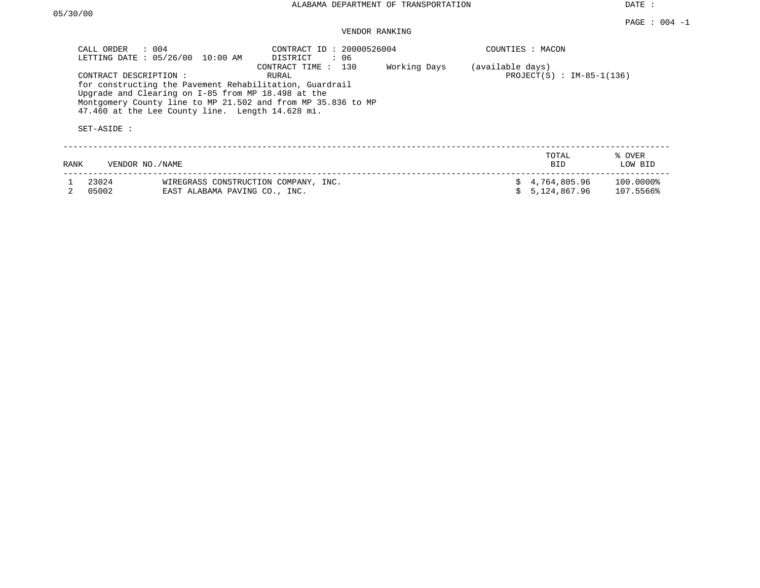DATE :

## VENDOR RANKING

| CALL ORDER     | $\therefore$ 004<br>LETTING DATE : 05/26/00 10:00 AM                                                                                                                                                                                                                                                       | CONTRACT ID: 20000526004<br>DISTRICT : 06 |                                                 | COUNTIES : MACON |                                |                        |
|----------------|------------------------------------------------------------------------------------------------------------------------------------------------------------------------------------------------------------------------------------------------------------------------------------------------------------|-------------------------------------------|-------------------------------------------------|------------------|--------------------------------|------------------------|
| SET-ASIDE :    | Working Days<br>CONTRACT TIME : 130<br>CONTRACT DESCRIPTION:<br>RURAL<br>for constructing the Pavement Rehabilitation, Guardrail<br>Upgrade and Clearing on I-85 from MP 18.498 at the<br>Montgomery County line to MP 21.502 and from MP 35.836 to MP<br>47.460 at the Lee County line. Length 14.628 mi. |                                           | (available days)<br>PROJECT(S) : $IM-85-1(136)$ |                  |                                |                        |
| RANK           | VENDOR NO. / NAME                                                                                                                                                                                                                                                                                          |                                           |                                                 |                  | TOTAL<br><b>BID</b>            | % OVER<br>LOW BID      |
| 23024<br>05002 | WIREGRASS CONSTRUCTION COMPANY, INC.<br>EAST ALABAMA PAVING CO., INC.                                                                                                                                                                                                                                      |                                           |                                                 |                  | \$4,764,805.96<br>5,124,867.96 | 100.0000%<br>107.5566% |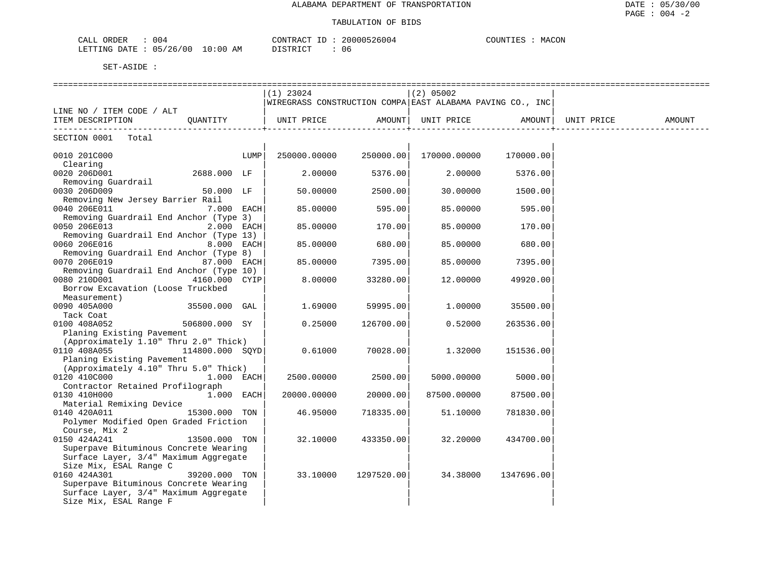| 004<br>ORDER<br>$\cdots$<br>∪n⊥.                                                                                                                                      | $\bigcap_{n\in\mathbb{N}}$<br>.1111<br>A. | .4ACON<br>COUNT. |
|-----------------------------------------------------------------------------------------------------------------------------------------------------------------------|-------------------------------------------|------------------|
| 700<br>1261<br>05<br>ETTING<br>0:00<br>ΑM<br>DATF.<br>the contract of the contract of the contract of the contract of the contract of the contract of the contract of | $T$ $C$ $T$ $D$ $T$ $C$ $T$ $T$<br>U6     |                  |

|                                         |                 |      | $(1)$ 23024                                               |            | (2) 05002    |            |            |        |
|-----------------------------------------|-----------------|------|-----------------------------------------------------------|------------|--------------|------------|------------|--------|
|                                         |                 |      | WIREGRASS CONSTRUCTION COMPA EAST ALABAMA PAVING CO., INC |            |              |            |            |        |
| LINE NO / ITEM CODE / ALT               |                 |      |                                                           |            |              |            |            |        |
| ITEM DESCRIPTION                        | QUANTITY        |      | UNIT PRICE         AMOUNT  UNIT PRICE         AMOUNT      |            |              |            | UNIT PRICE | AMOUNT |
|                                         |                 |      |                                                           |            |              |            |            |        |
| SECTION 0001 Total                      |                 |      |                                                           |            |              |            |            |        |
|                                         |                 |      |                                                           |            |              |            |            |        |
| 0010 201C000                            |                 | LUMP | $250000.00000$ $250000.00$                                |            | 170000.00000 | 170000.00  |            |        |
| Clearing                                |                 |      |                                                           |            |              |            |            |        |
| 0020 206D001                            | 2688.000 LF     |      | 2.00000                                                   | 5376.00    | 2,00000      | 5376.00    |            |        |
| Removing Guardrail                      |                 |      |                                                           |            |              |            |            |        |
| 0030 206D009                            | 50.000 LF       |      | 50.00000                                                  | 2500.00    | 30.00000     | 1500.00    |            |        |
| Removing New Jersey Barrier Rail        |                 |      |                                                           |            |              |            |            |        |
| 0040 206E011                            | 7.000 EACH      |      | 85.00000                                                  | 595.00     | 85.00000     | 595.00     |            |        |
| Removing Guardrail End Anchor (Type 3)  |                 |      |                                                           |            |              |            |            |        |
| 0050 206E013                            | $2.000$ EACH    |      | 85.00000                                                  | 170.00     | 85.00000     | 170.00     |            |        |
| Removing Guardrail End Anchor (Type 13) |                 |      |                                                           |            |              |            |            |        |
| 0060 206E016                            | 8.000 EACH      |      | 85.00000                                                  | 680.00     | 85.00000     | 680.00     |            |        |
| Removing Guardrail End Anchor (Type 8)  |                 |      |                                                           |            |              |            |            |        |
| 0070 206E019                            | 87.000 EACH     |      | 85.00000                                                  | 7395.00    | 85.00000     | 7395.00    |            |        |
| Removing Guardrail End Anchor (Type 10) |                 |      |                                                           |            |              |            |            |        |
| 0080 210D001                            | 4160.000 CYIP   |      | 8.00000                                                   | 33280.00   | 12.00000     | 49920.00   |            |        |
| Borrow Excavation (Loose Truckbed       |                 |      |                                                           |            |              |            |            |        |
| Measurement)                            |                 |      |                                                           |            |              |            |            |        |
| 0090 405A000                            | 35500.000 GAL   |      | 1.69000                                                   | 59995.00   | 1,00000      | 35500.00   |            |        |
| Tack Coat                               |                 |      |                                                           |            |              |            |            |        |
| 0100 408A052                            | 506800.000 SY   |      | 0.25000                                                   | 126700.00  | 0.52000      | 263536.00  |            |        |
| Planing Existing Pavement               |                 |      |                                                           |            |              |            |            |        |
| (Approximately 1.10" Thru 2.0" Thick)   |                 |      |                                                           |            |              |            |            |        |
| 0110 408A055                            | 114800.000 SQYD |      | 0.61000                                                   | 70028.00   | 1,32000      | 151536.00  |            |        |
| Planing Existing Pavement               |                 |      |                                                           |            |              |            |            |        |
| (Approximately 4.10" Thru 5.0" Thick)   |                 |      |                                                           |            |              |            |            |        |
| 0120 410C000                            | $1.000$ EACH    |      | 2500.00000                                                | 2500.00    | 5000.00000   | 5000.00    |            |        |
| Contractor Retained Profilograph        |                 |      |                                                           |            |              |            |            |        |
| 0130 410H000                            | $1.000$ EACH    |      | 20000.00000                                               | 20000.00   | 87500.00000  | 87500.00   |            |        |
| Material Remixing Device                |                 |      |                                                           |            |              |            |            |        |
| 0140 420A011                            | 15300.000 TON   |      | 46.95000                                                  | 718335.00  | 51,10000     | 781830.00  |            |        |
| Polymer Modified Open Graded Friction   |                 |      |                                                           |            |              |            |            |        |
| Course, Mix 2                           |                 |      |                                                           |            |              |            |            |        |
| 0150 424A241                            | 13500.000 TON   |      | 32.10000                                                  | 433350.00  | 32.20000     | 434700.00  |            |        |
| Superpave Bituminous Concrete Wearing   |                 |      |                                                           |            |              |            |            |        |
| Surface Layer, 3/4" Maximum Aggregate   |                 |      |                                                           |            |              |            |            |        |
| Size Mix, ESAL Range C                  |                 |      |                                                           |            |              |            |            |        |
| 0160 424A301                            | 39200.000 TON   |      | 33.10000                                                  | 1297520.00 | 34.38000     | 1347696.00 |            |        |
| Superpave Bituminous Concrete Wearing   |                 |      |                                                           |            |              |            |            |        |
| Surface Layer, 3/4" Maximum Aggregate   |                 |      |                                                           |            |              |            |            |        |
| Size Mix, ESAL Range F                  |                 |      |                                                           |            |              |            |            |        |
|                                         |                 |      |                                                           |            |              |            |            |        |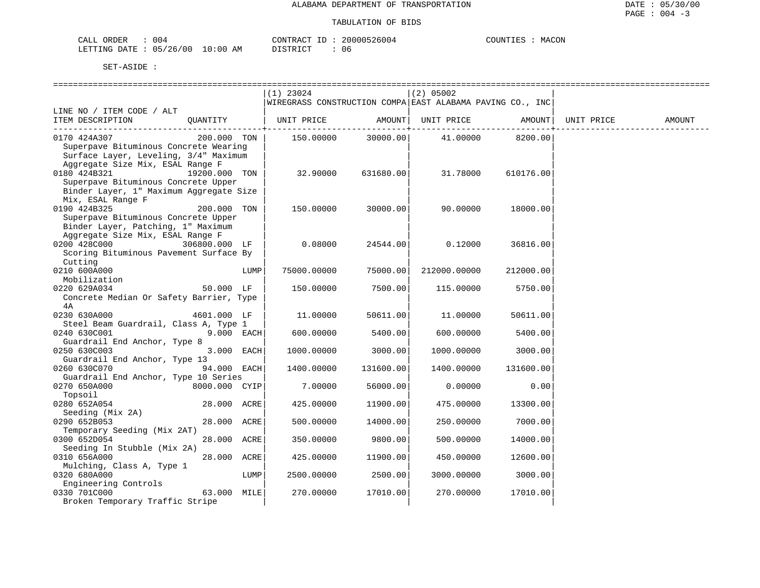| ORDER<br>CALL  | 004                 | 20000526004<br>CONTRACT ID | MACON<br>COUNTIES |
|----------------|---------------------|----------------------------|-------------------|
| LETTING DATE : | : 05/26/00 10:00 AM | DISTRICT                   |                   |

|                                         |               |      | $(1)$ 23024                                               |                    | $(2)$ 05002                |                  |            |        |
|-----------------------------------------|---------------|------|-----------------------------------------------------------|--------------------|----------------------------|------------------|------------|--------|
|                                         |               |      | WIREGRASS CONSTRUCTION COMPA EAST ALABAMA PAVING CO., INC |                    |                            |                  |            |        |
| LINE NO / ITEM CODE / ALT               |               |      |                                                           |                    |                            |                  |            |        |
| ITEM DESCRIPTION                        | QUANTITY      |      | UNIT PRICE                                                |                    | AMOUNT   UNIT PRICE AMOUNT |                  | UNIT PRICE | AMOUNT |
|                                         |               |      |                                                           |                    |                            | . <b>.</b>       |            |        |
| 0170 424A307                            | 200.000 TON   |      |                                                           | 150.00000 30000.00 |                            | 41.00000 8200.00 |            |        |
| Superpave Bituminous Concrete Wearing   |               |      |                                                           |                    |                            |                  |            |        |
| Surface Layer, Leveling, 3/4" Maximum   |               |      |                                                           |                    |                            |                  |            |        |
| Aggregate Size Mix, ESAL Range F        |               |      |                                                           |                    |                            |                  |            |        |
| 0180 424B321                            | 19200.000 TON |      | 32,90000                                                  | 631680.00          | 31.78000                   | 610176.00        |            |        |
| Superpave Bituminous Concrete Upper     |               |      |                                                           |                    |                            |                  |            |        |
| Binder Layer, 1" Maximum Aggregate Size |               |      |                                                           |                    |                            |                  |            |        |
| Mix, ESAL Range F                       |               |      |                                                           |                    |                            |                  |            |        |
| 0190 424B325                            | 200.000 TON   |      | 150.00000                                                 | 30000.00           | 90.00000                   | 18000.00         |            |        |
| Superpave Bituminous Concrete Upper     |               |      |                                                           |                    |                            |                  |            |        |
| Binder Layer, Patching, 1" Maximum      |               |      |                                                           |                    |                            |                  |            |        |
| Aggregate Size Mix, ESAL Range F        |               |      |                                                           |                    |                            |                  |            |        |
| 0200 428C000                            | 306800.000 LF |      | 0.08000                                                   | 24544.00           | 0.12000                    | 36816.00         |            |        |
| Scoring Bituminous Pavement Surface By  |               |      |                                                           |                    |                            |                  |            |        |
| Cutting                                 |               |      |                                                           |                    |                            |                  |            |        |
| 0210 600A000                            |               | LUMP | 75000.00000                                               | 75000.00           | 212000.00000               | 212000.00        |            |        |
| Mobilization                            |               |      |                                                           |                    |                            |                  |            |        |
| 0220 629A034                            | 50.000 LF     |      | 150.00000                                                 | 7500.00            | 115.00000                  | 5750.00          |            |        |
| Concrete Median Or Safety Barrier, Type |               |      |                                                           |                    |                            |                  |            |        |
| 4A                                      |               |      |                                                           |                    |                            |                  |            |        |
| 0230 630A000                            | 4601.000 LF   |      | 11.00000                                                  | 50611.00           | 11.00000                   | 50611.00         |            |        |
| Steel Beam Guardrail, Class A, Type 1   |               |      |                                                           |                    |                            |                  |            |        |
| 0240 630C001                            | 9.000 EACH    |      | 600.00000                                                 | 5400.00            | 600.00000                  | 5400.00          |            |        |
| Guardrail End Anchor, Type 8            |               |      |                                                           |                    |                            |                  |            |        |
| 0250 630C003                            | 3.000 EACH    |      | 1000.00000                                                | 3000.00            | 1000.00000                 | 3000.00          |            |        |
| Guardrail End Anchor, Type 13           |               |      |                                                           |                    |                            |                  |            |        |
| 0260 630C070                            | 94.000 EACH   |      | 1400.00000                                                | 131600.00          | 1400.00000                 | 131600.00        |            |        |
| Guardrail End Anchor, Type 10 Series    |               |      |                                                           |                    |                            |                  |            |        |
| 0270 650A000                            | 8000.000 CYIP |      | 7.00000                                                   | 56000.00           | 0.00000                    | 0.00             |            |        |
| Topsoil                                 |               |      |                                                           |                    |                            |                  |            |        |
| 0280 652A054                            | 28.000 ACRE   |      | 425.00000                                                 | 11900.00           | 475.00000                  | 13300.00         |            |        |
| Seeding (Mix 2A)                        |               |      |                                                           |                    |                            |                  |            |        |
| 0290 652B053                            | 28.000 ACRE   |      | 500.00000                                                 | 14000.00           | 250.00000                  | 7000.00          |            |        |
| Temporary Seeding (Mix 2AT)             |               |      |                                                           |                    |                            |                  |            |        |
| 0300 652D054                            | 28.000 ACRE   |      | 350.00000                                                 | 9800.00            | 500.00000                  | 14000.00         |            |        |
| Seeding In Stubble (Mix 2A)             |               |      |                                                           |                    |                            |                  |            |        |
| 0310 656A000                            | 28.000 ACRE   |      | 425.00000                                                 | 11900.00           | 450.00000                  | 12600.00         |            |        |
| Mulching, Class A, Type 1               |               |      |                                                           |                    |                            |                  |            |        |
| 0320 680A000                            |               | LUMP | 2500.00000                                                | 2500.00            | 3000.00000                 | 3000.00          |            |        |
| Engineering Controls                    |               |      |                                                           |                    |                            |                  |            |        |
| 0330 701C000                            | 63.000 MILE   |      | 270,00000                                                 | 17010.00           | 270,00000                  | 17010.00         |            |        |
| Broken Temporary Traffic Stripe         |               |      |                                                           |                    |                            |                  |            |        |
|                                         |               |      |                                                           |                    |                            |                  |            |        |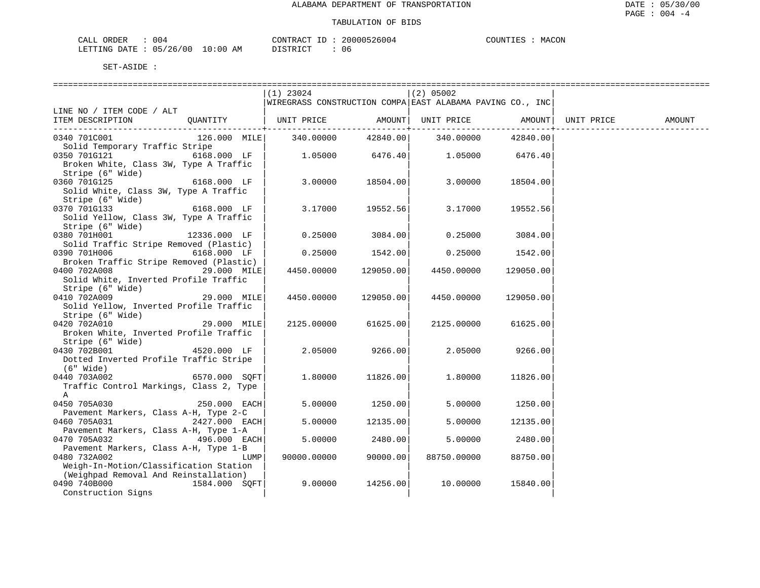| CALI<br>ORDER | ח ר<br>UU4 |             | CONTRACT<br>- 11 | 20000526004 | י ידאדזר <i>י</i> | MACON |
|---------------|------------|-------------|------------------|-------------|-------------------|-------|
| LETTING DATE  | 05/26/00   | 10:00<br>ΑM | DISTRICT         |             |                   |       |

|                                                                                 | $(1)$ 23024                                               |           | $(2)$ 05002        |           |            |        |
|---------------------------------------------------------------------------------|-----------------------------------------------------------|-----------|--------------------|-----------|------------|--------|
|                                                                                 | WIREGRASS CONSTRUCTION COMPA EAST ALABAMA PAVING CO., INC |           |                    |           |            |        |
| LINE NO / ITEM CODE / ALT                                                       |                                                           |           |                    |           |            |        |
| QUANTITY<br>ITEM DESCRIPTION                                                    | UNIT PRICE                                                |           | AMOUNT UNIT PRICE  | AMOUNT    | UNIT PRICE | AMOUNT |
|                                                                                 |                                                           |           |                    |           |            |        |
| 0340 701C001<br>126.000 MILE                                                    | 340.00000                                                 |           | 42840.00 340.00000 | 42840.00  |            |        |
| Solid Temporary Traffic Stripe                                                  |                                                           |           |                    |           |            |        |
| 0350 701G121<br>6168.000 LF                                                     | 1.05000                                                   | 6476.40   | 1.05000            | 6476.40   |            |        |
| Broken White, Class 3W, Type A Traffic                                          |                                                           |           |                    |           |            |        |
| Stripe (6" Wide)                                                                |                                                           |           |                    |           |            |        |
| 6168.000 LF<br>0360 701G125                                                     | 3.00000                                                   | 18504.00  | 3.00000            | 18504.00  |            |        |
| Solid White, Class 3W, Type A Traffic                                           |                                                           |           |                    |           |            |        |
| Stripe (6" Wide)<br>0370 701G133<br>6168.000 LF                                 | 3.17000                                                   | 19552.56  | 3.17000            | 19552.56  |            |        |
| Solid Yellow, Class 3W, Type A Traffic                                          |                                                           |           |                    |           |            |        |
| Stripe (6" Wide)                                                                |                                                           |           |                    |           |            |        |
| 0380 701H001<br>12336.000 LF                                                    | 0.25000                                                   | 3084.00   | 0.25000            | 3084.00   |            |        |
| Solid Traffic Stripe Removed (Plastic)                                          |                                                           |           |                    |           |            |        |
| 0390 701H006<br>6168.000 LF                                                     | 0.25000                                                   | 1542.00   | 0.25000            | 1542.00   |            |        |
| Broken Traffic Stripe Removed (Plastic)                                         |                                                           |           |                    |           |            |        |
| 0400 702A008<br>29.000 MILE                                                     | 4450.00000                                                | 129050.00 | 4450.00000         | 129050.00 |            |        |
| Solid White, Inverted Profile Traffic                                           |                                                           |           |                    |           |            |        |
| Stripe (6" Wide)                                                                |                                                           |           |                    |           |            |        |
| 0410 702A009<br>29.000 MILE                                                     | 4450.00000                                                | 129050.00 | 4450.00000         | 129050.00 |            |        |
| Solid Yellow, Inverted Profile Traffic                                          |                                                           |           |                    |           |            |        |
| Stripe (6" Wide)                                                                |                                                           |           |                    |           |            |        |
| 0420 702A010<br>29.000 MILE                                                     | 2125.00000                                                | 61625.00  | 2125.00000         | 61625.00  |            |        |
| Broken White, Inverted Profile Traffic<br>Stripe (6" Wide)                      |                                                           |           |                    |           |            |        |
| 0430 702B001<br>4520.000 LF                                                     | 2.05000                                                   | 9266.00   | 2.05000            | 9266.00   |            |        |
| Dotted Inverted Profile Traffic Stripe                                          |                                                           |           |                    |           |            |        |
| (6" Wide)                                                                       |                                                           |           |                    |           |            |        |
| 6570.000 SQFT<br>0440 703A002                                                   | 1,80000                                                   | 11826.00  | 1,80000            | 11826.00  |            |        |
| Traffic Control Markings, Class 2, Type                                         |                                                           |           |                    |           |            |        |
| $\mathbb A$                                                                     |                                                           |           |                    |           |            |        |
| 0450 705A030<br>$250.000$ EACH                                                  | 5.00000                                                   | 1250.00   | 5.00000            | 1250.00   |            |        |
| Pavement Markers, Class A-H, Type 2-C                                           |                                                           |           |                    |           |            |        |
| 0460 705A031<br>2427.000 EACH                                                   | 5.00000                                                   | 12135.00  | 5.00000            | 12135.00  |            |        |
| Pavement Markers, Class A-H, Type 1-A                                           |                                                           |           |                    |           |            |        |
| 496.000 EACH<br>0470 705A032                                                    | 5.00000                                                   | 2480.00   | 5.00000            | 2480.00   |            |        |
| Pavement Markers, Class A-H, Type 1-B                                           |                                                           |           |                    |           |            |        |
| 0480 732A002<br>LUMP                                                            | 90000.00000                                               | 90000.00  | 88750.00000        | 88750.00  |            |        |
| Weigh-In-Motion/Classification Station<br>(Weighpad Removal And Reinstallation) |                                                           |           |                    |           |            |        |
| 0490 740B000<br>1584.000 SOFT                                                   | 9.00000                                                   | 14256.00  | 10.00000           | 15840.00  |            |        |
| Construction Signs                                                              |                                                           |           |                    |           |            |        |
|                                                                                 |                                                           |           |                    |           |            |        |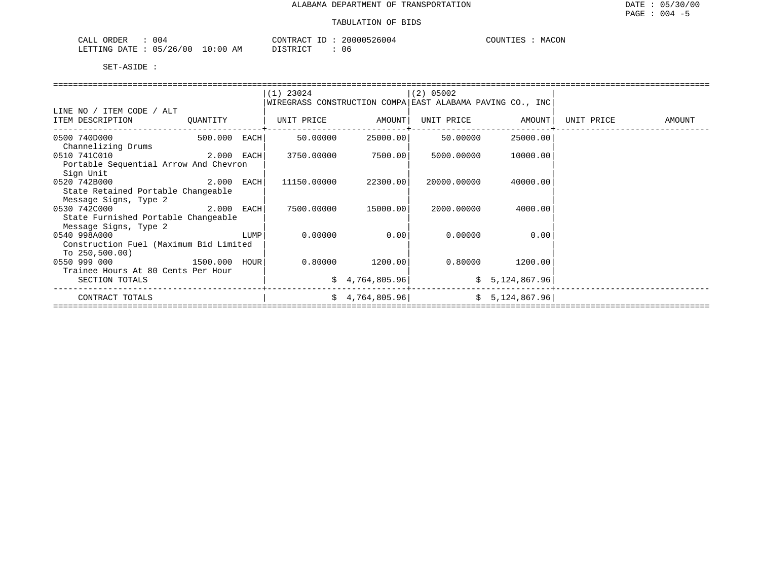| 04 ل<br>ORDER                                                                   | 5004<br>CONTRACT<br>20000<br>ソトー | MACON<br>COUNT<br>Pr. 7 |
|---------------------------------------------------------------------------------|----------------------------------|-------------------------|
| 5/26<br>'00<br>"ETTING<br>10:00<br>AM<br>ገ∆ጥም<br>$\overline{a}$<br>- 4 V<br>ر ر | T STR T CT<br>Ut                 |                         |

|                                                                  |      | $(1)$ 23024 |                     | $(2)$ 05002                                               |                   |            |        |
|------------------------------------------------------------------|------|-------------|---------------------|-----------------------------------------------------------|-------------------|------------|--------|
|                                                                  |      |             |                     | WIREGRASS CONSTRUCTION COMPA EAST ALABAMA PAVING CO., INC |                   |            |        |
| LINE NO / ITEM CODE / ALT                                        |      |             |                     |                                                           |                   |            |        |
| ITEM DESCRIPTION QUANTITY   UNIT PRICE AMOUNT  UNIT PRICE AMOUNT |      |             |                     |                                                           |                   | UNIT PRICE | AMOUNT |
|                                                                  |      |             |                     |                                                           |                   |            |        |
| 0500 740D000                                                     |      |             |                     |                                                           | 25000.00          |            |        |
| Channelizing Drums                                               |      |             |                     |                                                           |                   |            |        |
| $2.000$ EACH<br>0510 741C010                                     |      |             |                     | 3750.00000 7500.00 5000.00000                             | 10000.00          |            |        |
| Portable Sequential Arrow And Chevron                            |      |             |                     |                                                           |                   |            |        |
| Sign Unit                                                        |      |             |                     |                                                           |                   |            |        |
| $2.000$ EACH<br>0520 742B000                                     |      | 11150.00000 | 22300.00            | 20000.00000                                               | 40000.00          |            |        |
| State Retained Portable Changeable                               |      |             |                     |                                                           |                   |            |        |
| Message Signs, Type 2                                            |      |             |                     |                                                           |                   |            |        |
| 0530 742C000 2.000 EACH                                          |      |             | 7500.00000 15000.00 | 2000.00000                                                | 4000.00           |            |        |
| State Furnished Portable Changeable                              |      |             |                     |                                                           |                   |            |        |
| Message Signs, Type 2                                            |      |             |                     |                                                           |                   |            |        |
| 0540 998A000                                                     | LUMP | 0.00000     | 0.00                | 0.00000                                                   | 0.00              |            |        |
| Construction Fuel (Maximum Bid Limited                           |      |             |                     |                                                           |                   |            |        |
| To $250,500.00$ )                                                |      |             |                     |                                                           |                   |            |        |
| 0550 999 000 1500.000 HOUR                                       |      |             | $0.80000$ 1200.00   |                                                           | $0.80000$ 1200.00 |            |        |
| Trainee Hours At 80 Cents Per Hour                               |      |             |                     |                                                           |                   |            |        |
| SECTION TOTALS                                                   |      |             |                     | $\frac{1}{2}$ 4,764,805.96 $\frac{1}{2}$ 5,124,867.96     |                   |            |        |
|                                                                  |      |             |                     |                                                           |                   |            |        |
| CONTRACT TOTALS                                                  |      |             | \$4,764,805.96      |                                                           | \$5,124,867.96    |            |        |
|                                                                  |      |             |                     |                                                           |                   |            |        |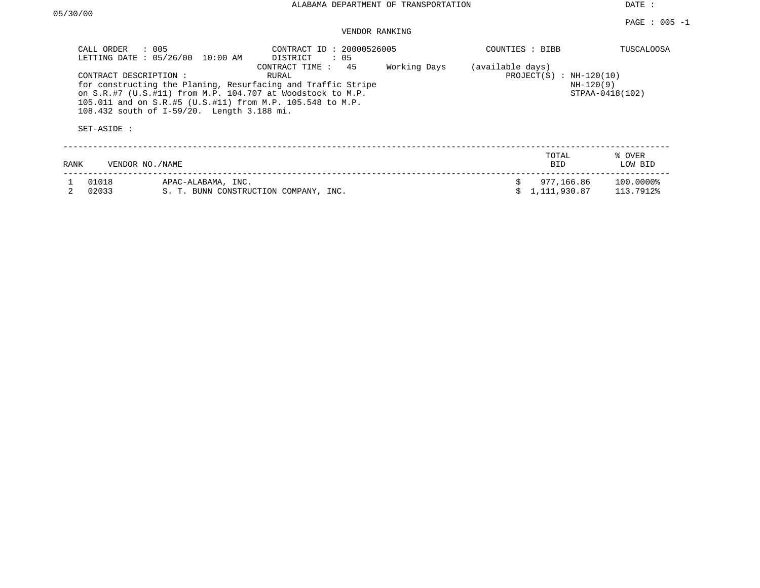DATE :

### VENDOR RANKING

| CALL ORDER                                                                                                                                                                                                                                                                                                                  | $\therefore$ 005<br>LETTING DATE: 05/26/00<br>10:00 AM | CONTRACT ID: 20000526005<br>DISTRICT<br>$\cdot$ 05 |  | COUNTIES : BIBB  |                                          | <b>TUSCALOOSA</b>      |
|-----------------------------------------------------------------------------------------------------------------------------------------------------------------------------------------------------------------------------------------------------------------------------------------------------------------------------|--------------------------------------------------------|----------------------------------------------------|--|------------------|------------------------------------------|------------------------|
| CONTRACT TIME: 45<br>Working Days<br>CONTRACT DESCRIPTION:<br>RURAL<br>for constructing the Planing, Resurfacing and Traffic Stripe<br>on S.R.#7 (U.S.#11) from M.P. 104.707 at Woodstock to M.P.<br>105.011 and on S.R.#5 (U.S.#11) from M.P. 105.548 to M.P.<br>108.432 south of I-59/20. Length 3.188 mi.<br>SET-ASIDE : |                                                        |                                                    |  | (available days) | $PROJECT(S) : NH-120(10)$<br>$NH-120(9)$ | STPAA-0418(102)        |
| RANK                                                                                                                                                                                                                                                                                                                        | VENDOR NO. / NAME                                      |                                                    |  |                  | TOTAL<br><b>BID</b>                      | % OVER<br>LOW BID      |
| 01018<br>02033                                                                                                                                                                                                                                                                                                              | APAC-ALABAMA, INC.                                     | S. T. BUNN CONSTRUCTION COMPANY, INC.              |  |                  | 977,166.86<br>1,111,930.87               | 100.0000%<br>113.7912% |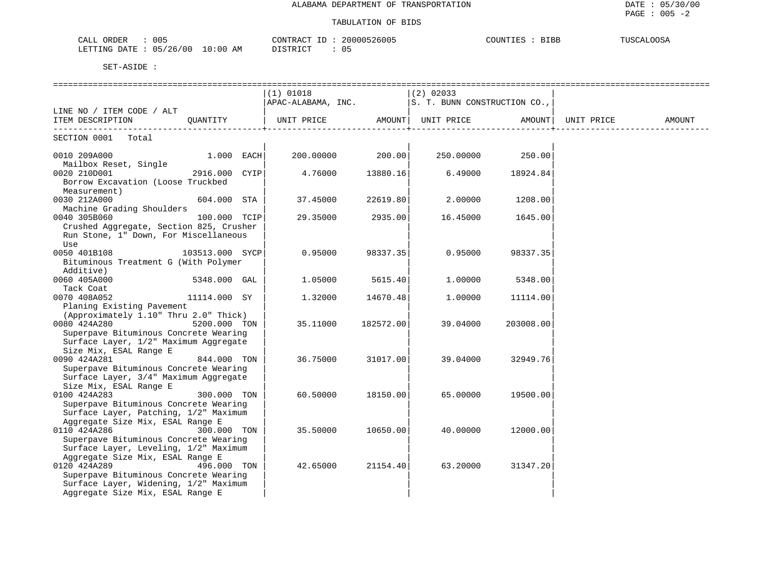| CALL ORDER<br>$\therefore$ 005<br>LETTING DATE : 05/26/00 10:00 AM                                                                                                                         | CONTRACT ID : 20000526005<br>DISTRICT<br>: 05                                  |           |              | COUNTIES : BIBB | TUSCALOOSA |
|--------------------------------------------------------------------------------------------------------------------------------------------------------------------------------------------|--------------------------------------------------------------------------------|-----------|--------------|-----------------|------------|
| SET-ASIDE :                                                                                                                                                                                |                                                                                |           |              |                 |            |
|                                                                                                                                                                                            | $(1)$ 01018<br>$\vert$ APAC-ALABAMA, INC. $\vert$ S. T. BUNN CONSTRUCTION CO., |           | $ (2)$ 02033 |                 |            |
| LINE NO / ITEM CODE / ALT                                                                                                                                                                  |                                                                                |           |              |                 | AMOUNT     |
| SECTION 0001 Total                                                                                                                                                                         |                                                                                |           |              |                 |            |
| $1.000$ EACH<br>0010 209A000<br>Mailbox Reset, Single                                                                                                                                      | 200.00000                                                                      | 200.00    | 250.00000    | 250.00          |            |
| 0020 210D001<br>2916.000 CYIP<br>Borrow Excavation (Loose Truckbed<br>Measurement)                                                                                                         | 4.76000                                                                        | 13880.16  | 6.49000      | 18924.84        |            |
| 0030 212A000<br>604.000 STA<br>Machine Grading Shoulders                                                                                                                                   | 37.45000                                                                       | 22619.80  | 2.00000      | 1208.00         |            |
| 0040 305B060<br>100.000 TCIP<br>Crushed Aggregate, Section 825, Crusher<br>Run Stone, 1" Down, For Miscellaneous<br>Use                                                                    | 29.35000                                                                       | 2935.00   | 16.45000     | 1645.00         |            |
| 0050 401B108<br>103513.000 SYCP<br>Bituminous Treatment G (With Polymer<br>Additive)                                                                                                       | 0.95000                                                                        | 98337.35  | 0.95000      | 98337.35        |            |
| 0060 405A000<br>$5348.000$ GAL                                                                                                                                                             | 1.05000                                                                        | 5615.40   | 1,00000      | 5348.00         |            |
| Tack Coat<br>0070 408A052<br>11114.000 SY                                                                                                                                                  | 1,32000                                                                        | 14670.48  | 1,00000      | 11114.00        |            |
| Planing Existing Pavement<br>(Approximately 1.10" Thru 2.0" Thick)<br>0080 424A280<br>5200.000 TON<br>Superpave Bituminous Concrete Wearing<br>Surface Layer, 1/2" Maximum Aggregate       | 35.11000                                                                       | 182572.00 | 39.04000     | 203008.00       |            |
| Size Mix, ESAL Range E<br>0090 424A281<br>844.000 TON<br>Superpave Bituminous Concrete Wearing<br>Surface Layer, 3/4" Maximum Aggregate                                                    | 36.75000                                                                       | 31017.00  | 39.04000     | 32949.76        |            |
| Size Mix, ESAL Range E<br>0100 424A283<br>300.000 TON<br>Superpave Bituminous Concrete Wearing                                                                                             | 60.50000                                                                       | 18150.00  | 65.00000     | 19500.00        |            |
| Surface Layer, Patching, 1/2" Maximum<br>Aggregate Size Mix, ESAL Range E<br>0110 424A286<br>300.000 TON<br>Superpave Bituminous Concrete Wearing<br>Surface Layer, Leveling, 1/2" Maximum | 35.50000                                                                       | 10650.00  | 40.00000     | 12000.00        |            |
| Aggregate Size Mix, ESAL Range E<br>0120 424A289<br>496.000 TON<br>Superpave Bituminous Concrete Wearing<br>Surface Layer, Widening, 1/2" Maximum                                          | 42.65000                                                                       | 21154.40  | 63.20000     | 31347.20        |            |

Aggregate Size Mix, ESAL Range E | | |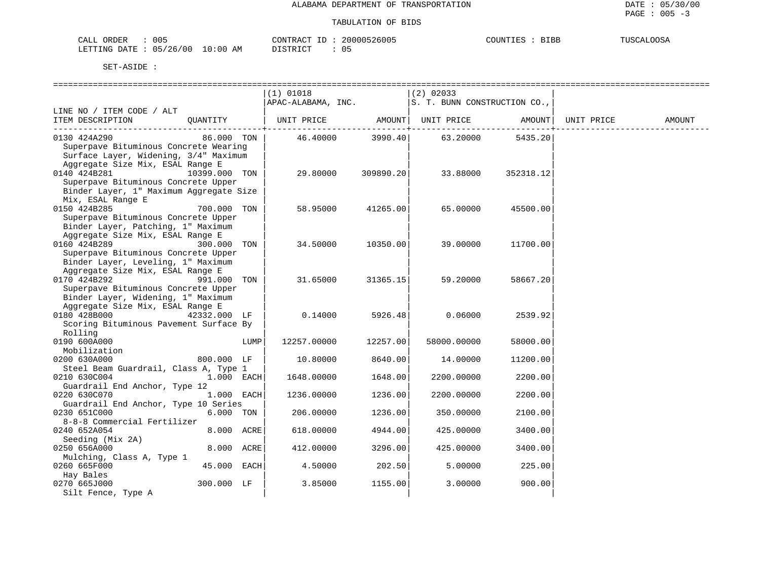| ORDER<br>005<br>$\bigcap \pi$ $\tau$<br>ىنىمى                                                                                                                            | 26005<br>CONTRACT<br>200001             | <b>RTRR</b><br>COTINTTT<br>ப⊥பப | <b>THICCAT OOCA</b><br><i>א ה</i> גיג. |
|--------------------------------------------------------------------------------------------------------------------------------------------------------------------------|-----------------------------------------|---------------------------------|----------------------------------------|
| 10:00<br>'26/00<br>0.5<br><b>ETTING</b><br>DATE<br>ΑM<br>the contract of the contract of the contract of the contract of the contract of the contract of the contract of | $T \cap T$<br>ו קידי פידי ה<br>◡<br>--- |                                 |                                        |

|                                         |               |      | $(1)$ 01018                                       |           | (2) 02033   |                   |            |        |
|-----------------------------------------|---------------|------|---------------------------------------------------|-----------|-------------|-------------------|------------|--------|
|                                         |               |      | $APAC-ALABAMA, INC.$ S. T. BUNN CONSTRUCTION CO., |           |             |                   |            |        |
| LINE NO / ITEM CODE / ALT               |               |      |                                                   |           |             |                   |            |        |
| ITEM DESCRIPTION                        | QUANTITY      |      |                                                   |           |             |                   | UNIT PRICE | AMOUNT |
|                                         |               |      |                                                   |           |             | $- - - - - - - +$ |            |        |
| 0130 424A290                            | 86.000 TON    |      | 46.40000                                          | 3990.40   | 63.20000    | 5435.20           |            |        |
| Superpave Bituminous Concrete Wearing   |               |      |                                                   |           |             |                   |            |        |
| Surface Layer, Widening, 3/4" Maximum   |               |      |                                                   |           |             |                   |            |        |
| Aggregate Size Mix, ESAL Range E        |               |      |                                                   |           |             |                   |            |        |
| 0140 424B281                            | 10399.000 TON |      | 29.80000                                          | 309890.20 | 33.88000    | 352318.12         |            |        |
| Superpave Bituminous Concrete Upper     |               |      |                                                   |           |             |                   |            |        |
| Binder Layer, 1" Maximum Aggregate Size |               |      |                                                   |           |             |                   |            |        |
| Mix, ESAL Range E                       |               |      |                                                   |           |             |                   |            |        |
| 0150 424B285                            | 700.000 TON   |      | 58.95000                                          | 41265.00  | 65.00000    | 45500.00          |            |        |
|                                         |               |      |                                                   |           |             |                   |            |        |
| Superpave Bituminous Concrete Upper     |               |      |                                                   |           |             |                   |            |        |
| Binder Layer, Patching, 1" Maximum      |               |      |                                                   |           |             |                   |            |        |
| Aggregate Size Mix, ESAL Range E        |               |      |                                                   |           |             |                   |            |        |
| 0160 424B289                            | 300.000 TON   |      | 34.50000                                          | 10350.00  | 39.00000    | 11700.00          |            |        |
| Superpave Bituminous Concrete Upper     |               |      |                                                   |           |             |                   |            |        |
| Binder Layer, Leveling, 1" Maximum      |               |      |                                                   |           |             |                   |            |        |
| Aggregate Size Mix, ESAL Range E        |               |      |                                                   |           |             |                   |            |        |
| 0170 424B292                            | 991.000 TON   |      | 31.65000                                          | 31365.15  | 59.20000    | 58667.20          |            |        |
| Superpave Bituminous Concrete Upper     |               |      |                                                   |           |             |                   |            |        |
| Binder Layer, Widening, 1" Maximum      |               |      |                                                   |           |             |                   |            |        |
| Aggregate Size Mix, ESAL Range E        |               |      |                                                   |           |             |                   |            |        |
| 0180 428B000                            | 42332.000 LF  |      | 0.14000                                           | 5926.48   | 0.06000     | 2539.92           |            |        |
|                                         |               |      |                                                   |           |             |                   |            |        |
| Scoring Bituminous Pavement Surface By  |               |      |                                                   |           |             |                   |            |        |
| Rolling                                 |               |      |                                                   |           |             |                   |            |        |
| 0190 600A000                            |               | LUMP | 12257.00000                                       | 12257.00  | 58000.00000 | 58000.00          |            |        |
| Mobilization                            |               |      |                                                   |           |             |                   |            |        |
| 0200 630A000                            | 800.000 LF    |      | 10.80000                                          | 8640.00   | 14.00000    | 11200.00          |            |        |
| Steel Beam Guardrail, Class A, Type 1   |               |      |                                                   |           |             |                   |            |        |
| 0210 630C004                            | $1.000$ EACH  |      | 1648.00000                                        | 1648.00   | 2200.00000  | 2200.00           |            |        |
| Guardrail End Anchor, Type 12           |               |      |                                                   |           |             |                   |            |        |
| 0220 630C070                            | $1.000$ EACH  |      | 1236.00000                                        | 1236.00   | 2200.00000  | 2200.00           |            |        |
| Guardrail End Anchor, Type 10 Series    |               |      |                                                   |           |             |                   |            |        |
| 0230 651C000                            | 6.000 TON     |      | 206.00000                                         | 1236.00   | 350.00000   | 2100.00           |            |        |
| 8-8-8 Commercial Fertilizer             |               |      |                                                   |           |             |                   |            |        |
| 0240 652A054                            | 8.000 ACRE    |      | 618.00000                                         | 4944.00   | 425.00000   | 3400.00           |            |        |
|                                         |               |      |                                                   |           |             |                   |            |        |
| Seeding (Mix 2A)                        |               |      |                                                   |           |             |                   |            |        |
| 0250 656A000                            | 8.000 ACRE    |      | 412.00000                                         | 3296.00   | 425.00000   | 3400.00           |            |        |
| Mulching, Class A, Type 1               |               |      |                                                   |           |             |                   |            |        |
| 0260 665F000                            | 45.000 EACH   |      | 4.50000                                           | 202.50    | 5.00000     | 225.00            |            |        |
| Hay Bales                               |               |      |                                                   |           |             |                   |            |        |
| 0270 665J000                            | 300.000 LF    |      | 3.85000                                           | 1155.00   | 3.00000     | 900.00            |            |        |
| Silt Fence, Type A                      |               |      |                                                   |           |             |                   |            |        |
|                                         |               |      |                                                   |           |             |                   |            |        |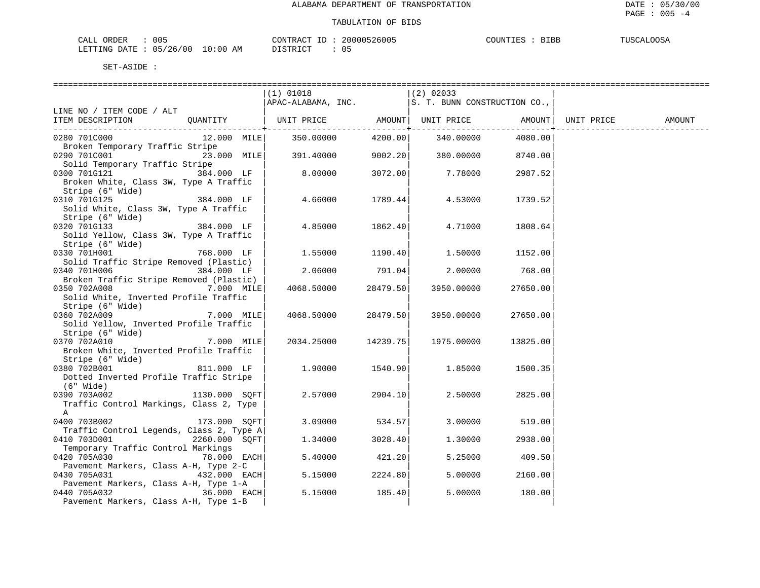| 005<br>ORDER<br>CALL                       | 20000526005<br>CONTRACT | <b>RTRR</b><br>COUNTIE:<br>ᅭᅭ | <b>TUSCALOOSA</b> |
|--------------------------------------------|-------------------------|-------------------------------|-------------------|
| 10:00<br>05/26/00<br>LETTING<br>DATE<br>ΆM | DISTRICT<br>0.5         |                               |                   |

|                                                            |               | $(1)$ 01018<br>$ APAC-ALABAMA, INC.$  S. T. BUNN CONSTRUCTION CO., |                | $ (2)$ 02033 |                |            |        |
|------------------------------------------------------------|---------------|--------------------------------------------------------------------|----------------|--------------|----------------|------------|--------|
| LINE NO / ITEM CODE / ALT                                  |               |                                                                    |                |              |                |            |        |
| ITEM DESCRIPTION QUANTITY                                  |               | UNIT PRICE AMOUNT  UNIT PRICE AMOUNT                               | ------------+- |              | -------------+ | UNIT PRICE | AMOUNT |
| 0280 701C000                                               |               | 12.000 MILE 350.00000                                              | 4200.00        | 340.00000    | 4080.00        |            |        |
| Broken Temporary Traffic Stripe                            |               |                                                                    |                |              |                |            |        |
| 0290 701C001                                               | 23.000 MILE   | 391.40000                                                          | 9002.20        | 380.00000    | 8740.00        |            |        |
| Solid Temporary Traffic Stripe                             |               |                                                                    |                |              |                |            |        |
| 0300 701G121                                               | 384.000 LF    | 8.00000                                                            | 3072.00        | 7.78000      | 2987.52        |            |        |
| Broken White, Class 3W, Type A Traffic<br>Stripe (6" Wide) |               |                                                                    |                |              |                |            |        |
| 384.000 LF<br>0310 701G125                                 |               | 4.66000                                                            | 1789.44        | 4.53000      | 1739.52        |            |        |
| Solid White, Class 3W, Type A Traffic                      |               |                                                                    |                |              |                |            |        |
| Stripe (6" Wide)                                           |               |                                                                    |                |              |                |            |        |
| 0320 701G133                                               | 384.000 LF    | 4.85000                                                            | 1862.40        | 4.71000      | 1808.64        |            |        |
| Solid Yellow, Class 3W, Type A Traffic                     |               |                                                                    |                |              |                |            |        |
| Stripe (6" Wide)                                           |               |                                                                    |                |              |                |            |        |
| 0330 701H001                                               | 768.000 LF    | 1.55000                                                            | 1190.40        | 1.50000      | 1152.00        |            |        |
| Solid Traffic Stripe Removed (Plastic)<br>0340 701H006     |               | 2.06000                                                            | 791.04         | 2,00000      | 768.00         |            |        |
| Broken Traffic Stripe Removed (Plastic)                    | 384.000 LF    |                                                                    |                |              |                |            |        |
| 0350 702A008                                               | 7.000 MILE    | 4068.50000                                                         | 28479.50       | 3950.00000   | 27650.00       |            |        |
| Solid White, Inverted Profile Traffic                      |               |                                                                    |                |              |                |            |        |
| Stripe (6" Wide)                                           |               |                                                                    |                |              |                |            |        |
| 0360 702A009                                               | 7.000 MILE    | 4068.50000                                                         | 28479.50       | 3950.00000   | 27650.00       |            |        |
| Solid Yellow, Inverted Profile Traffic                     |               |                                                                    |                |              |                |            |        |
| Stripe (6" Wide)                                           |               |                                                                    |                |              |                |            |        |
| 0370 702A010                                               | 7.000 MILE    | 2034.25000                                                         | 14239.75       | 1975.00000   | 13825.00       |            |        |
| Broken White, Inverted Profile Traffic                     |               |                                                                    |                |              |                |            |        |
| Stripe (6" Wide)<br>0380 702B001                           | 811.000 LF    | 1,90000                                                            | 1540.90        | 1.85000      | 1500.35        |            |        |
| Dotted Inverted Profile Traffic Stripe                     |               |                                                                    |                |              |                |            |        |
| (6" Wide)                                                  |               |                                                                    |                |              |                |            |        |
| $1130.000$ SQFT<br>0390 703A002                            |               | 2.57000                                                            | 2904.10        | 2.50000      | 2825.00        |            |        |
| Traffic Control Markings, Class 2, Type                    |               |                                                                    |                |              |                |            |        |
| A                                                          |               |                                                                    |                |              |                |            |        |
| 0400 703B002                                               | 173.000 SOFT  | 3.09000                                                            | 534.57         | 3.00000      | 519.00         |            |        |
| Traffic Control Legends, Class 2, Type A                   |               |                                                                    |                |              |                |            |        |
| 0410 703D001<br>Temporary Traffic Control Markings         | 2260.000 SOFT | 1.34000                                                            | 3028.40        | 1,30000      | 2938.00        |            |        |
| 0420 705A030                                               | 78.000 EACH   | 5.40000                                                            | 421.20         | 5.25000      | 409.50         |            |        |
| Pavement Markers, Class A-H, Type 2-C                      |               |                                                                    |                |              |                |            |        |
| 0430 705A031                                               | 432.000 EACH  | 5.15000                                                            | 2224.80        | 5.00000      | 2160.00        |            |        |
| Pavement Markers, Class A-H, Type 1-A                      |               |                                                                    |                |              |                |            |        |
| 0440 705A032                                               | 36.000 EACH   | 5.15000                                                            | 185.40         | 5.00000      | 180.00         |            |        |
| Pavement Markers, Class A-H, Type 1-B                      |               |                                                                    |                |              |                |            |        |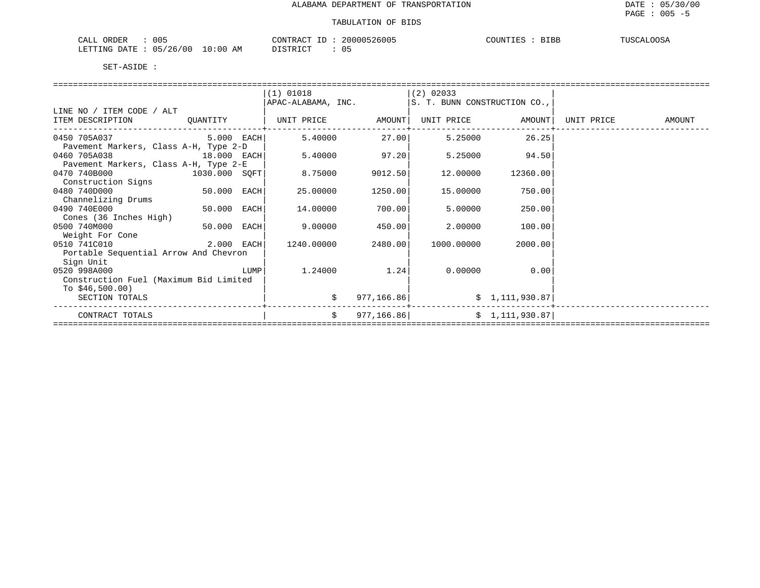| 005<br>ORDER<br>CALL                          | 20000526005<br>CONTRACT ID | COUNTIES :<br><b>BIBB</b><br>TUSCALOOSA |
|-----------------------------------------------|----------------------------|-----------------------------------------|
| : 05/26/00 1.<br>$10:00$ AM<br>LETTING DATE : | 05<br>DISTRICT             |                                         |

|                                        |              |      | $(1)$ 01018        |             | $ (2)$ 02033                 |                   |            |        |
|----------------------------------------|--------------|------|--------------------|-------------|------------------------------|-------------------|------------|--------|
|                                        |              |      | APAC-ALABAMA, INC. |             | S. T. BUNN CONSTRUCTION CO., |                   |            |        |
| LINE NO / ITEM CODE / ALT              |              |      |                    |             |                              |                   |            |        |
| ITEM DESCRIPTION                       | QUANTITY     |      | UNIT PRICE         | AMOUNT      |                              | UNIT PRICE AMOUNT | UNIT PRICE | AMOUNT |
| 0450 705A037 2005                      | $5.000$ EACH |      | 5.40000            | 27.00       | 5.25000                      | 26.25             |            |        |
| Pavement Markers, Class A-H, Type 2-D  |              |      |                    |             |                              |                   |            |        |
| 0460 705A038<br>18.000 EACH            |              |      | 5.40000            | 97.20       | 5.25000                      | 94.50             |            |        |
| Pavement Markers, Class A-H, Type 2-E  |              |      |                    |             |                              |                   |            |        |
| 0470 740B000<br>1030.000 SOFT          |              |      | 8.75000            | 9012.50     | 12.00000                     | 12360.00          |            |        |
| Construction Signs                     |              |      |                    |             |                              |                   |            |        |
| 0480 740D000                           | 50.000 EACH  |      | 25.00000           | 1250.00     | 15.00000                     | 750.00            |            |        |
| Channelizing Drums                     |              |      |                    |             |                              |                   |            |        |
| 0490 740E000                           | 50.000 EACH  |      | 14.00000           | 700.00      | 5.00000                      | 250.00            |            |        |
| Cones (36 Inches High)                 |              |      |                    |             |                              |                   |            |        |
| 0500 740M000                           | 50.000 EACH  |      | 9.00000            | 450.00      | 2.00000                      | 100.00            |            |        |
| Weight For Cone                        |              |      |                    |             |                              |                   |            |        |
| 2.000 EACH<br>0510 741C010             |              |      | 1240.00000         | 2480.00     | 1000.00000                   | 2000.00           |            |        |
| Portable Sequential Arrow And Chevron  |              |      |                    |             |                              |                   |            |        |
| Sign Unit                              |              |      |                    |             |                              |                   |            |        |
| 0520 998A000                           |              | LUMP | 1.24000            | 1.24        | 0.00000                      | 0.00              |            |        |
| Construction Fuel (Maximum Bid Limited |              |      |                    |             |                              |                   |            |        |
| To $$46,500.00)$                       |              |      |                    |             |                              |                   |            |        |
| SECTION TOTALS                         |              |      | \$                 | 977, 166.86 |                              | \$1,111,930.87    |            |        |
| CONTRACT TOTALS                        |              |      | \$                 | 977, 166.86 |                              | \$1,111,930.87    |            |        |
|                                        |              |      |                    |             |                              |                   |            |        |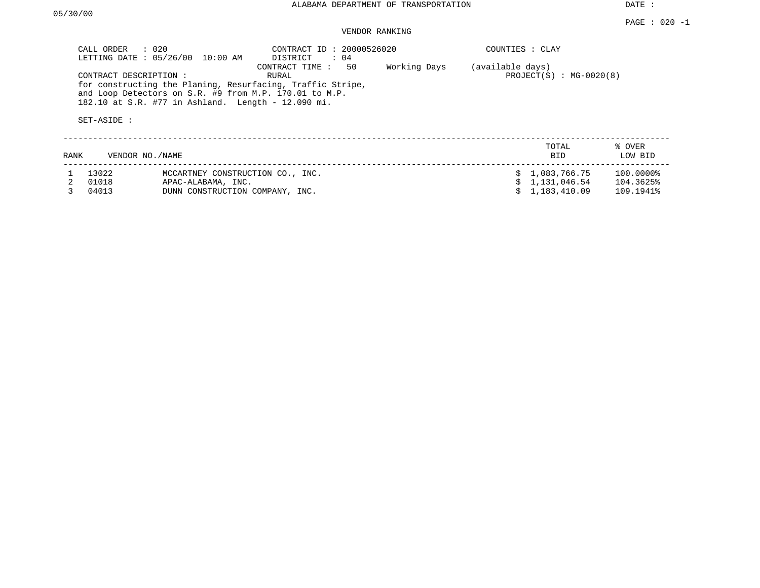DATE :

# VENDOR RANKING

| CALL ORDER<br>$\therefore$ 020<br>CONTRACT ID: 20000526020<br>LETTING DATE: 05/26/00<br>10:00 AM<br>DISTRICT<br>: 04<br>50<br>CONTRACT TIME:<br>CONTRACT DESCRIPTION :<br>RURAL<br>for constructing the Planing, Resurfacing, Traffic Stripe,<br>and Loop Detectors on S.R. #9 from M.P. 170.01 to M.P.<br>182.10 at S.R. #77 in Ashland. Length - 12.090 mi.<br>SET-ASIDE : |       |                                  | Working Days | COUNTIES : CLAY<br>(available days)<br>$PROJECT(S) : MG-0020(8)$ |  |                     |                   |
|------------------------------------------------------------------------------------------------------------------------------------------------------------------------------------------------------------------------------------------------------------------------------------------------------------------------------------------------------------------------------|-------|----------------------------------|--------------|------------------------------------------------------------------|--|---------------------|-------------------|
| RANK                                                                                                                                                                                                                                                                                                                                                                         |       | VENDOR NO. / NAME                |              |                                                                  |  | TOTAL<br><b>BID</b> | % OVER<br>LOW BID |
|                                                                                                                                                                                                                                                                                                                                                                              | 13022 | MCCARTNEY CONSTRUCTION CO., INC. |              |                                                                  |  | \$1,083,766.75      | 100.0000%         |
|                                                                                                                                                                                                                                                                                                                                                                              | 01018 | APAC-ALABAMA, INC.               |              |                                                                  |  | 1,131,046.54        | 104.3625%         |
|                                                                                                                                                                                                                                                                                                                                                                              | 04013 | DUNN CONSTRUCTION COMPANY, INC.  |              |                                                                  |  | 1,183,410.09        | 109.1941%         |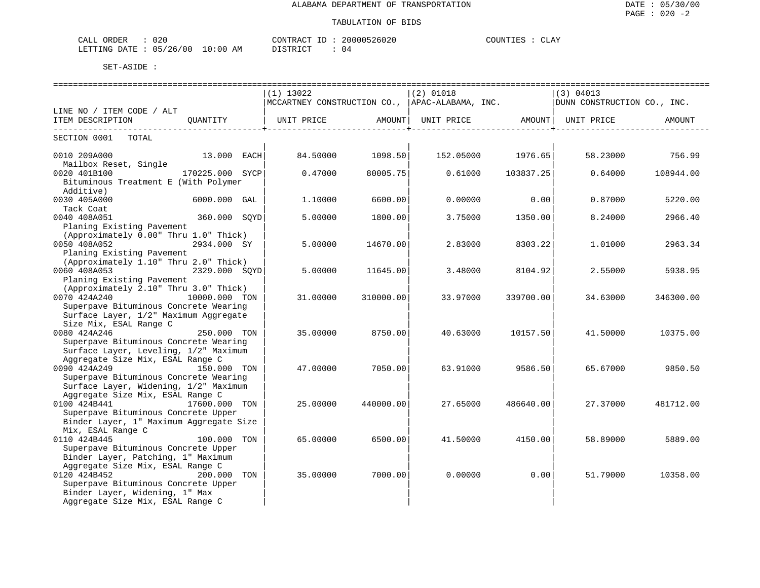| 020<br>ORDER<br>CALL         |             | CONTRACT<br>$ -$ | ,,,,,<br>-26026 | لمطلاحا<br>. |
|------------------------------|-------------|------------------|-----------------|--------------|
| 05/26/00<br>'.ETTING<br>DATE | 10:00<br>AΜ | דת דפידי את      | . .             |              |

|                                         |               |  | $(1)$ 13022       |                           | $(2)$ 01018 |                              | $ (3)$ 04013                                                               |                 |  |
|-----------------------------------------|---------------|--|-------------------|---------------------------|-------------|------------------------------|----------------------------------------------------------------------------|-----------------|--|
|                                         |               |  |                   |                           |             |                              | NCCARTNEY CONSTRUCTION CO., APAC-ALABAMA, INC. PUNI CONSTRUCTION CO., INC. |                 |  |
| LINE NO / ITEM CODE / ALT               |               |  |                   |                           |             |                              |                                                                            |                 |  |
| ITEM DESCRIPTION QUANTITY               |               |  | UNIT PRICE AMOUNT |                           |             | UNIT PRICE AMOUNT UNIT PRICE |                                                                            | AMOUNT          |  |
| SECTION 0001 TOTAL                      |               |  |                   | ------------------+------ |             | ------------------+---       |                                                                            |                 |  |
| 0010 209A000                            | $13.000$ EACH |  | 84.50000          | 1098.50                   |             | 152.05000 1976.65            |                                                                            | 58.23000 756.99 |  |
| Mailbox Reset, Single                   |               |  |                   |                           |             |                              |                                                                            |                 |  |
| 170225.000 SYCP<br>0020 401B100         |               |  | 0.47000           | 80005.75                  | 0.61000     | 103837.25                    | 0.64000                                                                    | 108944.00       |  |
| Bituminous Treatment E (With Polymer    |               |  |                   |                           |             |                              |                                                                            |                 |  |
| Additive)                               |               |  |                   |                           |             |                              |                                                                            |                 |  |
| 0030 405A000                            | 6000.000 GAL  |  | 1,10000           | 6600.00                   | 0.00000     | 0.00                         | 0.87000                                                                    | 5220.00         |  |
| Tack Coat                               |               |  |                   |                           |             |                              |                                                                            |                 |  |
| 0040 408A051                            | 360.000 SOYD  |  | 5.00000           | 1800.00                   | 3.75000     | 1350.00                      | 8.24000                                                                    | 2966.40         |  |
| Planing Existing Pavement               |               |  |                   |                           |             |                              |                                                                            |                 |  |
| (Approximately 0.00" Thru 1.0" Thick)   |               |  |                   |                           |             |                              |                                                                            |                 |  |
| 0050 408A052                            | 2934.000 SY   |  | 5.00000           | 14670.001                 | 2.83000     | 8303.22                      | 1,01000                                                                    | 2963.34         |  |
| Planing Existing Pavement               |               |  |                   |                           |             |                              |                                                                            |                 |  |
| (Approximately 1.10" Thru 2.0" Thick)   |               |  |                   |                           |             |                              |                                                                            |                 |  |
| 0060 408A053                            | 2329.000 SOYD |  | 5.00000           | 11645.00                  | 3.48000     | 8104.92                      | 2.55000                                                                    | 5938.95         |  |
| Planing Existing Pavement               |               |  |                   |                           |             |                              |                                                                            |                 |  |
| (Approximately 2.10" Thru 3.0" Thick)   |               |  |                   |                           |             |                              |                                                                            |                 |  |
| 0070 424A240 10000.000 TON              |               |  | 31.00000          | 310000.00                 | 33.97000    | 339700.00                    | 34.63000                                                                   | 346300.00       |  |
| Superpave Bituminous Concrete Wearing   |               |  |                   |                           |             |                              |                                                                            |                 |  |
| Surface Layer, 1/2" Maximum Aggregate   |               |  |                   |                           |             |                              |                                                                            |                 |  |
| Size Mix, ESAL Range C                  |               |  |                   |                           |             |                              |                                                                            |                 |  |
| 0080 424A246                            | 250.000 TON   |  | 35.00000          | 8750.00                   | 40.63000    | 10157.50                     | 41.50000                                                                   | 10375.00        |  |
| Superpave Bituminous Concrete Wearing   |               |  |                   |                           |             |                              |                                                                            |                 |  |
| Surface Layer, Leveling, 1/2" Maximum   |               |  |                   |                           |             |                              |                                                                            |                 |  |
| Aggregate Size Mix, ESAL Range C        |               |  |                   |                           |             |                              |                                                                            |                 |  |
| 0090 424A249                            | 150.000 TON   |  | 47.00000          | 7050.00                   | 63.91000    | 9586.50                      | 65.67000                                                                   | 9850.50         |  |
| Superpave Bituminous Concrete Wearing   |               |  |                   |                           |             |                              |                                                                            |                 |  |
| Surface Layer, Widening, 1/2" Maximum   |               |  |                   |                           |             |                              |                                                                            |                 |  |
| Aggregate Size Mix, ESAL Range C        |               |  |                   |                           |             |                              |                                                                            |                 |  |
| 0100 424B441                            | 17600.000 TON |  | 25.00000          | 440000.00                 | 27.65000    | 486640.00                    | 27.37000                                                                   | 481712.00       |  |
| Superpave Bituminous Concrete Upper     |               |  |                   |                           |             |                              |                                                                            |                 |  |
| Binder Layer, 1" Maximum Aggregate Size |               |  |                   |                           |             |                              |                                                                            |                 |  |
| Mix, ESAL Range C                       |               |  |                   |                           |             |                              |                                                                            |                 |  |
| 0110 424B445                            | 100.000 TON   |  | 65.00000          | 6500.00                   | 41.50000    | 4150.00                      | 58.89000                                                                   | 5889.00         |  |
| Superpave Bituminous Concrete Upper     |               |  |                   |                           |             |                              |                                                                            |                 |  |
| Binder Layer, Patching, 1" Maximum      |               |  |                   |                           |             |                              |                                                                            |                 |  |
| Aggregate Size Mix, ESAL Range C        |               |  |                   |                           |             |                              |                                                                            |                 |  |
| 0120 424B452                            | 200.000 TON   |  | 35,00000          | 7000.00                   | 0.00000     | 0.001                        | 51.79000                                                                   | 10358.00        |  |
| Superpave Bituminous Concrete Upper     |               |  |                   |                           |             |                              |                                                                            |                 |  |
| Binder Layer, Widening, 1" Max          |               |  |                   |                           |             |                              |                                                                            |                 |  |
| Aggregate Size Mix, ESAL Range C        |               |  |                   |                           |             |                              |                                                                            |                 |  |
|                                         |               |  |                   |                           |             |                              |                                                                            |                 |  |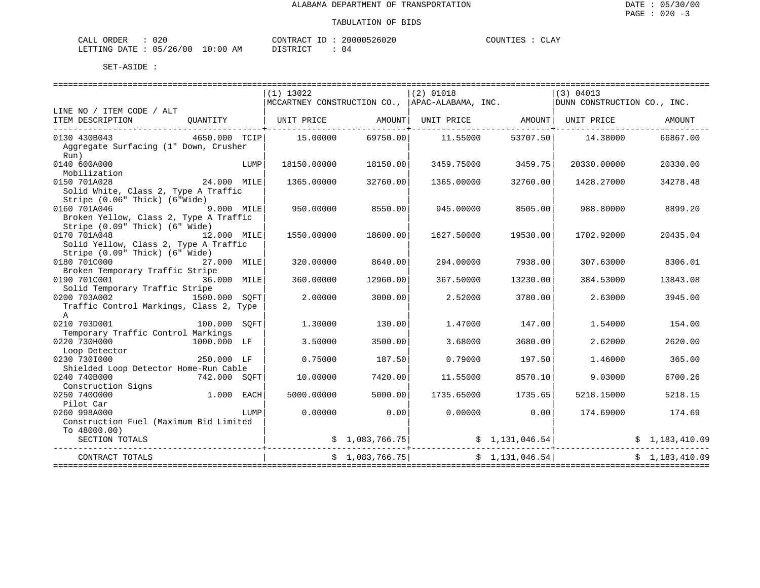| CALL<br><b>ORDER</b> | 02C      |                              | CONTRACT  | 20000526020 | <b>TOUNT</b><br>. ES | $\overline{C}$ T. $\Delta V$<br>- - - - - |
|----------------------|----------|------------------------------|-----------|-------------|----------------------|-------------------------------------------|
| LETTING DATE :       | 05/26/00 | 10:00<br>AΜ<br>$\sim$ $\sim$ | DISTRICT. | ___         |                      |                                           |

|                                                                                                        |              |      | $(1)$ 13022                                    |                 | $(2)$ 01018                                                      |                   | (3) 04013                                                                       |                |
|--------------------------------------------------------------------------------------------------------|--------------|------|------------------------------------------------|-----------------|------------------------------------------------------------------|-------------------|---------------------------------------------------------------------------------|----------------|
|                                                                                                        |              |      | MCCARTNEY CONSTRUCTION CO., APAC-ALABAMA, INC. |                 |                                                                  |                   | DUNN CONSTRUCTION CO., INC.                                                     |                |
| LINE NO / ITEM CODE / ALT                                                                              |              |      |                                                |                 |                                                                  |                   |                                                                                 |                |
| ITEM DESCRIPTION<br>------------------------------                                                     |              |      |                                                |                 |                                                                  |                   | QUANTITY   UNIT PRICE $\qquad$ AMOUNT   UNIT PRICE $\qquad$ AMOUNT   UNIT PRICE | AMOUNT         |
| 0130 430B043<br>Aggregate Surfacing (1" Down, Crusher                                                  |              |      | 4650.000 TCIP 15.00000                         | 69750.00        |                                                                  | 11.55000 53707.50 | 14.38000                                                                        | 66867.00       |
| Run)<br>0140 600A000                                                                                   |              | LUMP | 18150.00000                                    | 18150.00        | 3459.75000                                                       | 3459.75           | 20330.00000                                                                     | 20330.00       |
| Mobilization<br>0150 701A028<br>Solid White, Class 2, Type A Traffic<br>Stripe (0.06" Thick) (6"Wide)  | 24.000 MILE  |      | 1365.00000                                     | 32760.00        | 1365.00000                                                       | 32760.00          | 1428.27000                                                                      | 34278.48       |
| 0160 701A046<br>Broken Yellow, Class 2, Type A Traffic<br>Stripe (0.09" Thick) (6" Wide)               | 9.000 MILE   |      | 950.00000                                      | 8550.00         | 945.00000                                                        | 8505.00           | 988.80000                                                                       | 8899.20        |
| 0170 701A048<br>12.000 MILE<br>Solid Yellow, Class 2, Type A Traffic<br>Stripe (0.09" Thick) (6" Wide) |              |      | 1550.00000                                     | 18600.00        | 1627.50000                                                       | 19530.00          | 1702.92000                                                                      | 20435.04       |
| 0180 701C000<br>Broken Temporary Traffic Stripe                                                        | 27.000 MILE  |      | 320.00000                                      | 8640.00         | 294.00000                                                        | 7938.00           | 307.63000                                                                       | 8306.01        |
| 0190 701C001<br>Solid Temporary Traffic Stripe                                                         | 36.000 MILE  |      | 360.00000                                      | 12960.00        | 367.50000                                                        | 13230.00          | 384.53000                                                                       | 13843.08       |
| 0200 703A002 1500.000 SQFT<br>Traffic Control Markings, Class 2, Type<br>$\mathbb{A}$                  |              |      | 2.00000                                        | 3000.00         | 2.52000                                                          | 3780.00           | 2.63000                                                                         | 3945.00        |
| 0210 703D001<br>Temporary Traffic Control Markings                                                     | 100.000 SOFT |      | 1,30000                                        | 130.00          | 1.47000                                                          | 147.00            | 1.54000                                                                         | 154.00         |
| 0220 730H000<br>Loop Detector                                                                          | 1000.000 LF  |      | 3.50000                                        | 3500.00         | 3.68000                                                          | 3680.00           | 2.62000                                                                         | 2620.00        |
| 0230 7301000<br>Shielded Loop Detector Home-Run Cable                                                  | 250.000 LF   |      | 0.75000                                        | 187.50          | 0.79000                                                          | 197.50            | 1.46000                                                                         | 365.00         |
| 0240 740B000<br>Construction Signs                                                                     | 742.000 SOFT |      | 10.00000                                       | 7420.00         | 11.55000                                                         | 8570.10           | 9.03000                                                                         | 6700.26        |
| 0250 7400000<br>Pilot Car                                                                              | 1.000 EACH   |      | 5000.00000                                     | 5000.00         | 1735.65000                                                       | 1735.65           | 5218.15000                                                                      | 5218.15        |
| 0260 998A000<br>Construction Fuel (Maximum Bid Limited                                                 |              | LUMP | 0.00000                                        | 0.00            | 0.00000                                                          | 0.00              | 174.69000                                                                       | 174.69         |
| To 48000.00)<br>SECTION TOTALS                                                                         |              |      |                                                |                 | $\frac{1}{2}$ , 083,766.75 $\frac{1}{2}$ $\frac{1}{31}$ , 046.54 |                   |                                                                                 | \$1,183,410.09 |
| CONTRACT TOTALS                                                                                        |              |      |                                                | \$1,083,766.75] |                                                                  | \$1,131,046.54]   |                                                                                 | \$1,183,410.09 |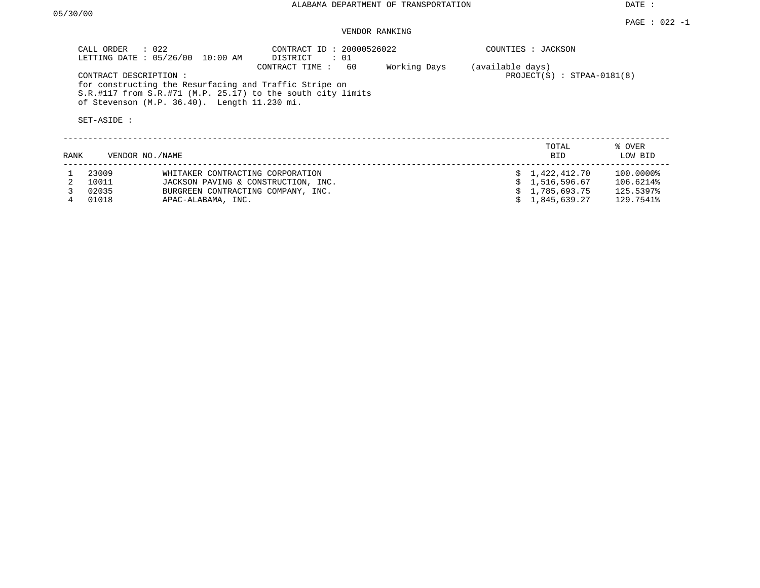DATE :

## VENDOR RANKING

| CALL ORDER : 022<br>CONTRACT ID: 20000526022<br>LETTING DATE: 05/26/00<br>10:00 AM<br>DISTRICT<br>: 01<br>Working Days<br>CONTRACT TIME:<br>60<br>CONTRACT DESCRIPTION:<br>for constructing the Resurfacing and Traffic Stripe on<br>S.R.#117 from S.R.#71 (M.P. 25.17) to the south city limits<br>of Stevenson (M.P. 36.40). Length 11.230 mi.<br>SET-ASIDE : |                 |                                     |  |  |  | COUNTIES : JACKSON<br>(available days)<br>$PROJECT(S) : STPAA-0181(8)$ |                   |  |
|-----------------------------------------------------------------------------------------------------------------------------------------------------------------------------------------------------------------------------------------------------------------------------------------------------------------------------------------------------------------|-----------------|-------------------------------------|--|--|--|------------------------------------------------------------------------|-------------------|--|
| RANK                                                                                                                                                                                                                                                                                                                                                            | VENDOR NO./NAME |                                     |  |  |  | TOTAL<br><b>BID</b>                                                    | % OVER<br>LOW BID |  |
|                                                                                                                                                                                                                                                                                                                                                                 | 23009           | WHITAKER CONTRACTING CORPORATION    |  |  |  | \$1,422,412.70                                                         | 100.0000%         |  |
|                                                                                                                                                                                                                                                                                                                                                                 | 10011           | JACKSON PAVING & CONSTRUCTION, INC. |  |  |  | 1,516,596.67                                                           | 106.6214%         |  |
|                                                                                                                                                                                                                                                                                                                                                                 | 02035           | BURGREEN CONTRACTING COMPANY, INC.  |  |  |  | 1,785,693.75                                                           | 125.5397%         |  |
|                                                                                                                                                                                                                                                                                                                                                                 | 01018           | APAC-ALABAMA, INC.                  |  |  |  | 1,845,639.27                                                           | 129.7541%         |  |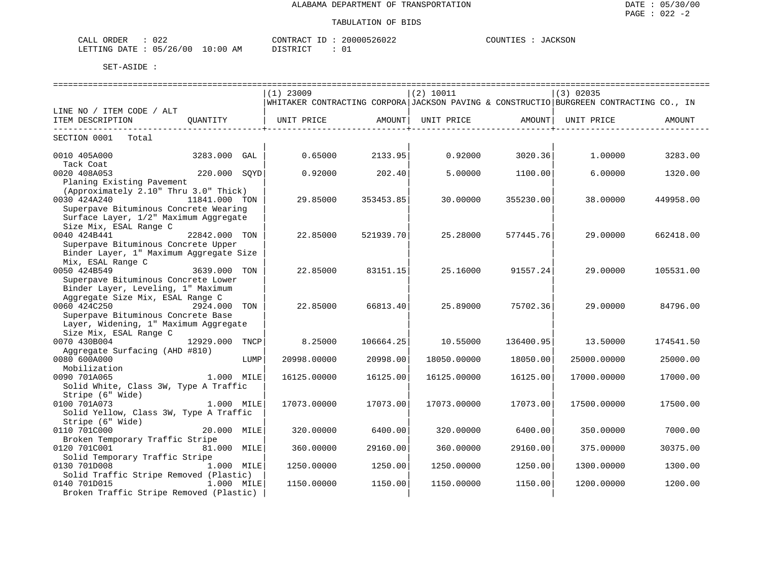| ORDER<br>ىلىل<br>∪∠∠                  |             | $\sim$ $\sim$<br>CONTR.<br>RАC.      | $\wedge$ $\wedge$ $\wedge$<br>וחחמי | JACKSON<br>COUNTIES |
|---------------------------------------|-------------|--------------------------------------|-------------------------------------|---------------------|
| ′26<br>00'<br>LETTING<br>DATE.<br>0.5 | 10:00<br>AМ | $\tau$ $\alpha$ mp $\tau$ $\alpha$ m | ⌒<br>ັບ⊥                            |                     |

|                                                                 |                |      | $(1)$ 23009                                                                            |           | (2) 10011   |           | $(3)$ 02035 |           |
|-----------------------------------------------------------------|----------------|------|----------------------------------------------------------------------------------------|-----------|-------------|-----------|-------------|-----------|
|                                                                 |                |      | WHITAKER CONTRACTING CORPORA JACKSON PAVING & CONSTRUCTIO BURGREEN CONTRACTING CO., IN |           |             |           |             |           |
| LINE NO / ITEM CODE / ALT                                       |                |      |                                                                                        |           |             |           |             |           |
| ITEM DESCRIPTION                                                |                |      | QUANTITY   UNIT PRICE AMOUNT  UNIT PRICE AMOUNT                                        |           |             |           | UNIT PRICE  | AMOUNT    |
| SECTION 0001 Total                                              |                |      |                                                                                        |           |             |           |             |           |
|                                                                 |                |      |                                                                                        |           |             |           |             |           |
| 0010 405A000<br>3283.000 GAL                                    |                |      | 0.65000                                                                                | 2133.95   | 0.92000     | 3020.36   | 1.00000     | 3283.00   |
| Tack Coat                                                       |                |      |                                                                                        |           |             |           |             |           |
| 0020 408A053                                                    | 220.000 SQYD   |      | 0.92000                                                                                | 202.40    | 5,00000     | 1100.00   | 6.00000     | 1320.00   |
| Planing Existing Pavement                                       |                |      |                                                                                        |           |             |           |             |           |
| (Approximately 2.10" Thru 3.0" Thick)                           |                |      |                                                                                        |           |             |           |             |           |
| 0030 424A240                                                    | 11841.000 TON  |      | 29.85000                                                                               | 353453.85 | 30.00000    | 355230.00 | 38.00000    | 449958.00 |
| Superpave Bituminous Concrete Wearing                           |                |      |                                                                                        |           |             |           |             |           |
| Surface Layer, 1/2" Maximum Aggregate<br>Size Mix, ESAL Range C |                |      |                                                                                        |           |             |           |             |           |
| 0040 424B441                                                    | 22842.000 TON  |      | 22.85000                                                                               | 521939.70 | 25.28000    | 577445.76 | 29,00000    | 662418.00 |
| Superpave Bituminous Concrete Upper                             |                |      |                                                                                        |           |             |           |             |           |
| Binder Layer, 1" Maximum Aggregate Size                         |                |      |                                                                                        |           |             |           |             |           |
| Mix, ESAL Range C                                               |                |      |                                                                                        |           |             |           |             |           |
| 0050 424B549                                                    | 3639.000 TON   |      | 22.85000                                                                               | 83151.15  | 25.16000    | 91557.24  | 29.00000    | 105531.00 |
| Superpave Bituminous Concrete Lower                             |                |      |                                                                                        |           |             |           |             |           |
| Binder Layer, Leveling, 1" Maximum                              |                |      |                                                                                        |           |             |           |             |           |
| Aggregate Size Mix, ESAL Range C                                |                |      |                                                                                        |           |             |           |             |           |
| 0060 424C250                                                    | 2924.000 TON   |      | 22.85000                                                                               | 66813.40  | 25.89000    | 75702.36  | 29.00000    | 84796.00  |
| Superpave Bituminous Concrete Base                              |                |      |                                                                                        |           |             |           |             |           |
| Layer, Widening, 1" Maximum Aggregate                           |                |      |                                                                                        |           |             |           |             |           |
| Size Mix, ESAL Range C                                          |                |      |                                                                                        |           |             |           |             |           |
| 0070 430B004<br>Aggregate Surfacing (AHD #810)                  | 12929.000 TNCP |      | 8.25000                                                                                | 106664.25 | 10.55000    | 136400.95 | 13.50000    | 174541.50 |
| 0080 600A000                                                    |                | LUMP | 20998.00000                                                                            | 20998.00  | 18050.00000 | 18050.00  | 25000.00000 | 25000.00  |
| Mobilization                                                    |                |      |                                                                                        |           |             |           |             |           |
| 0090 701A065                                                    | 1.000 MILE     |      | 16125.00000                                                                            | 16125.00  | 16125.00000 | 16125.00  | 17000.00000 | 17000.00  |
| Solid White, Class 3W, Type A Traffic                           |                |      |                                                                                        |           |             |           |             |           |
| Stripe (6" Wide)                                                |                |      |                                                                                        |           |             |           |             |           |
| 1.000 MILE<br>0100 701A073                                      |                |      | 17073.00000                                                                            | 17073.00  | 17073.00000 | 17073.00  | 17500.00000 | 17500.00  |
| Solid Yellow, Class 3W, Type A Traffic                          |                |      |                                                                                        |           |             |           |             |           |
| Stripe (6" Wide)                                                |                |      |                                                                                        |           |             |           |             |           |
| 0110 701C000                                                    | 20.000 MILE    |      | 320,00000                                                                              | 6400.00   | 320.00000   | 6400.00   | 350.00000   | 7000.00   |
| Broken Temporary Traffic Stripe                                 |                |      |                                                                                        |           |             |           |             |           |
| 0120 701C001 20020                                              | 81.000 MILE    |      | 360.00000                                                                              | 29160.00  | 360.00000   | 29160.00  | 375.00000   | 30375.00  |
| Solid Temporary Traffic Stripe<br>0130 701D008                  | 1.000 MILE     |      | 1250.00000                                                                             | 1250.00   | 1250.00000  | 1250.00   | 1300.00000  | 1300.00   |
| Solid Traffic Stripe Removed (Plastic)                          |                |      |                                                                                        |           |             |           |             |           |
| 0140 701D015                                                    | 1.000 MILE     |      | 1150.00000                                                                             | 1150.00   | 1150.00000  | 1150.00   | 1200.00000  | 1200.00   |
| Broken Traffic Stripe Removed (Plastic)                         |                |      |                                                                                        |           |             |           |             |           |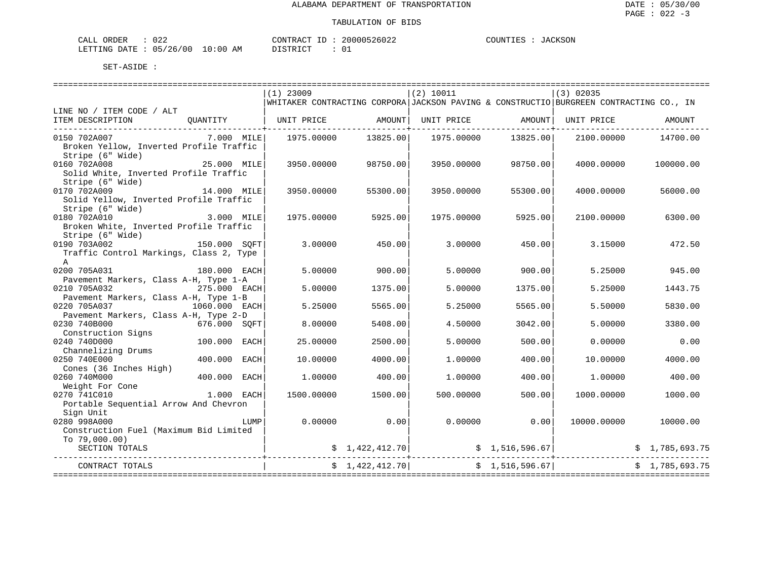| CALL ORDER                      | 022 | CONTRACT ID : |  | 20000526022 | COUNTIES : | JACKSON |
|---------------------------------|-----|---------------|--|-------------|------------|---------|
| LETTING DATE: 05/26/00 10:00 AM |     | DISTRICT      |  |             |            |         |

|                                                                             |               |      | $(1)$ 23009 |                               | (2) 10011  |                 | $(3)$ 02035                                                                            |                                                                                                                                                                               |
|-----------------------------------------------------------------------------|---------------|------|-------------|-------------------------------|------------|-----------------|----------------------------------------------------------------------------------------|-------------------------------------------------------------------------------------------------------------------------------------------------------------------------------|
|                                                                             |               |      |             |                               |            |                 | WHITAKER CONTRACTING CORPORA JACKSON PAVING & CONSTRUCTIO BURGREEN CONTRACTING CO., IN |                                                                                                                                                                               |
| LINE NO / ITEM CODE / ALT                                                   |               |      |             |                               |            |                 |                                                                                        |                                                                                                                                                                               |
| ITEM DESCRIPTION                                                            |               |      |             |                               |            |                 | QUANTITY $ $ UNIT PRICE AMOUNT UNIT PRICE AMOUNT $ $ UNIT PRICE                        | AMOUNT                                                                                                                                                                        |
|                                                                             |               |      |             | ---------------+------------- |            |                 |                                                                                        |                                                                                                                                                                               |
| 0150 702A007<br>Broken Yellow, Inverted Profile Traffic<br>Stripe (6" Wide) | 7.000 MILE    |      |             | 1975.00000 13825.00           | 1975.00000 | 13825.001       | 2100.00000                                                                             | 14700.00                                                                                                                                                                      |
| 0160 702A008<br>Solid White, Inverted Profile Traffic                       | 25.000 MILE   |      | 3950.00000  | 98750.00                      | 3950.00000 | 98750.00        | 4000.00000                                                                             | 100000.00                                                                                                                                                                     |
| Stripe (6" Wide)                                                            |               |      |             |                               |            |                 |                                                                                        |                                                                                                                                                                               |
| 0170 702A009                                                                | 14.000 MILE   |      | 3950.00000  | 55300.00                      | 3950.00000 | 55300.00        | 4000.00000                                                                             | 56000.00                                                                                                                                                                      |
| Solid Yellow, Inverted Profile Traffic                                      |               |      |             |                               |            |                 |                                                                                        |                                                                                                                                                                               |
| Stripe (6" Wide)                                                            |               |      |             |                               |            |                 |                                                                                        |                                                                                                                                                                               |
| 0180 702A010                                                                | 3.000 MILE    |      | 1975.00000  | 5925.00                       | 1975.00000 | 5925.00         | 2100.00000                                                                             | 6300.00                                                                                                                                                                       |
| Broken White, Inverted Profile Traffic                                      |               |      |             |                               |            |                 |                                                                                        |                                                                                                                                                                               |
| Stripe (6" Wide)                                                            |               |      |             |                               |            |                 |                                                                                        |                                                                                                                                                                               |
| 0190 703A002                                                                | 150.000 SOFT  |      | 3.00000     | 450.00                        | 3,00000    | 450.00          | 3.15000                                                                                | 472.50                                                                                                                                                                        |
| Traffic Control Markings, Class 2, Type                                     |               |      |             |                               |            |                 |                                                                                        |                                                                                                                                                                               |
| $\mathbb{A}$                                                                |               |      |             |                               |            |                 |                                                                                        |                                                                                                                                                                               |
| 0200 705A031                                                                | 180.000 EACH  |      | 5.00000     | 900.00                        | 5.00000    | 900.00          | 5.25000                                                                                | 945.00                                                                                                                                                                        |
| Pavement Markers, Class A-H, Type 1-A                                       |               |      |             |                               |            |                 |                                                                                        |                                                                                                                                                                               |
| 0210 705A032                                                                | 275.000 EACH  |      | 5.00000     | 1375.00                       | 5.00000    | 1375.00         | 5.25000                                                                                | 1443.75                                                                                                                                                                       |
| Pavement Markers, Class A-H, Type 1-B                                       |               |      |             |                               |            |                 |                                                                                        |                                                                                                                                                                               |
| 0220 705A037                                                                | 1060.000 EACH |      | 5.25000     | 5565.00                       | 5.25000    | 5565.00         | 5.50000                                                                                | 5830.00                                                                                                                                                                       |
| Pavement Markers, Class A-H, Type 2-D                                       |               |      |             |                               |            |                 |                                                                                        |                                                                                                                                                                               |
| 0230 740B000<br>676.000 SQFT                                                |               |      | 8,00000     | 5408.00                       | 4.50000    | 3042.00         | 5.00000                                                                                | 3380.00                                                                                                                                                                       |
| Construction Signs                                                          |               |      |             |                               |            |                 |                                                                                        |                                                                                                                                                                               |
| 0240 740D000                                                                | 100.000 EACH  |      | 25,00000    | 2500.00                       | 5.00000    | 500.00          | 0.00000                                                                                | 0.00                                                                                                                                                                          |
| Channelizing Drums                                                          |               |      |             |                               |            |                 |                                                                                        |                                                                                                                                                                               |
| 0250 740E000                                                                | 400.000 EACH  |      | 10.00000    | 4000.00                       | 1,00000    | 400.00          | 10.00000                                                                               | 4000.00                                                                                                                                                                       |
| Cones (36 Inches High)                                                      |               |      |             |                               |            |                 |                                                                                        |                                                                                                                                                                               |
| 0260 740M000                                                                | 400.000       | EACH | 1,00000     | 400.00                        | 1,00000    | 400.00          | 1,00000                                                                                | 400.00                                                                                                                                                                        |
| Weight For Cone                                                             | $1.000$ EACH  |      |             |                               |            |                 |                                                                                        |                                                                                                                                                                               |
| 0270 741C010                                                                |               |      | 1500.00000  | 1500.00                       | 500.00000  | 500.00          | 1000.00000                                                                             | 1000.00                                                                                                                                                                       |
| Portable Sequential Arrow And Chevron                                       |               |      |             |                               |            |                 |                                                                                        |                                                                                                                                                                               |
| Sign Unit<br>0280 998A000                                                   |               | LUMP | 0.00000     | 0.00                          | 0.00000    | 0.00            | 10000.00000                                                                            | 10000.00                                                                                                                                                                      |
| Construction Fuel (Maximum Bid Limited                                      |               |      |             |                               |            |                 |                                                                                        |                                                                                                                                                                               |
|                                                                             |               |      |             |                               |            |                 |                                                                                        |                                                                                                                                                                               |
| To $79,000.00$ )                                                            |               |      |             |                               |            |                 |                                                                                        |                                                                                                                                                                               |
| SECTION TOTALS                                                              |               |      |             |                               |            |                 |                                                                                        | $\begin{array}{ccccccccc} \xi & 1,422,412.70 \end{array}$ $\begin{array}{ccccccccc} \xi & 1,516,596.67 \end{array}$ $\begin{array}{ccccccccc} \xi & 1,785,693.75 \end{array}$ |
| CONTRACT TOTALS                                                             |               |      |             | \$1,422,412.70]               |            | \$1,516,596.67] |                                                                                        | \$1,785,693.75                                                                                                                                                                |
|                                                                             |               |      |             |                               |            |                 |                                                                                        |                                                                                                                                                                               |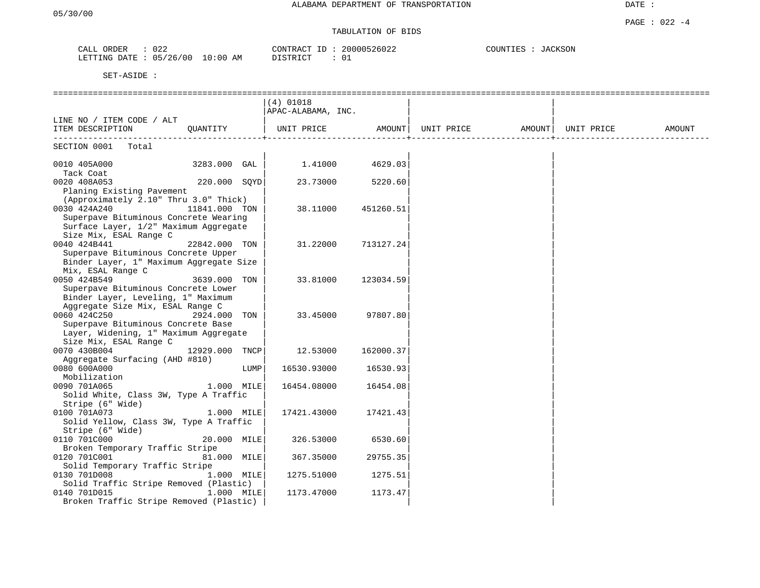DATE :

# TABULATION OF BIDS

| CALL<br>ORDER | 022      |            | CONTRACT<br>T <sub>D</sub> | 20000526022 | COUNTIES | <b>JACKSON</b> |
|---------------|----------|------------|----------------------------|-------------|----------|----------------|
| LETTING DATE  | 05/26/00 | $10:00$ AM | ידי איד אידי את            | U⊥          |          |                |

|                                                |               |      | $(4)$ 01018<br>APAC-ALABAMA, INC. |           |                                |  |        |
|------------------------------------------------|---------------|------|-----------------------------------|-----------|--------------------------------|--|--------|
| LINE NO / ITEM CODE / ALT                      |               |      |                                   |           |                                |  |        |
| ITEM DESCRIPTION                               | OUANTITY      |      | UNIT PRICE                        | AMOUNT    | UNIT PRICE AMOUNT   UNIT PRICE |  | AMOUNT |
| SECTION 0001<br>Total                          |               |      |                                   |           |                                |  |        |
| 0010 405A000<br>Tack Coat                      | 3283.000 GAL  |      | 1.41000                           | 4629.03   |                                |  |        |
| 0020 408A053                                   | 220.000 SOYD  |      | 23.73000                          | 5220.60   |                                |  |        |
| Planing Existing Pavement                      |               |      |                                   |           |                                |  |        |
| (Approximately 2.10" Thru 3.0" Thick)          |               |      |                                   |           |                                |  |        |
| 0030 424A240                                   | 11841.000 TON |      | 38.11000                          | 451260.51 |                                |  |        |
| Superpave Bituminous Concrete Wearing          |               |      |                                   |           |                                |  |        |
| Surface Layer, 1/2" Maximum Aggregate          |               |      |                                   |           |                                |  |        |
| Size Mix, ESAL Range C                         |               |      |                                   |           |                                |  |        |
| 0040 424B441                                   | 22842.000 TON |      | 31,22000                          | 713127.24 |                                |  |        |
| Superpave Bituminous Concrete Upper            |               |      |                                   |           |                                |  |        |
| Binder Layer, 1" Maximum Aggregate Size        |               |      |                                   |           |                                |  |        |
| Mix, ESAL Range C                              |               |      |                                   |           |                                |  |        |
| 0050 424B549                                   | 3639.000 TON  |      | 33.81000                          | 123034.59 |                                |  |        |
| Superpave Bituminous Concrete Lower            |               |      |                                   |           |                                |  |        |
| Binder Layer, Leveling, 1" Maximum             |               |      |                                   |           |                                |  |        |
| Aggregate Size Mix, ESAL Range C               |               |      |                                   |           |                                |  |        |
| 0060 424C250                                   | 2924.000 TON  |      | 33.45000                          | 97807.801 |                                |  |        |
| Superpave Bituminous Concrete Base             |               |      |                                   |           |                                |  |        |
| Layer, Widening, 1" Maximum Aggregate          |               |      |                                   |           |                                |  |        |
| Size Mix, ESAL Range C                         |               |      |                                   |           |                                |  |        |
| 0070 430B004                                   | 12929.000     | TNCP | 12.53000                          | 162000.37 |                                |  |        |
| Aggregate Surfacing (AHD #810)                 |               |      |                                   |           |                                |  |        |
| 0080 600A000                                   |               | LUMP | 16530.93000                       | 16530.93  |                                |  |        |
| Mobilization                                   |               |      |                                   |           |                                |  |        |
| 0090 701A065                                   | 1.000 MILE    |      | 16454.08000                       | 16454.08  |                                |  |        |
| Solid White, Class 3W, Type A Traffic          |               |      |                                   |           |                                |  |        |
| Stripe (6" Wide)                               |               |      |                                   |           |                                |  |        |
| 0100 701A073                                   | 1.000 MILE    |      | 17421.43000                       | 17421.43  |                                |  |        |
| Solid Yellow, Class 3W, Type A Traffic         |               |      |                                   |           |                                |  |        |
| Stripe (6" Wide)<br>0110 701C000               |               |      | 326.53000                         | 6530.60   |                                |  |        |
|                                                | 20.000 MILE   |      |                                   |           |                                |  |        |
| Broken Temporary Traffic Stripe                | 81.000 MILE   |      |                                   |           |                                |  |        |
| 0120 701C001<br>Solid Temporary Traffic Stripe |               |      | 367.35000                         | 29755.35  |                                |  |        |
|                                                |               |      |                                   |           |                                |  |        |
| 0130 701D008                                   | 1.000 MILE    |      | 1275.51000                        | 1275.51   |                                |  |        |
| Solid Traffic Stripe Removed (Plastic)         |               |      |                                   |           |                                |  |        |
| 0140 701D015                                   | 1.000 MILE    |      | 1173.47000                        | 1173.47   |                                |  |        |
| Broken Traffic Stripe Removed (Plastic)        |               |      |                                   |           |                                |  |        |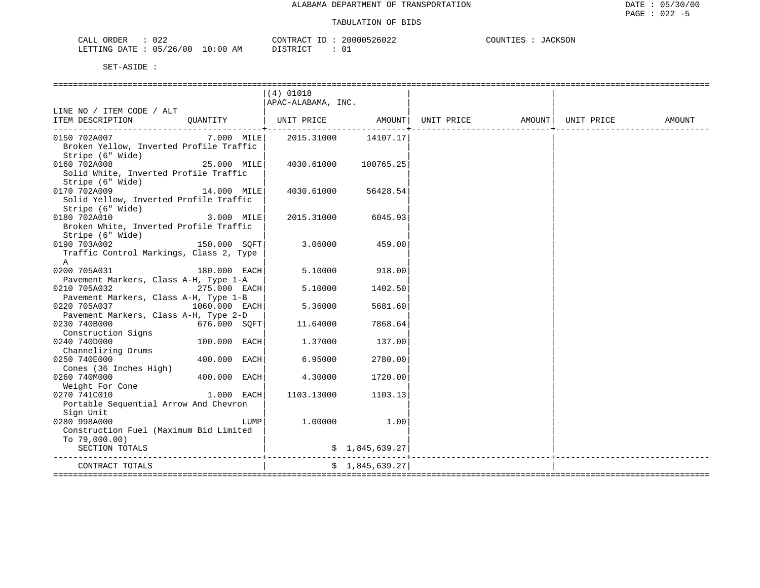| 022<br>CALL<br>ORDER     | CONTRACT                                        | 20000526022 | COUNTIES<br>.SUN<br>$\overline{A}$ |  |
|--------------------------|-------------------------------------------------|-------------|------------------------------------|--|
| 05/26/00<br>LETTING DATE | LO : 00<br>AM<br>. YTR TOT<br><i>⊔</i> ⊥∟⊥⊥⊾∟⊥⊥ | U           |                                    |  |

|                                                                             |                 | $(4)$ 01018        |                     |                                |  |        |
|-----------------------------------------------------------------------------|-----------------|--------------------|---------------------|--------------------------------|--|--------|
|                                                                             |                 | APAC-ALABAMA, INC. |                     |                                |  |        |
| LINE NO / ITEM CODE / ALT<br>ITEM DESCRIPTION                               | OUANTITY        | UNIT PRICE AMOUNT  |                     | UNIT PRICE AMOUNT   UNIT PRICE |  | AMOUNT |
|                                                                             |                 |                    |                     |                                |  |        |
| 0150 702A007<br>Broken Yellow, Inverted Profile Traffic<br>Stripe (6" Wide) | $7.000$ MILE    |                    | 2015.31000 14107.17 |                                |  |        |
| 0160 702A008<br>Solid White, Inverted Profile Traffic<br>Stripe (6" Wide)   | 25.000 MILE     | 4030.61000         | 100765.25           |                                |  |        |
| 0170 702A009<br>Solid Yellow, Inverted Profile Traffic<br>Stripe (6" Wide)  | 14.000 MILE     | 4030.61000         | 56428.54            |                                |  |        |
| 0180 702A010<br>Broken White, Inverted Profile Traffic<br>Stripe (6" Wide)  | $3.000$ MILE    | 2015.31000         | 6045.93             |                                |  |        |
| 0190 703A002<br>Traffic Control Markings, Class 2, Type<br>A                | $150.000$ SQFT  | 3.06000            | 459.00              |                                |  |        |
| 0200 705A031<br>Pavement Markers, Class A-H, Type 1-A                       | $180.000$ EACH  | 5.10000            | 918.00              |                                |  |        |
| 0210 705A032<br>Pavement Markers, Class A-H, Type 1-B                       | 275.000 EACH    | 5.10000            | 1402.50             |                                |  |        |
| 0220 705A037<br>Pavement Markers, Class A-H, Type 2-D                       | $1060.000$ EACH | 5.36000            | 5681.60             |                                |  |        |
| 0230 740B000<br>Construction Signs                                          | 676.000 SOFT    | 11.64000           | 7868.64             |                                |  |        |
| 0240 740D000<br>Channelizing Drums                                          | 100.000 EACH    | 1.37000            | 137.00              |                                |  |        |
| 0250 740E000<br>Cones (36 Inches High)                                      | 400.000 EACH    | 6.95000            | 2780.00             |                                |  |        |
| 0260 740M000<br>Weight For Cone                                             | 400.000 EACH    | 4.30000            | 1720.00             |                                |  |        |
| 0270 741C010<br>Portable Sequential Arrow And Chevron                       | $1.000$ EACH    | 1103.13000         | 1103.13             |                                |  |        |
| Sign Unit<br>0280 998A000<br>Construction Fuel (Maximum Bid Limited         | LUMP            | 1.00000            | 1.00                |                                |  |        |
| To $79,000.00)$<br>SECTION TOTALS                                           |                 |                    | \$1,845,639.27]     |                                |  |        |
| CONTRACT TOTALS                                                             |                 |                    | \$1,845,639.27      |                                |  |        |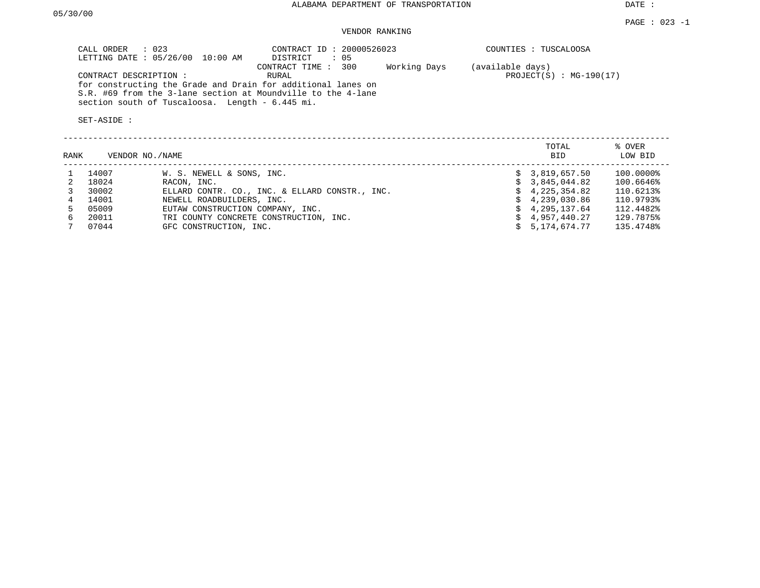DATE :

# VENDOR RANKING

| CALL ORDER : 023<br>LETTING DATE: 05/26/00 10:00 AM                                                                                                                             | CONTRACT ID: 20000526023<br>: 05<br>DISTRICT | COUNTIES : TUSCALOOSA     |
|---------------------------------------------------------------------------------------------------------------------------------------------------------------------------------|----------------------------------------------|---------------------------|
|                                                                                                                                                                                 | CONTRACT TIME : 300<br>Working Days          | (available days)          |
| CONTRACT DESCRIPTION :                                                                                                                                                          | RURAL                                        | $PROJECT(S)$ : MG-190(17) |
| for constructing the Grade and Drain for additional lanes on<br>S.R. #69 from the 3-lane section at Moundville to the 4-lane<br>section south of Tuscaloosa. Length - 6.445 mi. |                                              |                           |
| SET-ASIDE :                                                                                                                                                                     |                                              |                           |

| RANK |       | VENDOR NO./NAME                                | TOTAL<br><b>BID</b> | % OVER<br>LOW BID |
|------|-------|------------------------------------------------|---------------------|-------------------|
|      | 14007 | W. S. NEWELL & SONS, INC.                      | \$3,819,657.50      | 100.0000%         |
|      | 18024 | RACON, INC.                                    | \$3.845.044.82      | 100.6646%         |
|      | 30002 | ELLARD CONTR. CO., INC. & ELLARD CONSTR., INC. | \$4,225,354.82      | 110.6213%         |
|      | 14001 | NEWELL ROADBUILDERS, INC.                      | \$4,239,030.86      | 110.9793%         |
| 5.   | 05009 | EUTAW CONSTRUCTION COMPANY, INC.               | $\sin 4.295.137.64$ | 112.4482%         |
|      | 20011 | TRI COUNTY CONCRETE CONSTRUCTION, INC.         | \$4,957,440.27      | 129.7875%         |
|      | 07044 | GFC CONSTRUCTION, INC.                         | 5,174,674.77        | 135.4748%         |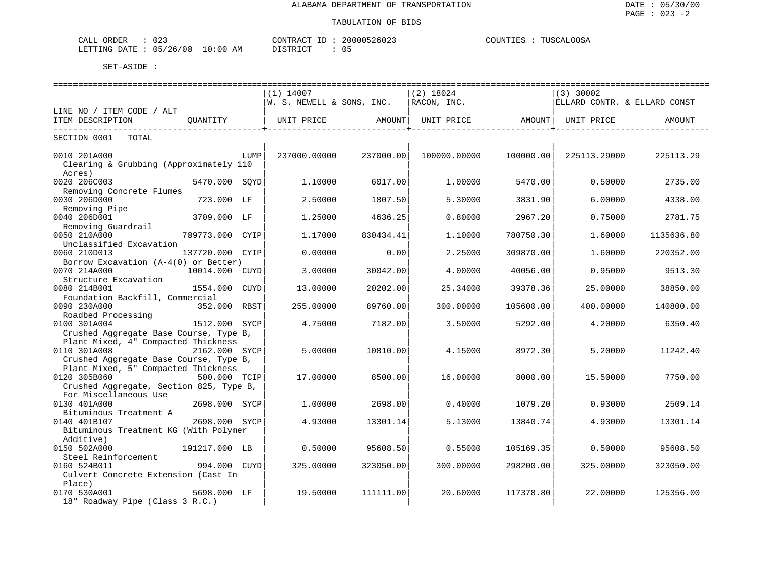| CALL<br><b>ORDER</b> | $\cap$ $\cap$<br>U 4 - |            | CONTRACT           | 200005<br>260Z | - IN<br>⊥E≧ | .<br>. |
|----------------------|------------------------|------------|--------------------|----------------|-------------|--------|
| ' ETTING<br>חת מח    | 05/26/00               | 0:00<br>ΆM | $\sim$<br>51.R I ( | U5             |             |        |

|                                         |                 |      | ============================= |           |                   |           |                              |            |
|-----------------------------------------|-----------------|------|-------------------------------|-----------|-------------------|-----------|------------------------------|------------|
|                                         |                 |      | $(1)$ 14007                   |           | $(2)$ 18024       |           | (3) 30002                    |            |
|                                         |                 |      | W. S. NEWELL & SONS, INC.     |           | RACON, INC.       |           | ELLARD CONTR. & ELLARD CONST |            |
| LINE NO / ITEM CODE / ALT               |                 |      |                               |           |                   |           |                              |            |
| ITEM DESCRIPTION                        | OUANTITY        |      | UNIT PRICE                    | AMOUNT    | UNIT PRICE AMOUNT |           | UNIT PRICE                   | AMOUNT     |
| SECTION 0001 TOTAL                      |                 |      |                               |           |                   |           |                              |            |
| 0010 201A000                            |                 | LUMP | 237000.00000                  | 237000.00 | 100000.00000      | 100000.00 | 225113.29000                 | 225113.29  |
| Clearing & Grubbing (Approximately 110  |                 |      |                               |           |                   |           |                              |            |
| Acres)                                  |                 |      |                               |           |                   |           |                              |            |
| 0020 206C003                            | 5470.000 SOYD   |      | 1,10000                       | 6017.00   | 1,00000           | 5470.00   | 0.50000                      | 2735.00    |
| Removing Concrete Flumes                |                 |      |                               |           |                   |           |                              |            |
| 0030 206D000                            | 723.000 LF      |      | 2.50000                       | 1807.50   | 5.30000           | 3831.90   | 6.00000                      | 4338.00    |
| Removing Pipe                           |                 |      |                               |           |                   |           |                              |            |
| 0040 206D001                            | 3709.000 LF     |      | 1.25000                       | 4636.25   | 0.80000           | 2967.20   | 0.75000                      | 2781.75    |
| Removing Guardrail                      |                 |      |                               |           |                   |           |                              |            |
| 0050 210A000                            | 709773.000 CYIP |      | 1.17000                       | 830434.41 | 1.10000           | 780750.30 | 1.60000                      | 1135636.80 |
| Unclassified Excavation                 |                 |      |                               |           |                   |           |                              |            |
| 0060 210D013                            | 137720.000 CYIP |      | 0.00000                       | 0.00      | 2.25000           | 309870.00 | 1.60000                      | 220352.00  |
| Borrow Excavation (A-4(0) or Better)    |                 |      |                               |           |                   |           |                              |            |
| 0070 214A000                            | 10014.000 CUYD  |      | 3.00000                       | 30042.00  | 4.00000           | 40056.00  | 0.95000                      | 9513.30    |
| Structure Excavation                    |                 |      |                               |           |                   |           |                              |            |
| 0080 214B001                            | 1554.000        | CUYD | 13.00000                      | 20202.00  | 25.34000          | 39378.36  | 25.00000                     | 38850.00   |
| Foundation Backfill, Commercial         |                 |      |                               |           |                   |           |                              |            |
| 0090 230A000                            | 352.000 RBST    |      | 255.00000                     | 89760.00  | 300.00000         | 105600.00 | 400.00000                    | 140800.00  |
| Roadbed Processing                      |                 |      |                               |           |                   |           |                              |            |
| 0100 301A004                            | 1512.000 SYCP   |      | 4.75000                       | 7182.00   | 3.50000           | 5292.00   | 4.20000                      | 6350.40    |
| Crushed Aggregate Base Course, Type B,  |                 |      |                               |           |                   |           |                              |            |
| Plant Mixed, 4" Compacted Thickness     |                 |      |                               |           |                   |           |                              |            |
| 0110 301A008                            | 2162.000 SYCP   |      | 5.00000                       | 10810.00  | 4.15000           | 8972.30   | 5.20000                      | 11242.40   |
| Crushed Aggregate Base Course, Type B,  |                 |      |                               |           |                   |           |                              |            |
| Plant Mixed, 5" Compacted Thickness     |                 |      |                               |           |                   |           |                              |            |
| 0120 305B060                            | 500.000 TCIP    |      | 17.00000                      | 8500.00   | 16.00000          | 8000.00   | 15.50000                     | 7750.00    |
| Crushed Aggregate, Section 825, Type B, |                 |      |                               |           |                   |           |                              |            |
| For Miscellaneous Use                   |                 |      |                               |           |                   |           |                              |            |
| 0130 401A000                            | 2698.000 SYCP   |      | 1,00000                       | 2698.00   | 0.40000           | 1079.20   | 0.93000                      | 2509.14    |
| Bituminous Treatment A                  |                 |      |                               |           |                   |           |                              |            |
| 0140 401B107                            | 2698.000 SYCP   |      | 4.93000                       | 13301.14  | 5.13000           | 13840.74  | 4.93000                      | 13301.14   |
| Bituminous Treatment KG (With Polymer   |                 |      |                               |           |                   |           |                              |            |
| Additive)                               |                 |      |                               |           |                   |           |                              |            |
| 0150 502A000                            | 191217.000 LB   |      | 0.50000                       | 95608.50  | 0.55000           | 105169.35 | 0.50000                      | 95608.50   |
| Steel Reinforcement                     |                 |      |                               |           |                   |           |                              |            |
| 0160 524B011                            | 994.000         | CUYD | 325.00000                     | 323050.00 | 300.00000         | 298200.00 | 325.00000                    | 323050.00  |
| Culvert Concrete Extension (Cast In     |                 |      |                               |           |                   |           |                              |            |
| Place)                                  |                 |      |                               |           |                   |           |                              |            |
| 0170 530A001                            | 5698.000 LF     |      | 19.50000                      | 111111.00 | 20.60000          | 117378.80 | 22.00000                     | 125356.00  |
| 18" Roadway Pipe (Class 3 R.C.)         |                 |      |                               |           |                   |           |                              |            |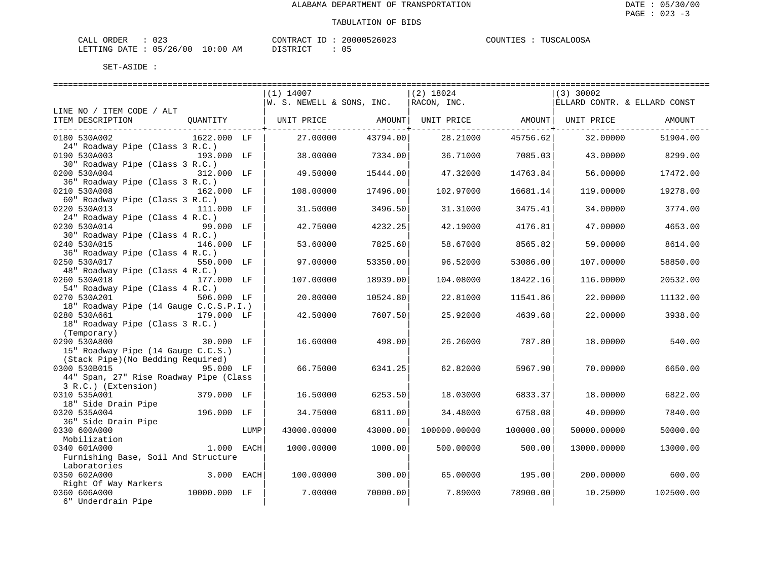| ORDER<br>CALL                   | $\cap$ $\cap$<br>۰۔ ∠ ∪ | CONTRACT<br>ID | 20000526023 | COUNTIES | TUSCALOOSA |
|---------------------------------|-------------------------|----------------|-------------|----------|------------|
| LETTING DATE: 05/26/00 10:00 AM |                         | DISTRICT       |             |          |            |

|                                        |              |      | $(1)$ 14007                  |                  | $(2)$ 18024  |           | $(3)$ 30002                  |           |
|----------------------------------------|--------------|------|------------------------------|------------------|--------------|-----------|------------------------------|-----------|
|                                        |              |      | W. S. NEWELL & SONS, INC.    |                  | RACON, INC.  |           | ELLARD CONTR. & ELLARD CONST |           |
| LINE NO / ITEM CODE / ALT              |              |      |                              |                  |              |           |                              |           |
| ITEM DESCRIPTION                       |              |      | QUANTITY   UNIT PRICE AMOUNT |                  |              |           | UNIT PRICE AMOUNT UNIT PRICE | AMOUNT    |
|                                        |              |      |                              | -------------+-- |              |           |                              |           |
| 0180 530A002                           | 1622.000 LF  |      | 27.00000                     | 43794.00         | 28.21000     | 45756.62  | 32.00000                     | 51904.00  |
| 24" Roadway Pipe (Class 3 R.C.)        |              |      |                              |                  |              |           |                              |           |
| 0190 530A003                           | 193.000 LF   |      | 38.00000                     | 7334.00          | 36.71000     | 7085.03   | 43.00000                     | 8299.00   |
| 30" Roadway Pipe (Class 3 R.C.)        |              |      |                              |                  |              |           |                              |           |
| 0200 530A004                           | 312.000 LF   |      | 49.50000                     | 15444.00         | 47.32000     | 14763.84  | 56.00000                     | 17472.00  |
| 36" Roadway Pipe (Class 3 R.C.)        |              |      |                              |                  |              |           |                              |           |
| 0210 530A008                           | 162.000 LF   |      | 108,00000                    | 17496.00         | 102.97000    | 16681.14  | 119.00000                    | 19278.00  |
| 60" Roadway Pipe (Class 3 R.C.)        |              |      |                              |                  |              |           |                              |           |
|                                        |              |      |                              |                  |              |           |                              |           |
| 0220 530A013                           | 111.000 LF   |      | 31.50000                     | 3496.50          | 31,31000     | 3475.41   | 34.00000                     | 3774.00   |
| 24" Roadway Pipe (Class 4 R.C.)        |              |      |                              |                  |              |           |                              |           |
| 0230 530A014                           | 99.000 LF    |      | 42.75000                     | 4232.25          | 42.19000     | 4176.81   | 47.00000                     | 4653.00   |
| 30" Roadway Pipe (Class 4 R.C.)        |              |      |                              |                  |              |           |                              |           |
| 0240 530A015                           | 146.000 LF   |      | 53.60000                     | 7825.60          | 58.67000     | 8565.82   | 59.00000                     | 8614.00   |
| 36" Roadway Pipe (Class 4 R.C.)        |              |      |                              |                  |              |           |                              |           |
| 0250 530A017                           | 550.000 LF   |      | 97.00000                     | 53350.00         | 96.52000     | 53086.00  | 107.00000                    | 58850.00  |
| 48" Roadway Pipe (Class 4 R.C.)        |              |      |                              |                  |              |           |                              |           |
| 0260 530A018                           | 177.000 LF   |      | 107.00000                    | 18939.00         | 104.08000    | 18422.16  | 116,00000                    | 20532.00  |
| 54" Roadway Pipe (Class 4 R.C.)        |              |      |                              |                  |              |           |                              |           |
| 0270 530A201                           | 506.000 LF   |      | 20.80000                     | 10524.80         | 22.81000     | 11541.86  | 22.00000                     | 11132.00  |
| 18" Roadway Pipe (14 Gauge C.C.S.P.I.) |              |      |                              |                  |              |           |                              |           |
| 0280 530A661                           | 179.000 LF   |      | 42.50000                     | 7607.50          | 25.92000     | 4639.68   | 22.00000                     | 3938.00   |
| 18" Roadway Pipe (Class 3 R.C.)        |              |      |                              |                  |              |           |                              |           |
| (Temporary)                            |              |      |                              |                  |              |           |                              |           |
| 0290 530A800                           | 30.000 LF    |      | 16.60000                     | 498.00           | 26.26000     | 787.80    | 18.00000                     | 540.00    |
| 15" Roadway Pipe (14 Gauge C.C.S.)     |              |      |                              |                  |              |           |                              |           |
| (Stack Pipe) (No Bedding Required)     |              |      |                              |                  |              |           |                              |           |
| 0300 530B015                           | 95.000 LF    |      | 66.75000                     | 6341.25          | 62.82000     | 5967.90   | 70.00000                     | 6650.00   |
| 44" Span, 27" Rise Roadway Pipe (Class |              |      |                              |                  |              |           |                              |           |
| 3 R.C.) (Extension)                    |              |      |                              |                  |              |           |                              |           |
| 0310 535A001                           | 379.000 LF   |      | 16.50000                     | 6253.50          | 18.03000     | 6833.37   | 18.00000                     | 6822.00   |
| 18" Side Drain Pipe                    |              |      |                              |                  |              |           |                              |           |
| 0320 535A004                           | 196.000 LF   |      | 34.75000                     | 6811.00          | 34.48000     | 6758.08   | 40.00000                     | 7840.00   |
| 36" Side Drain Pipe                    |              |      |                              |                  |              |           |                              |           |
| 0330 600A000                           |              | LUMP | 43000.00000                  | 43000.00         | 100000.00000 | 100000.00 | 50000.00000                  | 50000.00  |
| Mobilization                           |              |      |                              |                  |              |           |                              |           |
| 0340 601A000                           | 1.000 EACH   |      | 1000.00000                   | 1000.00          | 500.00000    | 500.00    | 13000.00000                  | 13000.00  |
|                                        |              |      |                              |                  |              |           |                              |           |
| Furnishing Base, Soil And Structure    |              |      |                              |                  |              |           |                              |           |
| Laboratories                           |              |      |                              |                  |              |           |                              |           |
| 0350 602A000                           | 3.000 EACH   |      | 100.00000                    | 300.00           | 65.00000     | 195.00    | 200.00000                    | 600.00    |
| Right Of Way Markers                   |              |      |                              |                  |              |           |                              |           |
| 0360 606A000                           | 10000.000 LF |      | 7.00000                      | 70000.00         | 7.89000      | 78900.00  | 10.25000                     | 102500.00 |
| 6" Underdrain Pipe                     |              |      |                              |                  |              |           |                              |           |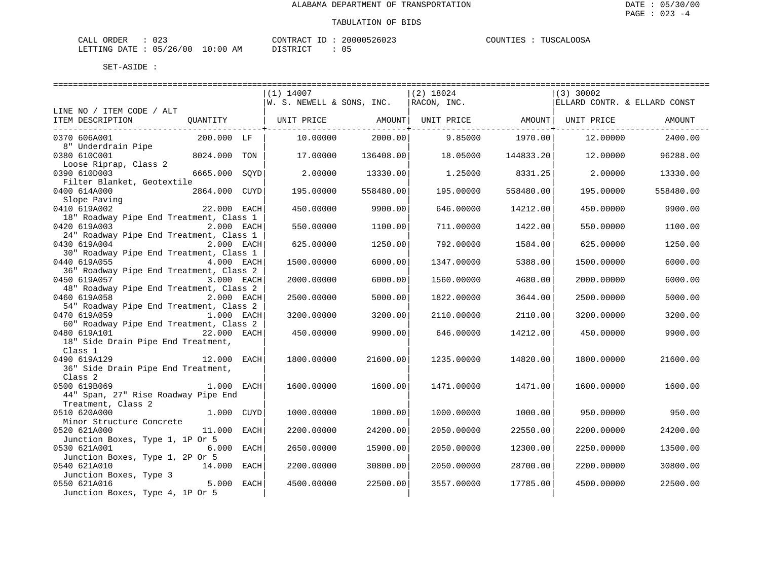| ORDER<br>CALL   | $\Omega$<br>U 4 - |                   | "ONTRAL         | $-260z$ . | OOS <sub>2</sub><br>COUNT I<br>TIISCAL.<br>. TRV<br> |
|-----------------|-------------------|-------------------|-----------------|-----------|------------------------------------------------------|
| DATE<br>LETTING | 05/26/00          | 10:00<br>AM<br>__ | <b>דים דמיי</b> | ັັ        |                                                      |

|                                                                       | $(1)$ 14007                  | (2) 18024                                        |           | $(3)$ 30002                  |           |
|-----------------------------------------------------------------------|------------------------------|--------------------------------------------------|-----------|------------------------------|-----------|
|                                                                       | $ W.$ S. NEWELL & SONS, INC. | RACON, INC.                                      |           | ELLARD CONTR. & ELLARD CONST |           |
| LINE NO / ITEM CODE / ALT                                             |                              |                                                  |           |                              |           |
| ITEM DESCRIPTION<br>OUANTITY                                          |                              | UNIT PRICE AMOUNT  UNIT PRICE AMOUNT  UNIT PRICE |           |                              | AMOUNT    |
| 0370 606A001<br>200.000 LF                                            | 10.00000                     | 2000.00<br>9.85000                               | 1970.00   | 12.00000                     | 2400.00   |
| 8" Underdrain Pipe                                                    |                              |                                                  |           |                              |           |
| 8024.000<br>0380 610C001<br>TON                                       | 17.00000                     | 136408.00<br>18.05000                            | 144833.20 | 12.00000                     | 96288.00  |
| Loose Riprap, Class 2                                                 |                              |                                                  |           |                              |           |
| 0390 610D003<br>6665.000<br>SOYD                                      | 2,00000                      | 13330.00<br>1.25000                              | 8331.25   | 2,00000                      | 13330.00  |
| Filter Blanket, Geotextile                                            |                              |                                                  |           |                              |           |
| 0400 614A000<br>2864.000<br>CUYD                                      | 195.00000                    | 558480.00<br>195.00000                           | 558480.00 | 195.00000                    | 558480.00 |
| Slope Paving<br>0410 619A002<br>22.000 EACH                           | 450.00000                    | 9900.00<br>646.00000                             | 14212.00  | 450.00000                    | 9900.00   |
| 18" Roadway Pipe End Treatment, Class 1                               |                              |                                                  |           |                              |           |
| 0420 619A003<br>2.000 EACH                                            | 550.00000                    | 1100.00<br>711.00000                             | 1422.00   | 550.00000                    | 1100.00   |
| 24" Roadway Pipe End Treatment, Class 1                               |                              |                                                  |           |                              |           |
| 0430 619A004<br>2.000 EACH                                            | 625.00000                    | 1250.00<br>792.00000                             | 1584.00   | 625.00000                    | 1250.00   |
| 30" Roadway Pipe End Treatment, Class 1                               |                              |                                                  |           |                              |           |
| 0440 619A055<br>4.000 EACH                                            | 1500.00000                   | 6000.00<br>1347.00000                            | 5388.00   | 1500.00000                   | 6000.00   |
| 36" Roadway Pipe End Treatment, Class 2                               |                              |                                                  |           |                              |           |
| 3.000 EACH<br>0450 619A057                                            | 2000.00000                   | 6000.00<br>1560.00000                            | 4680.00   | 2000.00000                   | 6000.00   |
| 48" Roadway Pipe End Treatment, Class 2<br>0460 619A058<br>2.000 EACH | 2500.00000                   | 5000.00<br>1822.00000                            | 3644.00   | 2500.00000                   | 5000.00   |
| 54" Roadway Pipe End Treatment, Class 2                               |                              |                                                  |           |                              |           |
| 0470 619A059<br>1.000 EACH                                            | 3200.00000                   | 3200.00<br>2110.00000                            | 2110.00   | 3200.00000                   | 3200.00   |
| 60" Roadway Pipe End Treatment, Class 2                               |                              |                                                  |           |                              |           |
| 22.000 EACH<br>0480 619A101                                           | 450.00000                    | 9900.00<br>646.00000                             | 14212.00  | 450.00000                    | 9900.00   |
| 18" Side Drain Pipe End Treatment,                                    |                              |                                                  |           |                              |           |
| Class 1                                                               |                              |                                                  |           |                              |           |
| 12.000 EACH<br>0490 619A129                                           | 1800.00000                   | 21600.00<br>1235.00000                           | 14820.00  | 1800.00000                   | 21600.00  |
| 36" Side Drain Pipe End Treatment,                                    |                              |                                                  |           |                              |           |
| Class 2<br>0500 619B069<br>$1.000$ EACH                               | 1600.00000                   | 1600.00<br>1471.00000                            | 1471.00   | 1600.00000                   | 1600.00   |
| 44" Span, 27" Rise Roadway Pipe End                                   |                              |                                                  |           |                              |           |
| Treatment, Class 2                                                    |                              |                                                  |           |                              |           |
| 0510 620A000<br>1.000 CUYD                                            | 1000.00000                   | 1000.00<br>1000.00000                            | 1000.00   | 950.00000                    | 950.00    |
| Minor Structure Concrete                                              |                              |                                                  |           |                              |           |
| 0520 621A000<br>11.000 EACH                                           | 2200.00000                   | 24200.00<br>2050.00000                           | 22550.00  | 2200.00000                   | 24200.00  |
| Junction Boxes, Type 1, 1P Or 5                                       |                              |                                                  |           |                              |           |
| 0530 621A001<br>6.000<br>EACH                                         | 2650.00000                   | 15900.00<br>2050.00000                           | 12300.00  | 2250.00000                   | 13500.00  |
| Junction Boxes, Type 1, 2P Or 5                                       |                              |                                                  |           |                              |           |
| 0540 621A010<br>14.000<br>EACH<br>Junction Boxes, Type 3              | 2200.00000                   | 30800.00<br>2050.00000                           | 28700.00  | 2200.00000                   | 30800.00  |
| 0550 621A016<br>5.000 EACH                                            | 4500.00000                   | 22500.00<br>3557.00000                           | 17785.00  | 4500.00000                   | 22500.00  |
| Junction Boxes, Type 4, 1P Or 5                                       |                              |                                                  |           |                              |           |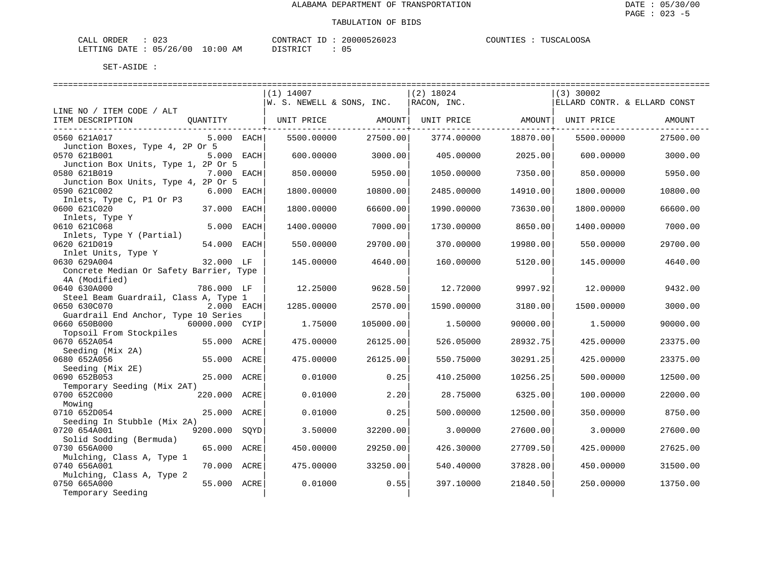| CALL ORDER                      | $\cap$<br>ی کے ل | CONTRACT<br>ID | 20000526023 | TUSCALOOSA<br>COUNTIES |
|---------------------------------|------------------|----------------|-------------|------------------------|
| LETTING DATE: 05/26/00 10:00 AM |                  | DISTRICT       |             |                        |

|                                         |                  | $(1)$ 14007               |                   | $(2)$ 18024       |          | $(3)$ 30002                  |          |
|-----------------------------------------|------------------|---------------------------|-------------------|-------------------|----------|------------------------------|----------|
|                                         |                  | W. S. NEWELL & SONS, INC. |                   | RACON, INC.       |          | ELLARD CONTR. & ELLARD CONST |          |
| LINE NO / ITEM CODE / ALT               |                  |                           |                   |                   |          |                              |          |
| ITEM DESCRIPTION                        | QUANTITY         |                           | UNIT PRICE AMOUNT | UNIT PRICE AMOUNT |          | UNIT PRICE                   | AMOUNT   |
| -----------------------------           |                  |                           |                   |                   |          |                              |          |
| 0560 621A017                            | $5.000$ EACH     | 5500.00000                | 27500.00          | 3774.00000        | 18870.00 | 5500.00000                   | 27500.00 |
| Junction Boxes, Type 4, 2P Or 5         |                  |                           |                   |                   |          |                              |          |
| 0570 621B001                            | 5.000 EACH       | 600.00000                 | 3000.00           | 405.00000         | 2025.00  | 600.00000                    | 3000.00  |
| Junction Box Units, Type 1, 2P Or 5     |                  |                           |                   |                   |          |                              |          |
| 0580 621B019                            | 7.000 EACH       | 850.00000                 | 5950.00           | 1050.00000        | 7350.00  | 850.00000                    | 5950.00  |
| Junction Box Units, Type 4, 2P Or 5     |                  |                           |                   |                   |          |                              |          |
| 0590 621C002                            | 6.000 EACH       | 1800.00000                | 10800.00          | 2485.00000        | 14910.00 | 1800.00000                   | 10800.00 |
| Inlets, Type C, P1 Or P3                |                  |                           |                   |                   |          |                              |          |
| 0600 621C020                            | 37.000 EACH      | 1800.00000                | 66600.00          | 1990.00000        | 73630.00 | 1800.00000                   | 66600.00 |
| Inlets, Type Y                          |                  |                           |                   |                   |          |                              |          |
| 0610 621C068                            | 5.000<br>EACH    | 1400.00000                | 7000.00           | 1730.00000        | 8650.00  | 1400.00000                   | 7000.00  |
| Inlets, Type Y (Partial)                |                  |                           |                   |                   |          |                              |          |
| 0620 621D019                            | 54.000 EACH      | 550.00000                 | 29700.00          | 370.00000         | 19980.00 | 550.00000                    | 29700.00 |
| Inlet Units, Type Y                     |                  |                           |                   |                   |          |                              |          |
| 0630 629A004                            | 32.000 LF        | 145.00000                 | 4640.00           | 160.00000         | 5120.00  | 145.00000                    | 4640.00  |
| Concrete Median Or Safety Barrier, Type |                  |                           |                   |                   |          |                              |          |
| 4A (Modified)                           |                  |                           |                   |                   |          |                              |          |
| 0640 630A000                            | 786.000 LF       | 12.25000                  | 9628.50           | 12.72000          | 9997.92  | 12.00000                     | 9432.00  |
| Steel Beam Guardrail, Class A, Type 1   |                  |                           |                   |                   |          |                              |          |
| 0650 630C070                            | $2.000$ EACH     | 1285.00000                | 2570.00           | 1590.00000        | 3180.00  | 1500.00000                   | 3000.00  |
| Guardrail End Anchor, Type 10 Series    |                  |                           |                   |                   |          |                              |          |
| 0660 650B000                            | 60000.000 CYIP   | 1.75000                   | 105000.00         | 1.50000           | 90000.00 | 1.50000                      | 90000.00 |
| Topsoil From Stockpiles                 |                  |                           |                   |                   |          |                              |          |
| 0670 652A054                            | 55.000 ACRE      | 475.00000                 | 26125.00          | 526.05000         | 28932.75 | 425,00000                    | 23375.00 |
| Seeding (Mix 2A)                        |                  |                           |                   |                   |          |                              |          |
| 0680 652A056                            | 55.000 ACRE      | 475.00000                 | 26125.00          | 550.75000         | 30291.25 | 425.00000                    | 23375.00 |
| Seeding (Mix 2E)                        |                  |                           |                   |                   |          |                              |          |
| 0690 652B053                            | 25.000 ACRE      | 0.01000                   | 0.25              | 410.25000         | 10256.25 | 500.00000                    | 12500.00 |
| Temporary Seeding (Mix 2AT)             |                  |                           |                   |                   |          |                              |          |
| 0700 652C000                            | 220.000 ACRE     | 0.01000                   | 2.20              | 28.75000          | 6325.00  | 100.00000                    | 22000.00 |
| Mowing                                  |                  |                           |                   |                   |          |                              |          |
| 0710 652D054                            | 25.000 ACRE      | 0.01000                   | 0.25              | 500.00000         | 12500.00 | 350.00000                    | 8750.00  |
| Seeding In Stubble (Mix 2A)             |                  |                           |                   |                   |          |                              |          |
| 0720 654A001                            | 9200.000<br>SOYD | 3.50000                   | 32200.00          | 3.00000           | 27600.00 | 3.00000                      | 27600.00 |
| Solid Sodding (Bermuda)                 |                  |                           |                   |                   |          |                              |          |
| 0730 656A000                            | 65.000<br>ACRE   | 450.00000                 | 29250.00          | 426.30000         | 27709.50 | 425.00000                    | 27625.00 |
| Mulching, Class A, Type 1               |                  |                           |                   |                   |          |                              |          |
| 0740 656A001                            | 70.000 ACRE      | 475.00000                 | 33250.00          | 540.40000         | 37828.00 | 450.00000                    | 31500.00 |
| Mulching, Class A, Type 2               |                  |                           |                   |                   |          |                              |          |
| 0750 665A000                            | 55.000 ACRE      | 0.01000                   | 0.55              | 397.10000         | 21840.50 | 250.00000                    | 13750.00 |
| Temporary Seeding                       |                  |                           |                   |                   |          |                              |          |
|                                         |                  |                           |                   |                   |          |                              |          |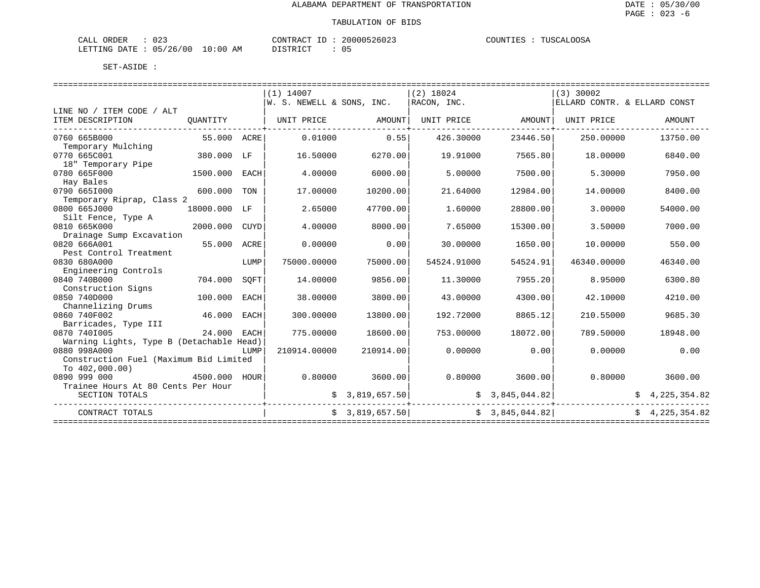### TABULATION OF BIDS

| ORDER<br>CALL | .        |             | CONTRACT       | 20000526023 | COUNTIES | TUSCALOOSA |
|---------------|----------|-------------|----------------|-------------|----------|------------|
| LETTING DATE  | 05/26/00 | 10:00<br>AM | ידת דפידים דרי | 05          |          |            |

|                                          |               |      | $(1)$ 14007               |                 | $(2)$ 18024 |                   | $(3)$ 30002                  |                |
|------------------------------------------|---------------|------|---------------------------|-----------------|-------------|-------------------|------------------------------|----------------|
|                                          |               |      | W. S. NEWELL & SONS, INC. |                 | RACON, INC. |                   | ELLARD CONTR. & ELLARD CONST |                |
| LINE NO / ITEM CODE / ALT                |               |      |                           |                 |             |                   |                              |                |
| ITEM DESCRIPTION                         | OUANTITY      |      | UNIT PRICE AMOUNT         |                 |             | UNIT PRICE AMOUNT | UNIT PRICE                   | AMOUNT         |
| 0760 665B000                             | 55.000 ACRE   |      | 0.01000                   | 0.55            | 426.30000   | 23446.50          | 250.00000                    | 13750.00       |
| Temporary Mulching                       |               |      |                           |                 |             |                   |                              |                |
| 0770 665C001                             | 380.000 LF    |      | 16.50000                  | 6270.00         | 19.91000    | 7565.80           | 18,00000                     | 6840.00        |
| 18" Temporary Pipe                       |               |      |                           |                 |             |                   |                              |                |
| 0780 665F000                             | 1500.000 EACH |      | 4.00000                   | 6000.00         | 5.00000     | 7500.00           | 5.30000                      | 7950.00        |
| Hay Bales                                |               |      |                           |                 |             |                   |                              |                |
| 0790 6651000                             | 600.000 TON   |      | 17.00000                  | 10200.00        | 21.64000    | 12984.00          | 14.00000                     | 8400.00        |
| Temporary Riprap, Class 2                |               |      |                           |                 |             |                   |                              |                |
| 0800 665J000                             | 18000.000 LF  |      | 2.65000                   | 47700.00        | 1.60000     | 28800.00          | 3.00000                      | 54000.00       |
| Silt Fence, Type A                       |               |      |                           |                 |             |                   |                              |                |
| 0810 665K000                             | 2000.000      | CUYD | 4.00000                   | 8000.00         | 7.65000     | 15300.00          | 3.50000                      | 7000.00        |
| Drainage Sump Excavation                 |               |      |                           |                 |             |                   |                              |                |
| 0820 666A001                             | 55.000 ACRE   |      | 0.00000                   | 0.00            | 30.00000    | 1650.00           | 10,00000                     | 550.00         |
| Pest Control Treatment                   |               |      |                           |                 |             |                   |                              |                |
| 0830 680A000                             |               | LUMP | 75000.00000               | 75000.00        | 54524.91000 | 54524.91          | 46340.00000                  | 46340.00       |
| Engineering Controls                     |               |      |                           |                 |             |                   |                              |                |
| 0840 740B000                             | 704.000       | SOFT | 14.00000                  | 9856.00         | 11,30000    | 7955.20           | 8.95000                      | 6300.80        |
| Construction Signs                       |               |      |                           |                 |             |                   |                              |                |
| 0850 740D000                             | 100.000       | EACH | 38,00000                  | 3800.00         | 43.00000    | 4300.00           | 42.10000                     | 4210.00        |
| Channelizing Drums<br>0860 740F002       | 46.000 EACH   |      | 300.00000                 | 13800.00        | 192.72000   | 8865.12           | 210.55000                    | 9685.30        |
| Barricades, Type III                     |               |      |                           |                 |             |                   |                              |                |
| 0870 7401005                             | 24.000 EACH   |      | 775.00000                 | 18600.00        | 753.00000   | 18072.00          | 789.50000                    | 18948.00       |
| Warning Lights, Type B (Detachable Head) |               |      |                           |                 |             |                   |                              |                |
| 0880 998A000                             |               | LUMP | 210914.00000              | 210914.00       | 0.00000     | 0.00              | 0.00000                      | 0.00           |
| Construction Fuel (Maximum Bid Limited   |               |      |                           |                 |             |                   |                              |                |
| To $402,000.00$ )                        |               |      |                           |                 |             |                   |                              |                |
| 0890 999 000                             | 4500.000 HOUR |      | 0.80000                   | 3600.00         | 0.80000     | 3600.00           | 0.80000                      | 3600.00        |
| Trainee Hours At 80 Cents Per Hour       |               |      |                           |                 |             |                   |                              |                |
| SECTION TOTALS                           |               |      |                           | \$3,819,657.50] |             | \$3,845,044.82]   |                              | \$4,225,354.82 |
| CONTRACT TOTALS                          |               |      |                           | \$3,819,657.50  |             | \$3,845,044.82]   |                              | \$4.225.354.82 |
|                                          |               |      |                           |                 |             |                   |                              |                |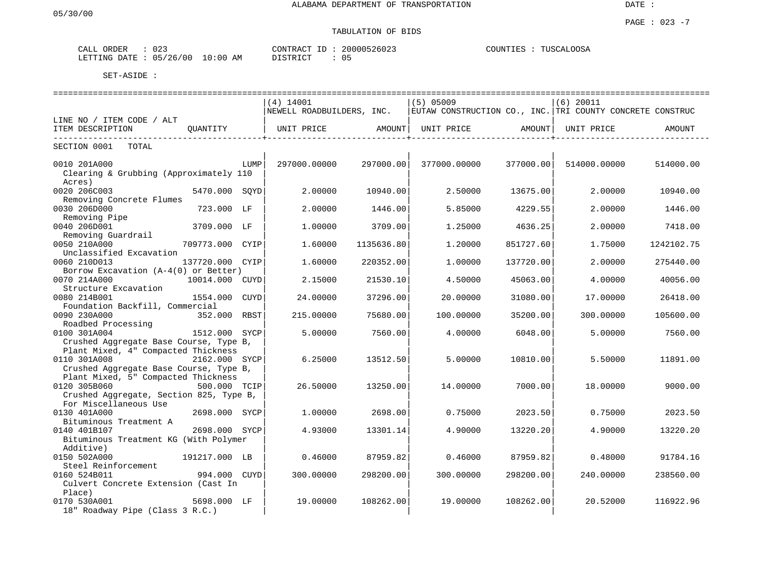# TABULATION OF BIDS

| CALL ORDER              | $\cap$ $\cap$<br>U 2. | 20000526023<br>CONTRACT ID | TUSCALOOSA<br>COUNTIES |
|-------------------------|-----------------------|----------------------------|------------------------|
| LETTING DATE : 05/26/00 | $10:00$ AM            | DISTRICT                   |                        |

|                                         |                 |      | =============================== |            | =============================                             |           | __________________________________ |            |
|-----------------------------------------|-----------------|------|---------------------------------|------------|-----------------------------------------------------------|-----------|------------------------------------|------------|
|                                         |                 |      | $(4)$ 14001                     |            | $(5)$ 05009                                               |           | $(6)$ 20011                        |            |
|                                         |                 |      | NEWELL ROADBUILDERS, INC.       |            | EUTAW CONSTRUCTION CO., INC. TRI COUNTY CONCRETE CONSTRUC |           |                                    |            |
| LINE NO / ITEM CODE / ALT               |                 |      |                                 |            |                                                           |           |                                    |            |
| ITEM DESCRIPTION                        | OUANTITY        |      | UNIT PRICE                      | AMOUNT     | UNIT PRICE                                                | AMOUNT    | UNIT PRICE                         | AMOUNT     |
| SECTION 0001<br>TOTAL                   |                 |      |                                 |            |                                                           |           |                                    |            |
| 0010 201A000                            |                 | LUMP | 297000.00000                    | 297000.00  | 377000.00000                                              | 377000.00 | 514000.00000                       | 514000.00  |
| Clearing & Grubbing (Approximately 110  |                 |      |                                 |            |                                                           |           |                                    |            |
| Acres)                                  |                 |      |                                 |            |                                                           |           |                                    |            |
| 0020 206C003                            | 5470.000 SOYD   |      | 2.00000                         | 10940.00   | 2.50000                                                   | 13675.00  | 2.00000                            | 10940.00   |
| Removing Concrete Flumes                |                 |      |                                 |            |                                                           |           |                                    |            |
| 0030 206D000                            | 723.000 LF      |      | 2.00000                         | 1446.00    | 5.85000                                                   | 4229.55   | 2.00000                            | 1446.00    |
| Removing Pipe                           |                 |      |                                 |            |                                                           |           |                                    |            |
| 0040 206D001                            | 3709.000 LF     |      | 1,00000                         | 3709.00    | 1.25000                                                   | 4636.25   | 2.00000                            | 7418.00    |
| Removing Guardrail                      |                 |      |                                 |            |                                                           |           |                                    |            |
| 0050 210A000                            | 709773.000 CYIP |      | 1.60000                         | 1135636.80 | 1,20000                                                   | 851727.60 | 1.75000                            | 1242102.75 |
| Unclassified Excavation                 |                 |      |                                 |            |                                                           |           |                                    |            |
| 0060 210D013                            | 137720.000 CYIP |      | 1,60000                         | 220352.00  | 1,00000                                                   | 137720.00 | 2.00000                            | 275440.00  |
| Borrow Excavation (A-4(0) or Better)    |                 |      |                                 |            |                                                           |           |                                    |            |
| 0070 214A000                            | 10014.000 CUYD  |      | 2.15000                         | 21530.10   | 4.50000                                                   | 45063.00  | 4.00000                            | 40056.00   |
| Structure Excavation                    |                 |      |                                 |            |                                                           |           |                                    |            |
| 0080 214B001                            | 1554.000        | CUYD | 24.00000                        | 37296.00   | 20.00000                                                  | 31080.00  | 17.00000                           | 26418.00   |
| Foundation Backfill, Commercial         |                 |      |                                 |            |                                                           |           |                                    |            |
| 0090 230A000                            | 352.000 RBST    |      | 215.00000                       | 75680.00   | 100.00000                                                 | 35200.00  | 300.00000                          | 105600.00  |
| Roadbed Processing                      |                 |      |                                 |            |                                                           |           |                                    |            |
| 0100 301A004                            | 1512.000 SYCP   |      | 5.00000                         | 7560.00    | 4.00000                                                   | 6048.00   | 5.00000                            | 7560.00    |
| Crushed Aggregate Base Course, Type B,  |                 |      |                                 |            |                                                           |           |                                    |            |
| Plant Mixed, 4" Compacted Thickness     |                 |      |                                 |            |                                                           |           |                                    |            |
| 0110 301A008                            | 2162.000 SYCP   |      | 6.25000                         | 13512.50   | 5.00000                                                   | 10810.00  | 5.50000                            | 11891.00   |
| Crushed Aggregate Base Course, Type B,  |                 |      |                                 |            |                                                           |           |                                    |            |
| Plant Mixed, 5" Compacted Thickness     |                 |      |                                 |            |                                                           |           |                                    |            |
| 0120 305B060                            | 500.000 TCIP    |      | 26.50000                        | 13250.00   | 14.00000                                                  | 7000.00   | 18.00000                           | 9000.00    |
| Crushed Aggregate, Section 825, Type B, |                 |      |                                 |            |                                                           |           |                                    |            |
| For Miscellaneous Use                   |                 |      |                                 |            |                                                           |           |                                    |            |
| 0130 401A000                            | 2698.000 SYCP   |      | 1,00000                         | 2698.00    | 0.75000                                                   | 2023.50   | 0.75000                            | 2023.50    |
| Bituminous Treatment A                  |                 |      |                                 |            |                                                           |           |                                    |            |
| 0140 401B107                            | 2698.000 SYCP   |      | 4.93000                         | 13301.14   | 4.90000                                                   | 13220.20  | 4.90000                            | 13220.20   |
| Bituminous Treatment KG (With Polymer   |                 |      |                                 |            |                                                           |           |                                    |            |
| Additive)                               |                 |      |                                 |            |                                                           |           |                                    |            |
| 0150 502A000                            | 191217.000 LB   |      | 0.46000                         | 87959.82   | 0.46000                                                   | 87959.82  | 0.48000                            | 91784.16   |
| Steel Reinforcement                     |                 |      |                                 |            |                                                           |           |                                    |            |
| 0160 524B011                            | 994.000 CUYD    |      | 300.00000                       | 298200.00  | 300.00000                                                 | 298200.00 | 240.00000                          | 238560.00  |
| Culvert Concrete Extension (Cast In     |                 |      |                                 |            |                                                           |           |                                    |            |
| Place)                                  |                 |      |                                 |            |                                                           |           |                                    |            |
| 0170 530A001                            | 5698.000 LF     |      | 19.00000                        | 108262.00  | 19,00000                                                  | 108262.00 | 20.52000                           | 116922.96  |
| 18" Roadway Pipe (Class 3 R.C.)         |                 |      |                                 |            |                                                           |           |                                    |            |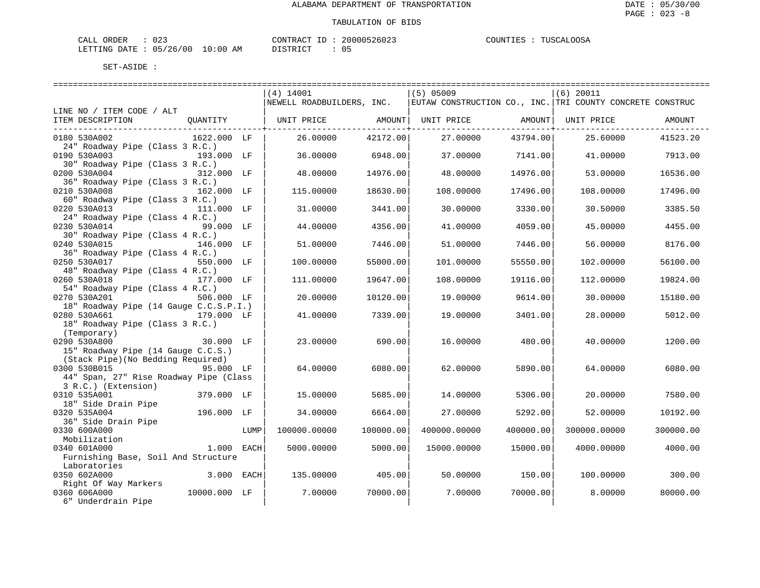| CALL ORDER                      | $\therefore$ 023 |          | CONTRACT ID: 20000526023 | COUNTIES : TUSCALOOSA |
|---------------------------------|------------------|----------|--------------------------|-----------------------|
| LETTING DATE: 05/26/00 10:00 AM |                  | DISTRICT |                          |                       |

|                                        |              |      | (4) 14001                 |           | $(5)$ 05009       |           | $(6)$ 20011                                               |           |
|----------------------------------------|--------------|------|---------------------------|-----------|-------------------|-----------|-----------------------------------------------------------|-----------|
|                                        |              |      | NEWELL ROADBUILDERS, INC. |           |                   |           | EUTAW CONSTRUCTION CO., INC. TRI COUNTY CONCRETE CONSTRUC |           |
| LINE NO / ITEM CODE / ALT              |              |      |                           |           |                   |           |                                                           |           |
| ITEM DESCRIPTION                       | QUANTITY     |      | UNIT PRICE AMOUNT         |           | UNIT PRICE AMOUNT |           | UNIT PRICE                                                | AMOUNT    |
|                                        |              |      |                           |           |                   |           |                                                           |           |
| 0180 530A002                           | 1622.000 LF  |      | 26.00000                  | 42172.00  | 27.00000          | 43794.00  | 25.60000                                                  | 41523.20  |
| 24" Roadway Pipe (Class 3 R.C.)        |              |      |                           |           |                   |           |                                                           |           |
| 0190 530A003                           | 193.000 LF   |      | 36.00000                  | 6948.00   | 37.00000          | 7141.00   | 41.00000                                                  | 7913.00   |
| 30" Roadway Pipe (Class 3 R.C.)        |              |      |                           |           |                   |           |                                                           |           |
| 0200 530A004                           | 312.000 LF   |      | 48,00000                  | 14976.00  | 48.00000          | 14976.00  | 53.00000                                                  | 16536.00  |
| 36" Roadway Pipe (Class 3 R.C.)        |              |      |                           |           |                   |           |                                                           |           |
| 0210 530A008                           | 162.000 LF   |      | 115.00000                 | 18630.00  | 108.00000         | 17496.00  | 108.00000                                                 | 17496.00  |
| 60" Roadway Pipe (Class 3 R.C.)        |              |      |                           |           |                   |           |                                                           |           |
| 0220 530A013                           | 111.000 LF   |      | 31.00000                  | 3441.00   | 30.00000          | 3330.00   | 30.50000                                                  | 3385.50   |
| 24" Roadway Pipe (Class 4 R.C.)        |              |      |                           |           |                   |           |                                                           |           |
| 0230 530A014                           | 99.000 LF    |      | 44.00000                  | 4356.00   | 41,00000          | 4059.00   | 45.00000                                                  | 4455.00   |
| 30" Roadway Pipe (Class 4 R.C.)        |              |      |                           |           |                   |           |                                                           |           |
| 0240 530A015                           | 146.000 LF   |      | 51.00000                  | 7446.00   | 51.00000          | 7446.00   | 56.00000                                                  | 8176.00   |
| 36" Roadway Pipe (Class 4 R.C.)        |              |      |                           |           |                   |           |                                                           |           |
| 0250 530A017                           | 550.000 LF   |      | 100.00000                 | 55000.00  | 101.00000         | 55550.00  | 102.00000                                                 | 56100.00  |
| 48" Roadway Pipe (Class 4 R.C.)        |              |      |                           |           |                   |           |                                                           |           |
| 0260 530A018                           | 177.000 LF   |      | 111,00000                 | 19647.00  | 108.00000         | 19116.00  | 112,00000                                                 | 19824.00  |
| 54" Roadway Pipe (Class 4 R.C.)        |              |      |                           |           |                   |           |                                                           |           |
| 0270 530A201                           | 506.000 LF   |      | 20.00000                  | 10120.00  | 19.00000          | 9614.00   | 30.00000                                                  | 15180.00  |
| 18" Roadway Pipe (14 Gauge C.C.S.P.I.) |              |      |                           |           |                   |           |                                                           |           |
| 0280 530A661                           | 179.000 LF   |      | 41.00000                  | 7339.00   | 19,00000          | 3401.00   | 28,00000                                                  | 5012.00   |
| 18" Roadway Pipe (Class 3 R.C.)        |              |      |                           |           |                   |           |                                                           |           |
| (Temporary)                            |              |      |                           |           |                   |           |                                                           |           |
| 0290 530A800                           | 30.000 LF    |      | 23.00000                  | 690.00    | 16.00000          | 480.00    | 40.00000                                                  | 1200.00   |
| 15" Roadway Pipe (14 Gauge C.C.S.)     |              |      |                           |           |                   |           |                                                           |           |
| (Stack Pipe) (No Bedding Required)     |              |      |                           |           |                   |           |                                                           |           |
| 0300 530B015                           | 95.000 LF    |      | 64.00000                  | 6080.00   | 62.00000          | 5890.00   | 64.00000                                                  | 6080.00   |
| 44" Span, 27" Rise Roadway Pipe (Class |              |      |                           |           |                   |           |                                                           |           |
| 3 R.C.) (Extension)                    |              |      |                           |           |                   |           |                                                           |           |
| 0310 535A001                           | 379.000 LF   |      | 15,00000                  | 5685.00   | 14.00000          | 5306.00   | 20.00000                                                  | 7580.00   |
| 18" Side Drain Pipe                    |              |      |                           |           |                   |           |                                                           |           |
| 0320 535A004                           | 196.000 LF   |      | 34.00000                  | 6664.00   | 27.00000          | 5292.00   | 52.00000                                                  | 10192.00  |
| 36" Side Drain Pipe                    |              |      |                           |           |                   |           |                                                           |           |
| 0330 600A000                           |              | LUMP | 100000.00000              | 100000.00 | 400000.00000      | 400000.00 | 300000.00000                                              |           |
| Mobilization                           |              |      |                           |           |                   |           |                                                           | 300000.00 |
| 0340 601A000                           | 1.000 EACH   |      |                           | 5000.00   | 15000.00000       | 15000.00  |                                                           | 4000.00   |
|                                        |              |      | 5000.00000                |           |                   |           | 4000.00000                                                |           |
| Furnishing Base, Soil And Structure    |              |      |                           |           |                   |           |                                                           |           |
| Laboratories                           |              |      |                           |           |                   |           |                                                           |           |
| 0350 602A000                           | 3.000 EACH   |      | 135.00000                 | 405.00    | 50.00000          | 150.00    | 100.00000                                                 | 300.00    |
| Right Of Way Markers                   |              |      |                           |           |                   |           |                                                           |           |
| 0360 606A000                           | 10000.000 LF |      | 7.00000                   | 70000.00  | 7.00000           | 70000.00  | 8.00000                                                   | 80000.00  |
| 6" Underdrain Pipe                     |              |      |                           |           |                   |           |                                                           |           |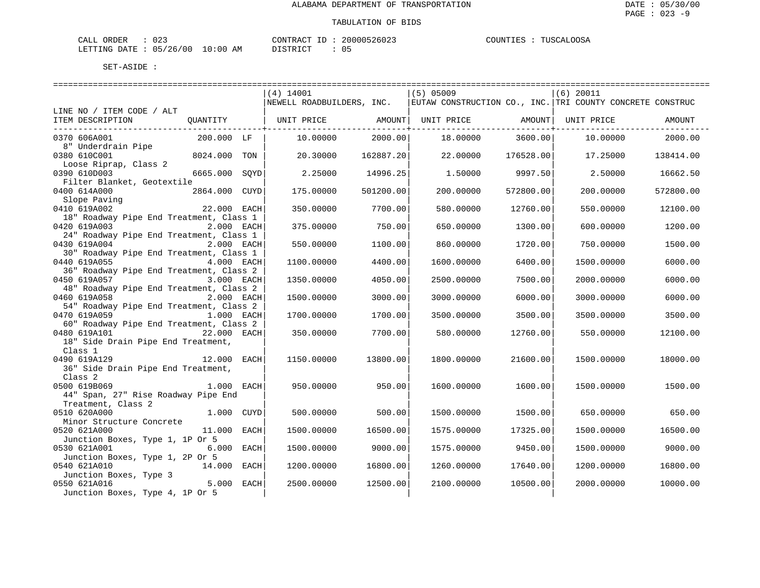| ORDER<br>$\sim$ $ -$<br>$\cdots$<br>للدائر<br>w | $\sim$ $\sim$<br>- U 4 -          |                           | ANTRA,     | 2602          | MTOO3<br>ט ר<br>UUN'T<br>∽.<br>$\triangleright$<br>ە ئالىلى |
|-------------------------------------------------|-----------------------------------|---------------------------|------------|---------------|-------------------------------------------------------------|
| LETTING<br>DATF                                 | ∩⊾<br>00 /<br>ノつよ<br>$\sim$<br>ັບ | : 00<br>$\sim$<br>AM<br>. | דת סידי את | $\sim$<br>ັັັ |                                                             |

|                                                                           |               | $(4)$ 14001                                                                           |           | $(5)$ 05009       |           | $(6)$ 20011 |           |
|---------------------------------------------------------------------------|---------------|---------------------------------------------------------------------------------------|-----------|-------------------|-----------|-------------|-----------|
|                                                                           |               | NEWELL ROADBUILDERS, INC.   EUTAW CONSTRUCTION CO., INC. TRI COUNTY CONCRETE CONSTRUC |           |                   |           |             |           |
| LINE NO / ITEM CODE / ALT                                                 |               |                                                                                       |           |                   |           |             |           |
| ITEM DESCRIPTION                                                          | QUANTITY      | UNIT PRICE AMOUNT                                                                     |           | UNIT PRICE AMOUNT |           | UNIT PRICE  | AMOUNT    |
| ---------------------------                                               |               |                                                                                       |           |                   |           |             |           |
| 0370 606A001                                                              | 200.000 LF    | 10.00000                                                                              | 2000.00   | 18,00000          | 3600.00   | 10.00000    | 2000.00   |
| 8" Underdrain Pipe                                                        |               |                                                                                       |           |                   |           |             |           |
| 0380 610C001                                                              | 8024.000 TON  | 20.30000                                                                              | 162887.20 | 22,00000          | 176528.00 | 17.25000    | 138414.00 |
| Loose Riprap, Class 2                                                     |               |                                                                                       |           |                   |           |             |           |
| 0390 610D003                                                              | 6665.000 SOYD | 2.25000                                                                               | 14996.25  | 1.50000           | 9997.50   | 2.50000     | 16662.50  |
| Filter Blanket, Geotextile                                                |               |                                                                                       |           |                   |           |             |           |
| 0400 614A000                                                              | 2864.000 CUYD | 175.00000                                                                             | 501200.00 | 200,00000         | 572800.00 | 200,00000   | 572800.00 |
|                                                                           |               |                                                                                       |           |                   |           |             |           |
| Exercise Paying<br>Slope Paying<br>22.000 EACH<br>Close 1<br>0410 619A002 |               | 350.00000                                                                             | 7700.00   | 580.00000         | 12760.00  | 550.00000   | 12100.00  |
| 18" Roadway Pipe End Treatment, Class 1                                   |               |                                                                                       |           |                   |           |             |           |
| 0420 619A003                                                              | 2.000 EACH    | 375.00000                                                                             | 750.00    | 650.00000         | 1300.00   | 600.00000   | 1200.00   |
| 24" Roadway Pipe End Treatment, Class 1                                   |               |                                                                                       |           |                   |           |             |           |
| 0430 619A004                                                              | 2.000 EACH    | 550.00000                                                                             | 1100.00   | 860,00000         | 1720.00   | 750.00000   | 1500.00   |
| 30" Roadway Pipe End Treatment, Class 1                                   |               |                                                                                       |           |                   |           |             |           |
| 0440 619A055                                                              | 4.000 EACH    | 1100.00000                                                                            | 4400.00   | 1600.00000        | 6400.00   | 1500.00000  | 6000.00   |
| 36" Roadway Pipe End Treatment, Class 2                                   |               |                                                                                       |           |                   |           |             |           |
| 0450 619A057                                                              | 3.000 EACH    | 1350.00000                                                                            | 4050.00   | 2500.00000        | 7500.00   | 2000.00000  | 6000.00   |
| 48" Roadway Pipe End Treatment, Class 2                                   |               |                                                                                       |           |                   |           |             |           |
| 0460 619A058                                                              | 2.000 EACH    | 1500.00000                                                                            | 3000.00   | 3000.00000        | 6000.00   | 3000.00000  | 6000.00   |
| 54" Roadway Pipe End Treatment, Class 2                                   |               |                                                                                       |           |                   |           |             |           |
| 0470 619A059                                                              | 1.000 EACH    | 1700.00000                                                                            | 1700.00   | 3500.00000        | 3500.00   | 3500.00000  | 3500.00   |
| 60" Roadway Pipe End Treatment, Class 2                                   |               |                                                                                       |           |                   |           |             |           |
| 0480 619A101<br>18" Side Drain Pipe End Treatment,                        | 22.000 EACH   | 350.00000                                                                             | 7700.00   | 580.00000         | 12760.00  | 550.00000   | 12100.00  |
| Class 1                                                                   |               |                                                                                       |           |                   |           |             |           |
| 0490 619A129                                                              | 12.000 EACH   | 1150.00000                                                                            | 13800.00  | 1800.00000        | 21600.00  | 1500.00000  | 18000.00  |
| 36" Side Drain Pipe End Treatment,                                        |               |                                                                                       |           |                   |           |             |           |
| Class <sub>2</sub>                                                        |               |                                                                                       |           |                   |           |             |           |
| 0500 619B069                                                              | 1.000 EACH    | 950.00000                                                                             | 950.00    | 1600.00000        | 1600.00   | 1500.00000  | 1500.00   |
| 44" Span, 27" Rise Roadway Pipe End                                       |               |                                                                                       |           |                   |           |             |           |
| Treatment, Class 2                                                        |               |                                                                                       |           |                   |           |             |           |
| 0510 620A000                                                              | 1.000 CUYD    | 500.00000                                                                             | 500.00    | 1500.00000        | 1500.00   | 650.00000   | 650.00    |
| Minor Structure Concrete                                                  |               |                                                                                       |           |                   |           |             |           |
| 0520 621A000                                                              | 11.000 EACH   | 1500.00000                                                                            | 16500.00  | 1575.00000        | 17325.00  | 1500.00000  | 16500.00  |
| Junction Boxes, Type 1, 1P Or 5                                           |               |                                                                                       |           |                   |           |             |           |
| 0530 621A001                                                              | 6.000 EACH    | 1500.00000                                                                            | 9000.00   | 1575.00000        | 9450.00   | 1500.00000  | 9000.00   |
| Junction Boxes, Type 1, 2P Or 5                                           |               |                                                                                       |           |                   |           |             |           |
| 0540 621A010                                                              | 14.000 EACH   | 1200.00000                                                                            | 16800.00  | 1260.00000        | 17640.00  | 1200.00000  | 16800.00  |
| Junction Boxes, Type 3                                                    |               |                                                                                       |           |                   |           |             |           |
| 0550 621A016                                                              | 5.000 EACH    | 2500.00000                                                                            | 12500.00  | 2100.00000        | 10500.00  | 2000.00000  | 10000.00  |
| Junction Boxes, Type 4, 1P Or 5                                           |               |                                                                                       |           |                   |           |             |           |
|                                                                           |               |                                                                                       |           |                   |           |             |           |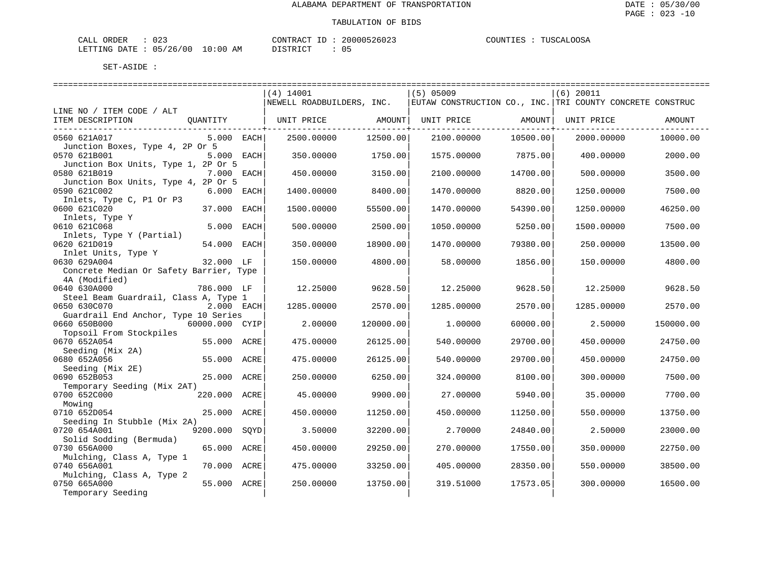| CALL ORDER                      | $\therefore$ 023 |          | CONTRACT ID: 20000526023 | COUNTIES : TUSCALOOSA |
|---------------------------------|------------------|----------|--------------------------|-----------------------|
| LETTING DATE: 05/26/00 10:00 AM |                  | DISTRICT |                          |                       |

|                                         |                  | ============================== |           |                                                           |          |              |           |
|-----------------------------------------|------------------|--------------------------------|-----------|-----------------------------------------------------------|----------|--------------|-----------|
|                                         |                  | $(4)$ 14001                    |           | $(5)$ 05009                                               |          | $ (6)$ 20011 |           |
|                                         |                  | NEWELL ROADBUILDERS, INC.      |           | EUTAW CONSTRUCTION CO., INC. TRI COUNTY CONCRETE CONSTRUC |          |              |           |
| LINE NO / ITEM CODE / ALT               |                  |                                |           |                                                           |          |              |           |
| ITEM DESCRIPTION                        | QUANTITY         | UNIT PRICE AMOUNT              |           | UNIT PRICE AMOUNT                                         |          | UNIT PRICE   | AMOUNT    |
| ----------------------------            |                  |                                |           |                                                           |          |              |           |
| 0560 621A017                            | 5.000 EACH       | 2500.00000                     | 12500.00  | 2100.00000                                                | 10500.00 | 2000.00000   | 10000.00  |
| Junction Boxes, Type 4, 2P Or 5         |                  |                                |           |                                                           |          |              |           |
| 0570 621B001                            | 5.000 EACH       | 350.00000                      | 1750.00   | 1575.00000                                                | 7875.00  | 400.00000    | 2000.00   |
| Junction Box Units, Type 1, 2P Or 5     |                  |                                |           |                                                           |          |              |           |
| 0580 621B019                            | 7.000 EACH       | 450.00000                      | 3150.00   | 2100.00000                                                | 14700.00 | 500.00000    | 3500.00   |
| Junction Box Units, Type 4, 2P Or 5     |                  |                                |           |                                                           |          |              |           |
| 0590 621C002                            | $6.000$ EACH     | 1400.00000                     | 8400.00   | 1470.00000                                                | 8820.00  | 1250.00000   | 7500.00   |
| Inlets, Type C, P1 Or P3                |                  |                                |           |                                                           |          |              |           |
| 0600 621C020                            | 37.000 EACH      | 1500.00000                     | 55500.00  | 1470.00000                                                | 54390.00 | 1250.00000   | 46250.00  |
| Inlets, Type Y                          |                  |                                |           |                                                           |          |              |           |
| 0610 621C068                            | 5.000<br>EACH    | 500.00000                      | 2500.00   | 1050.00000                                                | 5250.00  | 1500.00000   | 7500.00   |
| Inlets, Type Y (Partial)                |                  |                                |           |                                                           |          |              |           |
| 0620 621D019                            | 54.000 EACH      | 350.00000                      | 18900.00  | 1470.00000                                                | 79380.00 | 250.00000    | 13500.00  |
| Inlet Units, Type Y                     |                  |                                |           |                                                           |          |              |           |
| 0630 629A004                            | 32.000 LF        | 150.00000                      | 4800.00   | 58.00000                                                  | 1856.00  | 150.00000    | 4800.00   |
| Concrete Median Or Safety Barrier, Type |                  |                                |           |                                                           |          |              |           |
| 4A (Modified)                           |                  |                                |           |                                                           |          |              |           |
| 0640 630A000                            | 786.000 LF       | 12.25000                       | 9628.50   | 12.25000                                                  | 9628.50  | 12.25000     | 9628.50   |
| Steel Beam Guardrail, Class A, Type 1   |                  |                                |           |                                                           |          |              |           |
| 0650 630C070                            | 2.000 EACH       | 1285.00000                     | 2570.00   | 1285.00000                                                | 2570.00  | 1285.00000   | 2570.00   |
| Guardrail End Anchor, Type 10 Series    |                  |                                |           |                                                           |          |              |           |
| 0660 650B000                            | 60000.000 CYIP   | 2.00000                        | 120000.00 | 1,00000                                                   | 60000.00 | 2.50000      | 150000.00 |
| Topsoil From Stockpiles                 |                  |                                |           |                                                           |          |              |           |
| 0670 652A054                            | 55.000 ACRE      | 475.00000                      | 26125.00  | 540.00000                                                 | 29700.00 | 450.00000    | 24750.00  |
| Seeding (Mix 2A)                        |                  |                                |           |                                                           |          |              |           |
| 0680 652A056                            | 55.000<br>ACRE   | 475.00000                      | 26125.00  | 540.00000                                                 | 29700.00 | 450.00000    | 24750.00  |
| Seeding (Mix 2E)                        |                  |                                |           |                                                           |          |              |           |
| 0690 652B053                            | 25.000 ACRE      | 250.00000                      | 6250.00   | 324.00000                                                 | 8100.00  | 300.00000    | 7500.00   |
| Temporary Seeding (Mix 2AT)             |                  |                                |           |                                                           |          |              |           |
| 0700 652C000                            | 220.000 ACRE     | 45.00000                       | 9900.00   | 27.00000                                                  | 5940.00  | 35.00000     | 7700.00   |
| Mowing                                  |                  |                                |           |                                                           |          |              |           |
| 0710 652D054                            | 25.000 ACRE      | 450.00000                      | 11250.00  | 450.00000                                                 | 11250.00 | 550.00000    | 13750.00  |
| Seeding In Stubble (Mix 2A)             |                  |                                |           |                                                           |          |              |           |
| 0720 654A001                            | 9200.000<br>SOYD | 3.50000                        | 32200.00  | 2.70000                                                   | 24840.00 | 2.50000      | 23000.00  |
| Solid Sodding (Bermuda)                 |                  |                                |           |                                                           |          |              |           |
| 0730 656A000                            | 65.000<br>ACRE   | 450.00000                      | 29250.00  | 270.00000                                                 | 17550.00 | 350.00000    | 22750.00  |
| Mulching, Class A, Type 1               |                  |                                |           |                                                           |          |              |           |
| 0740 656A001                            | 70.000 ACRE      | 475.00000                      | 33250.00  | 405.00000                                                 | 28350.00 | 550.00000    | 38500.00  |
| Mulching, Class A, Type 2               |                  |                                |           |                                                           |          |              |           |
| 0750 665A000                            | 55.000 ACRE      | 250.00000                      | 13750.00  | 319.51000                                                 | 17573.05 | 300.00000    | 16500.00  |
| Temporary Seeding                       |                  |                                |           |                                                           |          |              |           |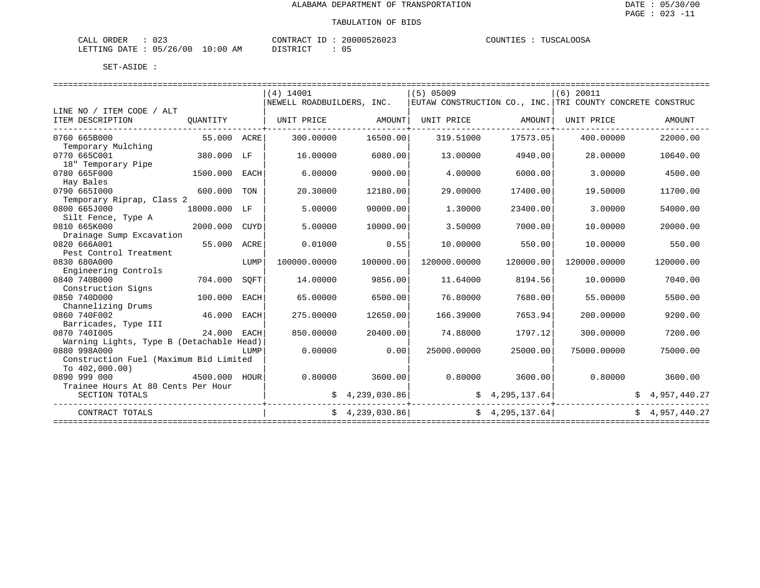| ORDER<br>CALL   | $\Omega$<br>U 4 - |                   | "ONTRAL         | $-260z$ . | COUNT I<br>. TRV | OOS <sub>2</sub><br>TIISCAL.<br> |
|-----------------|-------------------|-------------------|-----------------|-----------|------------------|----------------------------------|
| DATE<br>LETTING | 05/26/00          | 10:00<br>AM<br>__ | <b>דים דמיי</b> | ັັ        |                  |                                  |

|                                          |              |      | $(4)$ 14001               |                 | $(5)$ 05009                                               |                 | $(6)$ 20011  |                |
|------------------------------------------|--------------|------|---------------------------|-----------------|-----------------------------------------------------------|-----------------|--------------|----------------|
|                                          |              |      | NEWELL ROADBUILDERS, INC. |                 | EUTAW CONSTRUCTION CO., INC. TRI COUNTY CONCRETE CONSTRUC |                 |              |                |
| LINE NO / ITEM CODE / ALT                |              |      |                           |                 |                                                           |                 |              |                |
| ITEM DESCRIPTION                         | QUANTITY     |      | UNIT PRICE                | AMOUNT          | UNIT PRICE AMOUNT                                         |                 | UNIT PRICE   | AMOUNT         |
| 0760 665B000                             | 55.000 ACRE  |      | 300.00000                 | 16500.00        | 319.51000                                                 | 17573.05        | 400,00000    | 22000.00       |
| Temporary Mulching                       |              |      |                           |                 |                                                           |                 |              |                |
| 0770 665C001                             | 380.000 LF   |      | 16.00000                  | 6080.00         | 13,00000                                                  | 4940.00         | 28,00000     | 10640.00       |
| 18" Temporary Pipe                       |              |      |                           |                 |                                                           |                 |              |                |
| 0780 665F000                             | 1500.000     | EACH | 6.00000                   | 9000.00         | 4.00000                                                   | 6000.00         | 3.00000      | 4500.00        |
| Hay Bales                                |              |      |                           |                 |                                                           |                 |              |                |
| 0790 6651000                             | 600.000      | TON  | 20.30000                  | 12180.00        | 29.00000                                                  | 17400.00        | 19.50000     | 11700.00       |
| Temporary Riprap, Class 2                |              |      |                           |                 |                                                           |                 |              |                |
| 0800 665J000                             | 18000.000 LF |      | 5.00000                   | 90000.00        | 1,30000                                                   | 23400.00        | 3.00000      | 54000.00       |
| Silt Fence, Type A                       |              |      |                           |                 |                                                           |                 |              |                |
| 0810 665K000                             | 2000.000     | CUYD | 5.00000                   | 10000.00        | 3.50000                                                   | 7000.00         | 10.00000     | 20000.00       |
| Drainage Sump Excavation                 |              |      |                           |                 |                                                           |                 |              |                |
| 0820 666A001                             | 55.000       | ACRE | 0.01000                   | 0.55            | 10.00000                                                  | 550.00          | 10.00000     | 550.00         |
| Pest Control Treatment                   |              |      |                           |                 |                                                           |                 |              |                |
| 0830 680A000                             |              | LUMP | 100000.00000              | 100000.00       | 120000.00000                                              | 120000.00       | 120000.00000 | 120000.00      |
| Engineering Controls                     |              |      |                           |                 |                                                           |                 |              |                |
| 0840 740B000                             | 704.000      | SOFT | 14.00000                  | 9856.00         | 11.64000                                                  | 8194.56         | 10.00000     | 7040.00        |
| Construction Signs                       |              |      |                           |                 |                                                           |                 |              |                |
| 0850 740D000                             | 100.000      | EACH | 65.00000                  | 6500.00         | 76.80000                                                  | 7680.00         | 55.00000     | 5500.00        |
| Channelizing Drums                       |              |      |                           |                 |                                                           |                 |              |                |
| 0860 740F002                             | 46.000       | EACH | 275.00000                 | 12650.00        | 166.39000                                                 | 7653.94         | 200,00000    | 9200.00        |
| Barricades, Type III                     |              |      |                           |                 |                                                           |                 |              |                |
| 0870 7401005                             | 24.000 EACH  |      | 850.00000                 | 20400.00        | 74.88000                                                  | 1797.12         | 300,00000    | 7200.00        |
| Warning Lights, Type B (Detachable Head) |              |      |                           |                 |                                                           |                 |              |                |
| 0880 998A000                             |              | LUMP | 0.00000                   | 0.00            | 25000.00000                                               | 25000.00        | 75000.00000  | 75000.00       |
| Construction Fuel (Maximum Bid Limited   |              |      |                           |                 |                                                           |                 |              |                |
| To $402,000.00$ )                        |              |      |                           |                 |                                                           |                 |              |                |
| 0890 999 000                             | 4500.000     | HOUR | 0.80000                   | 3600.00         | 0.80000                                                   | 3600.00         | 0.80000      | 3600.00        |
| Trainee Hours At 80 Cents Per Hour       |              |      |                           |                 |                                                           |                 |              |                |
| SECTION TOTALS                           |              |      |                           | \$4,239,030.86] |                                                           | \$4,295,137.64] |              | \$4,957,440.27 |
| CONTRACT TOTALS                          |              |      |                           | \$4,239,030.86] |                                                           | \$4,295,137.64] |              | \$4,957,440.27 |
|                                          |              |      |                           |                 |                                                           |                 |              |                |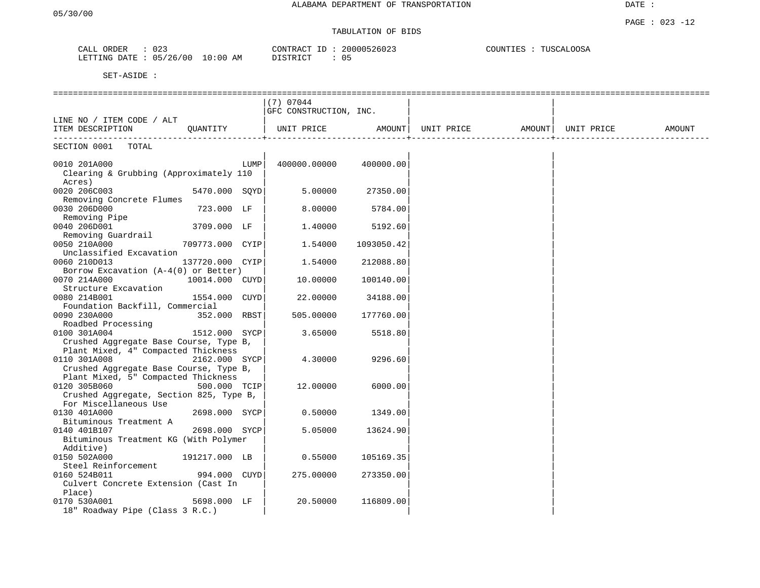## TABULATION OF BIDS

| ORDER<br>CALL | 023                       | ID<br>CONTRACT | 20000526023 | COUNTIES | TUSCALOOSA |
|---------------|---------------------------|----------------|-------------|----------|------------|
| LETTING DATE  | $\cdot$ 05/26/00 10:00 AM | DISTRICT       | $() \eta$   |          |            |

|                                         |                 |      | $(7)$ 07044            |            |                                |  |        |
|-----------------------------------------|-----------------|------|------------------------|------------|--------------------------------|--|--------|
|                                         |                 |      | GFC CONSTRUCTION, INC. |            |                                |  |        |
| LINE NO / ITEM CODE / ALT               |                 |      |                        |            |                                |  |        |
| ITEM DESCRIPTION                        | QUANTITY        |      | UNIT PRICE AMOUNT      |            | UNIT PRICE AMOUNT   UNIT PRICE |  | AMOUNT |
|                                         |                 |      |                        |            |                                |  |        |
| SECTION 0001<br>TOTAL                   |                 |      |                        |            |                                |  |        |
|                                         |                 |      |                        |            |                                |  |        |
| 0010 201A000                            |                 | LUMP | 400000.00000           | 400000.00  |                                |  |        |
| Clearing & Grubbing (Approximately 110  |                 |      |                        |            |                                |  |        |
| Acres)                                  |                 |      |                        |            |                                |  |        |
| 0020 206C003                            | 5470.000 SQYD   |      | 5.00000                | 27350.00   |                                |  |        |
| Removing Concrete Flumes                |                 |      |                        |            |                                |  |        |
| 0030 206D000                            | 723.000 LF      |      | 8.00000                | 5784.00    |                                |  |        |
| Removing Pipe                           |                 |      |                        |            |                                |  |        |
| 0040 206D001                            | 3709.000 LF     |      | 1.40000                | 5192.60    |                                |  |        |
| Removing Guardrail                      |                 |      |                        |            |                                |  |        |
| 0050 210A000                            | 709773.000 CYIP |      | 1.54000                | 1093050.42 |                                |  |        |
| Unclassified Excavation                 |                 |      |                        |            |                                |  |        |
| 0060 210D013                            | 137720.000 CYIP |      | 1.54000                | 212088.80  |                                |  |        |
| Borrow Excavation $(A-4(0))$ or Better) |                 |      |                        |            |                                |  |        |
| 0070 214A000                            | 10014.000 CUYD  |      | 10.00000               | 100140.00  |                                |  |        |
| Structure Excavation                    |                 |      |                        |            |                                |  |        |
| 0080 214B001                            | 1554.000 CUYD   |      | 22.00000               | 34188.00   |                                |  |        |
| Foundation Backfill, Commercial         |                 |      |                        |            |                                |  |        |
| 0090 230A000                            | 352.000 RBST    |      | 505.00000              | 177760.00  |                                |  |        |
| Roadbed Processing                      |                 |      |                        |            |                                |  |        |
| 0100 301A004                            | 1512.000 SYCP   |      | 3.65000                | 5518.80    |                                |  |        |
| Crushed Aggregate Base Course, Type B,  |                 |      |                        |            |                                |  |        |
| Plant Mixed, 4" Compacted Thickness     |                 |      |                        |            |                                |  |        |
| 0110 301A008                            | 2162.000 SYCP   |      | 4.30000                | 9296.60    |                                |  |        |
| Crushed Aggregate Base Course, Type B,  |                 |      |                        |            |                                |  |        |
| Plant Mixed, 5" Compacted Thickness     |                 |      |                        |            |                                |  |        |
| 0120 305B060                            | 500.000 TCIP    |      | 12.00000               | 6000.00    |                                |  |        |
| Crushed Aggregate, Section 825, Type B, |                 |      |                        |            |                                |  |        |
| For Miscellaneous Use                   |                 |      |                        |            |                                |  |        |
| 0130 401A000                            | 2698.000 SYCP   |      | 0.50000                | 1349.00    |                                |  |        |
| Bituminous Treatment A                  |                 |      |                        |            |                                |  |        |
| 0140 401B107                            | 2698.000 SYCP   |      | 5.05000                | 13624.90   |                                |  |        |
| Bituminous Treatment KG (With Polymer   |                 |      |                        |            |                                |  |        |
| Additive)                               |                 |      |                        |            |                                |  |        |
| 0150 502A000                            | 191217.000 LB   |      | 0.55000                | 105169.35  |                                |  |        |
| Steel Reinforcement                     |                 |      |                        |            |                                |  |        |
| 0160 524B011                            | 994.000 CUYD    |      | 275.00000              | 273350.00  |                                |  |        |
| Culvert Concrete Extension (Cast In     |                 |      |                        |            |                                |  |        |
| Place)                                  |                 |      |                        |            |                                |  |        |
| 0170 530A001                            | 5698.000 LF     |      | 20.50000               | 116809.00  |                                |  |        |
| 18" Roadway Pipe (Class 3 R.C.)         |                 |      |                        |            |                                |  |        |
|                                         |                 |      |                        |            |                                |  |        |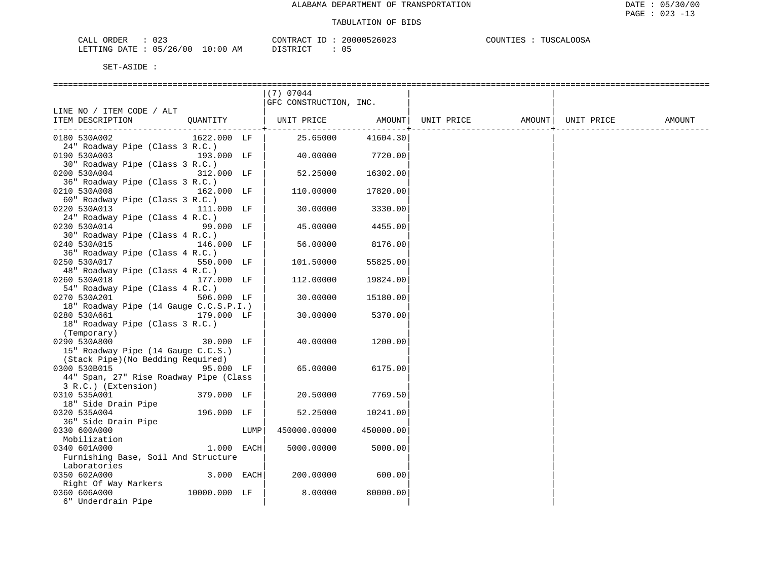| CALL ORDER                      | 023 |          | CONTRACT ID: 20000526023 | COUNTIES | : TUSCALOOSA |
|---------------------------------|-----|----------|--------------------------|----------|--------------|
| LETTING DATE: 05/26/00 10:00 AM |     | DISTRICT |                          |          |              |

|                                                               | (7) 07044              |                     |                   |            |        |
|---------------------------------------------------------------|------------------------|---------------------|-------------------|------------|--------|
|                                                               | GFC CONSTRUCTION, INC. |                     |                   |            |        |
| LINE NO / ITEM CODE / ALT                                     |                        |                     |                   |            |        |
| OUANTITY<br>ITEM DESCRIPTION                                  | UNIT PRICE             | AMOUNT              | UNIT PRICE AMOUNT | UNIT PRICE | AMOUNT |
| 0180 530A002<br>1622.000 LF                                   | 25.65000               | -------<br>41604.30 |                   |            |        |
| 24" Roadway Pipe (Class 3 R.C.)                               |                        |                     |                   |            |        |
| 0190 530A003<br>193.000 LF                                    | 40.00000               | 7720.00             |                   |            |        |
| 30" Roadway Pipe (Class 3 R.C.)                               |                        |                     |                   |            |        |
| 0200 530A004<br>312.000 LF                                    | 52.25000               | 16302.00            |                   |            |        |
| 36" Roadway Pipe (Class 3 R.C.)                               |                        |                     |                   |            |        |
| 0210 530A008<br>162.000 LF                                    | 110.00000              | 17820.00            |                   |            |        |
| 60" Roadway Pipe (Class 3 R.C.)                               |                        |                     |                   |            |        |
| 0220 530A013<br>111.000 LF                                    | 30.00000               | 3330.00             |                   |            |        |
| 24" Roadway Pipe (Class 4 R.C.)                               |                        |                     |                   |            |        |
| 0230 530A014<br>99.000 LF                                     | 45.00000               | 4455.00             |                   |            |        |
| 30" Roadway Pipe (Class 4 R.C.)                               |                        |                     |                   |            |        |
| 0240 530A015<br>146.000 LF                                    | 56.00000               | 8176.00             |                   |            |        |
| 36" Roadway Pipe (Class 4 R.C.)                               |                        |                     |                   |            |        |
| 0250 530A017<br>550.000 LF                                    | 101.50000              | 55825.00            |                   |            |        |
| 48" Roadway Pipe (Class 4 R.C.)                               |                        |                     |                   |            |        |
| 0260 530A018<br>177.000 LF                                    | 112.00000              | 19824.00            |                   |            |        |
| 54" Roadway Pipe (Class 4 R.C.)                               |                        |                     |                   |            |        |
| 0270 530A201<br>506.000 LF                                    | 30,00000               | 15180.00            |                   |            |        |
| 18" Roadway Pipe (14 Gauge C.C.S.P.I.)                        |                        |                     |                   |            |        |
| 0280 530A661<br>179.000 LF<br>18" Roadway Pipe (Class 3 R.C.) | 30.00000               | 5370.00             |                   |            |        |
| (Temporary)                                                   |                        |                     |                   |            |        |
| 0290 530A800<br>30.000 LF                                     | 40.00000               | 1200.00             |                   |            |        |
| 15" Roadway Pipe (14 Gauge C.C.S.)                            |                        |                     |                   |            |        |
| (Stack Pipe) (No Bedding Required)                            |                        |                     |                   |            |        |
| 0300 530B015<br>95.000 LF                                     | 65.00000               | 6175.00             |                   |            |        |
| 44" Span, 27" Rise Roadway Pipe (Class                        |                        |                     |                   |            |        |
| 3 R.C.) (Extension)                                           |                        |                     |                   |            |        |
| 0310 535A001<br>379.000 LF                                    | 20.50000               | 7769.50             |                   |            |        |
| 18" Side Drain Pipe                                           |                        |                     |                   |            |        |
| 196.000 LF<br>0320 535A004                                    | 52.25000               | 10241.00            |                   |            |        |
| 36" Side Drain Pipe                                           |                        |                     |                   |            |        |
| 0330 600A000<br>LUMP                                          | 450000.00000           | 450000.00           |                   |            |        |
| Mobilization                                                  |                        |                     |                   |            |        |
| 1.000 EACH<br>0340 601A000                                    | 5000.00000             | 5000.00             |                   |            |        |
| Furnishing Base, Soil And Structure                           |                        |                     |                   |            |        |
| Laboratories                                                  |                        |                     |                   |            |        |
| 0350 602A000<br>3.000 EACH                                    | 200.00000              | 600.00              |                   |            |        |
| Right Of Way Markers                                          |                        |                     |                   |            |        |
| 10000.000 LF<br>0360 606A000                                  | 8.00000                | 80000.00            |                   |            |        |
| 6" Underdrain Pipe                                            |                        |                     |                   |            |        |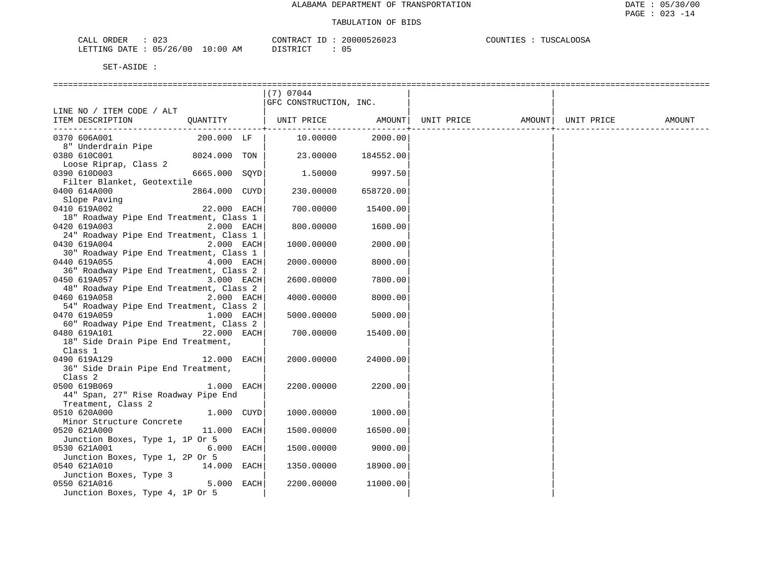| ົ່<br>ORDER<br>لىلطات<br>∪∠ ک                                |           | CONTR<br>$\sim$<br>マムし   | 0.0000<br>របបបច<br>26023 | nns:<br>````` '∆ \ …<br>.<br>וחוונ<br>. <i>. .</i> |
|--------------------------------------------------------------|-----------|--------------------------|--------------------------|----------------------------------------------------|
| $\sim$ $-$<br>00'<br>'26<br>LETTING<br>יים מח<br>ハト<br>, , , | :00<br>AΜ | $G$ mn T $G$ m<br>$\sim$ | <u>-</u>                 |                                                    |

|                                                               |               | $(7)$ 07044                                                 |           |  |        |
|---------------------------------------------------------------|---------------|-------------------------------------------------------------|-----------|--|--------|
|                                                               |               | GFC CONSTRUCTION, INC.                                      |           |  |        |
| LINE NO / ITEM CODE / ALT                                     |               |                                                             |           |  |        |
| ITEM DESCRIPTION                                              |               | QUANTITY   UNIT PRICE AMOUNT  UNIT PRICE AMOUNT  UNIT PRICE |           |  | AMOUNT |
|                                                               |               |                                                             |           |  |        |
| 0370 606A001                                                  | 200.000 LF    | 10.00000                                                    | 2000.00   |  |        |
| 8" Underdrain Pipe                                            |               |                                                             |           |  |        |
| 0380 610C001                                                  | 8024.000 TON  | 23.00000 184552.00                                          |           |  |        |
| Loose Riprap, Class 2                                         |               |                                                             |           |  |        |
| 0390 610D003                                                  | 6665.000 SOYD | 1.50000                                                     | 9997.50   |  |        |
| Filter Blanket, Geotextile                                    |               |                                                             |           |  |        |
| 0400 614A000                                                  | 2864.000 CUYD | 230.00000                                                   | 658720.00 |  |        |
|                                                               |               |                                                             |           |  |        |
| EUU ULANDER<br>Slope Paving<br>Alander Canada<br>0410 619A002 | 22.000 EACH   | 700.00000                                                   | 15400.00  |  |        |
| 18" Roadway Pipe End Treatment, Class 1                       |               |                                                             |           |  |        |
| 0420 619A003                                                  | 2.000 EACH    | 800,00000                                                   | 1600.00   |  |        |
| 24" Roadway Pipe End Treatment, Class 1                       |               |                                                             |           |  |        |
| 0430 619A004                                                  | 2.000 EACH    | 1000.00000                                                  | 2000.00   |  |        |
| 30" Roadway Pipe End Treatment, Class 1                       |               |                                                             |           |  |        |
| 0440 619A055                                                  | 4.000 EACH    | 2000.00000                                                  | 8000.00   |  |        |
| 36" Roadway Pipe End Treatment, Class 2                       |               |                                                             |           |  |        |
| 0450 619A057                                                  | 3.000 EACH    | 2600.00000                                                  | 7800.00   |  |        |
| 48" Roadway Pipe End Treatment, Class 2                       |               |                                                             |           |  |        |
| 0460 619A058                                                  | 2.000 EACH    | 4000.00000                                                  | 8000.00   |  |        |
| 54" Roadway Pipe End Treatment, Class 2                       |               |                                                             |           |  |        |
| 0470 619A059                                                  | 1.000 EACH    | 5000.00000                                                  | 5000.00   |  |        |
| 60" Roadway Pipe End Treatment, Class 2                       |               |                                                             |           |  |        |
|                                                               |               |                                                             |           |  |        |
| 0480 619A101<br>18" Side Drain Pipe End Treatment,            | 22.000 EACH   | 700.00000                                                   | 15400.00  |  |        |
|                                                               |               |                                                             |           |  |        |
| Class 1                                                       |               |                                                             |           |  |        |
| 0490 619A129                                                  | 12.000 EACH   | 2000.00000                                                  | 24000.00  |  |        |
| 36" Side Drain Pipe End Treatment,                            |               |                                                             |           |  |        |
| Class 2                                                       |               |                                                             |           |  |        |
| 0500 619B069                                                  | 1.000 EACH    | 2200.00000                                                  | 2200.00   |  |        |
| 44" Span, 27" Rise Roadway Pipe End                           |               |                                                             |           |  |        |
| Treatment, Class 2                                            |               |                                                             |           |  |        |
| 0510 620A000                                                  | 1.000 CUYD    | 1000.00000                                                  | 1000.00   |  |        |
| Minor Structure Concrete                                      |               |                                                             |           |  |        |
| 0520 621A000                                                  | 11.000 EACH   | 1500.00000                                                  | 16500.00  |  |        |
| Junction Boxes, Type 1, 1P Or 5                               |               |                                                             |           |  |        |
| 0530 621A001                                                  | 6.000 EACH    | 1500.00000                                                  | 9000.00   |  |        |
| Junction Boxes, Type 1, 2P Or 5                               |               |                                                             |           |  |        |
| 0540 621A010                                                  | 14.000 EACH   | 1350.00000                                                  | 18900.00  |  |        |
| Junction Boxes, Type 3                                        |               |                                                             |           |  |        |
| 0550 621A016                                                  | 5.000 EACH    | 2200.00000                                                  | 11000.00  |  |        |
| Junction Boxes, Type 4, 1P Or 5                               |               |                                                             |           |  |        |
|                                                               |               |                                                             |           |  |        |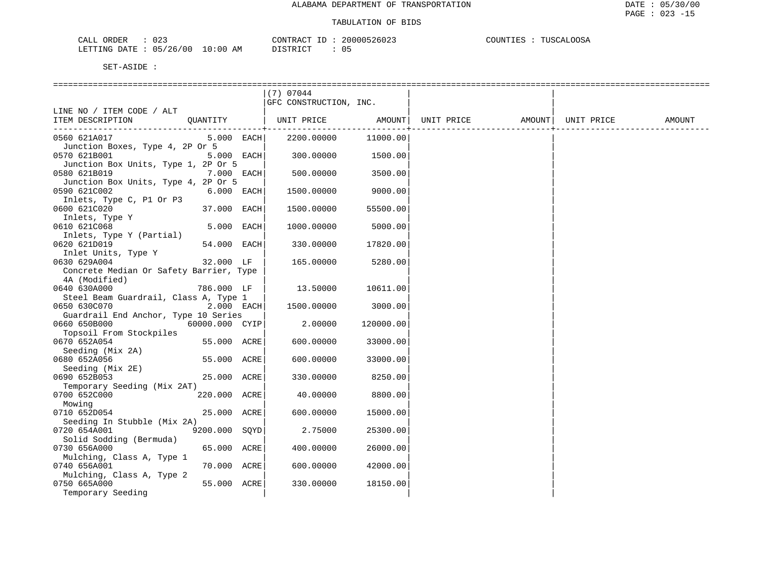| CALL ORDER                      | 023 | CONTRACT ID: 20000526023 | COUNTIES : TUSCALOOSA |
|---------------------------------|-----|--------------------------|-----------------------|
| LETTING DATE: 05/26/00 10:00 AM |     | DISTRICT                 |                       |

|                                         |                | (7) 07044              |           |            |                    |        |
|-----------------------------------------|----------------|------------------------|-----------|------------|--------------------|--------|
|                                         |                | GFC CONSTRUCTION, INC. |           |            |                    |        |
| LINE NO / ITEM CODE / ALT               |                |                        |           |            |                    |        |
| ITEM DESCRIPTION                        |                |                        |           | UNIT PRICE | AMOUNT  UNIT PRICE | AMOUNT |
|                                         |                |                        |           |            |                    |        |
| 0560 621A017                            | $5.000$ EACH   | 2200.00000             | 11000.00  |            |                    |        |
| Junction Boxes, Type 4, 2P Or 5         |                |                        |           |            |                    |        |
| 0570 621B001                            | 5.000 EACH     | 300.00000              | 1500.00   |            |                    |        |
| Junction Box Units, Type 1, 2P Or 5     |                |                        |           |            |                    |        |
| 0580 621B019                            | 7.000 EACH     | 500.00000              | 3500.00   |            |                    |        |
| Junction Box Units, Type 4, 2P Or 5     |                |                        |           |            |                    |        |
| 0590 621C002                            | 6.000 EACH     | 1500.00000             | 9000.00   |            |                    |        |
| Inlets, Type C, P1 Or P3                |                |                        |           |            |                    |        |
| 0600 621C020                            | 37.000 EACH    | 1500.00000             | 55500.00  |            |                    |        |
| Inlets, Type Y                          |                |                        |           |            |                    |        |
| 0610 621C068                            | 5.000 EACH     | 1000.00000             | 5000.00   |            |                    |        |
| Inlets, Type Y (Partial)                |                |                        |           |            |                    |        |
| 0620 621D019                            | 54.000 EACH    | 330.00000              | 17820.00  |            |                    |        |
| Inlet Units, Type Y                     |                |                        |           |            |                    |        |
| 0630 629A004                            | 32.000 LF      | 165.00000              | 5280.00   |            |                    |        |
| Concrete Median Or Safety Barrier, Type |                |                        |           |            |                    |        |
| 4A (Modified)                           |                |                        |           |            |                    |        |
| 0640 630A000                            | 786.000 LF     | 13.50000               | 10611.00  |            |                    |        |
| Steel Beam Guardrail, Class A, Type 1   |                |                        |           |            |                    |        |
| $2.000$ EACH<br>0650 630C070            |                | 1500.00000             | 3000.00   |            |                    |        |
| Guardrail End Anchor, Type 10 Series    |                |                        |           |            |                    |        |
| 0660 650B000                            | 60000.000 CYIP | 2.00000                | 120000.00 |            |                    |        |
| Topsoil From Stockpiles                 |                |                        |           |            |                    |        |
| 0670 652A054                            | 55.000 ACRE    | 600.00000              | 33000.00  |            |                    |        |
| Seeding (Mix 2A)                        |                |                        |           |            |                    |        |
| 0680 652A056                            | 55.000 ACRE    | 600.00000              | 33000.00  |            |                    |        |
| Seeding (Mix 2E)                        |                |                        |           |            |                    |        |
| 0690 652B053                            | 25.000 ACRE    | 330.00000              | 8250.00   |            |                    |        |
| Temporary Seeding (Mix 2AT)             |                |                        |           |            |                    |        |
| 0700 652C000                            | 220.000 ACRE   | 40.00000               | 8800.00   |            |                    |        |
| Mowing                                  |                |                        |           |            |                    |        |
| 0710 652D054                            | 25.000 ACRE    | 600.00000              | 15000.00  |            |                    |        |
| Seeding In Stubble (Mix 2A)             |                |                        |           |            |                    |        |
| 0720 654A001                            | 9200.000 SQYD  | 2.75000                | 25300.00  |            |                    |        |
| Solid Sodding (Bermuda)                 |                |                        |           |            |                    |        |
| 0730 656A000                            | 65.000 ACRE    | 400.00000              | 26000.00  |            |                    |        |
| Mulching, Class A, Type 1               |                |                        |           |            |                    |        |
| 0740 656A001                            | 70.000 ACRE    | 600.00000              | 42000.00  |            |                    |        |
| Mulching, Class A, Type 2               |                |                        |           |            |                    |        |
| 0750 665A000                            | 55.000 ACRE    |                        |           |            |                    |        |
| Temporary Seeding                       |                | 330.00000              | 18150.00  |            |                    |        |
|                                         |                |                        |           |            |                    |        |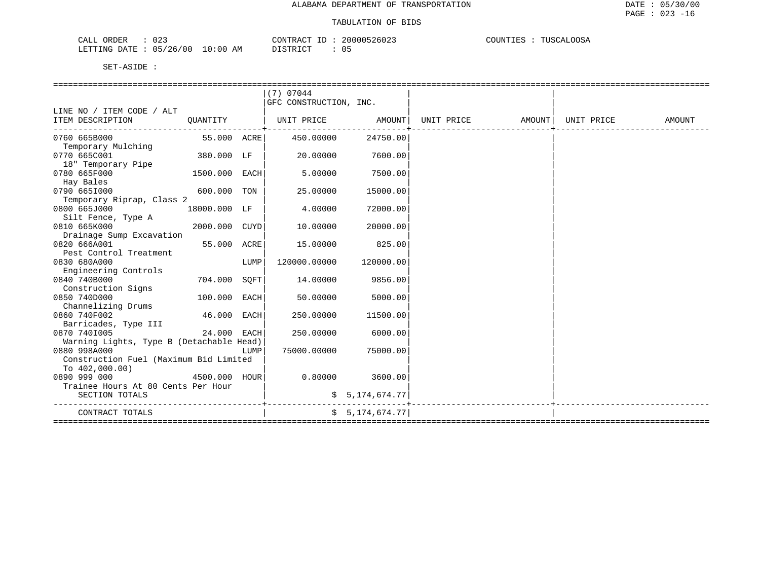| 023<br>ORDER<br>CALL     |            | CONTRACT<br>. . | 20000526023 | COUNTIES<br>TUSCALOOSA |
|--------------------------|------------|-----------------|-------------|------------------------|
| 05/26/00<br>LETTING DATE | $10:00$ AM | דת סידים דת     |             |                        |

|                                          |               |      | (7) 07044              |                |                                                                                       |  |        |
|------------------------------------------|---------------|------|------------------------|----------------|---------------------------------------------------------------------------------------|--|--------|
|                                          |               |      | GFC CONSTRUCTION, INC. |                |                                                                                       |  |        |
| LINE NO / ITEM CODE / ALT                |               |      |                        |                |                                                                                       |  |        |
| ITEM DESCRIPTION                         | OUANTITY      |      |                        |                | UNIT PRICE                 AMOUNT    UNIT PRICE                  AMOUNT    UNIT PRICE |  | AMOUNT |
|                                          |               |      |                        |                |                                                                                       |  |        |
| 0760 665B000                             | 55.000 ACRE   |      | 450.00000              | 24750.00       |                                                                                       |  |        |
| Temporary Mulching                       |               |      |                        |                |                                                                                       |  |        |
| 0770 665C001                             | 380.000 LF    |      | 20.00000               | 7600.00        |                                                                                       |  |        |
| 18" Temporary Pipe                       |               |      |                        |                |                                                                                       |  |        |
| 0780 665F000                             | 1500.000 EACH |      | 5,00000                | 7500.00        |                                                                                       |  |        |
| Hay Bales                                |               |      |                        |                |                                                                                       |  |        |
| 0790 6651000                             | 600.000 TON   |      | 25.00000               | 15000.00       |                                                                                       |  |        |
| Temporary Riprap, Class 2                |               |      |                        |                |                                                                                       |  |        |
| 0800 665J000                             | 18000.000 LF  |      | 4.00000                | 72000.00       |                                                                                       |  |        |
| Silt Fence, Type A                       |               |      |                        |                |                                                                                       |  |        |
| 0810 665K000                             | 2000.000 CUYD |      | 10.00000               | 20000.00       |                                                                                       |  |        |
| Drainage Sump Excavation                 |               |      |                        |                |                                                                                       |  |        |
| 0820 666A001                             | 55.000 ACRE   |      | 15.00000               | 825.00         |                                                                                       |  |        |
| Pest Control Treatment                   |               |      |                        |                |                                                                                       |  |        |
| 0830 680A000                             |               | LUMP | 120000.00000           | 120000.00      |                                                                                       |  |        |
| Engineering Controls                     |               |      |                        |                |                                                                                       |  |        |
| 0840 740B000                             | 704.000       | SOFT | 14.00000               | 9856.00        |                                                                                       |  |        |
| Construction Signs                       |               |      |                        |                |                                                                                       |  |        |
| 0850 740D000                             | 100.000 EACH  |      | 50.00000               | 5000.00        |                                                                                       |  |        |
| Channelizing Drums                       |               |      |                        |                |                                                                                       |  |        |
| 0860 740F002                             | 46.000 EACH   |      | 250.00000              | 11500.00       |                                                                                       |  |        |
| Barricades, Type III                     |               |      |                        |                |                                                                                       |  |        |
| 0870 7401005                             | 24.000 EACH   |      | 250.00000              | 6000.00        |                                                                                       |  |        |
| Warning Lights, Type B (Detachable Head) |               |      |                        |                |                                                                                       |  |        |
| 0880 998A000                             |               | LUMP | 75000.00000            | 75000.00       |                                                                                       |  |        |
| Construction Fuel (Maximum Bid Limited   |               |      |                        |                |                                                                                       |  |        |
| To $402,000.00$                          |               |      |                        |                |                                                                                       |  |        |
| 0890 999 000                             | 4500.000 hour |      | 0.80000                | 3600.00        |                                                                                       |  |        |
| Trainee Hours At 80 Cents Per Hour       |               |      |                        |                |                                                                                       |  |        |
| SECTION TOTALS                           |               |      |                        | \$5,174,674.77 |                                                                                       |  |        |
|                                          |               |      |                        |                |                                                                                       |  |        |
| CONTRACT TOTALS                          |               |      |                        | \$5,174,674.77 |                                                                                       |  |        |
|                                          |               |      |                        |                |                                                                                       |  |        |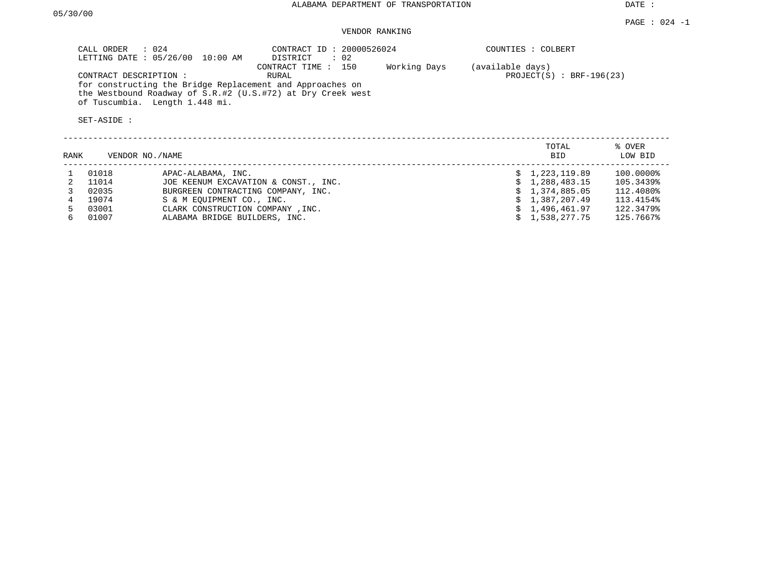DATE :

### VENDOR RANKING

| CALL ORDER : 024<br>LETTING DATE: 05/26/00<br>10:00 AM                                                                                                     | CONTRACT ID: 20000526024<br>$\therefore$ 02<br>DISTRICT |              | COUNTIES : COLBERT                             |
|------------------------------------------------------------------------------------------------------------------------------------------------------------|---------------------------------------------------------|--------------|------------------------------------------------|
| CONTRACT DESCRIPTION :                                                                                                                                     | CONTRACT TIME : 150<br>RURAL                            | Working Days | (available days)<br>$PROJECT(S) : BRF-196(23)$ |
| for constructing the Bridge Replacement and Approaches on<br>the Westbound Roadway of S.R.#2 (U.S.#72) at Dry Creek west<br>of Tuscumbia. Length 1.448 mi. |                                                         |              |                                                |
| SET-ASIDE :                                                                                                                                                |                                                         |              |                                                |
|                                                                                                                                                            |                                                         |              |                                                |

| RANK |       | VENDOR NO./NAME                      | TOTAL<br><b>BID</b> | % OVER<br>LOW BID |
|------|-------|--------------------------------------|---------------------|-------------------|
|      | 01018 | APAC-ALABAMA, INC.                   | \$1,223,119.89      | 100.0000%         |
|      | 11014 | JOE KEENUM EXCAVATION & CONST., INC. | \$1,288,483.15      | 105.3439%         |
|      | 02035 | BURGREEN CONTRACTING COMPANY, INC.   | \$1,374,885.05      | 112,4080%         |
|      | 19074 | S & M EOUIPMENT CO., INC.            | \$1,387,207.49      | 113.4154%         |
|      | 03001 | CLARK CONSTRUCTION COMPANY, INC.     | \$1,496,461.97      | 122.3479%         |
| რ -  | 01007 | ALABAMA BRIDGE BUILDERS, INC.        | \$1,538,277.75      | 125.7667%         |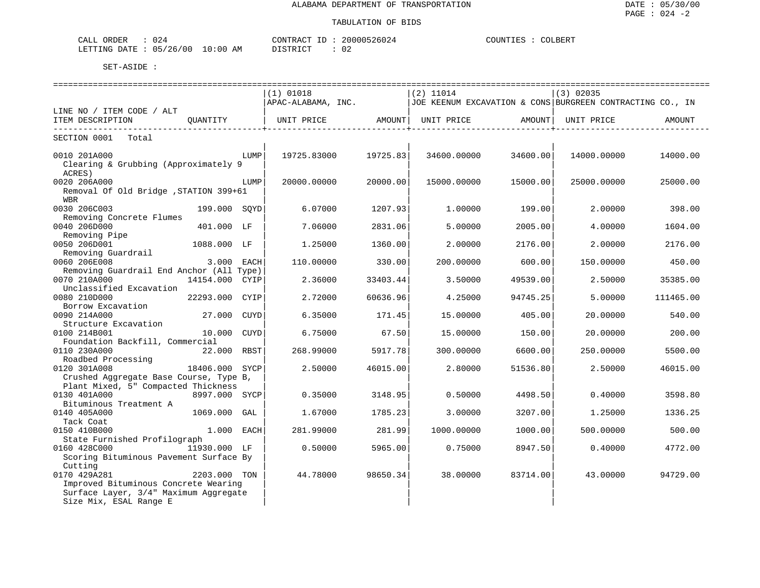| ORDER<br>$\sim$<br>CALL<br>U 4      |             | CONTRACT                         | 30000526024  | COLBERT<br>COUNTIES |
|-------------------------------------|-------------|----------------------------------|--------------|---------------------|
| /26<br>/00<br>05<br>LETTING<br>DATE | 10:00<br>ΑM | דים דמידי פידים<br>, + + + + + + | $\sim$<br>◡▵ |                     |

|                                                |                |            | ----------------------------- |                  |                                                           |                    | =================== |           |
|------------------------------------------------|----------------|------------|-------------------------------|------------------|-----------------------------------------------------------|--------------------|---------------------|-----------|
|                                                |                |            | $(1)$ 01018                   |                  | $(2)$ 11014                                               |                    | $(3)$ 02035         |           |
|                                                |                |            | APAC-ALABAMA, INC.            |                  | JOE KEENUM EXCAVATION & CONS BURGREEN CONTRACTING CO., IN |                    |                     |           |
| LINE NO / ITEM CODE / ALT                      |                |            |                               |                  |                                                           |                    |                     |           |
| ITEM DESCRIPTION                               | QUANTITY       |            | UNIT PRICE AMOUNT             |                  | UNIT PRICE                                                | AMOUNT             | UNIT PRICE          | AMOUNT    |
| ------------------------<br>SECTION 0001 Total |                |            |                               | ---------------- |                                                           | ------------------ |                     |           |
|                                                |                |            |                               |                  |                                                           |                    |                     |           |
| 0010 201A000                                   |                | LUMP       | 19725.83000                   | 19725.83         | 34600.00000                                               | 34600.00           | 14000.00000         | 14000.00  |
| Clearing & Grubbing (Approximately 9           |                |            |                               |                  |                                                           |                    |                     |           |
| ACRES)                                         |                |            |                               |                  |                                                           |                    |                     |           |
| 0020 206A000                                   |                | LUMP       | 20000.00000                   | 20000.00         | 15000.00000                                               | 15000.00           | 25000.00000         | 25000.00  |
| Removal Of Old Bridge , STATION 399+61         |                |            |                               |                  |                                                           |                    |                     |           |
| <b>WBR</b>                                     |                |            |                               |                  |                                                           |                    |                     |           |
| 0030 206C003                                   | 199.000 SOYD   |            | 6.07000                       | 1207.93          | 1,00000                                                   | 199.00             | 2.00000             | 398.00    |
| Removing Concrete Flumes                       |                |            |                               |                  |                                                           |                    |                     |           |
| 0040 206D000                                   | 401.000 LF     |            | 7.06000                       | 2831.06          | 5.00000                                                   | 2005.00            | 4.00000             | 1604.00   |
| Removing Pipe                                  |                |            |                               |                  |                                                           |                    |                     |           |
| 0050 206D001                                   | 1088.000 LF    |            | 1.25000                       | 1360.00          | 2.00000                                                   | 2176.00            | 2.00000             | 2176.00   |
| Removing Guardrail                             |                |            |                               |                  |                                                           |                    |                     |           |
| 0060 206E008                                   |                | 3.000 EACH | 110,00000                     | 330.00           | 200.00000                                                 | 600.00             | 150.00000           | 450.00    |
| Removing Guardrail End Anchor (All Type)       |                |            |                               |                  |                                                           |                    |                     |           |
| 0070 210A000                                   | 14154.000 CYIP |            | 2.36000                       | 33403.44         | 3.50000                                                   | 49539.00           | 2.50000             | 35385.00  |
| Unclassified Excavation                        |                |            |                               |                  |                                                           |                    |                     |           |
| 0080 210D000                                   | 22293.000 CYIP |            | 2.72000                       | 60636.96         | 4.25000                                                   | 94745.25           | 5.00000             | 111465.00 |
| Borrow Excavation                              |                |            |                               |                  |                                                           |                    |                     |           |
| 0090 214A000                                   | 27.000 CUYD    |            | 6.35000                       | 171.45           | 15.00000                                                  | 405.00             | 20.00000            | 540.00    |
| Structure Excavation                           |                |            |                               |                  |                                                           |                    |                     |           |
| 0100 214B001                                   | 10.000 CUYD    |            | 6.75000                       | 67.50            | 15.00000                                                  | 150.00             | 20.00000            | 200.00    |
| Foundation Backfill, Commercial                |                |            |                               |                  |                                                           |                    |                     |           |
| 0110 230A000                                   | 22.000 RBST    |            | 268.99000                     | 5917.78          | 300.00000                                                 | 6600.00            | 250.00000           | 5500.00   |
| Roadbed Processing                             |                |            |                               |                  |                                                           |                    |                     |           |
| 0120 301A008                                   | 18406.000 SYCP |            | 2.50000                       | 46015.00         | 2.80000                                                   | 51536.80           | 2.50000             | 46015.00  |
| Crushed Aggregate Base Course, Type B,         |                |            |                               |                  |                                                           |                    |                     |           |
| Plant Mixed, 5" Compacted Thickness            |                |            |                               |                  |                                                           |                    |                     |           |
| 0130 401A000                                   | 8997.000 SYCP  |            | 0.35000                       | 3148.95          | 0.50000                                                   | 4498.50            | 0.40000             | 3598.80   |
| Bituminous Treatment A                         |                |            |                               |                  |                                                           |                    |                     |           |
| 0140 405A000                                   | 1069.000 GAL   |            | 1.67000                       | 1785.23          | 3.00000                                                   | 3207.00            | 1.25000             | 1336.25   |
| Tack Coat                                      |                |            |                               |                  |                                                           |                    |                     |           |
| 0150 410B000                                   | 1.000 EACH     |            | 281.99000                     | 281.99           | 1000.00000                                                | 1000.00            | 500.00000           | 500.00    |
| State Furnished Profilograph                   |                |            |                               |                  |                                                           |                    |                     |           |
| 0160 428C000                                   | 11930.000 LF   |            | 0.50000                       | 5965.00          | 0.75000                                                   | 8947.50            | 0.40000             | 4772.00   |
| Scoring Bituminous Pavement Surface By         |                |            |                               |                  |                                                           |                    |                     |           |
| Cutting                                        |                |            |                               |                  |                                                           |                    |                     |           |
| 0170 429A281                                   | 2203.000 TON   |            | 44.78000                      | 98650.34         | 38.00000                                                  | 83714.00           | 43.00000            | 94729.00  |
| Improved Bituminous Concrete Wearing           |                |            |                               |                  |                                                           |                    |                     |           |
| Surface Layer, 3/4" Maximum Aggregate          |                |            |                               |                  |                                                           |                    |                     |           |
| Size Mix, ESAL Range E                         |                |            |                               |                  |                                                           |                    |                     |           |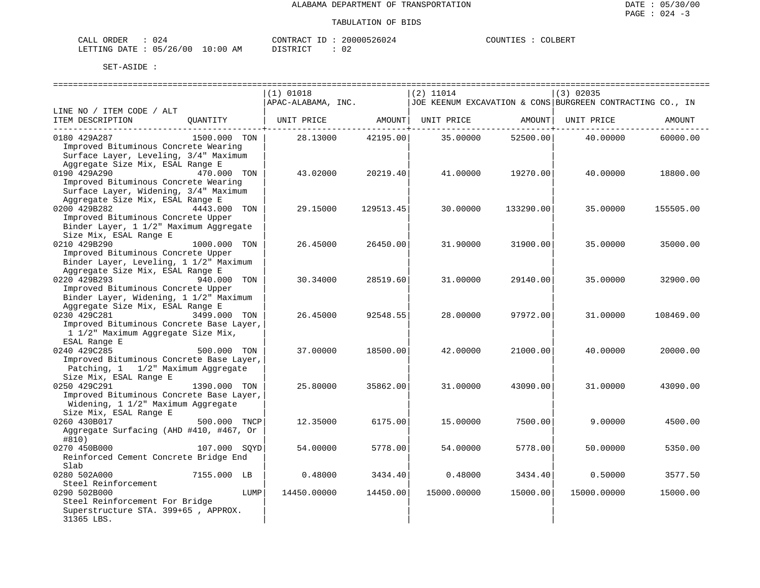| CALI<br>DRDER                 | "∠ل      |    | CONTRACT<br>TD.  | 000526024<br>2006 | COUNTIF<br>. TRZ | COLBERT |
|-------------------------------|----------|----|------------------|-------------------|------------------|---------|
| <b>DATE</b><br><b>LETTING</b> | 05/26/00 | ΆM | ד פידים ד $\sim$ | n r<br>υz         |                  |         |

|                                                   |              |      | $(1)$ 01018        |           | $(2)$ 11014 |           | (3) 02035                                                 |           |
|---------------------------------------------------|--------------|------|--------------------|-----------|-------------|-----------|-----------------------------------------------------------|-----------|
|                                                   |              |      | APAC-ALABAMA, INC. |           |             |           | JOE KEENUM EXCAVATION & CONS BURGREEN CONTRACTING CO., IN |           |
| LINE NO / ITEM CODE / ALT                         |              |      |                    |           |             |           |                                                           |           |
| ITEM DESCRIPTION                                  | OUANTITY     |      | UNIT PRICE         | AMOUNT    | UNIT PRICE  | AMOUNT    | UNIT PRICE                                                | AMOUNT    |
| 0180 429A287                                      | 1500.000 TON |      | 28.13000           | 42195.00  | 35.00000    | 52500.00  | 40.00000                                                  | 60000.00  |
| Improved Bituminous Concrete Wearing              |              |      |                    |           |             |           |                                                           |           |
| Surface Layer, Leveling, 3/4" Maximum             |              |      |                    |           |             |           |                                                           |           |
| Aggregate Size Mix, ESAL Range E                  |              |      |                    |           |             |           |                                                           |           |
| 0190 429A290                                      | 470.000 TON  |      | 43.02000           | 20219.40  | 41.00000    | 19270.00  | 40.00000                                                  | 18800.00  |
| Improved Bituminous Concrete Wearing              |              |      |                    |           |             |           |                                                           |           |
| Surface Layer, Widening, 3/4" Maximum             |              |      |                    |           |             |           |                                                           |           |
| Aggregate Size Mix, ESAL Range E                  |              |      |                    |           |             |           |                                                           |           |
| 0200 429B282                                      | 4443.000 TON |      | 29.15000           | 129513.45 | 30.00000    | 133290.00 | 35,00000                                                  | 155505.00 |
| Improved Bituminous Concrete Upper                |              |      |                    |           |             |           |                                                           |           |
| Binder Layer, 1 1/2" Maximum Aggregate            |              |      |                    |           |             |           |                                                           |           |
| Size Mix, ESAL Range E                            |              |      |                    |           |             |           |                                                           |           |
| 0210 429B290                                      | 1000.000 TON |      | 26.45000           | 26450.00  | 31.90000    | 31900.00  | 35.00000                                                  | 35000.00  |
| Improved Bituminous Concrete Upper                |              |      |                    |           |             |           |                                                           |           |
| Binder Layer, Leveling, 1 1/2" Maximum            |              |      |                    |           |             |           |                                                           |           |
| Aggregate Size Mix, ESAL Range E                  |              |      |                    |           |             |           |                                                           |           |
| 0220 429B293                                      | 940.000 TON  |      | 30.34000           | 28519.60  | 31.00000    | 29140.00  | 35.00000                                                  | 32900.00  |
| Improved Bituminous Concrete Upper                |              |      |                    |           |             |           |                                                           |           |
| Binder Layer, Widening, 1 1/2" Maximum            |              |      |                    |           |             |           |                                                           |           |
| Aggregate Size Mix, ESAL Range E                  |              |      |                    |           |             |           |                                                           |           |
| 0230 429C281                                      | 3499.000 TON |      | 26.45000           | 92548.55  | 28.00000    | 97972.00  | 31,00000                                                  | 108469.00 |
| Improved Bituminous Concrete Base Layer,          |              |      |                    |           |             |           |                                                           |           |
| 1 1/2" Maximum Aggregate Size Mix,                |              |      |                    |           |             |           |                                                           |           |
| ESAL Range E                                      |              |      |                    |           |             |           |                                                           |           |
| 0240 429C285                                      | 500.000 TON  |      | 37.00000           | 18500.00  | 42.00000    | 21000.00  | 40.00000                                                  | 20000.00  |
| Improved Bituminous Concrete Base Layer,          |              |      |                    |           |             |           |                                                           |           |
| Patching, 1 1/2" Maximum Aggregate                |              |      |                    |           |             |           |                                                           |           |
| Size Mix, ESAL Range E                            |              |      |                    |           |             |           |                                                           |           |
| 0250 429C291                                      | 1390.000 TON |      | 25.80000           | 35862.00  | 31,00000    | 43090.00  | 31,00000                                                  | 43090.00  |
| Improved Bituminous Concrete Base Layer,          |              |      |                    |           |             |           |                                                           |           |
| Widening, 1 1/2" Maximum Aggregate                |              |      |                    |           |             |           |                                                           |           |
| Size Mix, ESAL Range E                            |              |      |                    |           |             |           |                                                           |           |
| 0260 430B017                                      | 500.000 TNCP |      | 12.35000           | 6175.00   | 15.00000    | 7500.00   | 9,00000                                                   | 4500.00   |
| Aggregate Surfacing (AHD #410, #467, Or<br>#810)  |              |      |                    |           |             |           |                                                           |           |
| 0270 450B000                                      | 107.000 SOYD |      | 54.00000           | 5778.00   | 54.00000    | 5778.00   | 50.00000                                                  | 5350.00   |
| Reinforced Cement Concrete Bridge End             |              |      |                    |           |             |           |                                                           |           |
| Slab                                              |              |      |                    |           |             |           |                                                           |           |
| 0280 502A000                                      | 7155.000 LB  |      | 0.48000            | 3434.40   | 0.48000     | 3434.40   | 0.50000                                                   | 3577.50   |
| Steel Reinforcement                               |              |      |                    |           |             |           |                                                           |           |
| 0290 502B000                                      |              | LUMP | 14450.00000        | 14450.00  | 15000.00000 | 15000.00  | 15000.00000                                               | 15000.00  |
| Steel Reinforcement For Bridge                    |              |      |                    |           |             |           |                                                           |           |
| Superstructure STA. 399+65, APPROX.<br>31365 LBS. |              |      |                    |           |             |           |                                                           |           |
|                                                   |              |      |                    |           |             |           |                                                           |           |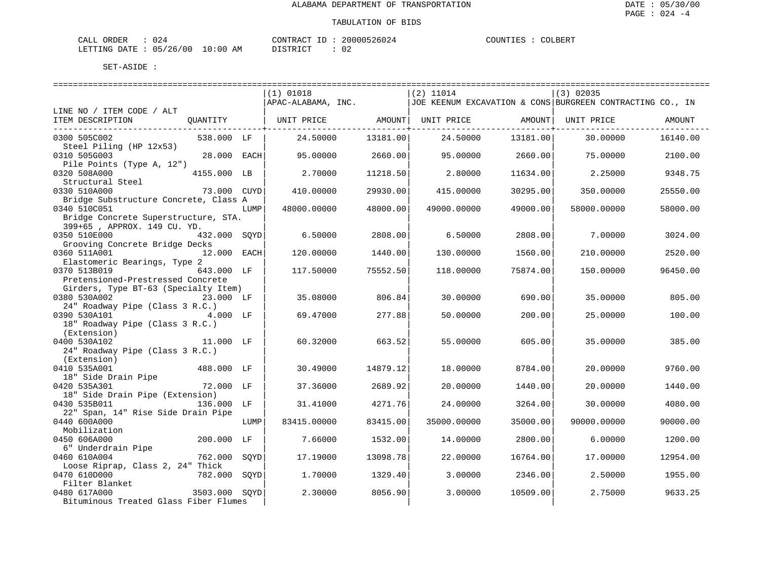| CALI<br>DRDER                 | "∠ل      |    | CONTRACT<br>TD.  | 000526024<br>2006 | COUNTIF<br>. TRZ | COLBERT |
|-------------------------------|----------|----|------------------|-------------------|------------------|---------|
| <b>DATE</b><br><b>LETTING</b> | 05/26/00 | ΆM | ד פידים ד $\sim$ | n r<br>υz         |                  |         |

| $(2)$ 11014<br>$(1)$ 01018<br>$(3)$ 02035<br>APAC-ALABAMA, INC.<br>JOE KEENUM EXCAVATION & CONS BURGREEN CONTRACTING CO., IN<br>LINE NO / ITEM CODE / ALT<br>  UNIT PRICE AMOUNT  UNIT PRICE AMOUNT<br>ITEM DESCRIPTION<br>OUANTITY<br>UNIT PRICE<br>AMOUNT<br>538.000 LF<br>13181.00<br>13181.00<br>0300 505C002<br>24.50000<br>24.50000<br>30.00000<br>16140.00<br>Steel Piling (HP 12x53)<br>28.000 EACH<br>2660.00<br>2660.00<br>0310 505G003<br>95.00000<br>95.00000<br>75.00000<br>2100.00<br>Pile Points (Type A, 12")<br>0320 508A000<br>4155.000 LB<br>2.70000<br>11218.50<br>2.80000<br>11634.00<br>2.25000<br>9348.75<br>Structural Steel<br>73.000 CUYD<br>29930.00<br>0330 510A000<br>410.00000<br>415,00000<br>30295.00<br>350.00000<br>25550.00<br>Bridge Substructure Concrete, Class A<br>0340 510C051<br>48000.00000<br>48000.00<br>49000.00000<br>49000.00<br>58000.00<br>LUMP<br>58000.00000<br>Bridge Concrete Superstructure, STA.<br>399+65, APPROX. 149 CU. YD.<br>0350 510E000<br>432.000 SOYD<br>2808.00<br>6.50000<br>2808.00<br>7.00000<br>6.50000<br>3024.00<br>Grooving Concrete Bridge Decks<br>0360 511A001<br>12.000 EACH<br>120.00000<br>1440.00<br>1560.00<br>2520.00<br>130.00000<br>210.00000<br>Elastomeric Bearings, Type 2<br>0370 513B019<br>643.000 LF<br>75552.50<br>75874.00<br>150.00000<br>96450.00<br>117.50000<br>118.00000<br>Pretensioned-Prestressed Concrete<br>Girders, Type BT-63 (Specialty Item)<br>0380 530A002<br>806.84<br>23.000 LF<br>35.08000<br>30.00000<br>690.00<br>35.00000<br>805.00<br>24" Roadway Pipe (Class 3 R.C.)<br>0390 530A101<br>4.000 LF<br>69.47000<br>277.88<br>25.00000<br>100.00<br>50.00000<br>200.00<br>18" Roadway Pipe (Class 3 R.C.)<br>(Extension)<br>0400 530A102<br>11.000 LF<br>60.32000<br>663.52<br>55.00000<br>605.00<br>35.00000<br>385.00<br>24" Roadway Pipe (Class 3 R.C.)<br>(Extension)<br>0410 535A001<br>488.000 LF<br>30.49000<br>14879.12<br>18,00000<br>8784.00<br>20.00000<br>9760.00<br>18" Side Drain Pipe<br>0420 535A301<br>72.000 LF<br>37.36000<br>2689.92<br>20.00000<br>1440.00<br>1440.00<br>20.00000<br>18" Side Drain Pipe (Extension)<br>0430 535B011<br>136.000 LF<br>31.41000<br>4271.76<br>24.00000<br>3264.00<br>30.00000<br>4080.00<br>22" Span, 14" Rise Side Drain Pipe<br>0440 600A000<br>83415.00000<br>83415.00<br>35000.00<br>35000.00000<br>90000.00000<br>90000.00<br>LUMP<br>Mobilization<br>0450 606A000<br>200.000 LF<br>7.66000<br>1532.00<br>2800.00<br>6,00000<br>14.00000<br>1200.00<br>6" Underdrain Pipe<br>0460 610A004<br>762.000<br>13098.78<br>22.00000<br>16764.00<br>SOYD<br>17.19000<br>17.00000<br>12954.00<br>Loose Riprap, Class 2, 24" Thick<br>0470 610D000<br>782.000 SOYD<br>1,70000<br>1329.40<br>3.00000<br>2346.00<br>2.50000<br>1955.00<br>Filter Blanket<br>0480 617A000<br>3503.000 SOYD<br>2.30000<br>8056.90<br>3.00000<br>10509.00<br>2.75000<br>9633.25<br>Bituminous Treated Glass Fiber Flumes |  |  | ================================ | ----------------------------- | -------------------------------- |  |
|----------------------------------------------------------------------------------------------------------------------------------------------------------------------------------------------------------------------------------------------------------------------------------------------------------------------------------------------------------------------------------------------------------------------------------------------------------------------------------------------------------------------------------------------------------------------------------------------------------------------------------------------------------------------------------------------------------------------------------------------------------------------------------------------------------------------------------------------------------------------------------------------------------------------------------------------------------------------------------------------------------------------------------------------------------------------------------------------------------------------------------------------------------------------------------------------------------------------------------------------------------------------------------------------------------------------------------------------------------------------------------------------------------------------------------------------------------------------------------------------------------------------------------------------------------------------------------------------------------------------------------------------------------------------------------------------------------------------------------------------------------------------------------------------------------------------------------------------------------------------------------------------------------------------------------------------------------------------------------------------------------------------------------------------------------------------------------------------------------------------------------------------------------------------------------------------------------------------------------------------------------------------------------------------------------------------------------------------------------------------------------------------------------------------------------------------------------------------------------------------------------------------------------------------------------------------------------------------------------------------------------------------------------------------------------------------------------------------------------------------------------------------------------------------------------------------------------------------------------------------------------------------------------------------------------------------------------------------|--|--|----------------------------------|-------------------------------|----------------------------------|--|
|                                                                                                                                                                                                                                                                                                                                                                                                                                                                                                                                                                                                                                                                                                                                                                                                                                                                                                                                                                                                                                                                                                                                                                                                                                                                                                                                                                                                                                                                                                                                                                                                                                                                                                                                                                                                                                                                                                                                                                                                                                                                                                                                                                                                                                                                                                                                                                                                                                                                                                                                                                                                                                                                                                                                                                                                                                                                                                                                                                      |  |  |                                  |                               |                                  |  |
|                                                                                                                                                                                                                                                                                                                                                                                                                                                                                                                                                                                                                                                                                                                                                                                                                                                                                                                                                                                                                                                                                                                                                                                                                                                                                                                                                                                                                                                                                                                                                                                                                                                                                                                                                                                                                                                                                                                                                                                                                                                                                                                                                                                                                                                                                                                                                                                                                                                                                                                                                                                                                                                                                                                                                                                                                                                                                                                                                                      |  |  |                                  |                               |                                  |  |
|                                                                                                                                                                                                                                                                                                                                                                                                                                                                                                                                                                                                                                                                                                                                                                                                                                                                                                                                                                                                                                                                                                                                                                                                                                                                                                                                                                                                                                                                                                                                                                                                                                                                                                                                                                                                                                                                                                                                                                                                                                                                                                                                                                                                                                                                                                                                                                                                                                                                                                                                                                                                                                                                                                                                                                                                                                                                                                                                                                      |  |  |                                  |                               |                                  |  |
|                                                                                                                                                                                                                                                                                                                                                                                                                                                                                                                                                                                                                                                                                                                                                                                                                                                                                                                                                                                                                                                                                                                                                                                                                                                                                                                                                                                                                                                                                                                                                                                                                                                                                                                                                                                                                                                                                                                                                                                                                                                                                                                                                                                                                                                                                                                                                                                                                                                                                                                                                                                                                                                                                                                                                                                                                                                                                                                                                                      |  |  |                                  |                               |                                  |  |
|                                                                                                                                                                                                                                                                                                                                                                                                                                                                                                                                                                                                                                                                                                                                                                                                                                                                                                                                                                                                                                                                                                                                                                                                                                                                                                                                                                                                                                                                                                                                                                                                                                                                                                                                                                                                                                                                                                                                                                                                                                                                                                                                                                                                                                                                                                                                                                                                                                                                                                                                                                                                                                                                                                                                                                                                                                                                                                                                                                      |  |  |                                  |                               |                                  |  |
|                                                                                                                                                                                                                                                                                                                                                                                                                                                                                                                                                                                                                                                                                                                                                                                                                                                                                                                                                                                                                                                                                                                                                                                                                                                                                                                                                                                                                                                                                                                                                                                                                                                                                                                                                                                                                                                                                                                                                                                                                                                                                                                                                                                                                                                                                                                                                                                                                                                                                                                                                                                                                                                                                                                                                                                                                                                                                                                                                                      |  |  |                                  |                               |                                  |  |
|                                                                                                                                                                                                                                                                                                                                                                                                                                                                                                                                                                                                                                                                                                                                                                                                                                                                                                                                                                                                                                                                                                                                                                                                                                                                                                                                                                                                                                                                                                                                                                                                                                                                                                                                                                                                                                                                                                                                                                                                                                                                                                                                                                                                                                                                                                                                                                                                                                                                                                                                                                                                                                                                                                                                                                                                                                                                                                                                                                      |  |  |                                  |                               |                                  |  |
|                                                                                                                                                                                                                                                                                                                                                                                                                                                                                                                                                                                                                                                                                                                                                                                                                                                                                                                                                                                                                                                                                                                                                                                                                                                                                                                                                                                                                                                                                                                                                                                                                                                                                                                                                                                                                                                                                                                                                                                                                                                                                                                                                                                                                                                                                                                                                                                                                                                                                                                                                                                                                                                                                                                                                                                                                                                                                                                                                                      |  |  |                                  |                               |                                  |  |
|                                                                                                                                                                                                                                                                                                                                                                                                                                                                                                                                                                                                                                                                                                                                                                                                                                                                                                                                                                                                                                                                                                                                                                                                                                                                                                                                                                                                                                                                                                                                                                                                                                                                                                                                                                                                                                                                                                                                                                                                                                                                                                                                                                                                                                                                                                                                                                                                                                                                                                                                                                                                                                                                                                                                                                                                                                                                                                                                                                      |  |  |                                  |                               |                                  |  |
|                                                                                                                                                                                                                                                                                                                                                                                                                                                                                                                                                                                                                                                                                                                                                                                                                                                                                                                                                                                                                                                                                                                                                                                                                                                                                                                                                                                                                                                                                                                                                                                                                                                                                                                                                                                                                                                                                                                                                                                                                                                                                                                                                                                                                                                                                                                                                                                                                                                                                                                                                                                                                                                                                                                                                                                                                                                                                                                                                                      |  |  |                                  |                               |                                  |  |
|                                                                                                                                                                                                                                                                                                                                                                                                                                                                                                                                                                                                                                                                                                                                                                                                                                                                                                                                                                                                                                                                                                                                                                                                                                                                                                                                                                                                                                                                                                                                                                                                                                                                                                                                                                                                                                                                                                                                                                                                                                                                                                                                                                                                                                                                                                                                                                                                                                                                                                                                                                                                                                                                                                                                                                                                                                                                                                                                                                      |  |  |                                  |                               |                                  |  |
|                                                                                                                                                                                                                                                                                                                                                                                                                                                                                                                                                                                                                                                                                                                                                                                                                                                                                                                                                                                                                                                                                                                                                                                                                                                                                                                                                                                                                                                                                                                                                                                                                                                                                                                                                                                                                                                                                                                                                                                                                                                                                                                                                                                                                                                                                                                                                                                                                                                                                                                                                                                                                                                                                                                                                                                                                                                                                                                                                                      |  |  |                                  |                               |                                  |  |
|                                                                                                                                                                                                                                                                                                                                                                                                                                                                                                                                                                                                                                                                                                                                                                                                                                                                                                                                                                                                                                                                                                                                                                                                                                                                                                                                                                                                                                                                                                                                                                                                                                                                                                                                                                                                                                                                                                                                                                                                                                                                                                                                                                                                                                                                                                                                                                                                                                                                                                                                                                                                                                                                                                                                                                                                                                                                                                                                                                      |  |  |                                  |                               |                                  |  |
|                                                                                                                                                                                                                                                                                                                                                                                                                                                                                                                                                                                                                                                                                                                                                                                                                                                                                                                                                                                                                                                                                                                                                                                                                                                                                                                                                                                                                                                                                                                                                                                                                                                                                                                                                                                                                                                                                                                                                                                                                                                                                                                                                                                                                                                                                                                                                                                                                                                                                                                                                                                                                                                                                                                                                                                                                                                                                                                                                                      |  |  |                                  |                               |                                  |  |
|                                                                                                                                                                                                                                                                                                                                                                                                                                                                                                                                                                                                                                                                                                                                                                                                                                                                                                                                                                                                                                                                                                                                                                                                                                                                                                                                                                                                                                                                                                                                                                                                                                                                                                                                                                                                                                                                                                                                                                                                                                                                                                                                                                                                                                                                                                                                                                                                                                                                                                                                                                                                                                                                                                                                                                                                                                                                                                                                                                      |  |  |                                  |                               |                                  |  |
|                                                                                                                                                                                                                                                                                                                                                                                                                                                                                                                                                                                                                                                                                                                                                                                                                                                                                                                                                                                                                                                                                                                                                                                                                                                                                                                                                                                                                                                                                                                                                                                                                                                                                                                                                                                                                                                                                                                                                                                                                                                                                                                                                                                                                                                                                                                                                                                                                                                                                                                                                                                                                                                                                                                                                                                                                                                                                                                                                                      |  |  |                                  |                               |                                  |  |
|                                                                                                                                                                                                                                                                                                                                                                                                                                                                                                                                                                                                                                                                                                                                                                                                                                                                                                                                                                                                                                                                                                                                                                                                                                                                                                                                                                                                                                                                                                                                                                                                                                                                                                                                                                                                                                                                                                                                                                                                                                                                                                                                                                                                                                                                                                                                                                                                                                                                                                                                                                                                                                                                                                                                                                                                                                                                                                                                                                      |  |  |                                  |                               |                                  |  |
|                                                                                                                                                                                                                                                                                                                                                                                                                                                                                                                                                                                                                                                                                                                                                                                                                                                                                                                                                                                                                                                                                                                                                                                                                                                                                                                                                                                                                                                                                                                                                                                                                                                                                                                                                                                                                                                                                                                                                                                                                                                                                                                                                                                                                                                                                                                                                                                                                                                                                                                                                                                                                                                                                                                                                                                                                                                                                                                                                                      |  |  |                                  |                               |                                  |  |
|                                                                                                                                                                                                                                                                                                                                                                                                                                                                                                                                                                                                                                                                                                                                                                                                                                                                                                                                                                                                                                                                                                                                                                                                                                                                                                                                                                                                                                                                                                                                                                                                                                                                                                                                                                                                                                                                                                                                                                                                                                                                                                                                                                                                                                                                                                                                                                                                                                                                                                                                                                                                                                                                                                                                                                                                                                                                                                                                                                      |  |  |                                  |                               |                                  |  |
|                                                                                                                                                                                                                                                                                                                                                                                                                                                                                                                                                                                                                                                                                                                                                                                                                                                                                                                                                                                                                                                                                                                                                                                                                                                                                                                                                                                                                                                                                                                                                                                                                                                                                                                                                                                                                                                                                                                                                                                                                                                                                                                                                                                                                                                                                                                                                                                                                                                                                                                                                                                                                                                                                                                                                                                                                                                                                                                                                                      |  |  |                                  |                               |                                  |  |
|                                                                                                                                                                                                                                                                                                                                                                                                                                                                                                                                                                                                                                                                                                                                                                                                                                                                                                                                                                                                                                                                                                                                                                                                                                                                                                                                                                                                                                                                                                                                                                                                                                                                                                                                                                                                                                                                                                                                                                                                                                                                                                                                                                                                                                                                                                                                                                                                                                                                                                                                                                                                                                                                                                                                                                                                                                                                                                                                                                      |  |  |                                  |                               |                                  |  |
|                                                                                                                                                                                                                                                                                                                                                                                                                                                                                                                                                                                                                                                                                                                                                                                                                                                                                                                                                                                                                                                                                                                                                                                                                                                                                                                                                                                                                                                                                                                                                                                                                                                                                                                                                                                                                                                                                                                                                                                                                                                                                                                                                                                                                                                                                                                                                                                                                                                                                                                                                                                                                                                                                                                                                                                                                                                                                                                                                                      |  |  |                                  |                               |                                  |  |
|                                                                                                                                                                                                                                                                                                                                                                                                                                                                                                                                                                                                                                                                                                                                                                                                                                                                                                                                                                                                                                                                                                                                                                                                                                                                                                                                                                                                                                                                                                                                                                                                                                                                                                                                                                                                                                                                                                                                                                                                                                                                                                                                                                                                                                                                                                                                                                                                                                                                                                                                                                                                                                                                                                                                                                                                                                                                                                                                                                      |  |  |                                  |                               |                                  |  |
|                                                                                                                                                                                                                                                                                                                                                                                                                                                                                                                                                                                                                                                                                                                                                                                                                                                                                                                                                                                                                                                                                                                                                                                                                                                                                                                                                                                                                                                                                                                                                                                                                                                                                                                                                                                                                                                                                                                                                                                                                                                                                                                                                                                                                                                                                                                                                                                                                                                                                                                                                                                                                                                                                                                                                                                                                                                                                                                                                                      |  |  |                                  |                               |                                  |  |
|                                                                                                                                                                                                                                                                                                                                                                                                                                                                                                                                                                                                                                                                                                                                                                                                                                                                                                                                                                                                                                                                                                                                                                                                                                                                                                                                                                                                                                                                                                                                                                                                                                                                                                                                                                                                                                                                                                                                                                                                                                                                                                                                                                                                                                                                                                                                                                                                                                                                                                                                                                                                                                                                                                                                                                                                                                                                                                                                                                      |  |  |                                  |                               |                                  |  |
|                                                                                                                                                                                                                                                                                                                                                                                                                                                                                                                                                                                                                                                                                                                                                                                                                                                                                                                                                                                                                                                                                                                                                                                                                                                                                                                                                                                                                                                                                                                                                                                                                                                                                                                                                                                                                                                                                                                                                                                                                                                                                                                                                                                                                                                                                                                                                                                                                                                                                                                                                                                                                                                                                                                                                                                                                                                                                                                                                                      |  |  |                                  |                               |                                  |  |
|                                                                                                                                                                                                                                                                                                                                                                                                                                                                                                                                                                                                                                                                                                                                                                                                                                                                                                                                                                                                                                                                                                                                                                                                                                                                                                                                                                                                                                                                                                                                                                                                                                                                                                                                                                                                                                                                                                                                                                                                                                                                                                                                                                                                                                                                                                                                                                                                                                                                                                                                                                                                                                                                                                                                                                                                                                                                                                                                                                      |  |  |                                  |                               |                                  |  |
|                                                                                                                                                                                                                                                                                                                                                                                                                                                                                                                                                                                                                                                                                                                                                                                                                                                                                                                                                                                                                                                                                                                                                                                                                                                                                                                                                                                                                                                                                                                                                                                                                                                                                                                                                                                                                                                                                                                                                                                                                                                                                                                                                                                                                                                                                                                                                                                                                                                                                                                                                                                                                                                                                                                                                                                                                                                                                                                                                                      |  |  |                                  |                               |                                  |  |
|                                                                                                                                                                                                                                                                                                                                                                                                                                                                                                                                                                                                                                                                                                                                                                                                                                                                                                                                                                                                                                                                                                                                                                                                                                                                                                                                                                                                                                                                                                                                                                                                                                                                                                                                                                                                                                                                                                                                                                                                                                                                                                                                                                                                                                                                                                                                                                                                                                                                                                                                                                                                                                                                                                                                                                                                                                                                                                                                                                      |  |  |                                  |                               |                                  |  |
|                                                                                                                                                                                                                                                                                                                                                                                                                                                                                                                                                                                                                                                                                                                                                                                                                                                                                                                                                                                                                                                                                                                                                                                                                                                                                                                                                                                                                                                                                                                                                                                                                                                                                                                                                                                                                                                                                                                                                                                                                                                                                                                                                                                                                                                                                                                                                                                                                                                                                                                                                                                                                                                                                                                                                                                                                                                                                                                                                                      |  |  |                                  |                               |                                  |  |
|                                                                                                                                                                                                                                                                                                                                                                                                                                                                                                                                                                                                                                                                                                                                                                                                                                                                                                                                                                                                                                                                                                                                                                                                                                                                                                                                                                                                                                                                                                                                                                                                                                                                                                                                                                                                                                                                                                                                                                                                                                                                                                                                                                                                                                                                                                                                                                                                                                                                                                                                                                                                                                                                                                                                                                                                                                                                                                                                                                      |  |  |                                  |                               |                                  |  |
|                                                                                                                                                                                                                                                                                                                                                                                                                                                                                                                                                                                                                                                                                                                                                                                                                                                                                                                                                                                                                                                                                                                                                                                                                                                                                                                                                                                                                                                                                                                                                                                                                                                                                                                                                                                                                                                                                                                                                                                                                                                                                                                                                                                                                                                                                                                                                                                                                                                                                                                                                                                                                                                                                                                                                                                                                                                                                                                                                                      |  |  |                                  |                               |                                  |  |
|                                                                                                                                                                                                                                                                                                                                                                                                                                                                                                                                                                                                                                                                                                                                                                                                                                                                                                                                                                                                                                                                                                                                                                                                                                                                                                                                                                                                                                                                                                                                                                                                                                                                                                                                                                                                                                                                                                                                                                                                                                                                                                                                                                                                                                                                                                                                                                                                                                                                                                                                                                                                                                                                                                                                                                                                                                                                                                                                                                      |  |  |                                  |                               |                                  |  |
|                                                                                                                                                                                                                                                                                                                                                                                                                                                                                                                                                                                                                                                                                                                                                                                                                                                                                                                                                                                                                                                                                                                                                                                                                                                                                                                                                                                                                                                                                                                                                                                                                                                                                                                                                                                                                                                                                                                                                                                                                                                                                                                                                                                                                                                                                                                                                                                                                                                                                                                                                                                                                                                                                                                                                                                                                                                                                                                                                                      |  |  |                                  |                               |                                  |  |
|                                                                                                                                                                                                                                                                                                                                                                                                                                                                                                                                                                                                                                                                                                                                                                                                                                                                                                                                                                                                                                                                                                                                                                                                                                                                                                                                                                                                                                                                                                                                                                                                                                                                                                                                                                                                                                                                                                                                                                                                                                                                                                                                                                                                                                                                                                                                                                                                                                                                                                                                                                                                                                                                                                                                                                                                                                                                                                                                                                      |  |  |                                  |                               |                                  |  |
|                                                                                                                                                                                                                                                                                                                                                                                                                                                                                                                                                                                                                                                                                                                                                                                                                                                                                                                                                                                                                                                                                                                                                                                                                                                                                                                                                                                                                                                                                                                                                                                                                                                                                                                                                                                                                                                                                                                                                                                                                                                                                                                                                                                                                                                                                                                                                                                                                                                                                                                                                                                                                                                                                                                                                                                                                                                                                                                                                                      |  |  |                                  |                               |                                  |  |
|                                                                                                                                                                                                                                                                                                                                                                                                                                                                                                                                                                                                                                                                                                                                                                                                                                                                                                                                                                                                                                                                                                                                                                                                                                                                                                                                                                                                                                                                                                                                                                                                                                                                                                                                                                                                                                                                                                                                                                                                                                                                                                                                                                                                                                                                                                                                                                                                                                                                                                                                                                                                                                                                                                                                                                                                                                                                                                                                                                      |  |  |                                  |                               |                                  |  |
|                                                                                                                                                                                                                                                                                                                                                                                                                                                                                                                                                                                                                                                                                                                                                                                                                                                                                                                                                                                                                                                                                                                                                                                                                                                                                                                                                                                                                                                                                                                                                                                                                                                                                                                                                                                                                                                                                                                                                                                                                                                                                                                                                                                                                                                                                                                                                                                                                                                                                                                                                                                                                                                                                                                                                                                                                                                                                                                                                                      |  |  |                                  |                               |                                  |  |
|                                                                                                                                                                                                                                                                                                                                                                                                                                                                                                                                                                                                                                                                                                                                                                                                                                                                                                                                                                                                                                                                                                                                                                                                                                                                                                                                                                                                                                                                                                                                                                                                                                                                                                                                                                                                                                                                                                                                                                                                                                                                                                                                                                                                                                                                                                                                                                                                                                                                                                                                                                                                                                                                                                                                                                                                                                                                                                                                                                      |  |  |                                  |                               |                                  |  |
|                                                                                                                                                                                                                                                                                                                                                                                                                                                                                                                                                                                                                                                                                                                                                                                                                                                                                                                                                                                                                                                                                                                                                                                                                                                                                                                                                                                                                                                                                                                                                                                                                                                                                                                                                                                                                                                                                                                                                                                                                                                                                                                                                                                                                                                                                                                                                                                                                                                                                                                                                                                                                                                                                                                                                                                                                                                                                                                                                                      |  |  |                                  |                               |                                  |  |
|                                                                                                                                                                                                                                                                                                                                                                                                                                                                                                                                                                                                                                                                                                                                                                                                                                                                                                                                                                                                                                                                                                                                                                                                                                                                                                                                                                                                                                                                                                                                                                                                                                                                                                                                                                                                                                                                                                                                                                                                                                                                                                                                                                                                                                                                                                                                                                                                                                                                                                                                                                                                                                                                                                                                                                                                                                                                                                                                                                      |  |  |                                  |                               |                                  |  |
|                                                                                                                                                                                                                                                                                                                                                                                                                                                                                                                                                                                                                                                                                                                                                                                                                                                                                                                                                                                                                                                                                                                                                                                                                                                                                                                                                                                                                                                                                                                                                                                                                                                                                                                                                                                                                                                                                                                                                                                                                                                                                                                                                                                                                                                                                                                                                                                                                                                                                                                                                                                                                                                                                                                                                                                                                                                                                                                                                                      |  |  |                                  |                               |                                  |  |
|                                                                                                                                                                                                                                                                                                                                                                                                                                                                                                                                                                                                                                                                                                                                                                                                                                                                                                                                                                                                                                                                                                                                                                                                                                                                                                                                                                                                                                                                                                                                                                                                                                                                                                                                                                                                                                                                                                                                                                                                                                                                                                                                                                                                                                                                                                                                                                                                                                                                                                                                                                                                                                                                                                                                                                                                                                                                                                                                                                      |  |  |                                  |                               |                                  |  |
|                                                                                                                                                                                                                                                                                                                                                                                                                                                                                                                                                                                                                                                                                                                                                                                                                                                                                                                                                                                                                                                                                                                                                                                                                                                                                                                                                                                                                                                                                                                                                                                                                                                                                                                                                                                                                                                                                                                                                                                                                                                                                                                                                                                                                                                                                                                                                                                                                                                                                                                                                                                                                                                                                                                                                                                                                                                                                                                                                                      |  |  |                                  |                               |                                  |  |
|                                                                                                                                                                                                                                                                                                                                                                                                                                                                                                                                                                                                                                                                                                                                                                                                                                                                                                                                                                                                                                                                                                                                                                                                                                                                                                                                                                                                                                                                                                                                                                                                                                                                                                                                                                                                                                                                                                                                                                                                                                                                                                                                                                                                                                                                                                                                                                                                                                                                                                                                                                                                                                                                                                                                                                                                                                                                                                                                                                      |  |  |                                  |                               |                                  |  |
|                                                                                                                                                                                                                                                                                                                                                                                                                                                                                                                                                                                                                                                                                                                                                                                                                                                                                                                                                                                                                                                                                                                                                                                                                                                                                                                                                                                                                                                                                                                                                                                                                                                                                                                                                                                                                                                                                                                                                                                                                                                                                                                                                                                                                                                                                                                                                                                                                                                                                                                                                                                                                                                                                                                                                                                                                                                                                                                                                                      |  |  |                                  |                               |                                  |  |
|                                                                                                                                                                                                                                                                                                                                                                                                                                                                                                                                                                                                                                                                                                                                                                                                                                                                                                                                                                                                                                                                                                                                                                                                                                                                                                                                                                                                                                                                                                                                                                                                                                                                                                                                                                                                                                                                                                                                                                                                                                                                                                                                                                                                                                                                                                                                                                                                                                                                                                                                                                                                                                                                                                                                                                                                                                                                                                                                                                      |  |  |                                  |                               |                                  |  |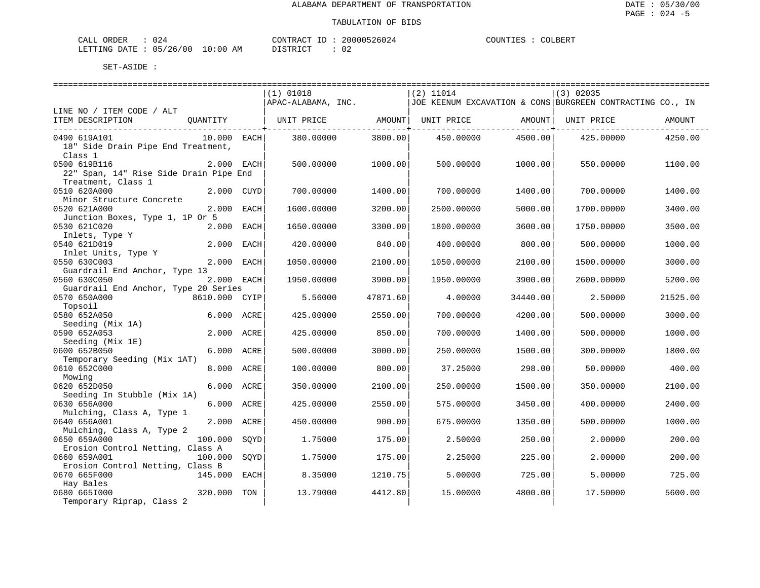| CALI<br>DRDER                 | "∠ل      |    | CONTRACT<br>TD.  | 000526024<br>2006 | COUNTIF<br>. TRZ | COLBERT |
|-------------------------------|----------|----|------------------|-------------------|------------------|---------|
| <b>DATE</b><br><b>LETTING</b> | 05/26/00 | ΆM | ד פידים ד $\sim$ | n r<br>υz         |                  |         |

|                                        |               |      | $(1)$ 01018                    |          | $(2)$ 11014                                               |          | $(3)$ 02035 |          |
|----------------------------------------|---------------|------|--------------------------------|----------|-----------------------------------------------------------|----------|-------------|----------|
|                                        |               |      | APAC-ALABAMA, INC.             |          | JOE KEENUM EXCAVATION & CONS BURGREEN CONTRACTING CO., IN |          |             |          |
| LINE NO / ITEM CODE / ALT              |               |      |                                |          |                                                           |          |             |          |
| ITEM DESCRIPTION                       | OUANTITY      |      | UNIT PRICE AMOUNT   UNIT PRICE |          |                                                           | AMOUNT   | UNIT PRICE  | AMOUNT   |
|                                        |               |      |                                |          |                                                           |          |             |          |
| 0490 619A101                           | 10.000 EACH   |      | 380.00000                      | 3800.00  | 450.00000                                                 | 4500.00  | 425.00000   | 4250.00  |
| 18" Side Drain Pipe End Treatment,     |               |      |                                |          |                                                           |          |             |          |
| Class 1                                |               |      |                                |          |                                                           |          |             |          |
| 0500 619B116                           | 2.000 EACH    |      | 500.00000                      | 1000.00  | 500.00000                                                 | 1000.00  | 550.00000   | 1100.00  |
| 22" Span, 14" Rise Side Drain Pipe End |               |      |                                |          |                                                           |          |             |          |
| Treatment, Class 1                     |               |      |                                |          |                                                           |          |             |          |
| 0510 620A000                           | 2.000 CUYD    |      | 700.00000                      | 1400.00  | 700.00000                                                 | 1400.00  | 700,00000   | 1400.00  |
| Minor Structure Concrete               |               |      |                                |          |                                                           |          |             |          |
| 0520 621A000                           | 2.000 EACH    |      | 1600.00000                     | 3200.00  | 2500.00000                                                | 5000.00  | 1700.00000  | 3400.00  |
| Junction Boxes, Type 1, 1P Or 5        |               |      |                                |          |                                                           |          |             |          |
| 0530 621C020                           | 2.000 EACH    |      | 1650.00000                     | 3300.00  | 1800.00000                                                | 3600.00  | 1750.00000  | 3500.00  |
|                                        |               |      |                                |          |                                                           |          |             |          |
| Inlets, Type Y                         |               |      |                                |          |                                                           |          |             |          |
| 0540 621D019                           | 2.000 EACH    |      | 420.00000                      | 840.00   | 400.00000                                                 | 800.00   | 500.00000   | 1000.00  |
| Inlet Units, Type Y                    |               |      |                                |          |                                                           |          |             |          |
| 0550 630C003                           | 2.000 EACH    |      | 1050.00000                     | 2100.00  | 1050.00000                                                | 2100.00  | 1500.00000  | 3000.00  |
| Guardrail End Anchor, Type 13          |               |      |                                |          |                                                           |          |             |          |
| 0560 630C050                           | 2.000 EACH    |      | 1950.00000                     | 3900.00  | 1950.00000                                                | 3900.00  | 2600.00000  | 5200.00  |
| Guardrail End Anchor, Type 20 Series   |               |      |                                |          |                                                           |          |             |          |
| 0570 650A000                           | 8610.000 CYIP |      | 5.56000                        | 47871.60 | 4.00000                                                   | 34440.00 | 2.50000     | 21525.00 |
| Topsoil                                |               |      |                                |          |                                                           |          |             |          |
| 0580 652A050                           | 6.000 ACRE    |      | 425.00000                      | 2550.00  | 700.00000                                                 | 4200.00  | 500.00000   | 3000.00  |
| Seeding (Mix 1A)                       |               |      |                                |          |                                                           |          |             |          |
| 0590 652A053                           | 2.000 ACRE    |      | 425.00000                      | 850.00   | 700.00000                                                 | 1400.00  | 500.00000   | 1000.00  |
| Seeding (Mix 1E)                       |               |      |                                |          |                                                           |          |             |          |
| 0600 652B050                           | 6.000         | ACRE | 500.00000                      | 3000.00  | 250.00000                                                 | 1500.00  | 300.00000   | 1800.00  |
| Temporary Seeding (Mix 1AT)            |               |      |                                |          |                                                           |          |             |          |
| 0610 652C000                           | 8.000 ACRE    |      | 100.00000                      | 800.00   | 37.25000                                                  | 298.00   | 50.00000    | 400.00   |
| Mowing                                 |               |      |                                |          |                                                           |          |             |          |
| 0620 652D050                           | 6.000         | ACRE | 350.00000                      | 2100.00  | 250.00000                                                 | 1500.00  | 350.00000   | 2100.00  |
| Seeding In Stubble (Mix 1A)            |               |      |                                |          |                                                           |          |             |          |
| 0630 656A000                           | 6.000 ACRE    |      | 425.00000                      | 2550.00  | 575.00000                                                 | 3450.00  | 400.00000   | 2400.00  |
| Mulching, Class A, Type 1              |               |      |                                |          |                                                           |          |             |          |
| 0640 656A001                           | 2.000         | ACRE | 450.00000                      | 900.00   | 675.00000                                                 | 1350.00  | 500.00000   | 1000.00  |
| Mulching, Class A, Type 2              |               |      |                                |          |                                                           |          |             |          |
| 0650 659A000                           | 100.000       | SOYD | 1.75000                        | 175.00   | 2.50000                                                   | 250.00   | 2.00000     | 200.00   |
| Erosion Control Netting, Class A       |               |      |                                |          |                                                           |          |             |          |
| 0660 659A001                           | 100.000       | SQYD | 1.75000                        | 175.00   | 2.25000                                                   | 225.00   | 2.00000     | 200.00   |
| Erosion Control Netting, Class B       |               |      |                                |          |                                                           |          |             |          |
| 0670 665F000                           | 145.000       | EACH | 8.35000                        | 1210.75  | 5.00000                                                   | 725.00   | 5.00000     | 725.00   |
| Hay Bales                              |               |      |                                |          |                                                           |          |             |          |
| 0680 6651000                           | 320.000       | TON  | 13.79000                       | 4412.80  | 15.00000                                                  | 4800.00  | 17.50000    | 5600.00  |
| Temporary Riprap, Class 2              |               |      |                                |          |                                                           |          |             |          |
|                                        |               |      |                                |          |                                                           |          |             |          |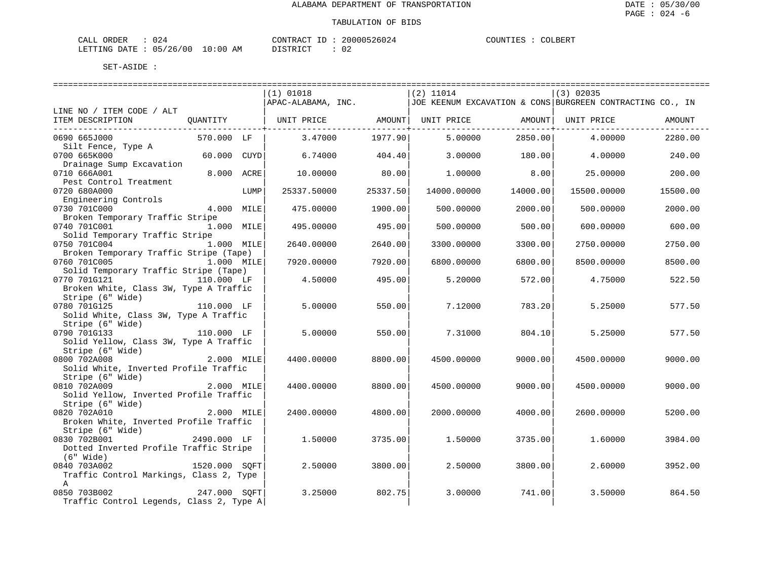| CALI<br>DRDER                 | "∠ل      |    | CONTRACT<br>TD.  | 000526024<br>2006 | COUNTIF<br>. TRZ | COLBERT |
|-------------------------------|----------|----|------------------|-------------------|------------------|---------|
| <b>DATE</b><br><b>LETTING</b> | 05/26/00 | ΆM | ד פידים ד $\sim$ | n r<br>υz         |                  |         |

|                                          |                  |      | (1) 01018                                                           |          | $(2)$ 11014 |                                           | $(3)$ 02035                                               |          |
|------------------------------------------|------------------|------|---------------------------------------------------------------------|----------|-------------|-------------------------------------------|-----------------------------------------------------------|----------|
|                                          |                  |      | APAC-ALABAMA, INC.                                                  |          |             |                                           | JOE KEENUM EXCAVATION & CONS BURGREEN CONTRACTING CO., IN |          |
| LINE NO / ITEM CODE / ALT                |                  |      |                                                                     |          |             |                                           |                                                           |          |
| ITEM DESCRIPTION                         |                  |      | QUANTITY   UNIT PRICE     AMOUNT  UNIT PRICE     AMOUNT  UNIT PRICE |          |             |                                           |                                                           | AMOUNT   |
| -----------------------------------      |                  |      |                                                                     |          |             | ---------------- <del>-</del> ----------- |                                                           |          |
| 0690 665J000                             | 570.000 LF       |      | 3.47000                                                             | 1977.90  | 5.00000     | 2850.00                                   | 4.00000                                                   | 2280.00  |
| Silt Fence, Type A                       |                  |      |                                                                     |          |             |                                           |                                                           |          |
| 0700 665K000                             | 60.000 CUYD      |      | 6.74000                                                             | 404.40   | 3.00000     | 180.00                                    | 4.00000                                                   | 240.00   |
| Drainage Sump Excavation                 |                  |      |                                                                     |          |             |                                           |                                                           |          |
| 0710 666A001                             | 8.000 ACRE       |      | 10,00000                                                            | 80.00    | 1,00000     | 8.00                                      | 25,00000                                                  | 200.00   |
| Pest Control Treatment                   |                  |      |                                                                     |          |             |                                           |                                                           |          |
| 0720 680A000                             |                  | LUMP | 25337.50000                                                         | 25337.50 | 14000.00000 | 14000.00                                  | 15500.00000                                               | 15500.00 |
| Engineering Controls                     |                  |      |                                                                     |          |             |                                           |                                                           |          |
| 0730 701C000                             | $4.000$ MILE     |      | 475.00000                                                           | 1900.00  | 500.00000   | 2000.00                                   | 500.00000                                                 | 2000.00  |
| Broken Temporary Traffic Stripe          |                  |      |                                                                     |          |             |                                           |                                                           |          |
| 0740 701C001                             | 1.000 MILE       |      | 495.00000                                                           | 495.00   | 500.00000   | 500.00                                    | 600.00000                                                 | 600.00   |
| Solid Temporary Traffic Stripe           |                  |      |                                                                     |          |             |                                           |                                                           |          |
| 0750 701C004                             | 1.000 MILE       |      | 2640.00000                                                          | 2640.00  | 3300.00000  | 3300.00                                   | 2750.00000                                                | 2750.00  |
| Broken Temporary Traffic Stripe (Tape)   |                  |      |                                                                     |          |             |                                           |                                                           |          |
| 0760 701C005                             | 1.000 MILE       |      | 7920.00000                                                          | 7920.00  | 6800.00000  | 6800.00                                   | 8500.00000                                                | 8500.00  |
| Solid Temporary Traffic Stripe (Tape)    |                  |      |                                                                     |          |             |                                           |                                                           |          |
| 0770 701G121                             | 110.000 LF       |      | 4.50000                                                             | 495.00   | 5.20000     | 572.00                                    | 4.75000                                                   | 522.50   |
| Broken White, Class 3W, Type A Traffic   |                  |      |                                                                     |          |             |                                           |                                                           |          |
| Stripe (6" Wide)                         |                  |      |                                                                     |          |             |                                           |                                                           |          |
| 0780 701G125                             | 110.000 LF       |      | 5.00000                                                             | 550.00   | 7.12000     | 783.20                                    | 5.25000                                                   | 577.50   |
| Solid White, Class 3W, Type A Traffic    |                  |      |                                                                     |          |             |                                           |                                                           |          |
| Stripe (6" Wide)                         |                  |      |                                                                     |          |             |                                           |                                                           |          |
| 0790 701G133                             | .,<br>110.000 LF |      | 5,00000                                                             | 550.00   | 7.31000     | 804.10                                    | 5.25000                                                   | 577.50   |
| Solid Yellow, Class 3W, Type A Traffic   |                  |      |                                                                     |          |             |                                           |                                                           |          |
| Stripe (6" Wide)                         |                  |      |                                                                     |          |             |                                           |                                                           |          |
| 0800 702A008                             | 2.000 MILE       |      | 4400.00000                                                          | 8800.00  | 4500.00000  | 9000.00                                   | 4500.00000                                                | 9000.00  |
| Solid White, Inverted Profile Traffic    |                  |      |                                                                     |          |             |                                           |                                                           |          |
| Stripe (6" Wide)                         |                  |      |                                                                     |          |             |                                           |                                                           |          |
| 0810 702A009                             | 2.000 MILE       |      | 4400.00000                                                          | 8800.00  | 4500.00000  | 9000.00                                   | 4500.00000                                                | 9000.00  |
| Solid Yellow, Inverted Profile Traffic   |                  |      |                                                                     |          |             |                                           |                                                           |          |
| Stripe (6" Wide)                         |                  |      |                                                                     |          |             |                                           |                                                           |          |
| 0820 702A010                             | 2.000 MILE       |      | 2400.00000                                                          | 4800.00  | 2000.00000  | 4000.00                                   | 2600.00000                                                | 5200.00  |
| Broken White, Inverted Profile Traffic   |                  |      |                                                                     |          |             |                                           |                                                           |          |
| Stripe (6" Wide)                         |                  |      |                                                                     |          |             |                                           |                                                           |          |
| 0830 702B001                             | 2490.000 LF      |      | 1,50000                                                             | 3735.00  | 1.50000     | 3735.00                                   | 1.60000                                                   | 3984.00  |
|                                          |                  |      |                                                                     |          |             |                                           |                                                           |          |
| Dotted Inverted Profile Traffic Stripe   |                  |      |                                                                     |          |             |                                           |                                                           |          |
| $(6"$ Wide)                              |                  |      |                                                                     |          | 2.50000     |                                           | 2.60000                                                   |          |
| 0840 703A002                             | 1520.000 SOFT    |      | 2.50000                                                             | 3800.00  |             | 3800.00                                   |                                                           | 3952.00  |
| Traffic Control Markings, Class 2, Type  |                  |      |                                                                     |          |             |                                           |                                                           |          |
| $\mathbf{A}$                             | 247.000 SQFT     |      |                                                                     |          |             |                                           |                                                           |          |
| 0850 703B002                             |                  |      | 3.25000                                                             | 802.75   | 3.00000     | 741.00                                    | 3.50000                                                   | 864.50   |
| Traffic Control Legends, Class 2, Type A |                  |      |                                                                     |          |             |                                           |                                                           |          |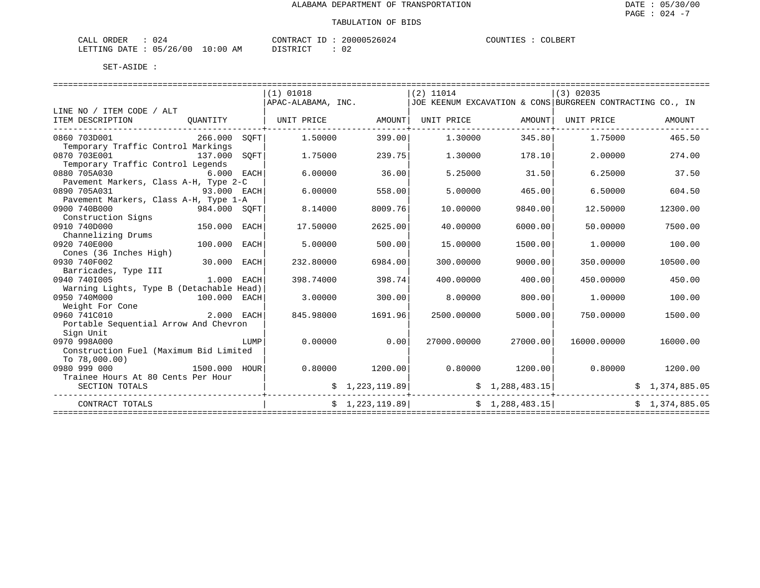| ORDER<br>CALI | ے ں      |             | <sup>~</sup> ONTRACT<br>TD. | 20000526024 | COUNTIES<br>.IES. | COLBERT |
|---------------|----------|-------------|-----------------------------|-------------|-------------------|---------|
| LETTING DATE  | 05/26/00 | 10:00<br>ΆM | ירוח דמידים                 | 02          |                   |         |

|                                          |            |      | (1) 01018          |                | $(2)$ 11014 |                 | $(3)$ 02035                                               |                |
|------------------------------------------|------------|------|--------------------|----------------|-------------|-----------------|-----------------------------------------------------------|----------------|
|                                          |            |      | APAC-ALABAMA, INC. |                |             |                 | JOE KEENUM EXCAVATION & CONS BURGREEN CONTRACTING CO., IN |                |
| LINE NO / ITEM CODE / ALT                |            |      |                    |                |             |                 |                                                           |                |
| ITEM DESCRIPTION                         | OUANTITY   |      | UNIT PRICE         | AMOUNT         | UNIT PRICE  |                 | AMOUNT UNIT PRICE                                         | AMOUNT         |
| 0860 703D001                             | 266.000    | SOFT | 1,50000            | 399.00         | 1,30000     | 345.80          | 1.75000                                                   | 465.50         |
| Temporary Traffic Control Markings       |            |      |                    |                |             |                 |                                                           |                |
| 0870 703E001<br>137.000                  |            | SOFT | 1.75000            | 239.75         | 1,30000     | 178.10          | 2,00000                                                   | 274.00         |
| Temporary Traffic Control Legends        |            |      |                    |                |             |                 |                                                           |                |
| 0880 705A030                             | 6.000 EACH |      | 6.00000            | 36.00          | 5.25000     | 31.50           | 6.25000                                                   | 37.50          |
| Pavement Markers, Class A-H, Type 2-C    |            |      |                    |                |             |                 |                                                           |                |
| 0890 705A031<br>93.000 EACH              |            |      | 6.00000            | 558.00         | 5,00000     | 465.00          | 6.50000                                                   | 604.50         |
| Pavement Markers, Class A-H, Type 1-A    |            |      |                    |                |             |                 |                                                           |                |
| 0900 740B000<br>984.000 SOFT             |            |      | 8.14000            | 8009.76        | 10.00000    | 9840.00         | 12.50000                                                  | 12300.00       |
| Construction Signs                       |            |      |                    |                |             |                 |                                                           |                |
| 150.000<br>0910 740D000                  |            | EACH | 17.50000           | 2625.00        | 40.00000    | 6000.00         | 50.00000                                                  | 7500.00        |
| Channelizing Drums                       |            |      |                    |                |             |                 |                                                           |                |
| 0920 740E000                             | 100.000    | EACH | 5.00000            | 500.00         | 15.00000    | 1500.00         | 1.00000                                                   | 100.00         |
| Cones (36 Inches High)                   |            |      |                    |                |             |                 |                                                           |                |
| 30.000<br>0930 740F002                   |            | EACH | 232.80000          | 6984.00        | 300.00000   | 9000.00         | 350.00000                                                 | 10500.00       |
| Barricades, Type III                     |            |      |                    |                |             |                 |                                                           |                |
| 0940 7401005                             | 1.000      | EACH | 398.74000          | 398.74         | 400.00000   | 400.00          | 450.00000                                                 | 450.00         |
| Warning Lights, Type B (Detachable Head) |            |      |                    |                |             |                 |                                                           |                |
| 0950 740M000<br>100.000                  |            | EACH | 3.00000            | 300.00         | 8,00000     | 800.00          | 1,00000                                                   | 100.00         |
| Weight For Cone                          |            |      |                    |                |             |                 |                                                           |                |
| 2.000 EACH<br>0960 741C010               |            |      | 845.98000          | 1691.96        | 2500.00000  | 5000.00         | 750.00000                                                 | 1500.00        |
| Portable Sequential Arrow And Chevron    |            |      |                    |                |             |                 |                                                           |                |
| Sign Unit                                |            |      |                    |                |             |                 |                                                           |                |
| 0970 998A000                             |            | LUMP | 0.00000            | 0.00           | 27000.00000 | 27000.00        | 16000.00000                                               | 16000.00       |
| Construction Fuel (Maximum Bid Limited   |            |      |                    |                |             |                 |                                                           |                |
| To $78,000.00$ )                         |            |      |                    |                |             |                 |                                                           |                |
| 0980 999 000<br>1500.000 HOUR            |            |      | 0.80000            | 1200.00        | 0.80000     | 1200.00         | 0.80000                                                   | 1200.00        |
| Trainee Hours At 80 Cents Per Hour       |            |      |                    |                |             |                 |                                                           |                |
| SECTION TOTALS                           |            |      |                    | \$1,223,119.89 |             | \$1,288,483.15  |                                                           | \$1,374,885.05 |
| CONTRACT TOTALS                          |            |      |                    | \$1,223,119.89 |             | \$1,288,483.15] |                                                           | \$1,374,885.05 |
|                                          |            |      |                    |                |             |                 |                                                           |                |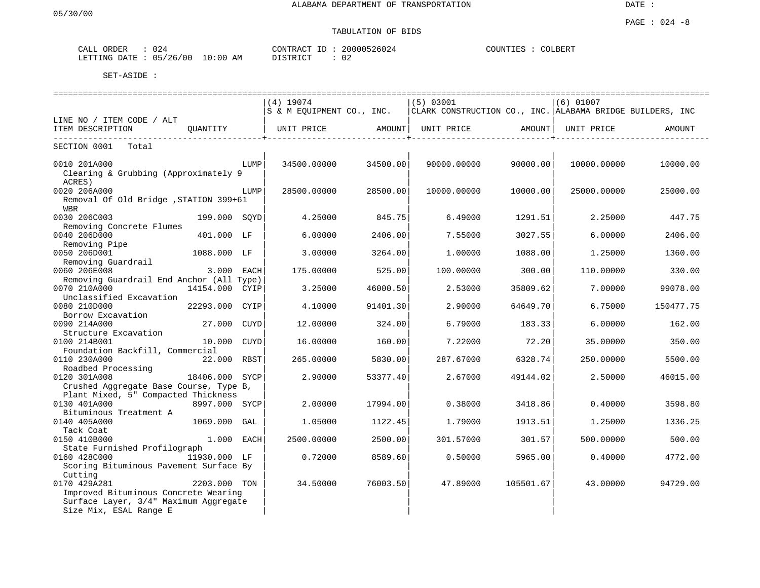## TABULATION OF BIDS

| CALL ORDER | 024                             | CONTRACT ID: | 20000526024 | COLBERT<br>COUNTIES |
|------------|---------------------------------|--------------|-------------|---------------------|
|            | LETTING DATE: 05/26/00 10:00 AM | DISTRICT     |             |                     |

|                                                        |                |      |                           |          |                                                             |           |             | ---------------------------------- |
|--------------------------------------------------------|----------------|------|---------------------------|----------|-------------------------------------------------------------|-----------|-------------|------------------------------------|
|                                                        |                |      | $(4)$ 19074               |          | (5) 03001                                                   |           | $(6)$ 01007 |                                    |
|                                                        |                |      | S & M EQUIPMENT CO., INC. |          | CLARK CONSTRUCTION CO., INC.   ALABAMA BRIDGE BUILDERS, INC |           |             |                                    |
| LINE NO / ITEM CODE / ALT                              |                |      |                           |          |                                                             |           |             |                                    |
| ITEM DESCRIPTION<br>----------------------------       | OUANTITY       |      | UNIT PRICE                | AMOUNT   | UNIT PRICE                                                  | AMOUNT    | UNIT PRICE  | AMOUNT                             |
| SECTION 0001<br>Total                                  |                |      |                           |          |                                                             |           |             |                                    |
| 0010 201A000                                           |                | LUMP | 34500.00000               | 34500.00 | 90000.00000                                                 | 90000.00  | 10000.00000 | 10000.00                           |
| Clearing & Grubbing (Approximately 9                   |                |      |                           |          |                                                             |           |             |                                    |
| ACRES)                                                 |                |      |                           |          |                                                             |           |             |                                    |
| 0020 206A000<br>Removal Of Old Bridge , STATION 399+61 |                | LUMP | 28500.00000               | 28500.00 | 10000.00000                                                 | 10000.00  | 25000.00000 | 25000.00                           |
| <b>WBR</b>                                             |                |      |                           |          |                                                             |           |             |                                    |
| 0030 206C003                                           | 199.000 SOYD   |      | 4.25000                   | 845.75   | 6.49000                                                     | 1291.51   | 2.25000     | 447.75                             |
| Removing Concrete Flumes                               |                |      |                           |          |                                                             |           |             |                                    |
| 0040 206D000                                           | 401.000 LF     |      | 6.00000                   | 2406.00  | 7.55000                                                     | 3027.55   | 6,00000     | 2406.00                            |
| Removing Pipe                                          |                |      |                           |          |                                                             |           |             |                                    |
| 0050 206D001                                           | 1088.000 LF    |      | 3.00000                   | 3264.00  | 1,00000                                                     | 1088.00   | 1.25000     | 1360.00                            |
| Removing Guardrail                                     |                |      |                           |          |                                                             |           |             |                                    |
| 0060 206E008                                           | 3.000 EACH     |      | 175.00000                 | 525.00   | 100.00000                                                   | 300.00    | 110.00000   | 330.00                             |
| Removing Guardrail End Anchor (All Type)               |                |      |                           |          |                                                             |           |             |                                    |
| 0070 210A000                                           | 14154.000 CYIP |      | 3.25000                   | 46000.50 | 2.53000                                                     | 35809.62  | 7.00000     | 99078.00                           |
| Unclassified Excavation                                |                |      |                           |          |                                                             |           |             |                                    |
| 0080 210D000                                           | 22293.000 CYIP |      | 4.10000                   | 91401.30 | 2.90000                                                     | 64649.70  | 6.75000     | 150477.75                          |
| Borrow Excavation<br>0090 214A000                      | 27.000 CUYD    |      | 12,00000                  | 324.00   | 6.79000                                                     | 183.33    | 6.00000     | 162.00                             |
| Structure Excavation                                   |                |      |                           |          |                                                             |           |             |                                    |
| 0100 214B001                                           | 10.000         | CUYD | 16.00000                  | 160.00   | 7.22000                                                     | 72.20     | 35.00000    | 350.00                             |
| Foundation Backfill, Commercial                        |                |      |                           |          |                                                             |           |             |                                    |
| 0110 230A000                                           | 22.000 RBST    |      | 265.00000                 | 5830.00  | 287.67000                                                   | 6328.74   | 250.00000   | 5500.00                            |
| Roadbed Processing                                     |                |      |                           |          |                                                             |           |             |                                    |
| 0120 301A008                                           | 18406.000 SYCP |      | 2.90000                   | 53377.40 | 2.67000                                                     | 49144.02  | 2.50000     | 46015.00                           |
| Crushed Aggregate Base Course, Type B,                 |                |      |                           |          |                                                             |           |             |                                    |
| Plant Mixed, 5" Compacted Thickness                    |                |      |                           |          |                                                             |           |             |                                    |
| 0130 401A000                                           | 8997.000 SYCP  |      | 2.00000                   | 17994.00 | 0.38000                                                     | 3418.86   | 0.40000     | 3598.80                            |
| Bituminous Treatment A                                 |                |      |                           |          |                                                             |           |             |                                    |
| 0140 405A000                                           | 1069.000       | GAL  | 1.05000                   | 1122.45  | 1.79000                                                     | 1913.51   | 1.25000     | 1336.25                            |
| Tack Coat                                              |                |      |                           |          |                                                             |           |             |                                    |
| 0150 410B000                                           | 1.000 EACH     |      | 2500.00000                | 2500.00  | 301.57000                                                   | 301.57    | 500.00000   | 500.00                             |
| State Furnished Profilograph<br>0160 428C000           | 11930.000 LF   |      | 0.72000                   | 8589.60  | 0.50000                                                     | 5965.00   | 0.40000     | 4772.00                            |
| Scoring Bituminous Pavement Surface By                 |                |      |                           |          |                                                             |           |             |                                    |
| Cutting                                                |                |      |                           |          |                                                             |           |             |                                    |
| 0170 429A281                                           | 2203.000 TON   |      | 34.50000                  | 76003.50 | 47.89000                                                    | 105501.67 | 43.00000    | 94729.00                           |
| Improved Bituminous Concrete Wearing                   |                |      |                           |          |                                                             |           |             |                                    |
| Surface Layer, 3/4" Maximum Aggregate                  |                |      |                           |          |                                                             |           |             |                                    |
| Size Mix, ESAL Range E                                 |                |      |                           |          |                                                             |           |             |                                    |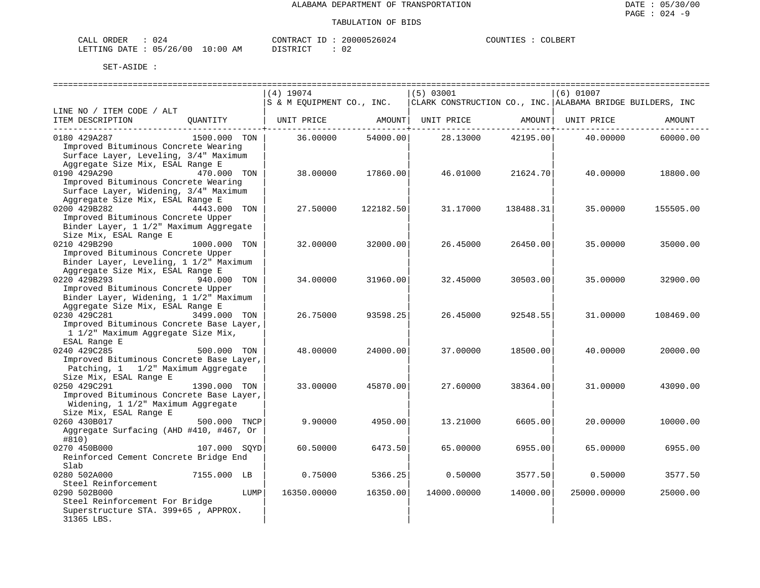| CALL ORDER                      |  |          | CONTRACT ID: 20000526024 | COUNTIES : | COLBERT |
|---------------------------------|--|----------|--------------------------|------------|---------|
| LETTING DATE: 05/26/00 10:00 AM |  | DISTRICT | 02                       |            |         |

|                                                    | ============================= |           | ---------------------------                               |           | ===================== |           |
|----------------------------------------------------|-------------------------------|-----------|-----------------------------------------------------------|-----------|-----------------------|-----------|
|                                                    | $(4)$ 19074                   |           | (5) 03001                                                 |           | $(6)$ 01007           |           |
|                                                    | S & M EQUIPMENT CO., INC.     |           | CLARK CONSTRUCTION CO., INC. ALABAMA BRIDGE BUILDERS, INC |           |                       |           |
| LINE NO / ITEM CODE / ALT                          |                               |           |                                                           |           |                       |           |
| ITEM DESCRIPTION<br>QUANTITY                       | UNIT PRICE                    | AMOUNT    | UNIT PRICE                                                | AMOUNT    | UNIT PRICE            | AMOUNT    |
|                                                    |                               |           |                                                           |           |                       |           |
| 0180 429A287<br>1500.000 TON                       | 36.00000                      | 54000.00  | 28.13000                                                  | 42195.00  | 40.00000              | 60000.00  |
| Improved Bituminous Concrete Wearing               |                               |           |                                                           |           |                       |           |
| Surface Layer, Leveling, 3/4" Maximum              |                               |           |                                                           |           |                       |           |
| Aggregate Size Mix, ESAL Range E                   |                               |           |                                                           |           |                       |           |
| 0190 429A290<br>470.000 TON                        | 38.00000                      | 17860.00  | 46.01000                                                  | 21624.70  | 40.00000              | 18800.00  |
| Improved Bituminous Concrete Wearing               |                               |           |                                                           |           |                       |           |
| Surface Layer, Widening, 3/4" Maximum              |                               |           |                                                           |           |                       |           |
| Aggregate Size Mix, ESAL Range E                   |                               |           |                                                           |           |                       |           |
| 0200 429B282<br>4443.000 TON                       | 27.50000                      | 122182.50 | 31.17000                                                  | 138488.31 | 35.00000              | 155505.00 |
| Improved Bituminous Concrete Upper                 |                               |           |                                                           |           |                       |           |
| Binder Layer, 1 1/2" Maximum Aggregate             |                               |           |                                                           |           |                       |           |
| Size Mix, ESAL Range E                             |                               |           |                                                           |           |                       |           |
| 0210 429B290<br>1000.000 TON                       | 32.00000                      | 32000.00  | 26.45000                                                  | 26450.00  | 35.00000              | 35000.00  |
| Improved Bituminous Concrete Upper                 |                               |           |                                                           |           |                       |           |
| Binder Layer, Leveling, 1 1/2" Maximum             |                               |           |                                                           |           |                       |           |
| Aggregate Size Mix, ESAL Range E                   |                               |           |                                                           |           |                       |           |
| 0220 429B293<br>940.000 TON                        | 34.00000                      | 31960.00  | 32.45000                                                  | 30503.00  | 35,00000              | 32900.00  |
| Improved Bituminous Concrete Upper                 |                               |           |                                                           |           |                       |           |
| Binder Layer, Widening, 1 1/2" Maximum             |                               |           |                                                           |           |                       |           |
| Aggregate Size Mix, ESAL Range E                   |                               |           |                                                           |           |                       |           |
| 0230 429C281<br>3499.000 TON                       | 26.75000                      | 93598.25  | 26.45000                                                  | 92548.55  | 31,00000              | 108469.00 |
| Improved Bituminous Concrete Base Layer,           |                               |           |                                                           |           |                       |           |
| 1 1/2" Maximum Aggregate Size Mix,<br>ESAL Range E |                               |           |                                                           |           |                       |           |
| 0240 429C285<br>500.000 TON                        | 48.00000                      | 24000.00  | 37.00000                                                  | 18500.00  | 40.00000              | 20000.00  |
| Improved Bituminous Concrete Base Layer,           |                               |           |                                                           |           |                       |           |
| Patching, 1 1/2" Maximum Aggregate                 |                               |           |                                                           |           |                       |           |
| Size Mix, ESAL Range E                             |                               |           |                                                           |           |                       |           |
| 0250 429C291<br>1390.000 TON                       | 33.00000                      | 45870.00  | 27.60000                                                  | 38364.00  | 31.00000              | 43090.00  |
| Improved Bituminous Concrete Base Layer,           |                               |           |                                                           |           |                       |           |
| Widening, 1 1/2" Maximum Aggregate                 |                               |           |                                                           |           |                       |           |
| Size Mix, ESAL Range E                             |                               |           |                                                           |           |                       |           |
| 0260 430B017<br>500.000 TNCP                       | 9,90000                       | 4950.00   | 13.21000                                                  | 6605.00   | 20,00000              | 10000.00  |
| Aggregate Surfacing (AHD #410, #467, Or            |                               |           |                                                           |           |                       |           |
| #810)                                              |                               |           |                                                           |           |                       |           |
| 0270 450B000<br>107.000 SOYD                       | 60.50000                      | 6473.50   | 65.00000                                                  | 6955.00   | 65.00000              | 6955.00   |
| Reinforced Cement Concrete Bridge End              |                               |           |                                                           |           |                       |           |
| Slab                                               |                               |           |                                                           |           |                       |           |
| 0280 502A000<br>7155.000 LB                        | 0.75000                       | 5366.25   | 0.50000                                                   | 3577.50   | 0.50000               | 3577.50   |
| Steel Reinforcement                                |                               |           |                                                           |           |                       |           |
| 0290 502B000<br>LUMP                               | 16350.00000                   | 16350.00  | 14000.00000                                               | 14000.00  | 25000.00000           | 25000.00  |
| Steel Reinforcement For Bridge                     |                               |           |                                                           |           |                       |           |
| Superstructure STA. 399+65, APPROX.                |                               |           |                                                           |           |                       |           |
| 31365 LBS.                                         |                               |           |                                                           |           |                       |           |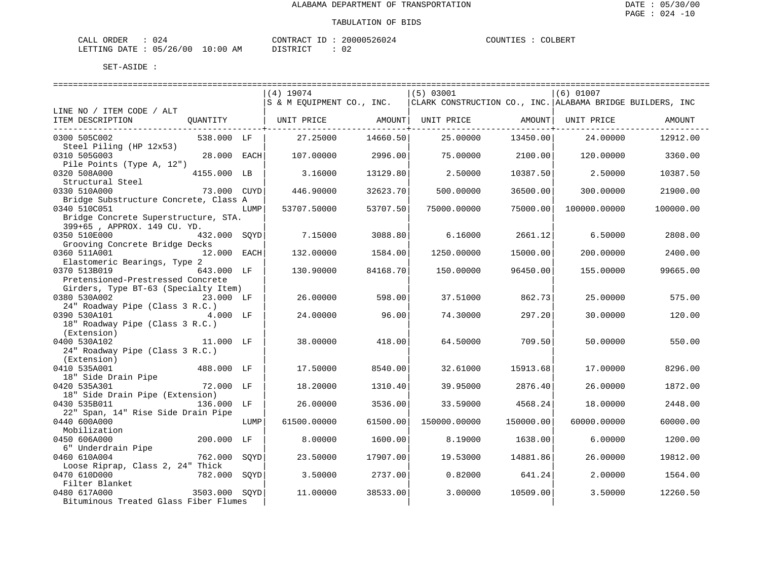| CALI<br>DRDER                 | "∠ل      |    | CONTRACT<br>TD.  | 000526024<br>2006 | COUNTIF<br>. TRZ | COLBERT |
|-------------------------------|----------|----|------------------|-------------------|------------------|---------|
| <b>DATE</b><br><b>LETTING</b> | 05/26/00 | ΆM | ד פידים ד $\sim$ | n r<br>υz         |                  |         |

|                                                   |              |      | $(4)$ 19074               |                     | $(5)$ 03001                                                                            |                     | $(6)$ 01007  |           |
|---------------------------------------------------|--------------|------|---------------------------|---------------------|----------------------------------------------------------------------------------------|---------------------|--------------|-----------|
|                                                   |              |      | S & M EQUIPMENT CO., INC. |                     | CLARK CONSTRUCTION CO., INC.   ALABAMA BRIDGE BUILDERS, INC                            |                     |              |           |
| LINE NO / ITEM CODE / ALT                         |              |      |                           |                     |                                                                                        |                     |              |           |
| ITEM DESCRIPTION                                  | QUANTITY     |      |                           |                     | UNIT PRICE                  AMOUNT    UNIT PRICE                  AMOUNT    UNIT PRICE |                     |              | AMOUNT    |
|                                                   |              |      |                           | -----------+------- |                                                                                        | -----------+------- |              |           |
| 0300 505C002                                      | 538.000 LF   |      | 27.25000                  | 14660.50            | 25,00000                                                                               | 13450.00            | 24.00000     | 12912.00  |
| Steel Piling (HP 12x53)                           |              |      |                           |                     |                                                                                        |                     |              |           |
| 0310 505G003                                      | 28.000 EACH  |      | 107.00000                 | 2996.00             | 75.00000                                                                               | 2100.00             | 120.00000    | 3360.00   |
| Pile Points (Type A, 12")                         |              |      |                           |                     |                                                                                        |                     |              |           |
| 0320 508A000                                      | 4155.000 LB  |      | 3.16000                   | 13129.80            | 2.50000                                                                                | 10387.50            | 2.50000      | 10387.50  |
| Structural Steel                                  |              |      |                           |                     |                                                                                        |                     |              |           |
| 0330 510A000                                      | 73.000 CUYD  |      | 446.90000                 | 32623.70            | 500.00000                                                                              | 36500.00            | 300.00000    | 21900.00  |
| Bridge Substructure Concrete, Class A             |              |      |                           |                     |                                                                                        |                     |              |           |
| 0340 510C051                                      |              | LUMP | 53707.50000               | 53707.50            | 75000.00000                                                                            | 75000.00            | 100000.00000 | 100000.00 |
| Bridge Concrete Superstructure, STA.              |              |      |                           |                     |                                                                                        |                     |              |           |
| 399+65, APPROX. 149 CU. YD.                       |              |      |                           |                     |                                                                                        |                     |              |           |
| 0350 510E000                                      | 432.000 SOYD |      | 7.15000                   | 3088.80             | 6.16000                                                                                | 2661.12             | 6.50000      | 2808.00   |
| Grooving Concrete Bridge Decks                    |              |      |                           |                     |                                                                                        |                     |              |           |
| 0360 511A001                                      | 12.000 EACH  |      | 132,00000                 | 1584.00             | 1250.00000                                                                             | 15000.00            | 200,00000    | 2400.00   |
| Elastomeric Bearings, Type 2                      |              |      |                           |                     |                                                                                        |                     |              |           |
| 0370 513B019                                      | 643.000 LF   |      | 130.90000                 | 84168.70            | 150.00000                                                                              | 96450.00            | 155.00000    | 99665.00  |
| Pretensioned-Prestressed Concrete                 |              |      |                           |                     |                                                                                        |                     |              |           |
| Girders, Type BT-63 (Specialty Item)              |              |      |                           |                     |                                                                                        |                     |              |           |
| 0380 530A002<br>23.000 LF                         |              |      | 26.00000                  | 598.00              | 37.51000                                                                               | 862.73              | 25.00000     | 575.00    |
| 24" Roadway Pipe (Class 3 R.C.)                   |              |      |                           |                     |                                                                                        |                     |              |           |
| 0390 530A101                                      | 4.000 LF     |      | 24.00000                  | 96.00               | 74.30000                                                                               | 297.20              | 30.00000     | 120.00    |
| 18" Roadway Pipe (Class 3 R.C.)                   |              |      |                           |                     |                                                                                        |                     |              |           |
| (Extension)                                       |              |      |                           |                     |                                                                                        |                     |              |           |
| 0400 530A102                                      | 11.000 LF    |      | 38.00000                  | 418.00              | 64.50000                                                                               | 709.50              | 50.00000     | 550.00    |
| 24" Roadway Pipe (Class 3 R.C.)                   |              |      |                           |                     |                                                                                        |                     |              |           |
| (Extension)                                       |              |      |                           |                     |                                                                                        |                     |              |           |
| 0410 535A001                                      | 488.000 LF   |      | 17.50000                  | 8540.00             | 32.61000                                                                               | 15913.68            | 17.00000     | 8296.00   |
| 18" Side Drain Pipe                               |              |      |                           |                     |                                                                                        |                     |              |           |
| 0420 535A301                                      | 72.000 LF    |      | 18,20000                  | 1310.40             | 39.95000                                                                               | 2876.40             | 26.00000     | 1872.00   |
| 18" Side Drain Pipe (Extension)                   |              |      |                           |                     |                                                                                        |                     |              |           |
| 0430 535B011                                      | 136.000 LF   |      | 26.00000                  | 3536.00             | 33.59000                                                                               | 4568.24             | 18.00000     | 2448.00   |
| 22" Span, 14" Rise Side Drain Pipe                |              |      |                           |                     |                                                                                        |                     |              |           |
| 0440 600A000                                      |              | LUMP | 61500.00000               | 61500.00            | 150000.00000                                                                           | 150000.00           | 60000.00000  | 60000.00  |
| Mobilization                                      |              |      |                           |                     |                                                                                        |                     |              |           |
| 0450 606A000                                      | 200.000 LF   |      | 8,00000                   | 1600.00             | 8.19000                                                                                | 1638.00             | 6.00000      | 1200.00   |
| 6" Underdrain Pipe                                |              |      |                           |                     |                                                                                        |                     |              |           |
| 0460 610A004                                      | 762.000 SQYD |      | 23.50000                  | 17907.00            | 19.53000                                                                               | 14881.86            | 26.00000     | 19812.00  |
| Loose Riprap, Class 2, 24" Thick                  |              |      |                           |                     |                                                                                        |                     |              |           |
| 0470 610D000                                      | 782.000 SOYD |      | 3.50000                   | 2737.00             | 0.82000                                                                                | 641.24              | 2.00000      | 1564.00   |
| Filter Blanket<br>Filter Blanket<br>3503.000 SQYD |              |      |                           |                     |                                                                                        |                     |              |           |
| 0480 617A000                                      |              |      | 11,00000                  | 38533.00            | 3.00000                                                                                | 10509.00            | 3.50000      | 12260.50  |
| Bituminous Treated Glass Fiber Flumes             |              |      |                           |                     |                                                                                        |                     |              |           |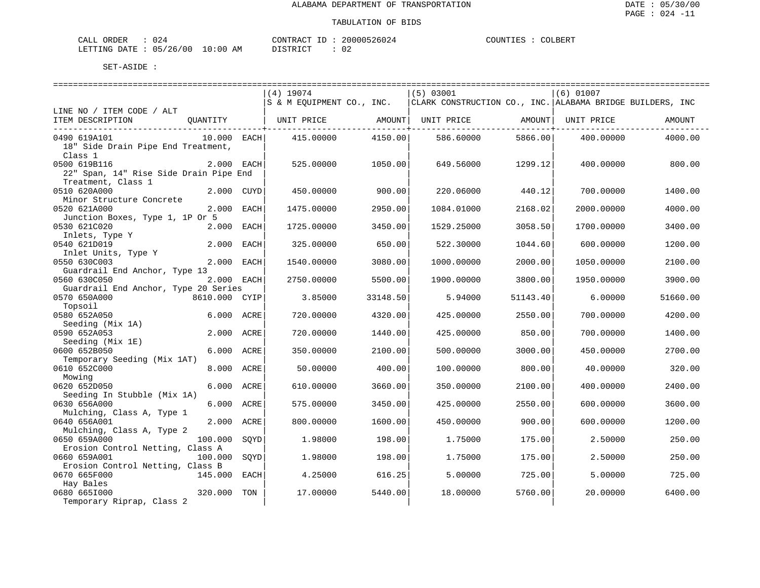| ORDER<br>CALI | م 2 ب      |                       | CONTRACT<br>TD.        | 20000526024  | COUNTIES | COLBERT |
|---------------|------------|-----------------------|------------------------|--------------|----------|---------|
| LETTING DATE  | : 05/26/00 | 10:00<br>AМ<br>$\sim$ | ירי תידוף ד<br>- - - - | 02<br>$\sim$ |          |         |

|                                        |               |      | ================================                 |          | ==============================                              |          | ================================ |          |
|----------------------------------------|---------------|------|--------------------------------------------------|----------|-------------------------------------------------------------|----------|----------------------------------|----------|
|                                        |               |      | $(4)$ 19074                                      |          | (5) 03001                                                   |          | $(6)$ 01007                      |          |
|                                        |               |      | S & M EQUIPMENT CO., INC.                        |          | CLARK CONSTRUCTION CO., INC.   ALABAMA BRIDGE BUILDERS, INC |          |                                  |          |
| LINE NO / ITEM CODE / ALT              |               |      |                                                  |          |                                                             |          |                                  |          |
| ITEM DESCRIPTION                       | OUANTITY      |      | UNIT PRICE                  AMOUNT    UNIT PRICE |          |                                                             |          | AMOUNT  UNIT PRICE               | AMOUNT   |
|                                        |               |      |                                                  |          |                                                             |          |                                  |          |
| 0490 619A101                           | 10.000 EACH   |      | 415,00000                                        | 4150.00  | 586.60000                                                   | 5866.00  | 400.00000                        | 4000.00  |
| 18" Side Drain Pipe End Treatment,     |               |      |                                                  |          |                                                             |          |                                  |          |
| Class 1                                |               |      |                                                  |          |                                                             |          |                                  |          |
| 0500 619B116                           |               |      |                                                  |          |                                                             |          |                                  |          |
|                                        | 2.000 EACH    |      | 525.00000                                        | 1050.00  | 649.56000                                                   | 1299.12  | 400.00000                        | 800.00   |
| 22" Span, 14" Rise Side Drain Pipe End |               |      |                                                  |          |                                                             |          |                                  |          |
| Treatment, Class 1                     |               |      |                                                  |          |                                                             |          |                                  |          |
| 0510 620A000                           | 2.000 CUYD    |      | 450.00000                                        | 900.00   | 220.06000                                                   | 440.12   | 700.00000                        | 1400.00  |
| Minor Structure Concrete               |               |      |                                                  |          |                                                             |          |                                  |          |
| 0520 621A000                           | 2.000 EACH    |      | 1475.00000                                       | 2950.00  | 1084.01000                                                  | 2168.02  | 2000.00000                       | 4000.00  |
| Junction Boxes, Type 1, 1P Or 5        |               |      |                                                  |          |                                                             |          |                                  |          |
| 0530 621C020                           | 2.000 EACH    |      | 1725.00000                                       | 3450.00  | 1529.25000                                                  | 3058.50  | 1700.00000                       | 3400.00  |
| Inlets, Type Y                         |               |      |                                                  |          |                                                             |          |                                  |          |
| 0540 621D019                           | 2.000         | EACH | 325,00000                                        | 650.00   | 522.30000                                                   | 1044.60  | 600,00000                        | 1200.00  |
| Inlet Units, Type Y                    |               |      |                                                  |          |                                                             |          |                                  |          |
| 0550 630C003                           | 2.000 EACH    |      | 1540.00000                                       | 3080.00  | 1000.00000                                                  | 2000.00  | 1050.00000                       | 2100.00  |
| Guardrail End Anchor, Type 13          |               |      |                                                  |          |                                                             |          |                                  |          |
| 0560 630C050                           | 2.000 EACH    |      | 2750.00000                                       | 5500.00  | 1900.00000                                                  | 3800.00  | 1950.00000                       | 3900.00  |
| Guardrail End Anchor, Type 20 Series   |               |      |                                                  |          |                                                             |          |                                  |          |
| 0570 650A000                           | 8610.000 CYIP |      | 3.85000                                          | 33148.50 | 5.94000                                                     | 51143.40 | 6.00000                          | 51660.00 |
|                                        |               |      |                                                  |          |                                                             |          |                                  |          |
| Topsoil                                |               |      |                                                  |          |                                                             |          |                                  |          |
| 0580 652A050                           | 6.000 ACRE    |      | 720.00000                                        | 4320.00  | 425.00000                                                   | 2550.00  | 700.00000                        | 4200.00  |
| Seeding (Mix 1A)                       |               |      |                                                  |          |                                                             |          |                                  |          |
| 0590 652A053                           | 2.000 ACRE    |      | 720.00000                                        | 1440.00  | 425.00000                                                   | 850.00   | 700.00000                        | 1400.00  |
| Seeding (Mix 1E)                       |               |      |                                                  |          |                                                             |          |                                  |          |
| 0600 652B050                           | 6.000 ACRE    |      | 350.00000                                        | 2100.00  | 500.00000                                                   | 3000.00  | 450.00000                        | 2700.00  |
| Temporary Seeding (Mix 1AT)            |               |      |                                                  |          |                                                             |          |                                  |          |
| 0610 652C000                           | 8.000 ACRE    |      | 50.00000                                         | 400.00   | 100.00000                                                   | 800.00   | 40.00000                         | 320.00   |
| Mowing                                 |               |      |                                                  |          |                                                             |          |                                  |          |
| 0620 652D050                           | 6.000 ACRE    |      | 610.00000                                        | 3660.00  | 350.00000                                                   | 2100.00  | 400.00000                        | 2400.00  |
| Seeding In Stubble (Mix 1A)            |               |      |                                                  |          |                                                             |          |                                  |          |
| 0630 656A000                           | 6.000 ACRE    |      | 575.00000                                        | 3450.00  | 425.00000                                                   | 2550.00  | 600,00000                        | 3600.00  |
| Mulching, Class A, Type 1              |               |      |                                                  |          |                                                             |          |                                  |          |
| 0640 656A001                           | 2.000 ACRE    |      | 800.00000                                        | 1600.00  | 450.00000                                                   | 900.00   | 600.00000                        | 1200.00  |
| Mulching, Class A, Type 2              |               |      |                                                  |          |                                                             |          |                                  |          |
| 0650 659A000                           | 100.000       | SOYD | 1.98000                                          | 198.00   | 1.75000                                                     | 175.00   | 2.50000                          | 250.00   |
| Erosion Control Netting, Class A       |               |      |                                                  |          |                                                             |          |                                  |          |
| 0660 659A001                           | 100.000       | SOYD | 1.98000                                          | 198.00   | 1.75000                                                     | 175.00   | 2.50000                          | 250.00   |
| Erosion Control Netting, Class B       |               |      |                                                  |          |                                                             |          |                                  |          |
| 0670 665F000                           | 145.000 EACH  |      | 4.25000                                          | 616.25   | 5.00000                                                     | 725.00   | 5.00000                          | 725.00   |
| Hay Bales                              |               |      |                                                  |          |                                                             |          |                                  |          |
| 0680 6651000                           | 320.000       | TON  | 17.00000                                         | 5440.00  | 18.00000                                                    | 5760.00  | 20.00000                         | 6400.00  |
|                                        |               |      |                                                  |          |                                                             |          |                                  |          |
| Temporary Riprap, Class 2              |               |      |                                                  |          |                                                             |          |                                  |          |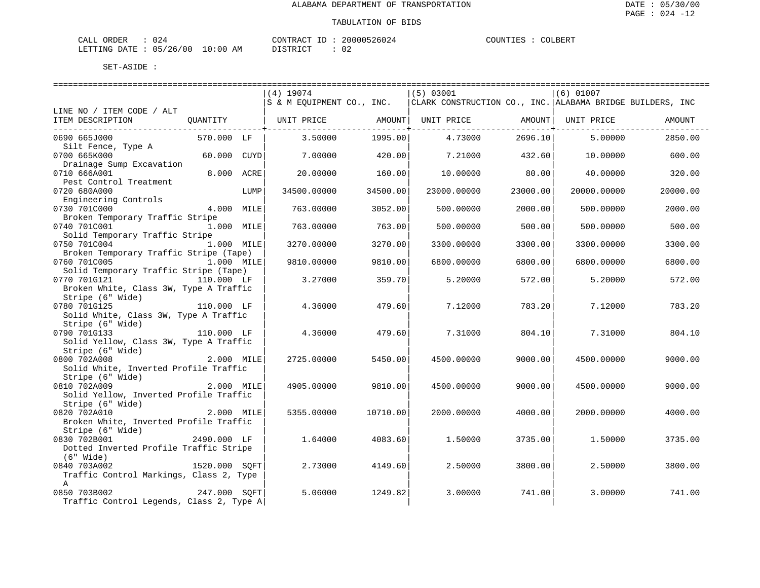| CALI<br>DRDER                 | "∠ل      |    | CONTRACT<br>TD.  | 000526024<br>2006 | COUNTIF<br>. TRZ | COLBERT |
|-------------------------------|----------|----|------------------|-------------------|------------------|---------|
| <b>DATE</b><br><b>LETTING</b> | 05/26/00 | ΆM | ד פידים ד $\sim$ | n r<br>υz         |                  |         |

| $(4)$ 19074<br>(5) 03001<br>$(6)$ 01007                                                                                       |          |
|-------------------------------------------------------------------------------------------------------------------------------|----------|
| S & M EQUIPMENT CO., INC.<br>  CLARK CONSTRUCTION CO., INC.   ALABAMA BRIDGE BUILDERS, INC                                    |          |
| LINE NO / ITEM CODE / ALT                                                                                                     |          |
| ITEM DESCRIPTION<br>QUANTITY               UNIT PRICE               AMOUNT    UNIT PRICE                 AMOUNT    UNIT PRICE | AMOUNT   |
| ------------+-------                                                                                                          |          |
| 1995.00<br>0690 665J000<br>570.000 LF<br>3.50000<br>4.73000<br>2696.10<br>5.00000                                             | 2850.00  |
| Silt Fence, Type A                                                                                                            |          |
| 0700 665K000<br>60.000 CUYD<br>420.00<br>7.00000<br>7.21000<br>432.60<br>10.00000                                             | 600.00   |
| Drainage Sump Excavation                                                                                                      |          |
| 8.000 ACRE<br>0710 666A001<br>20,00000<br>160.00<br>10.00000<br>80.00<br>40.00000                                             | 320.00   |
| Pest Control Treatment                                                                                                        |          |
| 23000.00<br>0720 680A000<br>LUMP<br>34500.00000<br>34500.00<br>23000.00000<br>20000.00000                                     | 20000.00 |
| Engineering Controls                                                                                                          |          |
| 0730 701C000<br>$4.000$ MILE<br>763.00000<br>3052.00<br>500.00000<br>2000.00<br>500.00000                                     | 2000.00  |
| Broken Temporary Traffic Stripe                                                                                               |          |
| 0740 701C001<br>1.000 MILE<br>763.00<br>763.00000<br>500.00000<br>500.00<br>500.00000                                         | 500.00   |
| Solid Temporary Traffic Stripe                                                                                                |          |
| 0750 701C004<br>1.000 MILE<br>3270.00<br>3300.00000<br>3270.00000<br>3300.00000<br>3300.00                                    | 3300.00  |
| Broken Temporary Traffic Stripe (Tape)                                                                                        |          |
| 0760 701C005<br>1.000 MILE<br>9810.00<br>6800.00<br>9810.00000<br>6800.00000<br>6800.00000                                    | 6800.00  |
| Solid Temporary Traffic Stripe (Tape)                                                                                         |          |
| 0770 701G121<br>110.000 LF<br>3.27000<br>359.70<br>572.00<br>5.20000<br>5.20000                                               | 572.00   |
|                                                                                                                               |          |
| Broken White, Class 3W, Type A Traffic                                                                                        |          |
| Stripe (6" Wide)                                                                                                              |          |
| 0780 701G125<br>4.36000<br>110.000 LF<br>479.60<br>7.12000<br>783.20<br>7.12000                                               | 783.20   |
| Solid White, Class 3W, Type A Traffic                                                                                         |          |
| Stripe (6" Wide)                                                                                                              |          |
| 110.000 LF<br>0790 701G133<br>4.36000<br>479.60<br>7.31000<br>804.10<br>7.31000                                               | 804.10   |
| Solid Yellow, Class 3W, Type A Traffic                                                                                        |          |
| Stripe (6" Wide)                                                                                                              |          |
| 0800 702A008<br>2.000 MILE<br>2725.00000<br>5450.00<br>9000.00<br>4500.00000<br>4500.00000                                    | 9000.00  |
| Solid White, Inverted Profile Traffic                                                                                         |          |
| Stripe (6" Wide)                                                                                                              |          |
| 0810 702A009<br>2.000 MILE<br>9810.00<br>4905.00000<br>4500.00000<br>9000.00<br>4500.00000                                    | 9000.00  |
| Solid Yellow, Inverted Profile Traffic                                                                                        |          |
| Stripe (6" Wide)                                                                                                              |          |
| 0820 702A010<br>2.000 MILE<br>10710.00<br>5355.00000<br>2000.00000<br>4000.00<br>2000.00000                                   | 4000.00  |
| Broken White, Inverted Profile Traffic                                                                                        |          |
| Stripe (6" Wide)                                                                                                              |          |
| 4083.60<br>0830 702B001<br>2490.000 LF<br>1.64000<br>3735.00<br>1.50000<br>1.50000                                            | 3735.00  |
| Dotted Inverted Profile Traffic Stripe                                                                                        |          |
| $(6"$ Wide)                                                                                                                   |          |
| 1520.000 SQFT<br>2.73000<br>0840 703A002<br>4149.60<br>2.50000<br>3800.00<br>2.50000                                          | 3800.00  |
| Traffic Control Markings, Class 2, Type                                                                                       |          |
| $\mathbb{A}$                                                                                                                  |          |
| 247.000 SQFT<br>0850 703B002<br>5.06000<br>1249.82<br>741.00<br>3.00000<br>3.00000                                            | 741.00   |
| Traffic Control Legends, Class 2, Type A                                                                                      |          |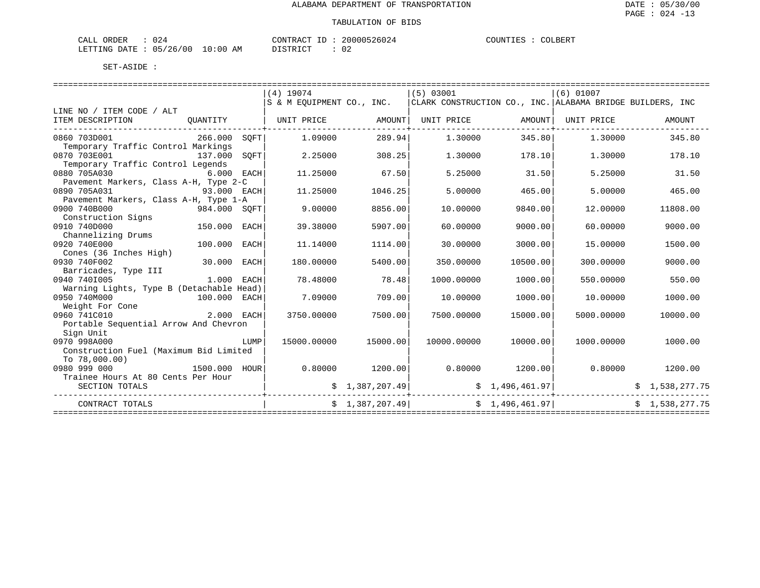| CALI<br>DRDER                 | "∠ل      |    | CONTRACT<br>TD.  | 000526024<br>2006 | COUNTIF<br>. TRZ | COLBERT |
|-------------------------------|----------|----|------------------|-------------------|------------------|---------|
| <b>DATE</b><br><b>LETTING</b> | 05/26/00 | ΆM | ד פידים ד $\sim$ | n r<br>υz         |                  |         |

|                                          |              |      | $(4)$ 19074 |                       | $(5)$ 03001                                                                             |          | $(6)$ 01007     |                |
|------------------------------------------|--------------|------|-------------|-----------------------|-----------------------------------------------------------------------------------------|----------|-----------------|----------------|
|                                          |              |      |             |                       | S & M EQUIPMENT CO., INC.   CLARK CONSTRUCTION CO., INC.   ALABAMA BRIDGE BUILDERS, INC |          |                 |                |
| LINE NO / ITEM CODE / ALT                |              |      |             |                       |                                                                                         |          |                 |                |
| ITEM DESCRIPTION                         |              |      |             |                       | OUANTITY   UNIT PRICE       AMOUNT  UNIT PRICE       AMOUNT  UNIT PRICE                 |          |                 | AMOUNT         |
| -------------------------------          |              |      |             | --------------+------ |                                                                                         |          |                 |                |
| 0860 703D001                             | 266.000 SOFT |      | 1,09000     | 289.94                | 1.30000                                                                                 | 345.80   | 1.30000         | 345.80         |
| Temporary Traffic Control Markings       |              |      |             |                       |                                                                                         |          |                 |                |
| 0870 703E001                             | 137.000      | SOFT | 2.25000     | 308.25                | 1,30000                                                                                 | 178.10   | 1.30000         | 178.10         |
| Temporary Traffic Control Legends        |              |      |             |                       |                                                                                         |          |                 |                |
| 0880 705A030                             | 6.000 EACH   |      | 11,25000    | 67.50                 | 5.25000                                                                                 | 31.50    | 5.25000         | 31.50          |
| Pavement Markers, Class A-H, Type 2-C    |              |      |             |                       |                                                                                         |          |                 |                |
| 93.000 EACH<br>0890 705A031              |              |      | 11.25000    | 1046.25               | 5.00000                                                                                 | 465.00   | 5,00000         | 465.00         |
| Pavement Markers, Class A-H, Type 1-A    |              |      |             |                       |                                                                                         |          |                 |                |
| 0900 740B000<br>984.000 SQFT             |              |      | 9,00000     | 8856.00               | 10.00000                                                                                | 9840.00  | 12,00000        | 11808.00       |
| Construction Signs                       |              |      |             |                       |                                                                                         |          |                 |                |
| 150.000<br>0910 740D000                  |              | EACH | 39.38000    | 5907.00               | 60.00000                                                                                | 9000.00  | 60.00000        | 9000.00        |
| Channelizing Drums                       |              |      |             |                       |                                                                                         |          |                 |                |
| 0920 740E000                             | 100.000 EACH |      | 11.14000    | 1114.00               | 30.00000                                                                                | 3000.00  | 15,00000        | 1500.00        |
| Cones (36 Inches High)                   |              |      |             |                       |                                                                                         |          |                 |                |
| 0930 740F002<br>30.000 EACH              |              |      | 180.00000   | 5400.00               | 350.00000                                                                               | 10500.00 | 300,00000       | 9000.00        |
| Barricades, Type III                     |              |      |             |                       |                                                                                         |          |                 |                |
| 0940 7401005<br>1.000 EACH               |              |      | 78.48000    | 78.48                 | 1000.00000                                                                              | 1000.00  | 550.00000       | 550.00         |
| Warning Lights, Type B (Detachable Head) |              |      |             |                       |                                                                                         |          |                 |                |
| 0950 740M000<br>100.000 EACH             |              |      | 7.09000     | 709.00                | 10,00000                                                                                | 1000.00  | 10,00000        | 1000.00        |
| Weight For Cone                          |              |      |             |                       |                                                                                         |          |                 |                |
| 2.000 EACH<br>0960 741C010               |              |      | 3750.00000  | 7500.00               | 7500.00000                                                                              | 15000.00 | 5000.00000      | 10000.00       |
| Portable Sequential Arrow And Chevron    |              |      |             |                       |                                                                                         |          |                 |                |
| Sign Unit                                |              |      |             |                       |                                                                                         |          |                 |                |
| 0970 998A000                             |              | LUMP | 15000.00000 | 15000.00              | 10000.00000                                                                             | 10000.00 | 1000.00000      | 1000.00        |
| Construction Fuel (Maximum Bid Limited   |              |      |             |                       |                                                                                         |          |                 |                |
| TO 78.000.00)                            |              |      |             |                       |                                                                                         |          |                 |                |
| 1500.000 HOUR<br>0980 999 000            |              |      | 0.80000     | 1200.00               | $0.80000$ 1200.00                                                                       |          | 0.80000         | 1200.00        |
| Trainee Hours At 80 Cents Per Hour       |              |      |             |                       |                                                                                         |          |                 |                |
| SECTION TOTALS                           |              |      |             | \$1,387,207.49]       |                                                                                         |          | \$1,496,461.97] | \$1,538,277.75 |
|                                          |              |      |             |                       |                                                                                         |          | --------------  |                |
| CONTRACT TOTALS                          |              |      |             |                       | $\sharp$ 1,387,207.49 $\sharp$ 1,496,461.97                                             |          |                 | \$1,538,277.75 |
|                                          |              |      |             |                       |                                                                                         |          |                 |                |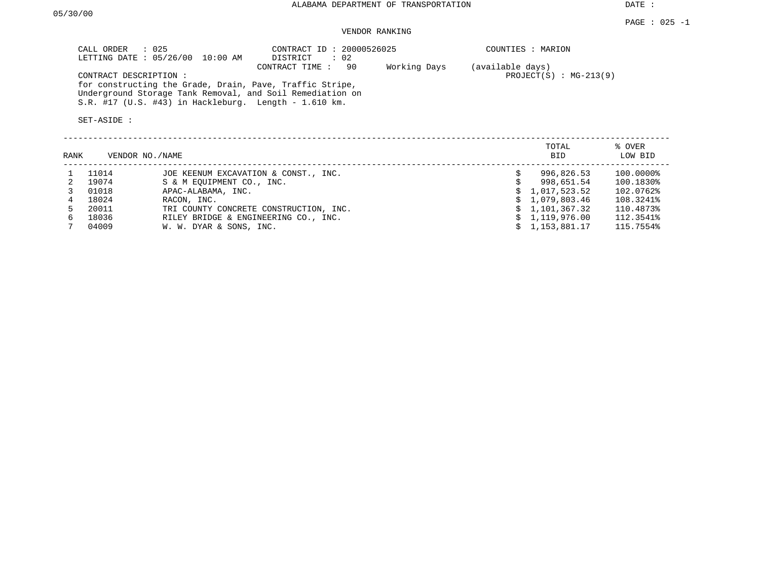DATE :

## VENDOR RANKING

|      | CALL ORDER<br>$\therefore$ 025<br>LETTING DATE: 05/26/00 | CONTRACT ID: 20000526025<br>10:00 AM<br>DISTRICT<br>: 02                                                                                                                                           |                    | COUNTIES : MARION |                          |                        |
|------|----------------------------------------------------------|----------------------------------------------------------------------------------------------------------------------------------------------------------------------------------------------------|--------------------|-------------------|--------------------------|------------------------|
|      | CONTRACT DESCRIPTION:<br>SET-ASIDE :                     | CONTRACT TIME:<br>for constructing the Grade, Drain, Pave, Traffic Stripe,<br>Underground Storage Tank Removal, and Soil Remediation on<br>$S.R.$ #17 (U.S. #43) in Hackleburg. Length - 1.610 km. | 90<br>Working Days | (available days)  | $PROJECT(S) : MG-213(9)$ |                        |
| RANK | VENDOR NO. / NAME                                        |                                                                                                                                                                                                    |                    |                   | TOTAL<br><b>BID</b>      | % OVER<br>LOW BID      |
|      | 11014<br>19074                                           | JOE KEENUM EXCAVATION & CONST., INC.<br>S & M EOUIPMENT CO., INC.                                                                                                                                  |                    | Ŝ.                | 996,826.53<br>998,651.54 | 100.0000%<br>100.1830% |

| ----  | $5 - 2 - 11 = 5 - 11 = 11$             | ---------      | --------- |
|-------|----------------------------------------|----------------|-----------|
| 01018 | APAC-ALABAMA, INC.                     | \$1,017,523.52 | 102.0762% |
| 18024 | RACON, INC.                            | \$1,079,803.46 | 108.3241% |
| 20011 | TRI COUNTY CONCRETE CONSTRUCTION, INC. | \$1.101.367.32 | 110.4873% |
| 18036 | RILEY BRIDGE & ENGINEERING CO., INC.   | \$1.119.976.00 | 112.3541% |
| 04009 | W. W. DYAR & SONS, INC.                | \$1,153,881.17 | 115.7554% |
|       |                                        |                |           |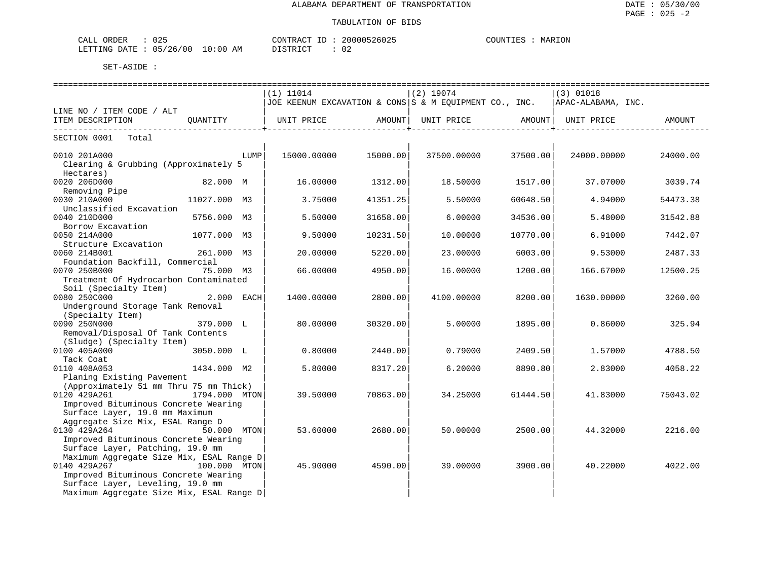| ORDER<br>TAT.T<br>للطلاب | $\sim$ $\sim$ $\sim$<br>してこ   | CONTRACT        | 20000526025<br>26025، | <b>COLINTITIES</b><br>MARION<br>◡◡◡ェ▾▴∸⊥ |
|--------------------------|-------------------------------|-----------------|-----------------------|------------------------------------------|
| LETTING<br>DATE.         | 10:00<br>700 L<br>05/26<br>ΆM | די איד אידף דרו | $\sim$<br>∪∠          |                                          |

|                                                                |               |      | =============================                                               |          | =============================== |          | ============================== |          |
|----------------------------------------------------------------|---------------|------|-----------------------------------------------------------------------------|----------|---------------------------------|----------|--------------------------------|----------|
|                                                                |               |      | $(1)$ 11014                                                                 |          | $(2)$ 19074                     |          | $(3)$ 01018                    |          |
|                                                                |               |      | JOE KEENUM EXCAVATION & CONS S & M EQUIPMENT CO., INC.   APAC-ALABAMA, INC. |          |                                 |          |                                |          |
| LINE NO / ITEM CODE / ALT                                      |               |      |                                                                             |          |                                 |          |                                |          |
| ITEM DESCRIPTION OUANTITY                                      |               |      |                                                                             |          |                                 |          |                                |          |
| SECTION 0001 Total                                             |               |      |                                                                             |          |                                 |          |                                |          |
| 0010 201A000                                                   |               | LUMP | 15000.00000                                                                 | 15000.00 | 37500.00000                     | 37500.00 | 24000.00000                    | 24000.00 |
| Clearing & Grubbing (Approximately 5<br>Hectares)              |               |      |                                                                             |          |                                 |          |                                |          |
| 0020 206D000<br>Removing Pipe                                  | 82.000 M      |      | 16,00000                                                                    | 1312.00  | 18.50000                        | 1517.00  | 37.07000                       | 3039.74  |
| 0030 210A000                                                   | 11027.000 M3  |      | 3.75000                                                                     | 41351.25 | 5.50000                         | 60648.50 | 4.94000                        | 54473.38 |
| Unclassified Excavation<br>0040 210D000                        | 5756.000 M3   |      | 5.50000                                                                     | 31658.00 | 6,00000                         | 34536.00 | 5.48000                        | 31542.88 |
| Borrow Excavation<br>0050 214A000                              | 1077.000 M3   |      | 9.50000                                                                     | 10231.50 | 10,00000                        | 10770.00 | 6.91000                        | 7442.07  |
| Structure Excavation<br>0060 214B001                           | 261.000 M3    |      | 20.00000                                                                    | 5220.00  | 23.00000                        | 6003.00  | 9.53000                        | 2487.33  |
| Foundation Backfill, Commercial<br>0070 250B000                | 75.000 M3     |      | 66.00000                                                                    | 4950.00  | 16.00000                        | 1200.00  | 166.67000                      | 12500.25 |
| Treatment Of Hydrocarbon Contaminated<br>Soil (Specialty Item) |               |      |                                                                             |          |                                 |          |                                |          |
| 0080 250C000                                                   | 2.000 EACH    |      | 1400.00000                                                                  | 2800.00  | 4100.00000                      | 8200.00  | 1630.00000                     | 3260.00  |
| Underground Storage Tank Removal<br>(Specialty Item)           |               |      |                                                                             |          |                                 |          |                                |          |
| 0090 250N000<br>Removal/Disposal Of Tank Contents              | 379.000 L     |      | 80.00000                                                                    | 30320.00 | 5.00000                         | 1895.00  | 0.86000                        | 325.94   |
| (Sludge) (Specialty Item)                                      |               |      |                                                                             |          |                                 |          |                                |          |
| 0100 405A000                                                   | 3050.000 L    |      | 0.80000                                                                     | 2440.00  | 0.79000                         | 2409.50  | 1.57000                        | 4788.50  |
| Tack Coat                                                      |               |      |                                                                             |          |                                 |          |                                |          |
| 0110 408A053<br>Planing Existing Pavement                      | 1434.000 M2   |      | 5.80000                                                                     | 8317.20  | 6.20000                         | 8890.80  | 2.83000                        | 4058.22  |
| (Approximately 51 mm Thru 75 mm Thick)                         |               |      |                                                                             |          |                                 |          |                                |          |
| 0120 429A261                                                   | 1794.000 MTON |      | 39.50000                                                                    | 70863.00 | 34.25000                        | 61444.50 | 41.83000                       | 75043.02 |
| Improved Bituminous Concrete Wearing                           |               |      |                                                                             |          |                                 |          |                                |          |
| Surface Layer, 19.0 mm Maximum                                 |               |      |                                                                             |          |                                 |          |                                |          |
| Aggregate Size Mix, ESAL Range D                               |               |      |                                                                             |          |                                 |          |                                |          |
| 0130 429A264                                                   | 50.000 MTON   |      | 53.60000                                                                    | 2680.00  | 50.00000                        | 2500.00  | 44.32000                       | 2216.00  |
| Improved Bituminous Concrete Wearing                           |               |      |                                                                             |          |                                 |          |                                |          |
| Surface Layer, Patching, 19.0 mm                               |               |      |                                                                             |          |                                 |          |                                |          |
| Maximum Aggregate Size Mix, ESAL Range D<br>0140 429A267       | 100.000 MTON  |      | 45.90000                                                                    | 4590.00  | 39.00000                        | 3900.00  | 40.22000                       | 4022.00  |
| Improved Bituminous Concrete Wearing                           |               |      |                                                                             |          |                                 |          |                                |          |
| Surface Layer, Leveling, 19.0 mm                               |               |      |                                                                             |          |                                 |          |                                |          |
| Maximum Aggregate Size Mix, ESAL Range D                       |               |      |                                                                             |          |                                 |          |                                |          |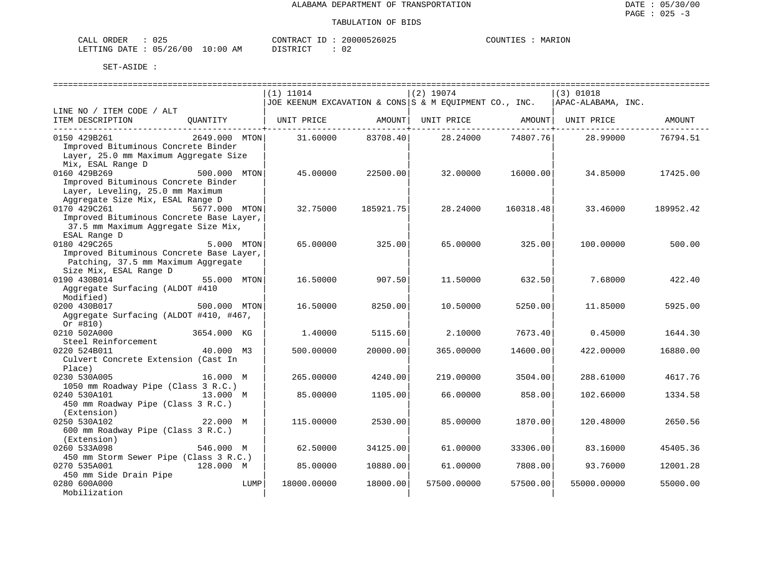| NR DER<br>™AT.T<br>ــ ـــ ــ ــ | $\sim$ $\sim$<br>U 45 |                                                                                                                                | TONTR ACT<br>$ -$ | 20000526025 | COLINT. | МAF |
|---------------------------------|-----------------------|--------------------------------------------------------------------------------------------------------------------------------|-------------------|-------------|---------|-----|
| AETTING DATE                    | 05/26/00              | 10:00<br>ΆM<br>the contract of the contract of the contract of the contract of the contract of the contract of the contract of | $ \sim$ $\sim$    |             |         |     |

|                                                                   | $(1)$ 11014                                            | $(2)$ 19074             | $(3)$ 01018             |
|-------------------------------------------------------------------|--------------------------------------------------------|-------------------------|-------------------------|
|                                                                   | JOE KEENUM EXCAVATION & CONS S & M EQUIPMENT CO., INC. |                         | APAC-ALABAMA, INC.      |
| LINE NO / ITEM CODE / ALT                                         |                                                        |                         |                         |
| ITEM DESCRIPTION<br>OUANTITY                                      | UNIT PRICE<br>AMOUNT                                   | UNIT PRICE<br>AMOUNT    | UNIT PRICE<br>AMOUNT    |
|                                                                   |                                                        |                         |                         |
| 0150 429B261<br>2649.000 MTON                                     | 83708.40<br>31.60000                                   | 28.24000<br>74807.76    | 76794.51<br>28.99000    |
| Improved Bituminous Concrete Binder                               |                                                        |                         |                         |
| Layer, 25.0 mm Maximum Aggregate Size                             |                                                        |                         |                         |
| Mix, ESAL Range D                                                 |                                                        |                         |                         |
| 0160 429B269<br>500.000 MTON                                      | 45.00000<br>22500.00                                   | 32.00000<br>16000.00    | 34.85000<br>17425.00    |
| Improved Bituminous Concrete Binder                               |                                                        |                         |                         |
| Layer, Leveling, 25.0 mm Maximum                                  |                                                        |                         |                         |
| Aggregate Size Mix, ESAL Range D<br>0170 429C261<br>5677.000 MTON |                                                        |                         |                         |
| Improved Bituminous Concrete Base Layer,                          | 32.75000<br>185921.75                                  | 28.24000<br>160318.48   | 33.46000<br>189952.42   |
| 37.5 mm Maximum Aggregate Size Mix,                               |                                                        |                         |                         |
| ESAL Range D                                                      |                                                        |                         |                         |
| 0180 429C265<br>5.000 MTON                                        | 65.00000<br>325.00                                     | 65.00000<br>325.00      | 100.00000<br>500.00     |
| Improved Bituminous Concrete Base Layer,                          |                                                        |                         |                         |
| Patching, 37.5 mm Maximum Aggregate                               |                                                        |                         |                         |
| Size Mix, ESAL Range D                                            |                                                        |                         |                         |
| 0190 430B014<br>55.000 MTON                                       | 16.50000<br>907.50                                     | 11.50000<br>632.50      | 7.68000<br>422.40       |
| Aggregate Surfacing (ALDOT #410                                   |                                                        |                         |                         |
| Modified)                                                         |                                                        |                         |                         |
| 0200 430B017<br>500.000 MTON                                      | 16.50000<br>8250.00                                    | 10.50000<br>5250.00     | 11.85000<br>5925.00     |
| Aggregate Surfacing (ALDOT #410, #467,                            |                                                        |                         |                         |
| Or #810)                                                          |                                                        |                         |                         |
| 0210 502A000<br>3654.000 KG                                       | 1.40000<br>5115.60                                     | 2.10000<br>7673.40      | 0.45000<br>1644.30      |
| Steel Reinforcement                                               |                                                        |                         |                         |
| 0220 524B011<br>40.000 M3                                         | 500.00000<br>20000.00                                  | 365.00000<br>14600.00   | 422.00000<br>16880.00   |
| Culvert Concrete Extension (Cast In                               |                                                        |                         |                         |
| Place)                                                            |                                                        |                         |                         |
| 0230 530A005<br>16.000 M                                          | 265.00000<br>4240.00                                   | 219.00000<br>3504.00    | 4617.76<br>288.61000    |
| 1050 mm Roadway Pipe (Class 3 R.C.)                               |                                                        |                         |                         |
| 0240 530A101<br>13.000 M                                          | 1105.00<br>85.00000                                    | 66.00000<br>858.00      | 1334.58<br>102.66000    |
| 450 mm Roadway Pipe (Class 3 R.C.)                                |                                                        |                         |                         |
| (Extension)                                                       |                                                        |                         |                         |
| 0250 530A102<br>22.000 M                                          | 115,00000<br>2530.00                                   | 85.00000<br>1870.00     | 2650.56<br>120.48000    |
| 600 mm Roadway Pipe (Class 3 R.C.)                                |                                                        |                         |                         |
| (Extension)<br>0260 533A098<br>546.000 M                          |                                                        | 33306.00                | 83.16000<br>45405.36    |
| 450 mm Storm Sewer Pipe (Class 3 R.C.)                            | 62.50000<br>34125.00                                   | 61.00000                |                         |
| 0270 535A001<br>128.000 M                                         | 10880.00<br>85.00000                                   | 7808.00<br>61.00000     | 93.76000<br>12001.28    |
| 450 mm Side Drain Pipe                                            |                                                        |                         |                         |
| 0280 600A000<br>LUMP                                              | 18000.00000<br>18000.00                                | 57500.00000<br>57500.00 | 55000.00000<br>55000.00 |
| Mobilization                                                      |                                                        |                         |                         |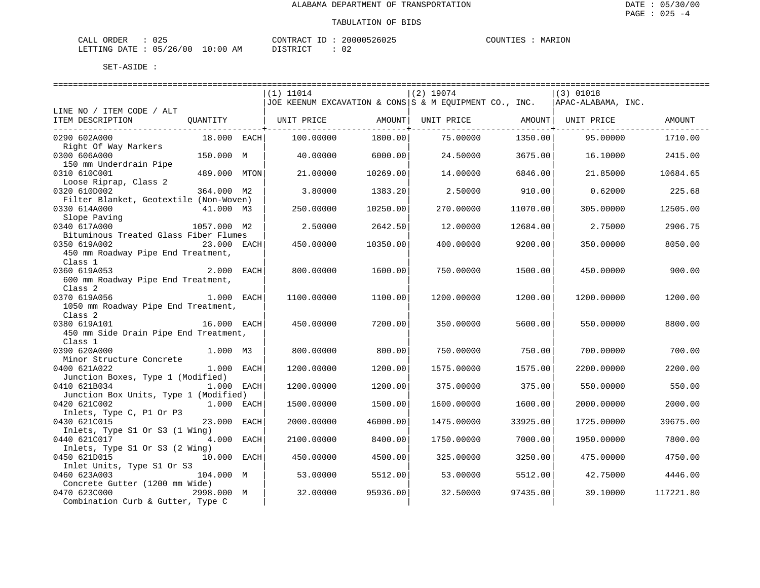| CALL ORDER                      | 025<br>__ |          | CONTRACT ID: 20000526025 | COUNTIES | MARION |
|---------------------------------|-----------|----------|--------------------------|----------|--------|
| LETTING DATE: 05/26/00 10:00 AM |           | DISTRICT |                          |          |        |

|                                                                                     |              |      | $(1)$ 11014 |          | $(2)$ 19074<br>JOE KEENUM EXCAVATION & CONS S & M EQUIPMENT CO., INC. |          | (3) 01018<br>APAC-ALABAMA, INC. |           |
|-------------------------------------------------------------------------------------|--------------|------|-------------|----------|-----------------------------------------------------------------------|----------|---------------------------------|-----------|
| LINE NO / ITEM CODE / ALT                                                           |              |      |             |          |                                                                       |          |                                 |           |
| ITEM DESCRIPTION                                                                    | OUANTITY     |      | UNIT PRICE  | AMOUNT   | UNIT PRICE AMOUNT   UNIT PRICE                                        |          |                                 | AMOUNT    |
| 0290 602A000<br>Right Of Way Markers                                                | 18.000 EACH  |      | 100.00000   | 1800.00  | 75.00000                                                              | 1350.00  | 95.00000                        | 1710.00   |
| 0300 606A000                                                                        | 150.000 M    |      | 40.00000    | 6000.00  | 24.50000                                                              | 3675.00  | 16.10000                        | 2415.00   |
| 150 mm Underdrain Pipe<br>0310 610C001                                              | 489.000 MTON |      | 21,00000    | 10269.00 | 14.00000                                                              | 6846.00  | 21.85000                        | 10684.65  |
| Loose Riprap, Class 2<br>0320 610D002                                               | 364.000 M2   |      | 3.80000     | 1383.20  | 2.50000                                                               | 910.00   | 0.62000                         | 225.68    |
| Filter Blanket, Geotextile (Non-Woven)<br>0330 614A000                              | 41.000 M3    |      | 250.00000   | 10250.00 | 270.00000                                                             | 11070.00 | 305.00000                       | 12505.00  |
| Slope Paving<br>0340 617A000                                                        | 1057.000 M2  |      | 2.50000     | 2642.50  | 12.00000                                                              | 12684.00 | 2.75000                         | 2906.75   |
| Bituminous Treated Glass Fiber Flumes<br>0350 619A002                               | 23.000 EACH  |      | 450.00000   | 10350.00 | 400.00000                                                             | 9200.00  | 350.00000                       | 8050.00   |
| 450 mm Roadway Pipe End Treatment,<br>Class 1                                       |              |      |             |          |                                                                       |          |                                 |           |
| 0360 619A053<br>600 mm Roadway Pipe End Treatment,                                  | 2.000        | EACH | 800,00000   | 1600.00  | 750.00000                                                             | 1500.00  | 450.00000                       | 900.00    |
| Class <sub>2</sub>                                                                  |              |      |             |          |                                                                       |          |                                 |           |
| 0370 619A056<br>1050 mm Roadway Pipe End Treatment,                                 | $1.000$ EACH |      | 1100.00000  | 1100.00  | 1200.00000                                                            | 1200.00  | 1200.00000                      | 1200.00   |
| Class <sub>2</sub><br>0380 619A101                                                  | 16.000 EACH  |      | 450.00000   | 7200.00  | 350.00000                                                             | 5600.00  | 550.00000                       | 8800.00   |
| 450 mm Side Drain Pipe End Treatment,<br>Class 1                                    |              |      |             |          |                                                                       |          |                                 |           |
| 0390 620A000<br>Minor Structure Concrete                                            | 1.000 M3     |      | 800.00000   | 800.00   | 750.00000                                                             | 750.00   | 700.00000                       | 700.00    |
| 0400 621A022<br>Junction Boxes, Type 1 (Modified)                                   | 1.000 EACH   |      | 1200.00000  | 1200.00  | 1575.00000                                                            | 1575.00  | 2200.00000                      | 2200.00   |
| 0410 621B034<br>Junction Box Units, Type 1 (Modified)                               | $1.000$ EACH |      | 1200.00000  | 1200.00  | 375.00000                                                             | 375.00   | 550.00000                       | 550.00    |
| 0420 621C002                                                                        | 1.000 EACH   |      | 1500.00000  | 1500.00  | 1600.00000                                                            | 1600.00  | 2000.00000                      | 2000.00   |
| Inlets, Type C, P1 Or P3<br>0430 621C015                                            | 23.000 EACH  |      | 2000.00000  | 46000.00 | 1475.00000                                                            | 33925.00 | 1725.00000                      | 39675.00  |
| Inlets, Type S1 Or S3 (1 Wing)<br>0440 621C017                                      | 4.000 EACH   |      | 2100.00000  | 8400.00  | 1750.00000                                                            | 7000.00  | 1950.00000                      | 7800.00   |
| Inlets, Type S1 Or S3 (2 Wing)<br>0450 621D015                                      | 10.000 EACH  |      | 450.00000   | 4500.00  | 325.00000                                                             | 3250.00  | 475.00000                       | 4750.00   |
| Inlet Units, Type S1 Or S3<br>0460 623A003                                          | 104.000 M    |      | 53.00000    | 5512.00  | 53.00000                                                              | 5512.00  | 42.75000                        | 4446.00   |
| Concrete Gutter (1200 mm Wide)<br>0470 623C000<br>Combination Curb & Gutter, Type C | 2998.000 M   |      | 32.00000    | 95936.00 | 32.50000                                                              | 97435.00 | 39.10000                        | 117221.80 |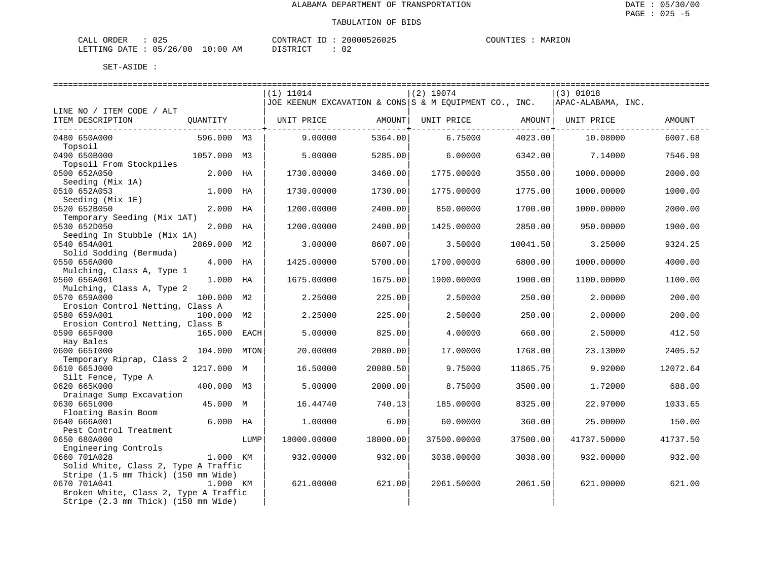| CALL<br>ORDER          | J 25 |             | CONTRACT ID |  | 20000526025 | COUNTIES | MARION |
|------------------------|------|-------------|-------------|--|-------------|----------|--------|
| LETTING DATE: 05/26/00 |      | 10:00<br>AM | DI STR TAT  |  |             |          |        |

|                                                                               |              |      | $(1)$ 11014                                            |                                   | $(2)$ 19074 |                                   | (3) 01018          |          |
|-------------------------------------------------------------------------------|--------------|------|--------------------------------------------------------|-----------------------------------|-------------|-----------------------------------|--------------------|----------|
|                                                                               |              |      | JOE KEENUM EXCAVATION & CONS S & M EQUIPMENT CO., INC. |                                   |             |                                   | APAC-ALABAMA, INC. |          |
| LINE NO / ITEM CODE / ALT                                                     |              |      |                                                        |                                   |             |                                   |                    |          |
| ITEM DESCRIPTION                                                              | OUANTITY     |      | UNIT PRICE                                             | AMOUNT                            | UNIT PRICE  | AMOUNT                            | UNIT PRICE         | AMOUNT   |
| 0480 650A000<br>Topsoil                                                       | 596.000 M3   |      | 9.00000                                                | ----------------------<br>5364.00 | 6.75000     | ---------------+------<br>4023.00 | 10.08000           | 6007.68  |
| 0490 650B000<br>Topsoil From Stockpiles                                       | 1057.000 M3  |      | 5.00000                                                | 5285.00                           | 6.00000     | 6342.00                           | 7.14000            | 7546.98  |
| 0500 652A050<br>Seeding (Mix 1A)                                              | 2.000 HA     |      | 1730.00000                                             | 3460.00                           | 1775.00000  | 3550.00                           | 1000.00000         | 2000.00  |
| 0510 652A053                                                                  | 1.000 HA     |      | 1730.00000                                             | 1730.00                           | 1775.00000  | 1775.00                           | 1000.00000         | 1000.00  |
| Seeding (Mix 1E)<br>0520 652B050<br>Temporary Seeding (Mix 1AT)               | 2.000 HA     |      | 1200.00000                                             | 2400.00                           | 850,00000   | 1700.00                           | 1000.00000         | 2000.00  |
| 0530 652D050                                                                  | 2.000 HA     |      | 1200.00000                                             | 2400.00                           | 1425.00000  | 2850.00                           | 950.00000          | 1900.00  |
| Seeding In Stubble (Mix 1A)<br>0540 654A001<br>Solid Sodding (Bermuda)        | 2869.000 M2  |      | 3.00000                                                | 8607.00                           | 3.50000     | 10041.50                          | 3.25000            | 9324.25  |
| 0550 656A000<br>Mulching, Class A, Type 1                                     | 4.000 HA     |      | 1425.00000                                             | 5700.00                           | 1700.00000  | 6800.00                           | 1000.00000         | 4000.00  |
| 0560 656A001                                                                  | 1.000 HA     |      | 1675.00000                                             | 1675.00                           | 1900.00000  | 1900.00                           | 1100.00000         | 1100.00  |
| Mulching, Class A, Type 2<br>0570 659A000<br>Erosion Control Netting, Class A | 100.000 M2   |      | 2.25000                                                | 225.00                            | 2.50000     | 250.00                            | 2.00000            | 200.00   |
| 0580 659A001<br>Erosion Control Netting, Class B                              | 100.000 M2   |      | 2.25000                                                | 225.00                            | 2.50000     | 250.00                            | 2.00000            | 200.00   |
| 0590 665F000<br>Hay Bales                                                     | 165.000 EACH |      | 5.00000                                                | 825.00                            | 4.00000     | 660.00                            | 2.50000            | 412.50   |
| 0600 6651000<br>Temporary Riprap, Class 2                                     | 104.000 MTON |      | 20.00000                                               | 2080.00                           | 17.00000    | 1768.00                           | 23.13000           | 2405.52  |
| 0610 665J000<br>Silt Fence, Type A                                            | 1217.000 M   |      | 16.50000                                               | 20080.50                          | 9.75000     | 11865.75                          | 9.92000            | 12072.64 |
| 0620 665K000<br>Drainage Sump Excavation                                      | 400.000 M3   |      | 5.00000                                                | 2000.00                           | 8.75000     | 3500.00                           | 1.72000            | 688.00   |
| 0630 665L000<br>Floating Basin Boom                                           | 45.000 M     |      | 16.44740                                               | 740.13                            | 185.00000   | 8325.00                           | 22.97000           | 1033.65  |
| 0640 666A001<br>Pest Control Treatment                                        | $6.000$ HA   |      | 1,00000                                                | 6.00                              | 60.00000    | 360.00                            | 25.00000           | 150.00   |
| 0650 680A000<br>Engineering Controls                                          |              | LUMP | 18000.00000                                            | 18000.00                          | 37500.00000 | 37500.00                          | 41737.50000        | 41737.50 |
| 0660 701A028<br>Solid White, Class 2, Type A Traffic                          | 1.000 KM     |      | 932.00000                                              | 932.00                            | 3038.00000  | 3038.00                           | 932.00000          | 932.00   |
| Stripe (1.5 mm Thick) (150 mm Wide)<br>0670 701A041                           | 1.000 KM     |      | 621,00000                                              | 621.00                            | 2061.50000  | 2061.50                           | 621,00000          | 621.00   |
| Broken White, Class 2, Type A Traffic<br>Stripe (2.3 mm Thick) (150 mm Wide)  |              |      |                                                        |                                   |             |                                   |                    |          |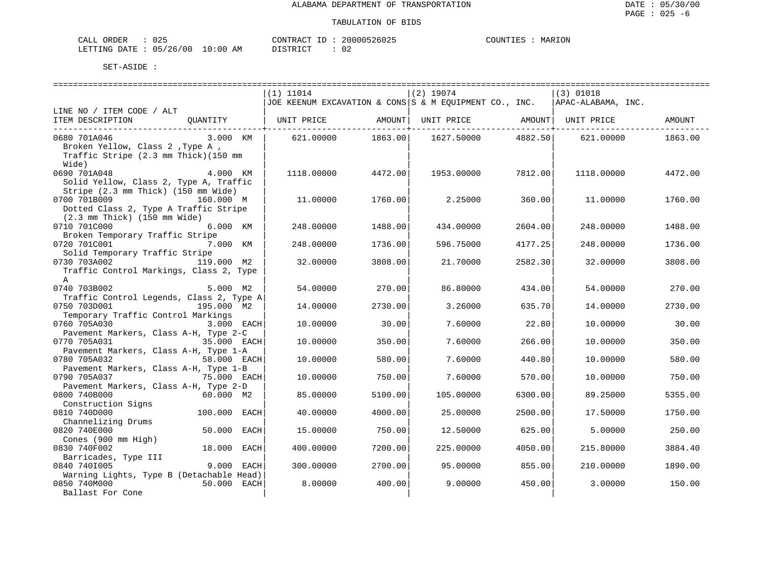| ORDER<br>CALL | $\sim$ $\sim$<br>∪∠ລ |                                                                                                                                | CONTRACT   | 20000526025 | <b>COLINT</b> | MARION |
|---------------|----------------------|--------------------------------------------------------------------------------------------------------------------------------|------------|-------------|---------------|--------|
| LETTING DATE  | : 05/26/00           | 10:00<br>ΑM<br>the contract of the contract of the contract of the contract of the contract of the contract of the contract of | $T \cap T$ |             |               |        |

|                                                  |                | $(1)$ 11014 |         | $(2)$ 19074                                            |         | $(3)$ 01018        |         |
|--------------------------------------------------|----------------|-------------|---------|--------------------------------------------------------|---------|--------------------|---------|
|                                                  |                |             |         | JOE KEENUM EXCAVATION & CONS S & M EOUIPMENT CO., INC. |         | APAC-ALABAMA, INC. |         |
| LINE NO / ITEM CODE / ALT                        |                |             |         |                                                        |         |                    |         |
| ITEM DESCRIPTION                                 | OUANTITY       | UNIT PRICE  | AMOUNT  | UNIT PRICE AMOUNT                                      |         | UNIT PRICE         | AMOUNT  |
|                                                  |                |             |         |                                                        |         |                    |         |
| 0680 701A046                                     | 3.000 KM       | 621,00000   | 1863.00 | 1627.50000                                             | 4882.50 | 621,00000          | 1863.00 |
| Broken Yellow, Class 2, Type A,                  |                |             |         |                                                        |         |                    |         |
| Traffic Stripe (2.3 mm Thick) (150 mm            |                |             |         |                                                        |         |                    |         |
| Wide)                                            |                |             |         |                                                        |         |                    |         |
| 0690 701A048                                     | 4.000 KM       | 1118.00000  | 4472.00 | 1953.00000                                             | 7812.00 | 1118.00000         | 4472.00 |
| Solid Yellow, Class 2, Type A, Traffic           |                |             |         |                                                        |         |                    |         |
| Stripe (2.3 mm Thick) (150 mm Wide)              |                |             |         |                                                        |         |                    |         |
| 0700 701B009                                     | 160.000 M      | 11,00000    | 1760.00 | 2.25000                                                | 360.00  | 11,00000           | 1760.00 |
| Dotted Class 2, Type A Traffic Stripe            |                |             |         |                                                        |         |                    |         |
| $(2.3 \text{ mm}$ Thick) $(150 \text{ mm}$ Wide) |                |             |         |                                                        |         |                    |         |
| 0710 701C000                                     | 6.000 KM       | 248.00000   | 1488.00 | 434.00000                                              | 2604.00 | 248.00000          | 1488.00 |
| Broken Temporary Traffic Stripe                  |                |             |         |                                                        |         |                    |         |
| 0720 701C001                                     | 7.000 KM       | 248.00000   | 1736.00 | 596.75000                                              | 4177.25 | 248.00000          | 1736.00 |
| Solid Temporary Traffic Stripe                   |                |             |         |                                                        |         |                    |         |
| 0730 703A002                                     | 119.000 M2     | 32.00000    | 3808.00 | 21.70000                                               | 2582.30 | 32.00000           | 3808.00 |
| Traffic Control Markings, Class 2, Type          |                |             |         |                                                        |         |                    |         |
| $\mathbf{A}$                                     |                |             |         |                                                        |         |                    |         |
| 0740 703B002                                     | 5.000 M2       | 54.00000    | 270.00  | 86.80000                                               | 434.00  | 54.00000           | 270.00  |
| Traffic Control Legends, Class 2, Type A         |                |             |         |                                                        |         |                    |         |
| 0750 703D001                                     | 195.000 M2     | 14.00000    | 2730.00 | 3.26000                                                | 635.70  | 14,00000           | 2730.00 |
| Temporary Traffic Control Markings               |                |             |         |                                                        |         |                    |         |
| 0760 705A030                                     | 3.000 EACH     | 10.00000    | 30.00   | 7.60000                                                | 22.80   | 10.00000           | 30.00   |
| Pavement Markers, Class A-H, Type 2-C            |                |             |         |                                                        |         |                    |         |
| 0770 705A031                                     | 35.000 EACH    | 10.00000    | 350.00  | 7.60000                                                | 266.00  | 10.00000           | 350.00  |
| Pavement Markers, Class A-H, Type 1-A            |                |             |         |                                                        |         |                    |         |
| 0780 705A032                                     | 58.000 EACH    | 10.00000    | 580.00  | 7.60000                                                | 440.80  | 10.00000           | 580.00  |
| Pavement Markers, Class A-H, Type 1-B            |                |             |         |                                                        |         |                    |         |
| 0790 705A037                                     | 75.000 EACH    | 10.00000    | 750.00  | 7.60000                                                | 570.00  | 10.00000           | 750.00  |
| Pavement Markers, Class A-H, Type 2-D            |                |             |         |                                                        |         |                    |         |
| 0800 740B000                                     | 60.000 M2      | 85.00000    | 5100.00 | 105.00000                                              | 6300.00 | 89.25000           | 5355.00 |
| Construction Signs                               |                |             |         |                                                        |         |                    |         |
| 0810 740D000                                     | 100.000 EACH   | 40.00000    | 4000.00 | 25.00000                                               | 2500.00 | 17.50000           | 1750.00 |
| Channelizing Drums                               |                |             |         |                                                        |         |                    |         |
| 0820 740E000                                     | 50.000<br>EACH | 15,00000    | 750.00  | 12.50000                                               | 625.00  | 5,00000            | 250.00  |
| Cones (900 mm High)                              |                |             |         |                                                        |         |                    |         |
| 0830 740F002                                     | 18.000<br>EACH | 400.00000   | 7200.00 | 225.00000                                              | 4050.00 | 215.80000          | 3884.40 |
| Barricades, Type III                             |                |             |         |                                                        |         |                    |         |
| 0840 7401005                                     | 9,000<br>EACH  | 300.00000   | 2700.00 | 95,00000                                               | 855.00  | 210.00000          | 1890.00 |
| Warning Lights, Type B (Detachable Head)         |                |             |         |                                                        |         |                    |         |
| 0850 740M000                                     | 50.000<br>EACH | 8.00000     | 400.00  | 9,00000                                                | 450.00  | 3.00000            | 150.00  |
| Ballast For Cone                                 |                |             |         |                                                        |         |                    |         |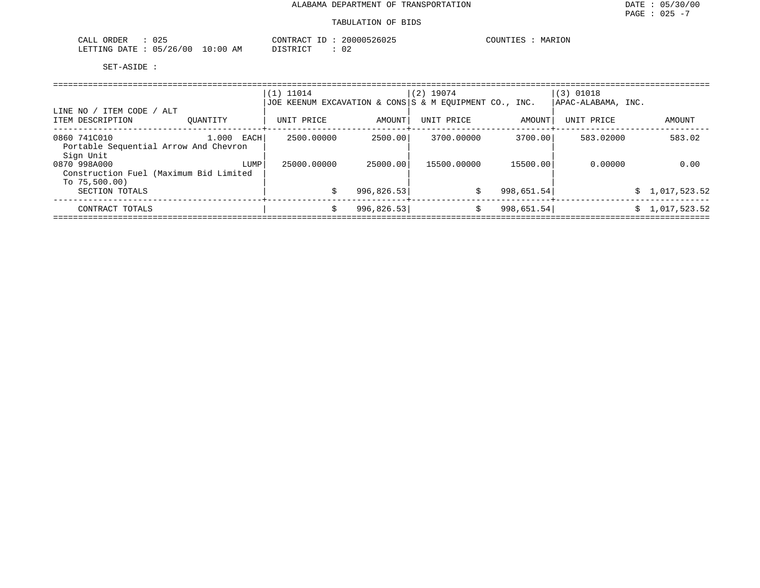| $\sim$ $\sim$ $\sim$<br>ORDER<br>$\sim$ $ -$<br>$\cdot$ $\wedge$ .<br>لللداب<br>∪∠J | $\cdot$ $R\Delta C$           | $\sim$ $\sim$ | ION<br>mr<br>т. с<br>MA'<br>.n. |
|-------------------------------------------------------------------------------------|-------------------------------|---------------|---------------------------------|
| <b>ATTTTNO</b><br>126<br>⊣⊤∆ר∩<br>$\overline{\phantom{a}}$<br>___                   | AM<br>' ດ ເ<br>. .<br>∵⊷<br>. | $\sim$<br>◡▵  |                                 |

|                                                                            |               | $(1)$ 11014<br> JOE KEENUM EXCAVATION & CONS S & M EOUIPMENT CO., INC. |             | $(2)$ 19074 |            | $(3)$ 01018<br> APAC-ALABAMA, INC. |                |
|----------------------------------------------------------------------------|---------------|------------------------------------------------------------------------|-------------|-------------|------------|------------------------------------|----------------|
| LINE NO / ITEM CODE / ALT<br>ITEM DESCRIPTION                              | OUANTITY      | UNIT PRICE                                                             | AMOUNT      | UNIT PRICE  | AMOUNT     | UNIT PRICE                         | AMOUNT         |
| 0860 741C010<br>Portable Sequential Arrow And Chevron<br>Sign Unit         | 1.000<br>EACH | 2500.00000                                                             | 2500.00     | 3700.00000  | 3700.001   | 583.02000                          | 583.02         |
| 0870 998A000<br>Construction Fuel (Maximum Bid Limited<br>To $75,500.00$ ) | LUMP          | 25000.00000                                                            | 25000.00    | 15500.00000 | 15500.00   | 0.00000                            | 0.00           |
| SECTION TOTALS                                                             |               |                                                                        | 996, 826.53 | \$          | 998,651.54 |                                    | \$1,017,523.52 |
| CONTRACT TOTALS                                                            |               |                                                                        | 996, 826.53 | \$          | 998,651.54 |                                    | \$1,017,523.52 |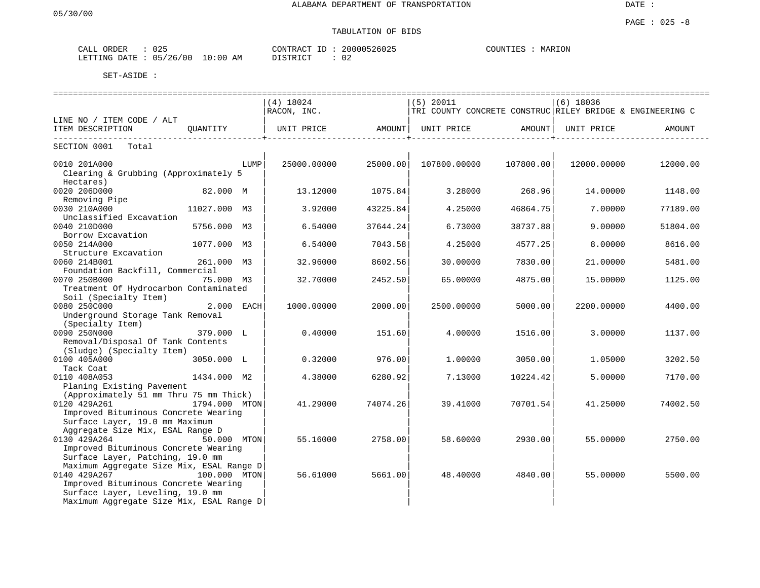DATE :

#### PAGE : 025 -8 TABULATION OF BIDS

| ORDER<br>ىلىل   | $\sim$ $\sim$ $\sim$<br>ぃムー      | $\cap$ רים אידוגרי $\cap$<br>1 1 1 1 1 1 v   | 20000526025 | MARION<br><b>COUNTILE</b><br>COUNTIES |
|-----------------|----------------------------------|----------------------------------------------|-------------|---------------------------------------|
| LETTING<br>DATE | 10:00<br>'26<br>ΑM<br>00 /<br>∩⊏ | TAT<br>חידים:<br>$\sim$ $\sim$ $\sim$ $\sim$ | ◡▵          |                                       |

|                                                                                                                 |               |      | ============================== |          |              |                                                           |             |          |
|-----------------------------------------------------------------------------------------------------------------|---------------|------|--------------------------------|----------|--------------|-----------------------------------------------------------|-------------|----------|
|                                                                                                                 |               |      | $(4)$ 18024                    |          | (5) 20011    |                                                           | $(6)$ 18036 |          |
|                                                                                                                 |               |      | RACON, INC.                    |          |              | TRI COUNTY CONCRETE CONSTRUC RILEY BRIDGE & ENGINEERING C |             |          |
| LINE NO / ITEM CODE / ALT                                                                                       |               |      |                                |          |              |                                                           |             |          |
| ITEM DESCRIPTION                                                                                                |               |      |                                |          |              |                                                           |             | AMOUNT   |
| SECTION 0001<br>Total                                                                                           |               |      |                                |          |              |                                                           |             |          |
| 0010 201A000                                                                                                    |               | LUMP | 25000.00000                    | 25000.00 | 107800.00000 | 107800.00                                                 | 12000.00000 | 12000.00 |
| Clearing & Grubbing (Approximately 5                                                                            |               |      |                                |          |              |                                                           |             |          |
| Hectares)                                                                                                       |               |      |                                |          |              |                                                           |             |          |
| 0020 206D000                                                                                                    | 82.000 M      |      | 13.12000                       | 1075.84  | 3.28000      | 268.96                                                    | 14.00000    | 1148.00  |
| Removing Pipe                                                                                                   |               |      |                                |          |              |                                                           |             |          |
| 0030 210A000                                                                                                    | 11027.000 M3  |      | 3.92000                        | 43225.84 | 4.25000      | 46864.75                                                  | 7.00000     | 77189.00 |
| Unclassified Excavation                                                                                         |               |      |                                |          |              |                                                           |             |          |
| 0040 210D000                                                                                                    | 5756.000 M3   |      | 6.54000                        | 37644.24 | 6.73000      | 38737.88                                                  | 9,00000     | 51804.00 |
| Borrow Excavation                                                                                               |               |      |                                |          |              |                                                           |             |          |
| 0050 214A000                                                                                                    | 1077.000 M3   |      | 6.54000                        | 7043.58  | 4.25000      | 4577.25                                                   | 8.00000     | 8616.00  |
| Structure Excavation                                                                                            |               |      |                                |          |              |                                                           |             |          |
| 0060 214B001                                                                                                    | 261.000 M3    |      | 32.96000                       | 8602.56  | 30.00000     | 7830.00                                                   | 21,00000    | 5481.00  |
| Foundation Backfill, Commercial                                                                                 |               |      |                                |          |              |                                                           |             |          |
| 0070 250B000                                                                                                    | 75.000 M3     |      | 32.70000                       | 2452.50  | 65.00000     | 4875.00                                                   | 15.00000    | 1125.00  |
| Treatment Of Hydrocarbon Contaminated                                                                           |               |      |                                |          |              |                                                           |             |          |
| Soil (Specialty Item)<br>0080 250C000                                                                           |               |      |                                |          |              |                                                           |             |          |
| Underground Storage Tank Removal                                                                                | 2.000 EACH    |      | 1000.00000                     | 2000.00  | 2500.00000   | 5000.00                                                   | 2200.00000  | 4400.00  |
| (Specialty Item)                                                                                                |               |      |                                |          |              |                                                           |             |          |
| 0090 250N000                                                                                                    | 379.000 L     |      | 0.40000                        | 151.60   | 4.00000      | 1516.00                                                   | 3.00000     | 1137.00  |
| Removal/Disposal Of Tank Contents                                                                               |               |      |                                |          |              |                                                           |             |          |
| (Sludge) (Specialty Item)                                                                                       |               |      |                                |          |              |                                                           |             |          |
| 0100 405A000 and the state of the state of the state of the state of the state of the state of the state of the | 3050.000 L    |      | 0.32000                        | 976.00   | 1,00000      | 3050.00                                                   | 1.05000     | 3202.50  |
| Tack Coat                                                                                                       |               |      |                                |          |              |                                                           |             |          |
| 0110 408A053                                                                                                    | 1434.000 M2   |      | 4.38000                        | 6280.92  | 7.13000      | 10224.42                                                  | 5.00000     | 7170.00  |
| Planing Existing Pavement                                                                                       |               |      |                                |          |              |                                                           |             |          |
| (Approximately 51 mm Thru 75 mm Thick)                                                                          |               |      |                                |          |              |                                                           |             |          |
| 0120 429A261                                                                                                    | 1794.000 MTON |      | 41.29000                       | 74074.26 | 39.41000     | 70701.54                                                  | 41.25000    | 74002.50 |
| Improved Bituminous Concrete Wearing                                                                            |               |      |                                |          |              |                                                           |             |          |
| Surface Layer, 19.0 mm Maximum                                                                                  |               |      |                                |          |              |                                                           |             |          |
| Aggregate Size Mix, ESAL Range D                                                                                |               |      |                                |          |              |                                                           |             |          |
| 0130 429A264                                                                                                    | 50.000 MTON   |      | 55.16000                       | 2758.00  | 58.60000     | 2930.00                                                   | 55.00000    | 2750.00  |
| Improved Bituminous Concrete Wearing                                                                            |               |      |                                |          |              |                                                           |             |          |
| Surface Layer, Patching, 19.0 mm                                                                                |               |      |                                |          |              |                                                           |             |          |
| Maximum Aggregate Size Mix, ESAL Range D                                                                        |               |      |                                |          |              |                                                           |             |          |
| 0140 429A267                                                                                                    | 100.000 MTON  |      | 56.61000                       | 5661.00  | 48.40000     | 4840.00                                                   | 55.00000    | 5500.00  |
| Improved Bituminous Concrete Wearing<br>Surface Layer, Leveling, 19.0 mm                                        |               |      |                                |          |              |                                                           |             |          |
| Maximum Aggregate Size Mix, ESAL Range D                                                                        |               |      |                                |          |              |                                                           |             |          |
|                                                                                                                 |               |      |                                |          |              |                                                           |             |          |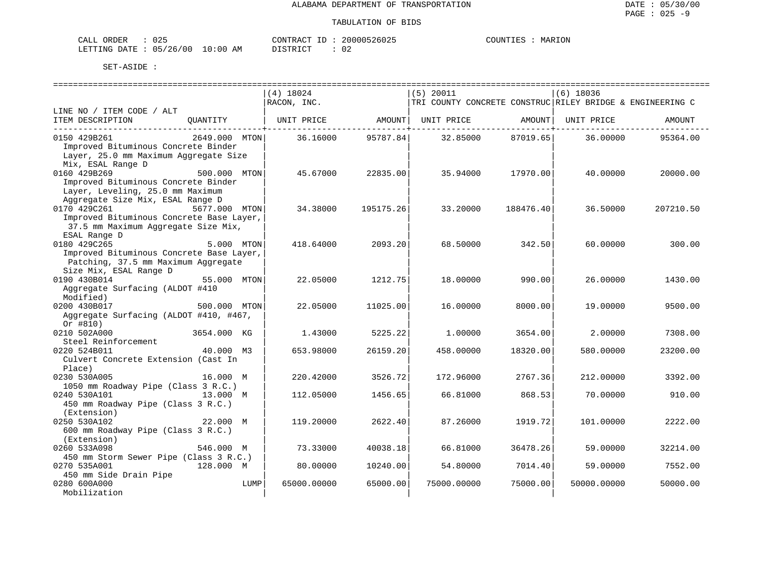| CALL ORDER                      | 025<br>. . |          | CONTRACT ID: 20000526025 | COUNTIES : | MARION |
|---------------------------------|------------|----------|--------------------------|------------|--------|
| LETTING DATE: 05/26/00 10:00 AM |            | DISTRICT |                          |            |        |

|                                                                                 |               |      |             |              |                    |                                                           | ======================== |           |
|---------------------------------------------------------------------------------|---------------|------|-------------|--------------|--------------------|-----------------------------------------------------------|--------------------------|-----------|
|                                                                                 |               |      | (4) 18024   |              | $(5)$ 20011        |                                                           | (6) 18036                |           |
|                                                                                 |               |      | RACON, INC. |              |                    | TRI COUNTY CONCRETE CONSTRUC RILEY BRIDGE & ENGINEERING C |                          |           |
| LINE NO / ITEM CODE / ALT<br>ITEM DESCRIPTION                                   | OUANTITY      |      | UNIT PRICE  |              | AMOUNT  UNIT PRICE | AMOUNT                                                    | UNIT PRICE               | AMOUNT    |
|                                                                                 |               |      |             | --------+--- |                    | --------+------                                           |                          |           |
| 0150 429B261                                                                    | 2649.000 MTON |      | 36.16000    | 95787.84     | 32.85000           | 87019.65                                                  | 36.00000                 | 95364.00  |
| Improved Bituminous Concrete Binder                                             |               |      |             |              |                    |                                                           |                          |           |
| Layer, 25.0 mm Maximum Aggregate Size                                           |               |      |             |              |                    |                                                           |                          |           |
| Mix, ESAL Range D                                                               |               |      |             |              |                    |                                                           |                          |           |
| 500.000 MTON<br>0160 429B269<br>Improved Bituminous Concrete Binder             |               |      | 45.67000    | 22835.00     | 35.94000           | 17970.00                                                  | 40.00000                 | 20000.00  |
| Layer, Leveling, 25.0 mm Maximum                                                |               |      |             |              |                    |                                                           |                          |           |
| Aggregate Size Mix, ESAL Range D                                                |               |      |             |              |                    |                                                           |                          |           |
| 0170 429C261                                                                    | 5677.000 MTON |      | 34.38000    | 195175.26    | 33.20000           | 188476.40                                                 | 36.50000                 | 207210.50 |
| Improved Bituminous Concrete Base Layer,                                        |               |      |             |              |                    |                                                           |                          |           |
| 37.5 mm Maximum Aggregate Size Mix,                                             |               |      |             |              |                    |                                                           |                          |           |
| ESAL Range D                                                                    |               |      |             |              |                    |                                                           |                          |           |
| 0180 429C265                                                                    | 5.000 MTON    |      | 418.64000   | 2093.20      | 68.50000           | 342.50                                                    | 60.00000                 | 300.00    |
| Improved Bituminous Concrete Base Layer,<br>Patching, 37.5 mm Maximum Aggregate |               |      |             |              |                    |                                                           |                          |           |
| Size Mix, ESAL Range D                                                          |               |      |             |              |                    |                                                           |                          |           |
| 0190 430B014                                                                    | 55.000 MTON   |      | 22.05000    | 1212.75      | 18,00000           | 990.00                                                    | 26,00000                 | 1430.00   |
| Aggregate Surfacing (ALDOT #410                                                 |               |      |             |              |                    |                                                           |                          |           |
| Modified)                                                                       |               |      |             |              |                    |                                                           |                          |           |
| 0200 430B017                                                                    | 500,000 MTON  |      | 22.05000    | 11025.00     | 16,00000           | 8000.00                                                   | 19,00000                 | 9500.00   |
| Aggregate Surfacing (ALDOT #410, #467,                                          |               |      |             |              |                    |                                                           |                          |           |
| Or $#810)$                                                                      |               |      |             |              |                    |                                                           |                          |           |
| 0210 502A000<br>Steel Reinforcement                                             | 3654.000 KG   |      | 1.43000     | 5225.22      | 1,00000            | 3654.00                                                   | 2.00000                  | 7308.00   |
| 0220 524B011                                                                    | 40.000 M3     |      | 653.98000   | 26159.20     | 458.00000          | 18320.00                                                  | 580.00000                | 23200.00  |
| Culvert Concrete Extension (Cast In                                             |               |      |             |              |                    |                                                           |                          |           |
| Place)                                                                          |               |      |             |              |                    |                                                           |                          |           |
| 0230 530A005                                                                    | 16.000 M      |      | 220.42000   | 3526.72      | 172.96000          | 2767.36                                                   | 212.00000                | 3392.00   |
| 1050 mm Roadway Pipe (Class 3 R.C.)                                             |               |      |             |              |                    |                                                           |                          |           |
| 0240 530A101                                                                    | 13.000 M      |      | 112.05000   | 1456.65      | 66.81000           | 868.53                                                    | 70.00000                 | 910.00    |
| 450 mm Roadway Pipe (Class 3 R.C.)<br>(Extension)                               |               |      |             |              |                    |                                                           |                          |           |
| 0250 530A102                                                                    | 22.000 M      |      | 119,20000   | 2622.40      | 87.26000           | 1919.72                                                   | 101,00000                | 2222.00   |
| 600 mm Roadway Pipe (Class 3 R.C.)                                              |               |      |             |              |                    |                                                           |                          |           |
| (Extension)                                                                     |               |      |             |              |                    |                                                           |                          |           |
| 0260 533A098                                                                    | 546.000 M     |      | 73.33000    | 40038.18     | 66.81000           | 36478.26                                                  | 59.00000                 | 32214.00  |
| 450 mm Storm Sewer Pipe (Class 3 R.C.)                                          |               |      |             |              |                    |                                                           |                          |           |
| 0270 535A001                                                                    | 128.000 M     |      | 80.00000    | 10240.00     | 54.80000           | 7014.40                                                   | 59.00000                 | 7552.00   |
| 450 mm Side Drain Pipe                                                          |               |      |             |              |                    |                                                           |                          |           |
| 0280 600A000<br>Mobilization                                                    |               | LUMP | 65000.00000 | 65000.00     | 75000.00000        | 75000.00                                                  | 50000.00000              | 50000.00  |
|                                                                                 |               |      |             |              |                    |                                                           |                          |           |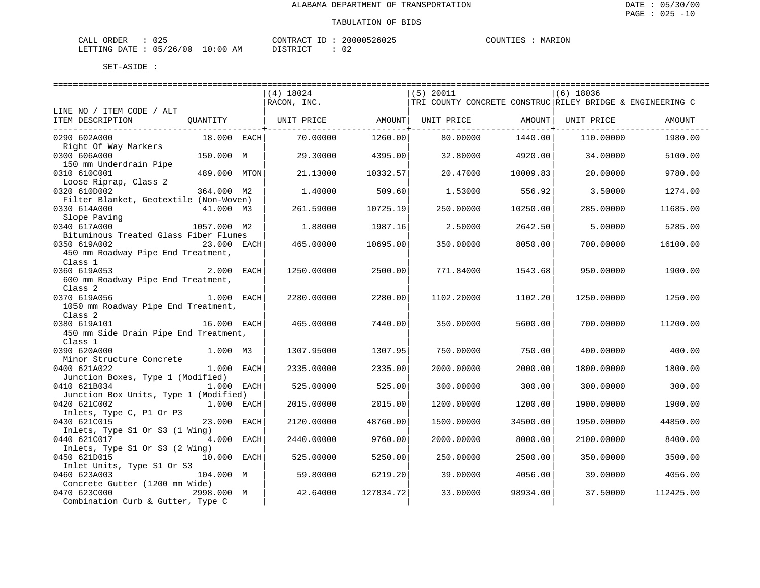| CALL ORDER                       | 025 | CONTRACT ID : | 20000526025 | COUNTIES | MARION |
|----------------------------------|-----|---------------|-------------|----------|--------|
| LETTING DATE : 05/26/00 10:00 AM |     | DISTRICT      | 02          |          |        |

|                                        |              | =========================== |           |                                                           |          |             |           |
|----------------------------------------|--------------|-----------------------------|-----------|-----------------------------------------------------------|----------|-------------|-----------|
|                                        |              | $(4)$ 18024                 |           | $(5)$ 20011                                               |          | $(6)$ 18036 |           |
|                                        |              | RACON, INC.                 |           | TRI COUNTY CONCRETE CONSTRUC RILEY BRIDGE & ENGINEERING C |          |             |           |
| LINE NO / ITEM CODE / ALT              |              |                             |           |                                                           |          |             |           |
| ITEM DESCRIPTION                       | QUANTITY     | UNIT PRICE AMOUNT           |           | UNIT PRICE AMOUNT                                         |          | UNIT PRICE  | AMOUNT    |
|                                        |              |                             |           |                                                           |          |             |           |
| 0290 602A000                           | 18.000 EACH  | 70.00000                    | 1260.00   | 80.00000                                                  | 1440.00  | 110.00000   | 1980.00   |
| Right Of Way Markers                   |              |                             |           |                                                           |          |             |           |
| 0300 606A000                           | 150.000 M    | 29.30000                    | 4395.00   | 32.80000                                                  | 4920.00  | 34,00000    | 5100.00   |
| 150 mm Underdrain Pipe                 |              |                             |           |                                                           |          |             |           |
| 0310 610C001                           | 489.000 MTON | 21.13000                    | 10332.57  | 20.47000                                                  | 10009.83 | 20.00000    | 9780.00   |
| Loose Riprap, Class 2                  |              |                             |           |                                                           |          |             |           |
| 0320 610D002                           | 364.000 M2   | 1,40000                     | 509.60    | 1.53000                                                   | 556.92   | 3.50000     | 1274.00   |
| Filter Blanket, Geotextile (Non-Woven) |              |                             |           |                                                           |          |             |           |
| 0330 614A000                           | 41.000 M3    | 261.59000                   | 10725.19  | 250.00000                                                 | 10250.00 | 285.00000   | 11685.00  |
| Slope Paving                           |              |                             |           |                                                           |          |             |           |
| 0340 617A000                           | 1057.000 M2  | 1.88000                     | 1987.16   | 2.50000                                                   | 2642.50  | 5,00000     | 5285.00   |
| Bituminous Treated Glass Fiber Flumes  |              |                             |           |                                                           |          |             |           |
| 0350 619A002                           | 23.000 EACH  | 465.00000                   | 10695.00  | 350.00000                                                 | 8050.00  | 700,00000   | 16100.00  |
| 450 mm Roadway Pipe End Treatment,     |              |                             |           |                                                           |          |             |           |
| Class 1                                |              |                             |           |                                                           |          |             |           |
| 0360 619A053                           | 2.000 EACH   | 1250.00000                  | 2500.00   | 771.84000                                                 | 1543.68  | 950,00000   | 1900.00   |
| 600 mm Roadway Pipe End Treatment,     |              |                             |           |                                                           |          |             |           |
| Class <sub>2</sub>                     |              |                             |           |                                                           |          |             |           |
| 0370 619A056                           | $1.000$ EACH | 2280.00000                  | 2280.00   | 1102.20000                                                | 1102.20  | 1250.00000  | 1250.00   |
| 1050 mm Roadway Pipe End Treatment,    |              |                             |           |                                                           |          |             |           |
| Class 2                                |              |                             |           |                                                           |          |             |           |
| 0380 619A101                           | 16.000 EACH  | 465.00000                   | 7440.00   | 350.00000                                                 | 5600.00  | 700.00000   | 11200.00  |
| 450 mm Side Drain Pipe End Treatment,  |              |                             |           |                                                           |          |             |           |
| Class 1                                |              |                             |           |                                                           |          |             |           |
| 0390 620A000                           | 1.000 M3     | 1307.95000                  | 1307.95   | 750.00000                                                 | 750.00   | 400.00000   | 400.00    |
| Minor Structure Concrete               |              |                             |           |                                                           |          |             |           |
| 0400 621A022                           | 1.000 EACH   | 2335.00000                  | 2335.00   | 2000.00000                                                | 2000.00  | 1800.00000  | 1800.00   |
| Junction Boxes, Type 1 (Modified)      |              |                             |           |                                                           |          |             |           |
| 0410 621B034                           | $1.000$ EACH | 525.00000                   | 525.00    | 300.00000                                                 | 300.00   | 300.00000   | 300.00    |
| Junction Box Units, Type 1 (Modified)  |              |                             |           |                                                           |          |             |           |
| 0420 621C002                           | $1.000$ EACH | 2015.00000                  | 2015.00   | 1200.00000                                                | 1200.00  | 1900.00000  | 1900.00   |
| Inlets, Type C, P1 Or P3               |              |                             |           |                                                           |          |             |           |
| 0430 621C015                           | 23.000 EACH  | 2120.00000                  | 48760.00  | 1500.00000                                                | 34500.00 | 1950.00000  | 44850.00  |
| Inlets, Type S1 Or S3 (1 Wing)         |              |                             |           |                                                           |          |             |           |
| 0440 621C017                           | 4.000 EACH   | 2440.00000                  | 9760.00   | 2000.00000                                                | 8000.00  | 2100.00000  | 8400.00   |
| Inlets, Type S1 Or S3 (2 Wing)         |              |                             |           |                                                           |          |             |           |
| 0450 621D015                           | 10.000 EACH  | 525.00000                   | 5250.00   | 250.00000                                                 | 2500.00  | 350.00000   | 3500.00   |
| Inlet Units, Type S1 Or S3             |              |                             |           |                                                           |          |             |           |
| 0460 623A003                           | 104.000 M    | 59.80000                    | 6219.20   | 39.00000                                                  | 4056.00  | 39.00000    | 4056.00   |
| Concrete Gutter (1200 mm Wide)         |              |                             |           |                                                           |          |             |           |
| 0470 623C000                           | 2998.000 M   | 42.64000                    | 127834.72 | 33.00000                                                  | 98934.00 | 37.50000    | 112425.00 |
| Combination Curb & Gutter, Type C      |              |                             |           |                                                           |          |             |           |
|                                        |              |                             |           |                                                           |          |             |           |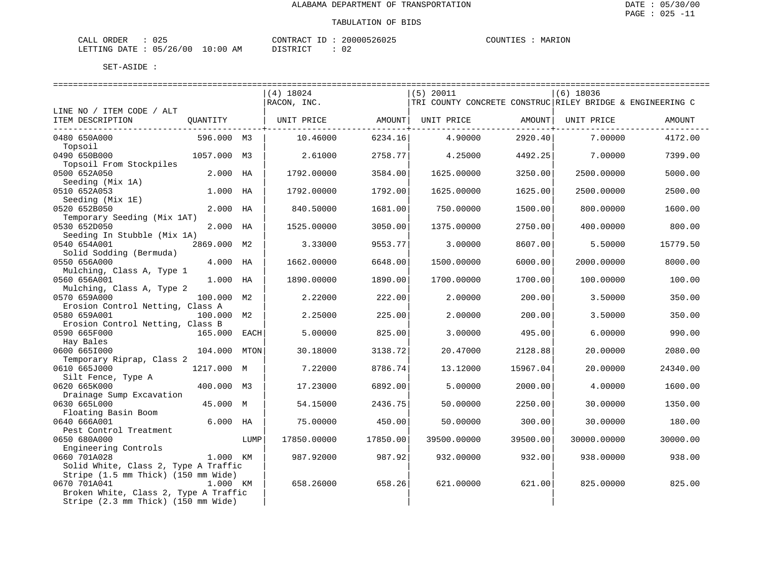| CALL<br>ORDER          | J 25 |             | CONTRACT ID |  | 20000526025 | COUNTIES | MARION |
|------------------------|------|-------------|-------------|--|-------------|----------|--------|
| LETTING DATE: 05/26/00 |      | 10:00<br>AM | DI STR TAT  |  |             |          |        |

|                                           |             |      | $(4)$ 18024 |          | $(5)$ 20011                                               |          | $(6)$ 18036 |          |
|-------------------------------------------|-------------|------|-------------|----------|-----------------------------------------------------------|----------|-------------|----------|
|                                           |             |      | RACON, INC. |          | TRI COUNTY CONCRETE CONSTRUC RILEY BRIDGE & ENGINEERING C |          |             |          |
| LINE NO / ITEM CODE / ALT                 |             |      |             |          |                                                           |          |             |          |
| ITEM DESCRIPTION                          | OUANTITY    |      | UNIT PRICE  |          | AMOUNT  UNIT PRICE                                        | AMOUNT   | UNIT PRICE  | AMOUNT   |
| ----------------------------              |             |      |             |          |                                                           |          |             |          |
| 0480 650A000                              | 596.000 M3  |      | 10.46000    | 6234.16  | 4.90000                                                   | 2920.40  | 7.00000     | 4172.00  |
| Topsoil                                   |             |      |             |          |                                                           |          |             |          |
| 0490 650B000                              | 1057.000 M3 |      | 2.61000     | 2758.77  | 4.25000                                                   | 4492.25  | 7.00000     | 7399.00  |
| Topsoil From Stockpiles                   |             |      |             |          |                                                           |          |             |          |
| 0500 652A050                              | 2.000 HA    |      | 1792.00000  | 3584.00  | 1625.00000                                                | 3250.00  | 2500.00000  | 5000.00  |
| Seeding (Mix 1A)                          |             |      |             |          |                                                           |          |             |          |
| 0510 652A053                              | 1.000 HA    |      | 1792.00000  | 1792.00  | 1625.00000                                                | 1625.00  | 2500.00000  | 2500.00  |
| Seeding (Mix 1E)                          |             |      |             |          |                                                           |          |             |          |
| 0520 652B050                              | 2.000       | HA   | 840.50000   | 1681.00  | 750.00000                                                 | 1500.00  | 800.00000   | 1600.00  |
| Temporary Seeding (Mix 1AT)               |             |      |             |          |                                                           |          |             |          |
| 0530 652D050                              | 2.000 HA    |      | 1525.00000  | 3050.00  | 1375.00000                                                | 2750.00  | 400.00000   | 800.00   |
| Seeding In Stubble (Mix 1A)               |             |      |             |          |                                                           |          |             |          |
| 0540 654A001                              | 2869.000 M2 |      | 3.33000     | 9553.77  | 3.00000                                                   | 8607.00  | 5.50000     | 15779.50 |
| Solid Sodding (Bermuda)                   |             |      |             |          |                                                           |          |             |          |
| 0550 656A000                              | 4.000 HA    |      | 1662.00000  | 6648.00  | 1500.00000                                                | 6000.00  | 2000.00000  | 8000.00  |
| Mulching, Class A, Type 1                 |             |      |             |          |                                                           |          |             |          |
| 0560 656A001                              | 1.000 HA    |      | 1890.00000  | 1890.00  | 1700.00000                                                | 1700.00  | 100.00000   | 100.00   |
|                                           |             |      |             |          |                                                           |          |             |          |
| Mulching, Class A, Type 2<br>0570 659A000 |             |      |             |          |                                                           |          |             |          |
|                                           | 100.000 M2  |      | 2.22000     | 222.00   | 2.00000                                                   | 200.00   | 3.50000     | 350.00   |
| Erosion Control Netting, Class A          |             |      |             |          |                                                           |          |             |          |
| 0580 659A001                              | 100.000 M2  |      | 2.25000     | 225.00   | 2.00000                                                   | 200.00   | 3.50000     | 350.00   |
| Erosion Control Netting, Class B          |             |      |             |          |                                                           |          |             |          |
| 0590 665F000                              | 165.000     | EACH | 5.00000     | 825.00   | 3.00000                                                   | 495.00   | 6.00000     | 990.00   |
| Hay Bales                                 |             |      |             |          |                                                           |          |             |          |
| 0600 6651000                              | 104.000     | MTON | 30.18000    | 3138.72  | 20.47000                                                  | 2128.88  | 20.00000    | 2080.00  |
| Temporary Riprap, Class 2                 |             |      |             |          |                                                           |          |             |          |
| 0610 665J000                              | 1217.000 M  |      | 7.22000     | 8786.74  | 13.12000                                                  | 15967.04 | 20.00000    | 24340.00 |
| Silt Fence, Type A                        |             |      |             |          |                                                           |          |             |          |
| 0620 665K000                              | 400.000 M3  |      | 17.23000    | 6892.00  | 5.00000                                                   | 2000.00  | 4.00000     | 1600.00  |
| Drainage Sump Excavation                  |             |      |             |          |                                                           |          |             |          |
| 0630 665L000                              | 45.000 M    |      | 54.15000    | 2436.75  | 50.00000                                                  | 2250.00  | 30.00000    | 1350.00  |
| Floating Basin Boom                       |             |      |             |          |                                                           |          |             |          |
| 0640 666A001                              | $6.000$ HA  |      | 75.00000    | 450.00   | 50.00000                                                  | 300.00   | 30.00000    | 180.00   |
| Pest Control Treatment                    |             |      |             |          |                                                           |          |             |          |
| 0650 680A000                              |             | LUMP | 17850.00000 | 17850.00 | 39500.00000                                               | 39500.00 | 30000.00000 | 30000.00 |
| Engineering Controls                      |             |      |             |          |                                                           |          |             |          |
| 0660 701A028                              | 1.000 KM    |      | 987.92000   | 987.92   | 932.00000                                                 | 932.00   | 938.00000   | 938.00   |
| Solid White, Class 2, Type A Traffic      |             |      |             |          |                                                           |          |             |          |
| Stripe (1.5 mm Thick) (150 mm Wide)       |             |      |             |          |                                                           |          |             |          |
| 0670 701A041                              | 1.000 KM    |      | 658.26000   | 658.26   | 621.00000                                                 | 621.00   | 825.00000   | 825.00   |
| Broken White, Class 2, Type A Traffic     |             |      |             |          |                                                           |          |             |          |
| Stripe (2.3 mm Thick) (150 mm Wide)       |             |      |             |          |                                                           |          |             |          |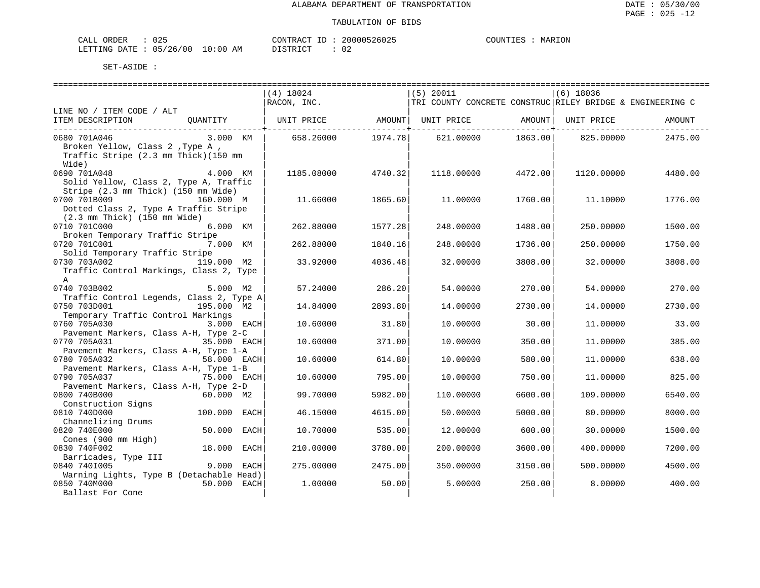| CALL ORDER                       | 025 | CONTRACT ID : | 20000526025 | COUNTIES | MARION |
|----------------------------------|-----|---------------|-------------|----------|--------|
| LETTING DATE : 05/26/00 10:00 AM |     | DISTRICT      | 02          |          |        |

|                                                                                                           |              |      | (4) 18024   |         | $(5)$ 20011                                               |         | $(6)$ 18036 |         |
|-----------------------------------------------------------------------------------------------------------|--------------|------|-------------|---------|-----------------------------------------------------------|---------|-------------|---------|
|                                                                                                           |              |      | RACON, INC. |         | TRI COUNTY CONCRETE CONSTRUC RILEY BRIDGE & ENGINEERING C |         |             |         |
| LINE NO / ITEM CODE / ALT<br>ITEM DESCRIPTION                                                             | QUANTITY     |      | UNIT PRICE  | AMOUNT  | UNIT PRICE                                                | AMOUNT  | UNIT PRICE  | AMOUNT  |
| 0680 701A046<br>Broken Yellow, Class 2, Type A,<br>Traffic Stripe (2.3 mm Thick) (150 mm<br>Wide)         | 3.000 KM     |      | 658.26000   | 1974.78 | 621.00000                                                 | 1863.00 | 825.00000   | 2475.00 |
| 0690 701A048<br>Solid Yellow, Class 2, Type A, Traffic<br>Stripe (2.3 mm Thick) (150 mm Wide)             | 4.000 KM     |      | 1185.08000  | 4740.32 | 1118,00000                                                | 4472.00 | 1120.00000  | 4480.00 |
| 0700 701B009<br>Dotted Class 2, Type A Traffic Stripe<br>$(2.3 \text{ mm}$ Thick) $(150 \text{ mm}$ Wide) | 160.000 M    |      | 11.66000    | 1865.60 | 11,00000                                                  | 1760.00 | 11,10000    | 1776.00 |
| 0710 701C000<br>Broken Temporary Traffic Stripe                                                           | 6.000 KM     |      | 262.88000   | 1577.28 | 248.00000                                                 | 1488.00 | 250.00000   | 1500.00 |
| 0720 701C001<br>Solid Temporary Traffic Stripe                                                            | 7.000 KM     |      | 262.88000   | 1840.16 | 248.00000                                                 | 1736.00 | 250.00000   | 1750.00 |
| 0730 703A002<br>Traffic Control Markings, Class 2, Type<br>$\mathbf{A}$                                   | 119.000 M2   |      | 33.92000    | 4036.48 | 32.00000                                                  | 3808.00 | 32.00000    | 3808.00 |
| 0740 703B002                                                                                              | 5.000 M2     |      | 57.24000    | 286.20  | 54.00000                                                  | 270.00  | 54.00000    | 270.00  |
| Traffic Control Legends, Class 2, Type A<br>0750 703D001                                                  | 195.000 M2   |      | 14.84000    | 2893.80 | 14.00000                                                  | 2730.00 | 14.00000    | 2730.00 |
| Temporary Traffic Control Markings<br>0760 705A030                                                        | 3.000 EACH   |      | 10.60000    | 31.80   | 10.00000                                                  | 30.00   | 11.00000    | 33.00   |
| Pavement Markers, Class A-H, Type 2-C<br>0770 705A031                                                     | 35.000 EACH  |      | 10.60000    | 371.00  | 10.00000                                                  | 350.00  | 11,00000    | 385.00  |
| Pavement Markers, Class A-H, Type 1-A<br>0780 705A032<br>Pavement Markers, Class A-H, Type 1-B            | 58.000 EACH  |      | 10.60000    | 614.80  | 10,00000                                                  | 580.00  | 11,00000    | 638.00  |
| 0790 705A037                                                                                              | 75.000 EACH  |      | 10.60000    | 795.00  | 10.00000                                                  | 750.00  | 11,00000    | 825.00  |
| Pavement Markers, Class A-H, Type 2-D<br>0800 740B000                                                     | 60.000 M2    |      | 99.70000    | 5982.00 | 110.00000                                                 | 6600.00 | 109,00000   | 6540.00 |
| Construction Signs<br>0810 740D000                                                                        | 100.000 EACH |      | 46.15000    | 4615.00 | 50.00000                                                  | 5000.00 | 80.00000    | 8000.00 |
| Channelizing Drums<br>0820 740E000                                                                        | 50.000       | EACH | 10.70000    | 535.00  | 12,00000                                                  | 600.00  | 30.00000    | 1500.00 |
| Cones (900 mm High)<br>0830 740F002                                                                       | 18.000       | EACH | 210.00000   | 3780.00 | 200.00000                                                 | 3600.00 | 400.00000   | 7200.00 |
| Barricades, Type III<br>0840 7401005                                                                      | 9.000 EACH   |      | 275.00000   | 2475.00 | 350.00000                                                 | 3150.00 | 500.00000   | 4500.00 |
| Warning Lights, Type B (Detachable Head)<br>0850 740M000<br>Ballast For Cone                              | 50.000 EACH  |      | 1.00000     | 50.00   | 5.00000                                                   | 250.00  | 8.00000     | 400.00  |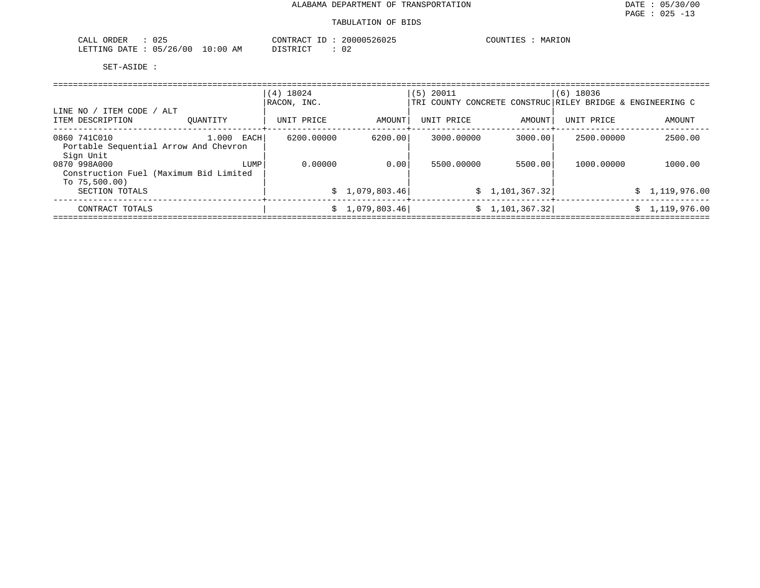| 025<br>∩RDER<br>ىلىلەت   |             | CONTRACT     | <b>NUUU</b><br>26025 | MARION<br>$C$ $C$ $T$ $T$ $T$ $T$ $T$ $T$ $T$<br>UUN'''<br>.⊥≝≻ |
|--------------------------|-------------|--------------|----------------------|-----------------------------------------------------------------|
| 05/26/00<br>LETTING DATE | 10:00<br>ΑM | <i>┙</i> ∸┘∸ |                      |                                                                 |

|                                                                     |               | $(4)$ 18024 |                 | $(5)$ 20011                                               |                 | $(6)$ 18036 |                |
|---------------------------------------------------------------------|---------------|-------------|-----------------|-----------------------------------------------------------|-----------------|-------------|----------------|
|                                                                     |               | RACON, INC. |                 | TRI COUNTY CONCRETE CONSTRUC RILEY BRIDGE & ENGINEERING C |                 |             |                |
| ' ITEM CODE / ALT<br>LINE NO<br>ITEM DESCRIPTION                    | OUANTITY      | UNIT PRICE  | AMOUNT          | UNIT PRICE                                                | AMOUNT          | UNIT PRICE  | AMOUNT         |
| 0860 741C010<br>Portable Sequential Arrow And Chevron               | 1.000<br>EACH | 6200.00000  | 6200.00         | 3000.00000                                                | 3000.00         | 2500.00000  | 2500.00        |
| Sign Unit<br>0870 998A000<br>Construction Fuel (Maximum Bid Limited | LUMP          | 0.00000     | 0.00            | 5500,00000                                                | 5500.00         | 1000.00000  | 1000.00        |
| To $75,500.00$ )<br>SECTION TOTALS                                  |               |             | \$1,079,803.46] |                                                           | \$1,101,367.32] |             | \$1,119,976.00 |
| CONTRACT TOTALS                                                     |               |             | \$1,079,803.46] |                                                           | \$1,101,367.32] |             | \$1,119,976.00 |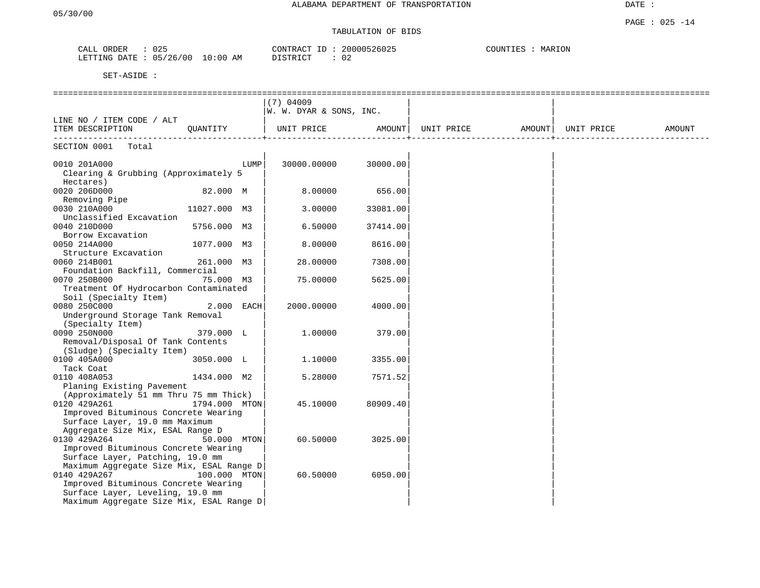DATE :

## TABULATION OF BIDS

| CALL ORDER                       | 025 |          | CONTRACT ID: 20000526025 | MARION<br>COUNTIES |
|----------------------------------|-----|----------|--------------------------|--------------------|
| LETTING DATE : 05/26/00 10:00 AM |     | DISTRICT | JZ                       |                    |

|                                                                                                                                                                                                                      |               |      | $(7)$ 04009<br>W. W. DYAR & SONS, INC. |          |                                                     |  |        |
|----------------------------------------------------------------------------------------------------------------------------------------------------------------------------------------------------------------------|---------------|------|----------------------------------------|----------|-----------------------------------------------------|--|--------|
| LINE NO / ITEM CODE / ALT<br>ITEM DESCRIPTION                                                                                                                                                                        | OUANTITY      |      | UNIT PRICE                             |          | AMOUNT  UNIT PRICE               AMOUNT  UNIT PRICE |  | AMOUNT |
| SECTION 0001<br>Total                                                                                                                                                                                                |               |      |                                        |          |                                                     |  |        |
| 0010 201A000<br>Clearing & Grubbing (Approximately 5<br>Hectares)                                                                                                                                                    |               | LUMP | 30000.00000                            | 30000.00 |                                                     |  |        |
| 0020 206D000<br>Removing Pipe                                                                                                                                                                                        | 82.000 M      |      | 8.00000                                | 656.00   |                                                     |  |        |
| 0030 210A000<br>Unclassified Excavation                                                                                                                                                                              | 11027.000 M3  |      | 3.00000                                | 33081.00 |                                                     |  |        |
| 0040 210D000<br>Borrow Excavation                                                                                                                                                                                    | 5756.000 M3   |      | 6.50000                                | 37414.00 |                                                     |  |        |
| 0050 214A000                                                                                                                                                                                                         | 1077.000 M3   |      | 8,00000                                | 8616.00  |                                                     |  |        |
| Structure Excavation<br>0060 214B001<br>Foundation Backfill, Commercial                                                                                                                                              | 261.000 M3    |      | 28,00000                               | 7308.00  |                                                     |  |        |
| 0070 250B000<br>Treatment Of Hydrocarbon Contaminated                                                                                                                                                                | 75.000 M3     |      | 75.00000                               | 5625.00  |                                                     |  |        |
| Soil (Specialty Item)<br>0080 250C000<br>Underground Storage Tank Removal                                                                                                                                            | 2.000 EACH    |      | 2000.00000                             | 4000.00  |                                                     |  |        |
| (Specialty Item)<br>0090 250N000<br>Removal/Disposal Of Tank Contents<br>(Sludge) (Specialty Item)                                                                                                                   | 379.000 L     |      | 1,00000                                | 379.00   |                                                     |  |        |
| 0100 405A000<br>Tack Coat                                                                                                                                                                                            | 3050.000 L    |      | 1.10000                                | 3355.00  |                                                     |  |        |
| 0110 408A053<br>Planing Existing Pavement                                                                                                                                                                            | 1434.000 M2   |      | 5.28000                                | 7571.52  |                                                     |  |        |
| (Approximately 51 mm Thru 75 mm Thick)<br>0120 429A261<br>Improved Bituminous Concrete Wearing<br>Surface Layer, 19.0 mm Maximum                                                                                     | 1794.000 MTON |      | 45.10000                               | 80909.40 |                                                     |  |        |
| Aggregate Size Mix, ESAL Range D<br>0130 429A264<br>Improved Bituminous Concrete Wearing                                                                                                                             | 50.000 MTON   |      | 60.50000                               | 3025.00  |                                                     |  |        |
| Surface Layer, Patching, 19.0 mm<br>Maximum Aggregate Size Mix, ESAL Range D<br>0140 429A267<br>Improved Bituminous Concrete Wearing<br>Surface Layer, Leveling, 19.0 mm<br>Maximum Aggregate Size Mix, ESAL Range D | 100.000 MTON  |      | 60.50000                               | 6050.00  |                                                     |  |        |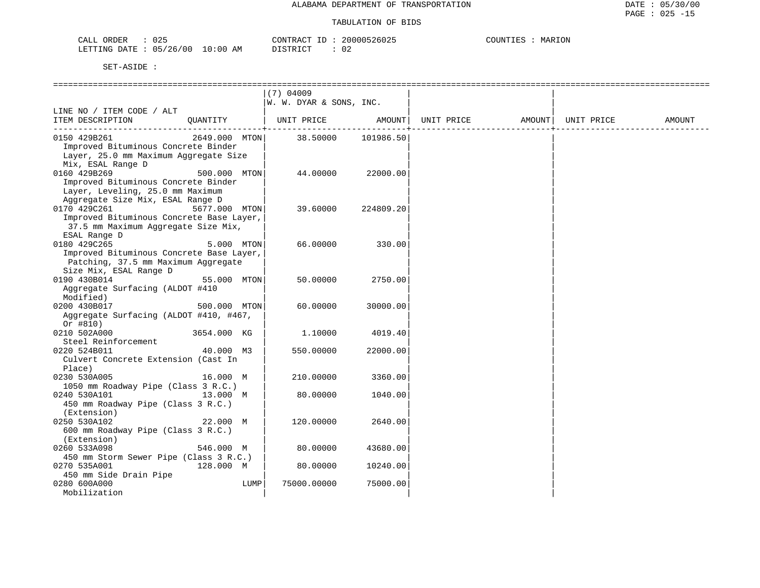| $\cap$ $\cap$<br>ORDER<br>∪∠ລ<br>سسدت |             | $\bigcap_{n\in\mathbb{N}}$<br>$+ \kappa A C^{\mathsf{m}}$ | 200          | 1777<br>COUNTI<br>MARION |
|---------------------------------------|-------------|-----------------------------------------------------------|--------------|--------------------------|
| 05/26/00<br>LETTING<br>، ΣΔ ΤΡ<br>∠∪  | 10:00<br>AΜ | $T \cap T$<br>$\Gamma$<br><i>ມ</i> ⊥ມ⊥ນ⊥∪⊥                | $\sim$<br>◡▵ |                          |

|                                                        |               | $(7)$ 04009<br> W. W. DYAR & SONS, INC. |                    |            |                    |        |
|--------------------------------------------------------|---------------|-----------------------------------------|--------------------|------------|--------------------|--------|
| LINE NO / ITEM CODE / ALT                              |               |                                         |                    |            |                    |        |
| ITEM DESCRIPTION                                       | QUANTITY      | UNIT PRICE                              | AMOUNT             | UNIT PRICE | AMOUNT  UNIT PRICE | AMOUNT |
| 0150 429B261                                           | 2649.000 MTON |                                         | 38.50000 101986.50 |            |                    |        |
| Improved Bituminous Concrete Binder                    |               |                                         |                    |            |                    |        |
| Layer, 25.0 mm Maximum Aggregate Size                  |               |                                         |                    |            |                    |        |
| Mix, ESAL Range D                                      |               |                                         |                    |            |                    |        |
| 0160 429B269                                           | 500.000 MTON  | 44.00000                                | 22000.00           |            |                    |        |
| Improved Bituminous Concrete Binder                    |               |                                         |                    |            |                    |        |
| Layer, Leveling, 25.0 mm Maximum                       |               |                                         |                    |            |                    |        |
| Aggregate Size Mix, ESAL Range D                       |               |                                         |                    |            |                    |        |
| 0170 429C261                                           | 5677.000 MTON | 39.60000                                | 224809.20          |            |                    |        |
| Improved Bituminous Concrete Base Layer,               |               |                                         |                    |            |                    |        |
| 37.5 mm Maximum Aggregate Size Mix,                    |               |                                         |                    |            |                    |        |
| ESAL Range D<br>0180 429C265                           | 5.000 MTON    | 66.00000                                | 330.00             |            |                    |        |
| Improved Bituminous Concrete Base Layer,               |               |                                         |                    |            |                    |        |
| Patching, 37.5 mm Maximum Aggregate                    |               |                                         |                    |            |                    |        |
| Size Mix, ESAL Range D                                 |               |                                         |                    |            |                    |        |
| 0190 430B014                                           | 55.000 MTON   | 50.00000                                | 2750.00            |            |                    |        |
| Aggregate Surfacing (ALDOT #410                        |               |                                         |                    |            |                    |        |
| Modified)                                              |               |                                         |                    |            |                    |        |
| 0200 430B017                                           | 500.000 MTON  | 60.00000                                | 30000.00           |            |                    |        |
| Aggregate Surfacing (ALDOT #410, #467,                 |               |                                         |                    |            |                    |        |
| Or $#810)$                                             |               |                                         |                    |            |                    |        |
| 0210 502A000                                           | 3654.000 KG   | 1,10000                                 | 4019.40            |            |                    |        |
| Steel Reinforcement                                    |               |                                         |                    |            |                    |        |
| 0220 524B011                                           | 40.000 M3     | 550.00000                               | 22000.00           |            |                    |        |
| Culvert Concrete Extension (Cast In                    |               |                                         |                    |            |                    |        |
| Place)                                                 |               |                                         |                    |            |                    |        |
| 0230 530A005                                           | 16.000 M      | 210,00000                               | 3360.00            |            |                    |        |
| 1050 mm Roadway Pipe (Class 3 R.C.)                    |               |                                         |                    |            |                    |        |
| 0240 530A101                                           | 13.000 M      | 80.00000                                | 1040.00            |            |                    |        |
| 450 mm Roadway Pipe (Class 3 R.C.)                     |               |                                         |                    |            |                    |        |
| (Extension)                                            |               |                                         |                    |            |                    |        |
| 0250 530A102                                           | 22.000 M      | 120.00000                               | 2640.00            |            |                    |        |
| 600 mm Roadway Pipe (Class 3 R.C.)                     |               |                                         |                    |            |                    |        |
| (Extension)                                            |               |                                         |                    |            |                    |        |
| 0260 533A098                                           | 546.000 M     | 80.00000                                | 43680.00           |            |                    |        |
| 450 mm Storm Sewer Pipe (Class 3 R.C.)<br>0270 535A001 | 128.000 M     | 80.00000                                | 10240.00           |            |                    |        |
| 450 mm Side Drain Pipe                                 |               |                                         |                    |            |                    |        |
| 0280 600A000                                           | LUMP          | 75000.00000                             | 75000.00           |            |                    |        |
| Mobilization                                           |               |                                         |                    |            |                    |        |
|                                                        |               |                                         |                    |            |                    |        |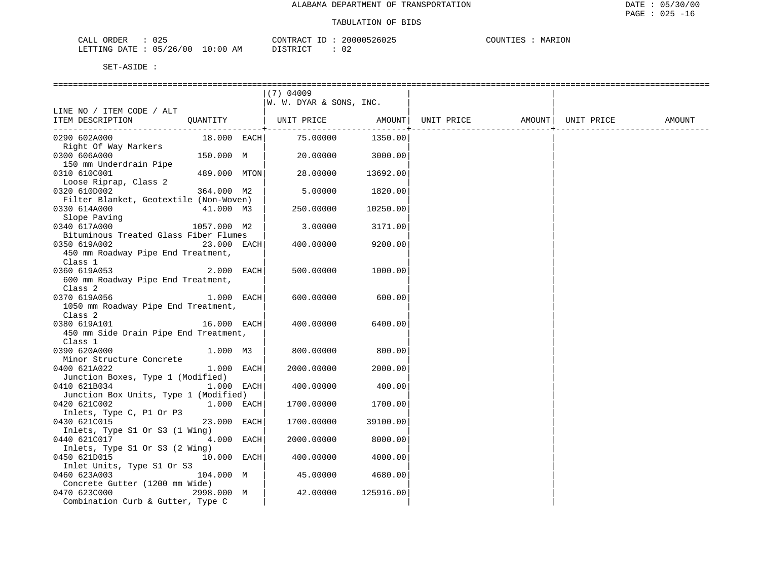| ORDER<br>CALL<br>U 4 -   | CONTRACT ID                    | 20000526025  | COUNTIES<br>MARION |
|--------------------------|--------------------------------|--------------|--------------------|
| 05/26/00<br>LETTING DATE | 10:00 AM<br>DISTRICT<br>⊥⊥∖⊥∪⊥ | $\sim$<br>◡▵ |                    |

|                                                                                            |              | $(7)$ 04009<br> W. W. DYAR & SONS, INC. |           |            |        |            |        |
|--------------------------------------------------------------------------------------------|--------------|-----------------------------------------|-----------|------------|--------|------------|--------|
| LINE NO / ITEM CODE / ALT<br>ITEM DESCRIPTION                                              | QUANTITY     | UNIT PRICE AMOUNT                       |           | UNIT PRICE | AMOUNT | UNIT PRICE | AMOUNT |
| 0290 602A000<br>Right Of Way Markers                                                       | 18.000 EACH  | 75.00000                                | 1350.00   |            |        |            |        |
| 0300 606A000<br>150 mm Underdrain Pipe                                                     | 150.000 M    | 20.00000                                | 3000.00   |            |        |            |        |
| 0310 610C001<br>Loose Riprap, Class 2                                                      | 489.000 MTON | 28.00000                                | 13692.00  |            |        |            |        |
| 0320 610D002<br>Filter Blanket, Geotextile (Non-Woven)                                     | 364.000 M2   | 5.00000                                 | 1820.00   |            |        |            |        |
| 0330 614A000                                                                               | 41.000 M3    | 250.00000                               | 10250.00  |            |        |            |        |
| Slope Paving<br>0340 617A000<br>Bituminous Treated Glass Fiber Flumes                      | 1057.000 M2  | 3.00000                                 | 3171.00   |            |        |            |        |
| 0350 619A002<br>450 mm Roadway Pipe End Treatment,                                         | 23.000 EACH  | 400.00000                               | 9200.00   |            |        |            |        |
| Class 1<br>0360 619A053<br>600 mm Roadway Pipe End Treatment,                              | $2.000$ EACH | 500.00000                               | 1000.00   |            |        |            |        |
| Class 2<br>0370 619A056<br>1050 mm Roadway Pipe End Treatment,                             | 1.000 EACH   | 600.00000                               | 600.00    |            |        |            |        |
| Class <sub>2</sub><br>0380 619A101<br>16.000 EACH<br>450 mm Side Drain Pipe End Treatment, |              | 400.00000                               | 6400.00   |            |        |            |        |
| Class 1<br>0390 620A000                                                                    | 1.000 M3     | 800.00000                               | 800.00    |            |        |            |        |
| Minor Structure Concrete<br>0400 621A022                                                   | $1.000$ EACH | 2000.00000                              | 2000.00   |            |        |            |        |
| Junction Boxes, Type 1 (Modified)<br>0410 621B034<br>Junction Box Units, Type 1 (Modified) | $1.000$ EACH | 400.00000                               | 400.00    |            |        |            |        |
| 0420 621C002<br>Inlets, Type C, P1 Or P3                                                   | 1.000 EACH   | 1700.00000                              | 1700.00   |            |        |            |        |
| 0430 621C015<br>Inlets, Type S1 Or S3 (1 Wing)                                             | 23.000 EACH  | 1700.00000                              | 39100.00  |            |        |            |        |
| 0440 621C017<br>Inlets, Type S1 Or S3 (2 Wing)                                             | 4.000 EACH   | 2000.00000                              | 8000.00   |            |        |            |        |
| 0450 621D015<br>Inlet Units, Type S1 Or S3                                                 | 10.000 EACH  | 400.00000                               | 4000.00   |            |        |            |        |
| 0460 623A003<br>Concrete Gutter (1200 mm Wide)                                             | 104.000 M    | 45.00000                                | 4680.00   |            |        |            |        |
| 0470 623C000<br>Combination Curb & Gutter, Type C                                          | 2998.000 M   | 42.00000                                | 125916.00 |            |        |            |        |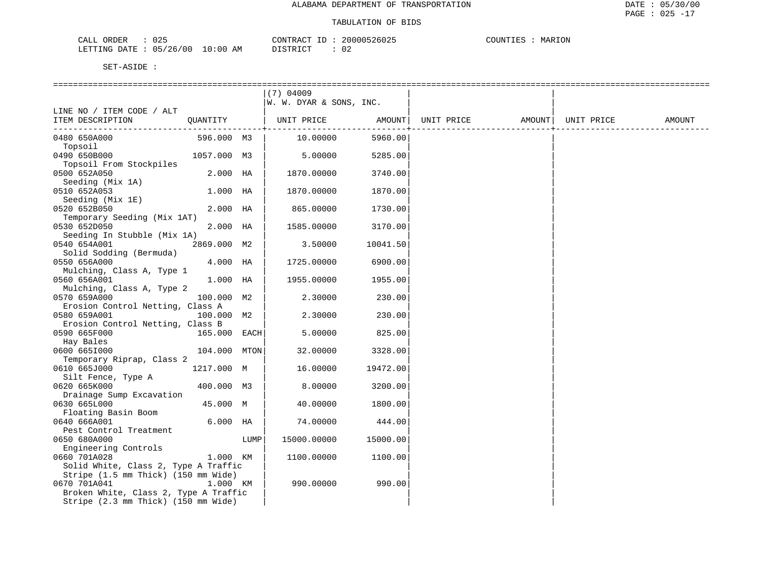| $\bigcap$<br>ORDER<br>CALL<br>UZ5       | CONTR.<br>$\sim$ $\sim$<br>'RAC | 200005<br>526025    | MARION<br>™™™ |
|-----------------------------------------|---------------------------------|---------------------|---------------|
| 05/26/00<br>LO : 00<br>LETTING<br>DATE. | ידי היה דרי<br>AΜ               | $\sim$ $\sim$<br>◡▵ |               |

|                                                                                                                                                                             |              |      | ==========================             |          |            |                    |        |
|-----------------------------------------------------------------------------------------------------------------------------------------------------------------------------|--------------|------|----------------------------------------|----------|------------|--------------------|--------|
|                                                                                                                                                                             |              |      | $(7)$ 04009<br>W. W. DYAR & SONS, INC. |          |            |                    |        |
| LINE NO / ITEM CODE / ALT                                                                                                                                                   |              |      |                                        |          |            |                    |        |
| ITEM DESCRIPTION                                                                                                                                                            | QUANTITY     |      | UNIT PRICE AMOUNT                      |          | UNIT PRICE | AMOUNT  UNIT PRICE | AMOUNT |
| 0480 650A000<br>Topsoil                                                                                                                                                     | 596.000 M3   |      | 10.00000                               | 5960.00  |            |                    |        |
| 0490 650B000<br>Topsoil From Stockpiles                                                                                                                                     | 1057.000 M3  |      | 5.00000                                | 5285.00  |            |                    |        |
| 0500 652A050                                                                                                                                                                | 2.000 HA     |      | 1870.00000                             | 3740.00  |            |                    |        |
| Seeding (Mix 1A)<br>0510 652A053                                                                                                                                            | 1.000 HA     |      | 1870.00000                             | 1870.00  |            |                    |        |
| Seeding (Mix 1E)<br>0520 652B050                                                                                                                                            | 2.000 HA     |      | 865.00000                              | 1730.00  |            |                    |        |
| Temporary Seeding (Mix 1AT)<br>0530 652D050                                                                                                                                 | $2.000$ HA   |      | 1585.00000                             | 3170.00  |            |                    |        |
| Seeding In Stubble (Mix 1A)<br>0540 654A001                                                                                                                                 | 2869.000 M2  |      | 3.50000                                | 10041.50 |            |                    |        |
| Solid Sodding (Bermuda)<br>0550 656A000                                                                                                                                     | 4.000 HA     |      | 1725.00000                             | 6900.00  |            |                    |        |
| Mulching, Class A, Type 1<br>0560 656A001                                                                                                                                   | 1.000 HA     |      | 1955.00000                             | 1955.00  |            |                    |        |
| Mulching, Class A, Type 2<br>0570 659A000                                                                                                                                   | 100.000 M2   |      | 2.30000                                | 230.00   |            |                    |        |
| Erosion Control Netting, Class A<br>0580 659A001                                                                                                                            | 100.000 M2   |      | 2.30000                                | 230.00   |            |                    |        |
| Erosion Control Netting, Class B<br>0590 665F000                                                                                                                            | 165.000 EACH |      | 5.00000                                | 825.00   |            |                    |        |
| Hay Bales<br>0600 6651000                                                                                                                                                   | 104.000 MTON |      | 32.00000                               | 3328.00  |            |                    |        |
| Temporary Riprap, Class 2<br>0610 665J000                                                                                                                                   | 1217.000 M   |      | 16.00000                               | 19472.00 |            |                    |        |
| Silt Fence, Type A<br>0620 665K000                                                                                                                                          | 400.000 M3   |      | 8.00000                                | 3200.00  |            |                    |        |
| Drainage Sump Excavation<br>0630 665L000                                                                                                                                    | 45.000 M     |      | 40.00000                               | 1800.00  |            |                    |        |
| Floating Basin Boom<br>0640 666A001                                                                                                                                         | $6.000$ HA   |      | 74.00000                               | 444.00   |            |                    |        |
| Pest Control Treatment<br>0650 680A000                                                                                                                                      |              | LUMP | 15000.00000                            | 15000.00 |            |                    |        |
| Engineering Controls<br>0660 701A028                                                                                                                                        | 1.000 KM     |      | 1100.00000                             | 1100.00  |            |                    |        |
| Solid White, Class 2, Type A Traffic<br>Stripe (1.5 mm Thick) (150 mm Wide)<br>0670 701A041<br>Broken White, Class 2, Type A Traffic<br>Stripe (2.3 mm Thick) (150 mm Wide) | 1.000 KM     |      | 990.00000                              | 990.00   |            |                    |        |
|                                                                                                                                                                             |              |      |                                        |          |            |                    |        |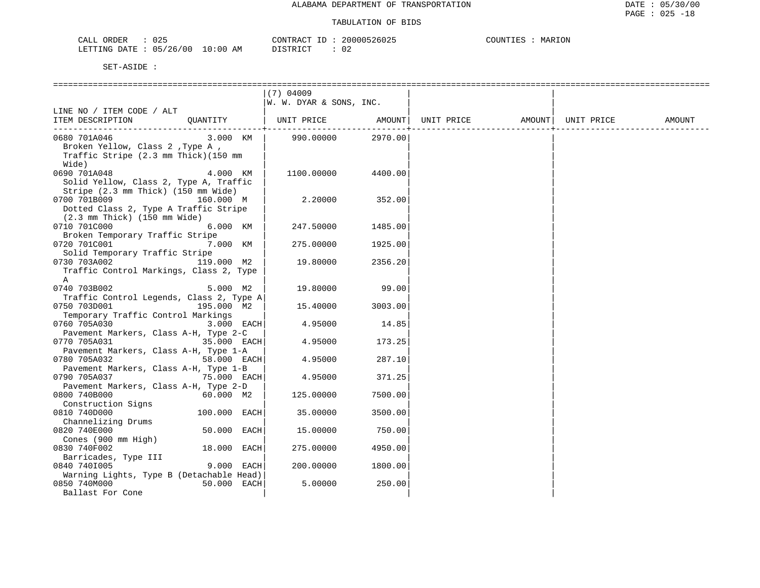| $\cap$ $\cap$ $\Gamma$<br>ORDER<br>U 45 | CONTRACT                                            | __<br>26025<br>11115 | MARION<br>COUNTIES |
|-----------------------------------------|-----------------------------------------------------|----------------------|--------------------|
| 05/26/00<br>LETTING<br><b>DATE</b>      | 10:00<br>$-72$<br>AΜ<br>$\Gamma$<br>. .<br>-------- | $\sim$<br>◡▵         |                    |

|                                                                                                           |              | $(7)$ 04009             |         |                               |                    |        |
|-----------------------------------------------------------------------------------------------------------|--------------|-------------------------|---------|-------------------------------|--------------------|--------|
|                                                                                                           |              | W. W. DYAR & SONS, INC. |         |                               |                    |        |
| LINE NO / ITEM CODE / ALT<br>OUANTITY<br>ITEM DESCRIPTION                                                 |              |                         |         | UNIT PRICE AMOUNT  UNIT PRICE | AMOUNT  UNIT PRICE | AMOUNT |
| 0680 701A046<br>Broken Yellow, Class 2, Type A,<br>Traffic Stripe (2.3 mm Thick) (150 mm<br>Wide)         | 3.000 KM     | 990.00000               | 2970.00 |                               |                    |        |
| 0690 701A048<br>Solid Yellow, Class 2, Type A, Traffic<br>Stripe (2.3 mm Thick) (150 mm Wide)             | 4.000 KM     | 1100.00000              | 4400.00 |                               |                    |        |
| 0700 701B009<br>Dotted Class 2, Type A Traffic Stripe<br>$(2.3 \text{ mm}$ Thick) $(150 \text{ mm}$ Wide) | 160.000 M    | 2.20000                 | 352.00  |                               |                    |        |
| 0710 701C000<br>Broken Temporary Traffic Stripe                                                           | 6.000 KM     | 247.50000               | 1485.00 |                               |                    |        |
| 0720 701C001<br>Solid Temporary Traffic Stripe                                                            | 7.000 KM     | 275.00000               | 1925.00 |                               |                    |        |
| 119.000 M2<br>0730 703A002<br>Traffic Control Markings, Class 2, Type<br>A                                |              | 19.80000                | 2356.20 |                               |                    |        |
| 0740 703B002<br>Traffic Control Legends, Class 2, Type A                                                  | 5.000 M2     | 19.80000                | 99.00   |                               |                    |        |
| 0750 703D001<br>Temporary Traffic Control Markings                                                        | 195.000 M2   | 15.40000                | 3003.00 |                               |                    |        |
| 0760 705A030                                                                                              | 3.000 EACH   | 4.95000                 | 14.85   |                               |                    |        |
| Pavement Markers, Class A-H, Type 2-C<br>0770 705A031<br>Pavement Markers, Class A-H, Type 1-A            | 35.000 EACH  | 4.95000                 | 173.25  |                               |                    |        |
| 0780 705A032                                                                                              | 58.000 EACH  | 4.95000                 | 287.10  |                               |                    |        |
| Pavement Markers, Class A-H, Type 1-B<br>0790 705A037                                                     | 75.000 EACH  | 4.95000                 | 371.25  |                               |                    |        |
| Pavement Markers, Class A-H, Type 2-D<br>0800 740B000                                                     | 60.000 M2    | 125.00000               | 7500.00 |                               |                    |        |
| Construction Signs<br>0810 740D000                                                                        | 100.000 EACH | 35.00000                | 3500.00 |                               |                    |        |
| Channelizing Drums<br>0820 740E000<br>Cones (900 mm High)                                                 | 50.000 EACH  | 15.00000                | 750.00  |                               |                    |        |
| 0830 740F002                                                                                              | 18.000 EACH  | 275.00000               | 4950.00 |                               |                    |        |
| Barricades, Type III<br>0840 7401005                                                                      | 9.000 EACH   | 200,00000               | 1800.00 |                               |                    |        |
| Warning Lights, Type B (Detachable Head)<br>0850 740M000<br>Ballast For Cone                              | 50.000 EACH  | 5.00000                 | 250.00  |                               |                    |        |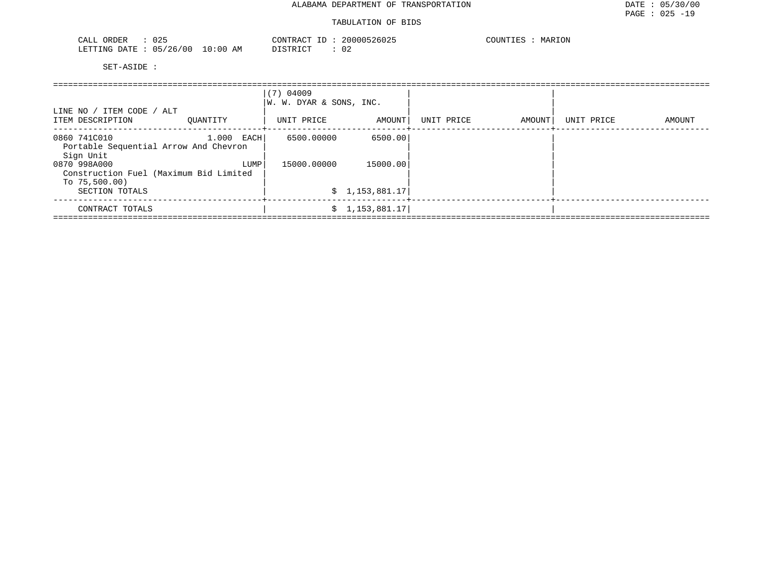| $\sqrt{2}$<br>ORDER<br>U 4 -<br>المستحقات                          |                                 | $\sim$ | (111111<br>$\overline{\phantom{a}}$<br>$\mathbf{u}$ | $- - - - - -$<br>־ידאז זרי<br>W A<br><br>$\sim$ $\sim$ $\sim$ $\sim$ $\sim$ $\sim$<br>. |
|--------------------------------------------------------------------|---------------------------------|--------|-----------------------------------------------------|-----------------------------------------------------------------------------------------|
| LETTING<br>ידי ברו<br>$\overline{\phantom{a}}$<br>UΙ<br>zc<br>ັບ ມ | ΆM<br>- 111<br>$\cdot$<br>$-11$ |        | <b>.</b><br>◡∠                                      |                                                                                         |

| LINE NO / ITEM CODE / ALT<br>ITEM DESCRIPTION<br>OUANTITY           |              | $(7)$ 04009<br>W. W. DYAR & SONS, INC.<br>UNIT PRICE | AMOUNT         | UNIT PRICE | AMOUNT | UNIT PRICE | AMOUNT |
|---------------------------------------------------------------------|--------------|------------------------------------------------------|----------------|------------|--------|------------|--------|
|                                                                     |              |                                                      |                |            |        |            |        |
| 0860 741C010<br>Portable Sequential Arrow And Chevron               | $1.000$ EACH | 6500.00000                                           | 6500.00        |            |        |            |        |
| Sign Unit<br>0870 998A000<br>Construction Fuel (Maximum Bid Limited | LUMP         | 15000.00000                                          | 15000.00       |            |        |            |        |
| To $75,500.00$ )<br>SECTION TOTALS                                  |              |                                                      | \$1,153,881.17 |            |        |            |        |
| CONTRACT TOTALS                                                     |              |                                                      | \$1,153,881.17 |            |        |            |        |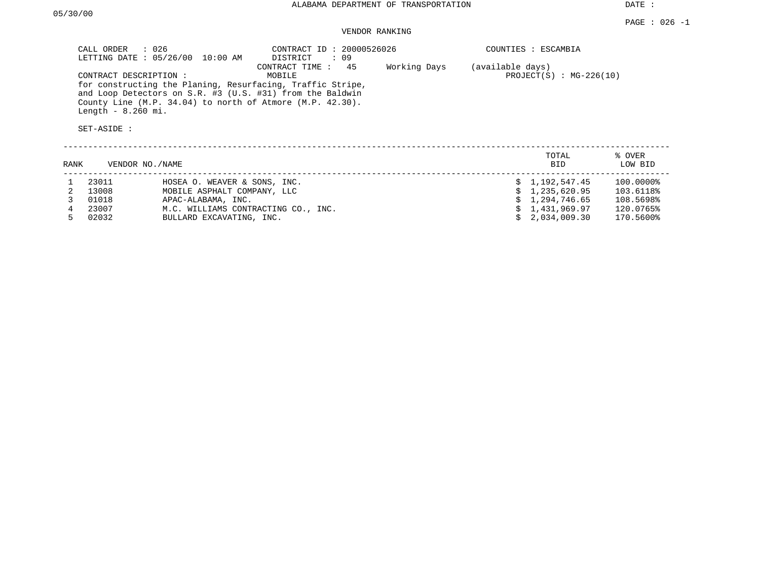DATE :

### VENDOR RANKING

| CALL ORDER : 026<br>LETTING DATE : 05/26/00 10:00 AM                                                                                                                                      | CONTRACT ID: 20000526026<br>: 09<br>DISTRICT |              | COUNTIES : ESCAMBIA       |
|-------------------------------------------------------------------------------------------------------------------------------------------------------------------------------------------|----------------------------------------------|--------------|---------------------------|
|                                                                                                                                                                                           | CONTRACT TIME : 45                           | Working Days | (available days)          |
| CONTRACT DESCRIPTION:                                                                                                                                                                     | MOBILE                                       |              | $PROJECT(S) : MG-226(10)$ |
| for constructing the Planing, Resurfacing, Traffic Stripe,<br>and Loop Detectors on S.R. #3 (U.S. #31) from the Baldwin<br>County Line $(M.P. 34.04)$ to north of Atmore $(M.P. 42.30)$ . |                                              |              |                           |
| Length $-8.260$ mi.                                                                                                                                                                       |                                              |              |                           |
| SET-ASIDE :                                                                                                                                                                               |                                              |              |                           |

| RANK | VENDOR NO./NAME |                                     | TOTAL<br><b>BID</b> | % OVER<br>LOW BID |
|------|-----------------|-------------------------------------|---------------------|-------------------|
|      | 23011           | HOSEA O. WEAVER & SONS, INC.        | \$1,192,547.45      | 100.0000%         |
|      | 13008           | MOBILE ASPHALT COMPANY, LLC         | \$1,235,620.95      | 103.6118%         |
|      | 01018           | APAC-ALABAMA, INC.                  | \$1,294,746.65      | 108.5698%         |
|      | 23007           | M.C. WILLIAMS CONTRACTING CO., INC. | \$1,431,969.97      | 120.0765%         |
|      | 02032           | BULLARD EXCAVATING, INC.            | \$2.034.009.30      | 170.5600%         |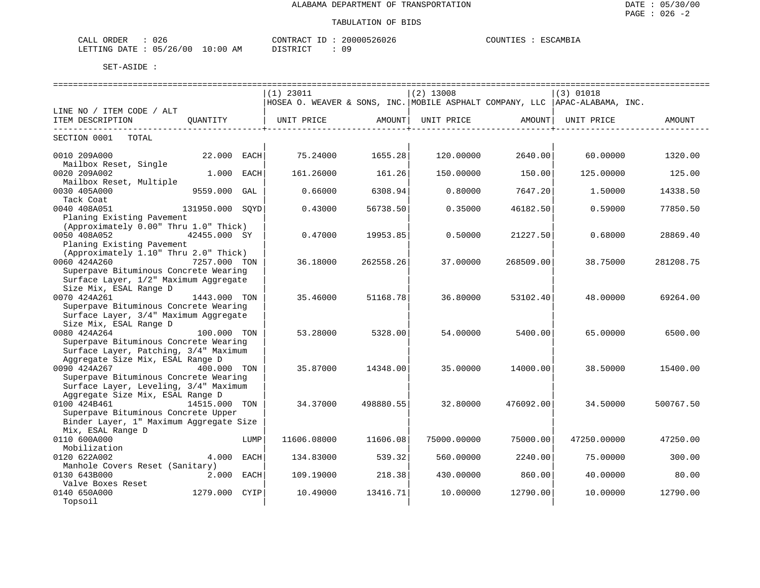| $\sim$ $\sim$<br>ORDER<br>لىلطات<br>∪∠o                                |            | CONTR.<br>$\sim$<br>$\overline{\phantom{a}}$ | 26026 | AMR<br>ורווו |
|------------------------------------------------------------------------|------------|----------------------------------------------|-------|--------------|
| $\sim$ $-$<br>00<br>. F.T.T.T.NG<br>״ד∆ת<br>11 h<br>26<br>, , ,<br>--- | АM<br>(11) | TAT<br>$\sim$                                | ה ה   |              |

|                                         |               |      |                                                                              |                           |             |                                           |             | ================================= |
|-----------------------------------------|---------------|------|------------------------------------------------------------------------------|---------------------------|-------------|-------------------------------------------|-------------|-----------------------------------|
|                                         |               |      | $(1)$ 23011                                                                  |                           | $(2)$ 13008 |                                           | $(3)$ 01018 |                                   |
|                                         |               |      | HOSEA O. WEAVER & SONS, INC. MOBILE ASPHALT COMPANY, LLC  APAC-ALABAMA, INC. |                           |             |                                           |             |                                   |
| LINE NO / ITEM CODE / ALT               |               |      |                                                                              |                           |             |                                           |             |                                   |
| ITEM DESCRIPTION                        | OUANTITY      |      | UNIT PRICE AMOUNT                                                            | -----------------+------- |             | UNIT PRICE AMOUNT<br>-------------------- | UNIT PRICE  | AMOUNT                            |
| SECTION 0001 TOTAL                      |               |      |                                                                              |                           |             |                                           |             |                                   |
| 0010 209A000                            | 22.000 EACH   |      | 75.24000                                                                     | 1655.28                   | 120.00000   | 2640.00                                   | 60.00000    | 1320.00                           |
| Mailbox Reset, Single                   |               |      |                                                                              |                           |             |                                           |             |                                   |
| 0020 209A002                            | 1.000 EACH    |      | 161.26000                                                                    | 161.26                    | 150.00000   | 150.00                                    | 125.00000   | 125.00                            |
| Mailbox Reset, Multiple                 |               |      |                                                                              |                           |             |                                           |             |                                   |
| 0030 405A000                            | 9559.000 GAL  |      | 0.66000                                                                      | 6308.94                   | 0.80000     | 7647.20                                   | 1.50000     | 14338.50                          |
| Tack Coat                               |               |      |                                                                              |                           |             |                                           |             |                                   |
| 0040 408A051<br>131950.000 SQYD         |               |      | 0.43000                                                                      | 56738.50                  | 0.35000     | 46182.50                                  | 0.59000     | 77850.50                          |
| Planing Existing Pavement               |               |      |                                                                              |                           |             |                                           |             |                                   |
| (Approximately 0.00" Thru 1.0" Thick)   |               |      |                                                                              |                           |             |                                           |             |                                   |
| 0050 408A052                            | 42455.000 SY  |      | 0.47000                                                                      | 19953.85                  | 0.50000     | 21227.50                                  | 0.68000     | 28869.40                          |
| Planing Existing Pavement               |               |      |                                                                              |                           |             |                                           |             |                                   |
| (Approximately 1.10" Thru 2.0" Thick)   |               |      |                                                                              |                           |             |                                           |             |                                   |
| 0060 424A260                            | 7257.000 TON  |      | 36.18000                                                                     | 262558.26                 | 37.00000    | 268509.00                                 | 38.75000    | 281208.75                         |
| Superpave Bituminous Concrete Wearing   |               |      |                                                                              |                           |             |                                           |             |                                   |
| Surface Layer, 1/2" Maximum Aggregate   |               |      |                                                                              |                           |             |                                           |             |                                   |
| Size Mix, ESAL Range D                  |               |      |                                                                              |                           |             |                                           |             |                                   |
| 0070 424A261                            | 1443.000 TON  |      | 35.46000                                                                     | 51168.78                  | 36.80000    | 53102.40                                  | 48.00000    | 69264.00                          |
| Superpave Bituminous Concrete Wearing   |               |      |                                                                              |                           |             |                                           |             |                                   |
| Surface Layer, 3/4" Maximum Aggregate   |               |      |                                                                              |                           |             |                                           |             |                                   |
| Size Mix, ESAL Range D                  |               |      |                                                                              |                           |             |                                           |             |                                   |
| 0080 424A264                            | 100.000 TON   |      | 53.28000                                                                     | 5328.00                   | 54.00000    | 5400.00                                   | 65.00000    | 6500.00                           |
| Superpave Bituminous Concrete Wearing   |               |      |                                                                              |                           |             |                                           |             |                                   |
| Surface Layer, Patching, 3/4" Maximum   |               |      |                                                                              |                           |             |                                           |             |                                   |
| Aggregate Size Mix, ESAL Range D        |               |      |                                                                              |                           |             |                                           |             |                                   |
| 0090 424A267                            | 400.000 TON   |      | 35.87000                                                                     | 14348.00                  | 35,00000    | 14000.00                                  | 38.50000    | 15400.00                          |
| Superpave Bituminous Concrete Wearing   |               |      |                                                                              |                           |             |                                           |             |                                   |
| Surface Layer, Leveling, 3/4" Maximum   |               |      |                                                                              |                           |             |                                           |             |                                   |
| Aggregate Size Mix, ESAL Range D        |               |      |                                                                              |                           |             |                                           |             |                                   |
| 0100 424B461                            | 14515.000 TON |      | 34.37000                                                                     | 498880.55                 | 32.80000    | 476092.00                                 | 34.50000    | 500767.50                         |
| Superpave Bituminous Concrete Upper     |               |      |                                                                              |                           |             |                                           |             |                                   |
| Binder Layer, 1" Maximum Aggregate Size |               |      |                                                                              |                           |             |                                           |             |                                   |
| Mix, ESAL Range D                       |               |      |                                                                              |                           |             |                                           |             |                                   |
| 0110 600A000                            |               | LUMP | 11606.08000                                                                  | 11606.08                  | 75000.00000 | 75000.00                                  | 47250.00000 | 47250.00                          |
| Mobilization                            |               |      |                                                                              |                           |             |                                           |             |                                   |
| 0120 622A002                            | 4.000         | EACH | 134.83000                                                                    | 539.32                    | 560.00000   | 2240.00                                   | 75.00000    | 300.00                            |
| Manhole Covers Reset (Sanitary)         |               |      |                                                                              |                           |             |                                           |             |                                   |
| 0130 643B000                            | 2.000 EACH    |      | 109.19000                                                                    | 218.38                    | 430.00000   | 860.00                                    | 40.00000    | 80.00                             |
| Valve Boxes Reset                       |               |      |                                                                              |                           |             |                                           |             |                                   |
| 0140 650A000                            | 1279.000 CYIP |      | 10.49000                                                                     | 13416.71                  | 10.00000    | 12790.00                                  | 10.00000    | 12790.00                          |
| Topsoil                                 |               |      |                                                                              |                           |             |                                           |             |                                   |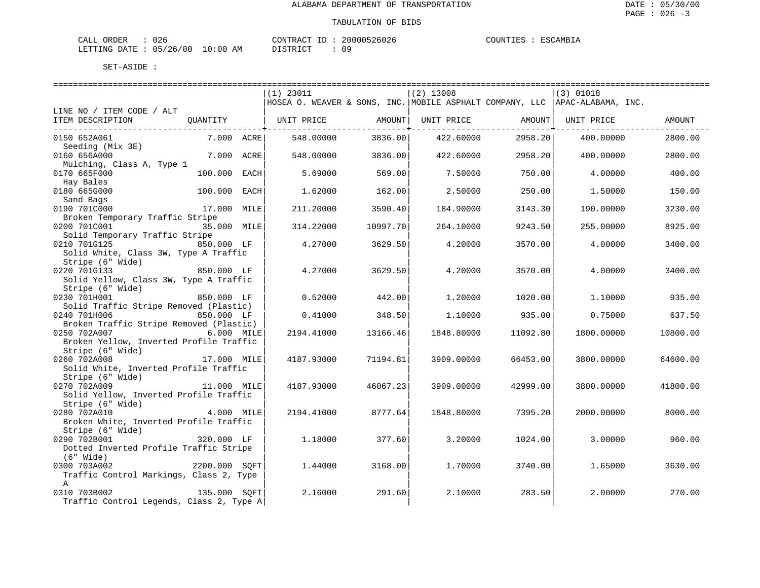| CALL ORDER                      | 026 |          | CONTRACT ID: 20000526026 |  | COUNTIES : ESCAMBIA |
|---------------------------------|-----|----------|--------------------------|--|---------------------|
| LETTING DATE: 05/26/00 10:00 AM |     | DISTRICT | 09                       |  |                     |

|                                          |               | $(1)$ 23011 |                    | $(2)$ 13008 |                | (3) 01018                                                                    |          |
|------------------------------------------|---------------|-------------|--------------------|-------------|----------------|------------------------------------------------------------------------------|----------|
|                                          |               |             |                    |             |                | HOSEA O. WEAVER & SONS, INC. MOBILE ASPHALT COMPANY, LLC  APAC-ALABAMA, INC. |          |
| LINE NO / ITEM CODE / ALT                |               |             |                    |             |                |                                                                              |          |
| ITEM DESCRIPTION                         | OUANTITY      | UNIT PRICE  | AMOUNT             | UNIT PRICE  | AMOUNT         | UNIT PRICE                                                                   | AMOUNT   |
|                                          |               |             | ------------+----- |             | ------------+- |                                                                              |          |
| 0150 652A061                             | 7.000 ACRE    | 548.00000   | 3836.00            | 422.60000   | 2958.20        | 400.00000                                                                    | 2800.00  |
| Seeding (Mix 3E)                         |               |             |                    |             |                |                                                                              |          |
| 0160 656A000                             | 7.000 ACRE    | 548.00000   | 3836.00            | 422.60000   | 2958.20        | 400.00000                                                                    | 2800.00  |
| Mulching, Class A, Type 1                |               |             |                    |             |                |                                                                              |          |
| 0170 665F000                             | 100.000 EACH  | 5.69000     | 569.00             | 7.50000     | 750.00         | 4.00000                                                                      | 400.00   |
| Hay Bales                                |               |             |                    |             |                |                                                                              |          |
| 0180 665G000                             | 100.000 EACH  | 1.62000     | 162.00             | 2.50000     | 250.00         | 1,50000                                                                      | 150.00   |
| Sand Bags                                |               |             |                    |             |                |                                                                              |          |
| 0190 701C000                             | 17.000 MILE   | 211,20000   | 3590.40            | 184.90000   | 3143.30        | 190.00000                                                                    | 3230.00  |
| Broken Temporary Traffic Stripe          |               |             |                    |             |                |                                                                              |          |
| 0200 701C001                             | 35.000 MILE   | 314.22000   | 10997.70           | 264.10000   | 9243.50        | 255.00000                                                                    | 8925.00  |
| Solid Temporary Traffic Stripe           |               |             |                    |             |                |                                                                              |          |
| 0210 701G125                             | 850.000 LF    | 4.27000     | 3629.50            | 4.20000     | 3570.00        | 4.00000                                                                      | 3400.00  |
| Solid White, Class 3W, Type A Traffic    |               |             |                    |             |                |                                                                              |          |
| Stripe (6" Wide)                         |               |             |                    |             |                |                                                                              |          |
| 0220 701G133                             | 850.000 LF    | 4.27000     | 3629.50            | 4.20000     | 3570.00        | 4.00000                                                                      | 3400.00  |
| Solid Yellow, Class 3W, Type A Traffic   |               |             |                    |             |                |                                                                              |          |
| Stripe (6" Wide)                         |               |             |                    |             |                |                                                                              |          |
| 0230 701H001                             | 850.000 LF    | 0.52000     | 442.00             | 1,20000     | 1020.00        | 1.10000                                                                      | 935.00   |
| Solid Traffic Stripe Removed (Plastic)   |               |             |                    |             |                |                                                                              |          |
| 0240 701H006                             | 850.000 LF    | 0.41000     | 348.50             | 1,10000     | 935.00         | 0.75000                                                                      | 637.50   |
| Broken Traffic Stripe Removed (Plastic)  |               |             |                    |             |                |                                                                              |          |
| 0250 702A007                             | 6.000 MILE    | 2194.41000  | 13166.46           | 1848.80000  | 11092.80       | 1800.00000                                                                   | 10800.00 |
| Broken Yellow, Inverted Profile Traffic  |               |             |                    |             |                |                                                                              |          |
| Stripe (6" Wide)                         |               |             |                    |             |                |                                                                              |          |
| 0260 702A008                             | 17.000 MILE   | 4187.93000  | 71194.81           | 3909.00000  | 66453.00       | 3800.00000                                                                   | 64600.00 |
| Solid White, Inverted Profile Traffic    |               |             |                    |             |                |                                                                              |          |
| Stripe (6" Wide)                         |               |             |                    |             |                |                                                                              |          |
| 0270 702A009                             | 11.000 MILE   |             | 46067.23           |             | 42999.00       | 3800.00000                                                                   |          |
| Solid Yellow, Inverted Profile Traffic   |               | 4187.93000  |                    | 3909.00000  |                |                                                                              | 41800.00 |
| Stripe (6" Wide)                         |               |             |                    |             |                |                                                                              |          |
| 0280 702A010                             | 4.000 MILE    | 2194.41000  | 8777.64            | 1848.80000  | 7395.20        | 2000.00000                                                                   | 8000.00  |
| Broken White, Inverted Profile Traffic   |               |             |                    |             |                |                                                                              |          |
|                                          |               |             |                    |             |                |                                                                              |          |
| Stripe (6" Wide)<br>0290 702B001         | 320.000 LF    |             | 377.60             |             |                |                                                                              | 960.00   |
|                                          |               | 1.18000     |                    | 3.20000     | 1024.00        | 3.00000                                                                      |          |
| Dotted Inverted Profile Traffic Stripe   |               |             |                    |             |                |                                                                              |          |
| $(6"$ Wide)                              |               |             |                    |             |                |                                                                              |          |
| 0300 703A002                             | 2200.000 SQFT | 1.44000     | 3168.00            | 1,70000     | 3740.00        | 1.65000                                                                      | 3630.00  |
| Traffic Control Markings, Class 2, Type  |               |             |                    |             |                |                                                                              |          |
| $\mathbf{A}$                             |               |             |                    |             |                |                                                                              |          |
| 0310 703B002                             | 135.000 SOFT  | 2.16000     | 291.60             | 2.10000     | 283.50         | 2.00000                                                                      | 270.00   |
| Traffic Control Legends, Class 2, Type A |               |             |                    |             |                |                                                                              |          |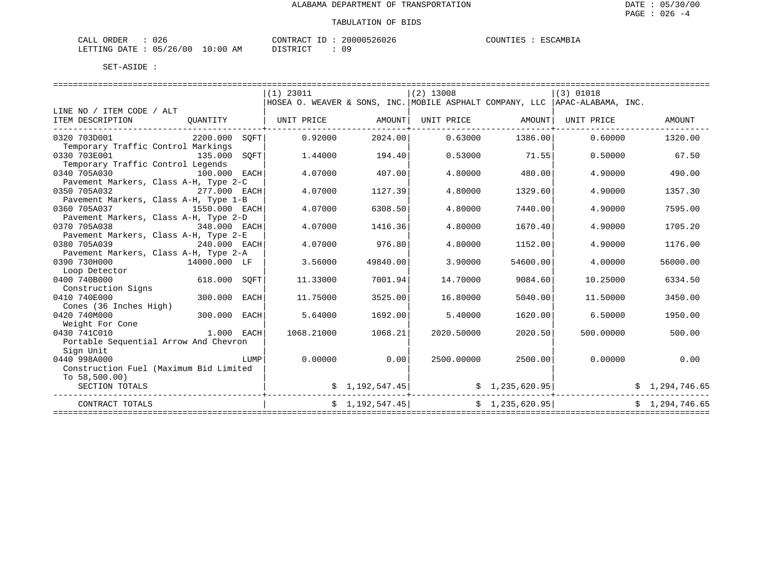| CALL ORDER                      | 026 |          | CONTRACT ID: 20000526026 |  | COUNTIES : ESCAMBIA |
|---------------------------------|-----|----------|--------------------------|--|---------------------|
| LETTING DATE: 05/26/00 10:00 AM |     | DISTRICT | 09                       |  |                     |

|                                                                                                                 |                |      | $(1)$ 23011       |                         | $(2)$ 13008                                     |                   | (3) 01018                                                                     |                |
|-----------------------------------------------------------------------------------------------------------------|----------------|------|-------------------|-------------------------|-------------------------------------------------|-------------------|-------------------------------------------------------------------------------|----------------|
|                                                                                                                 |                |      |                   |                         |                                                 |                   | HOSEA O. WEAVER & SONS, INC. MOBILE ASPHALT COMPANY, LLC   APAC-ALABAMA, INC. |                |
| LINE NO / ITEM CODE / ALT                                                                                       |                |      |                   |                         |                                                 |                   |                                                                               |                |
| ITEM DESCRIPTION                                                                                                | OUANTITY       |      | UNIT PRICE AMOUNT |                         | UNIT PRICE AMOUNT                               |                   | UNIT PRICE                                                                    | AMOUNT         |
| 0320 703D001                                                                                                    | 2200.000 SOFT  |      | 0.92000           | 2024.00                 |                                                 | $0.63000$ 1386.00 | 0.60000                                                                       | 1320.00        |
| Temporary Traffic Control Markings                                                                              |                |      |                   |                         |                                                 |                   |                                                                               |                |
| 0330 703E001                                                                                                    | 135.000        | SOFT | 1,44000           | 194.40                  | 0.53000                                         | 71.55             | 0.50000                                                                       | 67.50          |
| Temporary Traffic Control Legends                                                                               |                |      |                   |                         |                                                 |                   |                                                                               |                |
| 0340 705A030                                                                                                    | 100.000 EACH   |      | 4.07000           | 407.00                  | 4.80000                                         | 480.00            | 4.90000                                                                       | 490.00         |
| Pavement Markers, Class A-H, Type 2-C                                                                           |                |      |                   |                         |                                                 |                   |                                                                               |                |
| 0350 705A032                                                                                                    | 277.000 EACH   |      | 4.07000           | 1127.39                 | 4.80000                                         | 1329.60           | 4.90000                                                                       | 1357.30        |
| Pavement Markers, Class A-H, Type 1-B                                                                           |                |      |                   |                         |                                                 |                   |                                                                               |                |
| 0360 705A037                                                                                                    | 1550.000 EACH  |      | 4.07000           | 6308.50                 | 4.80000                                         | 7440.00           | 4.90000                                                                       | 7595.00        |
| Pavement Markers, Class A-H, Type 2-D                                                                           |                |      |                   |                         |                                                 |                   |                                                                               |                |
| 0370 705A038                                                                                                    | 348.000 EACH   |      | 4.07000           | 1416.36                 | 4.80000                                         | 1670.40           | 4.90000                                                                       | 1705.20        |
| Pavement Markers, Class A-H, Type 2-E                                                                           |                |      |                   |                         |                                                 |                   |                                                                               |                |
| 0380 705A039                                                                                                    | $240.000$ EACH |      | 4.07000           | 976.80                  | 4.80000                                         | 1152.00           | 4.90000                                                                       | 1176.00        |
| Pavement Markers, Class A-H, Type 2-A                                                                           |                |      |                   |                         |                                                 |                   |                                                                               |                |
| 0390 730H000                                                                                                    | 14000.000 LF   |      | 3.56000           | 49840.00                | 3.90000                                         | 54600.00          | 4.00000                                                                       | 56000.00       |
| Loop Detector                                                                                                   |                |      |                   |                         |                                                 |                   |                                                                               |                |
| 0400 740B000                                                                                                    | 618.000        | SOFT | 11.33000          | 7001.94                 | 14.70000                                        | 9084.60           | 10.25000                                                                      | 6334.50        |
| Construction Signs                                                                                              |                |      |                   |                         |                                                 |                   |                                                                               |                |
| 0410 740E000                                                                                                    | 300.000        | EACH | 11.75000          | 3525.00                 | 16.80000                                        | 5040.00           | 11.50000                                                                      | 3450.00        |
| Cones (36 Inches High)                                                                                          |                |      |                   |                         |                                                 |                   |                                                                               |                |
| 0420 740M000                                                                                                    | 300.000 EACH   |      | 5.64000           | 1692.00                 | 5.40000                                         | 1620.00           | 6.50000                                                                       | 1950.00        |
| Weight For Cone                                                                                                 |                |      |                   |                         |                                                 |                   |                                                                               |                |
| 0430 741C010                                                                                                    | 1.000 EACH     |      | 1068.21000        | 1068.21                 | 2020.50000                                      | 2020.50           | 500,00000                                                                     | 500.00         |
| Portable Sequential Arrow And Chevron                                                                           |                |      |                   |                         |                                                 |                   |                                                                               |                |
| Sign Unit<br>0440 998A000                                                                                       |                | LUMP | 0.00000           | 0.00                    | 2500.00000                                      | 2500.00           | 0.00000                                                                       | 0.00           |
| Construction Fuel (Maximum Bid Limited                                                                          |                |      |                   |                         |                                                 |                   |                                                                               |                |
| To $58.500.00$                                                                                                  |                |      |                   |                         |                                                 |                   |                                                                               |                |
| SECTION TOTALS                                                                                                  |                |      |                   |                         |                                                 |                   |                                                                               | \$1,294,746.65 |
| .cooperated at a construction of the construction of the construction of the construction of the construction o |                |      |                   | $\sharp$ 1, 192, 547.45 |                                                 |                   | \$1,235,620.95]                                                               |                |
| CONTRACT TOTALS                                                                                                 |                |      |                   |                         | $\sharp$ 1, 192, 547.45 $\sharp$ 1, 235, 620.95 |                   |                                                                               | \$1,294,746.65 |
|                                                                                                                 |                |      |                   |                         |                                                 |                   |                                                                               |                |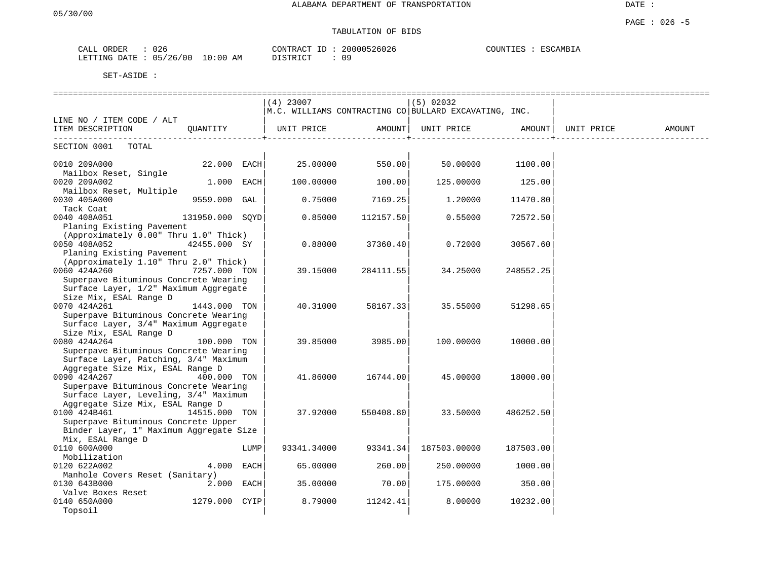# TABULATION OF BIDS

| ORDER<br>CALL | 026                                                    | CONTRAC'<br>$\pi$ $\sim$<br>$- -$<br>⊥ | 526026<br>200005 | COUNTIES<br>RSCAMBIA |
|---------------|--------------------------------------------------------|----------------------------------------|------------------|----------------------|
| LETTING DATE  | 10:00<br>/26<br>$^{\circ}$ 0 0<br>0 <sub>5</sub><br>ΑM | TAT<br><b>DICTE</b>                    | ററ               |                      |

|                                                                           |                 |      | $(4)$ 23007                                           |           | $(5)$ 02032  |           |            |        |
|---------------------------------------------------------------------------|-----------------|------|-------------------------------------------------------|-----------|--------------|-----------|------------|--------|
|                                                                           |                 |      | M.C. WILLIAMS CONTRACTING CO BULLARD EXCAVATING, INC. |           |              |           |            |        |
| LINE NO / ITEM CODE / ALT                                                 |                 |      |                                                       |           |              |           |            |        |
| ITEM DESCRIPTION                                                          | OUANTITY        |      | UNIT PRICE                                            | AMOUNT    | UNIT PRICE   | AMOUNT    | UNIT PRICE | AMOUNT |
| SECTION 0001<br>TOTAL                                                     |                 |      |                                                       |           |              |           |            |        |
|                                                                           |                 |      |                                                       |           |              |           |            |        |
| 0010 209A000                                                              | 22.000 EACH     |      | 25.00000                                              | 550.00    | 50.00000     | 1100.00   |            |        |
| Mailbox Reset, Single                                                     |                 |      |                                                       |           |              |           |            |        |
| 0020 209A002                                                              | 1.000 EACH      |      | 100.00000                                             | 100.00    | 125.00000    | 125.00    |            |        |
| Mailbox Reset, Multiple                                                   |                 |      |                                                       |           |              |           |            |        |
| 0030 405A000                                                              | 9559.000 GAL    |      | 0.75000                                               | 7169.25   | 1,20000      | 11470.80  |            |        |
| Tack Coat                                                                 |                 |      |                                                       |           |              |           |            |        |
| 0040 408A051                                                              | 131950.000 SQYD |      | 0.85000                                               | 112157.50 | 0.55000      | 72572.50  |            |        |
| Planing Existing Pavement                                                 |                 |      |                                                       |           |              |           |            |        |
| (Approximately 0.00" Thru 1.0" Thick)                                     |                 |      |                                                       |           |              |           |            |        |
| 0050 408A052                                                              | 42455.000 SY    |      | 0.88000                                               | 37360.40  | 0.72000      | 30567.60  |            |        |
| Planing Existing Pavement                                                 |                 |      |                                                       |           |              |           |            |        |
| (Approximately 1.10" Thru 2.0" Thick)                                     |                 |      |                                                       |           |              |           |            |        |
| 0060 424A260                                                              | 7257.000 TON    |      | 39.15000                                              | 284111.55 | 34.25000     | 248552.25 |            |        |
| Superpave Bituminous Concrete Wearing                                     |                 |      |                                                       |           |              |           |            |        |
| Surface Layer, 1/2" Maximum Aggregate                                     |                 |      |                                                       |           |              |           |            |        |
| Size Mix, ESAL Range D                                                    |                 |      |                                                       |           |              |           |            |        |
| 0070 424A261                                                              | 1443.000 TON    |      | 40.31000                                              | 58167.33  | 35.55000     | 51298.65  |            |        |
| Superpave Bituminous Concrete Wearing                                     |                 |      |                                                       |           |              |           |            |        |
| Surface Layer, 3/4" Maximum Aggregate                                     |                 |      |                                                       |           |              |           |            |        |
| Size Mix, ESAL Range D                                                    |                 |      |                                                       |           |              |           |            |        |
| 0080 424A264                                                              | 100.000 TON     |      | 39.85000                                              | 3985.00   | 100.00000    | 10000.00  |            |        |
| Superpave Bituminous Concrete Wearing                                     |                 |      |                                                       |           |              |           |            |        |
| Surface Layer, Patching, 3/4" Maximum                                     |                 |      |                                                       |           |              |           |            |        |
| Aggregate Size Mix, ESAL Range D                                          |                 |      |                                                       |           |              |           |            |        |
| 0090 424A267                                                              | 400.000 TON     |      | 41.86000                                              | 16744.00  | 45.00000     | 18000.00  |            |        |
| Superpave Bituminous Concrete Wearing                                     |                 |      |                                                       |           |              |           |            |        |
| Surface Layer, Leveling, 3/4" Maximum<br>Aggregate Size Mix, ESAL Range D |                 |      |                                                       |           |              |           |            |        |
| 0100 424B461                                                              | 14515.000 TON   |      | 37.92000                                              | 550408.80 | 33.50000     | 486252.50 |            |        |
| Superpave Bituminous Concrete Upper                                       |                 |      |                                                       |           |              |           |            |        |
| Binder Layer, 1" Maximum Aggregate Size                                   |                 |      |                                                       |           |              |           |            |        |
| Mix, ESAL Range D                                                         |                 |      |                                                       |           |              |           |            |        |
| 0110 600A000                                                              |                 | LUMP | 93341.34000                                           | 93341.34  | 187503.00000 | 187503.00 |            |        |
| Mobilization                                                              |                 |      |                                                       |           |              |           |            |        |
| 0120 622A002                                                              | 4.000           | EACH | 65.00000                                              | 260.00    | 250.00000    | 1000.00   |            |        |
| Manhole Covers Reset (Sanitary)                                           |                 |      |                                                       |           |              |           |            |        |
| 0130 643B000                                                              | 2.000 EACH      |      | 35.00000                                              | 70.00     | 175.00000    | 350.00    |            |        |
| Valve Boxes Reset                                                         |                 |      |                                                       |           |              |           |            |        |
| 0140 650A000                                                              | 1279.000 CYIP   |      | 8.79000                                               | 11242.41  | 8,00000      | 10232.00  |            |        |
| Topsoil                                                                   |                 |      |                                                       |           |              |           |            |        |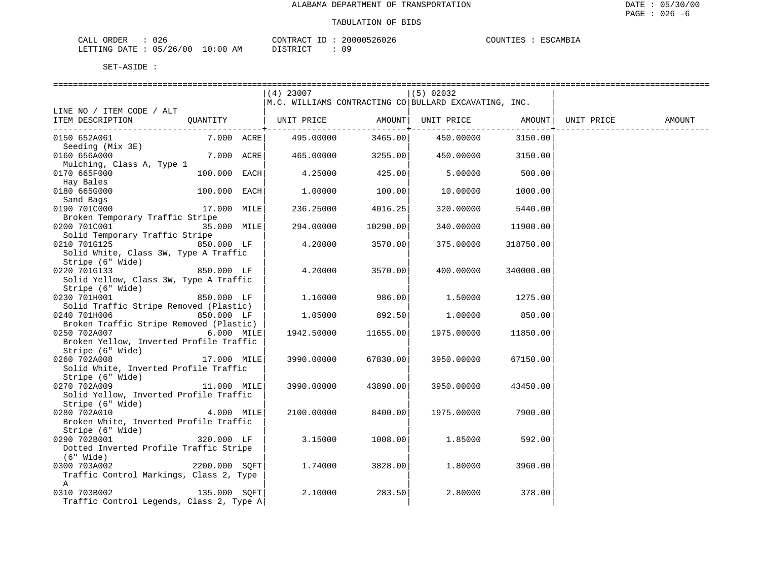| CALL<br>ORDER | $\sim$ $\sim$ $\sim$<br>U Z t |             | CONTRACT 1                 | 20000526026 | COUNTIES | ESCAMBIA |
|---------------|-------------------------------|-------------|----------------------------|-------------|----------|----------|
| LETTING DATE  | 05/26/00                      | 10:00<br>AM | $T \cap T$<br>סיד דרו<br>. | 09          |          |          |

|                                          |               | $(4)$ 23007                                           |                         | $(5)$ 02032                |                           |            |        |
|------------------------------------------|---------------|-------------------------------------------------------|-------------------------|----------------------------|---------------------------|------------|--------|
|                                          |               | M.C. WILLIAMS CONTRACTING CO BULLARD EXCAVATING, INC. |                         |                            |                           |            |        |
| LINE NO / ITEM CODE / ALT                |               |                                                       |                         |                            |                           |            |        |
| ITEM DESCRIPTION                         | OUANTITY      | UNIT PRICE                                            |                         | AMOUNT   UNIT PRICE AMOUNT |                           | UNIT PRICE | AMOUNT |
|                                          |               |                                                       | -----------+----------- |                            | . _ _ _ _ _ _ _ _ _ _ _ + |            |        |
| 0150 652A061                             | 7.000 ACRE    | 495.00000                                             | 3465.00                 | 450.00000                  | 3150.00                   |            |        |
| Seeding (Mix 3E)                         |               |                                                       |                         |                            |                           |            |        |
| 0160 656A000                             | 7.000 ACRE    | 465.00000                                             | 3255.00                 | 450.00000                  | 3150.00                   |            |        |
| Mulching, Class A, Type 1                |               |                                                       |                         |                            |                           |            |        |
| 0170 665F000                             | 100.000 EACH  | 4.25000                                               | 425.00                  | 5.00000                    | 500.00                    |            |        |
| Hay Bales                                |               |                                                       |                         |                            |                           |            |        |
| 0180 665G000                             | 100.000 EACH  | 1.00000                                               | 100.00                  | 10.00000                   | 1000.00                   |            |        |
| Sand Bags                                |               |                                                       |                         |                            |                           |            |        |
| 0190 701C000                             | 17.000 MILE   | 236.25000                                             | 4016.25                 | 320.00000                  | 5440.00                   |            |        |
| Broken Temporary Traffic Stripe          |               |                                                       |                         |                            |                           |            |        |
| 0200 701C001                             | 35.000 MILE   | 294.00000                                             | 10290.00                | 340.00000                  | 11900.00                  |            |        |
| Solid Temporary Traffic Stripe           |               |                                                       |                         |                            |                           |            |        |
| 0210 701G125                             | 850.000 LF    | 4.20000                                               | 3570.00                 | 375.00000                  | 318750.00                 |            |        |
| Solid White, Class 3W, Type A Traffic    |               |                                                       |                         |                            |                           |            |        |
| Stripe (6" Wide)                         |               |                                                       |                         |                            |                           |            |        |
| 0220 701G133                             | 850.000 LF    | 4.20000                                               | 3570.00                 | 400.00000                  | 340000.00                 |            |        |
| Solid Yellow, Class 3W, Type A Traffic   |               |                                                       |                         |                            |                           |            |        |
| Stripe (6" Wide)                         |               |                                                       |                         |                            |                           |            |        |
| 0230 701H001                             | 850.000 LF    | 1.16000                                               | 986.00                  | 1.50000                    | 1275.00                   |            |        |
| Solid Traffic Stripe Removed (Plastic)   |               |                                                       |                         |                            |                           |            |        |
| 0240 701H006                             | 850.000 LF    | 1,05000                                               | 892.50                  | 1,00000                    | 850.00                    |            |        |
| Broken Traffic Stripe Removed (Plastic)  |               |                                                       |                         |                            |                           |            |        |
| 0250 702A007                             | 6.000 MILE    | 1942.50000                                            | 11655.00                | 1975.00000                 | 11850.00                  |            |        |
| Broken Yellow, Inverted Profile Traffic  |               |                                                       |                         |                            |                           |            |        |
| Stripe (6" Wide)                         |               |                                                       |                         |                            |                           |            |        |
| 0260 702A008                             | 17.000 MILE   | 3990.00000                                            | 67830.00                | 3950.00000                 | 67150.00                  |            |        |
| Solid White, Inverted Profile Traffic    |               |                                                       |                         |                            |                           |            |        |
| Stripe (6" Wide)                         |               |                                                       |                         |                            |                           |            |        |
| 0270 702A009                             | 11.000 MILE   | 3990.00000                                            | 43890.00                | 3950.00000                 | 43450.00                  |            |        |
| Solid Yellow, Inverted Profile Traffic   |               |                                                       |                         |                            |                           |            |        |
| Stripe (6" Wide)                         |               |                                                       |                         |                            |                           |            |        |
| 0280 702A010                             | 4.000 MILE    | 2100.00000                                            | 8400.00                 | 1975.00000                 | 7900.00                   |            |        |
| Broken White, Inverted Profile Traffic   |               |                                                       |                         |                            |                           |            |        |
| Stripe (6" Wide)                         |               |                                                       |                         |                            |                           |            |        |
| 0290 702B001                             | 320.000 LF    | 3.15000                                               | 1008.00                 | 1.85000                    | 592.00                    |            |        |
| Dotted Inverted Profile Traffic Stripe   |               |                                                       |                         |                            |                           |            |        |
| $(6"$ Wide)                              |               |                                                       |                         |                            |                           |            |        |
| 0300 703A002                             | 2200.000 SOFT | 1.74000                                               | 3828.00                 | 1,80000                    | 3960.00                   |            |        |
| Traffic Control Markings, Class 2, Type  |               |                                                       |                         |                            |                           |            |        |
| $\mathbb A$                              |               |                                                       |                         |                            |                           |            |        |
| 135.000 SOFT<br>0310 703B002             |               | 2.10000                                               | 283.50                  | 2.80000                    | 378.00                    |            |        |
| Traffic Control Legends, Class 2, Type A |               |                                                       |                         |                            |                           |            |        |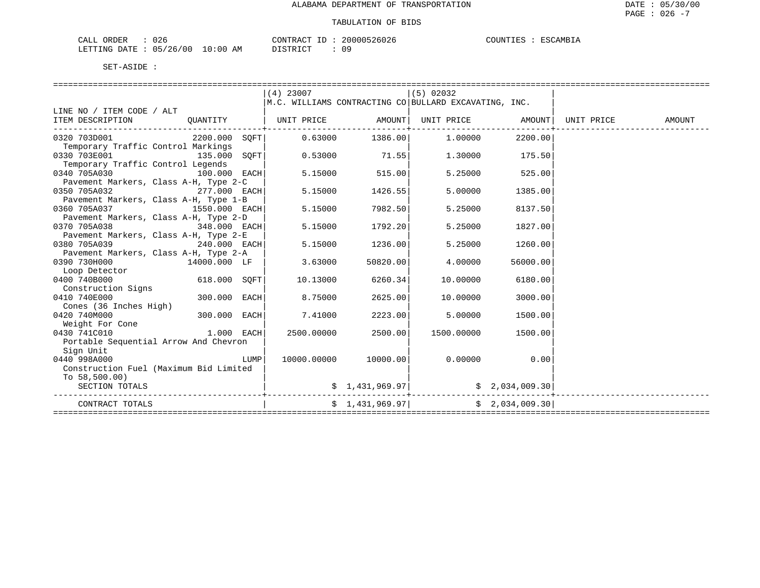| CALL ORDER                      | 026 | CONTRACT ID: |  | 20000526026 | COUNTIES | : ESCAMBIA |
|---------------------------------|-----|--------------|--|-------------|----------|------------|
| LETTING DATE: 05/26/00 10:00 AM |     | DISTRICT     |  | 09          |          |            |

|                                                                                     |                |      | $(4)$ 23007 |                 | (5) 02032                                                                                                                           |          |  |
|-------------------------------------------------------------------------------------|----------------|------|-------------|-----------------|-------------------------------------------------------------------------------------------------------------------------------------|----------|--|
|                                                                                     |                |      |             |                 | $ M.C.$ WILLIAMS CONTRACTING CO BULLARD EXCAVATING, INC.                                                                            |          |  |
| LINE NO / ITEM CODE / ALT                                                           |                |      |             |                 |                                                                                                                                     |          |  |
| ITEM DESCRIPTION QUANTITY   UNIT PRICE AMOUNT  UNIT PRICE AMOUNT  UNIT PRICE AMOUNT |                |      |             |                 |                                                                                                                                     |          |  |
| 0320 703D001                                                                        |                |      |             |                 | $2200.000$ SOFT $\vert$ 0.63000 $1386.00\vert$ 1.00000                                                                              | 2200.00  |  |
| Temporary Traffic Control Markings                                                  |                |      |             |                 |                                                                                                                                     |          |  |
| 0330 703E001                                                                        | 135.000        | SOFT |             | $0.53000$ 71.55 | 1,30000                                                                                                                             | 175.50   |  |
| Temporary Traffic Control Legends                                                   |                |      |             |                 |                                                                                                                                     |          |  |
| 0340 705A030                                                                        | $100.000$ EACH |      | 5.15000     | 515.00          | 5.25000                                                                                                                             | 525.00   |  |
| Pavement Markers, Class A-H, Type 2-C                                               |                |      |             |                 |                                                                                                                                     |          |  |
| 0350 705A032                                                                        | 277.000 EACH   |      | 5.15000     | 1426.55         | 5.00000                                                                                                                             | 1385.00  |  |
| Pavement Markers, Class A-H, Type 1-B                                               |                |      |             |                 |                                                                                                                                     |          |  |
| 0360 705A037                                                                        | 1550.000 EACH  |      | 5.15000     | 7982.50         | 5.25000                                                                                                                             | 8137.50  |  |
| Pavement Markers, Class A-H, Type 2-D                                               |                |      |             |                 |                                                                                                                                     |          |  |
| 0370 705A038                                                                        | 348.000 EACH   |      | 5.15000     | 1792.20         | 5.25000                                                                                                                             | 1827.00  |  |
| Pavement Markers, Class A-H, Type 2-E                                               |                |      |             |                 |                                                                                                                                     |          |  |
| 0380 705A039                                                                        | 240.000 EACH   |      | 5.15000     | 1236.00         | 5.25000                                                                                                                             | 1260.00  |  |
| Pavement Markers, Class A-H, Type 2-A                                               |                |      |             |                 |                                                                                                                                     |          |  |
| 0390 730H000                                                                        | 14000.000 LF   |      | 3.63000     | 50820.00        | 4.00000                                                                                                                             | 56000.00 |  |
| Loop Detector                                                                       |                |      |             |                 |                                                                                                                                     |          |  |
| 0400 740B000                                                                        | $618.000$ SQFT |      | 10.13000    | 6260.34         | 10,00000                                                                                                                            | 6180.00  |  |
| Construction Signs                                                                  |                |      |             |                 |                                                                                                                                     |          |  |
| 0410 740E000                                                                        | 300.000 EACH   |      | 8.75000     | 2625.00         | 10.00000                                                                                                                            | 3000.00  |  |
| Cones (36 Inches High)                                                              |                |      |             |                 |                                                                                                                                     |          |  |
| 0420 740M000                                                                        | 300.000 EACH   |      | 7.41000     | 2223.00         | 5.00000                                                                                                                             | 1500.00  |  |
| Weight For Cone                                                                     |                |      |             |                 |                                                                                                                                     |          |  |
| 0430 741C010                                                                        | $1.000$ EACH   |      | 2500.00000  | 2500.00         | 1500.00000                                                                                                                          | 1500.00  |  |
| Portable Sequential Arrow And Chevron                                               |                |      |             |                 |                                                                                                                                     |          |  |
| Sign Unit                                                                           |                |      |             |                 |                                                                                                                                     |          |  |
| 0440 998A000                                                                        |                | LUMP | 10000.00000 | 10000.00        | $0.00000$ 0.00                                                                                                                      |          |  |
| Construction Fuel (Maximum Bid Limited                                              |                |      |             |                 |                                                                                                                                     |          |  |
| To $58,500.00$ )                                                                    |                |      |             |                 |                                                                                                                                     |          |  |
| SECTION TOTALS                                                                      |                |      |             |                 |                                                                                                                                     |          |  |
| CONTRACT TOTALS                                                                     |                |      |             |                 | $\begin{bmatrix} 2 & 1 & 4 & 3 & 9 & 9 & 9 & 9 \end{bmatrix}$ $\begin{bmatrix} 5 & 2 & 0 & 3 & 4 & 0 & 0 & 9 & 3 & 0 \end{bmatrix}$ |          |  |
|                                                                                     |                |      |             |                 |                                                                                                                                     |          |  |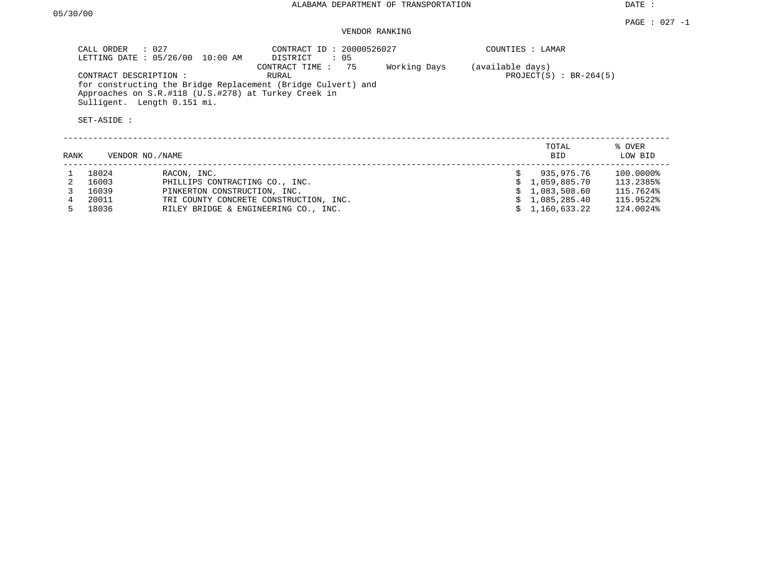DATE :

#### PAGE : 027 -1 VENDOR RANKING

| $\therefore$ 027<br>CALL ORDER<br>LETTING DATE: 05/26/00<br>10:00 AM                                                                                                         | CONTRACT ID: 20000526027<br>: 05<br>DISTRICT |              | COUNTIES : LAMAR                                 |  |
|------------------------------------------------------------------------------------------------------------------------------------------------------------------------------|----------------------------------------------|--------------|--------------------------------------------------|--|
| CONTRACT DESCRIPTION:<br>for constructing the Bridge Replacement (Bridge Culvert) and<br>Approaches on S.R.#118 (U.S.#278) at Turkey Creek in<br>Sulligent. Length 0.151 mi. | CONTRACT TIME : 75<br>RURAL                  | Working Days | (available days)<br>PROJECT $(S)$ : BR-264 $(5)$ |  |
| SET-ASIDE:                                                                                                                                                                   |                                              |              |                                                  |  |

|       |                                        |                 | TOTAL<br><b>BID</b> | % OVER<br>LOW BID                                                    |
|-------|----------------------------------------|-----------------|---------------------|----------------------------------------------------------------------|
| 18024 | RACON, INC.                            |                 | 935,975.76          | 100.0000%                                                            |
| 16003 | PHILLIPS CONTRACTING CO., INC.         |                 |                     | 113.2385%                                                            |
| 16039 | PINKERTON CONSTRUCTION, INC.           |                 |                     | 115.7624%                                                            |
| 20011 | TRI COUNTY CONCRETE CONSTRUCTION, INC. |                 |                     | 115.9522%                                                            |
| 18036 | RILEY BRIDGE & ENGINEERING CO., INC.   |                 |                     | 124.0024%                                                            |
|       |                                        | VENDOR NO./NAME |                     | \$1,059,885.70<br>\$1,083,508.60<br>\$1,085,285.40<br>\$1,160,633.22 |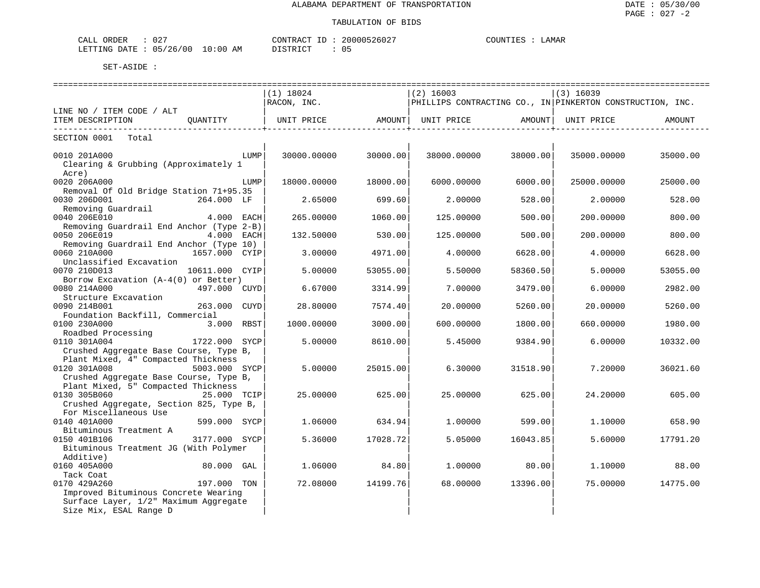| 02'<br>ORDER<br>CALL            | CONTRACT ID : | 20000526027 | COUNTIES | LAMAR |  |
|---------------------------------|---------------|-------------|----------|-------|--|
| LETTING DATE: 05/26/00 10:00 AM | DISTRICT      | 05          |          |       |  |

|                                                                       |                   |                    | ================== |          |                                                           |          |
|-----------------------------------------------------------------------|-------------------|--------------------|--------------------|----------|-----------------------------------------------------------|----------|
|                                                                       | $(1)$ 18024       |                    | $(2)$ 16003        |          | (3) 16039                                                 |          |
|                                                                       | RACON, INC.       |                    |                    |          | PHILLIPS CONTRACTING CO., IN PINKERTON CONSTRUCTION, INC. |          |
| LINE NO / ITEM CODE / ALT                                             |                   |                    |                    |          |                                                           |          |
| ITEM DESCRIPTION<br>OUANTITY<br>------------------------------------- | UNIT PRICE AMOUNT | -----------------+ | UNIT PRICE AMOUNT  |          | UNIT PRICE                                                | AMOUNT   |
| SECTION 0001 Total                                                    |                   |                    |                    |          |                                                           |          |
| 0010 201A000<br>LUMP<br>Clearing & Grubbing (Approximately 1          | 30000.00000       | 30000.00           | 38000.00000        | 38000.00 | 35000.00000                                               | 35000.00 |
| Acre)                                                                 |                   |                    |                    |          |                                                           |          |
| 0020 206A000<br>LUMP                                                  | 18000.00000       | 18000.00           | 6000.00000         | 6000.00  | 25000.00000                                               | 25000.00 |
| Removal Of Old Bridge Station 71+95.35                                |                   |                    |                    |          |                                                           |          |
| 0030 206D001<br>264.000 LF                                            | 2.65000           | 699.60             | 2,00000            | 528.00   | 2.00000                                                   | 528.00   |
| Removing Guardrail                                                    |                   |                    |                    |          |                                                           |          |
| 0040 206E010<br>4.000 EACH                                            | 265,00000         | 1060.00            | 125,00000          | 500.00   | 200,00000                                                 | 800.00   |
| Removing Guardrail End Anchor (Type 2-B)                              |                   |                    |                    |          |                                                           |          |
| 0050 206E019<br>4.000 EACH<br>Removing Guardrail End Anchor (Type 10) | 132.50000         | 530.00             | 125.00000          | 500.00   | 200,00000                                                 | 800.00   |
| 0060 210A000<br>1657.000 CYIP                                         | 3.00000           | 4971.00            | 4.00000            | 6628.00  | 4.00000                                                   | 6628.00  |
| Unclassified Excavation                                               |                   |                    |                    |          |                                                           |          |
| 0070 210D013<br>10611.000 CYIP                                        | 5.00000           | 53055.00           | 5.50000            | 58360.50 | 5.00000                                                   | 53055.00 |
| Borrow Excavation (A-4(0) or Better)                                  |                   |                    |                    |          |                                                           |          |
| 0080 214A000<br>497.000 CUYD <br>Structure Excavation                 | 6.67000           | 3314.99            | 7.00000            | 3479.00  | 6.00000                                                   | 2982.00  |
| 0090 214B001<br>263.000 CUYD                                          | 28.80000          | 7574.40            | 20.00000           | 5260.00  | 20,00000                                                  | 5260.00  |
| Foundation Backfill, Commercial                                       |                   |                    |                    |          |                                                           |          |
| 3.000 RBST<br>0100 230A000                                            | 1000.00000        | 3000.00            | 600.00000          | 1800.00  | 660.00000                                                 | 1980.00  |
| Roadbed Processing                                                    |                   |                    |                    |          |                                                           |          |
| 0110 301A004<br>1722.000 SYCP                                         | 5.00000           | 8610.00            | 5.45000            | 9384.90  | 6.00000                                                   | 10332.00 |
| Crushed Aggregate Base Course, Type B,                                |                   |                    |                    |          |                                                           |          |
| Plant Mixed, 4" Compacted Thickness                                   |                   |                    |                    |          |                                                           |          |
| 0120 301A008<br>5003.000 SYCP                                         | 5.00000           | 25015.00           | 6.30000            | 31518.90 | 7.20000                                                   | 36021.60 |
| Crushed Aggregate Base Course, Type B,                                |                   |                    |                    |          |                                                           |          |
| Plant Mixed, 5" Compacted Thickness                                   |                   |                    |                    |          |                                                           |          |
| 0130 305B060 25.000 TCIP                                              | 25.00000          | 625.00             | 25.00000           | 625.00   | 24.20000                                                  | 605.00   |
| Crushed Aggregate, Section 825, Type B,                               |                   |                    |                    |          |                                                           |          |
| For Miscellaneous Use<br>0140 401A000                                 |                   |                    |                    |          |                                                           |          |
| 599.000 SYCP<br>Bituminous Treatment A                                | 1,06000           | 634.94             | 1,00000            | 599.00   | 1,10000                                                   | 658.90   |
| 3177.000 SYCP<br>0150 401B106                                         | 5.36000           | 17028.72           | 5.05000            | 16043.85 | 5.60000                                                   | 17791.20 |
| Bituminous Treatment JG (With Polymer                                 |                   |                    |                    |          |                                                           |          |
| Additive)                                                             |                   |                    |                    |          |                                                           |          |
| 0160 405A000<br>$80.000$ GAL                                          | 1.06000           | 84.80              | 1,00000            | 80.00    | 1,10000                                                   | 88.00    |
| Tack Coat                                                             |                   |                    |                    |          |                                                           |          |
| 0170 429A260<br>197.000 TON                                           | 72.08000          | 14199.76           | 68.00000           | 13396.00 | 75.00000                                                  | 14775.00 |
| Improved Bituminous Concrete Wearing                                  |                   |                    |                    |          |                                                           |          |
| Surface Layer, 1/2" Maximum Aggregate                                 |                   |                    |                    |          |                                                           |          |
| Size Mix, ESAL Range D                                                |                   |                    |                    |          |                                                           |          |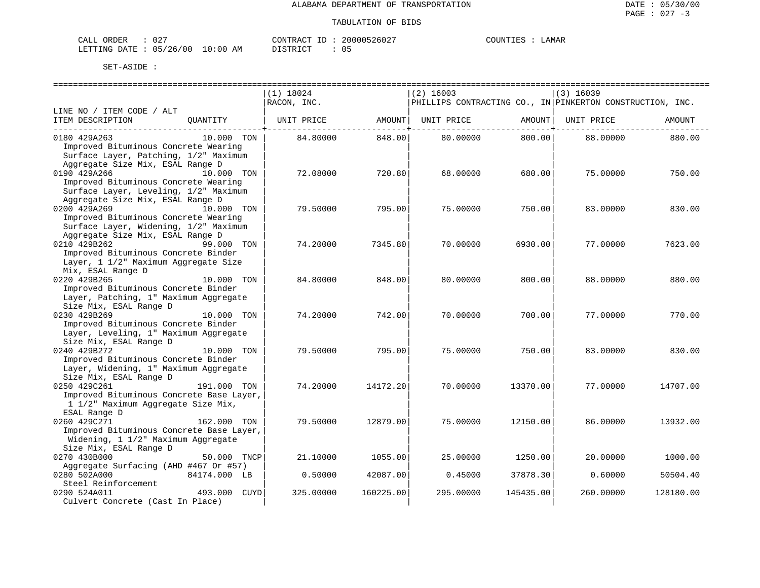| ORDER<br>CALL                    | $02^-$ | CONTRACT | ID | 20000526027 | COUNTIES | <b>AMAR</b> |
|----------------------------------|--------|----------|----|-------------|----------|-------------|
| LETTING DATE : 05/26/00 10:00 AM |        | DISTRICT |    |             |          |             |

|                                                                                                                                   |              | ================<br>$(1)$ 18024 |           | $(2)$ 16003                                               |           | $(3)$ 16039 |           |
|-----------------------------------------------------------------------------------------------------------------------------------|--------------|---------------------------------|-----------|-----------------------------------------------------------|-----------|-------------|-----------|
|                                                                                                                                   |              | RACON, INC.                     |           | PHILLIPS CONTRACTING CO., IN PINKERTON CONSTRUCTION, INC. |           |             |           |
| LINE NO / ITEM CODE / ALT<br>ITEM DESCRIPTION                                                                                     | OUANTITY     | UNIT PRICE                      | AMOUNT    | UNIT PRICE                                                | AMOUNT    | UNIT PRICE  | AMOUNT    |
| 0180 429A263<br>Improved Bituminous Concrete Wearing<br>Surface Layer, Patching, 1/2" Maximum<br>Aggregate Size Mix, ESAL Range D | 10.000 TON   | 84.80000                        | 848.00    | 80,00000                                                  | 800.00    | 88,00000    | 880.00    |
| 0190 429A266<br>Improved Bituminous Concrete Wearing<br>Surface Layer, Leveling, 1/2" Maximum<br>Aggregate Size Mix, ESAL Range D | 10.000 TON   | 72.08000                        | 720.80    | 68,00000                                                  | 680.00    | 75.00000    | 750.00    |
| 0200 429A269<br>Improved Bituminous Concrete Wearing<br>Surface Layer, Widening, 1/2" Maximum                                     | 10.000 TON   | 79.50000                        | 795.00    | 75,00000                                                  | 750.00    | 83.00000    | 830.00    |
| Aggregate Size Mix, ESAL Range D<br>0210 429B262<br>Improved Bituminous Concrete Binder<br>Layer, 1 1/2" Maximum Aggregate Size   | 99.000 TON   | 74.20000                        | 7345.80   | 70.00000                                                  | 6930.00   | 77.00000    | 7623.00   |
| Mix, ESAL Range D<br>0220 429B265<br>Improved Bituminous Concrete Binder<br>Layer, Patching, 1" Maximum Aggregate                 | 10.000 TON   | 84.80000                        | 848.00    | 80.00000                                                  | 800.00    | 88.00000    | 880.00    |
| Size Mix, ESAL Range D<br>0230 429B269<br>Improved Bituminous Concrete Binder<br>Layer, Leveling, 1" Maximum Aggregate            | 10.000 TON   | 74.20000                        | 742.00    | 70.00000                                                  | 700.00    | 77.00000    | 770.00    |
| Size Mix, ESAL Range D<br>0240 429B272<br>Improved Bituminous Concrete Binder<br>Layer, Widening, 1" Maximum Aggregate            | 10.000 TON   | 79.50000                        | 795.00    | 75.00000                                                  | 750.00    | 83.00000    | 830.00    |
| Size Mix, ESAL Range D<br>0250 429C261<br>Improved Bituminous Concrete Base Layer,<br>1 1/2" Maximum Aggregate Size Mix,          | 191.000 TON  | 74.20000                        | 14172.20  | 70.00000                                                  | 13370.00  | 77.00000    | 14707.00  |
| ESAL Range D<br>0260 429C271<br>Improved Bituminous Concrete Base Layer,<br>Widening, 1 1/2" Maximum Aggregate                    | 162.000 TON  | 79.50000                        | 12879.00  | 75.00000                                                  | 12150.00  | 86,00000    | 13932.00  |
| Size Mix, ESAL Range D<br>0270 430B000<br>Aggregate Surfacing (AHD #467 Or #57)                                                   | 50.000 TNCP  | 21.10000                        | 1055.00   | 25.00000                                                  | 1250.00   | 20.00000    | 1000.00   |
| 0280 502A000<br>Steel Reinforcement                                                                                               | 84174.000 LB | 0.50000                         | 42087.00  | 0.45000                                                   | 37878.30  | 0.60000     | 50504.40  |
| 0290 524A011<br>Culvert Concrete (Cast In Place)                                                                                  | 493.000 CUYD | 325.00000                       | 160225.00 | 295.00000                                                 | 145435.00 | 260.00000   | 128180.00 |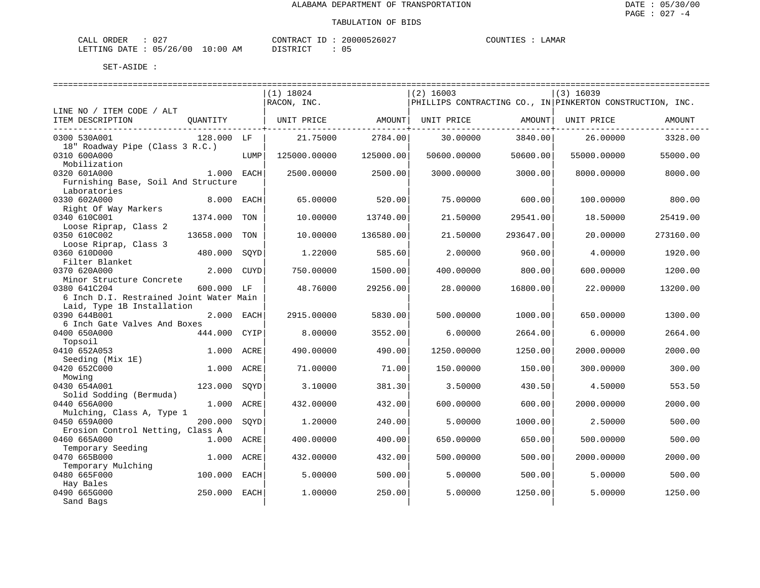| CALI<br>ORDER | 027      |             | CONTRACT<br>- 11 | 200005<br>5260z | ™™™<br><b>1.16</b> | <b>AMAR</b> |
|---------------|----------|-------------|------------------|-----------------|--------------------|-------------|
| LETTING DATE  | 05/26/00 | 10:00<br>ΑM | DI STRICT        |                 |                    |             |

|                                         |              |      | =============================== |           | =================== |           |                                                           |           |
|-----------------------------------------|--------------|------|---------------------------------|-----------|---------------------|-----------|-----------------------------------------------------------|-----------|
|                                         |              |      | $(1)$ 18024                     |           | $(2)$ 16003         |           | $(3)$ 16039                                               |           |
|                                         |              |      | RACON, INC.                     |           |                     |           | PHILLIPS CONTRACTING CO., IN PINKERTON CONSTRUCTION, INC. |           |
| LINE NO / ITEM CODE / ALT               |              |      |                                 |           |                     |           |                                                           |           |
| ITEM DESCRIPTION                        | QUANTITY     |      | UNIT PRICE                      | AMOUNT    | UNIT PRICE          | AMOUNT    | UNIT PRICE                                                | AMOUNT    |
| --------------------                    |              |      |                                 |           |                     |           |                                                           |           |
| 0300 530A001                            | 128.000 LF   |      | 21.75000                        | 2784.00   | 30.00000            | 3840.00   | 26.00000                                                  | 3328.00   |
| 18" Roadway Pipe (Class 3 R.C.)         |              |      |                                 |           |                     |           |                                                           |           |
| 0310 600A000                            |              | LUMP | 125000.00000                    | 125000.00 | 50600.00000         | 50600.00  | 55000.00000                                               | 55000.00  |
| Mobilization                            |              |      |                                 |           |                     |           |                                                           |           |
| 0320 601A000                            | $1.000$ EACH |      | 2500.00000                      | 2500.00   | 3000.00000          | 3000.00   | 8000.00000                                                | 8000.00   |
| Furnishing Base, Soil And Structure     |              |      |                                 |           |                     |           |                                                           |           |
| Laboratories                            |              |      |                                 |           |                     |           |                                                           |           |
| 0330 602A000                            | 8.000 EACH   |      | 65.00000                        | 520.00    | 75,00000            | 600.00    | 100.00000                                                 | 800.00    |
|                                         |              |      |                                 |           |                     |           |                                                           |           |
| Right Of Way Markers                    |              |      |                                 |           |                     |           |                                                           |           |
| 0340 610C001                            | 1374.000     | TON  | 10.00000                        | 13740.00  | 21.50000            | 29541.00  | 18.50000                                                  | 25419.00  |
| Loose Riprap, Class 2                   |              |      |                                 |           |                     |           |                                                           |           |
| 0350 610C002                            | 13658.000    | TON  | 10.00000                        | 136580.00 | 21.50000            | 293647.00 | 20,00000                                                  | 273160.00 |
| Loose Riprap, Class 3                   |              |      |                                 |           |                     |           |                                                           |           |
| 0360 610D000                            | 480.000      | SQYD | 1,22000                         | 585.60    | 2,00000             | 960.00    | 4.00000                                                   | 1920.00   |
| Filter Blanket                          |              |      |                                 |           |                     |           |                                                           |           |
| 0370 620A000                            | 2.000 CUYD   |      | 750.00000                       | 1500.00   | 400.00000           | 800.00    | 600.00000                                                 | 1200.00   |
| Minor Structure Concrete                |              |      |                                 |           |                     |           |                                                           |           |
| 0380 641C204                            | 600.000 LF   |      | 48.76000                        | 29256.00  | 28,00000            | 16800.00  | 22.00000                                                  | 13200.00  |
| 6 Inch D.I. Restrained Joint Water Main |              |      |                                 |           |                     |           |                                                           |           |
| Laid, Type 1B Installation              |              |      |                                 |           |                     |           |                                                           |           |
| 0390 644B001                            | 2.000 EACH   |      | 2915.00000                      | 5830.00   | 500.00000           | 1000.00   | 650.00000                                                 | 1300.00   |
| 6 Inch Gate Valves And Boxes            |              |      |                                 |           |                     |           |                                                           |           |
| 0400 650A000                            | 444.000 CYIP |      | 8,00000                         | 3552.00   | 6.00000             | 2664.00   | 6.00000                                                   | 2664.00   |
| Topsoil                                 |              |      |                                 |           |                     |           |                                                           |           |
| 0410 652A053                            | 1.000 ACRE   |      | 490.00000                       | 490.00    | 1250.00000          | 1250.00   | 2000.00000                                                | 2000.00   |
| Seeding (Mix 1E)                        |              |      |                                 |           |                     |           |                                                           |           |
| 0420 652C000                            | 1.000 ACRE   |      | 71.00000                        | 71.00     | 150.00000           | 150.00    | 300.00000                                                 | 300.00    |
| Mowing                                  |              |      |                                 |           |                     |           |                                                           |           |
| 0430 654A001                            | 123.000      | SOYD | 3.10000                         | 381.30    | 3.50000             | 430.50    | 4.50000                                                   | 553.50    |
| Solid Sodding (Bermuda)                 |              |      |                                 |           |                     |           |                                                           |           |
| 0440 656A000                            | 1.000 ACRE   |      | 432.00000                       | 432.00    | 600.00000           | 600.00    | 2000.00000                                                | 2000.00   |
| Mulching, Class A, Type 1               |              |      |                                 |           |                     |           |                                                           |           |
| 0450 659A000                            | 200.000      | SOYD | 1,20000                         | 240.00    | 5.00000             | 1000.00   | 2.50000                                                   | 500.00    |
| Erosion Control Netting, Class A        |              |      |                                 |           |                     |           |                                                           |           |
| 0460 665A000                            | 1.000 ACRE   |      | 400.00000                       | 400.00    | 650.00000           | 650.00    | 500.00000                                                 | 500.00    |
| Temporary Seeding                       |              |      |                                 |           |                     |           |                                                           |           |
| 0470 665B000                            | 1.000        | ACRE | 432.00000                       | 432.00    | 500.00000           | 500.00    | 2000.00000                                                | 2000.00   |
| Temporary Mulching                      |              |      |                                 |           |                     |           |                                                           |           |
| 0480 665F000                            |              |      | 5.00000                         |           |                     |           |                                                           |           |
|                                         | 100.000      | EACH |                                 | 500.00    | 5.00000             | 500.00    | 5.00000                                                   | 500.00    |
| Hay Bales                               |              |      |                                 |           |                     |           |                                                           |           |
| 0490 665G000                            | 250.000 EACH |      | 1,00000                         | 250.00    | 5.00000             | 1250.00   | 5.00000                                                   | 1250.00   |
| Sand Bags                               |              |      |                                 |           |                     |           |                                                           |           |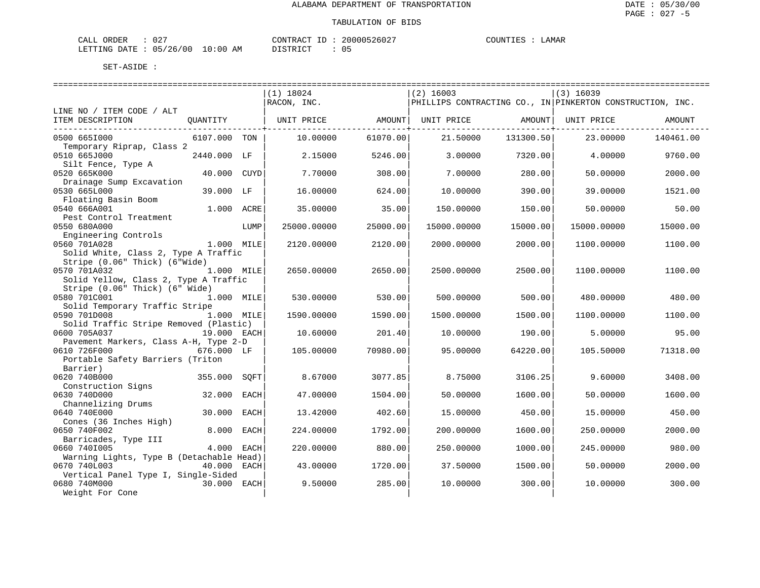| CALI<br>ORDER | 027      |             | CONTRACT<br>- 11 | 200005<br>5260z | ™™™<br><b>1.16</b> | <b>AMAR</b> |
|---------------|----------|-------------|------------------|-----------------|--------------------|-------------|
| LETTING DATE  | 05/26/00 | 10:00<br>ΑM | DI STRICT        |                 |                    |             |

|                                                                       |              |      | $(1)$ 18024       |          | $(2)$ 16003       |           | $(3)$ 16039                                                       |           |
|-----------------------------------------------------------------------|--------------|------|-------------------|----------|-------------------|-----------|-------------------------------------------------------------------|-----------|
|                                                                       |              |      | RACON, INC.       |          |                   |           | $ $ PHILLIPS CONTRACTING CO., IN $ $ PINKERTON CONSTRUCTION, INC. |           |
| LINE NO / ITEM CODE / ALT                                             |              |      |                   |          |                   |           |                                                                   |           |
| ITEM DESCRIPTION<br>----------------------------                      | QUANTITY     |      | UNIT PRICE AMOUNT |          | UNIT PRICE AMOUNT |           | UNIT PRICE                                                        | AMOUNT    |
| 0500 6651000<br>Temporary Riprap, Class 2                             | 6107.000 TON |      | 10,00000          | 61070.00 | 21.50000          | 131300.50 | 23.00000                                                          | 140461.00 |
| 0510 665J000                                                          | 2440.000 LF  |      | 2.15000           | 5246.00  | 3.00000           | 7320.00   | 4.00000                                                           | 9760.00   |
| Silt Fence, Type A<br>0520 665K000                                    | 40.000 CUYD  |      | 7.70000           | 308.00   | 7.00000           | 280.00    | 50.00000                                                          | 2000.00   |
| Drainage Sump Excavation<br>0530 665L000                              | 39.000 LF    |      | 16.00000          | 624.00   | 10,00000          | 390.00    | 39,00000                                                          | 1521.00   |
| Floating Basin Boom<br>0540 666A001                                   | 1.000 ACRE   |      | 35.00000          | 35.00    | 150.00000         | 150.00    | 50.00000                                                          | 50.00     |
| Pest Control Treatment<br>0550 680A000                                |              | LUMP | 25000.00000       | 25000.00 | 15000.00000       | 15000.00  | 15000.00000                                                       | 15000.00  |
| Engineering Controls<br>0560 701A028                                  | 1.000 MILE   |      | 2120.00000        | 2120.00  | 2000.00000        | 2000.00   | 1100.00000                                                        | 1100.00   |
| Solid White, Class 2, Type A Traffic<br>Stripe (0.06" Thick) (6"Wide) |              |      |                   |          |                   |           |                                                                   |           |
| 0570 701A032<br>Solid Yellow, Class 2, Type A Traffic                 | $1.000$ MILE |      | 2650.00000        | 2650.00  | 2500.00000        | 2500.00   | 1100.00000                                                        | 1100.00   |
| Stripe (0.06" Thick) (6" Wide)<br>0580 701C001                        | 1.000 MILE   |      | 530.00000         | 530.00   | 500.00000         | 500.00    | 480.00000                                                         | 480.00    |
| Solid Temporary Traffic Stripe<br>0590 701D008                        | 1.000 MILE   |      | 1590.00000        | 1590.00  | 1500.00000        | 1500.00   | 1100.00000                                                        | 1100.00   |
| Solid Traffic Stripe Removed (Plastic)<br>0600 705A037                | 19.000 EACH  |      | 10.60000          | 201.40   | 10.00000          | 190.00    | 5,00000                                                           | 95.00     |
| Pavement Markers, Class A-H, Type 2-D<br>0610 726F000                 | 676.000 LF   |      | 105.00000         | 70980.00 | 95.00000          | 64220.00  | 105.50000                                                         | 71318.00  |
| Portable Safety Barriers (Triton                                      |              |      |                   |          |                   |           |                                                                   |           |
| Barrier)<br>0620 740B000                                              | 355.000      | SOFT | 8.67000           | 3077.85  | 8.75000           | 3106.25   | 9.60000                                                           | 3408.00   |
| Construction Signs<br>0630 740D000                                    | 32.000       | EACH | 47.00000          | 1504.00  | 50.00000          | 1600.00   | 50.00000                                                          | 1600.00   |
| Channelizing Drums<br>0640 740E000                                    | 30.000       | EACH | 13.42000          | 402.60   | 15,00000          | 450.00    | 15,00000                                                          | 450.00    |
| Cones (36 Inches High)<br>0650 740F002                                | 8.000        | EACH | 224.00000         | 1792.00  | 200.00000         | 1600.00   | 250.00000                                                         | 2000.00   |
| Barricades, Type III<br>0660 7401005                                  | 4.000        | EACH | 220.00000         | 880.00   | 250.00000         | 1000.00   | 245.00000                                                         | 980.00    |
| Warning Lights, Type B (Detachable Head)<br>0670 740L003              | 40.000       | EACH | 43.00000          | 1720.00  | 37.50000          | 1500.00   | 50.00000                                                          | 2000.00   |
| Vertical Panel Type I, Single-Sided<br>0680 740M000                   | 30.000       | EACH | 9.50000           | 285.00   | 10.00000          | 300.00    | 10.00000                                                          | 300.00    |
| Weight For Cone                                                       |              |      |                   |          |                   |           |                                                                   |           |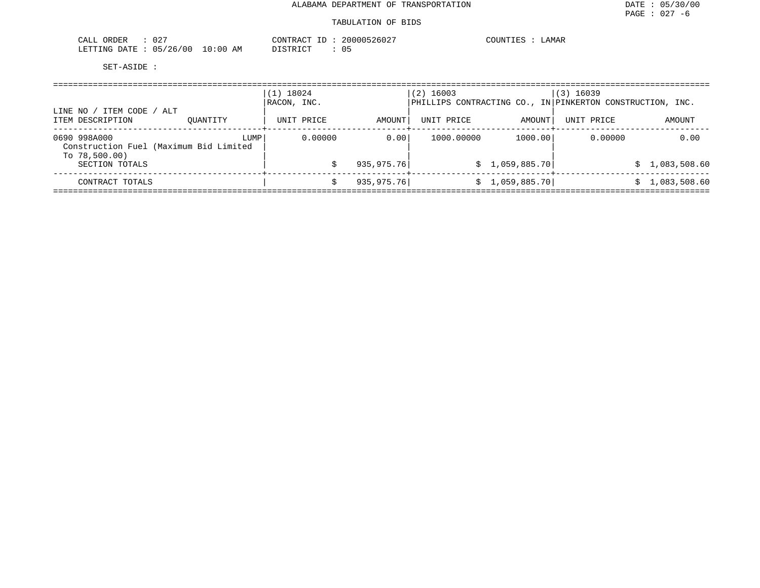| $\cap$ $\cap$ $\Gamma$<br>ORDER<br>$^{\prime}$ $\Lambda$ .<br>∪∠<br>للتما                                                                                             | <b>UCATED</b><br>$\sqrt{2}$<br>261<br>$U_{\mathcal{L}}$ | ≒AMAR<br>)TTN' |
|-----------------------------------------------------------------------------------------------------------------------------------------------------------------------|---------------------------------------------------------|----------------|
| (00)<br>/26<br>05<br>ETTING<br>AΜ<br>DATE.<br>0:00<br>the contract of the contract of the contract of the contract of the contract of the contract of the contract of | $T \cap T$<br>- <del>.</del><br>() F                    |                |

| LINE NO /                                                                  |          | $(1)$ 18024<br>RACON, INC. |             | $(2)$ 16003 |                 | $(3)$ 16039<br>$\mathsf{PHILLIPS}$ CONTRACTING CO., IN $\mathsf{PINKERTON}$ CONSTRUCTION, INC. |                |
|----------------------------------------------------------------------------|----------|----------------------------|-------------|-------------|-----------------|------------------------------------------------------------------------------------------------|----------------|
| / ITEM CODE / ALT<br>ITEM DESCRIPTION                                      | OUANTITY | UNIT PRICE                 | AMOUNT      | UNIT PRICE  | AMOUNT          | UNIT PRICE                                                                                     | AMOUNT         |
| 0690 998A000<br>Construction Fuel (Maximum Bid Limited<br>To $78,500.00$ ) | LUMP     | 0.00000                    | 0.001       | 1000.00000  | 1000.00         | 0.00000                                                                                        | 0.00           |
| SECTION TOTALS                                                             |          |                            | 935, 975.76 |             | \$1,059,885.70] |                                                                                                | \$1,083,508.60 |
| CONTRACT TOTALS                                                            |          |                            | 935, 975.76 |             | \$1,059,885.70] |                                                                                                | 1,083,508.60   |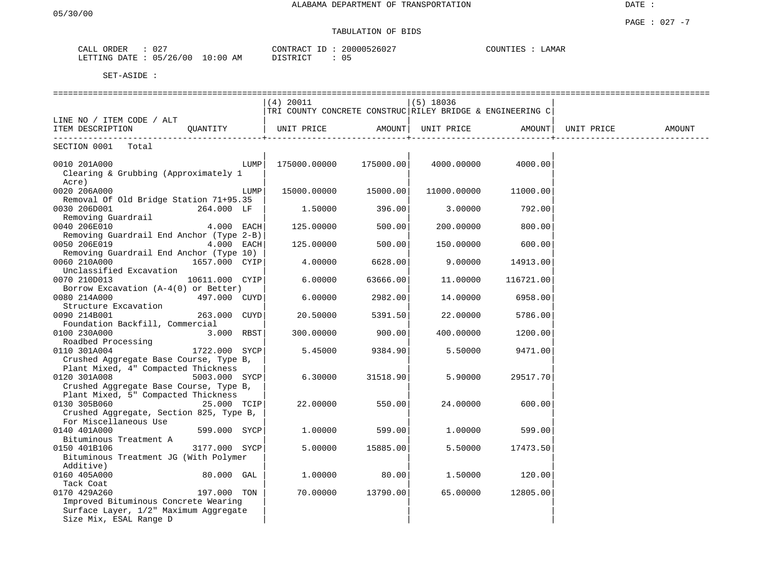## TABULATION OF BIDS

| DRDER<br>CALL                               | 027                                                                      |              | $T\cap\mathrm{MTF}$<br>$\sim$<br>$\Delta$      | 20000 | 2602 | بمستلاط ب | ∟AMAF |
|---------------------------------------------|--------------------------------------------------------------------------|--------------|------------------------------------------------|-------|------|-----------|-------|
| LETTING<br>$\mathbb{R}^n$<br>$\overline{H}$ | $\sim$<br>10 O<br>$\overline{a}$<br>$\overline{\phantom{a}}$<br>▵◡<br>ັບ | ່າ: በጠ<br>AΜ | $\gamma$ T C $\pi$ D $\pi$ T C $\pi$<br>וו שיו | 05    |      |           |       |

|                                                                                                         |                |      | (4) 20011                                                 |                   | $(5)$ 18036 |           |            |        |
|---------------------------------------------------------------------------------------------------------|----------------|------|-----------------------------------------------------------|-------------------|-------------|-----------|------------|--------|
|                                                                                                         |                |      | TRI COUNTY CONCRETE CONSTRUC RILEY BRIDGE & ENGINEERING C |                   |             |           |            |        |
| LINE NO / ITEM CODE / ALT                                                                               |                |      |                                                           | AMOUNT            |             |           |            | AMOUNT |
| ITEM DESCRIPTION<br>-------------------------------                                                     | OUANTITY       |      | UNIT PRICE                                                | ---------------+- | UNIT PRICE  | AMOUNT    | UNIT PRICE |        |
| SECTION 0001 Total                                                                                      |                |      |                                                           |                   |             |           |            |        |
| 0010 201A000<br>Clearing & Grubbing (Approximately 1                                                    |                | LUMP | 175000.00000                                              | 175000.00         | 4000.00000  | 4000.00   |            |        |
| Acre)<br>0020 206A000                                                                                   |                | LUMP | 15000.00000                                               | 15000.00          | 11000.00000 | 11000.00  |            |        |
| Removal Of Old Bridge Station 71+95.35                                                                  |                |      |                                                           |                   |             |           |            |        |
| 0030 206D001<br>Removing Guardrail                                                                      | 264.000 LF     |      | 1.50000                                                   | 396.00            | 3.00000     | 792.00    |            |        |
| 0040 206E010                                                                                            | $4.000$ EACH   |      | 125.00000                                                 | 500.00            | 200.00000   | 800.00    |            |        |
| Removing Guardrail End Anchor (Type 2-B)<br>0050 206E019                                                | 4.000 EACH     |      | 125.00000                                                 | 500.00            | 150.00000   | 600.00    |            |        |
| Removing Guardrail End Anchor (Type 10)<br>0060 210A000                                                 | 1657.000 CYIP  |      | 4.00000                                                   | 6628.00           | 9.00000     | 14913.00  |            |        |
| Unclassified Excavation<br>0070 210D013                                                                 | 10611.000 CYIP |      | 6.00000                                                   | 63666.00          | 11,00000    | 116721.00 |            |        |
| Borrow Excavation (A-4(0) or Better)<br>0080 214A000                                                    | 497.000 CUYD   |      | 6.00000                                                   | 2982.00           | 14.00000    | 6958.00   |            |        |
| Structure Excavation<br>0090 214B001                                                                    | 263.000 CUYD   |      | 20.50000                                                  | 5391.50           | 22,00000    | 5786.00   |            |        |
| Foundation Backfill, Commercial<br>0100 230A000<br>Roadbed Processing                                   | 3.000 RBST     |      | 300.00000                                                 | 900.00            | 400.00000   | 1200.00   |            |        |
| 0110 301A004<br>Crushed Aggregate Base Course, Type B,                                                  | 1722.000 SYCP  |      | 5.45000                                                   | 9384.90           | 5.50000     | 9471.00   |            |        |
| Plant Mixed, 4" Compacted Thickness                                                                     |                |      |                                                           |                   |             |           |            |        |
| 0120 301A008                                                                                            | 5003.000 SYCP  |      | 6.30000                                                   | 31518.90          | 5.90000     | 29517.70  |            |        |
| Crushed Aggregate Base Course, Type B,<br>Plant Mixed, 5" Compacted Thickness                           |                |      |                                                           |                   |             |           |            |        |
| 0130 305B060<br>Crushed Aggregate, Section 825, Type B,                                                 | 25.000 TCIP    |      | 22.00000                                                  | 550.00            | 24.00000    | 600.00    |            |        |
| For Miscellaneous Use                                                                                   |                |      |                                                           |                   |             |           |            |        |
| 0140 401A000                                                                                            | 599.000 SYCP   |      | 1,00000                                                   | 599.00            | 1,00000     | 599.00    |            |        |
| Bituminous Treatment A                                                                                  |                |      |                                                           |                   |             |           |            |        |
| 0150 401B106<br>Bituminous Treatment JG (With Polymer                                                   | 3177.000 SYCP  |      | 5.00000                                                   | 15885.00          | 5.50000     | 17473.50  |            |        |
| Additive)                                                                                               |                |      |                                                           |                   |             |           |            |        |
| 0160 405A000                                                                                            | 80.000 GAL     |      | 1.00000                                                   | 80.00             | 1.50000     | 120.00    |            |        |
| Tack Coat                                                                                               |                |      |                                                           |                   |             |           |            |        |
| 0170 429A260                                                                                            | 197.000 TON    |      | 70.00000                                                  | 13790.00          | 65.00000    | 12805.00  |            |        |
| Improved Bituminous Concrete Wearing<br>Surface Layer, 1/2" Maximum Aggregate<br>Size Mix, ESAL Range D |                |      |                                                           |                   |             |           |            |        |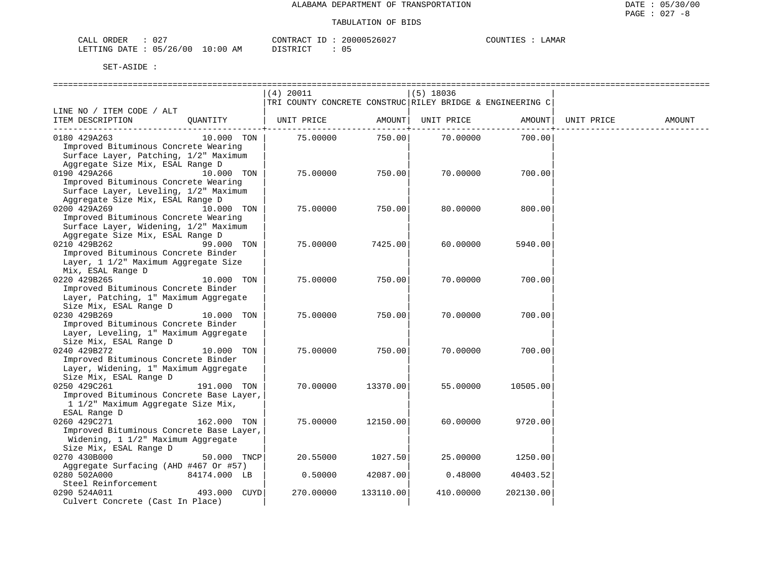| CALI<br>ORDER | 027      |             | CONTRACT<br>- 11 | 200005<br>5260z | ™™™<br><b>1.16</b> | <b>AMAR</b> |
|---------------|----------|-------------|------------------|-----------------|--------------------|-------------|
| LETTING DATE  | 05/26/00 | 10:00<br>ΑM | DISTRICT         |                 |                    |             |

|                                          |              | (4) 20011                                                 |           | $(5)$ 18036 |           |            |        |
|------------------------------------------|--------------|-----------------------------------------------------------|-----------|-------------|-----------|------------|--------|
|                                          |              | TRI COUNTY CONCRETE CONSTRUC RILEY BRIDGE & ENGINEERING C |           |             |           |            |        |
| LINE NO / ITEM CODE / ALT                |              |                                                           |           |             |           |            |        |
| ITEM DESCRIPTION                         | OUANTITY     | UNIT PRICE                                                | AMOUNT    | UNIT PRICE  | AMOUNT    | UNIT PRICE | AMOUNT |
|                                          |              |                                                           |           |             |           |            |        |
| 0180 429A263                             | 10.000 TON   | 75.00000                                                  | 750.00    | 70.00000    | 700.00    |            |        |
| Improved Bituminous Concrete Wearing     |              |                                                           |           |             |           |            |        |
| Surface Layer, Patching, 1/2" Maximum    |              |                                                           |           |             |           |            |        |
| Aggregate Size Mix, ESAL Range D         |              |                                                           |           |             |           |            |        |
| 0190 429A266                             | 10.000 TON   | 75.00000                                                  | 750.00    | 70.00000    | 700.00    |            |        |
| Improved Bituminous Concrete Wearing     |              |                                                           |           |             |           |            |        |
| Surface Layer, Leveling, 1/2" Maximum    |              |                                                           |           |             |           |            |        |
| Aggregate Size Mix, ESAL Range D         |              |                                                           |           |             |           |            |        |
| 0200 429A269                             | 10.000 TON   | 75.00000                                                  | 750.00    | 80.00000    | 800.00    |            |        |
| Improved Bituminous Concrete Wearing     |              |                                                           |           |             |           |            |        |
| Surface Layer, Widening, 1/2" Maximum    |              |                                                           |           |             |           |            |        |
| Aggregate Size Mix, ESAL Range D         |              |                                                           |           |             |           |            |        |
| 0210 429B262                             | 99.000 TON   | 75.00000                                                  | 7425.00   | 60.00000    | 5940.00   |            |        |
| Improved Bituminous Concrete Binder      |              |                                                           |           |             |           |            |        |
| Layer, 1 1/2" Maximum Aggregate Size     |              |                                                           |           |             |           |            |        |
| Mix, ESAL Range D                        |              |                                                           |           |             |           |            |        |
| 0220 429B265                             | 10.000 TON   | 75.00000                                                  | 750.00    | 70.00000    | 700.00    |            |        |
| Improved Bituminous Concrete Binder      |              |                                                           |           |             |           |            |        |
| Layer, Patching, 1" Maximum Aggregate    |              |                                                           |           |             |           |            |        |
| Size Mix, ESAL Range D                   |              |                                                           |           |             |           |            |        |
| 0230 429B269                             | 10.000 TON   | 75.00000                                                  | 750.00    | 70,00000    | 700.00    |            |        |
| Improved Bituminous Concrete Binder      |              |                                                           |           |             |           |            |        |
| Layer, Leveling, 1" Maximum Aggregate    |              |                                                           |           |             |           |            |        |
| Size Mix, ESAL Range D                   |              |                                                           |           |             |           |            |        |
| 0240 429B272                             | 10.000 TON   | 75.00000                                                  | 750.00    | 70.00000    | 700.00    |            |        |
| Improved Bituminous Concrete Binder      |              |                                                           |           |             |           |            |        |
| Layer, Widening, 1" Maximum Aggregate    |              |                                                           |           |             |           |            |        |
| Size Mix, ESAL Range D                   |              |                                                           |           |             |           |            |        |
| 0250 429C261                             | 191.000 TON  | 70.00000                                                  | 13370.00  | 55.00000    | 10505.00  |            |        |
| Improved Bituminous Concrete Base Layer, |              |                                                           |           |             |           |            |        |
| 1 1/2" Maximum Aggregate Size Mix,       |              |                                                           |           |             |           |            |        |
| ESAL Range D                             |              |                                                           |           |             |           |            |        |
| 0260 429C271                             | 162.000 TON  | 75.00000                                                  | 12150.00  | 60.00000    | 9720.00   |            |        |
| Improved Bituminous Concrete Base Layer, |              |                                                           |           |             |           |            |        |
| Widening, 1 1/2" Maximum Aggregate       |              |                                                           |           |             |           |            |        |
| Size Mix, ESAL Range D                   |              |                                                           |           |             |           |            |        |
| 0270 430B000                             | 50.000 TNCP  | 20.55000                                                  | 1027.50   | 25.00000    | 1250.00   |            |        |
| Aggregate Surfacing (AHD #467 Or #57)    |              |                                                           |           |             |           |            |        |
| 0280 502A000                             | 84174.000 LB | 0.50000                                                   | 42087.00  | 0.48000     | 40403.52  |            |        |
| Steel Reinforcement                      |              |                                                           |           |             |           |            |        |
| 0290 524A011                             | 493.000 CUYD | 270.00000                                                 | 133110.00 | 410.00000   | 202130.00 |            |        |
| Culvert Concrete (Cast In Place)         |              |                                                           |           |             |           |            |        |
|                                          |              |                                                           |           |             |           |            |        |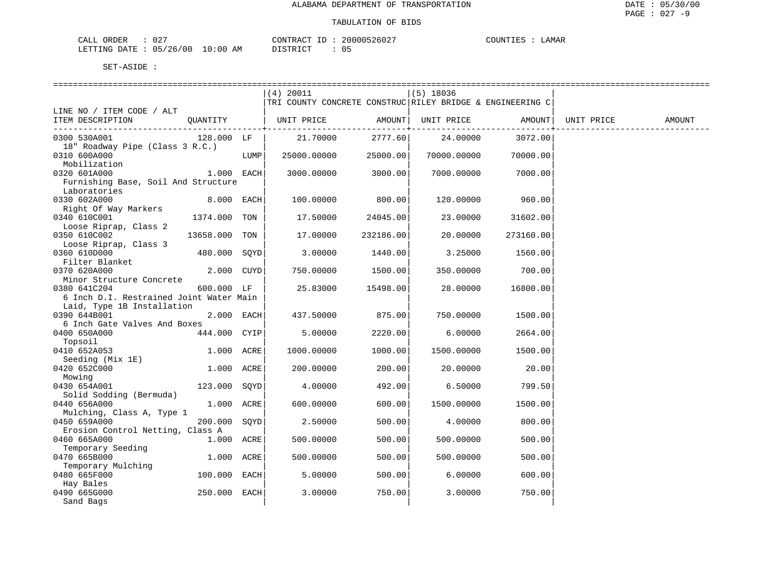| $\cap$ $\cap$ $\cap$<br>ORDER<br>CALL<br>U Z. |    | CONTRACT | 20000526027 | TOUNTIES<br>LAMAR |
|-----------------------------------------------|----|----------|-------------|-------------------|
| 05/26/00 10:00.<br>LETTING DATE :             | AM | DISTRICT | $\cap$      |                   |

|                                         |              |      | $(4)$ 20011                                               |             | $(5)$ 18036 |              |            |        |
|-----------------------------------------|--------------|------|-----------------------------------------------------------|-------------|-------------|--------------|------------|--------|
|                                         |              |      | TRI COUNTY CONCRETE CONSTRUC RILEY BRIDGE & ENGINEERING C |             |             |              |            |        |
| LINE NO / ITEM CODE / ALT               |              |      |                                                           |             |             |              |            |        |
| ITEM DESCRIPTION                        | OUANTITY     |      | UNIT PRICE                                                | AMOUNT      | UNIT PRICE  | AMOUNT       | UNIT PRICE | AMOUNT |
|                                         |              |      |                                                           | ----------+ |             | ------------ |            |        |
| 0300 530A001                            | 128.000 LF   |      | 21.70000                                                  | 2777.60     | 24.00000    | 3072.00      |            |        |
| 18" Roadway Pipe (Class 3 R.C.)         |              |      |                                                           |             |             |              |            |        |
| 0310 600A000                            |              | LUMP | 25000.00000                                               | 25000.00    | 70000.00000 | 70000.00     |            |        |
| Mobilization                            |              |      |                                                           |             |             |              |            |        |
| 0320 601A000                            | 1.000 EACH   |      | 3000.00000                                                | 3000.00     | 7000.00000  | 7000.00      |            |        |
| Furnishing Base, Soil And Structure     |              |      |                                                           |             |             |              |            |        |
| Laboratories                            |              |      |                                                           |             |             |              |            |        |
| 0330 602A000                            | 8.000 EACH   |      | 100.00000                                                 | 800.00      | 120.00000   | 960.00       |            |        |
| Right Of Way Markers                    |              |      |                                                           |             |             |              |            |        |
| 0340 610C001                            | 1374.000 TON |      | 17.50000                                                  | 24045.00    | 23.00000    | 31602.00     |            |        |
| Loose Riprap, Class 2                   |              |      |                                                           |             |             |              |            |        |
| 0350 610C002                            | 13658.000    | TON  | 17.00000                                                  | 232186.00   | 20.00000    | 273160.00    |            |        |
| Loose Riprap, Class 3                   |              |      |                                                           |             |             |              |            |        |
| 0360 610D000                            | 480.000      | SOYD | 3,00000                                                   | 1440.00     | 3.25000     | 1560.00      |            |        |
| Filter Blanket                          |              |      |                                                           |             |             |              |            |        |
| 0370 620A000                            | 2.000 CUYD   |      | 750.00000                                                 | 1500.00     | 350.00000   | 700.00       |            |        |
| Minor Structure Concrete                |              |      |                                                           |             |             |              |            |        |
| 0380 641C204                            | 600.000 LF   |      | 25.83000                                                  | 15498.00    | 28.00000    | 16800.00     |            |        |
| 6 Inch D.I. Restrained Joint Water Main |              |      |                                                           |             |             |              |            |        |
| Laid, Type 1B Installation              |              |      |                                                           |             |             |              |            |        |
| 0390 644B001                            | 2.000 EACH   |      | 437.50000                                                 | 875.00      | 750.00000   | 1500.00      |            |        |
| 6 Inch Gate Valves And Boxes            |              |      |                                                           |             |             |              |            |        |
| 0400 650A000                            | 444.000 CYIP |      | 5.00000                                                   | 2220.00     | 6.00000     | 2664.00      |            |        |
| Topsoil                                 |              |      |                                                           |             |             |              |            |        |
| 0410 652A053                            | 1.000 ACRE   |      | 1000.00000                                                | 1000.00     | 1500.00000  | 1500.00      |            |        |
| Seeding (Mix 1E)                        |              |      |                                                           |             |             |              |            |        |
| 0420 652C000                            | 1.000 ACRE   |      | 200.00000                                                 | 200.00      | 20.00000    | 20.00        |            |        |
| Mowing                                  |              |      |                                                           |             |             |              |            |        |
| 0430 654A001                            | 123.000 SOYD |      | 4.00000                                                   | 492.00      | 6.50000     | 799.50       |            |        |
| Solid Sodding (Bermuda)                 |              |      |                                                           |             |             |              |            |        |
| 0440 656A000                            | 1.000 ACRE   |      | 600.00000                                                 | 600.00      | 1500.00000  | 1500.00      |            |        |
| Mulching, Class A, Type 1               |              |      |                                                           |             |             |              |            |        |
| 0450 659A000                            | 200.000      | SQYD | 2.50000                                                   | 500.00      | 4.00000     | 800.00       |            |        |
| Erosion Control Netting, Class A        |              |      |                                                           |             |             |              |            |        |
| 0460 665A000                            | 1.000 ACRE   |      | 500.00000                                                 | 500.00      | 500.00000   | 500.00       |            |        |
| Temporary Seeding                       |              |      |                                                           |             |             |              |            |        |
| 0470 665B000                            | 1.000 ACRE   |      | 500.00000                                                 | 500.00      | 500.00000   | 500.00       |            |        |
| Temporary Mulching                      |              |      |                                                           |             |             |              |            |        |
| 0480 665F000                            | 100.000 EACH |      | 5.00000                                                   | 500.00      | 6.00000     | 600.00       |            |        |
| Hay Bales                               |              |      |                                                           |             |             |              |            |        |
| 0490 665G000                            | 250.000 EACH |      | 3.00000                                                   | 750.00      | 3.00000     | 750.00       |            |        |
| Sand Bags                               |              |      |                                                           |             |             |              |            |        |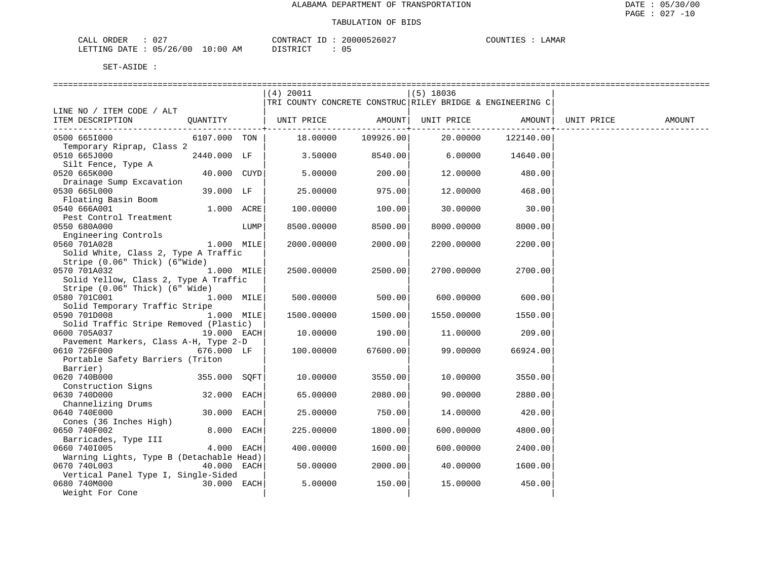| $\cap$<br>ORDER<br>لىلطات<br>U 4                                                  |           | $\bigcap_{\Gamma} \bigcap_{\Gamma} \bigcap_{\Gamma} \bigcap_{\Gamma}$<br>$\overline{a}$ | ? በ በ<br>5,002. | יותד | ⊿AMAF |
|-----------------------------------------------------------------------------------|-----------|-----------------------------------------------------------------------------------------|-----------------|------|-------|
| $\sim$ $-$<br>.ETTTIMG<br>⊤∆ת<br>26<br>O C<br>$\overline{\phantom{a}}$<br>.<br>__ | AΜ<br>-96 | TAT<br>יחו                                                                              |                 |      |       |

|                                                                                                |               |      | $(4)$ 20011<br>TRI COUNTY CONCRETE CONSTRUC RILEY BRIDGE & ENGINEERING C |                      | $(5)$ 18036        |           |            |        |
|------------------------------------------------------------------------------------------------|---------------|------|--------------------------------------------------------------------------|----------------------|--------------------|-----------|------------|--------|
| LINE NO / ITEM CODE / ALT<br>ITEM DESCRIPTION QUANTITY   UNIT PRICE AMOUNT   UNIT PRICE AMOUNT |               |      |                                                                          | --------------+----- |                    |           | UNIT PRICE | AMOUNT |
| 0500 6651000                                                                                   |               |      | $6107.000$ TON $\vert$ 18.00000 109926.00 20.00000                       |                      |                    | 122140.00 |            |        |
| Temporary Riprap, Class 2<br>0510 665J000                                                      |               |      | 2440.000 LF   3.50000 8540.00                                            |                      | $6.00000$ 14640.00 |           |            |        |
| Silt Fence, Type A<br>0520 665K000                                                             | 40.000 CUYD   |      | 5.00000                                                                  | 200.00               | 12.00000           | 480.00    |            |        |
| Drainage Sump Excavation<br>0530 665L000                                                       | 39.000 LF     |      | 25.00000                                                                 | 975.00               | 12.00000           | 468.00    |            |        |
| Floating Basin Boom<br>0540 666A001                                                            | 1.000 ACRE    |      | 100.00000                                                                | 100.00               | 30.00000           | 30.00     |            |        |
| Pest Control Treatment<br>0550 680A000                                                         |               | LUMP | 8500.00000                                                               | 8500.00              | 8000.00000         | 8000.00   |            |        |
| Engineering Controls<br>0560 701A028                                                           | $1.000$ MILE  |      | 2000.00000                                                               | 2000.00              | 2200.00000         | 2200.00   |            |        |
| Solid White, Class 2, Type A Traffic<br>Stripe (0.06" Thick) (6"Wide)                          |               |      |                                                                          |                      |                    |           |            |        |
| 1.000 MILE<br>0570 701A032                                                                     |               |      | 2500.00000                                                               | 2500.00              | 2700.00000         | 2700.00   |            |        |
| Solid Yellow, Class 2, Type A Traffic<br>Stripe (0.06" Thick) (6" Wide)                        |               |      |                                                                          |                      |                    |           |            |        |
| 0580 701C001<br>Solid Temporary Traffic Stripe                                                 | $1.000$ MILE  |      | 500.00000                                                                | 500.00               | 600.00000          | 600.00    |            |        |
| 0590 701D008 1.000 MILE<br>Solid Traffic Stripe Removed (Plastic)                              |               |      | 1500.00000                                                               | 1500.00              | 1550.00000         | 1550.00   |            |        |
| 0600 705A037<br>Pavement Markers, Class A-H, Type 2-D                                          | 19.000 EACH   |      | 10.00000                                                                 | 190.00               | 11,00000           | 209.00    |            |        |
| 0610 726F000<br>Portable Safety Barriers (Triton                                               | 676.000 LF    |      | 100.00000                                                                | 67600.00             | 99.00000           | 66924.00  |            |        |
| Barrier)<br>0620 740B000                                                                       |               |      |                                                                          |                      |                    |           |            |        |
| Construction Signs                                                                             | 355.000 SOFT  |      | 10.00000                                                                 | 3550.00              | 10.00000           | 3550.00   |            |        |
| 0630 740D000<br>Channelizing Drums                                                             | 32.000 EACH   |      | 65.00000                                                                 | 2080.00              | 90.00000           | 2880.00   |            |        |
| 0640 740E000<br>Cones (36 Inches High)                                                         | 30.000 EACH   |      | 25.00000                                                                 | 750.00               | 14.00000           | 420.00    |            |        |
| 0650 740F002<br>Barricades, Type III                                                           | 8.000 EACH    |      | 225,00000                                                                | 1800.00              | 600.00000          | 4800.00   |            |        |
| 0660 7401005<br>Warning Lights, Type B (Detachable Head)                                       | 4.000 EACH    |      | 400.00000                                                                | 1600.00              | 600.00000          | 2400.00   |            |        |
| 0670 740L003<br>Vertical Panel Type I, Single-Sided                                            | 40.000 EACH   |      | 50.00000                                                                 | 2000.00              | 40.00000           | 1600.00   |            |        |
| 0680 740M000<br>Weight For Cone                                                                | $30.000$ EACH |      | 5.00000                                                                  | 150.00               | 15,00000           | 450.00    |            |        |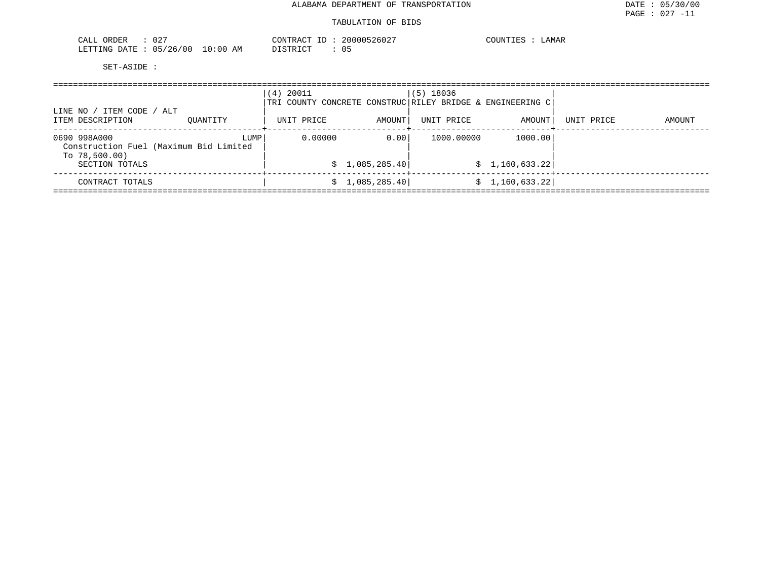## TABULATION OF BIDS

| $\sqrt{2}$<br>$- - -$<br>◝<br>لمستدعات<br>◡▵<br>ິ້                | 20000526027<br>$\overline{1}$ | דת דו<br>LAMAR |
|-------------------------------------------------------------------|-------------------------------|----------------|
| LETTING<br>0٢)<br>176<br>DATE.<br>:00<br>ΔM<br>ハヒ<br>- 97<br>- 11 | T OMD T OF<br>-05             |                |

| LINE NO / ITEM CODE / ALT                                                  |          | (4) 20011<br>TRI COUNTY CONCRETE CONSTRUC RILEY BRIDGE & ENGINEERING C |                 | $(5)$ 18036 |                 |            |        |
|----------------------------------------------------------------------------|----------|------------------------------------------------------------------------|-----------------|-------------|-----------------|------------|--------|
| ITEM DESCRIPTION                                                           | OUANTITY | UNIT PRICE                                                             | AMOUNT          | UNIT PRICE  | AMOUNT          | UNIT PRICE | AMOUNT |
| 0690 998A000<br>Construction Fuel (Maximum Bid Limited<br>To $78,500.00$ ) | LUMP     | 0.00000                                                                | 0.001           | 1000.00000  | 1000.00         |            |        |
| SECTION TOTALS                                                             |          |                                                                        | \$1,085,285.40  |             | \$1,160,633.22] |            |        |
| CONTRACT TOTALS                                                            |          |                                                                        | \$1,085,285.40] |             | \$1,160,633.22] |            |        |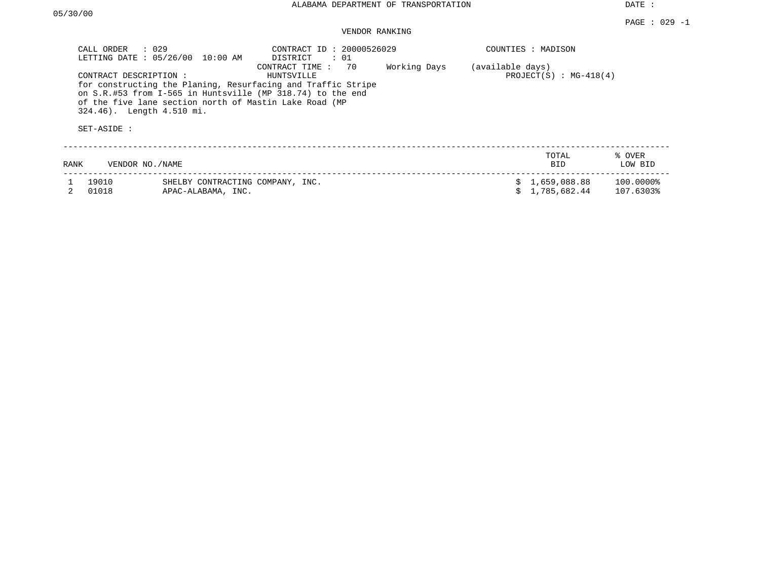## VENDOR RANKING

| CALL ORDER     | $\therefore$ 029<br>LETTING DATE : 05/26/00<br>10:00 AM                                                      | CONTRACT ID: 20000526029<br>DISTRICT<br>$\therefore$ 01                                                                                                          |              |                  | COUNTIES : MADISON             |                        |  |
|----------------|--------------------------------------------------------------------------------------------------------------|------------------------------------------------------------------------------------------------------------------------------------------------------------------|--------------|------------------|--------------------------------|------------------------|--|
| SET-ASIDE :    | CONTRACT DESCRIPTION:<br>of the five lane section north of Mastin Lake Road (MP<br>324.46). Length 4.510 mi. | 70<br>CONTRACT TIME:<br>HUNTSVILLE<br>for constructing the Planing, Resurfacing and Traffic Stripe<br>on S.R.#53 from I-565 in Huntsville (MP 318.74) to the end | Working Days | (available days) | PROJECT $(S)$ : MG-418 $(4)$   |                        |  |
| RANK           | VENDOR NO./NAME                                                                                              |                                                                                                                                                                  |              |                  | TOTAL<br><b>BID</b>            | % OVER<br>LOW BID      |  |
| 19010<br>01018 | SHELBY CONTRACTING COMPANY, INC.<br>APAC-ALABAMA, INC.                                                       |                                                                                                                                                                  |              |                  | \$1,659,088.88<br>1,785,682.44 | 100.0000%<br>107.6303% |  |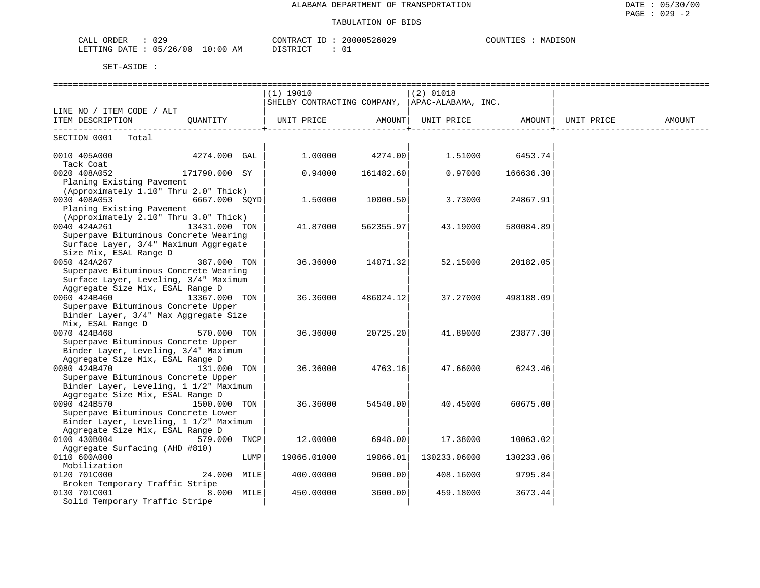| 0.20<br>CALL<br>ORDER<br>U4. |             | CONTRACT                     | 20000526029 | MADISON<br>COUNTIL |
|------------------------------|-------------|------------------------------|-------------|--------------------|
| 05/26/00<br>LETTING DATE     | 10:00<br>AΜ | חי היה דגודו בת<br>ມ⊥⊔⊥⊥∖⊥∪⊥ |             |                    |

|                                                     |               |      | (1) 19010                                      |           | $(2)$ 01018       |           |            |        |
|-----------------------------------------------------|---------------|------|------------------------------------------------|-----------|-------------------|-----------|------------|--------|
|                                                     |               |      | SHELBY CONTRACTING COMPANY, APAC-ALABAMA, INC. |           |                   |           |            |        |
| LINE NO / ITEM CODE / ALT                           |               |      |                                                |           |                   |           |            |        |
| ITEM DESCRIPTION                                    | QUANTITY      |      | UNIT PRICE                                     | AMOUNT    | UNIT PRICE AMOUNT |           | UNIT PRICE | AMOUNT |
| SECTION 0001 Total                                  |               |      |                                                |           |                   |           |            |        |
| 0010 405A000                                        | 4274.000 GAL  |      | 1.00000                                        | 4274.00   | 1.51000           | 6453.74   |            |        |
| Tack Coat<br>0020 408A052                           | 171790.000 SY |      | 0.94000                                        | 161482.60 | 0.97000           | 166636.30 |            |        |
| Planing Existing Pavement                           |               |      |                                                |           |                   |           |            |        |
| (Approximately 1.10" Thru 2.0" Thick)               |               |      |                                                |           |                   |           |            |        |
| 0030 408A053                                        | 6667.000 SOYD |      | 1,50000                                        | 10000.50  | 3.73000           | 24867.91  |            |        |
| Planing Existing Pavement                           |               |      |                                                |           |                   |           |            |        |
| (Approximately 2.10" Thru 3.0" Thick)               |               |      |                                                |           |                   |           |            |        |
| 0040 424A261                                        | 13431.000 TON |      | 41.87000                                       | 562355.97 | 43.19000          | 580084.89 |            |        |
| Superpave Bituminous Concrete Wearing               |               |      |                                                |           |                   |           |            |        |
| Surface Layer, 3/4" Maximum Aggregate               |               |      |                                                |           |                   |           |            |        |
| Size Mix, ESAL Range D                              |               |      |                                                |           |                   |           |            |        |
| 0050 424A267                                        | 387.000 TON   |      | 36.36000                                       | 14071.32  | 52.15000          | 20182.05  |            |        |
| Superpave Bituminous Concrete Wearing               |               |      |                                                |           |                   |           |            |        |
| Surface Layer, Leveling, 3/4" Maximum               |               |      |                                                |           |                   |           |            |        |
| Aggregate Size Mix, ESAL Range D                    |               |      |                                                |           |                   |           |            |        |
| 0060 424B460                                        | 13367.000 TON |      | 36.36000                                       | 486024.12 | 37.27000          | 498188.09 |            |        |
| Superpave Bituminous Concrete Upper                 |               |      |                                                |           |                   |           |            |        |
| Binder Layer, 3/4" Max Aggregate Size               |               |      |                                                |           |                   |           |            |        |
| Mix, ESAL Range D                                   |               |      |                                                |           |                   |           |            |        |
| 0070 424B468<br>Superpave Bituminous Concrete Upper | 570.000 TON   |      | 36.36000                                       | 20725.20  | 41.89000          | 23877.30  |            |        |
| Binder Layer, Leveling, 3/4" Maximum                |               |      |                                                |           |                   |           |            |        |
| Aggregate Size Mix, ESAL Range D                    |               |      |                                                |           |                   |           |            |        |
| 0080 424B470                                        | 131.000 TON   |      | 36.36000                                       | 4763.16   | 47.66000          | 6243.46   |            |        |
| Superpave Bituminous Concrete Upper                 |               |      |                                                |           |                   |           |            |        |
| Binder Layer, Leveling, 1 1/2" Maximum              |               |      |                                                |           |                   |           |            |        |
| Aggregate Size Mix, ESAL Range D                    |               |      |                                                |           |                   |           |            |        |
| 0090 424B570                                        | 1500.000 TON  |      | 36.36000                                       | 54540.00  | 40.45000          | 60675.00  |            |        |
| Superpave Bituminous Concrete Lower                 |               |      |                                                |           |                   |           |            |        |
| Binder Layer, Leveling, 1 1/2" Maximum              |               |      |                                                |           |                   |           |            |        |
| Aggregate Size Mix, ESAL Range D                    |               |      |                                                |           |                   |           |            |        |
| 0100 430B004                                        | 579.000 TNCP  |      | 12.00000                                       | 6948.00   | 17.38000          | 10063.02  |            |        |
| Aggregate Surfacing (AHD #810)                      |               |      |                                                |           |                   |           |            |        |
| 0110 600A000                                        |               | LUMP | 19066.01000                                    | 19066.01  | 130233.06000      | 130233.06 |            |        |
| Mobilization                                        |               |      |                                                |           |                   |           |            |        |
| 0120 701C000                                        | 24.000 MILE   |      | 400.00000                                      | 9600.00   | 408.16000         | 9795.84   |            |        |
| Broken Temporary Traffic Stripe                     | 8.000 MILE    |      |                                                |           |                   |           |            |        |
| 0130 701C001                                        |               |      | 450.00000                                      | 3600.00   | 459.18000         | 3673.44   |            |        |
| Solid Temporary Traffic Stripe                      |               |      |                                                |           |                   |           |            |        |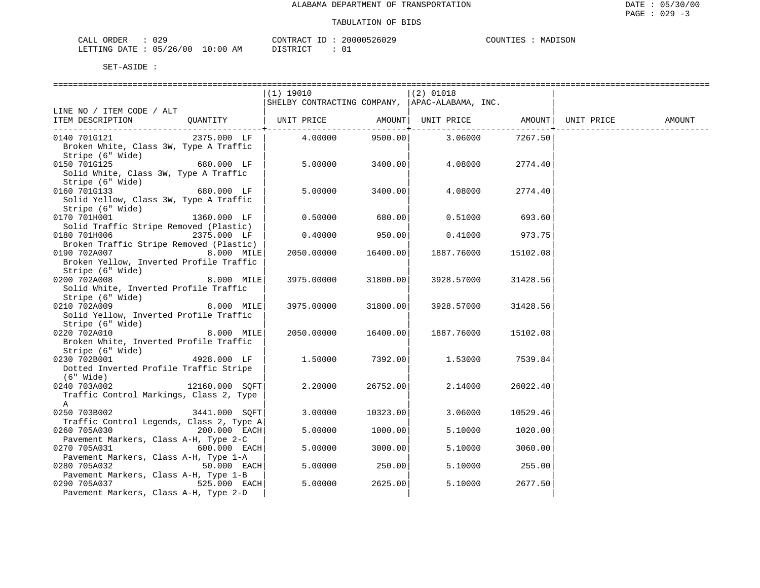| CALL ORDER                      | 029 | CONTRACT              | ' ID | 20000526029 | COUNTIES | MADISON |
|---------------------------------|-----|-----------------------|------|-------------|----------|---------|
| LETTING DATE: 05/26/00 10:00 AM |     | DISTRICT<br>--------- |      |             |          |         |

|                                                            |                       | (1) 19010<br>SHELBY CONTRACTING COMPANY, APAC-ALABAMA, INC. |          | (2) 01018                                                       |               |            |        |
|------------------------------------------------------------|-----------------------|-------------------------------------------------------------|----------|-----------------------------------------------------------------|---------------|------------|--------|
| LINE NO / ITEM CODE / ALT                                  |                       |                                                             |          |                                                                 |               |            |        |
| ITEM DESCRIPTION                                           | QUANTITY   UNIT PRICE |                                                             |          | AMOUNT   UNIT PRICE AMOUNT<br>. _ _ _ _ _ _ _ _ + _ _ _ _ _ _ _ | ------------+ | UNIT PRICE | AMOUNT |
| 0140 701G121                                               | 2375.000 LF           | 4.00000                                                     | 9500.00  | 3.06000                                                         | 7267.50       |            |        |
| Broken White, Class 3W, Type A Traffic                     |                       |                                                             |          |                                                                 |               |            |        |
| Stripe (6" Wide)                                           |                       |                                                             |          |                                                                 |               |            |        |
| 0150 701G125                                               | 680.000 LF            | 5.00000                                                     | 3400.00  | 4.08000                                                         | 2774.40       |            |        |
| Solid White, Class 3W, Type A Traffic                      |                       |                                                             |          |                                                                 |               |            |        |
| Stripe (6" Wide)                                           | 680.000 LF            |                                                             |          |                                                                 |               |            |        |
| 0160 701G133                                               |                       | 5.00000                                                     | 3400.00  | 4.08000                                                         | 2774.40       |            |        |
| Solid Yellow, Class 3W, Type A Traffic<br>Stripe (6" Wide) |                       |                                                             |          |                                                                 |               |            |        |
| 0170 701H001                                               | 1360.000 LF           | 0.50000                                                     | 680.00   | 0.51000                                                         | 693.60        |            |        |
| Solid Traffic Stripe Removed (Plastic)                     |                       |                                                             |          |                                                                 |               |            |        |
| 0180 701H006                                               | 2375.000 LF           | 0.40000                                                     | 950.00   | 0.41000                                                         | 973.75        |            |        |
| Broken Traffic Stripe Removed (Plastic)                    |                       |                                                             |          |                                                                 |               |            |        |
| 0190 702A007                                               | 8.000 MILE            | 2050.00000 16400.00                                         |          | 1887.76000                                                      | 15102.08      |            |        |
| Broken Yellow, Inverted Profile Traffic                    |                       |                                                             |          |                                                                 |               |            |        |
| Stripe (6" Wide)                                           |                       |                                                             |          |                                                                 |               |            |        |
| 0200 702A008                                               | 8.000 MILE            | 3975.00000                                                  | 31800.00 | 3928.57000                                                      | 31428.56      |            |        |
| Solid White, Inverted Profile Traffic                      |                       |                                                             |          |                                                                 |               |            |        |
| Stripe (6" Wide)                                           |                       |                                                             |          |                                                                 |               |            |        |
| 0210 702A009                                               | 8.000 MILE            | 3975.00000                                                  | 31800.00 | 3928.57000                                                      | 31428.56      |            |        |
| Solid Yellow, Inverted Profile Traffic                     |                       |                                                             |          |                                                                 |               |            |        |
| Stripe (6" Wide)                                           |                       |                                                             |          |                                                                 |               |            |        |
| 0220 702A010                                               | 8.000 MILE            | 2050.00000 16400.00                                         |          | 1887.76000                                                      | 15102.08      |            |        |
| Broken White, Inverted Profile Traffic                     |                       |                                                             |          |                                                                 |               |            |        |
| Stripe (6" Wide)                                           |                       |                                                             |          |                                                                 |               |            |        |
| 0230 702B001                                               | 4928.000 LF           | 1.50000                                                     | 7392.00  | 1.53000                                                         | 7539.84       |            |        |
| Dotted Inverted Profile Traffic Stripe                     |                       |                                                             |          |                                                                 |               |            |        |
| (6" Wide)                                                  |                       |                                                             |          |                                                                 |               |            |        |
| 0240 703A002                                               | 12160.000 SQFT        | 2.20000                                                     | 26752.00 | 2.14000                                                         | 26022.40      |            |        |
| Traffic Control Markings, Class 2, Type                    |                       |                                                             |          |                                                                 |               |            |        |
| A                                                          |                       |                                                             |          |                                                                 |               |            |        |
| 0250 703B002                                               | 3441.000 SOFT         | 3.00000                                                     | 10323.00 | 3.06000                                                         | 10529.46      |            |        |
| Traffic Control Legends, Class 2, Type A                   |                       |                                                             |          |                                                                 |               |            |        |
| 0260 705A030                                               | 200.000 EACH          | 5.00000                                                     | 1000.00  | 5.10000                                                         | 1020.00       |            |        |
| Pavement Markers, Class A-H, Type 2-C                      |                       |                                                             |          |                                                                 |               |            |        |
| 0270 705A031                                               | 600.000 EACH          | 5.00000                                                     | 3000.00  | 5.10000                                                         | 3060.00       |            |        |
| Pavement Markers, Class A-H, Type 1-A                      |                       |                                                             |          |                                                                 |               |            |        |
| 0280 705A032                                               | $50.000$ EACH         | 5.00000                                                     | 250.00   | 5.10000                                                         | 255.00        |            |        |
| Pavement Markers, Class A-H, Type 1-B                      |                       |                                                             |          |                                                                 |               |            |        |
| 0290 705A037                                               | $525.000$ EACH        | 5.00000                                                     | 2625.00  | 5.10000                                                         | 2677.50       |            |        |
| Pavement Markers, Class A-H, Type 2-D                      |                       |                                                             |          |                                                                 |               |            |        |
|                                                            |                       |                                                             |          |                                                                 |               |            |        |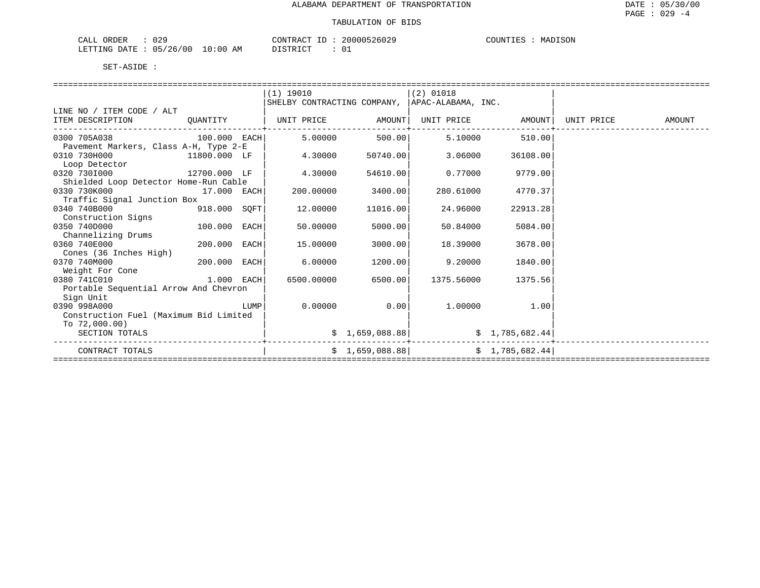| いつく<br>ORDER<br>' A I<br>U 41<br>للسلطات                         |                                   | חיזור<br>$\Delta$ | , NU UU<br>ント | SON<br>™™™<br>MA. |
|------------------------------------------------------------------|-----------------------------------|-------------------|---------------|-------------------|
| ነ∆ ጥፔ<br>$\sim$<br>∶∩∩<br>mmm<br>NIC.<br>.<br>$\sim$<br>$\cdots$ | ΆM<br>ו ט<br>⊥∪<br>$\overline{1}$ | CDD               | — ∪           |                   |

|                                        |              |      | $(1)$ 19010                                     |                | $(2)$ 01018 |                 |            |        |
|----------------------------------------|--------------|------|-------------------------------------------------|----------------|-------------|-----------------|------------|--------|
|                                        |              |      | SHELBY CONTRACTING COMPANY,  APAC-ALABAMA, INC. |                |             |                 |            |        |
| LINE NO / ITEM CODE / ALT              |              |      |                                                 |                |             |                 |            |        |
| ITEM DESCRIPTION                       | OUANTITY     |      | UNIT PRICE                                      | AMOUNT         | UNIT PRICE  | AMOUNT          | UNIT PRICE | AMOUNT |
| 0300 705A038                           | 100.000 EACH |      | 5,00000                                         |                | 5.10000     |                 |            |        |
| Pavement Markers, Class A-H, Type 2-E  |              |      |                                                 | 500.00         |             | 510.00          |            |        |
| 0310 730H000                           | 11800.000 LF |      | 4.30000                                         | 50740.00       | 3.06000     | 36108.00        |            |        |
| Loop Detector                          |              |      |                                                 |                |             |                 |            |        |
| 0320 7301000<br>12700.000 LF           |              |      | 4.30000                                         | 54610.00       | 0.77000     | 9779.00         |            |        |
| Shielded Loop Detector Home-Run Cable  |              |      |                                                 |                |             |                 |            |        |
| 0330 730K000                           | 17.000 EACH  |      | 200,00000                                       | 3400.00        | 280.61000   | 4770.37         |            |        |
| Traffic Signal Junction Box            |              |      |                                                 |                |             |                 |            |        |
| 0340 740B000                           | 918.000 SQFT |      | 12.00000                                        | 11016.00       | 24.96000    | 22913.28        |            |        |
| Construction Signs                     |              |      |                                                 |                |             |                 |            |        |
| 0350 740D000                           | 100.000      | EACH | 50.00000                                        | 5000.00        | 50.84000    | 5084.00         |            |        |
| Channelizing Drums                     |              |      |                                                 |                |             |                 |            |        |
| 0360 740E000                           | 200.000 EACH |      | 15.00000                                        | 3000.00        | 18.39000    | 3678.00         |            |        |
| Cones (36 Inches High)                 |              |      |                                                 |                |             |                 |            |        |
| 0370 740M000                           | 200.000      | EACH | 6.00000                                         | 1200.00        | 9.20000     | 1840.00         |            |        |
| Weight For Cone                        |              |      |                                                 |                |             |                 |            |        |
| 0380 741C010                           | 1.000 EACH   |      | 6500.00000                                      | 6500.001       | 1375.56000  | 1375.56         |            |        |
| Portable Sequential Arrow And Chevron  |              |      |                                                 |                |             |                 |            |        |
| Sign Unit                              |              |      |                                                 |                |             |                 |            |        |
| 0390 998A000                           |              | LUMP | 0.00000                                         | 0.00           | 1,00000     | 1.00            |            |        |
| Construction Fuel (Maximum Bid Limited |              |      |                                                 |                |             |                 |            |        |
| To $72,000.00$ )                       |              |      |                                                 |                |             |                 |            |        |
| SECTION TOTALS                         |              |      |                                                 | \$1,659,088.88 |             | \$1,785,682.44] |            |        |
| CONTRACT TOTALS                        |              |      |                                                 | \$1,659,088.88 |             | \$1,785,682.44] |            |        |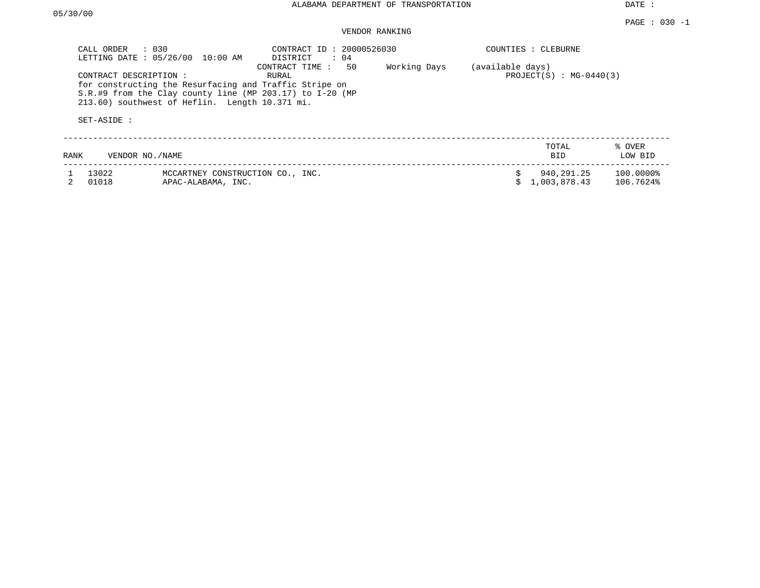DATE :

## VENDOR RANKING

| CALL ORDER     | $\therefore$ 0.30<br>LETTING DATE : 05/26/00 10:00 AM                                                                                                                                            | CONTRACT ID: 20000526030<br>DISTRICT<br>: 04 |              |                  | COUNTIES : CLEBURNE        |                        |  |  |
|----------------|--------------------------------------------------------------------------------------------------------------------------------------------------------------------------------------------------|----------------------------------------------|--------------|------------------|----------------------------|------------------------|--|--|
| SET-ASIDE :    | CONTRACT DESCRIPTION:<br>for constructing the Resurfacing and Traffic Stripe on<br>$S.R.$ #9 from the Clay county line (MP 203.17) to I-20 (MP<br>213.60) southwest of Heflin. Length 10.371 mi. | 50<br>CONTRACT TIME :<br>RURAL               | Working Days | (available days) | PROJECT $(S)$ : MG-0440(3) |                        |  |  |
| RANK           | VENDOR NO./NAME                                                                                                                                                                                  |                                              |              |                  | TOTAL<br>BID               | % OVER<br>LOW BID      |  |  |
| 13022<br>01018 | MCCARTNEY CONSTRUCTION CO., INC.<br>APAC-ALABAMA, INC.                                                                                                                                           |                                              |              |                  | 940,291.25<br>1,003,878.43 | 100.0000%<br>106.7624% |  |  |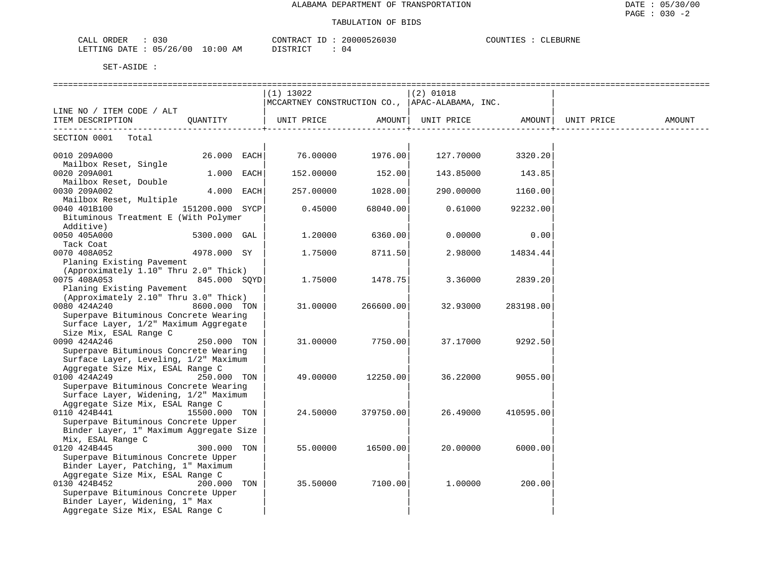| JRDER<br>030<br>لططات                   |    | CONTR<br>$R^2$ RACT | -26036 | COUNT.<br>้⊶<br>上馬之 |
|-----------------------------------------|----|---------------------|--------|---------------------|
| '26/00<br>UE,<br>LETTING<br><b>DATE</b> | AM | חי חים דרד דר       | υ4     |                     |

|                                                                           |                 | $(1)$ 13022                                                                            |           | $(2)$ 01018 |           |        |
|---------------------------------------------------------------------------|-----------------|----------------------------------------------------------------------------------------|-----------|-------------|-----------|--------|
|                                                                           |                 | $ {\tt MCCARTNEY}$ CONSTRUCTION CO., $ {\tt APAC-ALABAMA}$ , INC.                      |           |             |           |        |
| LINE NO / ITEM CODE / ALT                                                 |                 | UNIT PRICE                  AMOUNT    UNIT PRICE                  AMOUNT    UNIT PRICE |           |             |           | AMOUNT |
| ITEM DESCRIPTION QUANTITY                                                 |                 |                                                                                        |           |             |           |        |
| SECTION 0001 Total                                                        |                 |                                                                                        |           |             |           |        |
| 0010 209A000                                                              | 26.000 EACH     | 76.00000                                                                               | 1976.00   | 127.70000   | 3320.20   |        |
| Mailbox Reset, Single                                                     |                 |                                                                                        |           |             |           |        |
| 0020 209A001                                                              | $1.000$ EACH    | 152.00000                                                                              | 152.00    | 143.85000   | 143.85    |        |
| Mailbox Reset, Double                                                     |                 |                                                                                        |           |             |           |        |
| 0030 209A002                                                              | 4.000 EACH      | 257.00000                                                                              | 1028.00   | 290.00000   | 1160.00   |        |
| Mailbox Reset, Multiple                                                   |                 |                                                                                        |           |             |           |        |
| 0040 401B100                                                              | 151200.000 SYCP | 0.45000                                                                                | 68040.00  | 0.61000     | 92232.00  |        |
| Bituminous Treatment E (With Polymer                                      |                 |                                                                                        |           |             |           |        |
| Additive)                                                                 |                 |                                                                                        |           |             |           |        |
| 0050 405A000                                                              | 5300.000 GAL    | 1.20000                                                                                | 6360.00   | 0.00000     | 0.00      |        |
| Tack Coat<br>0070 408A052                                                 | 4978.000 SY     | 1,75000                                                                                | 8711.50   | 2.98000     | 14834.44  |        |
| Planing Existing Pavement                                                 |                 |                                                                                        |           |             |           |        |
| (Approximately 1.10" Thru 2.0" Thick)                                     |                 |                                                                                        |           |             |           |        |
| 0075 408A053                                                              | 845.000 SQYD    | 1.75000                                                                                | 1478.75   | 3.36000     | 2839.20   |        |
| Planing Existing Pavement                                                 |                 |                                                                                        |           |             |           |        |
| (Approximately 2.10" Thru 3.0" Thick)                                     |                 |                                                                                        |           |             |           |        |
| 0080 424A240                                                              | 8600.000 TON    | 31.00000                                                                               | 266600.00 | 32.93000    | 283198.00 |        |
| Superpave Bituminous Concrete Wearing                                     |                 |                                                                                        |           |             |           |        |
| Surface Layer, 1/2" Maximum Aggregate                                     |                 |                                                                                        |           |             |           |        |
| Size Mix, ESAL Range C                                                    |                 |                                                                                        |           |             |           |        |
| 0090 424A246                                                              | 250.000 TON     | 31.00000                                                                               | 7750.00   | 37.17000    | 9292.50   |        |
| Superpave Bituminous Concrete Wearing                                     |                 |                                                                                        |           |             |           |        |
| Surface Layer, Leveling, 1/2" Maximum                                     |                 |                                                                                        |           |             |           |        |
| Aggregate Size Mix, ESAL Range C                                          |                 |                                                                                        |           |             |           |        |
| 0100 424A249                                                              | 250.000 TON     | 49.00000                                                                               | 12250.00  | 36.22000    | 9055.00   |        |
| Superpave Bituminous Concrete Wearing                                     |                 |                                                                                        |           |             |           |        |
| Surface Layer, Widening, 1/2" Maximum<br>Aggregate Size Mix, ESAL Range C |                 |                                                                                        |           |             |           |        |
| 0110 424B441                                                              | 15500.000 TON   | 24.50000                                                                               | 379750.00 | 26.49000    | 410595.00 |        |
| Superpave Bituminous Concrete Upper                                       |                 |                                                                                        |           |             |           |        |
| Binder Layer, 1" Maximum Aggregate Size                                   |                 |                                                                                        |           |             |           |        |
| Mix, ESAL Range C                                                         |                 |                                                                                        |           |             |           |        |
| 0120 424B445                                                              | 300.000 TON     | 55.00000                                                                               | 16500.00  | 20.00000    | 6000.00   |        |
| Superpave Bituminous Concrete Upper                                       |                 |                                                                                        |           |             |           |        |
| Binder Layer, Patching, 1" Maximum                                        |                 |                                                                                        |           |             |           |        |
| Aggregate Size Mix, ESAL Range C                                          |                 |                                                                                        |           |             |           |        |
| 0130 424B452                                                              | 200.000 TON     | 35.50000                                                                               | 7100.00   | 1,00000     | 200.00    |        |
| Superpave Bituminous Concrete Upper                                       |                 |                                                                                        |           |             |           |        |
| Binder Layer, Widening, 1" Max                                            |                 |                                                                                        |           |             |           |        |
| Aggregate Size Mix, ESAL Range C                                          |                 |                                                                                        |           |             |           |        |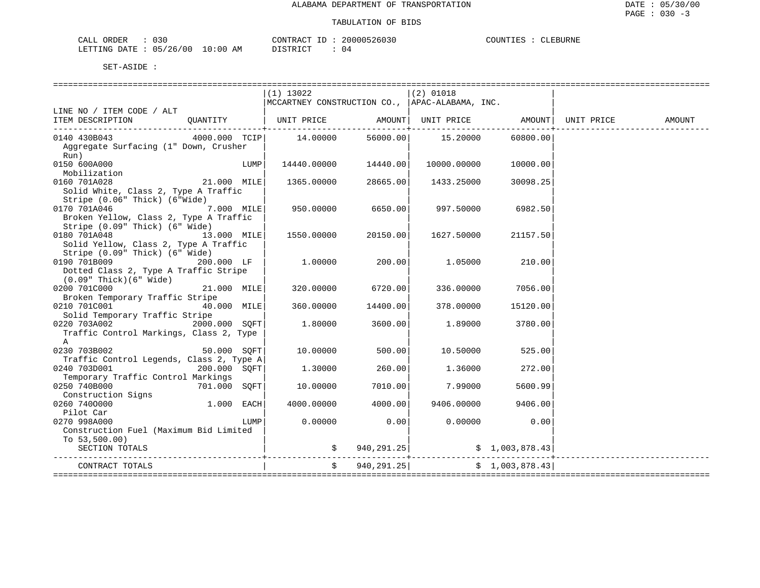| ORDER<br>CALL  | $\sim$ $\sim$ $\sim$<br>U3 U |             | CONTRACT ID | 20000526030 | COUNTIES | CLEBURNE |
|----------------|------------------------------|-------------|-------------|-------------|----------|----------|
| LETTING DATE : | : 05/26/00                   | 10:00<br>AM | DISTRICT    | (14         |          |          |

|                                                                                                         |              |      | $(1)$ 13022                                                          |                | $(2)$ 01018 |                |                        |
|---------------------------------------------------------------------------------------------------------|--------------|------|----------------------------------------------------------------------|----------------|-------------|----------------|------------------------|
|                                                                                                         |              |      | MCCARTNEY CONSTRUCTION CO., APAC-ALABAMA, INC.                       |                |             |                |                        |
| LINE NO / ITEM CODE / ALT                                                                               |              |      |                                                                      |                |             |                |                        |
| ITEM DESCRIPTION                                                                                        | OUANTITY     |      | UNIT PRICE $\qquad$ AMOUNT   UNIT PRICE $\qquad$ AMOUNT   UNIT PRICE |                |             |                | AMOUNT                 |
| 0140 430B043<br>Aggregate Surfacing (1" Down, Crusher<br>Run)                                           |              |      |                                                                      | 56000.00       | 15.20000    | 60800.00       |                        |
| 0150 600A000<br>Mobilization                                                                            |              | LUMP | 14440.00000                                                          | 14440.00       | 10000.00000 | 10000.00       |                        |
| 0160 701A028<br>Solid White, Class 2, Type A Traffic<br>Stripe (0.06" Thick) (6"Wide)                   | 21.000 MILE  |      | 1365.00000                                                           | 28665.00       | 1433.25000  | 30098.25       |                        |
| 7.000 MILE<br>0170 701A046<br>Broken Yellow, Class 2, Type A Traffic<br>Stripe (0.09" Thick) (6" Wide)  |              |      | 950.00000                                                            | 6650.00        | 997.50000   | 6982.50        |                        |
| 0180 701A048<br>Solid Yellow, Class 2, Type A Traffic<br>Stripe (0.09" Thick) (6" Wide)                 | 13.000 MILE  |      | 1550.00000                                                           | 20150.00       | 1627.50000  | 21157.50       |                        |
| $200.000$ LF<br>0190 701B009<br>Dotted Class 2, Type A Traffic Stripe<br>$(0.09"$ Thick $)(6"$ Wide $)$ |              |      | 1,00000                                                              | 200.00         | 1.05000     | 210.00         |                        |
| 0200 701C000<br>Broken Temporary Traffic Stripe                                                         | 21.000 MILE  |      | 320.00000                                                            | 6720.00        | 336.00000   | 7056.00        |                        |
| 0210 701C001<br>Solid Temporary Traffic Stripe                                                          | 40.000 MILE  |      | 360.00000                                                            | 14400.00       | 378.00000   | 15120.00       |                        |
| 0220 703A002 2000.000 SQFT<br>Traffic Control Markings, Class 2, Type<br>$\mathbb{A}$                   |              |      | 1.80000                                                              | 3600.00        | 1.89000     | 3780.00        |                        |
| 0230 703B002<br>Traffic Control Legends, Class 2, Type A                                                | 50.000 SOFT  |      | 10.00000                                                             | 500.00         | 10.50000    | 525.00         |                        |
| 0240 703D001<br>Temporary Traffic Control Markings                                                      | 200.000 SQFT |      | 1,30000                                                              | 260.00         | 1.36000     | 272.00         |                        |
| 0250 740B000<br>Construction Signs                                                                      | 701.000 SOFT |      | 10.00000                                                             | 7010.00        | 7.99000     | 5600.99        |                        |
| 0260 7400000<br>Pilot Car                                                                               | 1.000 EACH   |      | 4000.00000                                                           | 4000.00        | 9406.00000  | 9406.00        |                        |
| 0270 998A000<br>Construction Fuel (Maximum Bid Limited                                                  |              | LUMP | 0.00000                                                              | 0.00           | 0.00000     | 0.00           |                        |
| To $53,500.00$ )<br>SECTION TOTALS                                                                      |              |      |                                                                      | \$940, 291.25] |             | \$1,003,878.43 | ______________________ |
| CONTRACT TOTALS                                                                                         |              |      | $\ddot{s}$                                                           | 940,291.25     |             | \$1,003,878.43 |                        |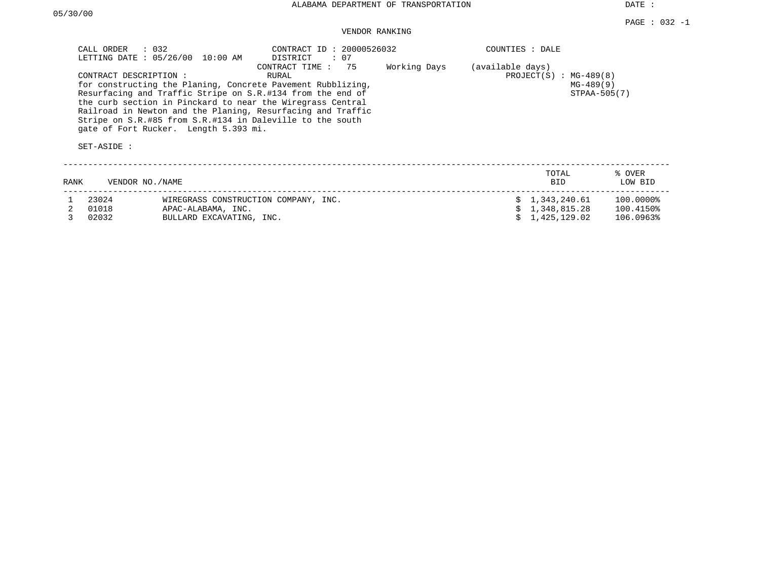DATE :

### VENDOR RANKING

| CALL ORDER<br>CONTRACT DESCRIPTION:<br>SET-ASIDE : | $\therefore$ 032<br>LETTING DATE : 05/26/00 10:00 AM<br>gate of Fort Rucker. Length 5.393 mi. | CONTRACT ID: 20000526032<br>DISTRICT<br>: 07<br>75<br>CONTRACT TIME:<br>RURAL<br>for constructing the Planing, Concrete Pavement Rubblizing,<br>Resurfacing and Traffic Stripe on S.R.#134 from the end of<br>the curb section in Pinckard to near the Wiregrass Central<br>Railroad in Newton and the Planing, Resurfacing and Traffic<br>Stripe on S.R.#85 from S.R.#134 in Daleville to the south | Working Days | COUNTIES : DALE<br>(available days)<br>PROJECT $(S)$ : MG-489 $(8)$ | $MG-489(9)$<br>STPAA-505(7) |                        |
|----------------------------------------------------|-----------------------------------------------------------------------------------------------|------------------------------------------------------------------------------------------------------------------------------------------------------------------------------------------------------------------------------------------------------------------------------------------------------------------------------------------------------------------------------------------------------|--------------|---------------------------------------------------------------------|-----------------------------|------------------------|
| RANK                                               | VENDOR NO./NAME                                                                               |                                                                                                                                                                                                                                                                                                                                                                                                      |              |                                                                     | TOTAL<br><b>BID</b>         | % OVER<br>LOW BID      |
| 23024<br>01018                                     | APAC-ALABAMA, INC.                                                                            | WIREGRASS CONSTRUCTION COMPANY, INC.                                                                                                                                                                                                                                                                                                                                                                 |              | \$1,343,240.61                                                      | 1,348,815.28                | 100.0000%<br>100.4150% |

3 02032 BULLARD EXCAVATING, INC. \$ 1,425,129.02 106.0963%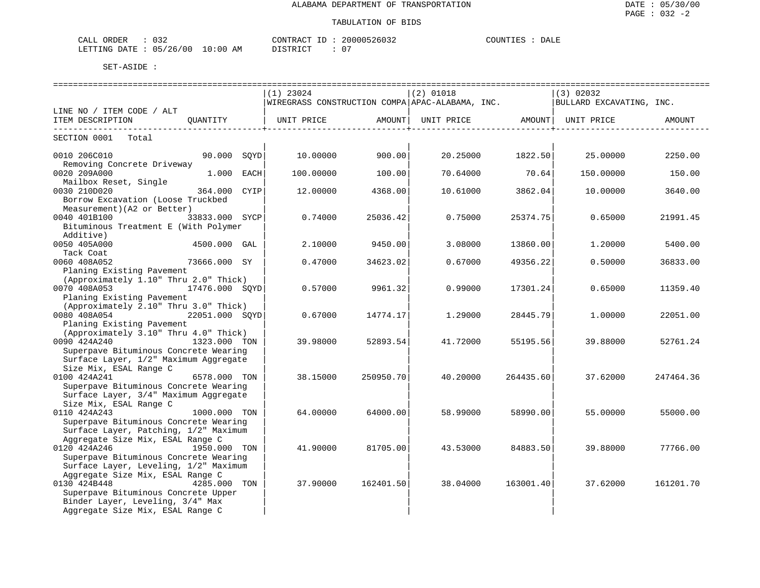| . . <i>.</i><br>ORDER<br>CALL<br>13.<br>ັບມ |             | CONTRACT      | 20000526032      | <b>COUNTIES</b><br>DALE<br>◡◡◡ェ▾++ |
|---------------------------------------------|-------------|---------------|------------------|------------------------------------|
| 05/26/00<br>LETTING<br>DATE.                | 10:00<br>AΜ | די קידי איד ה | $\sim$ $-$<br>U. |                                    |

|                                                  |                | ======================== |                    | ========================= |                    | ----------------------------                                               |           |
|--------------------------------------------------|----------------|--------------------------|--------------------|---------------------------|--------------------|----------------------------------------------------------------------------|-----------|
|                                                  |                | $(1)$ 23024              |                    | $(2)$ 01018               |                    | (3) 02032                                                                  |           |
|                                                  |                |                          |                    |                           |                    | WIREGRASS CONSTRUCTION COMPA APAC-ALABAMA, INC.   BULLARD EXCAVATING, INC. |           |
| LINE NO / ITEM CODE / ALT                        |                |                          |                    |                           |                    |                                                                            |           |
| ITEM DESCRIPTION QUANTITY                        |                | UNIT PRICE AMOUNT        | ----------------+- | UNIT PRICE AMOUNT         | ----------------+- | UNIT PRICE                                                                 | AMOUNT    |
| SECTION 0001 Total                               |                |                          |                    |                           |                    |                                                                            |           |
| 0010 206C010                                     | 90.000 SOYD    | 10.00000                 | 900.00             |                           |                    | 20.25000 1822.50 25.00000                                                  | 2250.00   |
| Removing Concrete Driveway                       |                |                          |                    |                           |                    |                                                                            |           |
| 0020 209A000                                     | 1.000 EACH     | 100.00000                | 100.00             | 70.64000                  | 70.64              | 150.00000                                                                  | 150.00    |
| Mailbox Reset, Single                            |                |                          |                    |                           |                    |                                                                            |           |
| 0030 210D020                                     | 364.000 CYIP   | 12.00000                 | 4368.00            | 10.61000                  | 3862.04            | 10.00000                                                                   | 3640.00   |
| Borrow Excavation (Loose Truckbed                |                |                          |                    |                           |                    |                                                                            |           |
| Measurement) (A2 or Better)                      |                |                          |                    |                           |                    |                                                                            |           |
| 0040 401B100                                     | 33833.000 SYCP | 0.74000                  | 25036.42           | 0.75000                   | 25374.75           | 0.65000                                                                    | 21991.45  |
| Bituminous Treatment E (With Polymer             |                |                          |                    |                           |                    |                                                                            |           |
| Additive)                                        |                |                          |                    |                           |                    |                                                                            |           |
| 4500.000 GAL<br>0050 405A000                     |                | 2.10000                  | 9450.00            | 3.08000                   | 13860.00           | 1,20000                                                                    | 5400.00   |
| Tack Coat                                        |                |                          |                    |                           |                    |                                                                            |           |
| 0060 408A052<br>Planing Existing Pavement        | 73666.000 SY   | 0.47000                  | 34623.02           | 0.67000                   | 49356.22           | 0.50000                                                                    | 36833.00  |
| (Approximately 1.10" Thru 2.0" Thick)            |                |                          |                    |                           |                    |                                                                            |           |
| 0070 408A053<br>17476.000 SOYD                   |                | 0.57000                  | 9961.32            | 0.99000                   | 17301.24           | 0.65000                                                                    | 11359.40  |
| Planing Existing Pavement                        |                |                          |                    |                           |                    |                                                                            |           |
| (Approximately 2.10" Thru 3.0" Thick)            |                |                          |                    |                           |                    |                                                                            |           |
| 0080 408A054 22051.000 SQYD                      |                | 0.67000                  | 14774.17           | 1,29000                   | 28445.79           | 1,00000                                                                    | 22051.00  |
| Planing Existing Pavement                        |                |                          |                    |                           |                    |                                                                            |           |
| (Approximately 3.10" Thru 4.0" Thick)            |                |                          |                    |                           |                    |                                                                            |           |
| 0090 424A240<br>1323.000 TON                     |                | 39.98000                 | 52893.54           | 41.72000                  | 55195.56           | 39.88000                                                                   | 52761.24  |
| Superpave Bituminous Concrete Wearing            |                |                          |                    |                           |                    |                                                                            |           |
| Surface Layer, 1/2" Maximum Aggregate            |                |                          |                    |                           |                    |                                                                            |           |
| Size Mix, ESAL Range C                           |                |                          |                    |                           |                    |                                                                            |           |
| 0100 424A241                                     | 6578.000 TON   | 38.15000                 | 250950.70          | 40.20000                  | 264435.60          | 37.62000                                                                   | 247464.36 |
| Superpave Bituminous Concrete Wearing            |                |                          |                    |                           |                    |                                                                            |           |
| Surface Layer, 3/4" Maximum Aggregate            |                |                          |                    |                           |                    |                                                                            |           |
| Size Mix, ESAL Range C                           |                |                          |                    |                           |                    |                                                                            |           |
| 0110 424A243                                     | 1000.000 TON   | 64.00000                 | 64000.00           | 58.99000                  | 58990.00           | 55.00000                                                                   | 55000.00  |
| Superpave Bituminous Concrete Wearing            |                |                          |                    |                           |                    |                                                                            |           |
| Surface Layer, Patching, 1/2" Maximum            |                |                          |                    |                           |                    |                                                                            |           |
| Aggregate Size Mix, ESAL Range C<br>0120 424A246 | 1950.000 TON   | 41,90000                 | 81705.00           | 43.53000                  | 84883.50           | 39.88000                                                                   | 77766.00  |
| Superpave Bituminous Concrete Wearing            |                |                          |                    |                           |                    |                                                                            |           |
| Surface Layer, Leveling, 1/2" Maximum            |                |                          |                    |                           |                    |                                                                            |           |
| Aggregate Size Mix, ESAL Range C                 |                |                          |                    |                           |                    |                                                                            |           |
| 0130 424B448                                     | 4285.000 TON   | 37.90000                 | 162401.50          | 38.04000                  | 163001.40          | 37.62000                                                                   | 161201.70 |
| Superpave Bituminous Concrete Upper              |                |                          |                    |                           |                    |                                                                            |           |
| Binder Layer, Leveling, 3/4" Max                 |                |                          |                    |                           |                    |                                                                            |           |
| Aggregate Size Mix, ESAL Range C                 |                |                          |                    |                           |                    |                                                                            |           |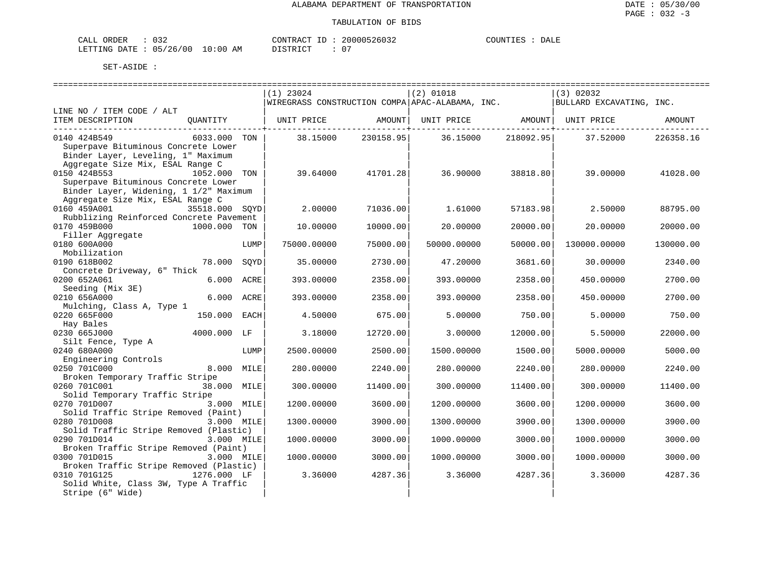| CALL ORDER                       | 032 |                      | CONTRACT ID: 20000526032 | COUNTIES | DALE |
|----------------------------------|-----|----------------------|--------------------------|----------|------|
| LETTING DATE : 05/26/00 10:00 AM |     | DISTRICT<br>PISINICI |                          |          |      |

|                                                                            |      | $(1)$ 23024       |           | $(2)$ 01018                                     |           | (3) 02032                |           |
|----------------------------------------------------------------------------|------|-------------------|-----------|-------------------------------------------------|-----------|--------------------------|-----------|
|                                                                            |      |                   |           | WIREGRASS CONSTRUCTION COMPA APAC-ALABAMA, INC. |           | BULLARD EXCAVATING, INC. |           |
| LINE NO / ITEM CODE / ALT<br>ITEM DESCRIPTION<br>QUANTITY                  |      | UNIT PRICE AMOUNT |           | UNIT PRICE AMOUNT                               |           | UNIT PRICE               | AMOUNT    |
|                                                                            |      |                   |           |                                                 |           |                          |           |
| 0140 424B549<br>6033.000 TON                                               |      | 38.15000          | 230158.95 | 36.15000                                        | 218092.95 | 37.52000                 | 226358.16 |
| Superpave Bituminous Concrete Lower                                        |      |                   |           |                                                 |           |                          |           |
| Binder Layer, Leveling, 1" Maximum                                         |      |                   |           |                                                 |           |                          |           |
| Aggregate Size Mix, ESAL Range C                                           |      |                   |           |                                                 |           |                          |           |
| 0150 424B553<br>1052.000 TON                                               |      | 39.64000          | 41701.28  | 36.90000                                        | 38818.80  | 39,00000                 | 41028.00  |
| Superpave Bituminous Concrete Lower                                        |      |                   |           |                                                 |           |                          |           |
| Binder Layer, Widening, 1 1/2" Maximum<br>Aggregate Size Mix, ESAL Range C |      |                   |           |                                                 |           |                          |           |
| 0160 459A001<br>35518.000 SOYD                                             |      | 2,00000           | 71036.00  | 1.61000                                         | 57183.98  | 2.50000                  | 88795.00  |
| Rubblizing Reinforced Concrete Pavement                                    |      |                   |           |                                                 |           |                          |           |
| 0170 459B000<br>1000.000 TON                                               |      | 10.00000          | 10000.00  | 20.00000                                        | 20000.00  | 20.00000                 | 20000.00  |
| Filler Aggregate                                                           |      |                   |           |                                                 |           |                          |           |
| 0180 600A000                                                               | LUMP | 75000.00000       | 75000.00  | 50000.00000                                     | 50000.00  | 130000.00000             | 130000.00 |
| Mobilization                                                               |      |                   |           |                                                 |           |                          |           |
| 0190 618B002<br>78.000                                                     | SOYD | 35.00000          | 2730.00   | 47.20000                                        | 3681.60   | 30.00000                 | 2340.00   |
| Concrete Driveway, 6" Thick                                                |      |                   |           |                                                 |           |                          |           |
| 0200 652A061<br>6.000 ACRE                                                 |      | 393.00000         | 2358.00   | 393.00000                                       | 2358.00   | 450.00000                | 2700.00   |
| Seeding (Mix 3E)                                                           |      |                   |           |                                                 |           |                          |           |
| 6.000 ACRE<br>0210 656A000                                                 |      | 393.00000         | 2358.00   | 393.00000                                       | 2358.00   | 450.00000                | 2700.00   |
| Mulching, Class A, Type 1<br>0220 665F000<br>150.000 EACH                  |      | 4.50000           | 675.00    | 5.00000                                         | 750.00    | 5.00000                  | 750.00    |
| Hay Bales                                                                  |      |                   |           |                                                 |           |                          |           |
| 0230 665J000<br>4000.000 LF                                                |      | 3.18000           | 12720.00  | 3.00000                                         | 12000.00  | 5.50000                  | 22000.00  |
| Silt Fence, Type A                                                         |      |                   |           |                                                 |           |                          |           |
| 0240 680A000                                                               | LUMP | 2500.00000        | 2500.00   | 1500.00000                                      | 1500.00   | 5000.00000               | 5000.00   |
| Engineering Controls                                                       |      |                   |           |                                                 |           |                          |           |
| 8.000 MILE<br>0250 701C000                                                 |      | 280.00000         | 2240.00   | 280.00000                                       | 2240.00   | 280.00000                | 2240.00   |
| Broken Temporary Traffic Stripe                                            |      |                   |           |                                                 |           |                          |           |
| 0260 701C001<br>38.000 MILE                                                |      | 300.00000         | 11400.00  | 300.00000                                       | 11400.00  | 300.00000                | 11400.00  |
| Solid Temporary Traffic Stripe<br>0270 701D007<br>3.000 MILE               |      | 1200.00000        | 3600.00   | 1200.00000                                      | 3600.00   | 1200.00000               | 3600.00   |
| Solid Traffic Stripe Removed (Paint)                                       |      |                   |           |                                                 |           |                          |           |
| 0280 701D008<br>3.000 MILE                                                 |      | 1300.00000        | 3900.00   | 1300.00000                                      | 3900.00   | 1300.00000               | 3900.00   |
| Solid Traffic Stripe Removed (Plastic)                                     |      |                   |           |                                                 |           |                          |           |
| 0290 701D014<br>3.000 MILE                                                 |      | 1000.00000        | 3000.00   | 1000.00000                                      | 3000.00   | 1000.00000               | 3000.00   |
| Broken Traffic Stripe Removed (Paint)                                      |      |                   |           |                                                 |           |                          |           |
| 0300 701D015<br>3.000 MILE                                                 |      | 1000.00000        | 3000.00   | 1000.00000                                      | 3000.00   | 1000.00000               | 3000.00   |
| Broken Traffic Stripe Removed (Plastic)                                    |      |                   |           |                                                 |           |                          |           |
| 0310 701G125<br>1276.000 LF                                                |      | 3.36000           | 4287.36   | 3.36000                                         | 4287.36   | 3.36000                  | 4287.36   |
| Solid White, Class 3W, Type A Traffic                                      |      |                   |           |                                                 |           |                          |           |
| Stripe (6" Wide)                                                           |      |                   |           |                                                 |           |                          |           |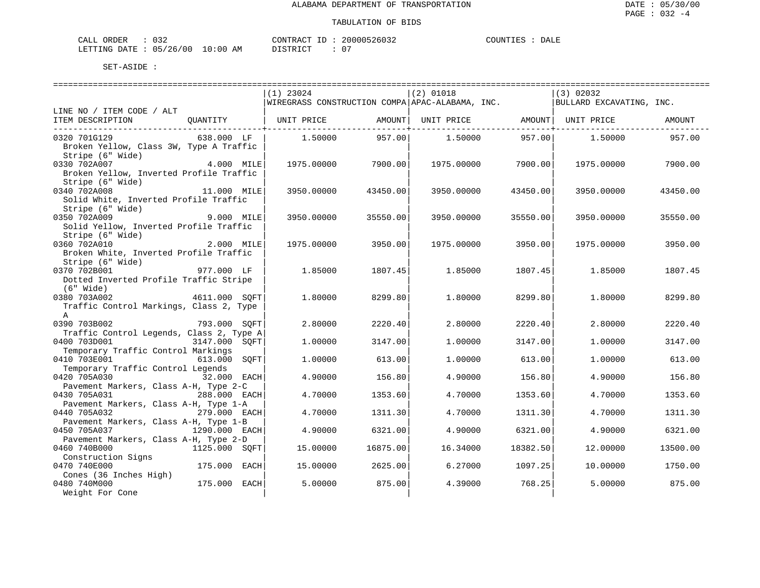| ORDER<br>CALL | ∩າາ      |             | CONTRACT<br><b>TD</b> | 20000526032 | COUNTIES<br>____ | DALE |
|---------------|----------|-------------|-----------------------|-------------|------------------|------|
| LETTING DATE  | 05/26/00 | 10:00<br>AΜ | DISTRICT<br>.         | $\cap$      |                  |      |

|                                                            | $(1)$ 23024                                     | $(2)$ 01018            | (3) 02032                     |
|------------------------------------------------------------|-------------------------------------------------|------------------------|-------------------------------|
|                                                            | WIREGRASS CONSTRUCTION COMPA APAC-ALABAMA, INC. |                        | BULLARD EXCAVATING, INC.      |
| LINE NO / ITEM CODE / ALT                                  |                                                 |                        |                               |
| ITEM DESCRIPTION<br>QUANTITY                               | UNIT PRICE<br>AMOUNT                            | UNIT PRICE             | AMOUNT   UNIT PRICE<br>AMOUNT |
|                                                            |                                                 |                        |                               |
| 0320 701G129<br>638.000 LF                                 | 957.00<br>1.50000                               | 957.00<br>1.50000      | 1.50000<br>957.00             |
| Broken Yellow, Class 3W, Type A Traffic                    |                                                 |                        |                               |
| Stripe (6" Wide)                                           |                                                 |                        |                               |
| 0330 702A007<br>4.000 MILE                                 | 7900.00<br>1975.00000                           | 7900.00<br>1975.00000  | 7900.00<br>1975.00000         |
| Broken Yellow, Inverted Profile Traffic                    |                                                 |                        |                               |
| Stripe (6" Wide)                                           |                                                 |                        |                               |
| 0340 702A008<br>11.000 MILE                                | 3950.00000<br>43450.00                          | 3950.00000<br>43450.00 | 3950.00000<br>43450.00        |
| Solid White, Inverted Profile Traffic                      |                                                 |                        |                               |
| Stripe (6" Wide)                                           |                                                 |                        |                               |
| 0350 702A009<br>9.000 MILE                                 | 35550.00<br>3950.00000                          | 3950.00000<br>35550.00 | 3950.00000<br>35550.00        |
| Solid Yellow, Inverted Profile Traffic<br>Stripe (6" Wide) |                                                 |                        |                               |
| 0360 702A010<br>2.000 MILE                                 | 1975.00000<br>3950.00                           | 1975.00000<br>3950.00  | 3950.00<br>1975.00000         |
| Broken White, Inverted Profile Traffic                     |                                                 |                        |                               |
| Stripe (6" Wide)                                           |                                                 |                        |                               |
| 0370 702B001<br>977.000 LF                                 | 1.85000<br>1807.45                              | 1.85000<br>1807.45     | 1807.45<br>1.85000            |
| Dotted Inverted Profile Traffic Stripe                     |                                                 |                        |                               |
| $(6"$ Wide)                                                |                                                 |                        |                               |
| 0380 703A002<br>4611.000 SOFT                              | 1.80000<br>8299.80                              | 1.80000<br>8299.80     | 1.80000<br>8299.80            |
| Traffic Control Markings, Class 2, Type                    |                                                 |                        |                               |
| $\mathbb{A}$                                               |                                                 |                        |                               |
| 0390 703B002<br>793.000 SOFT                               | 2.80000<br>2220.40                              | 2.80000<br>2220.40     | 2220.40<br>2.80000            |
| Traffic Control Legends, Class 2, Type A                   |                                                 |                        |                               |
| 0400 703D001<br>3147.000 SOFT                              | 1.00000<br>3147.00                              | 1,00000<br>3147.00     | 1,00000<br>3147.00            |
| Temporary Traffic Control Markings                         |                                                 |                        |                               |
| 0410 703E001<br>613.000<br>SOFT                            | 1,00000<br>613.00                               | 1,00000<br>613.00      | 613.00<br>1,00000             |
| Temporary Traffic Control Legends                          |                                                 |                        |                               |
| 0420 705A030<br>32.000 EACH                                | 4.90000<br>156.80                               | 4.90000<br>156.80      | 4.90000<br>156.80             |
| Pavement Markers, Class A-H, Type 2-C                      |                                                 |                        |                               |
| 0430 705A031<br>288.000 EACH                               | 4.70000<br>1353.60                              | 4.70000<br>1353.60     | 4.70000<br>1353.60            |
| Pavement Markers, Class A-H, Type 1-A                      |                                                 |                        |                               |
| 0440 705A032<br>279.000 EACH                               | 4.70000<br>1311.30                              | 4.70000<br>1311.30     | 4.70000<br>1311.30            |
| Pavement Markers, Class A-H, Type 1-B                      |                                                 |                        |                               |
| 0450 705A037<br>1290.000 EACH                              | 4.90000<br>6321.00                              | 4.90000<br>6321.00     | 4.90000<br>6321.00            |
| Pavement Markers, Class A-H, Type 2-D                      |                                                 |                        |                               |
| 0460 740B000<br>1125.000 SOFT                              | 15.00000<br>16875.00                            | 16.34000<br>18382.50   | 12.00000<br>13500.00          |
| Construction Signs                                         |                                                 |                        |                               |
| 0470 740E000<br>175.000 EACH                               | 2625.00<br>15.00000                             | 6.27000<br>1097.25     | 10.00000<br>1750.00           |
| Cones (36 Inches High)<br>0480 740M000<br>175.000 EACH     | 875.00<br>5.00000                               | 768.25<br>4.39000      | 5.00000<br>875.00             |
| Weight For Cone                                            |                                                 |                        |                               |
|                                                            |                                                 |                        |                               |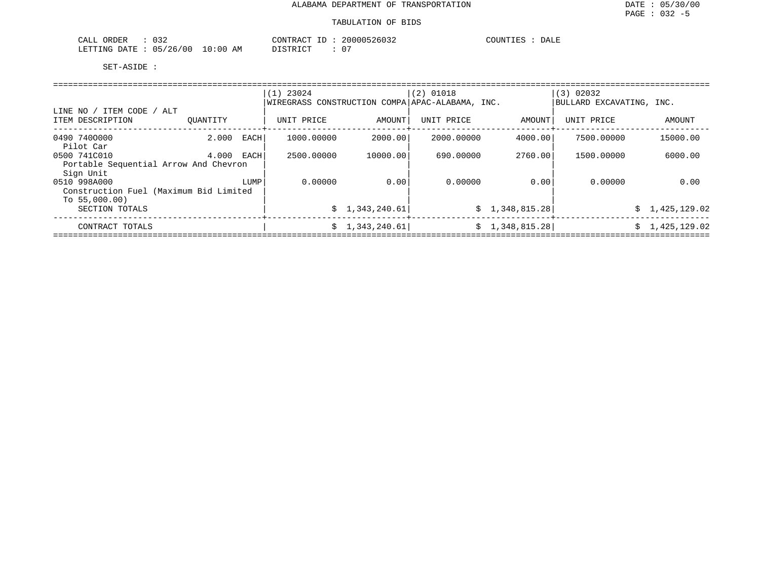| ORDER<br>$\sim$ $ -$<br>-'ALI<br>. .<br>∪ <i>J 4</i> |               | CONTRACT          | 2000050<br>20032 | COUNTIES<br>DALE |
|------------------------------------------------------|---------------|-------------------|------------------|------------------|
| 05/26<br>LETTING<br>DATE<br>′ N N<br>$\sim$<br>.     | ) : 0 0<br>AΜ | ידי הוא די קידי ה |                  |                  |

|                                                                          |          |      | $(1)$ 23024<br>WIREGRASS CONSTRUCTION COMPA APAC-ALABAMA, INC. |                | $(2)$ 01018 |                 | (3) 02032<br>BULLARD EXCAVATING, INC. |                |  |  |  |  |  |
|--------------------------------------------------------------------------|----------|------|----------------------------------------------------------------|----------------|-------------|-----------------|---------------------------------------|----------------|--|--|--|--|--|
| ITEM CODE / ALT<br>LINE NO                                               |          |      |                                                                |                |             |                 |                                       |                |  |  |  |  |  |
| ITEM DESCRIPTION                                                         | OUANTITY |      | UNIT PRICE                                                     | AMOUNT         | UNIT PRICE  | AMOUNT          | UNIT PRICE                            | AMOUNT         |  |  |  |  |  |
| 0490 7400000<br>Pilot Car                                                | 2.000    | EACH | 1000.00000                                                     | 2000.00        | 2000.00000  | 4000.00         | 7500.00000                            | 15000.00       |  |  |  |  |  |
| 0500 741C010<br>Portable Sequential Arrow And Chevron<br>Sign Unit       | 4.000    | EACH | 2500.00000                                                     | 10000.00       | 690.00000   | 2760.00         | 1500.00000                            | 6000.00        |  |  |  |  |  |
| 0510 998A000<br>Construction Fuel (Maximum Bid Limited<br>To $55,000.00$ |          | LUMP | 0.00000                                                        | 0.00           | 0.00000     | 0.00            | 0.00000                               | 0.00           |  |  |  |  |  |
| SECTION TOTALS                                                           |          |      |                                                                | \$1,343,240.61 |             | \$1,348,815.28] |                                       | \$1,425,129.02 |  |  |  |  |  |
| CONTRACT TOTALS                                                          |          |      |                                                                | \$1,343,240.61 |             | \$1,348,815.28] |                                       | \$1,425,129.02 |  |  |  |  |  |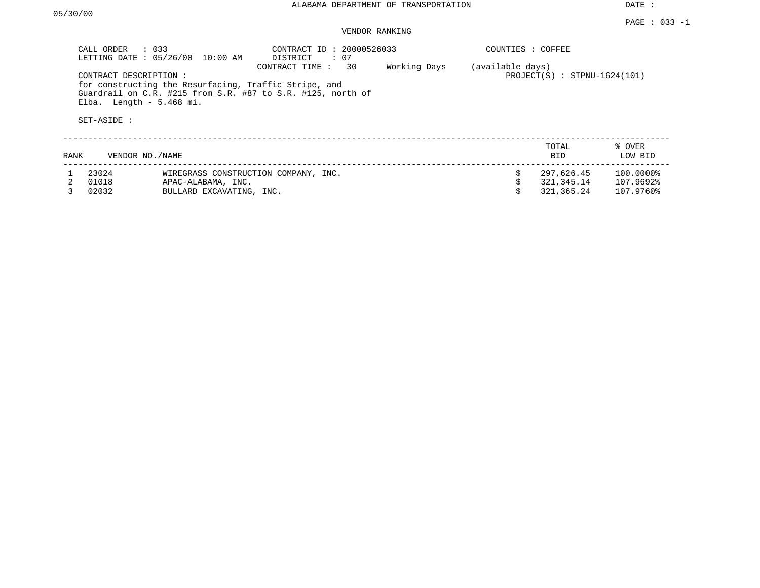DATE :

## VENDOR RANKING

|      | CALL ORDER<br>$\therefore$ 033                                    | LETTING DATE : 05/26/00 10:00 AM                                                       | CONTRACT ID: 20000526033<br>$\cdot$ 07<br>DISTRICT                            |                    |                  | COUNTIES : COFFEE              |                                        |                                     |
|------|-------------------------------------------------------------------|----------------------------------------------------------------------------------------|-------------------------------------------------------------------------------|--------------------|------------------|--------------------------------|----------------------------------------|-------------------------------------|
|      | CONTRACT DESCRIPTION:<br>Elba. Length $-5.468$ mi.<br>SET-ASIDE : | for constructing the Resurfacing, Traffic Stripe, and                                  | CONTRACT TIME:<br>Guardrail on C.R. #215 from S.R. #87 to S.R. #125, north of | 30<br>Working Days | (available days) | $PROJECT(S)$ : STPNU-1624(101) |                                        |                                     |
| RANK | VENDOR NO./NAME                                                   |                                                                                        |                                                                               |                    |                  |                                | TOTAL<br>BID.                          | % OVER<br>LOW BID                   |
|      | 23024<br>01018<br>02032                                           | WIREGRASS CONSTRUCTION COMPANY, INC.<br>APAC-ALABAMA, INC.<br>BULLARD EXCAVATING, INC. |                                                                               |                    |                  |                                | 297,626.45<br>321,345.14<br>321,365.24 | 100.0000%<br>107.9692%<br>107.9760% |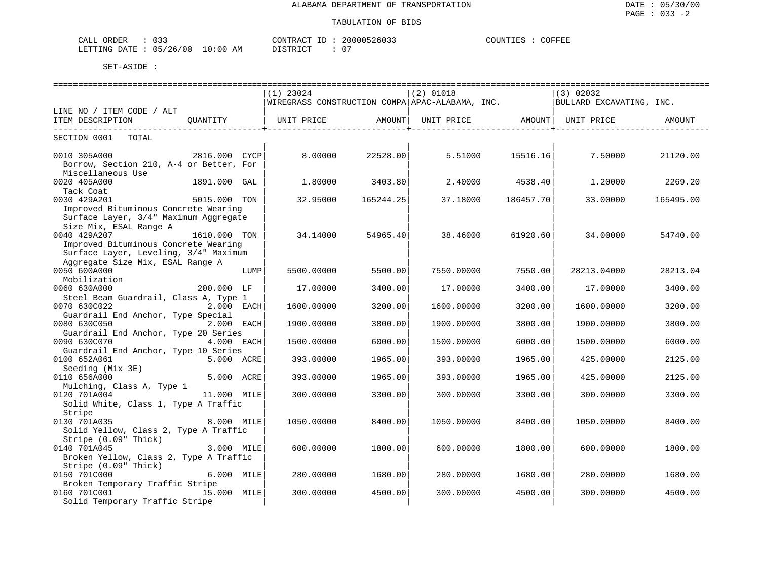| CALL ORDER                      | CONTRACT ID: 2 | 20000526033 | COFFEE<br>COUNTIES |
|---------------------------------|----------------|-------------|--------------------|
| LETTING DATE: 05/26/00 10:00 AM | DISTRICT       | - 0         |                    |

|                                         |               |      | $(1)$ 23024 |           | $(2)$ 01018                                     |           | (3) 02032                                          |           |
|-----------------------------------------|---------------|------|-------------|-----------|-------------------------------------------------|-----------|----------------------------------------------------|-----------|
|                                         |               |      |             |           | WIREGRASS CONSTRUCTION COMPA APAC-ALABAMA, INC. |           | BULLARD EXCAVATING, INC.                           |           |
| LINE NO / ITEM CODE / ALT               |               |      |             |           |                                                 |           |                                                    |           |
| ITEM DESCRIPTION                        | OUANTITY      |      |             |           |                                                 |           | UNIT PRICE AMOUNT   UNIT PRICE AMOUNT   UNIT PRICE | AMOUNT    |
| ----------------------------            |               |      |             |           |                                                 |           |                                                    |           |
| SECTION 0001<br>TOTAL                   |               |      |             |           |                                                 |           |                                                    |           |
|                                         |               |      |             |           |                                                 |           |                                                    |           |
| 0010 305A000                            | 2816.000 CYCP |      | 8,00000     | 22528.00  | 5.51000                                         | 15516.16  | 7.50000                                            | 21120.00  |
| Borrow, Section 210, A-4 or Better, For |               |      |             |           |                                                 |           |                                                    |           |
| Miscellaneous Use                       |               |      |             |           |                                                 |           |                                                    |           |
| 0020 405A000                            | 1891.000 GAL  |      | 1,80000     | 3403.80   | 2.40000                                         | 4538.40   | 1,20000                                            | 2269.20   |
| Tack Coat                               |               |      |             |           |                                                 |           |                                                    |           |
| 0030 429A201                            | 5015.000 TON  |      | 32.95000    | 165244.25 | 37.18000                                        | 186457.70 | 33.00000                                           | 165495.00 |
| Improved Bituminous Concrete Wearing    |               |      |             |           |                                                 |           |                                                    |           |
| Surface Layer, 3/4" Maximum Aggregate   |               |      |             |           |                                                 |           |                                                    |           |
| Size Mix, ESAL Range A                  |               |      |             |           |                                                 |           |                                                    |           |
| 0040 429A207                            | 1610.000 TON  |      | 34.14000    | 54965.40  | 38,46000                                        | 61920.60  | 34,00000                                           | 54740.00  |
| Improved Bituminous Concrete Wearing    |               |      |             |           |                                                 |           |                                                    |           |
| Surface Layer, Leveling, 3/4" Maximum   |               |      |             |           |                                                 |           |                                                    |           |
| Aggregate Size Mix, ESAL Range A        |               |      |             |           |                                                 |           |                                                    |           |
| 0050 600A000                            |               | LUMP | 5500.00000  | 5500.00   | 7550.00000                                      | 7550.00   | 28213.04000                                        | 28213.04  |
| Mobilization                            |               |      |             |           |                                                 |           |                                                    |           |
| 0060 630A000                            | 200.000 LF    |      | 17.00000    | 3400.00   | 17.00000                                        | 3400.00   | 17.00000                                           | 3400.00   |
| Steel Beam Guardrail, Class A, Type 1   |               |      |             |           |                                                 |           |                                                    |           |
| 0070 630C022                            | 2.000 EACH    |      | 1600.00000  | 3200.00   | 1600.00000                                      | 3200.00   | 1600.00000                                         | 3200.00   |
| Guardrail End Anchor, Type Special      |               |      |             |           |                                                 |           |                                                    |           |
| 0080 630C050                            | 2.000 EACH    |      | 1900.00000  | 3800.00   | 1900.00000                                      | 3800.00   | 1900.00000                                         | 3800.00   |
| Guardrail End Anchor, Type 20 Series    |               |      |             |           |                                                 |           |                                                    |           |
| 0090 630C070                            | 4.000 EACH    |      | 1500.00000  | 6000.00   | 1500.00000                                      | 6000.00   | 1500.00000                                         | 6000.00   |
| Guardrail End Anchor, Type 10 Series    |               |      |             |           |                                                 |           |                                                    |           |
| 0100 652A061                            | 5.000 ACRE    |      | 393.00000   | 1965.00   | 393.00000                                       | 1965.00   | 425.00000                                          | 2125.00   |
| Seeding (Mix 3E)                        |               |      |             |           |                                                 |           |                                                    |           |
| 0110 656A000                            | 5.000 ACRE    |      | 393.00000   | 1965.00   | 393.00000                                       | 1965.00   | 425.00000                                          | 2125.00   |
| Mulching, Class A, Type 1               |               |      |             |           |                                                 |           |                                                    |           |
| 0120 701A004                            | 11.000 MILE   |      | 300.00000   | 3300.00   | 300.00000                                       | 3300.00   | 300.00000                                          | 3300.00   |
| Solid White, Class 1, Type A Traffic    |               |      |             |           |                                                 |           |                                                    |           |
| Stripe                                  |               |      |             |           |                                                 |           |                                                    |           |
| 0130 701A035                            | 8.000 MILE    |      | 1050.00000  | 8400.00   | 1050.00000                                      | 8400.00   | 1050.00000                                         | 8400.00   |
| Solid Yellow, Class 2, Type A Traffic   |               |      |             |           |                                                 |           |                                                    |           |
| Stripe (0.09" Thick)                    |               |      |             |           |                                                 |           |                                                    |           |
| 0140 701A045                            | 3.000 MILE    |      | 600,00000   | 1800.00   | 600,00000                                       | 1800.00   | 600.00000                                          | 1800.00   |
| Broken Yellow, Class 2, Type A Traffic  |               |      |             |           |                                                 |           |                                                    |           |
| Stripe (0.09" Thick)                    |               |      |             |           |                                                 |           |                                                    |           |
| 0150 701C000                            | 6.000 MILE    |      | 280.00000   | 1680.00   | 280.00000                                       | 1680.00   | 280,00000                                          | 1680.00   |
| Broken Temporary Traffic Stripe         |               |      |             |           |                                                 |           |                                                    |           |
| 0160 701C001                            | 15.000 MILE   |      | 300.00000   | 4500.00   | 300.00000                                       | 4500.00   | 300.00000                                          | 4500.00   |
| Solid Temporary Traffic Stripe          |               |      |             |           |                                                 |           |                                                    |           |
|                                         |               |      |             |           |                                                 |           |                                                    |           |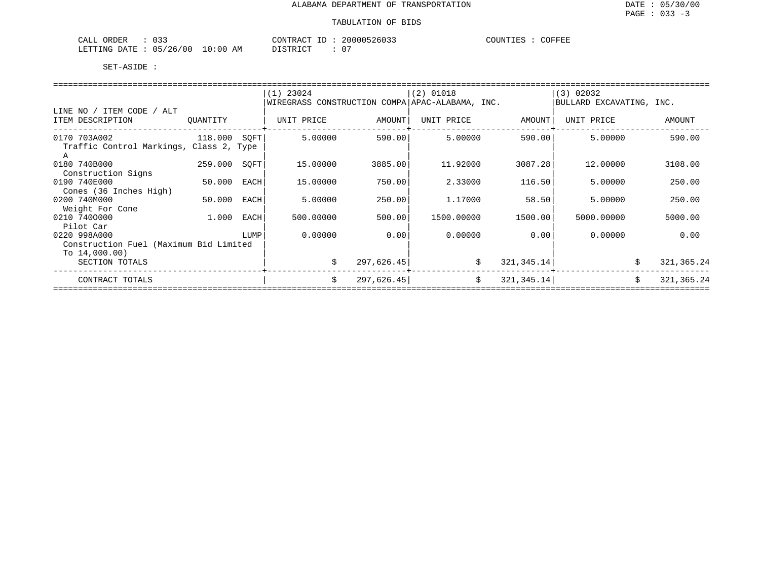| $\sim$ $\sim$ $\sim$<br>CALL<br>ORDER                                                                                                                               | 20000526033<br>CONTRACT<br>$- -$ | COUNTIES<br>COFFEE |
|---------------------------------------------------------------------------------------------------------------------------------------------------------------------|----------------------------------|--------------------|
| /26/00<br>10:00<br>∩ҕ<br>LETTING<br>ΆM<br>חים מח<br>the contract of the contract of the contract of the contract of the contract of the contract of the contract of | $\sim$ $-$<br>דת לתיי<br>v       |                    |

|                                                                            |          |      | $(1)$ 23024<br>WIREGRASS CONSTRUCTION COMPA APAC-ALABAMA, INC. |            | $(2)$ 01018 |             | (3) 02032<br>BULLARD EXCAVATING, INC. |                    |  |
|----------------------------------------------------------------------------|----------|------|----------------------------------------------------------------|------------|-------------|-------------|---------------------------------------|--------------------|--|
| ITEM CODE / ALT<br>LINE NO<br>ITEM DESCRIPTION                             | QUANTITY |      | UNIT PRICE                                                     | AMOUNT     | UNIT PRICE  | AMOUNT      | UNIT PRICE                            | AMOUNT             |  |
| 0170 703A002<br>Traffic Control Markings, Class 2, Type                    | 118.000  | SOFT | 5.00000                                                        | 590.00     | 5.00000     | 590.00      | 5.00000                               | 590.00             |  |
| 0180 740B000<br>Construction Signs                                         | 259.000  | SOFT | 15.00000                                                       | 3885.00    | 11.92000    | 3087.28     | 12,00000                              | 3108.00            |  |
| 0190 740E000<br>Cones (36 Inches High)                                     | 50.000   | EACH | 15.00000                                                       | 750.00     | 2.33000     | 116.50      | 5.00000                               | 250.00             |  |
| 0200 740M000<br>Weight For Cone                                            | 50.000   | EACH | 5.00000                                                        | 250.00     | 1.17000     | 58.50       | 5.00000                               | 250.00             |  |
| 0210 7400000<br>Pilot Car                                                  | 1.000    | EACH | 500.00000                                                      | 500.00     | 1500.00000  | 1500.00     | 5000.00000                            | 5000.00            |  |
| 0220 998A000<br>Construction Fuel (Maximum Bid Limited<br>To $14,000.00$ ) |          | LUMP | 0.00000                                                        | 0.00       | 0.00000     | 0.00        | 0.00000                               | 0.00               |  |
| SECTION TOTALS                                                             |          |      | Ŝ.                                                             | 297,626.45 | \$          | 321, 345.14 |                                       | \$<br>321, 365. 24 |  |
| CONTRACT TOTALS                                                            |          |      | \$                                                             | 297,626.45 | Ŝ.          | 321, 345.14 |                                       | \$<br>321, 365.24  |  |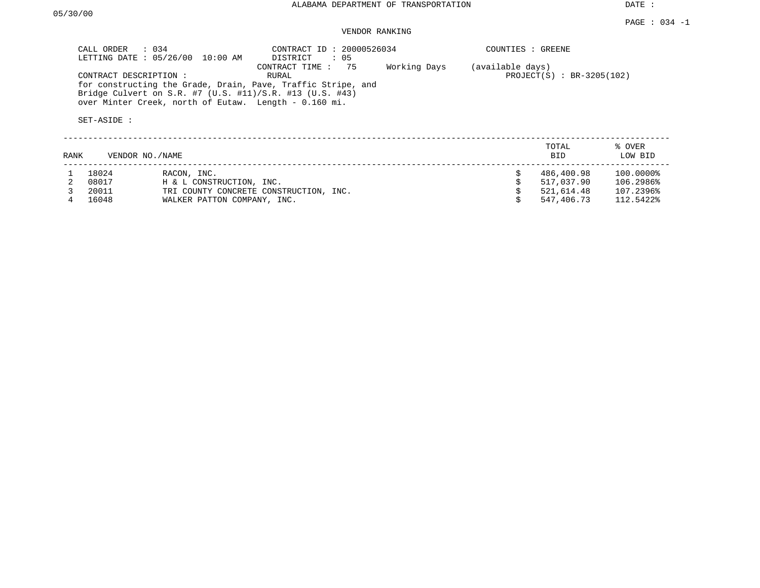DATE :

## VENDOR RANKING

| CALL ORDER : 034<br>LETTING DATE: 05/26/00<br>10:00 AM                                                                                                                                                     | CONTRACT ID: 20000526034<br>$\therefore$ 05<br>DISTRICT |              | COUNTIES : GREENE |                             |
|------------------------------------------------------------------------------------------------------------------------------------------------------------------------------------------------------------|---------------------------------------------------------|--------------|-------------------|-----------------------------|
| CONTRACT DESCRIPTION:<br>for constructing the Grade, Drain, Pave, Traffic Stripe, and<br>Bridge Culvert on S.R. #7 (U.S. #11)/S.R. #13 (U.S. #43)<br>over Minter Creek, north of Eutaw. Length - 0.160 mi. | CONTRACT TIME : 75<br>RURAL                             | Working Days | (available days)  | $PROJECT(S) : BR-3205(102)$ |
| SET-ASIDE:                                                                                                                                                                                                 |                                                         |              |                   |                             |
|                                                                                                                                                                                                            |                                                         |              | TOTAL             | % OVER                      |

| <b>RANK</b> |       | VENDOR NO./NAME                        | <b>BID</b> | LOW BID   |
|-------------|-------|----------------------------------------|------------|-----------|
|             | 18024 | RACON, INC.                            | 486,400.98 | 100.0000% |
|             | 08017 | H & L CONSTRUCTION, INC.               | 517,037.90 | 106.2986% |
|             | 20011 | TRI COUNTY CONCRETE CONSTRUCTION, INC. | 521,614.48 | 107.2396% |
|             | 16048 | WALKER PATTON COMPANY, INC.            | 547,406.73 | 112.5422% |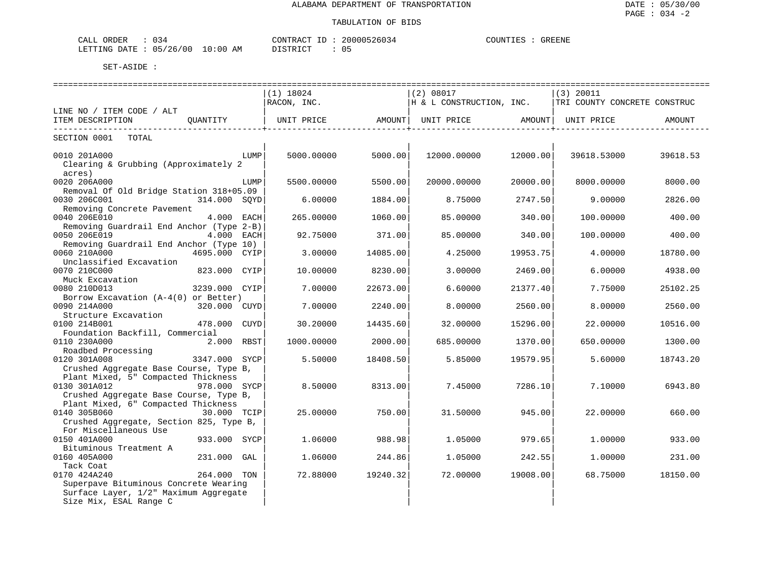| $\sim$ $\sim$<br>ORDER<br>CALL<br>J 34 |            | CONTRACT<br>ID | 20000526034 | COUNTIES | <b>GREENE</b> |  |
|----------------------------------------|------------|----------------|-------------|----------|---------------|--|
| 05/26/00<br>LETTING DATE .             | $10:00$ AM |                |             |          |               |  |

|                                                            |               |      | ----------------------------- |                    | ------------------------------                                        |                                  | ================================== |          |
|------------------------------------------------------------|---------------|------|-------------------------------|--------------------|-----------------------------------------------------------------------|----------------------------------|------------------------------------|----------|
|                                                            |               |      | $(1)$ 18024                   |                    | (2) 08017                                                             |                                  | $(3)$ 20011                        |          |
|                                                            |               |      | RACON, INC.                   |                    | $\vert$ H & L CONSTRUCTION, INC. $\vert$ TRI COUNTY CONCRETE CONSTRUC |                                  |                                    |          |
| LINE NO / ITEM CODE / ALT                                  |               |      |                               |                    |                                                                       |                                  |                                    |          |
| ITEM DESCRIPTION QUANTITY<br>----------------------------- |               |      | UNIT PRICE AMOUNT             | ----------------+- | UNIT PRICE AMOUNT                                                     | ----------------- <del>-</del> - | UNIT PRICE                         | AMOUNT   |
| TOTAL<br>SECTION 0001                                      |               |      |                               |                    |                                                                       |                                  |                                    |          |
| 0010 201A000                                               |               | LUMP | 5000.00000                    | 5000.00            | 12000.00000                                                           | 12000.00                         | 39618.53000                        | 39618.53 |
| Clearing & Grubbing (Approximately 2                       |               |      |                               |                    |                                                                       |                                  |                                    |          |
| acres)                                                     |               |      |                               |                    |                                                                       |                                  |                                    |          |
| 0020 206A000                                               |               | LUMP | 5500.00000                    | 5500.00            | 20000.00000                                                           | 20000.00                         | 8000.00000                         | 8000.00  |
| Removal Of Old Bridge Station 318+05.09                    |               |      |                               |                    |                                                                       |                                  |                                    |          |
| 0030 206C001                                               | 314.000 SOYD  |      | 6.00000                       | 1884.00            | 8.75000                                                               | 2747.50                          | 9,00000                            | 2826.00  |
| Removing Concrete Pavement                                 |               |      |                               |                    |                                                                       |                                  |                                    |          |
| 0040 206E010                                               | 4.000 EACH    |      | 265.00000                     | 1060.00            | 85.00000                                                              | 340.00                           | 100.00000                          | 400.00   |
| Removing Guardrail End Anchor (Type 2-B)                   |               |      |                               |                    |                                                                       |                                  |                                    |          |
| 0050 206E019                                               | 4.000 EACH    |      | 92.75000                      | 371.00             | 85,00000                                                              | 340.00                           | 100.00000                          | 400.00   |
| Removing Guardrail End Anchor (Type 10)                    |               |      |                               |                    |                                                                       |                                  |                                    |          |
| 0060 210A000                                               | 4695.000 CYIP |      | 3.00000                       | 14085.00           | 4.25000                                                               | 19953.75                         | 4.00000                            | 18780.00 |
| Unclassified Excavation                                    |               |      |                               |                    |                                                                       |                                  |                                    |          |
| 0070 210C000                                               | 823.000 CYIP  |      | 10.00000                      | 8230.00            | 3,00000                                                               | 2469.00                          | 6,00000                            | 4938.00  |
| Muck Excavation                                            |               |      |                               |                    |                                                                       |                                  |                                    |          |
| 0080 210D013                                               | 3239.000 CYIP |      | 7.00000                       | 22673.00           | 6.60000                                                               | 21377.40                         | 7.75000                            | 25102.25 |
| Borrow Excavation (A-4(0) or Better)                       |               |      |                               |                    |                                                                       |                                  |                                    |          |
| 0090 214A000                                               | 320.000 CUYD  |      | 7.00000                       | 2240.00            | 8,00000                                                               | 2560.00                          | 8.00000                            | 2560.00  |
| Structure Excavation                                       |               |      |                               |                    |                                                                       |                                  |                                    |          |
| 0100 214B001                                               | 478.000 CUYD  |      | 30.20000                      | 14435.60           | 32,00000                                                              | 15296.00                         | 22,00000                           | 10516.00 |
| Foundation Backfill, Commercial                            |               |      |                               |                    |                                                                       |                                  |                                    |          |
| 0110 230A000                                               | 2.000 RBST    |      | 1000.00000                    | 2000.00            | 685.00000                                                             | 1370.00                          | 650.00000                          | 1300.00  |
| Roadbed Processing                                         |               |      |                               |                    |                                                                       |                                  |                                    |          |
| 0120 301A008                                               | 3347.000 SYCP |      | 5.50000                       | 18408.50           | 5.85000                                                               | 19579.95                         | 5.60000                            | 18743.20 |
| Crushed Aggregate Base Course, Type B,                     |               |      |                               |                    |                                                                       |                                  |                                    |          |
| Plant Mixed, 5" Compacted Thickness                        |               |      |                               |                    |                                                                       |                                  |                                    |          |
| 0130 301A012                                               | 978.000 SYCP  |      | 8.50000                       | 8313.00            | 7.45000                                                               | 7286.10                          | 7.10000                            | 6943.80  |
| Crushed Aggregate Base Course, Type B,                     |               |      |                               |                    |                                                                       |                                  |                                    |          |
| Plant Mixed, 6" Compacted Thickness                        |               |      |                               |                    |                                                                       |                                  |                                    |          |
| 0140 305B060<br>30.000 TCIP                                |               |      | 25.00000                      | 750.00             | 31.50000                                                              | 945.00                           | 22,00000                           | 660.00   |
|                                                            |               |      |                               |                    |                                                                       |                                  |                                    |          |
| Crushed Aggregate, Section 825, Type B,                    |               |      |                               |                    |                                                                       |                                  |                                    |          |
| For Miscellaneous Use                                      |               |      |                               |                    |                                                                       |                                  |                                    |          |
| 0150 401A000                                               | 933.000 SYCP  |      | 1.06000                       | 988.98             | 1.05000                                                               | 979.65                           | 1,00000                            | 933.00   |
| Bituminous Treatment A                                     |               |      |                               |                    |                                                                       |                                  |                                    |          |
| 0160 405A000                                               | 231.000 GAL   |      | 1.06000                       | 244.86             | 1.05000                                                               | 242.55                           | 1,00000                            | 231.00   |
| Tack Coat                                                  |               |      |                               |                    |                                                                       |                                  |                                    |          |
| 0170 424A240                                               | 264.000 TON   |      | 72.88000                      | 19240.32           | 72.00000                                                              | 19008.00                         | 68.75000                           | 18150.00 |
| Superpave Bituminous Concrete Wearing                      |               |      |                               |                    |                                                                       |                                  |                                    |          |
| Surface Layer, 1/2" Maximum Aggregate                      |               |      |                               |                    |                                                                       |                                  |                                    |          |
| Size Mix, ESAL Range C                                     |               |      |                               |                    |                                                                       |                                  |                                    |          |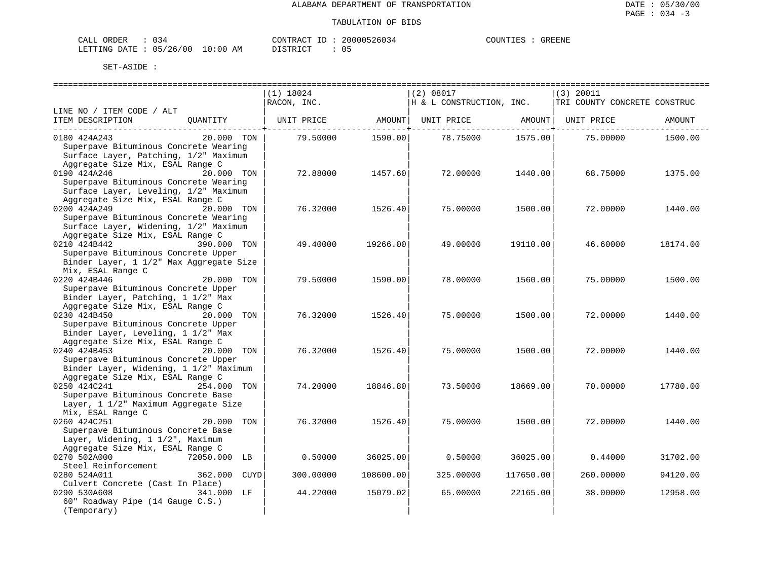| CALL ORDER                       |  |          |  | CONTRACT ID: 20000526034 | COUNTIES | GREENE |
|----------------------------------|--|----------|--|--------------------------|----------|--------|
| LETTING DATE : 05/26/00 10:00 AM |  | DISTRICT |  |                          |          |        |

|                                         |                 | $(1)$ 18024 |           | (2) 08017                |           | (3) 20011                    |          |
|-----------------------------------------|-----------------|-------------|-----------|--------------------------|-----------|------------------------------|----------|
|                                         |                 | RACON, INC. |           | H & L CONSTRUCTION, INC. |           | TRI COUNTY CONCRETE CONSTRUC |          |
| LINE NO / ITEM CODE / ALT               |                 |             |           |                          |           |                              |          |
| ITEM DESCRIPTION                        | OUANTITY        | UNIT PRICE  | AMOUNT    | UNIT PRICE               | AMOUNT    | UNIT PRICE                   | AMOUNT   |
| ------------------------                |                 |             |           |                          |           |                              |          |
| 0180 424A243                            | 20.000 TON      | 79.50000    | 1590.00   | 78.75000                 | 1575.00   | 75.00000                     | 1500.00  |
| Superpave Bituminous Concrete Wearing   |                 |             |           |                          |           |                              |          |
|                                         |                 |             |           |                          |           |                              |          |
| Surface Layer, Patching, 1/2" Maximum   |                 |             |           |                          |           |                              |          |
| Aggregate Size Mix, ESAL Range C        |                 |             |           |                          |           |                              |          |
| 0190 424A246                            | 20.000 TON      | 72.88000    | 1457.60   | 72.00000                 | 1440.00   | 68.75000                     | 1375.00  |
| Superpave Bituminous Concrete Wearing   |                 |             |           |                          |           |                              |          |
| Surface Layer, Leveling, 1/2" Maximum   |                 |             |           |                          |           |                              |          |
| Aggregate Size Mix, ESAL Range C        |                 |             |           |                          |           |                              |          |
| 0200 424A249                            | 20.000 TON      | 76.32000    | 1526.40   | 75.00000                 | 1500.00   | 72.00000                     | 1440.00  |
| Superpave Bituminous Concrete Wearing   |                 |             |           |                          |           |                              |          |
| Surface Layer, Widening, 1/2" Maximum   |                 |             |           |                          |           |                              |          |
| Aggregate Size Mix, ESAL Range C        |                 |             |           |                          |           |                              |          |
|                                         |                 |             |           |                          |           |                              |          |
| 0210 424B442                            | 390.000 TON     | 49.40000    | 19266.00  | 49.00000                 | 19110.00  | 46.60000                     | 18174.00 |
| Superpave Bituminous Concrete Upper     |                 |             |           |                          |           |                              |          |
| Binder Layer, 1 1/2" Max Aggregate Size |                 |             |           |                          |           |                              |          |
| Mix, ESAL Range C                       |                 |             |           |                          |           |                              |          |
| 0220 424B446                            | 20.000 TON      | 79.50000    | 1590.00   | 78.00000                 | 1560.00   | 75.00000                     | 1500.00  |
| Superpave Bituminous Concrete Upper     |                 |             |           |                          |           |                              |          |
| Binder Layer, Patching, 1 1/2" Max      |                 |             |           |                          |           |                              |          |
| Aggregate Size Mix, ESAL Range C        |                 |             |           |                          |           |                              |          |
| 0230 424B450                            | 20.000 TON      | 76.32000    | 1526.40   | 75,00000                 | 1500.00   | 72.00000                     | 1440.00  |
| Superpave Bituminous Concrete Upper     |                 |             |           |                          |           |                              |          |
| Binder Layer, Leveling, 1 1/2" Max      |                 |             |           |                          |           |                              |          |
|                                         |                 |             |           |                          |           |                              |          |
| Aggregate Size Mix, ESAL Range C        |                 |             |           |                          |           |                              |          |
| 0240 424B453                            | 20.000 TON      | 76.32000    | 1526.40   | 75.00000                 | 1500.00   | 72.00000                     | 1440.00  |
| Superpave Bituminous Concrete Upper     |                 |             |           |                          |           |                              |          |
| Binder Layer, Widening, 1 1/2" Maximum  |                 |             |           |                          |           |                              |          |
| Aggregate Size Mix, ESAL Range C        |                 |             |           |                          |           |                              |          |
| 0250 424C241                            | 254.000 TON     | 74.20000    | 18846.80  | 73.50000                 | 18669.00  | 70,00000                     | 17780.00 |
| Superpave Bituminous Concrete Base      |                 |             |           |                          |           |                              |          |
| Layer, 1 1/2" Maximum Aggregate Size    |                 |             |           |                          |           |                              |          |
| Mix, ESAL Range C                       |                 |             |           |                          |           |                              |          |
| 0260 424C251                            | 20,000<br>TON   | 76.32000    | 1526.40   | 75.00000                 | 1500.00   | 72.00000                     | 1440.00  |
| Superpave Bituminous Concrete Base      |                 |             |           |                          |           |                              |          |
| Layer, Widening, 1 1/2", Maximum        |                 |             |           |                          |           |                              |          |
| Aggregate Size Mix, ESAL Range C        |                 |             |           |                          |           |                              |          |
|                                         |                 |             |           |                          |           |                              |          |
| 0270 502A000                            | 72050.000 LB    | 0.50000     | 36025.00  | 0.50000                  | 36025.00  | 0.44000                      | 31702.00 |
| Steel Reinforcement                     |                 |             |           |                          |           |                              |          |
| 0280 524A011                            | 362.000<br>CUYD | 300,00000   | 108600.00 | 325,00000                | 117650.00 | 260.00000                    | 94120.00 |
| Culvert Concrete (Cast In Place)        |                 |             |           |                          |           |                              |          |
| 0290 530A608                            | 341.000 LF      | 44.22000    | 15079.02  | 65.00000                 | 22165.00  | 38,00000                     | 12958.00 |
| 60" Roadway Pipe (14 Gauge C.S.)        |                 |             |           |                          |           |                              |          |
| (Temporary)                             |                 |             |           |                          |           |                              |          |
|                                         |                 |             |           |                          |           |                              |          |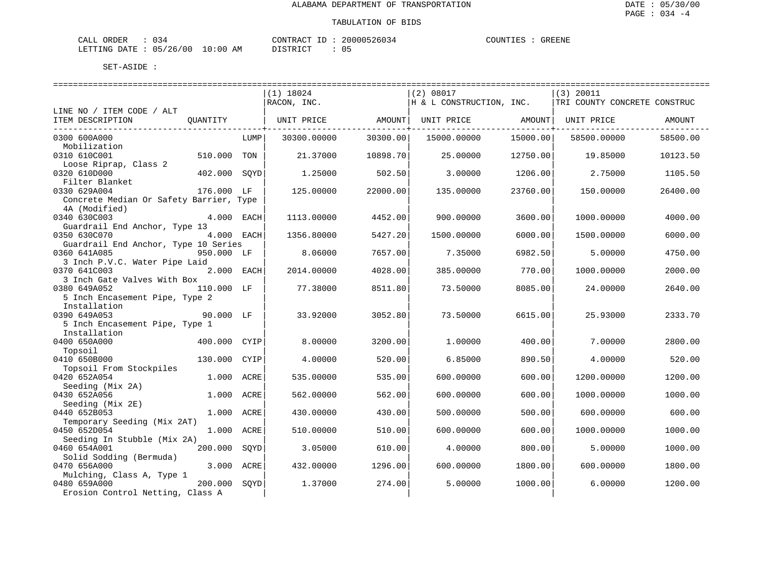| CALL<br>ORDER | $\sim$<br>` -< 4<br>ັບມ |             | CONTRACT                                     | TD. | 20000526034 | COUNTIES | <b>GREENE</b> |
|---------------|-------------------------|-------------|----------------------------------------------|-----|-------------|----------|---------------|
| LETTING DATE  | 05/26/00                | 10:00<br>AΜ | TAT<br>$\neg$ $\tau$ $\land$ $\Box$ $\vdash$ |     |             |          |               |

|                                                  |              |      | $(1)$ 18024       |          | (2) 08017                |          | $(3)$ 20011                  |          |
|--------------------------------------------------|--------------|------|-------------------|----------|--------------------------|----------|------------------------------|----------|
|                                                  |              |      | RACON, INC.       |          | H & L CONSTRUCTION, INC. |          | TRI COUNTY CONCRETE CONSTRUC |          |
| LINE NO / ITEM CODE / ALT                        |              |      |                   |          |                          |          |                              |          |
| ITEM DESCRIPTION                                 | OUANTITY     |      | UNIT PRICE AMOUNT | -------- | UNIT PRICE AMOUNT        |          | UNIT PRICE                   | AMOUNT   |
| 0300 600A000                                     |              | LUMP | 30300.00000       | 30300.00 | 15000.00000              | 15000.00 | 58500.00000                  | 58500.00 |
| Mobilization                                     |              |      |                   |          |                          |          |                              |          |
| 0310 610C001                                     | 510.000      | TON  | 21.37000          | 10898.70 | 25,00000                 | 12750.00 | 19.85000                     | 10123.50 |
| Loose Riprap, Class 2                            |              |      |                   |          |                          |          |                              |          |
| 0320 610D000<br>Filter Blanket                   | 402.000      | SOYD | 1.25000           | 502.50   | 3.00000                  | 1206.00  | 2.75000                      | 1105.50  |
| 0330 629A004                                     | 176.000 LF   |      | 125.00000         | 22000.00 | 135.00000                | 23760.00 | 150.00000                    | 26400.00 |
| Concrete Median Or Safety Barrier, Type          |              |      |                   |          |                          |          |                              |          |
| 4A (Modified)                                    |              |      |                   |          |                          |          |                              |          |
| 0340 630C003                                     | 4.000 EACH   |      | 1113,00000        | 4452.00  | 900.00000                | 3600.00  | 1000.00000                   | 4000.00  |
| Guardrail End Anchor, Type 13                    |              |      |                   |          |                          |          |                              |          |
| 0350 630C070                                     | 4.000 EACH   |      | 1356.80000        | 5427.20  | 1500.00000               | 6000.00  | 1500.00000                   | 6000.00  |
| Guardrail End Anchor, Type 10 Series             |              |      |                   |          |                          |          |                              |          |
| 0360 641A085<br>3 Inch P.V.C. Water Pipe Laid    | 950.000 LF   |      | 8.06000           | 7657.00  | 7.35000                  | 6982.50  | 5.00000                      | 4750.00  |
| 0370 641C003                                     | 2.000 EACH   |      | 2014.00000        | 4028.00  | 385.00000                | 770.00   | 1000.00000                   | 2000.00  |
| 3 Inch Gate Valves With Box                      |              |      |                   |          |                          |          |                              |          |
| 0380 649A052                                     | 110.000 LF   |      | 77.38000          | 8511.80  | 73.50000                 | 8085.00  | 24.00000                     | 2640.00  |
| 5 Inch Encasement Pipe, Type 2                   |              |      |                   |          |                          |          |                              |          |
| Installation                                     |              |      |                   |          |                          |          |                              |          |
| 0390 649A053                                     | 90.000 LF    |      | 33.92000          | 3052.80  | 73.50000                 | 6615.00  | 25.93000                     | 2333.70  |
| 5 Inch Encasement Pipe, Type 1                   |              |      |                   |          |                          |          |                              |          |
| Installation<br>0400 650A000                     | 400.000 CYIP |      | 8.00000           | 3200.00  | 1,00000                  | 400.00   | 7.00000                      | 2800.00  |
| Topsoil                                          |              |      |                   |          |                          |          |                              |          |
| 0410 650B000                                     | 130.000      | CYIP | 4.00000           | 520.00   | 6.85000                  | 890.50   | 4.00000                      | 520.00   |
| Topsoil From Stockpiles                          |              |      |                   |          |                          |          |                              |          |
| 0420 652A054                                     | 1.000 ACRE   |      | 535.00000         | 535.00   | 600.00000                | 600.00   | 1200.00000                   | 1200.00  |
| Seeding (Mix 2A)                                 |              |      |                   |          |                          |          |                              |          |
| 0430 652A056                                     | 1.000 ACRE   |      | 562.00000         | 562.00   | 600.00000                | 600.00   | 1000.00000                   | 1000.00  |
| Seeding (Mix 2E)<br>0440 652B053                 | 1.000 ACRE   |      | 430.00000         | 430.00   | 500.00000                | 500.00   | 600.00000                    | 600.00   |
| Temporary Seeding (Mix 2AT)                      |              |      |                   |          |                          |          |                              |          |
| 0450 652D054                                     | 1.000 ACRE   |      | 510.00000         | 510.00   | 600.00000                | 600.00   | 1000.00000                   | 1000.00  |
| Seeding In Stubble (Mix 2A)                      |              |      |                   |          |                          |          |                              |          |
| 0460 654A001                                     | 200.000      | SOYD | 3.05000           | 610.00   | 4.00000                  | 800.00   | 5.00000                      | 1000.00  |
| Solid Sodding (Bermuda)                          |              |      |                   |          |                          |          |                              |          |
| 0470 656A000                                     | 3.000 ACRE   |      | 432.00000         | 1296.00  | 600.00000                | 1800.00  | 600.00000                    | 1800.00  |
| Mulching, Class A, Type 1                        |              |      |                   |          |                          |          |                              |          |
| 0480 659A000<br>Erosion Control Netting, Class A | 200.000      | SOYD | 1.37000           | 274.00   | 5.00000                  | 1000.00  | 6,00000                      | 1200.00  |
|                                                  |              |      |                   |          |                          |          |                              |          |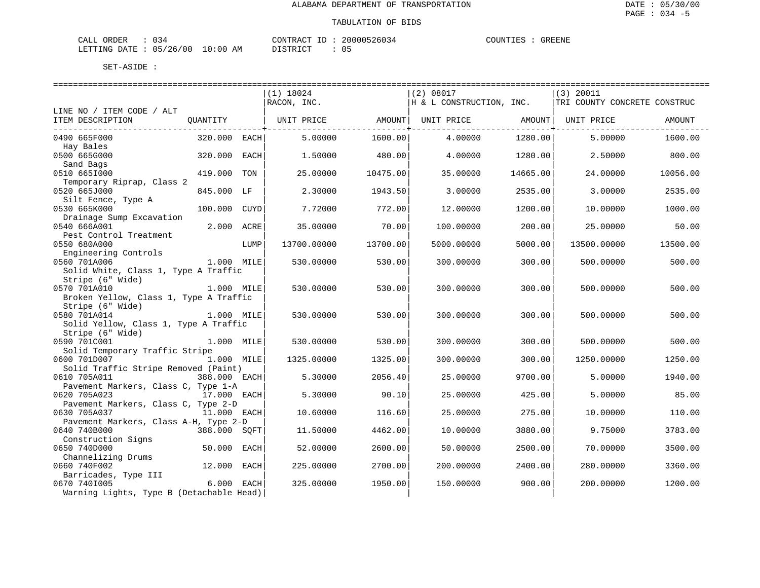| CALL ORDER                       |  |          |  | CONTRACT ID: 20000526034 | COUNTIES | GREENE |
|----------------------------------|--|----------|--|--------------------------|----------|--------|
| LETTING DATE : 05/26/00 10:00 AM |  | DISTRICT |  |                          |          |        |

|                                                           |              |      | $(1)$ 18024 |          | (2) 08017                                                                                          |          | (3) 20011                    |          |
|-----------------------------------------------------------|--------------|------|-------------|----------|----------------------------------------------------------------------------------------------------|----------|------------------------------|----------|
|                                                           |              |      | RACON, INC. |          | H & L CONSTRUCTION, INC.                                                                           |          | TRI COUNTY CONCRETE CONSTRUC |          |
| LINE NO / ITEM CODE / ALT                                 |              |      |             |          |                                                                                                    |          |                              |          |
| ITEM DESCRIPTION                                          |              |      |             |          | QUANTITY   UNIT PRICE                 AMOUNT    UNIT PRICE                    AMOUNT    UNIT PRICE |          |                              | AMOUNT   |
| 0490 665F000                                              | 320.000 EACH |      | 5.00000     | 1600.00  | 4.00000                                                                                            | 1280.00  | 5,00000                      | 1600.00  |
| Hay Bales                                                 |              |      |             |          |                                                                                                    |          |                              |          |
| 0500 665G000                                              | 320.000 EACH |      | 1.50000     | 480.00   | 4.00000                                                                                            | 1280.00  | 2.50000                      | 800.00   |
| Sand Bags                                                 |              |      |             |          |                                                                                                    |          |                              |          |
| 0510 6651000<br>Temporary Riprap, Class 2                 | 419.000      | TON  | 25.00000    | 10475.00 | 35.00000                                                                                           | 14665.00 | 24.00000                     | 10056.00 |
| 0520 665J000                                              | 845.000 LF   |      | 2.30000     | 1943.50  | 3.00000                                                                                            | 2535.00  | 3.00000                      | 2535.00  |
| Silt Fence, Type A                                        |              |      |             |          |                                                                                                    |          |                              |          |
| 0530 665K000                                              | 100.000 CUYD |      | 7.72000     | 772.00   | 12,00000                                                                                           | 1200.00  | 10.00000                     | 1000.00  |
| Drainage Sump Excavation                                  |              |      |             |          |                                                                                                    |          |                              |          |
| 0540 666A001                                              | 2.000 ACRE   |      | 35.00000    | 70.00    | 100.00000                                                                                          | 200.00   | 25.00000                     | 50.00    |
| Pest Control Treatment                                    |              |      |             |          |                                                                                                    |          |                              |          |
| 0550 680A000<br>Engineering Controls                      |              | LUMP | 13700.00000 | 13700.00 | 5000.00000                                                                                         | 5000.00  | 13500.00000                  | 13500.00 |
| 0560 701A006                                              | 1.000 MILE   |      | 530.00000   | 530.00   | 300.00000                                                                                          | 300.00   | 500,00000                    | 500.00   |
| Solid White, Class 1, Type A Traffic                      |              |      |             |          |                                                                                                    |          |                              |          |
| Stripe (6" Wide)                                          |              |      |             |          |                                                                                                    |          |                              |          |
| 0570 701A010                                              | 1.000 MILE   |      | 530.00000   | 530.00   | 300.00000                                                                                          | 300.00   | 500.00000                    | 500.00   |
| Broken Yellow, Class 1, Type A Traffic                    |              |      |             |          |                                                                                                    |          |                              |          |
| Stripe (6" Wide)                                          |              |      |             |          |                                                                                                    |          |                              |          |
| 0580 701A014                                              | $1.000$ MILE |      | 530.00000   | 530.00   | 300.00000                                                                                          | 300.00   | 500.00000                    | 500.00   |
| Solid Yellow, Class 1, Type A Traffic<br>Stripe (6" Wide) |              |      |             |          |                                                                                                    |          |                              |          |
| 0590 701C001                                              | 1.000 MILE   |      | 530.00000   | 530.00   | 300.00000                                                                                          | 300.00   | 500,00000                    | 500.00   |
| Solid Temporary Traffic Stripe                            |              |      |             |          |                                                                                                    |          |                              |          |
| 0600 701D007<br>1.000 MILE                                |              |      | 1325.00000  | 1325.00  | 300.00000                                                                                          | 300.00   | 1250.00000                   | 1250.00  |
| Solid Traffic Stripe Removed (Paint)                      |              |      |             |          |                                                                                                    |          |                              |          |
| 0610 705A011                                              | 388.000 EACH |      | 5.30000     | 2056.40  | 25,00000                                                                                           | 9700.00  | 5.00000                      | 1940.00  |
| Pavement Markers, Class C, Type 1-A                       |              |      |             |          |                                                                                                    |          |                              |          |
| 0620 705A023                                              | 17.000 EACH  |      | 5.30000     | 90.10    | 25.00000                                                                                           | 425.00   | 5.00000                      | 85.00    |
| Pavement Markers, Class C, Type 2-D<br>0630 705A037       | 11.000 EACH  |      | 10.60000    | 116.60   | 25.00000                                                                                           | 275.00   | 10.00000                     | 110.00   |
| Pavement Markers, Class A-H, Type 2-D                     |              |      |             |          |                                                                                                    |          |                              |          |
| 0640 740B000                                              | 388.000 SOFT |      | 11.50000    | 4462.00  | 10.00000                                                                                           | 3880.00  | 9.75000                      | 3783.00  |
| Construction Signs                                        |              |      |             |          |                                                                                                    |          |                              |          |
| 0650 740D000                                              | 50.000       | EACH | 52.00000    | 2600.00  | 50.00000                                                                                           | 2500.00  | 70.00000                     | 3500.00  |
| Channelizing Drums                                        |              |      |             |          |                                                                                                    |          |                              |          |
| 0660 740F002                                              | 12.000 EACH  |      | 225.00000   | 2700.00  | 200.00000                                                                                          | 2400.00  | 280.00000                    | 3360.00  |
| Barricades, Type III                                      |              |      |             |          |                                                                                                    |          |                              |          |
| 0670 7401005<br>Warning Lights, Type B (Detachable Head)  | 6.000 EACH   |      | 325.00000   | 1950.00  | 150.00000                                                                                          | 900.00   | 200.00000                    | 1200.00  |
|                                                           |              |      |             |          |                                                                                                    |          |                              |          |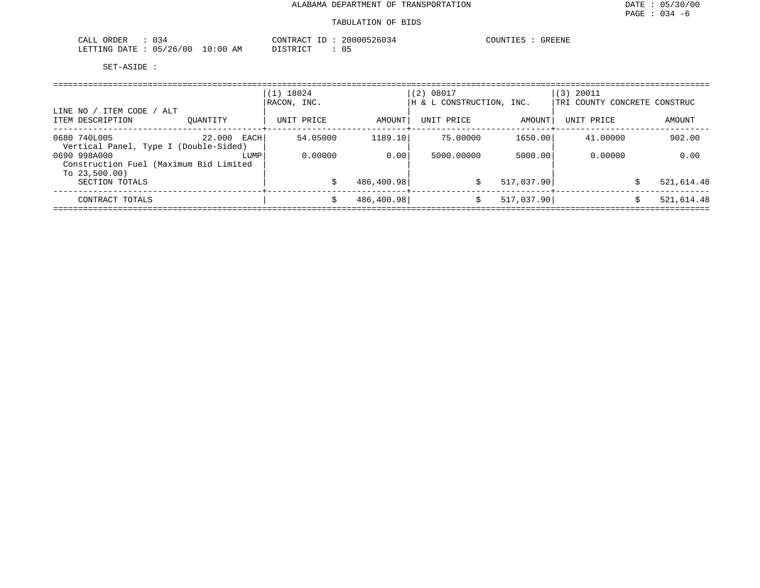| 034<br>CALL ORDER               | CONTRACT ID: 20000526034 | COUNTIES : GREENE |
|---------------------------------|--------------------------|-------------------|
| LETTING DATE: 05/26/00 10:00 AM | 05<br>DISTRICT           |                   |

|                                                                          |                | $(1)$ 18024<br>RACON, INC. |            | (2) 08017<br>H & L CONSTRUCTION, INC. |            | $(3)$ 20011<br>TRI COUNTY CONCRETE CONSTRUC |                 |  |  |  |  |
|--------------------------------------------------------------------------|----------------|----------------------------|------------|---------------------------------------|------------|---------------------------------------------|-----------------|--|--|--|--|
| LINE NO / ITEM CODE / ALT<br>ITEM DESCRIPTION                            | OUANTITY       | UNIT PRICE                 | AMOUNT     | UNIT PRICE                            | AMOUNT     | UNIT PRICE                                  | AMOUNT          |  |  |  |  |
| 0680 740L005<br>Vertical Panel, Type I (Double-Sided)                    | 22.000<br>EACH | 54.05000                   | 1189.10    | 75,00000                              | 1650.00    | 41.00000                                    | 902.00          |  |  |  |  |
| 0690 998A000<br>Construction Fuel (Maximum Bid Limited<br>To $23,500.00$ | LUMP           | 0.00000                    | 0.00       | 5000,00000                            | 5000.00    | 0.00000                                     | 0.00            |  |  |  |  |
| SECTION TOTALS                                                           |                |                            | 486,400.98 | \$                                    | 517,037.90 |                                             | 521,614.48<br>Ŝ |  |  |  |  |
| CONTRACT TOTALS                                                          |                |                            | 486,400.98 |                                       | 517,037.90 |                                             | 521,614.48      |  |  |  |  |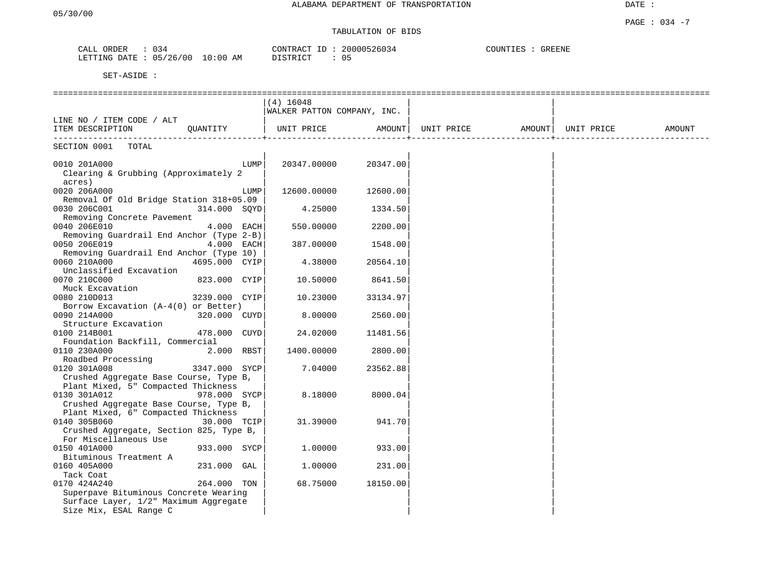DATE :

# TABULATION OF BIDS

| CALL<br>ORDER    | 034      |             | 20000526034<br>CONTRACT<br>$-1$  | COUNTIES<br><b>GREENE</b> |
|------------------|----------|-------------|----------------------------------|---------------------------|
| LETTING<br>DATE. | 05/26/00 | 10:00<br>ΑM | 05<br>ידי אירו אידי פרי<br>----- |                           |

|                                                      |               |      | $(4)$ 16048<br>WALKER PATTON COMPANY, INC. |          |                                |                             |        |
|------------------------------------------------------|---------------|------|--------------------------------------------|----------|--------------------------------|-----------------------------|--------|
| LINE NO / ITEM CODE / ALT                            |               |      |                                            |          |                                |                             |        |
| ITEM DESCRIPTION                                     | QUANTITY      |      | UNIT PRICE                                 | AMOUNT   | UNIT PRICE AMOUNT   UNIT PRICE | ------------------ <b>-</b> | AMOUNT |
| ------------------------<br>SECTION 0001<br>TOTAL    |               |      |                                            |          |                                |                             |        |
| 0010 201A000<br>Clearing & Grubbing (Approximately 2 |               | LUMP | 20347.00000                                | 20347.00 |                                |                             |        |
| acres)<br>0020 206A000                               |               | LUMP | 12600.00000                                | 12600.00 |                                |                             |        |
| Removal Of Old Bridge Station 318+05.09              |               |      |                                            |          |                                |                             |        |
| 0030 206C001<br>Removing Concrete Pavement           | 314.000 SOYD  |      | 4.25000                                    | 1334.50  |                                |                             |        |
| 0040 206E010                                         | $4.000$ EACH  |      | 550.00000                                  | 2200.00  |                                |                             |        |
| Removing Guardrail End Anchor (Type 2-B)             |               |      |                                            |          |                                |                             |        |
| 0050 206E019                                         | $4.000$ EACH  |      |                                            |          |                                |                             |        |
|                                                      |               |      | 387.00000                                  | 1548.00  |                                |                             |        |
| Removing Guardrail End Anchor (Type 10)              |               |      |                                            |          |                                |                             |        |
| 0060 210A000                                         | 4695.000 CYIP |      | 4.38000                                    | 20564.10 |                                |                             |        |
| Unclassified Excavation                              |               |      |                                            |          |                                |                             |        |
| 0070 210C000                                         | 823.000 CYIP  |      | 10.50000                                   | 8641.50  |                                |                             |        |
| Muck Excavation                                      |               |      |                                            |          |                                |                             |        |
| 0080 210D013                                         | 3239.000 CYIP |      | 10.23000                                   | 33134.97 |                                |                             |        |
| Borrow Excavation (A-4(0) or Better)                 |               |      |                                            |          |                                |                             |        |
| 0090 214A000                                         | 320.000 CUYD  |      | 8.00000                                    | 2560.00  |                                |                             |        |
| Structure Excavation                                 |               |      |                                            |          |                                |                             |        |
| 0100 214B001                                         | 478.000 CUYD  |      | 24.02000                                   | 11481.56 |                                |                             |        |
| Foundation Backfill, Commercial                      |               |      |                                            |          |                                |                             |        |
| 0110 230A000                                         | 2.000 RBST    |      | 1400.00000                                 | 2800.00  |                                |                             |        |
| Roadbed Processing                                   |               |      |                                            |          |                                |                             |        |
| 0120 301A008                                         | 3347.000 SYCP |      | 7.04000                                    | 23562.88 |                                |                             |        |
| Crushed Aggregate Base Course, Type B,               |               |      |                                            |          |                                |                             |        |
| Plant Mixed, 5" Compacted Thickness                  |               |      |                                            |          |                                |                             |        |
| 0130 301A012                                         | 978.000 SYCP  |      | 8.18000                                    | 8000.04  |                                |                             |        |
| Crushed Aggregate Base Course, Type B,               |               |      |                                            |          |                                |                             |        |
| Plant Mixed, 6" Compacted Thickness                  |               |      |                                            |          |                                |                             |        |
| 0140 305B060                                         | 30.000 TCIP   |      | 31.39000                                   | 941.70   |                                |                             |        |
| Crushed Aggregate, Section 825, Type B,              |               |      |                                            |          |                                |                             |        |
| For Miscellaneous Use                                |               |      |                                            |          |                                |                             |        |
| 0150 401A000                                         | 933.000 SYCP  |      | 1,00000                                    | 933.00   |                                |                             |        |
| Bituminous Treatment A                               |               |      |                                            |          |                                |                             |        |
| 0160 405A000                                         | 231.000 GAL   |      | 1.00000                                    | 231.00   |                                |                             |        |
| Tack Coat                                            |               |      |                                            |          |                                |                             |        |
| 0170 424A240                                         | 264.000 TON   |      | 68.75000                                   | 18150.00 |                                |                             |        |
| Superpave Bituminous Concrete Wearing                |               |      |                                            |          |                                |                             |        |
| Surface Layer, 1/2" Maximum Aggregate                |               |      |                                            |          |                                |                             |        |
| Size Mix, ESAL Range C                               |               |      |                                            |          |                                |                             |        |
|                                                      |               |      |                                            |          |                                |                             |        |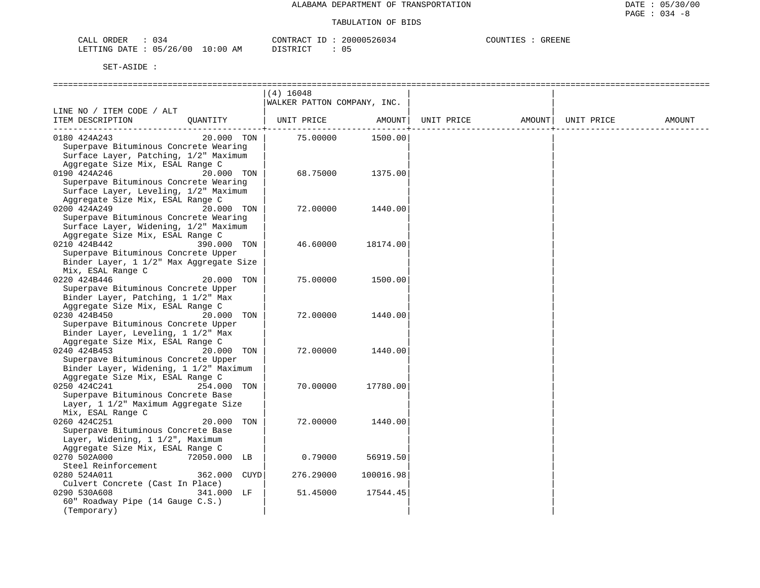| ORDER<br>CALL (               |  |    | CONTRACT ID: $\frac{1}{2}$ | 20000526034 | COUNTIES | <b>GREENE</b> |
|-------------------------------|--|----|----------------------------|-------------|----------|---------------|
| LETTING DATE : 05/26/00 10:00 |  | AΜ | PISTRICT                   |             |          |               |

|                                         |              |     | $(4)$ 16048                 |           |            |        |            |        |
|-----------------------------------------|--------------|-----|-----------------------------|-----------|------------|--------|------------|--------|
|                                         |              |     | WALKER PATTON COMPANY, INC. |           |            |        |            |        |
| LINE NO / ITEM CODE / ALT               |              |     |                             |           |            |        |            |        |
| ITEM DESCRIPTION                        | OUANTITY     |     | UNIT PRICE                  | AMOUNT    | UNIT PRICE | AMOUNT | UNIT PRICE | AMOUNT |
|                                         |              |     |                             |           |            |        |            |        |
| 0180 424A243                            | 20.000 TON   |     | 75.00000                    | 1500.00   |            |        |            |        |
| Superpave Bituminous Concrete Wearing   |              |     |                             |           |            |        |            |        |
| Surface Layer, Patching, 1/2" Maximum   |              |     |                             |           |            |        |            |        |
| Aggregate Size Mix, ESAL Range C        |              |     |                             |           |            |        |            |        |
| 0190 424A246                            | 20.000 TON   |     | 68.75000                    | 1375.00   |            |        |            |        |
| Superpave Bituminous Concrete Wearing   |              |     |                             |           |            |        |            |        |
| Surface Layer, Leveling, 1/2" Maximum   |              |     |                             |           |            |        |            |        |
| Aggregate Size Mix, ESAL Range C        |              |     |                             |           |            |        |            |        |
| 0200 424A249                            | 20.000 TON   |     | 72.00000                    | 1440.00   |            |        |            |        |
| Superpave Bituminous Concrete Wearing   |              |     |                             |           |            |        |            |        |
| Surface Layer, Widening, 1/2" Maximum   |              |     |                             |           |            |        |            |        |
| Aggregate Size Mix, ESAL Range C        |              |     |                             |           |            |        |            |        |
| 0210 424B442                            | 390.000 TON  |     | 46.60000                    | 18174.00  |            |        |            |        |
| Superpave Bituminous Concrete Upper     |              |     |                             |           |            |        |            |        |
| Binder Layer, 1 1/2" Max Aggregate Size |              |     |                             |           |            |        |            |        |
| Mix, ESAL Range C                       |              |     |                             |           |            |        |            |        |
| 0220 424B446                            | 20.000 TON   |     | 75.00000                    | 1500.00   |            |        |            |        |
| Superpave Bituminous Concrete Upper     |              |     |                             |           |            |        |            |        |
| Binder Layer, Patching, 1 1/2" Max      |              |     |                             |           |            |        |            |        |
| Aggregate Size Mix, ESAL Range C        |              |     |                             |           |            |        |            |        |
| 0230 424B450                            | 20.000 TON   |     | 72.00000                    | 1440.00   |            |        |            |        |
| Superpave Bituminous Concrete Upper     |              |     |                             |           |            |        |            |        |
| Binder Layer, Leveling, 1 1/2" Max      |              |     |                             |           |            |        |            |        |
| Aggregate Size Mix, ESAL Range C        |              |     |                             |           |            |        |            |        |
| 0240 424B453                            | 20.000 TON   |     | 72.00000                    | 1440.00   |            |        |            |        |
| Superpave Bituminous Concrete Upper     |              |     |                             |           |            |        |            |        |
| Binder Layer, Widening, 1 1/2" Maximum  |              |     |                             |           |            |        |            |        |
| Aggregate Size Mix, ESAL Range C        |              |     |                             |           |            |        |            |        |
| 0250 424C241                            | 254.000 TON  |     | 70.00000                    | 17780.00  |            |        |            |        |
| Superpave Bituminous Concrete Base      |              |     |                             |           |            |        |            |        |
| Layer, 1 1/2" Maximum Aggregate Size    |              |     |                             |           |            |        |            |        |
| Mix, ESAL Range C                       |              |     |                             |           |            |        |            |        |
| 0260 424C251                            | 20,000       | TON | 72.00000                    | 1440.00   |            |        |            |        |
| Superpave Bituminous Concrete Base      |              |     |                             |           |            |        |            |        |
| Layer, Widening, 1 1/2", Maximum        |              |     |                             |           |            |        |            |        |
| Aggregate Size Mix, ESAL Range C        |              |     |                             |           |            |        |            |        |
| 0270 502A000                            | 72050.000 LB |     | 0.79000                     | 56919.50  |            |        |            |        |
| Steel Reinforcement                     |              |     |                             |           |            |        |            |        |
| 0280 524A011                            | 362.000 CUYD |     | 276.29000                   | 100016.98 |            |        |            |        |
| Culvert Concrete (Cast In Place)        |              |     |                             |           |            |        |            |        |
| 0290 530A608                            | 341.000 LF   |     | 51.45000                    | 17544.45  |            |        |            |        |
| 60" Roadway Pipe (14 Gauge C.S.)        |              |     |                             |           |            |        |            |        |
| (Temporary)                             |              |     |                             |           |            |        |            |        |
|                                         |              |     |                             |           |            |        |            |        |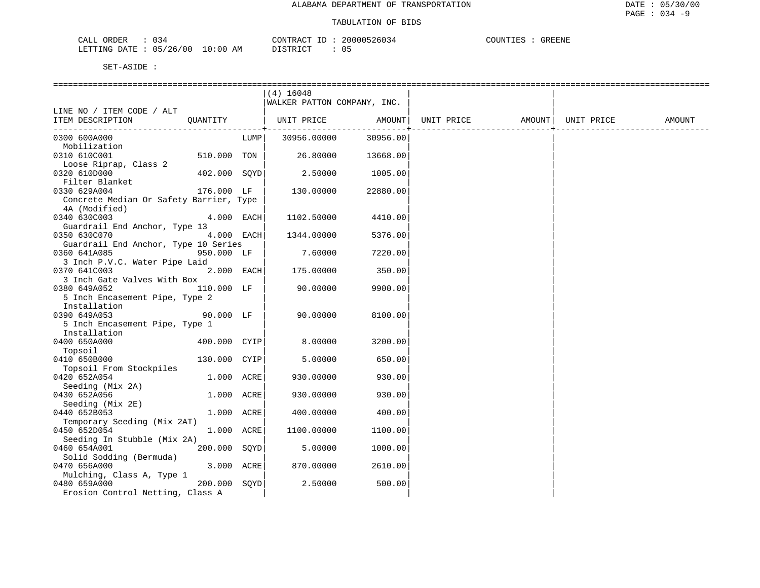| 034<br>ORDER<br>CALL                                                       | 200005<br>CONTR.<br>'RAC<br>٠.                                                      | COUNTIES<br>GREENE |
|----------------------------------------------------------------------------|-------------------------------------------------------------------------------------|--------------------|
| /26/00<br>0:00<br>0.57<br><b>FITTING</b><br><u>namn</u><br>ד.הד<br>'ا`∆ /ا | $\Gamma$ $\Gamma$ $\Gamma$ $\Gamma$ $\Gamma$ $\Gamma$ $\Gamma$ $\Gamma$<br>ΆM<br>ັບ |                    |

|                                         |              |      | $(4)$ 16048                    |          |                                |  |        |
|-----------------------------------------|--------------|------|--------------------------------|----------|--------------------------------|--|--------|
|                                         |              |      | WALKER PATTON COMPANY, INC.    |          |                                |  |        |
| LINE NO / ITEM CODE / ALT               |              |      |                                |          |                                |  |        |
| ITEM DESCRIPTION                        | QUANTITY     |      | UNIT PRICE                     | AMOUNT   | UNIT PRICE AMOUNT   UNIT PRICE |  | AMOUNT |
| -----------------------------           |              |      | ------------------------------ |          |                                |  |        |
| 0300 600A000                            |              | LUMP | 30956.00000                    | 30956.00 |                                |  |        |
| Mobilization                            |              |      |                                |          |                                |  |        |
| 0310 610C001                            | 510.000 TON  |      | 26.80000                       | 13668.00 |                                |  |        |
| Loose Riprap, Class 2                   |              |      |                                |          |                                |  |        |
| 0320 610D000                            | 402.000 SOYD |      | 2.50000                        | 1005.00  |                                |  |        |
| Filter Blanket                          |              |      |                                |          |                                |  |        |
| 0330 629A004                            | 176.000 LF   |      | 130.00000                      | 22880.00 |                                |  |        |
| Concrete Median Or Safety Barrier, Type |              |      |                                |          |                                |  |        |
| 4A (Modified)                           |              |      |                                |          |                                |  |        |
| 0340 630C003                            | 4.000 EACH   |      | 1102.50000                     | 4410.00  |                                |  |        |
| Guardrail End Anchor, Type 13           |              |      |                                |          |                                |  |        |
| 0350 630C070                            | 4.000 EACH   |      | 1344.00000                     | 5376.00  |                                |  |        |
| Guardrail End Anchor, Type 10 Series    |              |      |                                |          |                                |  |        |
| 0360 641A085                            | 950.000 LF   |      | 7.60000                        | 7220.00  |                                |  |        |
| 3 Inch P.V.C. Water Pipe Laid           |              |      |                                |          |                                |  |        |
| 0370 641C003                            | 2.000 EACH   |      | 175.00000                      | 350.00   |                                |  |        |
| 3 Inch Gate Valves With Box             |              |      |                                |          |                                |  |        |
| 0380 649A052                            | 110.000 LF   |      | 90.00000                       | 9900.00  |                                |  |        |
| 5 Inch Encasement Pipe, Type 2          |              |      |                                |          |                                |  |        |
| Installation                            |              |      |                                |          |                                |  |        |
| 0390 649A053                            | 90.000 LF    |      | 90.00000                       | 8100.00  |                                |  |        |
| 5 Inch Encasement Pipe, Type 1          |              |      |                                |          |                                |  |        |
| Installation                            |              |      |                                |          |                                |  |        |
| 0400 650A000                            | 400.000 CYIP |      | 8.00000                        | 3200.00  |                                |  |        |
| Topsoil                                 |              |      |                                |          |                                |  |        |
| 0410 650B000                            | 130.000 CYIP |      | 5.00000                        | 650.00   |                                |  |        |
| Topsoil From Stockpiles                 |              |      |                                |          |                                |  |        |
| 0420 652A054                            | 1.000 ACRE   |      | 930.00000                      | 930.00   |                                |  |        |
| Seeding (Mix 2A)                        |              |      |                                |          |                                |  |        |
| 0430 652A056                            | 1.000 ACRE   |      | 930.00000                      | 930.00   |                                |  |        |
| Seeding (Mix 2E)                        |              |      |                                |          |                                |  |        |
| 0440 652B053                            | 1.000 ACRE   |      | 400.00000                      | 400.00   |                                |  |        |
| Temporary Seeding (Mix 2AT)             |              |      |                                |          |                                |  |        |
| 0450 652D054                            | 1.000 ACRE   |      | 1100.00000                     | 1100.00  |                                |  |        |
| Seeding In Stubble (Mix 2A)             |              |      |                                |          |                                |  |        |
| 0460 654A001                            | 200.000 SOYD |      | 5.00000                        | 1000.00  |                                |  |        |
| Solid Sodding (Bermuda)                 |              |      |                                |          |                                |  |        |
| 0470 656A000                            | 3.000 ACRE   |      | 870.00000                      | 2610.00  |                                |  |        |
| Mulching, Class A, Type 1               |              |      |                                |          |                                |  |        |
| 0480 659A000                            | 200.000 SQYD |      | 2.50000                        | 500.00   |                                |  |        |
| Erosion Control Netting, Class A        |              |      |                                |          |                                |  |        |
|                                         |              |      |                                |          |                                |  |        |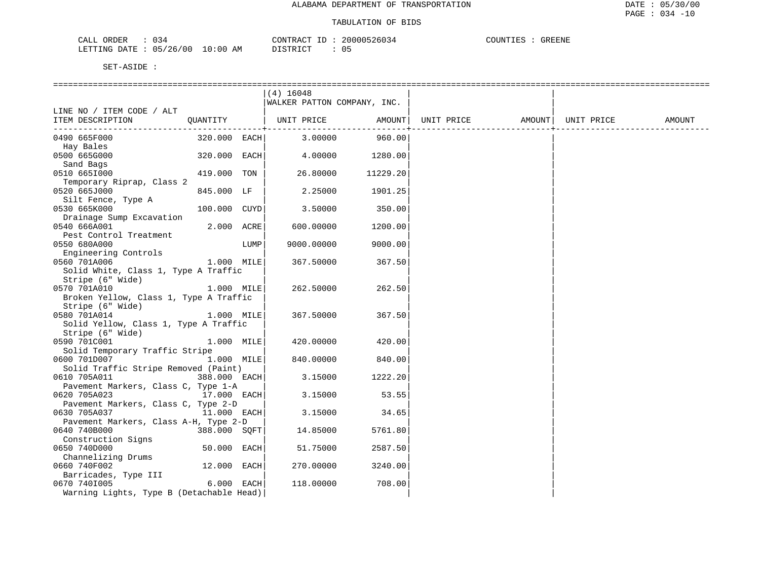| ORDER<br>CALL<br>034                   | CONTRACT<br>- TD           | 20000526034 | COUNTIES<br><b>GREENE</b> |
|----------------------------------------|----------------------------|-------------|---------------------------|
| 05/26/00<br>LETTING<br>DATE.<br>$\sim$ | 10:00<br>ידי קידף דר<br>AΜ | ◡ ◡         |                           |

|                                          |              |      | $(4)$ 16048                 |          |                   |            |        |
|------------------------------------------|--------------|------|-----------------------------|----------|-------------------|------------|--------|
|                                          |              |      | WALKER PATTON COMPANY, INC. |          |                   |            |        |
| LINE NO / ITEM CODE / ALT                |              |      |                             |          |                   |            |        |
| ITEM DESCRIPTION                         |              |      | QUANTITY   UNIT PRICE       | AMOUNT   | UNIT PRICE AMOUNT | UNIT PRICE | AMOUNT |
|                                          |              |      |                             |          |                   |            |        |
| 0490 665F000                             | 320.000 EACH |      | 3.00000                     | 960.00   |                   |            |        |
| Hay Bales                                |              |      |                             |          |                   |            |        |
| 0500 665G000                             | 320.000 EACH |      | 4.00000                     | 1280.00  |                   |            |        |
| Sand Bags                                |              |      |                             |          |                   |            |        |
| 0510 6651000                             | 419.000 TON  |      | 26.80000                    | 11229.20 |                   |            |        |
| Temporary Riprap, Class 2                |              |      |                             |          |                   |            |        |
| 0520 665J000                             | 845.000 LF   |      | 2.25000                     | 1901.25  |                   |            |        |
| Silt Fence, Type A                       |              |      |                             |          |                   |            |        |
| 0530 665K000                             | 100.000 CUYD |      | 3.50000                     | 350.00   |                   |            |        |
| Drainage Sump Excavation                 |              |      |                             |          |                   |            |        |
| 0540 666A001                             | 2.000 ACRE   |      | 600.00000                   | 1200.00  |                   |            |        |
| Pest Control Treatment                   |              |      |                             |          |                   |            |        |
| 0550 680A000                             |              | LUMP | 9000.00000                  | 9000.00  |                   |            |        |
| Engineering Controls                     |              |      |                             |          |                   |            |        |
| 0560 701A006                             | 1.000 MILE   |      | 367.50000                   | 367.50   |                   |            |        |
| Solid White, Class 1, Type A Traffic     |              |      |                             |          |                   |            |        |
| Stripe (6" Wide)                         |              |      |                             |          |                   |            |        |
| 0570 701A010                             | 1.000 MILE   |      | 262.50000                   | 262.50   |                   |            |        |
| Broken Yellow, Class 1, Type A Traffic   |              |      |                             |          |                   |            |        |
| Stripe (6" Wide)                         |              |      |                             |          |                   |            |        |
| 0580 701A014                             | 1.000 MILE   |      | 367.50000                   | 367.50   |                   |            |        |
| Solid Yellow, Class 1, Type A Traffic    |              |      |                             |          |                   |            |        |
| Stripe (6" Wide)                         |              |      |                             |          |                   |            |        |
| 0590 701C001                             | 1.000 MILE   |      | 420.00000                   | 420.00   |                   |            |        |
| Solid Temporary Traffic Stripe           |              |      |                             |          |                   |            |        |
| 0600 701D007                             | 1.000 MILE   |      | 840.00000                   | 840.00   |                   |            |        |
| Solid Traffic Stripe Removed (Paint)     |              |      |                             |          |                   |            |        |
| 0610 705A011                             | 388.000 EACH |      | 3.15000                     | 1222.20  |                   |            |        |
| Pavement Markers, Class C, Type 1-A      |              |      |                             |          |                   |            |        |
| 17.000 EACH<br>0620 705A023              |              |      | 3.15000                     | 53.55    |                   |            |        |
| Pavement Markers, Class C, Type 2-D      |              |      |                             |          |                   |            |        |
| 0630 705A037                             | 11.000 EACH  |      | 3.15000                     | 34.65    |                   |            |        |
| Pavement Markers, Class A-H, Type 2-D    |              |      |                             |          |                   |            |        |
| 0640 740B000                             | 388.000 SOFT |      | 14.85000                    | 5761.80  |                   |            |        |
| Construction Signs                       |              |      |                             |          |                   |            |        |
| 0650 740D000                             | 50.000 EACH  |      | 51.75000                    | 2587.50  |                   |            |        |
| Channelizing Drums                       |              |      |                             |          |                   |            |        |
| 0660 740F002                             | 12.000 EACH  |      | 270.00000                   | 3240.00  |                   |            |        |
| Barricades, Type III                     |              |      |                             |          |                   |            |        |
| 0670 7401005                             | 6.000 EACH   |      | 118.00000                   | 708.00   |                   |            |        |
| Warning Lights, Type B (Detachable Head) |              |      |                             |          |                   |            |        |
|                                          |              |      |                             |          |                   |            |        |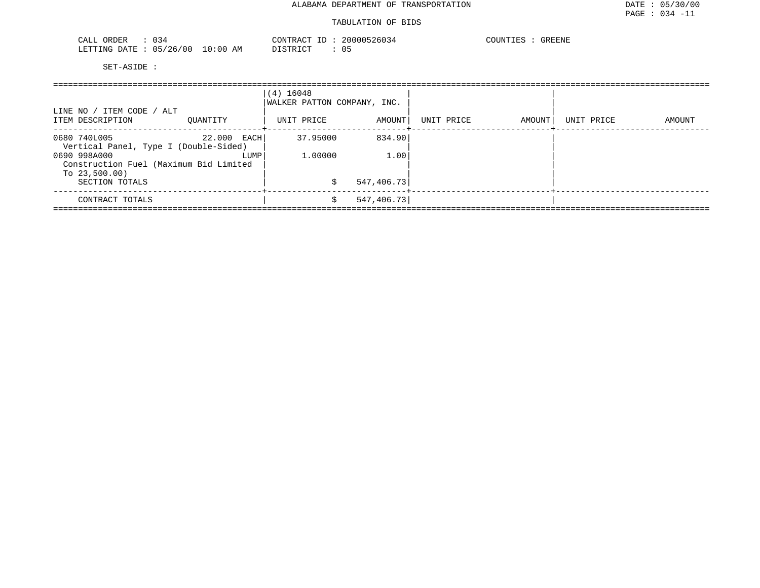| $\sim$ $\sim$<br>ORDER<br>CALL<br>134<br>ັບປີ |             | CONTR<br>$\cdot$ , $\cdot$ $\triangleright$ $\triangleright$ $\wedge$ $\wedge$ $\neg$<br>D. | 2000052<br>, 26034 | COUNTIES<br><b>GREENE</b> |
|-----------------------------------------------|-------------|---------------------------------------------------------------------------------------------|--------------------|---------------------------|
| 05/26<br>LETTING<br>700<br>DATE.<br>$\sim$    | 10:00<br>AΜ | $T$ $\cap$ $\cap$ $\cap$                                                                    | ⌒⌒冖<br>◡ ◡         |                           |

| LINE NO / ITEM CODE / ALT<br>ITEM DESCRIPTION                                                                                                       | OUANTITY            | (4) 16048<br>WALKER PATTON COMPANY, INC.<br>UNIT PRICE | AMOUNT                        | UNIT PRICE | AMOUNT | UNIT PRICE | AMOUNT |
|-----------------------------------------------------------------------------------------------------------------------------------------------------|---------------------|--------------------------------------------------------|-------------------------------|------------|--------|------------|--------|
| 0680 740L005<br>Vertical Panel, Type I (Double-Sided)<br>0690 998A000<br>Construction Fuel (Maximum Bid Limited<br>To $23,500.00$<br>SECTION TOTALS | 22.000 EACH<br>LUMP | 37.95000<br>1,00000                                    | 834.90<br>1.00<br>547, 406.73 |            |        |            |        |
| CONTRACT TOTALS                                                                                                                                     |                     |                                                        | 547, 406.73                   |            |        |            |        |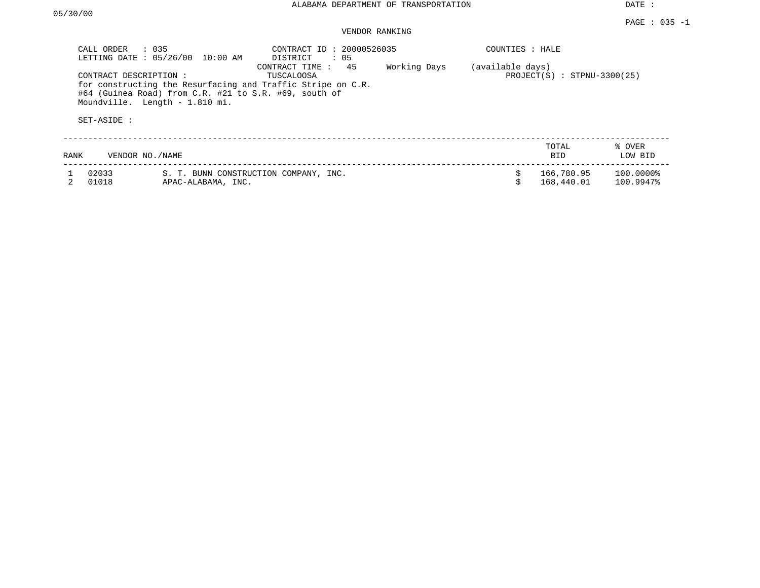DATE :

### PAGE : 035 -1 VENDOR RANKING

|      | CALL ORDER<br>$\therefore$ 035<br>LETTING DATE: 05/26/00 | 10:00 AM                       | CONTRACT ID: 20000526035<br>$\therefore$ 05<br>DISTRICT                                                                                                    |              | COUNTIES : HALE  |                               |                        |
|------|----------------------------------------------------------|--------------------------------|------------------------------------------------------------------------------------------------------------------------------------------------------------|--------------|------------------|-------------------------------|------------------------|
|      | CONTRACT DESCRIPTION:<br>SET-ASIDE :                     | Moundville. Length - 1.810 mi. | 45<br>CONTRACT TIME:<br>TUSCALOOSA<br>for constructing the Resurfacing and Traffic Stripe on C.R.<br>#64 (Guinea Road) from C.R. #21 to S.R. #69, south of | Working Days | (available days) | $PROJECT(S)$ : STPNU-3300(25) |                        |
| RANK | VENDOR NO./NAME                                          |                                |                                                                                                                                                            |              |                  | TOTAL<br>BID.                 | % OVER<br>LOW BID      |
|      | 02033<br>01018                                           | APAC-ALABAMA, INC.             | S. T. BUNN CONSTRUCTION COMPANY, INC.                                                                                                                      |              |                  | 166,780.95<br>168,440.01      | 100.0000%<br>100.9947% |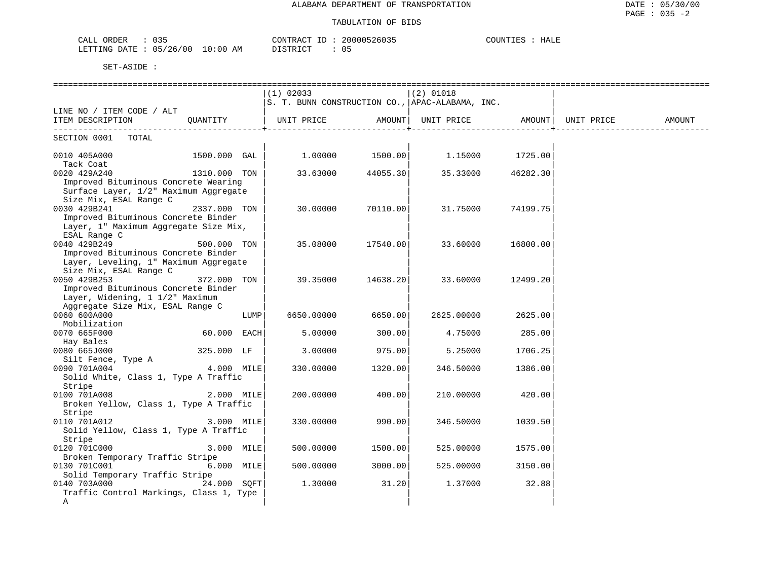### TABULATION OF BIDS

| $\sim$ $\sim$ $\sim$<br>$\sim$ $-$<br>$\cap$<br>-איגו<br>OKDER<br>لىطب<br><u> U J J</u>                                                                                                                                       | ו ∆ קידיז\ריר<br>wann'<br>3603. | COLINT'<br>H N L<br>nann |
|-------------------------------------------------------------------------------------------------------------------------------------------------------------------------------------------------------------------------------|---------------------------------|--------------------------|
| 00 /<br>' 7 6<br><b>DOMTATC</b><br>DATE<br>ΑM<br>$\cdot$ 00<br>$^{\prime}$<br>. .<br>⊥ ⊥ NG<br>$\sim$<br>.<br>the contract of the contract of the contract of the contract of the contract of the contract of the contract of | דת סידים דת<br>- 0 L            |                          |

|                                                                                                                            |              |      | $(1)$ 02033       |          | $(2)$ 01018                                     |          |            |        |
|----------------------------------------------------------------------------------------------------------------------------|--------------|------|-------------------|----------|-------------------------------------------------|----------|------------|--------|
|                                                                                                                            |              |      |                   |          | S. T. BUNN CONSTRUCTION CO., APAC-ALABAMA, INC. |          |            |        |
| LINE NO / ITEM CODE / ALT<br>ITEM DESCRIPTION QUANTITY                                                                     |              |      | UNIT PRICE AMOUNT |          | UNIT PRICE AMOUNT                               |          | UNIT PRICE | AMOUNT |
| SECTION 0001 TOTAL                                                                                                         |              |      |                   |          |                                                 |          |            |        |
| 0010 405A000<br>Tack Coat                                                                                                  | 1500.000 GAL |      | 1.00000           |          |                                                 |          |            |        |
| 0020 429A240<br>Improved Bituminous Concrete Wearing<br>Surface Layer, 1/2" Maximum Aggregate<br>Size Mix, ESAL Range C    | 1310.000 TON |      | 33.63000          | 44055.30 | 35.33000                                        | 46282.30 |            |        |
| 0030 429B241<br>Improved Bituminous Concrete Binder<br>Layer, 1" Maximum Aggregate Size Mix,<br>ESAL Range C               | 2337.000 TON |      | 30.00000          | 70110.00 | 31.75000                                        | 74199.75 |            |        |
| 0040 429B249<br>Improved Bituminous Concrete Binder<br>Layer, Leveling, 1" Maximum Aggregate<br>Size Mix, ESAL Range C     | 500.000 TON  |      | 35.08000          | 17540.00 | 33.60000                                        | 16800.00 |            |        |
| 0050 429B253<br>Improved Bituminous Concrete Binder<br>Layer, Widening, 1 1/2" Maximum<br>Aggregate Size Mix, ESAL Range C | 372.000 TON  |      | 39.35000          | 14638.20 | 33.60000                                        | 12499.20 |            |        |
| 0060 600A000<br>Mobilization                                                                                               |              | LUMP | 6650.00000        | 6650.00  | 2625.00000                                      | 2625.00  |            |        |
| 0070 665F000<br>Hay Bales                                                                                                  | 60.000 EACH  |      | 5.00000           | 300.00   | 4.75000                                         | 285.00   |            |        |
| 0080 665J000<br>Silt Fence, Type A                                                                                         | 325.000 LF   |      | 3,00000           | 975.00   | 5.25000                                         | 1706.25  |            |        |
| $4.000$ MILE<br>0090 701A004<br>Solid White, Class 1, Type A Traffic<br>Stripe                                             |              |      | 330.00000         | 1320.00  | 346.50000                                       | 1386.00  |            |        |
| 0100 701A008<br>Broken Yellow, Class 1, Type A Traffic<br>Stripe                                                           | 2.000 MILE   |      | 200.00000         | 400.00   | 210.00000                                       | 420.00   |            |        |
| 0110 701A012<br>Solid Yellow, Class 1, Type A Traffic<br>Stripe                                                            | 3.000 MILE   |      | 330.00000         | 990.00   | 346.50000                                       | 1039.50  |            |        |
| 0120 701C000<br>Broken Temporary Traffic Stripe                                                                            | 3.000 MILE   |      | 500.00000         | 1500.00  | 525.00000                                       | 1575.00  |            |        |
| 0130 701C001<br>Solid Temporary Traffic Stripe                                                                             | 6.000 MILE   |      | 500.00000         | 3000.00  | 525.00000                                       | 3150.00  |            |        |
| 0140 703A000<br>Traffic Control Markings, Class 1, Type<br>A                                                               | 24.000 SOFT  |      | 1,30000           | 31.20    | 1.37000                                         | 32.88    |            |        |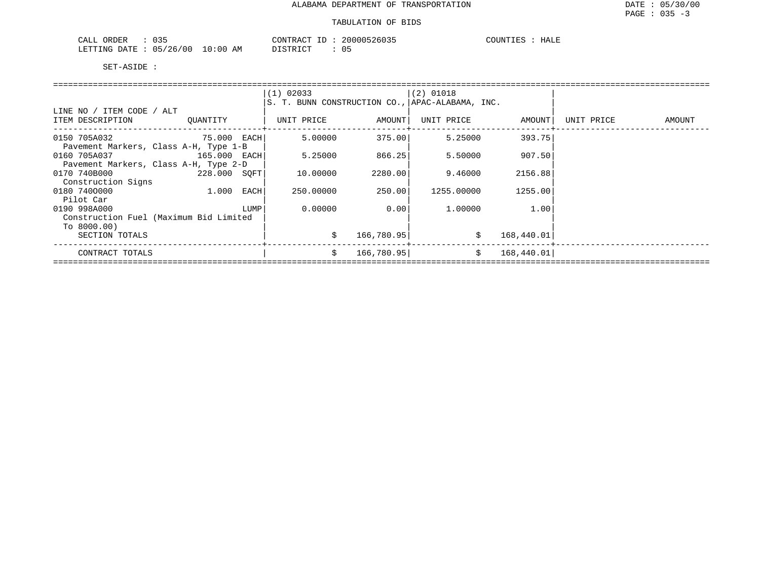| $\sim$ $\sim$ $\sim$<br>ORDER<br>$\cdot$<br>.<br>ບວວ<br>ىلىدى |                    | CONTRACT    | ו הי<br>n | $\cap$ tin'<br>HALE |
|---------------------------------------------------------------|--------------------|-------------|-----------|---------------------|
| 0.5<br>LETTING<br><b>DATE</b><br>′ 0 (<br>シム<br>$\sim$        | AΜ<br>,,,,<br>L V. | $\sim$<br>. | U.S       |                     |

|                                        |          |      | $(1)$ 02033                                     |            | $ (2)$ 01018 |            |            |        |
|----------------------------------------|----------|------|-------------------------------------------------|------------|--------------|------------|------------|--------|
|                                        |          |      | S. T. BUNN CONSTRUCTION CO., APAC-ALABAMA, INC. |            |              |            |            |        |
| LINE NO / ITEM CODE / ALT              |          |      |                                                 |            |              |            |            |        |
| ITEM DESCRIPTION                       | OUANTITY |      | UNIT PRICE                                      | AMOUNT     | UNIT PRICE   | AMOUNT     | UNIT PRICE | AMOUNT |
|                                        |          |      |                                                 |            |              |            |            |        |
| 0150 705A032<br>75.000 EACH            |          |      | 5.00000                                         | 375.00     | 5.25000      | 393.75     |            |        |
| Pavement Markers, Class A-H, Type 1-B  |          |      |                                                 |            |              |            |            |        |
| 0160 705A037 165.000 EACH              |          |      | 5.25000                                         | 866.25     | 5.50000      | 907.50     |            |        |
| Pavement Markers, Class A-H, Type 2-D  |          |      |                                                 |            |              |            |            |        |
| 0170 740B000<br>228.000 SOFT           |          |      | 10.00000                                        | 2280.00    | 9.46000      | 2156.88    |            |        |
| Construction Signs                     |          |      |                                                 |            |              |            |            |        |
| 0180 7400000                           | 1.000    | EACH | 250.00000                                       | 250.001    | 1255.00000   | 1255.00    |            |        |
| Pilot Car                              |          |      |                                                 |            |              |            |            |        |
| 0190 998A000                           |          | LUMP | 0.00000                                         | 0.001      | 1.00000      | 1.00       |            |        |
| Construction Fuel (Maximum Bid Limited |          |      |                                                 |            |              |            |            |        |
| To 8000.00)                            |          |      |                                                 |            |              |            |            |        |
| SECTION TOTALS                         |          |      | \$                                              | 166,780.95 |              | 168,440.01 |            |        |
| CONTRACT TOTALS                        |          |      | \$                                              | 166,780.95 | $\ddot{s}$   | 168,440.01 |            |        |
|                                        |          |      |                                                 |            |              |            |            |        |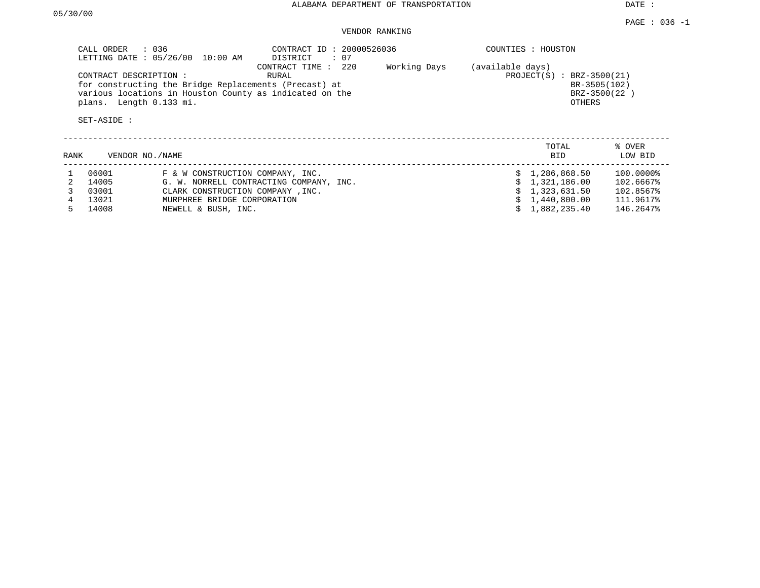DATE :

## VENDOR RANKING

| CALL ORDER : 036<br>LETTING DATE : 05/26/00 10:00 AM                                                             | CONTRACT ID: 20000526036<br>: 07<br>DISTRICT    | COUNTIES : HOUSTON                                 |
|------------------------------------------------------------------------------------------------------------------|-------------------------------------------------|----------------------------------------------------|
| CONTRACT DESCRIPTION:                                                                                            | 220<br>Working Days<br>CONTRACT TIME :<br>RURAL | (available days)<br>$: BRZ-3500(21)$<br>PROJECT(S) |
| for constructing the Bridge Replacements (Precast) at<br>various locations in Houston County as indicated on the |                                                 | BR-3505(102)<br>BRZ-3500 (22                       |
| plans. Length 0.133 mi.                                                                                          |                                                 | OTHERS                                             |
| SET-ASIDE :                                                                                                      |                                                 |                                                    |

| RANK | VENDOR NO./NAME |                                         | TOTAL<br><b>BID</b> | % OVER<br>LOW BID |
|------|-----------------|-----------------------------------------|---------------------|-------------------|
|      | 06001           | F & W CONSTRUCTION COMPANY, INC.        | \$1,286,868.50      | 100.0000%         |
|      | 14005           | G. W. NORRELL CONTRACTING COMPANY, INC. | \$1,321,186.00      | 102.6667%         |
|      | 03001           | CLARK CONSTRUCTION COMPANY, INC.        | \$1,323,631.50      | 102.8567%         |
|      | 13021           | MURPHREE BRIDGE CORPORATION             | \$1,440,800.00      | 111.9617%         |
|      | 14008           | NEWELL & BUSH, INC.                     | \$1.882.235.40      | 146.2647%         |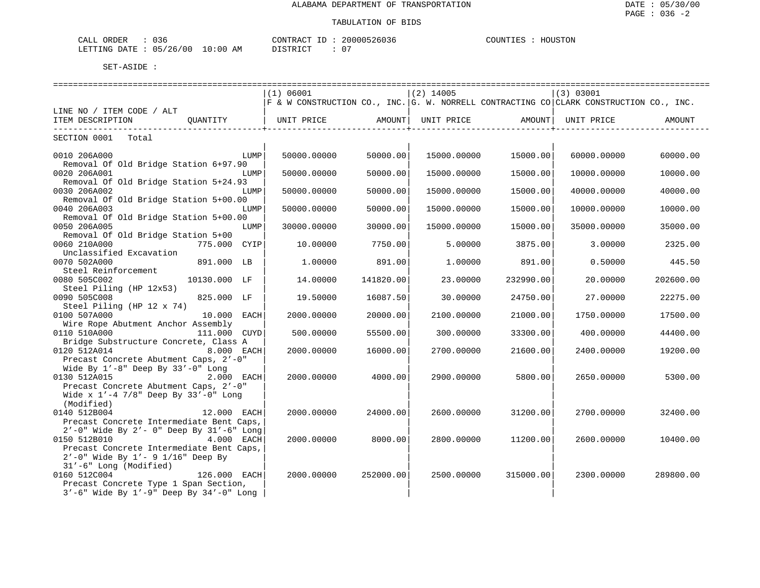| CALL ORDER                      | りろも | CONTRACT ID : |  | 20000526036 | COUNTIES | HOUSTON |
|---------------------------------|-----|---------------|--|-------------|----------|---------|
| LETTING DATE: 05/26/00 10:00 AM |     | DISTRICT      |  |             |          |         |

|                                                                            | (1) 06001                                                                                      |           | $(2)$ 14005 |           | (3) 03001           |           |
|----------------------------------------------------------------------------|------------------------------------------------------------------------------------------------|-----------|-------------|-----------|---------------------|-----------|
|                                                                            | $ F \kappa W$ construction co., INC. G. W. NORRELL CONTRACTING CO CLARK CONSTRUCTION CO., INC. |           |             |           |                     |           |
| LINE NO / ITEM CODE / ALT                                                  |                                                                                                |           |             |           |                     |           |
| ITEM DESCRIPTION<br>-----------------------+-------                        | QUANTITY   UNIT PRICE AMOUNT  UNIT PRICE                                                       |           |             |           | AMOUNT   UNIT PRICE | AMOUNT    |
| -----------------<br>SECTION 0001 Total                                    |                                                                                                |           |             |           |                     |           |
|                                                                            |                                                                                                |           |             |           |                     |           |
| LUMP<br>0010 206A000                                                       | 50000.00000                                                                                    | 50000.00  | 15000.00000 | 15000.00  | 60000.00000         | 60000.00  |
| Removal Of Old Bridge Station 6+97.90<br>0020 206A001<br>LUMP              | 50000.00000                                                                                    | 50000.00  | 15000.00000 | 15000.00  | 10000.00000         | 10000.00  |
| Removal Of Old Bridge Station 5+24.93                                      |                                                                                                |           |             |           |                     |           |
| 0030 206A002<br>LUMP                                                       | 50000.00000                                                                                    | 50000.00  | 15000.00000 | 15000.00  | 40000.00000         | 40000.00  |
| Removal Of Old Bridge Station 5+00.00                                      |                                                                                                |           |             |           |                     |           |
| 0040 206A003<br>LUMP                                                       | 50000.00000                                                                                    | 50000.00  | 15000.00000 | 15000.00  | 10000.00000         | 10000.00  |
| Removal Of Old Bridge Station 5+00.00                                      |                                                                                                |           |             |           |                     |           |
| 0050 206A005<br>LUMP                                                       | 30000.00000                                                                                    | 30000.00  | 15000.00000 | 15000.00  | 35000.00000         | 35000.00  |
| Removal Of Old Bridge Station 5+00                                         |                                                                                                |           |             |           |                     |           |
| 0060 210A000<br>775.000 CYIP                                               | 10.00000                                                                                       | 7750.00   | 5.00000     | 3875.00   | 3.00000             | 2325.00   |
| Unclassified Excavation                                                    |                                                                                                |           |             |           |                     |           |
| 0070 502A000<br>891.000 LB<br>Steel Reinforcement                          | 1,00000                                                                                        | 891.00    | 1,00000     | 891.00    | 0.50000             | 445.50    |
| 0080 505C002<br>10130.000 LF                                               | 14.00000                                                                                       | 141820.00 | 23.00000    | 232990.00 | 20.00000            | 202600.00 |
| Steel Piling (HP 12x53)                                                    |                                                                                                |           |             |           |                     |           |
| 0090 505C008<br>825.000 LF                                                 | 19.50000                                                                                       | 16087.50  | 30,00000    | 24750.00  | 27.00000            | 22275.00  |
| Steel Piling (HP 12 x 74)                                                  |                                                                                                |           |             |           |                     |           |
| 0100 507A000<br>10.000 EACH                                                | 2000.00000                                                                                     | 20000.00  | 2100.00000  | 21000.00  | 1750.00000          | 17500.00  |
| Wire Rope Abutment Anchor Assembly                                         |                                                                                                |           |             |           |                     |           |
| 0110 510A000<br>111.000 CUYD                                               | 500.00000                                                                                      | 55500.00  | 300.00000   | 33300.00  | 400.00000           | 44400.00  |
| Bridge Substructure Concrete, Class A                                      |                                                                                                |           |             |           |                     |           |
| 0120 512A014<br>8.000 EACH                                                 | 2000.00000                                                                                     | 16000.00  | 2700.00000  | 21600.00  | 2400.00000          | 19200.00  |
| Precast Concrete Abutment Caps, 2'-0"<br>Wide By 1'-8" Deep By 33'-0" Long |                                                                                                |           |             |           |                     |           |
| 0130 512A015<br>2.000 EACH                                                 | 2000.00000                                                                                     | 4000.00   | 2900.00000  | 5800.00   | 2650.00000          | 5300.00   |
| Precast Concrete Abutment Caps, 2'-0"                                      |                                                                                                |           |             |           |                     |           |
| Wide x $1'-4$ 7/8" Deep By 33'-0" Long                                     |                                                                                                |           |             |           |                     |           |
| (Modified)                                                                 |                                                                                                |           |             |           |                     |           |
| 0140 512B004<br>12.000 EACH                                                | 2000.00000                                                                                     | 24000.00  | 2600.00000  | 31200.00  | 2700.00000          | 32400.00  |
| Precast Concrete Intermediate Bent Caps,                                   |                                                                                                |           |             |           |                     |           |
| $2'$ -0" Wide By $2'$ - 0" Deep By $31'$ -6" Long                          |                                                                                                |           |             |           |                     |           |
| 4.000 EACH<br>0150 512B010                                                 | 2000.00000                                                                                     | 8000.00   | 2800.00000  | 11200.00  | 2600.00000          | 10400.00  |
| Precast Concrete Intermediate Bent Caps,                                   |                                                                                                |           |             |           |                     |           |
| $2'$ -0" Wide By 1'- 9 1/16" Deep By<br>31'-6" Long (Modified)             |                                                                                                |           |             |           |                     |           |
| 0160 512C004<br>126.000 EACH                                               | 2000.00000                                                                                     | 252000.00 | 2500.00000  | 315000.00 | 2300.00000          | 289800.00 |
| Precast Concrete Type 1 Span Section,                                      |                                                                                                |           |             |           |                     |           |
| $3'$ -6" Wide By $1'$ -9" Deep By $34'$ -0" Long                           |                                                                                                |           |             |           |                     |           |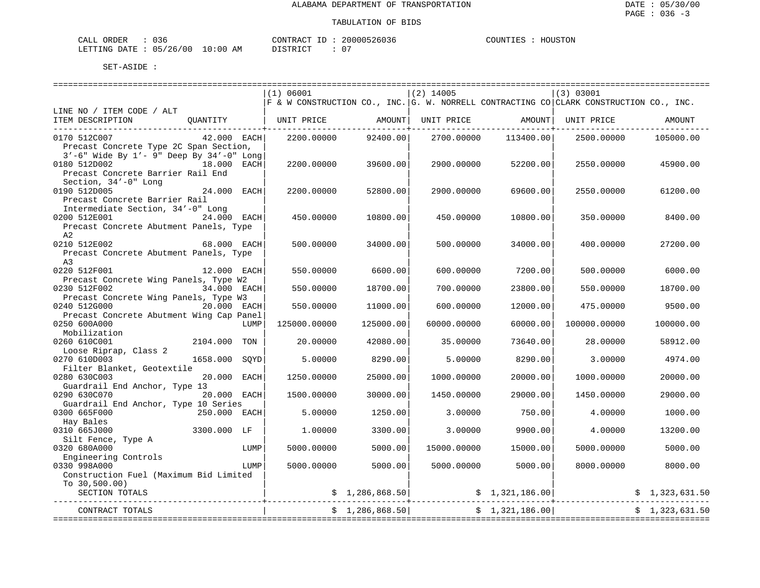| CALL ORDER                      | 036 |          |  | CONTRACT ID: 20000526036 | COUNTIES | HOUSTON |
|---------------------------------|-----|----------|--|--------------------------|----------|---------|
| LETTING DATE: 05/26/00 10:00 AM |     | DISTRICT |  |                          |          |         |

|                                                                                   |              |      | (1) 06001    |                 | $(2)$ 14005 |                                                                              | (3) 03001                                                                              |                           |
|-----------------------------------------------------------------------------------|--------------|------|--------------|-----------------|-------------|------------------------------------------------------------------------------|----------------------------------------------------------------------------------------|---------------------------|
|                                                                                   |              |      |              |                 |             |                                                                              | F & W CONSTRUCTION CO., INC. G. W. NORRELL CONTRACTING CO CLARK CONSTRUCTION CO., INC. |                           |
| LINE NO / ITEM CODE / ALT                                                         |              |      |              |                 |             |                                                                              |                                                                                        |                           |
| ITEM DESCRIPTION QUANTITY   UNIT PRICE AMOUNT UNIT PRICE AMOUNT UNIT PRICE AMOUNT |              |      |              |                 |             |                                                                              |                                                                                        |                           |
| 0170 512C007                                                                      | 42.000 EACH  |      | 2200.00000   | 92400.00        | 2700.00000  | 113400.00                                                                    | 2500.00000                                                                             | 105000.00                 |
| Precast Concrete Type 2C Span Section,                                            |              |      |              |                 |             |                                                                              |                                                                                        |                           |
| 3'-6" Wide By 1'- 9" Deep By 34'-0" Long                                          |              |      |              |                 |             |                                                                              |                                                                                        |                           |
| 0180 512D002<br>18.000 EACH                                                       |              |      | 2200.00000   | 39600.00        | 2900.00000  | 52200.00                                                                     | 2550.00000                                                                             | 45900.00                  |
| Precast Concrete Barrier Rail End                                                 |              |      |              |                 |             |                                                                              |                                                                                        |                           |
| Section, 34'-0" Long                                                              |              |      |              |                 |             |                                                                              |                                                                                        |                           |
| 0190 512D005                                                                      | 24.000 EACH  |      | 2200.00000   | 52800.00        | 2900.00000  | 69600.00                                                                     | 2550.00000                                                                             | 61200.00                  |
| Precast Concrete Barrier Rail                                                     |              |      |              |                 |             |                                                                              |                                                                                        |                           |
| Intermediate Section, 34'-0" Long                                                 |              |      |              |                 |             |                                                                              |                                                                                        |                           |
| 0200 512E001                                                                      | 24.000 EACH  |      | 450.00000    | 10800.00        | 450.00000   | 10800.00                                                                     | 350.00000                                                                              | 8400.00                   |
| Precast Concrete Abutment Panels, Type                                            |              |      |              |                 |             |                                                                              |                                                                                        |                           |
| A2                                                                                |              |      |              |                 |             |                                                                              |                                                                                        |                           |
| 0210 512E002                                                                      | 68.000 EACH  |      | 500.00000    | 34000.00        | 500.00000   | 34000.00                                                                     | 400.00000                                                                              | 27200.00                  |
| Precast Concrete Abutment Panels, Type                                            |              |      |              |                 |             |                                                                              |                                                                                        |                           |
| A <sub>3</sub>                                                                    |              |      |              |                 |             |                                                                              |                                                                                        |                           |
| 0220 512F001                                                                      | 12.000 EACH  |      | 550.00000    | 6600.00         | 600.00000   | 7200.00                                                                      | 500.00000                                                                              | 6000.00                   |
| Precast Concrete Wing Panels, Type W2                                             |              |      |              |                 |             |                                                                              |                                                                                        |                           |
| 0230 512F002                                                                      | 34.000 EACH  |      | 550.00000    | 18700.00        | 700.00000   | 23800.00                                                                     | 550.00000                                                                              | 18700.00                  |
| Precast Concrete Wing Panels, Type W3                                             |              |      |              |                 |             |                                                                              |                                                                                        |                           |
| 0240 512G000                                                                      | 20.000 EACH  |      | 550.00000    | 11000.00        | 600.00000   | 12000.00                                                                     | 475.00000                                                                              | 9500.00                   |
| Precast Concrete Abutment Wing Cap Panel                                          |              |      |              |                 |             |                                                                              |                                                                                        |                           |
| 0250 600A000                                                                      |              | LUMP | 125000.00000 | 125000.00       | 60000.00000 | 60000.00                                                                     | 100000.00000                                                                           | 100000.00                 |
| Mobilization                                                                      |              |      |              |                 |             |                                                                              |                                                                                        |                           |
| 0260 610C001                                                                      | 2104.000 TON |      | 20.00000     | 42080.00        | 35.00000    | 73640.00                                                                     | 28,00000                                                                               | 58912.00                  |
| Loose Riprap, Class 2                                                             |              |      |              |                 |             |                                                                              |                                                                                        |                           |
| 0270 610D003                                                                      | 1658.000     | SOYD | 5.00000      | 8290.00         | 5.00000     | 8290.00                                                                      | 3.00000                                                                                | 4974.00                   |
| Filter Blanket, Geotextile                                                        |              |      |              |                 |             |                                                                              |                                                                                        |                           |
| 0280 630C003                                                                      | 20.000 EACH  |      | 1250.00000   | 25000.00        | 1000.00000  | 20000.00                                                                     | 1000.00000                                                                             | 20000.00                  |
| Guardrail End Anchor, Type 13                                                     |              |      |              |                 |             |                                                                              |                                                                                        |                           |
| 0290 630C070                                                                      | 20.000 EACH  |      | 1500.00000   | 30000.00        | 1450.00000  | 29000.00                                                                     | 1450.00000                                                                             | 29000.00                  |
| Guardrail End Anchor, Type 10 Series                                              |              |      |              |                 |             |                                                                              |                                                                                        |                           |
| 0300 665F000                                                                      | 250.000 EACH |      | 5.00000      | 1250.00         | 3.00000     | 750.00                                                                       | 4.00000                                                                                | 1000.00                   |
| Hay Bales                                                                         |              |      |              |                 |             |                                                                              |                                                                                        |                           |
| 0310 665J000                                                                      | 3300.000 LF  |      | 1,00000      | 3300.00         | 3.00000     | 9900.00                                                                      | 4.00000                                                                                | 13200.00                  |
| Silt Fence, Type A                                                                |              |      |              |                 |             |                                                                              |                                                                                        |                           |
| 0320 680A000                                                                      |              | LUMP | 5000.00000   | 5000.00         | 15000.00000 | 15000.00                                                                     | 5000.00000                                                                             | 5000.00                   |
| Engineering Controls                                                              |              |      |              |                 |             |                                                                              |                                                                                        |                           |
| 0330 998A000                                                                      |              | LUMP | 5000.00000   | 5000.00         | 5000.00000  | 5000.00                                                                      | 8000.00000                                                                             | 8000.00                   |
| Construction Fuel (Maximum Bid Limited                                            |              |      |              |                 |             |                                                                              |                                                                                        |                           |
| To $30,500.00$                                                                    |              |      |              |                 |             |                                                                              |                                                                                        |                           |
|                                                                                   |              |      |              |                 |             |                                                                              |                                                                                        | 0 $\vert$ \$ 1,323,631.50 |
|                                                                                   |              |      |              |                 |             |                                                                              |                                                                                        |                           |
| CONTRACT TOTALS                                                                   |              |      |              | \$1,286,868.50] |             | $\begin{array}{c c} \texttt{-----} & \texttt{\$} & 1,321,186.00 \end{array}$ |                                                                                        | \$1,323,631.50            |
|                                                                                   |              |      |              |                 |             |                                                                              |                                                                                        |                           |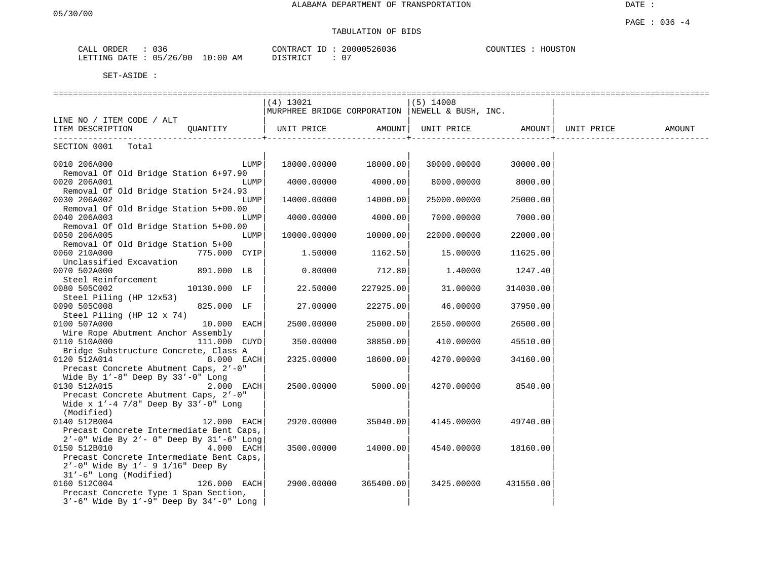DATE :

### PAGE : 036 -4 TABULATION OF BIDS

| ORDER<br>$\mathbf{A}$<br>IJĿĸ<br>للدائب | $\sim$ $\sim$<br>U 3 t                                     | $- -$<br>CONTR "<br>$\sqrt{2}$ | חחמ<br>ֲ<br><b>b</b> U3b | HOUSTON<br>$\bigcap \text{TIN}^r$<br>н. |
|-----------------------------------------|------------------------------------------------------------|--------------------------------|--------------------------|-----------------------------------------|
| LETTING<br>DATE.                        | $\sim$<br>05<br>AΜ<br>′ 0 (<br>ี 1<br>,,,,<br>$\sim$<br>∸∪ | CMDT<br>---                    | $\sim$ $\sim$<br>v       |                                         |

|                                                                                  | ==============================                  |                      |             |                   |            |        |
|----------------------------------------------------------------------------------|-------------------------------------------------|----------------------|-------------|-------------------|------------|--------|
|                                                                                  | $(4)$ 13021                                     |                      | $(5)$ 14008 |                   |            |        |
|                                                                                  | MURPHREE BRIDGE CORPORATION NEWELL & BUSH, INC. |                      |             |                   |            |        |
| LINE NO / ITEM CODE / ALT                                                        |                                                 |                      |             |                   |            |        |
| ITEM DESCRIPTION<br>OUANTITY   UNIT PRICE                                        |                                                 | AMOUNT               |             | UNIT PRICE AMOUNT | UNIT PRICE | AMOUNT |
| SECTION 0001<br>Total                                                            |                                                 |                      |             |                   |            |        |
|                                                                                  |                                                 |                      |             |                   |            |        |
| 0010 206A000<br>LUMP                                                             |                                                 | 18000.00000 18000.00 | 30000.00000 | 30000.00          |            |        |
| Removal Of Old Bridge Station 6+97.90                                            |                                                 |                      |             |                   |            |        |
| 0020 206A001<br>LUMP                                                             | 4000.00000                                      | 4000.00              | 8000.00000  | 8000.00           |            |        |
| Removal Of Old Bridge Station 5+24.93                                            |                                                 |                      |             |                   |            |        |
| 0030 206A002<br>LUMP                                                             | 14000.00000                                     | 14000.00             | 25000.00000 | 25000.00          |            |        |
| Removal Of Old Bridge Station 5+00.00                                            |                                                 |                      |             |                   |            |        |
| 0040 206A003<br>LUMP                                                             | 4000.00000                                      | 4000.00              | 7000.00000  | 7000.00           |            |        |
| Removal Of Old Bridge Station 5+00.00<br>0050 206A005<br>LUMP                    | 10000.00000                                     | 10000.00             | 22000.00000 | 22000.00          |            |        |
| Removal Of Old Bridge Station 5+00                                               |                                                 |                      |             |                   |            |        |
| 0060 210A000<br>775.000 CYIP                                                     | 1.50000                                         | 1162.50              | 15.00000    | 11625.00          |            |        |
| Unclassified Excavation                                                          |                                                 |                      |             |                   |            |        |
| 891.000 LB<br>0070 502A000                                                       | 0.80000                                         | 712.80               | 1.40000     | 1247.40           |            |        |
| Steel Reinforcement                                                              |                                                 |                      |             |                   |            |        |
| 0080 505C002<br>10130.000 LF                                                     | 22.50000                                        | 227925.00            | 31.00000    | 314030.00         |            |        |
| Steel Piling (HP 12x53)                                                          |                                                 |                      |             |                   |            |        |
| 0090 505C008<br>825.000 LF                                                       | 27.00000                                        | 22275.00             | 46.00000    | 37950.00          |            |        |
| Steel Piling (HP 12 x 74)                                                        |                                                 |                      |             |                   |            |        |
| 0100 507A000<br>10.000 EACH                                                      | 2500.00000                                      | 25000.00             | 2650.00000  | 26500.00          |            |        |
| Wire Rope Abutment Anchor Assembly                                               |                                                 |                      |             |                   |            |        |
| 0110 510A000<br>111.000 CUYD<br>Bridge Substructure Concrete, Class A            | 350.00000                                       | 38850.00             | 410.00000   | 45510.00          |            |        |
| 0120 512A014<br>8.000 EACH                                                       | 2325,00000                                      | 18600.00             | 4270.00000  | 34160.00          |            |        |
| Precast Concrete Abutment Caps, 2'-0"                                            |                                                 |                      |             |                   |            |        |
| Wide By $1'-8$ " Deep By $33'-0$ " Long                                          |                                                 |                      |             |                   |            |        |
| 0130 512A015<br>2.000 EACH                                                       | 2500.00000                                      | 5000.00              | 4270.00000  | 8540.00           |            |        |
| Precast Concrete Abutment Caps, 2'-0"                                            |                                                 |                      |             |                   |            |        |
| Wide x $1'-4$ 7/8" Deep By 33'-0" Long                                           |                                                 |                      |             |                   |            |        |
| (Modified)                                                                       |                                                 |                      |             |                   |            |        |
| 0140 512B004<br>12.000 EACH                                                      | 2920.00000                                      | 35040.00             | 4145.00000  | 49740.001         |            |        |
| Precast Concrete Intermediate Bent Caps,                                         |                                                 |                      |             |                   |            |        |
| 2'-0" Wide By 2'- 0" Deep By 31'-6" Long                                         |                                                 |                      |             |                   |            |        |
| 0150 512B010<br>4.000 EACH                                                       | 3500.00000                                      | 14000.00             | 4540.00000  | 18160.00          |            |        |
| Precast Concrete Intermediate Bent Caps,<br>$2'$ -0" Wide By 1'- 9 1/16" Deep By |                                                 |                      |             |                   |            |        |
| 31'-6" Long (Modified)                                                           |                                                 |                      |             |                   |            |        |
| 0160 512C004<br>126.000 EACH                                                     | 2900.00000                                      | 365400.00            | 3425.00000  | 431550.00         |            |        |
| Precast Concrete Type 1 Span Section,                                            |                                                 |                      |             |                   |            |        |
| $3'-6$ " Wide By $1'-9$ " Deep By $34'-0$ " Long                                 |                                                 |                      |             |                   |            |        |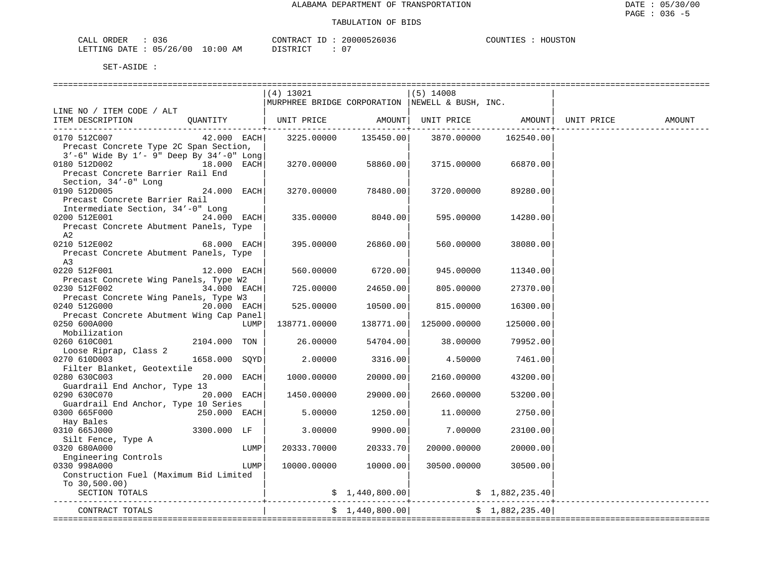| CALL ORDER                      | 'J 36 | CONTRACT | ' ID | 20000526036 | COUNTIES | HOUSTON |
|---------------------------------|-------|----------|------|-------------|----------|---------|
| LETTING DATE: 05/26/00 10:00 AM |       | DISTRICT |      |             |          |         |

|                                                                              |               |      | (4) 13021                                        |                         | $(5)$ 14008  |                 |        |
|------------------------------------------------------------------------------|---------------|------|--------------------------------------------------|-------------------------|--------------|-----------------|--------|
|                                                                              |               |      | MURPHREE BRIDGE CORPORATION  NEWELL & BUSH, INC. |                         |              |                 |        |
| LINE NO / ITEM CODE / ALT                                                    |               |      |                                                  |                         |              |                 |        |
| ITEM DESCRIPTION QUANTITY   UNIT PRICE AMOUNT  UNIT PRICE AMOUNT  UNIT PRICE |               |      |                                                  |                         |              |                 | AMOUNT |
|                                                                              |               |      |                                                  | ---------------+------- |              |                 |        |
| 0170 512C007                                                                 | 42.000 EACH   |      |                                                  | 3225.00000 135450.00    | 3870.00000   | 162540.00       |        |
| Precast Concrete Type 2C Span Section,                                       |               |      |                                                  |                         |              |                 |        |
| $3'-6$ " Wide By $1'-9$ " Deep By $34'-0$ " Long                             |               |      |                                                  |                         |              |                 |        |
| 18.000 EACH<br>0180 512D002                                                  |               |      | 3270.00000                                       | 58860.00                | 3715.00000   | 66870.00        |        |
| Precast Concrete Barrier Rail End                                            |               |      |                                                  |                         |              |                 |        |
| Section, 34'-0" Long                                                         |               |      |                                                  |                         |              |                 |        |
| 0190 512D005                                                                 | 24.000 EACH   |      | 3270.00000                                       | 78480.00                | 3720.00000   | 89280.00        |        |
| Precast Concrete Barrier Rail                                                |               |      |                                                  |                         |              |                 |        |
| Intermediate Section, 34'-0" Long                                            |               |      |                                                  |                         |              |                 |        |
| 0200 512E001                                                                 | 24.000 EACH   |      | 335.00000                                        | 8040.00                 | 595,00000    | 14280.00        |        |
| Precast Concrete Abutment Panels, Type                                       |               |      |                                                  |                         |              |                 |        |
| A2                                                                           |               |      |                                                  |                         |              |                 |        |
| 0210 512E002                                                                 | 68.000 EACH   |      | 395.00000                                        | 26860.00                | 560.00000    | 38080.00        |        |
| Precast Concrete Abutment Panels, Type                                       |               |      |                                                  |                         |              |                 |        |
| A3                                                                           |               |      |                                                  |                         |              |                 |        |
| 0220 512F001                                                                 | 12.000 EACH   |      | 560.00000                                        | 6720.00                 | 945.00000    | 11340.00        |        |
| Precast Concrete Wing Panels, Type W2                                        |               |      |                                                  |                         |              |                 |        |
| 0230 512F002                                                                 | 34.000 EACH   |      | 725.00000                                        | 24650.00                | 805.00000    | 27370.00        |        |
| Precast Concrete Wing Panels, Type W3                                        |               |      |                                                  |                         |              |                 |        |
| 0240 512G000                                                                 | 20.000 EACH   |      | 525.00000                                        | 10500.00                | 815.00000    | 16300.00        |        |
| Precast Concrete Abutment Wing Cap Panel                                     |               |      |                                                  |                         |              |                 |        |
| 0250 600A000                                                                 |               | LUMP | 138771.00000                                     | 138771.00               | 125000.00000 | 125000.00       |        |
| Mobilization                                                                 |               |      |                                                  |                         |              |                 |        |
| tin 1996.<br>Tanzania<br>0260 610C001                                        | 2104.000 TON  |      | 26.00000                                         | 54704.00                | 38.00000     | 79952.00        |        |
| Loose Riprap, Class 2                                                        |               |      |                                                  |                         |              |                 |        |
| 0270 610D003                                                                 | 1658.000 SOYD |      | 2.00000                                          | 3316.00                 | 4.50000      | 7461.00         |        |
| Filter Blanket, Geotextile                                                   |               |      |                                                  |                         |              |                 |        |
| 0280 630C003                                                                 | 20.000 EACH   |      | 1000.00000                                       | 20000.00                | 2160.00000   | 43200.00        |        |
| Guardrail End Anchor, Type 13                                                |               |      |                                                  |                         |              |                 |        |
| 0290 630C070                                                                 | 20.000 EACH   |      | 1450.00000                                       | 29000.00                | 2660.00000   | 53200.00        |        |
| Guardrail End Anchor, Type 10 Series                                         |               |      |                                                  |                         |              |                 |        |
| 0300 665F000                                                                 | 250.000 EACH  |      | 5.00000                                          | 1250.00                 | 11,00000     | 2750.00         |        |
| Hay Bales                                                                    |               |      |                                                  |                         |              |                 |        |
| 3300.000 LF<br>0310 665J000                                                  |               |      | 3.00000                                          | 9900.00                 | 7.00000      | 23100.00        |        |
| Silt Fence, Type A                                                           |               |      |                                                  |                         |              |                 |        |
| 0320 680A000                                                                 |               | LUMP | 20333.70000                                      | 20333.70                | 20000.00000  | 20000.00        |        |
| Engineering Controls                                                         |               |      |                                                  |                         |              |                 |        |
| 0330 998A000                                                                 |               | LUMP | 10000.00000                                      | 10000.00                | 30500.00000  | 30500.00        |        |
| Construction Fuel (Maximum Bid Limited                                       |               |      |                                                  |                         |              |                 |        |
| To $30,500.00$ )                                                             |               |      |                                                  |                         |              |                 |        |
| SECTION TOTALS                                                               |               |      |                                                  |                         |              |                 |        |
|                                                                              |               |      |                                                  |                         |              |                 |        |
| CONTRACT TOTALS                                                              |               |      |                                                  | \$1,440,800.00          |              | \$1,882,235.40] |        |
|                                                                              |               |      |                                                  |                         |              |                 |        |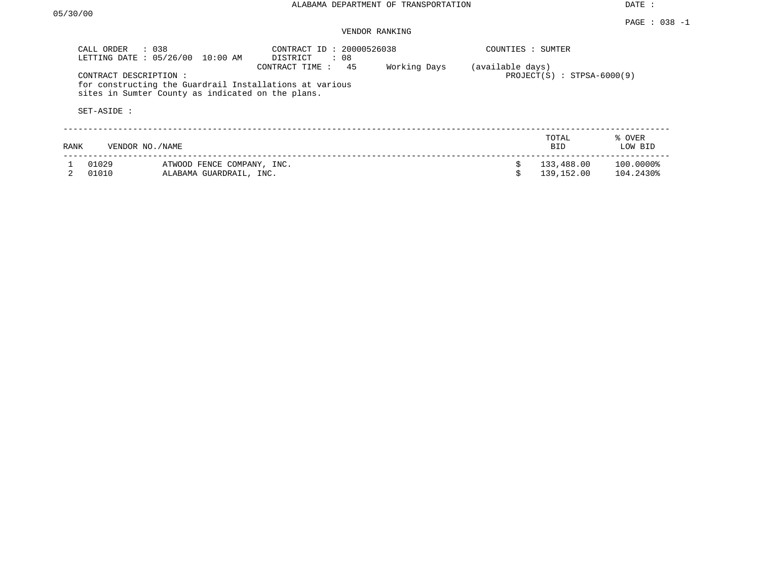DATE :

### PAGE : 038 -1 VENDOR RANKING

|      | CALL ORDER<br>$\therefore$ 0.38<br>LETTING DATE: 05/26/00 | $10:00$ AM                                            | CONTRACT ID: 20000526038<br>: 08<br>DISTRICT                                    |              | COUNTIES : SUMTER |                              |                        |
|------|-----------------------------------------------------------|-------------------------------------------------------|---------------------------------------------------------------------------------|--------------|-------------------|------------------------------|------------------------|
|      | CONTRACT DESCRIPTION:<br>SET-ASIDE :                      | sites in Sumter County as indicated on the plans.     | 45<br>CONTRACT TIME:<br>for constructing the Guardrail Installations at various | Working Days | (available days)  | $PROJECT(S)$ : STPSA-6000(9) |                        |
| RANK | VENDOR NO./NAME                                           |                                                       |                                                                                 |              |                   | TOTAL<br><b>BID</b>          | % OVER<br>LOW BID      |
|      | 01029<br>01010                                            | ATWOOD FENCE COMPANY, INC.<br>ALABAMA GUARDRAIL, INC. |                                                                                 |              |                   | 133,488.00<br>139, 152.00    | 100.0000%<br>104.2430% |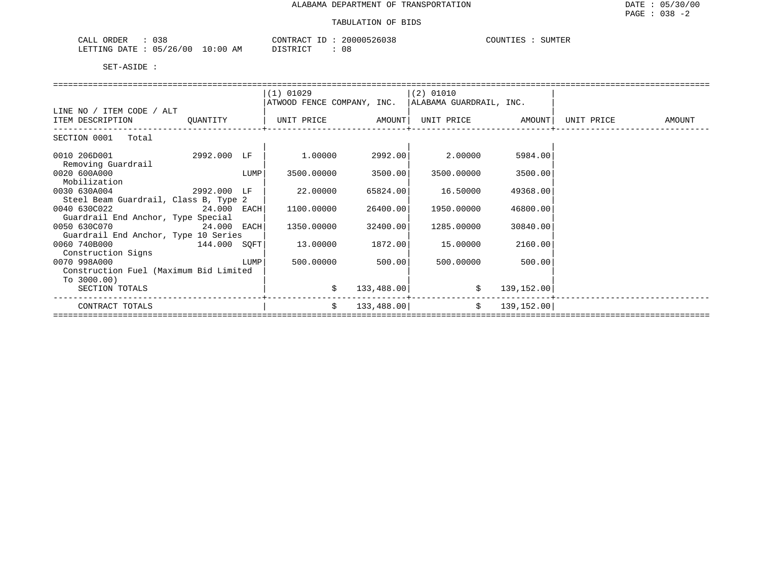| $\sim$ $\sim$ $\sim$<br>ORDER<br>038                                       |                | CONTRAC<br>$\sim$   | `ባበበ52⊾<br>۶ د ۱<br>260.38 | 5.777<br>.∪UN™⊺<br>LT. F. K<br>$\ldots$<br>ن کا کا |
|----------------------------------------------------------------------------|----------------|---------------------|----------------------------|----------------------------------------------------|
| 125<br>00 /<br>LETTING<br>$n - n$<br>ᅚ<br>) A ' I<br>-40<br>$\mathbf{u}$ . | :00<br>ΆM<br>. | $T \cap T$<br>C TD. | 08                         |                                                    |

|                                        |               |      | $(1)$ 01029                                                |            | $(2)$ 01010 |             |            |        |
|----------------------------------------|---------------|------|------------------------------------------------------------|------------|-------------|-------------|------------|--------|
|                                        |               |      | ATWOOD FENCE COMPANY, INC. ALABAMA GUARDRAIL, INC.         |            |             |             |            |        |
| LINE NO / ITEM CODE / ALT              |               |      |                                                            |            |             |             |            |        |
| ITEM DESCRIPTION                       | QUANTITY      |      | UNIT PRICE             AMOUNT  UNIT PRICE           AMOUNT |            |             |             | UNIT PRICE | AMOUNT |
| SECTION 0001 Total                     |               |      |                                                            |            |             |             |            |        |
| 0010 206D001                           | 2992.000 LF   |      | 1.00000                                                    | 2992.00    | 2.00000     | 5984.00     |            |        |
| Removing Guardrail                     |               |      |                                                            |            |             |             |            |        |
| 0020 600A000                           |               | LUMP | 3500.00000                                                 | 3500.00    | 3500.00000  | 3500.00     |            |        |
| Mobilization                           |               |      |                                                            |            |             |             |            |        |
| 0030 630A004                           | 2992.000 LF   |      | 22.00000                                                   | 65824.00   | 16.50000    | 49368.00    |            |        |
| Steel Beam Guardrail, Class B, Type 2  |               |      |                                                            |            |             |             |            |        |
| 0040 630C022                           | 24.000 EACH   |      | 1100.00000                                                 | 26400.00   | 1950.00000  | 46800.00    |            |        |
| Guardrail End Anchor, Type Special     |               |      |                                                            |            |             |             |            |        |
| 0050 630C070                           | $24.000$ EACH |      | 1350.00000                                                 | 32400.00   | 1285.00000  | 30840.00    |            |        |
| Guardrail End Anchor, Type 10 Series   |               |      |                                                            |            |             |             |            |        |
| 0060 740B000                           | 144.000 SOFT  |      | 13.00000                                                   | 1872.00    | 15.00000    | 2160.00     |            |        |
| Construction Signs                     |               |      |                                                            |            |             |             |            |        |
| 0070 998A000                           |               | LUMP | 500.00000                                                  | 500.00     | 500.00000   | 500.00      |            |        |
| Construction Fuel (Maximum Bid Limited |               |      |                                                            |            |             |             |            |        |
| To $3000.00$ )                         |               |      |                                                            |            |             |             |            |        |
| SECTION TOTALS                         |               |      | \$                                                         | 133,488.00 | \$          | 139,152.00  |            |        |
|                                        |               |      |                                                            |            |             |             |            |        |
| CONTRACT TOTALS                        |               |      | \$                                                         | 133,488.00 | \$          | 139, 152.00 |            |        |
|                                        |               |      |                                                            |            |             |             |            |        |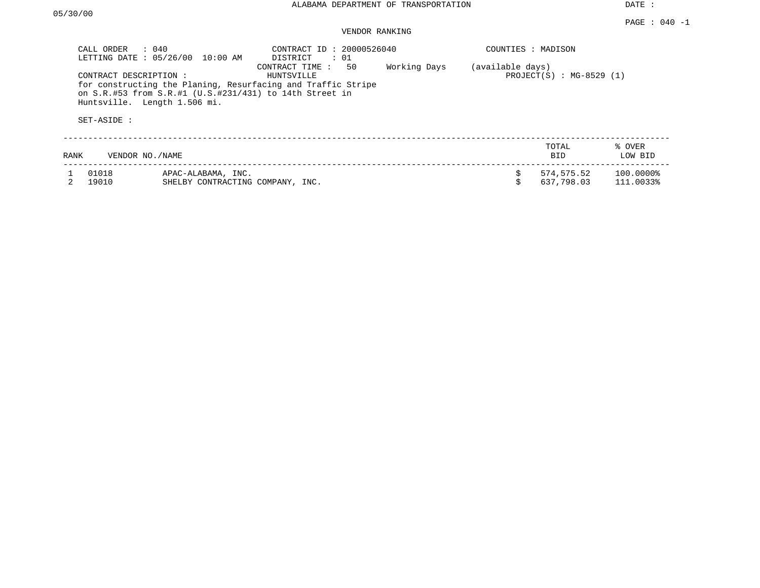DATE :

## VENDOR RANKING

|      | CALL ORDER<br>$\therefore$ 040<br>LETTING DATE: 05/26/00 | 10:00 AM                                               | CONTRACT ID: 20000526040<br>DISTRICT                                                                                                                          | : 01 |              | COUNTIES : MADISON |                               |                        |
|------|----------------------------------------------------------|--------------------------------------------------------|---------------------------------------------------------------------------------------------------------------------------------------------------------------|------|--------------|--------------------|-------------------------------|------------------------|
|      | CONTRACT DESCRIPTION :<br>Huntsville. Length 1.506 mi.   |                                                        | CONTRACT TIME:<br>HUNTSVILLE<br>for constructing the Planing, Resurfacing and Traffic Stripe<br>on $S.R.$ #53 from $S.R.$ #1 (U.S.#231/431) to 14th Street in | 50   | Working Days | (available days)   | PROJECT $(S)$ : MG-8529 $(1)$ |                        |
|      | SET-ASIDE :                                              |                                                        |                                                                                                                                                               |      |              |                    |                               |                        |
| RANK | VENDOR NO./NAME                                          |                                                        |                                                                                                                                                               |      |              |                    | TOTAL<br><b>BID</b>           | % OVER<br>LOW BID      |
|      | 01018<br>19010                                           | APAC-ALABAMA, INC.<br>SHELBY CONTRACTING COMPANY, INC. |                                                                                                                                                               |      |              | \$                 | 574,575.52<br>637,798.03      | 100.0000%<br>111.0033% |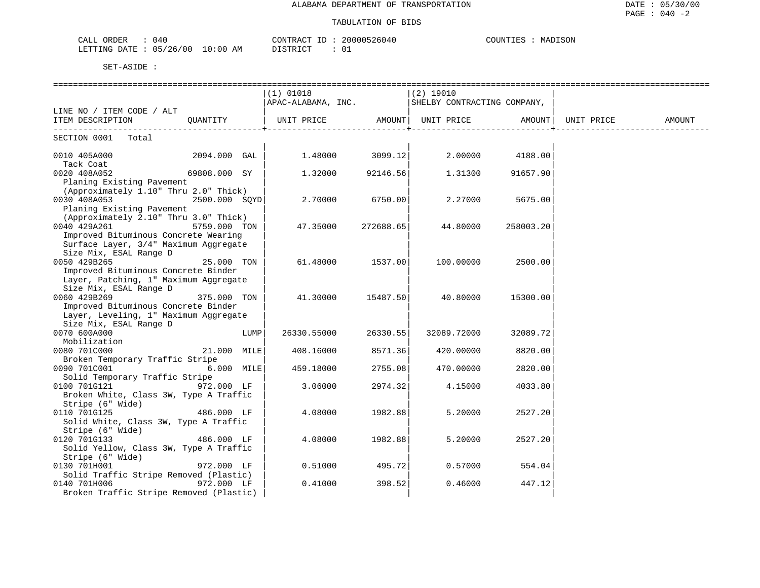### TABULATION OF BIDS

| 040<br>ORDER<br>CALL   | CONTRACT ID          | 20000526040 | COUNTIES<br>MADISON |
|------------------------|----------------------|-------------|---------------------|
| LETTING DATE: 05/26/00 | 10:00 AM<br>DISTRICT | 0 L         |                     |

|                                                                              |               |      | $(1)$ 01018<br>APAC-ALABAMA, INC. SHELBY CONTRACTING COMPANY, |           | ===============<br>(2) 19010            |           |                    |        |
|------------------------------------------------------------------------------|---------------|------|---------------------------------------------------------------|-----------|-----------------------------------------|-----------|--------------------|--------|
| LINE NO / ITEM CODE / ALT                                                    |               |      |                                                               |           |                                         |           |                    |        |
| ITEM DESCRIPTION                                                             | QUANTITY      |      | UNIT PRICE AMOUNT  UNIT PRICE                                 |           |                                         |           | AMOUNT  UNIT PRICE | AMOUNT |
| SECTION 0001 Total                                                           |               |      |                                                               |           |                                         |           |                    |        |
| 0010 405A000<br>Tack Coat                                                    | 2094.000 GAL  |      |                                                               |           | $1.48000$ $3099.12$ $2.00000$ $4188.00$ |           |                    |        |
| 0020 408A052                                                                 | 69808.000 SY  |      | 1.32000                                                       | 92146.56  | 1.31300                                 | 91657.90  |                    |        |
| Planing Existing Pavement                                                    |               |      |                                                               |           |                                         |           |                    |        |
| (Approximately 1.10" Thru 2.0" Thick)                                        |               |      |                                                               |           |                                         |           |                    |        |
| 0030 408A053                                                                 | 2500.000 SOYD |      | 2.70000                                                       | 6750.00   | 2.27000                                 | 5675.00   |                    |        |
| Planing Existing Pavement                                                    |               |      |                                                               |           |                                         |           |                    |        |
| (Approximately 2.10" Thru 3.0" Thick)                                        |               |      |                                                               |           |                                         |           |                    |        |
| 0040 429A261                                                                 | 5759.000 TON  |      | 47.35000                                                      | 272688.65 | 44.80000                                | 258003.20 |                    |        |
| Improved Bituminous Concrete Wearing                                         |               |      |                                                               |           |                                         |           |                    |        |
| Surface Layer, 3/4" Maximum Aggregate                                        |               |      |                                                               |           |                                         |           |                    |        |
| Size Mix, ESAL Range D                                                       |               |      |                                                               |           |                                         |           |                    |        |
| 0050 429B265                                                                 | 25.000 TON    |      | 61.48000                                                      | 1537.00   | 100.00000                               | 2500.00   |                    |        |
| Improved Bituminous Concrete Binder<br>Layer, Patching, 1" Maximum Aggregate |               |      |                                                               |           |                                         |           |                    |        |
| Size Mix, ESAL Range D                                                       |               |      |                                                               |           |                                         |           |                    |        |
| 0060 429B269                                                                 | 375.000 TON   |      | 41.30000                                                      | 15487.50  | 40.80000                                | 15300.00  |                    |        |
| Improved Bituminous Concrete Binder                                          |               |      |                                                               |           |                                         |           |                    |        |
| Layer, Leveling, 1" Maximum Aggregate                                        |               |      |                                                               |           |                                         |           |                    |        |
| Size Mix, ESAL Range D                                                       |               |      |                                                               |           |                                         |           |                    |        |
| 0070 600A000                                                                 |               | LUMP | 26330.55000                                                   | 26330.55  | 32089.72000                             | 32089.72  |                    |        |
| Mobilization                                                                 |               |      |                                                               |           |                                         |           |                    |        |
| 0080 701C000                                                                 | 21.000 MILE   |      | 408.16000                                                     | 8571.36   | 420.00000                               | 8820.00   |                    |        |
| Broken Temporary Traffic Stripe                                              |               |      |                                                               |           |                                         |           |                    |        |
| 0090 701C001                                                                 | 6.000 MILE    |      | 459.18000                                                     | 2755.08   | 470.00000                               | 2820.00   |                    |        |
| Solid Temporary Traffic Stripe                                               |               |      |                                                               |           |                                         |           |                    |        |
| 0100 701G121                                                                 | 972.000 LF    |      | 3.06000                                                       | 2974.32   | 4.15000                                 | 4033.80   |                    |        |
| Broken White, Class 3W, Type A Traffic                                       |               |      |                                                               |           |                                         |           |                    |        |
| Stripe (6" Wide)                                                             |               |      |                                                               |           |                                         |           |                    |        |
| 0110 701G125                                                                 | 486.000 LF    |      | 4.08000                                                       | 1982.88   | 5.20000                                 | 2527.20   |                    |        |
| Solid White, Class 3W, Type A Traffic<br>Stripe (6" Wide)                    |               |      |                                                               |           |                                         |           |                    |        |
| 0120 701G133<br>486.000 LF                                                   |               |      | 4.08000                                                       | 1982.88   | 5.20000                                 | 2527.20   |                    |        |
| Solid Yellow, Class 3W, Type A Traffic                                       |               |      |                                                               |           |                                         |           |                    |        |
| Stripe (6" Wide)                                                             |               |      |                                                               |           |                                         |           |                    |        |
| 0130 701H001                                                                 | 972.000 LF    |      | 0.51000                                                       | 495.72    | 0.57000                                 | 554.04    |                    |        |
| Solid Traffic Stripe Removed (Plastic)                                       |               |      |                                                               |           |                                         |           |                    |        |
| 0140 701H006                                                                 | 972.000 LF    |      | 0.41000                                                       | 398.52    | 0.46000                                 | 447.12    |                    |        |
| Broken Traffic Stripe Removed (Plastic)                                      |               |      |                                                               |           |                                         |           |                    |        |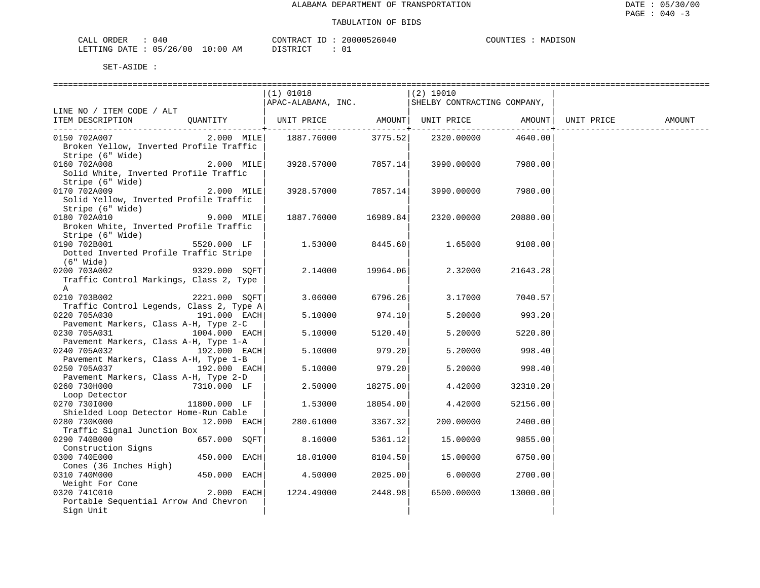| ORDER<br>CALI          | 040 |               | CONTRACT  | TD. | 20000526040   | COUNTIES | MADISON |
|------------------------|-----|---------------|-----------|-----|---------------|----------|---------|
| LETTING DATE: 05/26/00 |     | LO : 00<br>AM | T STR TOT |     | $\sim$ $\sim$ |          |         |

|                                          |               | $(1)$ 01018                                                    |                | $(2)$ 19010 |                    |            |        |
|------------------------------------------|---------------|----------------------------------------------------------------|----------------|-------------|--------------------|------------|--------|
|                                          |               | $\vert$ APAC-ALABAMA, INC. $\vert$ SHELBY CONTRACTING COMPANY, |                |             |                    |            |        |
| LINE NO / ITEM CODE / ALT                | OUANTITY      | UNIT PRICE AMOUNT UNIT PRICE AMOUNT                            |                |             |                    | UNIT PRICE | AMOUNT |
| ITEM DESCRIPTION                         |               |                                                                | ------------+- |             |                    |            |        |
| 0150 702A007                             | $2.000$ MILE  | 1887.76000 3775.52                                             |                |             | 2320.00000 4640.00 |            |        |
| Broken Yellow, Inverted Profile Traffic  |               |                                                                |                |             |                    |            |        |
| Stripe (6" Wide)                         |               |                                                                |                |             |                    |            |        |
| 0160 702A008                             | 2.000 MILE    | 3928.57000 7857.14                                             |                | 3990.00000  | 7980.00            |            |        |
| Solid White, Inverted Profile Traffic    |               |                                                                |                |             |                    |            |        |
| Stripe (6" Wide)                         |               |                                                                |                |             |                    |            |        |
| 0170 702A009                             | 2.000 MILE    | 3928.57000 7857.14                                             |                | 3990.00000  | 7980.00            |            |        |
| Solid Yellow, Inverted Profile Traffic   |               |                                                                |                |             |                    |            |        |
| Stripe (6" Wide)                         |               |                                                                |                |             |                    |            |        |
| 0180 702A010                             | 9.000 MILE    | 1887.76000                                                     | 16989.84       | 2320.00000  | 20880.00           |            |        |
| Broken White, Inverted Profile Traffic   |               |                                                                |                |             |                    |            |        |
| Stripe (6" Wide)                         |               |                                                                |                |             |                    |            |        |
| 0190 702B001 2000                        | 5520.000 LF   | 1.53000                                                        | 8445.60        | 1.65000     | 9108.00            |            |        |
| Dotted Inverted Profile Traffic Stripe   |               |                                                                |                |             |                    |            |        |
| $(6"$ Wide)                              |               |                                                                |                |             |                    |            |        |
| 9329.000 SQFT<br>0200 703A002            |               | 2.14000                                                        | 19964.06       | 2.32000     | 21643.28           |            |        |
| Traffic Control Markings, Class 2, Type  |               |                                                                |                |             |                    |            |        |
| A                                        |               |                                                                |                |             |                    |            |        |
| 0210 703B002                             | 2221.000 SQFT | 3.06000                                                        | 6796.26        |             | 3.17000 7040.57    |            |        |
| Traffic Control Legends, Class 2, Type A |               |                                                                |                |             |                    |            |        |
| 0220 705A030                             | 191.000 EACH  | 5.10000                                                        | 974.10         | 5.20000     | 993.20             |            |        |
| Pavement Markers, Class A-H, Type 2-C    |               |                                                                |                |             |                    |            |        |
| 0230 705A031                             | 1004.000 EACH | 5.10000                                                        | 5120.40        | 5.20000     | 5220.80            |            |        |
| Pavement Markers, Class A-H, Type 1-A    |               |                                                                |                |             |                    |            |        |
| 0240 705A032                             | 192.000 EACH  | 5.10000                                                        | 979.20         | 5.20000     | 998.40             |            |        |
| Pavement Markers, Class A-H, Type 1-B    |               |                                                                |                |             |                    |            |        |
| 0250 705A037                             | 192.000 EACH  | 5.10000                                                        | 979.20         | 5.20000     | 998.40             |            |        |
| Pavement Markers, Class A-H, Type 2-D    |               |                                                                |                |             |                    |            |        |
| 0260 730H000                             | 7310.000 LF   | 2.50000                                                        | 18275.00       | 4.42000     | 32310.20           |            |        |
| Loop Detector                            |               |                                                                |                |             |                    |            |        |
| 0270 7301000                             | 11800.000 LF  | 1.53000                                                        | 18054.00       | 4.42000     | 52156.00           |            |        |
| Shielded Loop Detector Home-Run Cable    |               |                                                                |                |             |                    |            |        |
| 0280 730K000                             | $12.000$ EACH | 280.61000                                                      | 3367.32        | 200.00000   | 2400.00            |            |        |
| Traffic Signal Junction Box              |               |                                                                |                |             |                    |            |        |
| 0290 740B000                             | 657.000 SOFT  | 8.16000                                                        | 5361.12        | 15.00000    | 9855.00            |            |        |
| Construction Signs                       |               |                                                                |                |             |                    |            |        |
| 0300 740E000                             | 450.000 EACH  | 18.01000                                                       | 8104.50        | 15.00000    | 6750.00            |            |        |
| Cones (36 Inches High)                   |               |                                                                |                |             |                    |            |        |
| 0310 740M000                             | 450.000 EACH  | 4.50000                                                        | 2025.00        | 6.00000     | 2700.00            |            |        |
| Weight For Cone                          |               |                                                                |                |             |                    |            |        |
| 0320 741C010                             | 2.000 EACH    | 1224.49000                                                     | 2448.98        | 6500.00000  | 13000.00           |            |        |
| Portable Sequential Arrow And Chevron    |               |                                                                |                |             |                    |            |        |
| Sign Unit                                |               |                                                                |                |             |                    |            |        |
|                                          |               |                                                                |                |             |                    |            |        |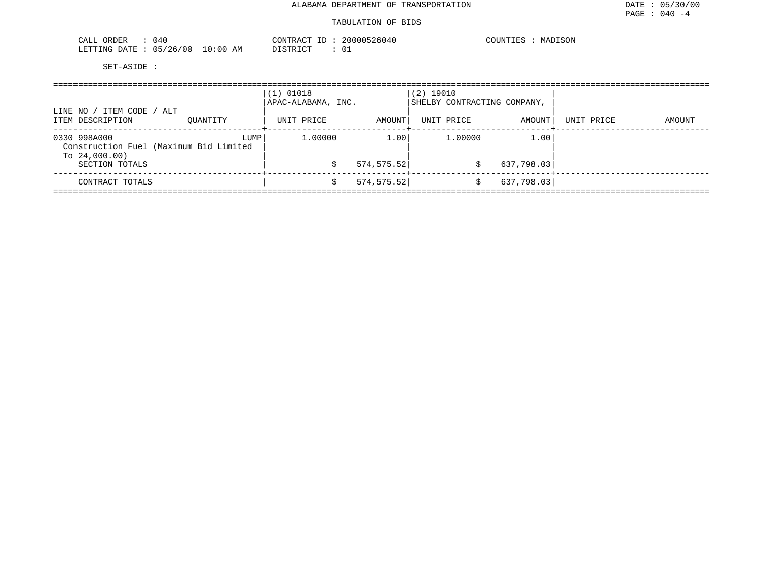#### TABULATION OF BIDS

| ORDER<br>040<br>CALL       | CONTRACT ID                          | 20000526040 | COUNTIES<br>MADISON |
|----------------------------|--------------------------------------|-------------|---------------------|
| 05/26/00<br>LETTING DATE : | 10:00 <sub>h</sub><br>DISTRICT<br>ΑM | د 0         |                     |

| ITEM CODE /<br>ALT<br>LINE NO<br>ITEM DESCRIPTION<br>OUANTITY              |      | $(1)$ 01018<br>APAC-ALABAMA, INC.<br>UNIT PRICE | AMOUNT      | $(2)$ 19010<br>UNIT PRICE | SHELBY CONTRACTING COMPANY,<br>AMOUNT | UNIT PRICE | AMOUNT |
|----------------------------------------------------------------------------|------|-------------------------------------------------|-------------|---------------------------|---------------------------------------|------------|--------|
|                                                                            |      |                                                 |             |                           | -----+                                |            |        |
| 0330 998A000<br>Construction Fuel (Maximum Bid Limited<br>To $24,000.00$ ) | LUMP | 1,00000                                         | 1.00        | 1,00000                   | 1.00                                  |            |        |
| SECTION TOTALS                                                             |      |                                                 | 574, 575.52 |                           | 637,798.03                            |            |        |
| CONTRACT TOTALS                                                            |      |                                                 | 574,575.52  |                           | 637,798.03                            |            |        |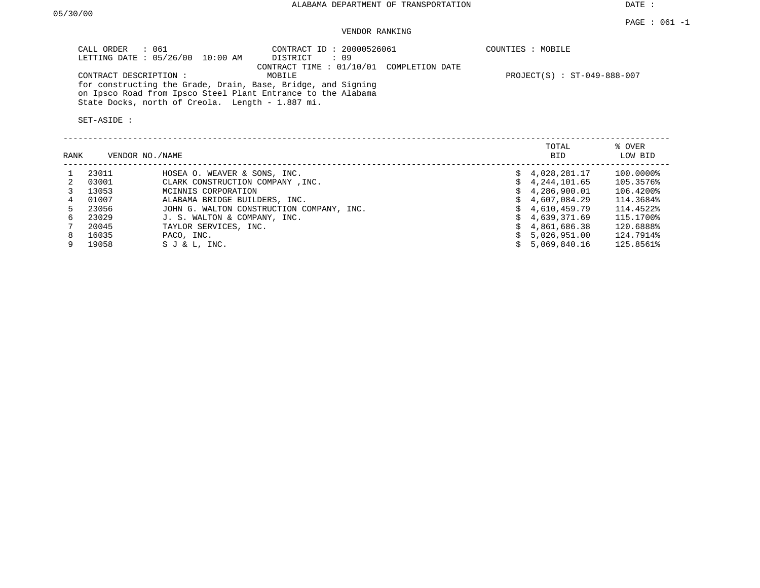DATE :

### PAGE : 061 -1 VENDOR RANKING

| CALL ORDER : 061<br>LETTING DATE : 05/26/00 10:00 AM                                                                         | CONTRACT ID: 20000526061<br>DISTRICT : 09 | COUNTIES : MOBILE           |
|------------------------------------------------------------------------------------------------------------------------------|-------------------------------------------|-----------------------------|
|                                                                                                                              | CONTRACT TIME : 01/10/01 COMPLETION DATE  |                             |
| CONTRACT DESCRIPTION:                                                                                                        | MOBILE                                    | PROJECT(S) : ST-049-888-007 |
| for constructing the Grade, Drain, Base, Bridge, and Signing<br>on Ipsco Road from Ipsco Steel Plant Entrance to the Alabama |                                           |                             |
| State Docks, north of Creola. Length - 1.887 mi.                                                                             |                                           |                             |
| SET-ASIDE:                                                                                                                   |                                           |                             |

| RANK | VENDOR NO./NAME |                                           |    | TOTAL<br><b>BID</b> | % OVER<br>LOW BID |
|------|-----------------|-------------------------------------------|----|---------------------|-------------------|
|      | 23011           | HOSEA O. WEAVER & SONS, INC.              |    | \$4,028,281.17      | 100.0000%         |
|      | 03001           | CLARK CONSTRUCTION COMPANY, INC.          |    | 4,244,101.65        | 105.3576%         |
|      | 13053           | MCINNIS CORPORATION                       |    | \$4,286,900.01      | 106.4200%         |
| 4    | 01007           | ALABAMA BRIDGE BUILDERS, INC.             |    | \$4,607,084.29      | 114.3684%         |
| 5.   | 23056           | JOHN G. WALTON CONSTRUCTION COMPANY, INC. |    | 4,610,459.79        | 114.4522%         |
| 6.   | 23029           | J. S. WALTON & COMPANY, INC.              |    | \$4,639,371.69      | 115.1700%         |
|      | 20045           | TAYLOR SERVICES, INC.                     | Ŝ. | 4,861,686.38        | 120.6888%         |
| 8    | 16035           | PACO, INC.                                |    | 5,026,951.00        | 124.7914%         |
|      | 19058           | $S J & L$ , INC.                          |    | 5,069,840.16        | 125.8561%         |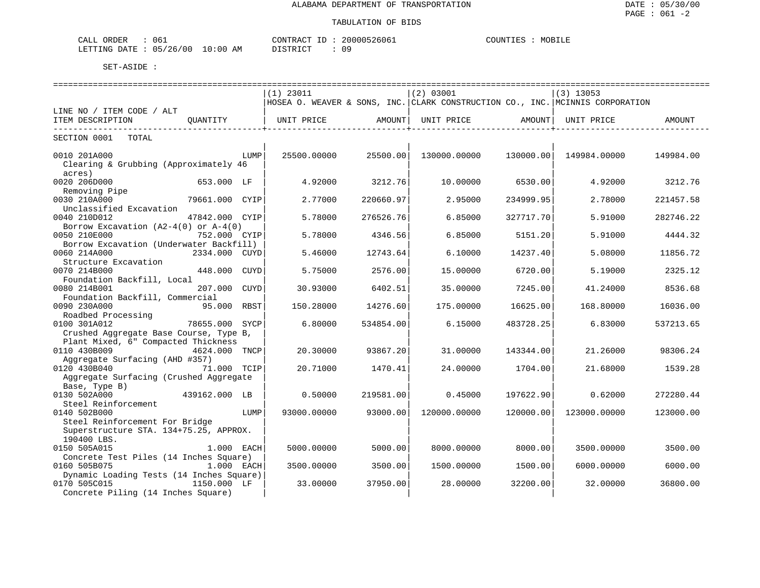| 061<br>CALL ORDER               |          | CONTRACT ID: 20000526061 | COUNTIES : MOBILE |  |
|---------------------------------|----------|--------------------------|-------------------|--|
| LETTING DATE: 05/26/00 10:00 AM | DISTRICT |                          |                   |  |

|                                          |                        | $(1)$ 23011 |           | (2) 03001         |                    | $(3)$ 13053                                                                   |           |
|------------------------------------------|------------------------|-------------|-----------|-------------------|--------------------|-------------------------------------------------------------------------------|-----------|
|                                          |                        |             |           |                   |                    | HOSEA O. WEAVER & SONS, INC. CLARK CONSTRUCTION CO., INC. MCINNIS CORPORATION |           |
| LINE NO / ITEM CODE / ALT                |                        |             |           |                   |                    |                                                                               |           |
| ITEM DESCRIPTION                         | OUANTITY               | UNIT PRICE  | AMOUNT    | UNIT PRICE AMOUNT |                    | UNIT PRICE                                                                    | AMOUNT    |
| ------------------------------           |                        |             |           |                   | -----------------+ |                                                                               |           |
| SECTION 0001<br>TOTAL                    |                        |             |           |                   |                    |                                                                               |           |
| 0010 201A000                             | LUMP                   | 25500.00000 | 25500.00  | 130000.00000      | 130000.00          | 149984.00000                                                                  | 149984.00 |
| Clearing & Grubbing (Approximately 46    |                        |             |           |                   |                    |                                                                               |           |
| acres)                                   |                        |             |           |                   |                    |                                                                               |           |
| 0020 206D000                             | 653.000 LF             | 4.92000     | 3212.76   | 10.00000          | 6530.00            | 4.92000                                                                       | 3212.76   |
|                                          |                        |             |           |                   |                    |                                                                               |           |
| Removing Pipe                            |                        |             |           |                   |                    |                                                                               |           |
| 0030 210A000                             | 79661.000 CYIP         | 2.77000     | 220660.97 | 2.95000           | 234999.95          | 2.78000                                                                       | 221457.58 |
| Unclassified Excavation                  |                        |             |           |                   |                    |                                                                               |           |
| 0040 210D012                             | 47842.000 CYIP         | 5.78000     | 276526.76 | 6.85000           | 327717.70          | 5.91000                                                                       | 282746.22 |
| Borrow Excavation $(A2-4(0)$ or $A-4(0)$ |                        |             |           |                   |                    |                                                                               |           |
| 0050 210E000                             | 752.000 CYIP           | 5.78000     | 4346.56   | 6.85000           | 5151.20            | 5.91000                                                                       | 4444.32   |
| Borrow Excavation (Underwater Backfill)  |                        |             |           |                   |                    |                                                                               |           |
| 0060 214A000                             | 2334.000 CUYD          | 5.46000     | 12743.64  | 6.10000           | 14237.40           | 5,08000                                                                       | 11856.72  |
| Structure Excavation                     |                        |             |           |                   |                    |                                                                               |           |
| 0070 214B000                             | 448.000<br>CUYD        | 5.75000     | 2576.00   | 15,00000          | 6720.00            | 5.19000                                                                       | 2325.12   |
| Foundation Backfill, Local               |                        |             |           |                   |                    |                                                                               |           |
| 0080 214B001                             | 207.000<br><b>CUYD</b> | 30.93000    | 6402.51   | 35.00000          | 7245.00            | 41.24000                                                                      | 8536.68   |
| Foundation Backfill, Commercial          |                        |             |           |                   |                    |                                                                               |           |
| 0090 230A000                             | 95.000<br>RBST         | 150.28000   | 14276.60  | 175.00000         | 16625.00           | 168.80000                                                                     | 16036.00  |
| Roadbed Processing                       |                        |             |           |                   |                    |                                                                               |           |
| 0100 301A012                             | 78655.000<br>SYCP      | 6.80000     | 534854.00 | 6.15000           | 483728.25          | 6.83000                                                                       | 537213.65 |
| Crushed Aggregate Base Course, Type B,   |                        |             |           |                   |                    |                                                                               |           |
| Plant Mixed, 6" Compacted Thickness      |                        |             |           |                   |                    |                                                                               |           |
| 0110 430B009                             | 4624.000<br>TNCP       | 20.30000    | 93867.20  | 31.00000          | 143344.00          | 21.26000                                                                      | 98306.24  |
|                                          |                        |             |           |                   |                    |                                                                               |           |
| Aggregate Surfacing (AHD #357)           |                        |             |           |                   |                    |                                                                               |           |
| 0120 430B040                             | 71.000 TCIP            | 20.71000    | 1470.41   | 24.00000          | 1704.00            | 21.68000                                                                      | 1539.28   |
| Aggregate Surfacing (Crushed Aggregate   |                        |             |           |                   |                    |                                                                               |           |
| Base, Type B)                            |                        |             |           |                   |                    |                                                                               |           |
| 0130 502A000                             | 439162.000 LB          | 0.50000     | 219581.00 | 0.45000           | 197622.90          | 0.62000                                                                       | 272280.44 |
| Steel Reinforcement                      |                        |             |           |                   |                    |                                                                               |           |
| 0140 502B000                             | LUMP                   | 93000.00000 | 93000.00  | 120000.00000      | 120000.00          | 123000.00000                                                                  | 123000.00 |
| Steel Reinforcement For Bridge           |                        |             |           |                   |                    |                                                                               |           |
| Superstructure STA. 134+75.25, APPROX.   |                        |             |           |                   |                    |                                                                               |           |
| 190400 LBS.                              |                        |             |           |                   |                    |                                                                               |           |
| 0150 505A015                             | 1.000 EACH             | 5000.00000  | 5000.00   | 8000.00000        | 8000.00            | 3500.00000                                                                    | 3500.00   |
| Concrete Test Piles (14 Inches Square)   |                        |             |           |                   |                    |                                                                               |           |
| 0160 505B075                             | 1.000 EACH             | 3500.00000  | 3500.00   | 1500.00000        | 1500.00            | 6000.00000                                                                    | 6000.00   |
| Dynamic Loading Tests (14 Inches Square) |                        |             |           |                   |                    |                                                                               |           |
| 0170 505C015                             | 1150.000 LF            | 33.00000    | 37950.00  | 28.00000          | 32200.00           | 32.00000                                                                      | 36800.00  |
| Concrete Piling (14 Inches Square)       |                        |             |           |                   |                    |                                                                               |           |
|                                          |                        |             |           |                   |                    |                                                                               |           |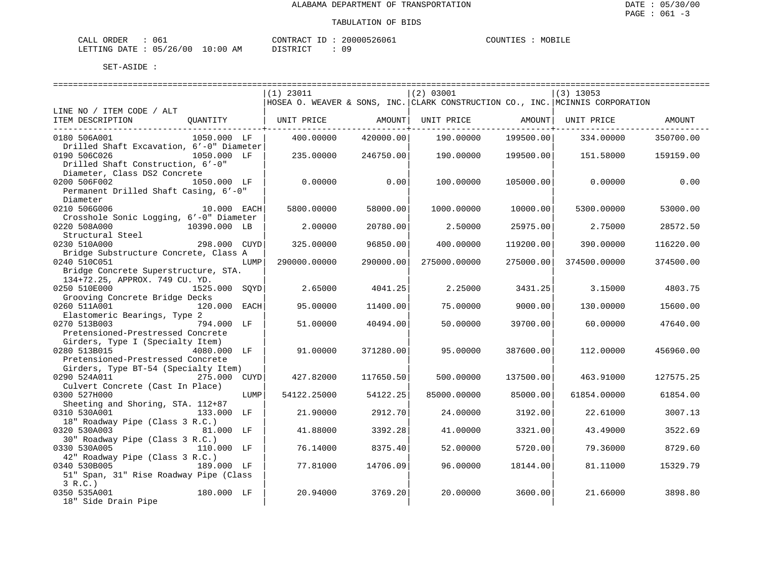| CALL ORDER                      | 061 |          | CONTRACT ID: 20000526061 | COUNTIES | MOBILE |
|---------------------------------|-----|----------|--------------------------|----------|--------|
| LETTING DATE: 05/26/00 10:00 AM |     | DISTRICT |                          |          |        |

|                                              |              |      | $(1)$ 23011                                                                   |           | (2) 03001    |           | $(3)$ 13053  |           |
|----------------------------------------------|--------------|------|-------------------------------------------------------------------------------|-----------|--------------|-----------|--------------|-----------|
|                                              |              |      | HOSEA O. WEAVER & SONS, INC. CLARK CONSTRUCTION CO., INC. MCINNIS CORPORATION |           |              |           |              |           |
| LINE NO / ITEM CODE / ALT                    |              |      |                                                                               |           |              |           |              |           |
| ITEM DESCRIPTION                             | QUANTITY     |      | UNIT PRICE                                                                    | AMOUNT    | UNIT PRICE   | AMOUNT    | UNIT PRICE   | AMOUNT    |
| ----------------------------<br>0180 506A001 | 1050.000 LF  |      | 400.00000                                                                     | 420000.00 | 190.00000    | 199500.00 | 334.00000    | 350700.00 |
| Drilled Shaft Excavation, 6'-0" Diameter     |              |      |                                                                               |           |              |           |              |           |
| 0190 506C026                                 | 1050.000 LF  |      | 235.00000                                                                     | 246750.00 | 190.00000    | 199500.00 | 151.58000    | 159159.00 |
| Drilled Shaft Construction, 6'-0"            |              |      |                                                                               |           |              |           |              |           |
| Diameter, Class DS2 Concrete                 |              |      |                                                                               |           |              |           |              |           |
| 0200 506F002                                 | 1050.000 LF  |      | 0.00000                                                                       | 0.00      | 100.00000    | 105000.00 | 0.00000      | 0.00      |
| Permanent Drilled Shaft Casing, 6'-0"        |              |      |                                                                               |           |              |           |              |           |
| Diameter                                     |              |      |                                                                               |           |              |           |              |           |
| 0210 506G006                                 | 10.000 EACH  |      | 5800.00000                                                                    | 58000.00  | 1000.00000   | 10000.00  | 5300.00000   | 53000.00  |
| Crosshole Sonic Logging, 6'-0" Diameter      |              |      |                                                                               |           |              |           |              |           |
| 0220 508A000                                 | 10390.000 LB |      | 2.00000                                                                       | 20780.00  | 2.50000      | 25975.00  | 2.75000      | 28572.50  |
| Structural Steel                             |              |      |                                                                               |           |              |           |              |           |
| 0230 510A000                                 | 298.000 CUYD |      | 325.00000                                                                     | 96850.00  | 400.00000    | 119200.00 | 390.00000    | 116220.00 |
| Bridge Substructure Concrete, Class A        |              |      |                                                                               |           |              |           |              |           |
|                                              |              |      |                                                                               |           |              |           |              |           |
| 0240 510C051                                 |              | LUMP | 290000.00000                                                                  | 290000.00 | 275000.00000 | 275000.00 | 374500.00000 | 374500.00 |
| Bridge Concrete Superstructure, STA.         |              |      |                                                                               |           |              |           |              |           |
| 134+72.25, APPROX. 749 CU. YD.               |              |      |                                                                               |           |              |           |              |           |
| 0250 510E000                                 | 1525.000     | SOYD | 2.65000                                                                       | 4041.25   | 2.25000      | 3431.25   | 3.15000      | 4803.75   |
| Grooving Concrete Bridge Decks               |              |      |                                                                               |           |              |           |              |           |
| 0260 511A001                                 | 120.000 EACH |      | 95.00000                                                                      | 11400.00  | 75.00000     | 9000.00   | 130.00000    | 15600.00  |
| Elastomeric Bearings, Type 2                 |              |      |                                                                               |           |              |           |              |           |
| 0270 513B003                                 | 794.000 LF   |      | 51.00000                                                                      | 40494.00  | 50.00000     | 39700.00  | 60.00000     | 47640.00  |
| Pretensioned-Prestressed Concrete            |              |      |                                                                               |           |              |           |              |           |
| Girders, Type I (Specialty Item)             |              |      |                                                                               |           |              |           |              |           |
| 0280 513B015                                 | 4080.000 LF  |      | 91.00000                                                                      | 371280.00 | 95,00000     | 387600.00 | 112,00000    | 456960.00 |
| Pretensioned-Prestressed Concrete            |              |      |                                                                               |           |              |           |              |           |
| Girders, Type BT-54 (Specialty Item)         |              |      |                                                                               |           |              |           |              |           |
| 0290 524A011 275.000 CUYD                    |              |      | 427.82000                                                                     | 117650.50 | 500.00000    | 137500.00 | 463.91000    | 127575.25 |
| Culvert Concrete (Cast In Place)             |              |      |                                                                               |           |              |           |              |           |
| 0300 527H000                                 |              | LUMP | 54122.25000                                                                   | 54122.25  | 85000.00000  | 85000.00  | 61854.00000  | 61854.00  |
| Sheeting and Shoring, STA. 112+87            |              |      |                                                                               |           |              |           |              |           |
| 0310 530A001                                 | 133.000 LF   |      | 21,90000                                                                      | 2912.70   | 24,00000     | 3192.00   | 22.61000     | 3007.13   |
| 18" Roadway Pipe (Class 3 R.C.)              |              |      |                                                                               |           |              |           |              |           |
| 0320 530A003                                 | 81.000 LF    |      | 41.88000                                                                      | 3392.28   | 41.00000     | 3321.00   | 43.49000     | 3522.69   |
| 30" Roadway Pipe (Class 3 R.C.)              |              |      |                                                                               |           |              |           |              |           |
| 0330 530A005                                 | 110.000 LF   |      | 76.14000                                                                      | 8375.40   | 52.00000     | 5720.00   | 79.36000     | 8729.60   |
| 42" Roadway Pipe (Class 3 R.C.)              |              |      |                                                                               |           |              |           |              |           |
| 0340 530B005 189.000 LF                      |              |      | 77.81000                                                                      | 14706.09  | 96.00000     | 18144.00  | 81.11000     | 15329.79  |
| 51" Span, 31" Rise Roadway Pipe (Class       |              |      |                                                                               |           |              |           |              |           |
| 3 R.C.                                       |              |      |                                                                               |           |              |           |              |           |
| 0350 535A001                                 | 180.000 LF   |      | 20.94000                                                                      | 3769.20   | 20.00000     | 3600.00   | 21.66000     | 3898.80   |
| 18" Side Drain Pipe                          |              |      |                                                                               |           |              |           |              |           |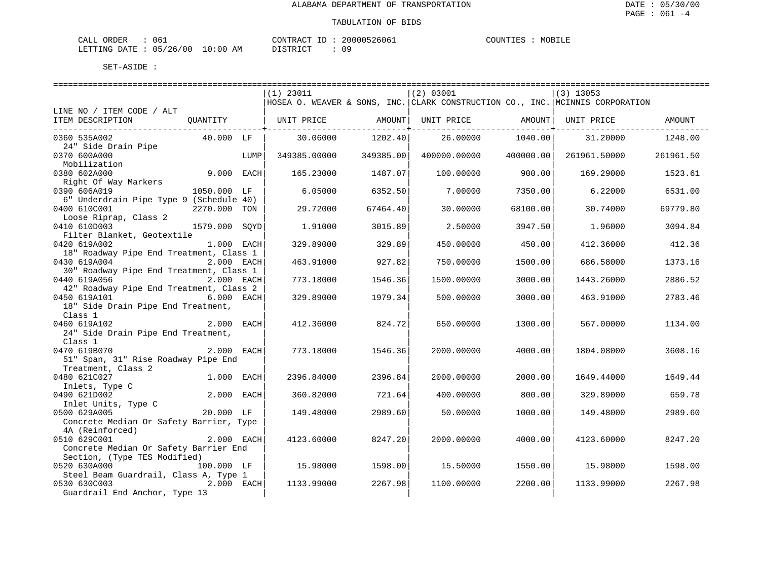| ORDER<br>CALL (                  | د06 | CONTRACT ID: | 20000526061 | COUNTIES | MOBILE |
|----------------------------------|-----|--------------|-------------|----------|--------|
| LETTING DATE : 05/26/00 10:00 AM |     | PISTRICT     |             |          |        |

|                                                                   | $(1)$ 23011 |              |           | (2) 03001    |           | $(3)$ 13053                                                                   |           |
|-------------------------------------------------------------------|-------------|--------------|-----------|--------------|-----------|-------------------------------------------------------------------------------|-----------|
|                                                                   |             |              |           |              |           | HOSEA O. WEAVER & SONS, INC. CLARK CONSTRUCTION CO., INC. MCINNIS CORPORATION |           |
| LINE NO / ITEM CODE / ALT                                         |             |              |           |              |           |                                                                               |           |
| ITEM DESCRIPTION<br>QUANTITY                                      |             | UNIT PRICE   | AMOUNT    | UNIT PRICE   | AMOUNT    | UNIT PRICE                                                                    | AMOUNT    |
|                                                                   |             |              |           |              |           |                                                                               |           |
| 0360 535A002<br>40.000 LF<br>24" Side Drain Pipe                  |             | 30.06000     | 1202.40   | 26,00000     | 1040.00   | 31,20000                                                                      | 1248.00   |
| 0370 600A000                                                      | LUMP        | 349385.00000 | 349385.00 | 400000.00000 | 400000.00 | 261961.50000                                                                  | 261961.50 |
| Mobilization                                                      |             |              |           |              |           |                                                                               |           |
| 9.000 EACH<br>0380 602A000                                        |             | 165.23000    | 1487.07   | 100.00000    | 900.00    | 169.29000                                                                     | 1523.61   |
| Right Of Way Markers                                              |             |              |           |              |           |                                                                               |           |
| 0390 606A019<br>1050.000 LF                                       |             | 6.05000      | 6352.50   | 7.00000      | 7350.00   | 6.22000                                                                       | 6531.00   |
| 6" Underdrain Pipe Type 9 (Schedule 40)                           |             |              |           |              |           |                                                                               |           |
| 0400 610C001<br>2270.000 TON                                      |             | 29.72000     | 67464.40  | 30.00000     | 68100.00  | 30.74000                                                                      | 69779.80  |
| Loose Riprap, Class 2                                             |             |              |           |              |           |                                                                               |           |
| 0410 610D003<br>1579.000                                          | SOYD        | 1.91000      | 3015.89   | 2.50000      | 3947.50   | 1.96000                                                                       | 3094.84   |
| Filter Blanket, Geotextile<br>1.000 EACH<br>0420 619A002          |             | 329.89000    | 329.89    | 450.00000    | 450.00    | 412.36000                                                                     | 412.36    |
| 18" Roadway Pipe End Treatment, Class 1                           |             |              |           |              |           |                                                                               |           |
| 0430 619A004<br>2.000 EACH                                        |             | 463.91000    | 927.82    | 750.00000    | 1500.00   | 686.58000                                                                     | 1373.16   |
| 30" Roadway Pipe End Treatment, Class 1                           |             |              |           |              |           |                                                                               |           |
| 0440 619A056<br>2.000 EACH                                        |             | 773.18000    | 1546.36   | 1500.00000   | 3000.00   | 1443.26000                                                                    | 2886.52   |
| 42" Roadway Pipe End Treatment, Class 2                           |             |              |           |              |           |                                                                               |           |
| 6.000 EACH<br>0450 619A101                                        |             | 329.89000    | 1979.34   | 500.00000    | 3000.00   | 463.91000                                                                     | 2783.46   |
| 18" Side Drain Pipe End Treatment,                                |             |              |           |              |           |                                                                               |           |
| Class 1                                                           |             |              |           |              |           |                                                                               |           |
| 0460 619A102<br>2.000 EACH                                        |             | 412.36000    | 824.72    | 650.00000    | 1300.00   | 567.00000                                                                     | 1134.00   |
| 24" Side Drain Pipe End Treatment,                                |             |              |           |              |           |                                                                               |           |
| Class 1                                                           |             |              |           |              |           |                                                                               |           |
| 0470 619B070<br>2.000 EACH<br>51" Span, 31" Rise Roadway Pipe End |             | 773.18000    | 1546.36   | 2000.00000   | 4000.00   | 1804.08000                                                                    | 3608.16   |
| Treatment, Class 2                                                |             |              |           |              |           |                                                                               |           |
| 0480 621C027<br>1.000 EACH                                        |             | 2396.84000   | 2396.84   | 2000.00000   | 2000.00   | 1649.44000                                                                    | 1649.44   |
| Inlets, Type C                                                    |             |              |           |              |           |                                                                               |           |
| 2.000 EACH<br>0490 621D002                                        |             | 360.82000    | 721.64    | 400.00000    | 800.00    | 329.89000                                                                     | 659.78    |
| Inlet Units, Type C                                               |             |              |           |              |           |                                                                               |           |
| 0500 629A005<br>20.000 LF                                         |             | 149.48000    | 2989.60   | 50.00000     | 1000.00   | 149.48000                                                                     | 2989.60   |
| Concrete Median Or Safety Barrier, Type                           |             |              |           |              |           |                                                                               |           |
| 4A (Reinforced)                                                   |             |              |           |              |           |                                                                               |           |
| 0510 629C001<br>2.000 EACH                                        |             | 4123.60000   | 8247.20   | 2000.00000   | 4000.00   | 4123.60000                                                                    | 8247.20   |
| Concrete Median Or Safety Barrier End                             |             |              |           |              |           |                                                                               |           |
| Section, (Type TES Modified)<br>0520 630A000<br>100.000 LF        |             | 15.98000     | 1598.00   | 15.50000     | 1550.00   | 15.98000                                                                      | 1598.00   |
| Steel Beam Guardrail, Class A, Type 1                             |             |              |           |              |           |                                                                               |           |
| 0530 630C003<br>2.000 EACH                                        |             | 1133.99000   | 2267.98   | 1100.00000   | 2200.00   | 1133.99000                                                                    | 2267.98   |
| Guardrail End Anchor, Type 13                                     |             |              |           |              |           |                                                                               |           |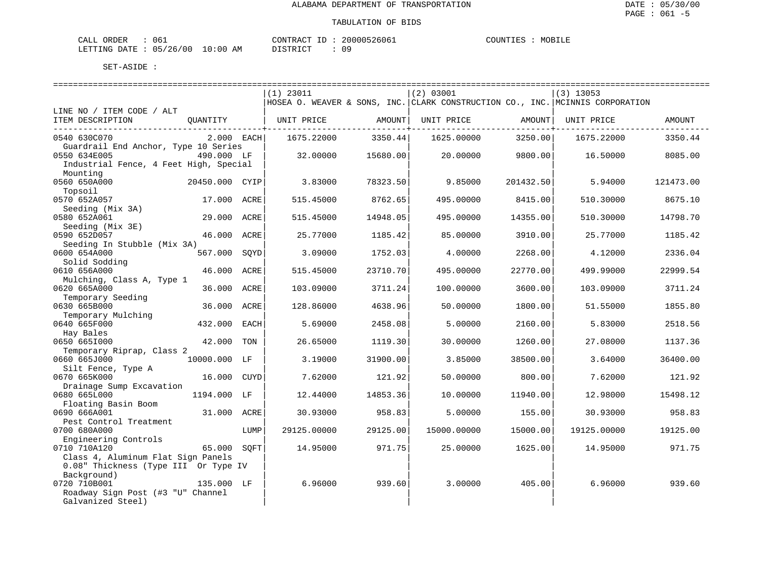| ORDER<br>CALL (                  | د06 | CONTRACT ID: | 20000526061 | COUNTIES | MOBILE |
|----------------------------------|-----|--------------|-------------|----------|--------|
| LETTING DATE : 05/26/00 10:00 AM |     | PISTRICT     |             |          |        |

|                                          |                |      | $(1)$ 23011 |                                 | (2) 03001   |                                   | $(3)$ 13053                                                                   |           |
|------------------------------------------|----------------|------|-------------|---------------------------------|-------------|-----------------------------------|-------------------------------------------------------------------------------|-----------|
|                                          |                |      |             |                                 |             |                                   | HOSEA O. WEAVER & SONS, INC. CLARK CONSTRUCTION CO., INC. MCINNIS CORPORATION |           |
| LINE NO / ITEM CODE / ALT                |                |      |             |                                 |             |                                   |                                                                               |           |
| ITEM DESCRIPTION                         | OUANTITY       |      | UNIT PRICE  | AMOUNT                          | UNIT PRICE  | AMOUNT                            | UNIT PRICE                                                                    | AMOUNT    |
| 0540 630C070                             | 2.000 EACH     |      |             | ------------+-------<br>3350.44 |             | ---------------+------<br>3250.00 |                                                                               | 3350.44   |
| Guardrail End Anchor, Type 10 Series     |                |      | 1675.22000  |                                 | 1625.00000  |                                   | 1675.22000                                                                    |           |
| 0550 634E005                             | 490.000 LF     |      | 32.00000    | 15680.00                        | 20,00000    | 9800.00                           | 16.50000                                                                      | 8085.00   |
| Industrial Fence, 4 Feet High, Special   |                |      |             |                                 |             |                                   |                                                                               |           |
| Mounting                                 |                |      |             |                                 |             |                                   |                                                                               |           |
| 0560 650A000                             | 20450.000 CYIP |      | 3.83000     | 78323.50                        | 9.85000     | 201432.50                         | 5.94000                                                                       | 121473.00 |
| Topsoil                                  |                |      |             |                                 |             |                                   |                                                                               |           |
| 0570 652A057                             | 17.000 ACRE    |      | 515.45000   | 8762.65                         | 495.00000   | 8415.00                           | 510.30000                                                                     | 8675.10   |
| Seeding (Mix 3A)                         |                |      |             |                                 |             |                                   |                                                                               |           |
| 0580 652A061                             | 29.000 ACRE    |      | 515.45000   | 14948.05                        | 495.00000   | 14355.00                          | 510.30000                                                                     | 14798.70  |
| Seeding (Mix 3E)                         |                |      |             |                                 |             |                                   |                                                                               |           |
| 0590 652D057                             | 46.000 ACRE    |      | 25.77000    | 1185.42                         | 85,00000    | 3910.00                           | 25.77000                                                                      | 1185.42   |
| Seeding In Stubble (Mix 3A)              |                |      |             |                                 |             |                                   |                                                                               |           |
| 0600 654A000                             | 567.000        | SOYD | 3.09000     | 1752.03                         | 4.00000     | 2268.00                           | 4.12000                                                                       | 2336.04   |
| Solid Sodding                            |                |      |             |                                 |             |                                   |                                                                               |           |
| 0610 656A000                             | 46.000         | ACRE | 515.45000   | 23710.70                        | 495.00000   | 22770.00                          | 499.99000                                                                     | 22999.54  |
| Mulching, Class A, Type 1                |                |      |             |                                 |             |                                   |                                                                               |           |
| 0620 665A000                             | 36.000 ACRE    |      | 103.09000   | 3711.24                         | 100.00000   | 3600.00                           | 103.09000                                                                     | 3711.24   |
| Temporary Seeding                        |                |      |             |                                 |             |                                   |                                                                               |           |
| 0630 665B000                             | 36.000         | ACRE | 128.86000   | 4638.96                         | 50.00000    | 1800.00                           | 51.55000                                                                      | 1855.80   |
| Temporary Mulching                       |                |      |             |                                 |             |                                   |                                                                               |           |
| 0640 665F000                             | 432.000        | EACH | 5.69000     | 2458.08                         | 5.00000     | 2160.00                           | 5.83000                                                                       | 2518.56   |
| Hay Bales                                |                |      |             |                                 |             |                                   |                                                                               |           |
| 0650 6651000                             | 42.000         | TON  | 26.65000    | 1119.30                         | 30.00000    | 1260.00                           | 27.08000                                                                      | 1137.36   |
| Temporary Riprap, Class 2                |                |      |             |                                 |             |                                   |                                                                               |           |
| 0660 665J000                             | 10000.000 LF   |      | 3.19000     | 31900.00                        | 3.85000     | 38500.00                          | 3.64000                                                                       | 36400.00  |
| Silt Fence, Type A                       |                |      |             |                                 |             |                                   |                                                                               |           |
| 0670 665K000                             | 16.000 CUYD    |      | 7.62000     | 121.92                          | 50.00000    | 800.00                            | 7.62000                                                                       | 121.92    |
| Drainage Sump Excavation<br>0680 665L000 | 1194.000 LF    |      | 12.44000    | 14853.36                        | 10.00000    | 11940.00                          | 12.98000                                                                      | 15498.12  |
| Floating Basin Boom                      |                |      |             |                                 |             |                                   |                                                                               |           |
| 0690 666A001                             | 31.000 ACRE    |      | 30.93000    | 958.83                          | 5.00000     | 155.00                            | 30.93000                                                                      | 958.83    |
| Pest Control Treatment                   |                |      |             |                                 |             |                                   |                                                                               |           |
| 0700 680A000                             |                | LUMP | 29125.00000 | 29125.00                        | 15000.00000 | 15000.00                          | 19125.00000                                                                   | 19125.00  |
| Engineering Controls                     |                |      |             |                                 |             |                                   |                                                                               |           |
| 0710 710A120                             | 65.000 SOFT    |      | 14.95000    | 971.75                          | 25.00000    | 1625.00                           | 14.95000                                                                      | 971.75    |
| Class 4, Aluminum Flat Sign Panels       |                |      |             |                                 |             |                                   |                                                                               |           |
| 0.08" Thickness (Type III Or Type IV     |                |      |             |                                 |             |                                   |                                                                               |           |
| Background)                              |                |      |             |                                 |             |                                   |                                                                               |           |
| 0720 710B001                             | 135.000 LF     |      | 6.96000     | 939.60                          | 3.00000     | 405.00                            | 6.96000                                                                       | 939.60    |
| Roadway Sign Post (#3 "U" Channel        |                |      |             |                                 |             |                                   |                                                                               |           |
| Galvanized Steel)                        |                |      |             |                                 |             |                                   |                                                                               |           |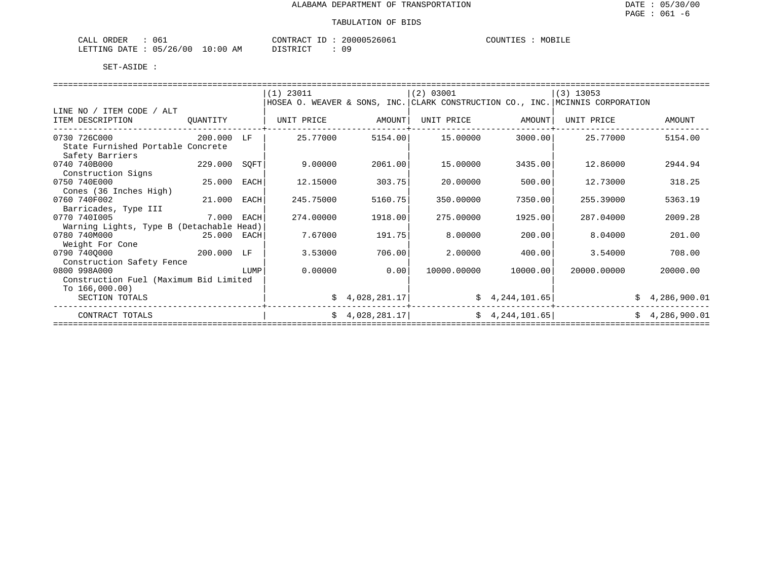| 061<br>CALL<br>ORDER     | CONTRACT<br>$ -$                    | 20000526061 | COUNTIES<br>MOBILE |
|--------------------------|-------------------------------------|-------------|--------------------|
| 05/26/00<br>LETTING DATE | 10:00<br>DISTRICT<br>ΆM<br>ມ⊥ມ⊥ນ⊥ບ⊥ | 09          |                    |

|                                                      |            |      | $(1)$ 23011 |                            | $ (2)$ 03001 |                 | $(3)$ 13053                                                                   |                |  |  |  |
|------------------------------------------------------|------------|------|-------------|----------------------------|--------------|-----------------|-------------------------------------------------------------------------------|----------------|--|--|--|
|                                                      |            |      |             |                            |              |                 | HOSEA O. WEAVER & SONS, INC. CLARK CONSTRUCTION CO., INC. MCINNIS CORPORATION |                |  |  |  |
| LINE NO / ITEM CODE / ALT                            |            |      |             |                            |              |                 |                                                                               |                |  |  |  |
| ITEM DESCRIPTION                                     | OUANTITY   |      | UNIT PRICE  | AMOUNT                     | UNIT PRICE   | AMOUNT          | UNIT PRICE                                                                    | AMOUNT         |  |  |  |
| 0730 726C000                                         | 200.000    | T.F  | 25.77000    | 5154.00                    | 15.00000     | 3000.00         | 25.77000                                                                      | 5154.00        |  |  |  |
| State Furnished Portable Concrete<br>Safety Barriers |            |      |             |                            |              |                 |                                                                               |                |  |  |  |
| 0740 740B000                                         | 229.000    | SQFT | 9.00000     | 2061.00                    | 15.00000     | 3435.00         | 12.86000                                                                      | 2944.94        |  |  |  |
| Construction Signs                                   |            |      |             |                            |              |                 |                                                                               |                |  |  |  |
| 0750 740E000                                         | 25.000     | EACH | 12.15000    | 303.75                     | 20.00000     | 500.00          | 12.73000                                                                      | 318.25         |  |  |  |
| Cones (36 Inches High)                               |            |      |             |                            |              |                 |                                                                               |                |  |  |  |
| 0760 740F002                                         | 21.000     | EACH | 245.75000   | 5160.75                    | 350.00000    | 7350.00         | 255.39000                                                                     | 5363.19        |  |  |  |
| Barricades, Type III                                 |            |      |             |                            |              |                 |                                                                               |                |  |  |  |
| 0770 7401005                                         | 7.000 EACH |      | 274.00000   | 1918.00                    | 275.00000    | 1925.00         | 287.04000                                                                     | 2009.28        |  |  |  |
| Warning Lights, Type B (Detachable Head)             |            |      |             |                            |              |                 |                                                                               |                |  |  |  |
| 0780 740M000                                         | 25.000     | EACH | 7.67000     | 191.75                     | 8,00000      | 200.00          | 8.04000                                                                       | 201.00         |  |  |  |
| Weight For Cone                                      |            |      |             |                            |              |                 |                                                                               |                |  |  |  |
| 0790 7400000                                         | 200.000 LF |      | 3.53000     | 706.00                     | 2.00000      | 400.001         | 3.54000                                                                       | 708.00         |  |  |  |
| Construction Safety Fence                            |            |      |             |                            |              |                 |                                                                               |                |  |  |  |
| 0800 998A000                                         |            | LUMP | 0.00000     | 0.001                      | 10000.00000  | 10000.00        | 20000.00000                                                                   | 20000.00       |  |  |  |
| Construction Fuel (Maximum Bid Limited               |            |      |             |                            |              |                 |                                                                               |                |  |  |  |
| To $166,000.00$ )                                    |            |      |             |                            |              |                 |                                                                               |                |  |  |  |
| SECTION TOTALS                                       |            |      |             | $\frac{1}{2}$ 4,028,281.17 |              | \$4,244,101.65] |                                                                               | \$4,286,900.01 |  |  |  |
| CONTRACT TOTALS                                      |            |      |             | \$4,028,281.17             |              | \$4,244,101.65] | Ŝ.                                                                            | 4,286,900.01   |  |  |  |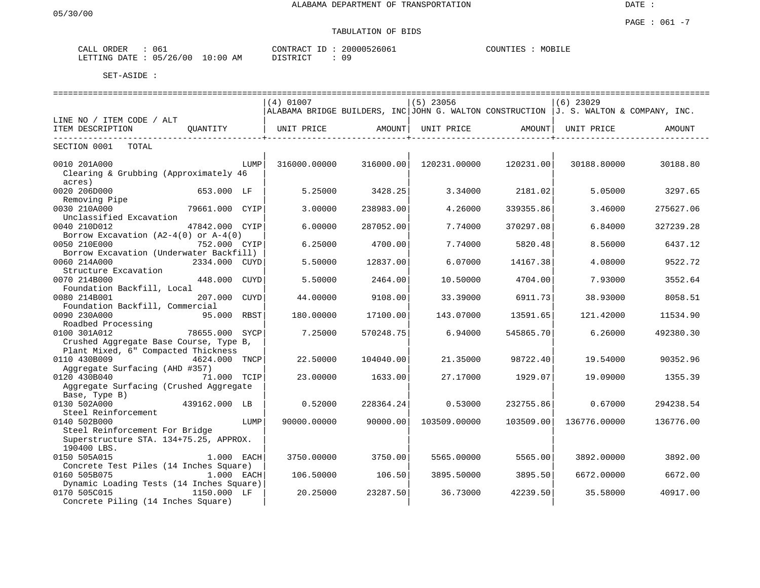# TABULATION OF BIDS

| CALL | ORDER        | 160      |             | CONTRACT | 20000526061 | <b>COUNTIE.</b><br>MOBILE |
|------|--------------|----------|-------------|----------|-------------|---------------------------|
|      | LETTING DATE | 05/26/00 | 10:00<br>AM | DISTRICT | n r         |                           |

|                                                                                         |                |             |                                                                                         |           |              |           | ========================= |           |
|-----------------------------------------------------------------------------------------|----------------|-------------|-----------------------------------------------------------------------------------------|-----------|--------------|-----------|---------------------------|-----------|
|                                                                                         |                |             | $(4)$ 01007                                                                             |           | $(5)$ 23056  |           | $(6)$ 23029               |           |
| LINE NO / ITEM CODE / ALT                                                               |                |             | ALABAMA BRIDGE BUILDERS, INC JOHN G. WALTON CONSTRUCTION $J. S.$ WALTON & COMPANY, INC. |           |              |           |                           |           |
| ITEM DESCRIPTION                                                                        | OUANTITY       |             | UNIT PRICE                                                                              | AMOUNT    | UNIT PRICE   | AMOUNT    | UNIT PRICE                | AMOUNT    |
| SECTION 0001<br>TOTAL                                                                   |                |             |                                                                                         |           |              |           |                           |           |
| 0010 201A000<br>Clearing & Grubbing (Approximately 46<br>acres)                         |                | LUMP        | 316000.00000                                                                            | 316000.00 | 120231.00000 | 120231.00 | 30188.80000               | 30188.80  |
| 0020 206D000<br>Removing Pipe                                                           | 653.000 LF     |             | 5.25000                                                                                 | 3428.25   | 3.34000      | 2181.02   | 5.05000                   | 3297.65   |
| 0030 210A000<br>Unclassified Excavation                                                 | 79661.000 CYIP |             | 3.00000                                                                                 | 238983.00 | 4.26000      | 339355.86 | 3.46000                   | 275627.06 |
| 0040 210D012<br>Borrow Excavation $(A2-4(0))$ or $A-4(0)$                               | 47842.000 CYIP |             | 6.00000                                                                                 | 287052.00 | 7.74000      | 370297.08 | 6.84000                   | 327239.28 |
| 0050 210E000<br>Borrow Excavation (Underwater Backfill)                                 | 752.000 CYIP   |             | 6.25000                                                                                 | 4700.00   | 7.74000      | 5820.48   | 8.56000                   | 6437.12   |
| 0060 214A000<br>Structure Excavation                                                    | 2334.000 CUYD  |             | 5.50000                                                                                 | 12837.00  | 6.07000      | 14167.38  | 4.08000                   | 9522.72   |
| 0070 214B000<br>Foundation Backfill, Local                                              | 448.000        | <b>CUYD</b> | 5.50000                                                                                 | 2464.00   | 10.50000     | 4704.00   | 7.93000                   | 3552.64   |
| 0080 214B001<br>Foundation Backfill, Commercial                                         | 207.000        | CUYD        | 44.00000                                                                                | 9108.00   | 33.39000     | 6911.73   | 38.93000                  | 8058.51   |
| 0090 230A000<br>Roadbed Processing                                                      | 95.000 RBST    |             | 180.00000                                                                               | 17100.00  | 143.07000    | 13591.65  | 121.42000                 | 11534.90  |
| 0100 301A012<br>Crushed Aggregate Base Course, Type B,                                  | 78655.000      | SYCP        | 7.25000                                                                                 | 570248.75 | 6.94000      | 545865.70 | 6.26000                   | 492380.30 |
| Plant Mixed, 6" Compacted Thickness<br>0110 430B009<br>Aggregate Surfacing (AHD #357)   | 4624.000 TNCP  |             | 22.50000                                                                                | 104040.00 | 21.35000     | 98722.40  | 19.54000                  | 90352.96  |
| 0120 430B040<br>Aggregate Surfacing (Crushed Aggregate                                  | 71.000 TCIP    |             | 23.00000                                                                                | 1633.00   | 27.17000     | 1929.07   | 19.09000                  | 1355.39   |
| Base, Type B)<br>0130 502A000                                                           | 439162.000 LB  |             | 0.52000                                                                                 | 228364.24 | 0.53000      | 232755.86 | 0.67000                   | 294238.54 |
| Steel Reinforcement<br>0140 502B000                                                     |                | LUMP        | 90000.00000                                                                             | 90000.00  | 103509.00000 | 103509.00 | 136776.00000              | 136776.00 |
| Steel Reinforcement For Bridge<br>Superstructure STA. 134+75.25, APPROX.<br>190400 LBS. |                |             |                                                                                         |           |              |           |                           |           |
| 0150 505A015<br>Concrete Test Piles (14 Inches Square)                                  | 1.000 EACH     |             | 3750.00000                                                                              | 3750.00   | 5565.00000   | 5565.00   | 3892.00000                | 3892.00   |
| 0160 505B075<br>Dynamic Loading Tests (14 Inches Square)                                | 1.000 EACH     |             | 106.50000                                                                               | 106.50    | 3895.50000   | 3895.50   | 6672.00000                | 6672.00   |
| 0170 505C015<br>Concrete Piling (14 Inches Square)                                      | 1150.000 LF    |             | 20.25000                                                                                | 23287.50  | 36.73000     | 42239.50  | 35.58000                  | 40917.00  |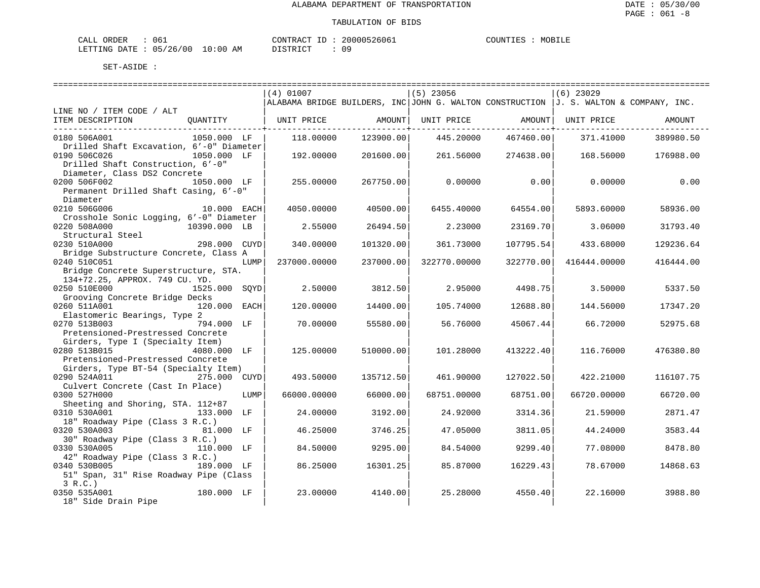| ORDER<br>CALL                | 061 |    | CONTRACT ID: | 20000526061 | COUNTIES | MOBILE |
|------------------------------|-----|----|--------------|-------------|----------|--------|
| LETTING DATE: 05/26/00 10:00 |     | ΆM | חימים דת     |             |          |        |

|                                                                 |              |      | $(4)$ 01007                  |                     | (5) 23056                      |                                    | $(6)$ 23029                                                                             |           |
|-----------------------------------------------------------------|--------------|------|------------------------------|---------------------|--------------------------------|------------------------------------|-----------------------------------------------------------------------------------------|-----------|
|                                                                 |              |      |                              |                     |                                |                                    | ALABAMA BRIDGE BUILDERS, INC JOHN G. WALTON CONSTRUCTION $J. S.$ WALTON & COMPANY, INC. |           |
| LINE NO / ITEM CODE / ALT                                       |              |      |                              |                     |                                |                                    |                                                                                         |           |
| ITEM DESCRIPTION                                                |              |      | QUANTITY   UNIT PRICE AMOUNT | ------------+------ | UNIT PRICE AMOUNT   UNIT PRICE | --------------- <del>-</del> ----- |                                                                                         | AMOUNT    |
| 0180 506A001                                                    | 1050.000 LF  |      | 118.00000                    | 123900.00           | 445.20000                      | 467460.00                          | 371.41000                                                                               | 389980.50 |
| Drilled Shaft Excavation, 6'-0" Diameter                        |              |      |                              |                     |                                |                                    |                                                                                         |           |
| 0190 506C026                                                    | 1050.000 LF  |      | 192.00000                    | 201600.00           | 261.56000                      | 274638.00                          | 168.56000                                                                               | 176988.00 |
| Drilled Shaft Construction, 6'-0"                               |              |      |                              |                     |                                |                                    |                                                                                         |           |
| Diameter, Class DS2 Concrete                                    |              |      |                              |                     |                                |                                    |                                                                                         |           |
| 0200 506F002<br>1050.000 LF                                     |              |      | 255.00000                    | 267750.00           | 0.00000                        | 0.00                               | 0.00000                                                                                 | 0.00      |
| Permanent Drilled Shaft Casing, 6'-0"                           |              |      |                              |                     |                                |                                    |                                                                                         |           |
| Diameter                                                        |              |      |                              |                     |                                |                                    |                                                                                         |           |
| $10.000$ EACH<br>0210 506G006                                   |              |      | 4050.00000                   | 40500.00            | 6455.40000                     | 64554.00                           | 5893.60000                                                                              | 58936.00  |
| Crosshole Sonic Logging, 6'-0" Diameter                         |              |      |                              |                     |                                |                                    |                                                                                         |           |
| 0220 508A000<br>10390.000 LB                                    |              |      | 2.55000                      | 26494.50            | 2.23000                        | 23169.70                           | 3.06000                                                                                 | 31793.40  |
| Structural Steel                                                |              |      |                              |                     |                                |                                    |                                                                                         |           |
| 0230 510A000                                                    | 298.000 CUYD |      | 340.00000                    | 101320.00           | 361.73000                      | 107795.54                          | 433.68000                                                                               | 129236.64 |
| Bridge Substructure Concrete, Class A                           |              |      |                              |                     |                                |                                    |                                                                                         |           |
| 0240 510C051                                                    |              | LUMP | 237000.00000                 | 237000.00           | 322770.00000                   | 322770.00                          | 416444.00000                                                                            | 416444.00 |
| Bridge Concrete Superstructure, STA.                            |              |      |                              |                     |                                |                                    |                                                                                         |           |
| 134+72.25, APPROX. 749 CU. YD.<br>0250 510E000<br>1525.000 SOYD |              |      | 2.50000                      | 3812.50             | 2.95000                        | 4498.75                            | 3.50000                                                                                 | 5337.50   |
| Grooving Concrete Bridge Decks                                  |              |      |                              |                     |                                |                                    |                                                                                         |           |
| 0260 511A001                                                    | 120.000 EACH |      | 120.00000                    | 14400.00            | 105.74000                      | 12688.80                           | 144.56000                                                                               | 17347.20  |
| Elastomeric Bearings, Type 2                                    |              |      |                              |                     |                                |                                    |                                                                                         |           |
| 0270 513B003                                                    | 794.000 LF   |      | 70.00000                     | 55580.00            | 56.76000                       | 45067.44                           | 66.72000                                                                                | 52975.68  |
| Pretensioned-Prestressed Concrete                               |              |      |                              |                     |                                |                                    |                                                                                         |           |
| Girders, Type I (Specialty Item)                                |              |      |                              |                     |                                |                                    |                                                                                         |           |
| 0280 513B015                                                    | 4080.000 LF  |      | 125,00000                    | 510000.00           | 101.28000                      | 413222.40                          | 116.76000                                                                               | 476380.80 |
| Pretensioned-Prestressed Concrete                               |              |      |                              |                     |                                |                                    |                                                                                         |           |
| Girders, Type BT-54 (Specialty Item)                            |              |      |                              |                     |                                |                                    |                                                                                         |           |
| 0290 524A011 275.000 CUYD                                       |              |      | 493.50000                    | 135712.50           | 461.90000                      | 127022.50                          | 422.21000                                                                               | 116107.75 |
| Culvert Concrete (Cast In Place)                                |              |      |                              |                     |                                |                                    |                                                                                         |           |
| 0300 527H000                                                    |              | LUMP | 66000.00000                  | 66000.00            | 68751.00000                    | 68751.00                           | 66720.00000                                                                             | 66720.00  |
| Sheeting and Shoring, STA. 112+87                               |              |      |                              |                     |                                |                                    |                                                                                         |           |
| 0310 530A001                                                    | 133.000 LF   |      | 24.00000                     | 3192.00             | 24.92000                       | 3314.36                            | 21.59000                                                                                | 2871.47   |
| 18" Roadway Pipe (Class 3 R.C.)                                 |              |      |                              |                     |                                |                                    |                                                                                         |           |
| 0320 530A003                                                    | 81.000 LF    |      | 46.25000                     | 3746.25             | 47.05000                       | 3811.05                            | 44.24000                                                                                | 3583.44   |
| 30" Roadway Pipe (Class 3 R.C.)                                 |              |      |                              |                     |                                |                                    |                                                                                         |           |
| 0330 530A005                                                    | 110.000 LF   |      | 84.50000                     | 9295.00             | 84.54000                       | 9299.40                            | 77.08000                                                                                | 8478.80   |
| 42" Roadway Pipe (Class 3 R.C.)                                 |              |      |                              |                     |                                |                                    |                                                                                         |           |
| 0340 530B005 189.000 LF                                         |              |      | 86.25000                     | 16301.25            | 85.87000                       | 16229.43                           | 78.67000                                                                                | 14868.63  |
| 51" Span, 31" Rise Roadway Pipe (Class                          |              |      |                              |                     |                                |                                    |                                                                                         |           |
| 3 R.C.                                                          | 180.000 LF   |      |                              |                     |                                |                                    |                                                                                         |           |
| 0350 535A001                                                    |              |      | 23.00000                     | 4140.00             | 25.28000                       | 4550.40                            | 22.16000                                                                                | 3988.80   |
| 18" Side Drain Pipe                                             |              |      |                              |                     |                                |                                    |                                                                                         |           |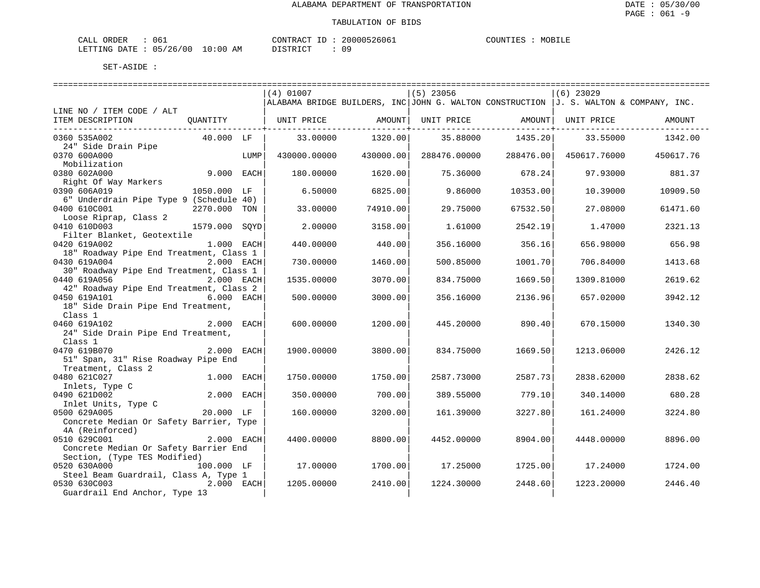| ORDER<br>CALL                | 061 |    | CONTRACT ID: | 20000526061 | COUNTIES | MOBILE |
|------------------------------|-----|----|--------------|-------------|----------|--------|
| LETTING DATE: 05/26/00 10:00 |     | ΆM | חימים דת     |             |          |        |

|                                                         |              |      | $(4)$ 01007  |           | $(5)$ 23056  |           | $(6)$ 23029                                                                           |           |
|---------------------------------------------------------|--------------|------|--------------|-----------|--------------|-----------|---------------------------------------------------------------------------------------|-----------|
|                                                         |              |      |              |           |              |           | ALABAMA BRIDGE BUILDERS, INC JOHN G. WALTON CONSTRUCTION J. S. WALTON & COMPANY, INC. |           |
| LINE NO / ITEM CODE / ALT                               |              |      |              |           |              |           |                                                                                       |           |
| ITEM DESCRIPTION                                        | QUANTITY     |      | UNIT PRICE   | AMOUNT    | UNIT PRICE   | AMOUNT    | UNIT PRICE                                                                            | AMOUNT    |
| 0360 535A002                                            | 40.000 LF    |      |              |           | 35.88000     |           | 33.55000                                                                              | 1342.00   |
| 24" Side Drain Pipe                                     |              |      | 33.00000     | 1320.00   |              | 1435.201  |                                                                                       |           |
| 0370 600A000                                            |              | LUMP | 430000.00000 | 430000.00 | 288476.00000 | 288476.00 | 450617.76000                                                                          | 450617.76 |
| Mobilization                                            |              |      |              |           |              |           |                                                                                       |           |
| 0380 602A000                                            | 9.000 EACH   |      | 180.00000    | 1620.00   | 75.36000     | 678.24    | 97.93000                                                                              | 881.37    |
| Right Of Way Markers                                    |              |      |              |           |              |           |                                                                                       |           |
| 0390 606A019                                            | 1050.000 LF  |      | 6.50000      | 6825.00   | 9.86000      | 10353.00  | 10.39000                                                                              | 10909.50  |
| 6" Underdrain Pipe Type 9 (Schedule 40)                 |              |      |              |           |              |           |                                                                                       |           |
| 0400 610C001                                            | 2270.000 TON |      | 33.00000     | 74910.00  | 29.75000     | 67532.50  | 27.08000                                                                              | 61471.60  |
| Loose Riprap, Class 2                                   |              |      |              |           |              |           |                                                                                       |           |
| 0410 610D003                                            | 1579.000     | SOYD | 2.00000      | 3158.00   | 1.61000      | 2542.19   | 1.47000                                                                               | 2321.13   |
| Filter Blanket, Geotextile<br>0420 619A002              | 1.000 EACH   |      | 440.00000    | 440.00    | 356.16000    | 356.16    | 656.98000                                                                             | 656.98    |
| 18" Roadway Pipe End Treatment, Class 1                 |              |      |              |           |              |           |                                                                                       |           |
| 0430 619A004                                            | 2.000 EACH   |      | 730.00000    | 1460.00   | 500.85000    | 1001.70   | 706.84000                                                                             | 1413.68   |
| 30" Roadway Pipe End Treatment, Class 1                 |              |      |              |           |              |           |                                                                                       |           |
| 0440 619A056                                            | 2.000 EACH   |      | 1535.00000   | 3070.00   | 834.75000    | 1669.50   | 1309.81000                                                                            | 2619.62   |
| 42" Roadway Pipe End Treatment, Class 2                 |              |      |              |           |              |           |                                                                                       |           |
| 0450 619A101                                            | 6.000        | EACH | 500.00000    | 3000.00   | 356.16000    | 2136.96   | 657.02000                                                                             | 3942.12   |
| 18" Side Drain Pipe End Treatment,                      |              |      |              |           |              |           |                                                                                       |           |
| Class 1                                                 |              |      |              |           |              |           |                                                                                       |           |
| 0460 619A102<br>24" Side Drain Pipe End Treatment,      | 2.000        | EACH | 600.00000    | 1200.00   | 445.20000    | 890.40    | 670.15000                                                                             | 1340.30   |
| Class 1                                                 |              |      |              |           |              |           |                                                                                       |           |
| 0470 619B070                                            | 2.000 EACH   |      | 1900.00000   | 3800.00   | 834.75000    | 1669.50   | 1213.06000                                                                            | 2426.12   |
| 51" Span, 31" Rise Roadway Pipe End                     |              |      |              |           |              |           |                                                                                       |           |
| Treatment, Class 2                                      |              |      |              |           |              |           |                                                                                       |           |
| 0480 621C027                                            | 1.000 EACH   |      | 1750.00000   | 1750.00   | 2587.73000   | 2587.73   | 2838.62000                                                                            | 2838.62   |
| Inlets, Type C                                          |              |      |              |           |              |           |                                                                                       |           |
| 0490 621D002                                            | 2.000 EACH   |      | 350.00000    | 700.00    | 389.55000    | 779.10    | 340.14000                                                                             | 680.28    |
| Inlet Units, Type C                                     |              |      |              |           |              |           |                                                                                       |           |
| 0500 629A005<br>Concrete Median Or Safety Barrier, Type | 20.000 LF    |      | 160.00000    | 3200.00   | 161.39000    | 3227.80   | 161.24000                                                                             | 3224.80   |
| 4A (Reinforced)                                         |              |      |              |           |              |           |                                                                                       |           |
| 0510 629C001                                            | 2.000 EACH   |      | 4400.00000   | 8800.00   | 4452.00000   | 8904.00   | 4448.00000                                                                            | 8896.00   |
| Concrete Median Or Safety Barrier End                   |              |      |              |           |              |           |                                                                                       |           |
| Section, (Type TES Modified)                            |              |      |              |           |              |           |                                                                                       |           |
| 0520 630A000                                            | 100.000 LF   |      | 17.00000     | 1700.00   | 17.25000     | 1725.00   | 17.24000                                                                              | 1724.00   |
| Steel Beam Guardrail, Class A, Type 1                   |              |      |              |           |              |           |                                                                                       |           |
| 0530 630C003                                            | 2.000 EACH   |      | 1205.00000   | 2410.00   | 1224.30000   | 2448.60   | 1223.20000                                                                            | 2446.40   |
| Guardrail End Anchor, Type 13                           |              |      |              |           |              |           |                                                                                       |           |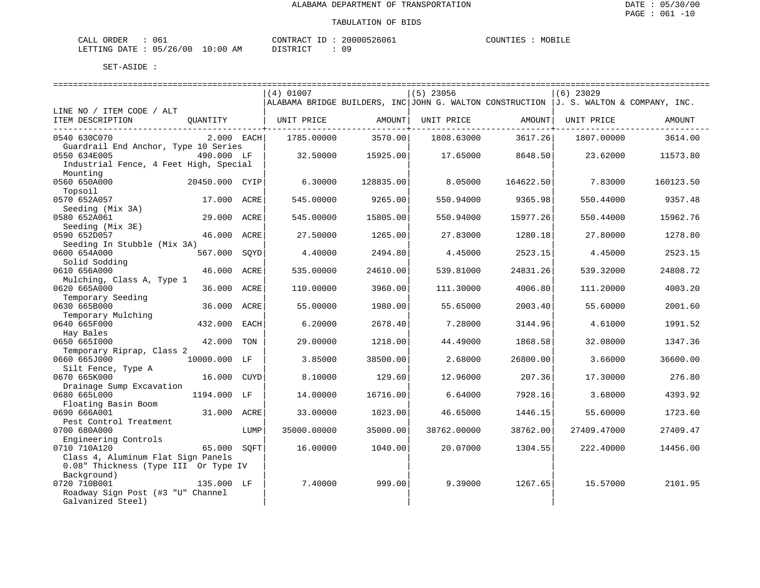| CALL ORDER                       | 061 |          |  | CONTRACT ID: 20000526061 | COUNTIES | MOBILE |
|----------------------------------|-----|----------|--|--------------------------|----------|--------|
| LETTING DATE : 05/26/00 10:00 AM |     | DISTRICT |  | n c                      |          |        |

| $(4)$ 01007<br>$(5)$ 23056<br>$(6)$ 23029<br>ALABAMA BRIDGE BUILDERS, INC JOHN G. WALTON CONSTRUCTION $J. S.$ WALTON & COMPANY, INC.<br>LINE NO / ITEM CODE / ALT<br>ITEM DESCRIPTION<br>UNIT PRICE<br>AMOUNT<br>UNIT PRICE<br>AMOUNT<br>UNIT PRICE<br>OUANTITY<br>AMOUNT<br>0540 630C070<br>2.000 EACH<br>3570.00<br>3614.00<br>1785.00000<br>1808.63000<br>3617.26<br>1807.00000<br>Guardrail End Anchor, Type 10 Series<br>490.000 LF<br>0550 634E005<br>32.50000<br>15925.00<br>17.65000<br>8648.50<br>23.62000<br>11573.80<br>Industrial Fence, 4 Feet High, Special<br>Mounting<br>0560 650A000<br>7.83000<br>20450.000 CYIP<br>6.30000<br>128835.00<br>8.05000<br>164622.50<br>160123.50<br>Topsoil<br>0570 652A057<br>17.000 ACRE<br>545.00000<br>9265.00<br>550.94000<br>9365.98<br>550.44000<br>9357.48<br>Seeding (Mix 3A)<br>0580 652A061<br>29,000<br>545.00000<br>15805.00<br>15977.26<br>550.44000<br>15962.76<br>ACRE<br>550.94000<br>Seeding (Mix 3E)<br>0590 652D057<br>1280.18<br>1278.80<br>46.000<br>ACRE<br>27.50000<br>1265.00<br>27.83000<br>27.80000<br>Seeding In Stubble (Mix 3A)<br>0600 654A000<br>567.000<br>4.40000<br>2494.80<br>2523.15<br>2523.15<br>SQYD<br>4.45000<br>4.45000<br>Solid Sodding<br>0610 656A000<br>46.000<br>535.00000<br>24610.00<br>539.81000<br>24831.26<br>539.32000<br>24808.72<br>ACRE<br>Mulching, Class A, Type 1<br>0620 665A000<br>36.000<br>3960.00<br>4006.80<br>ACRE<br>110.00000<br>111.30000<br>111,20000<br>4003.20<br>Temporary Seeding<br>0630 665B000<br>36.000<br>ACRE<br>55.00000<br>1980.00<br>55.65000<br>2003.40<br>55.60000<br>2001.60<br>Temporary Mulching<br>0640 665F000<br>2678.40<br>432.000<br>EACH<br>6.20000<br>7.28000<br>3144.96<br>4.61000<br>1991.52<br>Hay Bales<br>0650 6651000<br>42.000<br>29.00000<br>1218.00<br>44.49000<br>1868.58<br>32.08000<br>1347.36<br>TON<br>Temporary Riprap, Class 2<br>0660 665J000<br>10000.000 LF<br>3.85000<br>38500.00<br>2.68000<br>26800.00<br>3.66000<br>36600.00<br>Silt Fence, Type A<br>0670 665K000<br>16.000 CUYD<br>8.10000<br>129.60<br>12.96000<br>207.36<br>17.30000<br>276.80<br>Drainage Sump Excavation<br>0680 665L000<br>1194.000 LF<br>14.00000<br>16716.00<br>6.64000<br>7928.16<br>3.68000<br>4393.92<br>Floating Basin Boom<br>1723.60<br>0690 666A001<br>31.000 ACRE<br>33.00000<br>1023.00<br>46.65000<br>1446.15<br>55.60000<br>Pest Control Treatment<br>0700 680A000<br>35000.00000<br>35000.00<br>27409.47<br>LUMP<br>38762.00000<br>38762.00<br>27409.47000<br>Engineering Controls<br>0710 710A120<br>65.000<br>SOFT<br>16.00000<br>1040.00<br>20.07000<br>1304.55<br>222.40000<br>14456.00<br>Class 4, Aluminum Flat Sign Panels<br>0.08" Thickness (Type III Or Type IV<br>Background)<br>0720 710B001<br>135.000 LF<br>7.40000<br>999.00<br>9.39000<br>1267.65<br>15.57000<br>2101.95<br>Roadway Sign Post (#3 "U" Channel |  |  |  |  |  |
|------------------------------------------------------------------------------------------------------------------------------------------------------------------------------------------------------------------------------------------------------------------------------------------------------------------------------------------------------------------------------------------------------------------------------------------------------------------------------------------------------------------------------------------------------------------------------------------------------------------------------------------------------------------------------------------------------------------------------------------------------------------------------------------------------------------------------------------------------------------------------------------------------------------------------------------------------------------------------------------------------------------------------------------------------------------------------------------------------------------------------------------------------------------------------------------------------------------------------------------------------------------------------------------------------------------------------------------------------------------------------------------------------------------------------------------------------------------------------------------------------------------------------------------------------------------------------------------------------------------------------------------------------------------------------------------------------------------------------------------------------------------------------------------------------------------------------------------------------------------------------------------------------------------------------------------------------------------------------------------------------------------------------------------------------------------------------------------------------------------------------------------------------------------------------------------------------------------------------------------------------------------------------------------------------------------------------------------------------------------------------------------------------------------------------------------------------------------------------------------------------------------------------------------------------------------------------------------------------------------------------------------------------------------------------------------------------------------------------------------------------------------------------------------------------------------------------------------------------------------------------------------|--|--|--|--|--|
|                                                                                                                                                                                                                                                                                                                                                                                                                                                                                                                                                                                                                                                                                                                                                                                                                                                                                                                                                                                                                                                                                                                                                                                                                                                                                                                                                                                                                                                                                                                                                                                                                                                                                                                                                                                                                                                                                                                                                                                                                                                                                                                                                                                                                                                                                                                                                                                                                                                                                                                                                                                                                                                                                                                                                                                                                                                                                          |  |  |  |  |  |
|                                                                                                                                                                                                                                                                                                                                                                                                                                                                                                                                                                                                                                                                                                                                                                                                                                                                                                                                                                                                                                                                                                                                                                                                                                                                                                                                                                                                                                                                                                                                                                                                                                                                                                                                                                                                                                                                                                                                                                                                                                                                                                                                                                                                                                                                                                                                                                                                                                                                                                                                                                                                                                                                                                                                                                                                                                                                                          |  |  |  |  |  |
|                                                                                                                                                                                                                                                                                                                                                                                                                                                                                                                                                                                                                                                                                                                                                                                                                                                                                                                                                                                                                                                                                                                                                                                                                                                                                                                                                                                                                                                                                                                                                                                                                                                                                                                                                                                                                                                                                                                                                                                                                                                                                                                                                                                                                                                                                                                                                                                                                                                                                                                                                                                                                                                                                                                                                                                                                                                                                          |  |  |  |  |  |
|                                                                                                                                                                                                                                                                                                                                                                                                                                                                                                                                                                                                                                                                                                                                                                                                                                                                                                                                                                                                                                                                                                                                                                                                                                                                                                                                                                                                                                                                                                                                                                                                                                                                                                                                                                                                                                                                                                                                                                                                                                                                                                                                                                                                                                                                                                                                                                                                                                                                                                                                                                                                                                                                                                                                                                                                                                                                                          |  |  |  |  |  |
|                                                                                                                                                                                                                                                                                                                                                                                                                                                                                                                                                                                                                                                                                                                                                                                                                                                                                                                                                                                                                                                                                                                                                                                                                                                                                                                                                                                                                                                                                                                                                                                                                                                                                                                                                                                                                                                                                                                                                                                                                                                                                                                                                                                                                                                                                                                                                                                                                                                                                                                                                                                                                                                                                                                                                                                                                                                                                          |  |  |  |  |  |
|                                                                                                                                                                                                                                                                                                                                                                                                                                                                                                                                                                                                                                                                                                                                                                                                                                                                                                                                                                                                                                                                                                                                                                                                                                                                                                                                                                                                                                                                                                                                                                                                                                                                                                                                                                                                                                                                                                                                                                                                                                                                                                                                                                                                                                                                                                                                                                                                                                                                                                                                                                                                                                                                                                                                                                                                                                                                                          |  |  |  |  |  |
|                                                                                                                                                                                                                                                                                                                                                                                                                                                                                                                                                                                                                                                                                                                                                                                                                                                                                                                                                                                                                                                                                                                                                                                                                                                                                                                                                                                                                                                                                                                                                                                                                                                                                                                                                                                                                                                                                                                                                                                                                                                                                                                                                                                                                                                                                                                                                                                                                                                                                                                                                                                                                                                                                                                                                                                                                                                                                          |  |  |  |  |  |
|                                                                                                                                                                                                                                                                                                                                                                                                                                                                                                                                                                                                                                                                                                                                                                                                                                                                                                                                                                                                                                                                                                                                                                                                                                                                                                                                                                                                                                                                                                                                                                                                                                                                                                                                                                                                                                                                                                                                                                                                                                                                                                                                                                                                                                                                                                                                                                                                                                                                                                                                                                                                                                                                                                                                                                                                                                                                                          |  |  |  |  |  |
|                                                                                                                                                                                                                                                                                                                                                                                                                                                                                                                                                                                                                                                                                                                                                                                                                                                                                                                                                                                                                                                                                                                                                                                                                                                                                                                                                                                                                                                                                                                                                                                                                                                                                                                                                                                                                                                                                                                                                                                                                                                                                                                                                                                                                                                                                                                                                                                                                                                                                                                                                                                                                                                                                                                                                                                                                                                                                          |  |  |  |  |  |
|                                                                                                                                                                                                                                                                                                                                                                                                                                                                                                                                                                                                                                                                                                                                                                                                                                                                                                                                                                                                                                                                                                                                                                                                                                                                                                                                                                                                                                                                                                                                                                                                                                                                                                                                                                                                                                                                                                                                                                                                                                                                                                                                                                                                                                                                                                                                                                                                                                                                                                                                                                                                                                                                                                                                                                                                                                                                                          |  |  |  |  |  |
|                                                                                                                                                                                                                                                                                                                                                                                                                                                                                                                                                                                                                                                                                                                                                                                                                                                                                                                                                                                                                                                                                                                                                                                                                                                                                                                                                                                                                                                                                                                                                                                                                                                                                                                                                                                                                                                                                                                                                                                                                                                                                                                                                                                                                                                                                                                                                                                                                                                                                                                                                                                                                                                                                                                                                                                                                                                                                          |  |  |  |  |  |
|                                                                                                                                                                                                                                                                                                                                                                                                                                                                                                                                                                                                                                                                                                                                                                                                                                                                                                                                                                                                                                                                                                                                                                                                                                                                                                                                                                                                                                                                                                                                                                                                                                                                                                                                                                                                                                                                                                                                                                                                                                                                                                                                                                                                                                                                                                                                                                                                                                                                                                                                                                                                                                                                                                                                                                                                                                                                                          |  |  |  |  |  |
|                                                                                                                                                                                                                                                                                                                                                                                                                                                                                                                                                                                                                                                                                                                                                                                                                                                                                                                                                                                                                                                                                                                                                                                                                                                                                                                                                                                                                                                                                                                                                                                                                                                                                                                                                                                                                                                                                                                                                                                                                                                                                                                                                                                                                                                                                                                                                                                                                                                                                                                                                                                                                                                                                                                                                                                                                                                                                          |  |  |  |  |  |
|                                                                                                                                                                                                                                                                                                                                                                                                                                                                                                                                                                                                                                                                                                                                                                                                                                                                                                                                                                                                                                                                                                                                                                                                                                                                                                                                                                                                                                                                                                                                                                                                                                                                                                                                                                                                                                                                                                                                                                                                                                                                                                                                                                                                                                                                                                                                                                                                                                                                                                                                                                                                                                                                                                                                                                                                                                                                                          |  |  |  |  |  |
|                                                                                                                                                                                                                                                                                                                                                                                                                                                                                                                                                                                                                                                                                                                                                                                                                                                                                                                                                                                                                                                                                                                                                                                                                                                                                                                                                                                                                                                                                                                                                                                                                                                                                                                                                                                                                                                                                                                                                                                                                                                                                                                                                                                                                                                                                                                                                                                                                                                                                                                                                                                                                                                                                                                                                                                                                                                                                          |  |  |  |  |  |
|                                                                                                                                                                                                                                                                                                                                                                                                                                                                                                                                                                                                                                                                                                                                                                                                                                                                                                                                                                                                                                                                                                                                                                                                                                                                                                                                                                                                                                                                                                                                                                                                                                                                                                                                                                                                                                                                                                                                                                                                                                                                                                                                                                                                                                                                                                                                                                                                                                                                                                                                                                                                                                                                                                                                                                                                                                                                                          |  |  |  |  |  |
|                                                                                                                                                                                                                                                                                                                                                                                                                                                                                                                                                                                                                                                                                                                                                                                                                                                                                                                                                                                                                                                                                                                                                                                                                                                                                                                                                                                                                                                                                                                                                                                                                                                                                                                                                                                                                                                                                                                                                                                                                                                                                                                                                                                                                                                                                                                                                                                                                                                                                                                                                                                                                                                                                                                                                                                                                                                                                          |  |  |  |  |  |
|                                                                                                                                                                                                                                                                                                                                                                                                                                                                                                                                                                                                                                                                                                                                                                                                                                                                                                                                                                                                                                                                                                                                                                                                                                                                                                                                                                                                                                                                                                                                                                                                                                                                                                                                                                                                                                                                                                                                                                                                                                                                                                                                                                                                                                                                                                                                                                                                                                                                                                                                                                                                                                                                                                                                                                                                                                                                                          |  |  |  |  |  |
|                                                                                                                                                                                                                                                                                                                                                                                                                                                                                                                                                                                                                                                                                                                                                                                                                                                                                                                                                                                                                                                                                                                                                                                                                                                                                                                                                                                                                                                                                                                                                                                                                                                                                                                                                                                                                                                                                                                                                                                                                                                                                                                                                                                                                                                                                                                                                                                                                                                                                                                                                                                                                                                                                                                                                                                                                                                                                          |  |  |  |  |  |
|                                                                                                                                                                                                                                                                                                                                                                                                                                                                                                                                                                                                                                                                                                                                                                                                                                                                                                                                                                                                                                                                                                                                                                                                                                                                                                                                                                                                                                                                                                                                                                                                                                                                                                                                                                                                                                                                                                                                                                                                                                                                                                                                                                                                                                                                                                                                                                                                                                                                                                                                                                                                                                                                                                                                                                                                                                                                                          |  |  |  |  |  |
|                                                                                                                                                                                                                                                                                                                                                                                                                                                                                                                                                                                                                                                                                                                                                                                                                                                                                                                                                                                                                                                                                                                                                                                                                                                                                                                                                                                                                                                                                                                                                                                                                                                                                                                                                                                                                                                                                                                                                                                                                                                                                                                                                                                                                                                                                                                                                                                                                                                                                                                                                                                                                                                                                                                                                                                                                                                                                          |  |  |  |  |  |
|                                                                                                                                                                                                                                                                                                                                                                                                                                                                                                                                                                                                                                                                                                                                                                                                                                                                                                                                                                                                                                                                                                                                                                                                                                                                                                                                                                                                                                                                                                                                                                                                                                                                                                                                                                                                                                                                                                                                                                                                                                                                                                                                                                                                                                                                                                                                                                                                                                                                                                                                                                                                                                                                                                                                                                                                                                                                                          |  |  |  |  |  |
|                                                                                                                                                                                                                                                                                                                                                                                                                                                                                                                                                                                                                                                                                                                                                                                                                                                                                                                                                                                                                                                                                                                                                                                                                                                                                                                                                                                                                                                                                                                                                                                                                                                                                                                                                                                                                                                                                                                                                                                                                                                                                                                                                                                                                                                                                                                                                                                                                                                                                                                                                                                                                                                                                                                                                                                                                                                                                          |  |  |  |  |  |
|                                                                                                                                                                                                                                                                                                                                                                                                                                                                                                                                                                                                                                                                                                                                                                                                                                                                                                                                                                                                                                                                                                                                                                                                                                                                                                                                                                                                                                                                                                                                                                                                                                                                                                                                                                                                                                                                                                                                                                                                                                                                                                                                                                                                                                                                                                                                                                                                                                                                                                                                                                                                                                                                                                                                                                                                                                                                                          |  |  |  |  |  |
|                                                                                                                                                                                                                                                                                                                                                                                                                                                                                                                                                                                                                                                                                                                                                                                                                                                                                                                                                                                                                                                                                                                                                                                                                                                                                                                                                                                                                                                                                                                                                                                                                                                                                                                                                                                                                                                                                                                                                                                                                                                                                                                                                                                                                                                                                                                                                                                                                                                                                                                                                                                                                                                                                                                                                                                                                                                                                          |  |  |  |  |  |
|                                                                                                                                                                                                                                                                                                                                                                                                                                                                                                                                                                                                                                                                                                                                                                                                                                                                                                                                                                                                                                                                                                                                                                                                                                                                                                                                                                                                                                                                                                                                                                                                                                                                                                                                                                                                                                                                                                                                                                                                                                                                                                                                                                                                                                                                                                                                                                                                                                                                                                                                                                                                                                                                                                                                                                                                                                                                                          |  |  |  |  |  |
|                                                                                                                                                                                                                                                                                                                                                                                                                                                                                                                                                                                                                                                                                                                                                                                                                                                                                                                                                                                                                                                                                                                                                                                                                                                                                                                                                                                                                                                                                                                                                                                                                                                                                                                                                                                                                                                                                                                                                                                                                                                                                                                                                                                                                                                                                                                                                                                                                                                                                                                                                                                                                                                                                                                                                                                                                                                                                          |  |  |  |  |  |
|                                                                                                                                                                                                                                                                                                                                                                                                                                                                                                                                                                                                                                                                                                                                                                                                                                                                                                                                                                                                                                                                                                                                                                                                                                                                                                                                                                                                                                                                                                                                                                                                                                                                                                                                                                                                                                                                                                                                                                                                                                                                                                                                                                                                                                                                                                                                                                                                                                                                                                                                                                                                                                                                                                                                                                                                                                                                                          |  |  |  |  |  |
|                                                                                                                                                                                                                                                                                                                                                                                                                                                                                                                                                                                                                                                                                                                                                                                                                                                                                                                                                                                                                                                                                                                                                                                                                                                                                                                                                                                                                                                                                                                                                                                                                                                                                                                                                                                                                                                                                                                                                                                                                                                                                                                                                                                                                                                                                                                                                                                                                                                                                                                                                                                                                                                                                                                                                                                                                                                                                          |  |  |  |  |  |
|                                                                                                                                                                                                                                                                                                                                                                                                                                                                                                                                                                                                                                                                                                                                                                                                                                                                                                                                                                                                                                                                                                                                                                                                                                                                                                                                                                                                                                                                                                                                                                                                                                                                                                                                                                                                                                                                                                                                                                                                                                                                                                                                                                                                                                                                                                                                                                                                                                                                                                                                                                                                                                                                                                                                                                                                                                                                                          |  |  |  |  |  |
|                                                                                                                                                                                                                                                                                                                                                                                                                                                                                                                                                                                                                                                                                                                                                                                                                                                                                                                                                                                                                                                                                                                                                                                                                                                                                                                                                                                                                                                                                                                                                                                                                                                                                                                                                                                                                                                                                                                                                                                                                                                                                                                                                                                                                                                                                                                                                                                                                                                                                                                                                                                                                                                                                                                                                                                                                                                                                          |  |  |  |  |  |
|                                                                                                                                                                                                                                                                                                                                                                                                                                                                                                                                                                                                                                                                                                                                                                                                                                                                                                                                                                                                                                                                                                                                                                                                                                                                                                                                                                                                                                                                                                                                                                                                                                                                                                                                                                                                                                                                                                                                                                                                                                                                                                                                                                                                                                                                                                                                                                                                                                                                                                                                                                                                                                                                                                                                                                                                                                                                                          |  |  |  |  |  |
|                                                                                                                                                                                                                                                                                                                                                                                                                                                                                                                                                                                                                                                                                                                                                                                                                                                                                                                                                                                                                                                                                                                                                                                                                                                                                                                                                                                                                                                                                                                                                                                                                                                                                                                                                                                                                                                                                                                                                                                                                                                                                                                                                                                                                                                                                                                                                                                                                                                                                                                                                                                                                                                                                                                                                                                                                                                                                          |  |  |  |  |  |
|                                                                                                                                                                                                                                                                                                                                                                                                                                                                                                                                                                                                                                                                                                                                                                                                                                                                                                                                                                                                                                                                                                                                                                                                                                                                                                                                                                                                                                                                                                                                                                                                                                                                                                                                                                                                                                                                                                                                                                                                                                                                                                                                                                                                                                                                                                                                                                                                                                                                                                                                                                                                                                                                                                                                                                                                                                                                                          |  |  |  |  |  |
|                                                                                                                                                                                                                                                                                                                                                                                                                                                                                                                                                                                                                                                                                                                                                                                                                                                                                                                                                                                                                                                                                                                                                                                                                                                                                                                                                                                                                                                                                                                                                                                                                                                                                                                                                                                                                                                                                                                                                                                                                                                                                                                                                                                                                                                                                                                                                                                                                                                                                                                                                                                                                                                                                                                                                                                                                                                                                          |  |  |  |  |  |
|                                                                                                                                                                                                                                                                                                                                                                                                                                                                                                                                                                                                                                                                                                                                                                                                                                                                                                                                                                                                                                                                                                                                                                                                                                                                                                                                                                                                                                                                                                                                                                                                                                                                                                                                                                                                                                                                                                                                                                                                                                                                                                                                                                                                                                                                                                                                                                                                                                                                                                                                                                                                                                                                                                                                                                                                                                                                                          |  |  |  |  |  |
|                                                                                                                                                                                                                                                                                                                                                                                                                                                                                                                                                                                                                                                                                                                                                                                                                                                                                                                                                                                                                                                                                                                                                                                                                                                                                                                                                                                                                                                                                                                                                                                                                                                                                                                                                                                                                                                                                                                                                                                                                                                                                                                                                                                                                                                                                                                                                                                                                                                                                                                                                                                                                                                                                                                                                                                                                                                                                          |  |  |  |  |  |
|                                                                                                                                                                                                                                                                                                                                                                                                                                                                                                                                                                                                                                                                                                                                                                                                                                                                                                                                                                                                                                                                                                                                                                                                                                                                                                                                                                                                                                                                                                                                                                                                                                                                                                                                                                                                                                                                                                                                                                                                                                                                                                                                                                                                                                                                                                                                                                                                                                                                                                                                                                                                                                                                                                                                                                                                                                                                                          |  |  |  |  |  |
|                                                                                                                                                                                                                                                                                                                                                                                                                                                                                                                                                                                                                                                                                                                                                                                                                                                                                                                                                                                                                                                                                                                                                                                                                                                                                                                                                                                                                                                                                                                                                                                                                                                                                                                                                                                                                                                                                                                                                                                                                                                                                                                                                                                                                                                                                                                                                                                                                                                                                                                                                                                                                                                                                                                                                                                                                                                                                          |  |  |  |  |  |
|                                                                                                                                                                                                                                                                                                                                                                                                                                                                                                                                                                                                                                                                                                                                                                                                                                                                                                                                                                                                                                                                                                                                                                                                                                                                                                                                                                                                                                                                                                                                                                                                                                                                                                                                                                                                                                                                                                                                                                                                                                                                                                                                                                                                                                                                                                                                                                                                                                                                                                                                                                                                                                                                                                                                                                                                                                                                                          |  |  |  |  |  |
|                                                                                                                                                                                                                                                                                                                                                                                                                                                                                                                                                                                                                                                                                                                                                                                                                                                                                                                                                                                                                                                                                                                                                                                                                                                                                                                                                                                                                                                                                                                                                                                                                                                                                                                                                                                                                                                                                                                                                                                                                                                                                                                                                                                                                                                                                                                                                                                                                                                                                                                                                                                                                                                                                                                                                                                                                                                                                          |  |  |  |  |  |
|                                                                                                                                                                                                                                                                                                                                                                                                                                                                                                                                                                                                                                                                                                                                                                                                                                                                                                                                                                                                                                                                                                                                                                                                                                                                                                                                                                                                                                                                                                                                                                                                                                                                                                                                                                                                                                                                                                                                                                                                                                                                                                                                                                                                                                                                                                                                                                                                                                                                                                                                                                                                                                                                                                                                                                                                                                                                                          |  |  |  |  |  |
|                                                                                                                                                                                                                                                                                                                                                                                                                                                                                                                                                                                                                                                                                                                                                                                                                                                                                                                                                                                                                                                                                                                                                                                                                                                                                                                                                                                                                                                                                                                                                                                                                                                                                                                                                                                                                                                                                                                                                                                                                                                                                                                                                                                                                                                                                                                                                                                                                                                                                                                                                                                                                                                                                                                                                                                                                                                                                          |  |  |  |  |  |
|                                                                                                                                                                                                                                                                                                                                                                                                                                                                                                                                                                                                                                                                                                                                                                                                                                                                                                                                                                                                                                                                                                                                                                                                                                                                                                                                                                                                                                                                                                                                                                                                                                                                                                                                                                                                                                                                                                                                                                                                                                                                                                                                                                                                                                                                                                                                                                                                                                                                                                                                                                                                                                                                                                                                                                                                                                                                                          |  |  |  |  |  |
|                                                                                                                                                                                                                                                                                                                                                                                                                                                                                                                                                                                                                                                                                                                                                                                                                                                                                                                                                                                                                                                                                                                                                                                                                                                                                                                                                                                                                                                                                                                                                                                                                                                                                                                                                                                                                                                                                                                                                                                                                                                                                                                                                                                                                                                                                                                                                                                                                                                                                                                                                                                                                                                                                                                                                                                                                                                                                          |  |  |  |  |  |
| Galvanized Steel)                                                                                                                                                                                                                                                                                                                                                                                                                                                                                                                                                                                                                                                                                                                                                                                                                                                                                                                                                                                                                                                                                                                                                                                                                                                                                                                                                                                                                                                                                                                                                                                                                                                                                                                                                                                                                                                                                                                                                                                                                                                                                                                                                                                                                                                                                                                                                                                                                                                                                                                                                                                                                                                                                                                                                                                                                                                                        |  |  |  |  |  |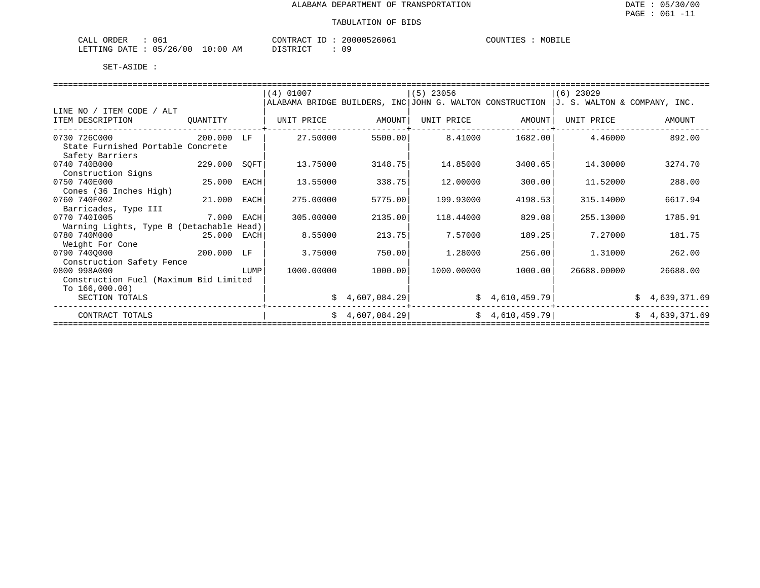| 061<br>ORDER<br>CALL                    | 20000526061<br>CONTRACT ID<br>ுப    | MOBILE<br>COUNTIES |
|-----------------------------------------|-------------------------------------|--------------------|
| 10:00<br>05/26/00<br>LETTING DATE<br>ΑM | 09<br>חי חים דח<br><i>ມ</i> ⊥ມ⊥ນ⊥ບ⊥ |                    |

|                                                   |          |      | $(4)$ 01007 |                 | $(5)$ 23056                                              |                | $(6)$ 23029                  |                |
|---------------------------------------------------|----------|------|-------------|-----------------|----------------------------------------------------------|----------------|------------------------------|----------------|
|                                                   |          |      |             |                 | ALABAMA BRIDGE BUILDERS, INC JOHN G. WALTON CONSTRUCTION |                | J. S. WALTON & COMPANY, INC. |                |
| LINE NO / ITEM CODE / ALT                         |          |      |             |                 |                                                          |                |                              |                |
| ITEM DESCRIPTION                                  | OUANTITY |      | UNIT PRICE  | AMOUNT          | UNIT PRICE                                               | AMOUNT         | UNIT PRICE                   | AMOUNT         |
| 0730 726C000<br>State Furnished Portable Concrete | 200,000  | LF   | 27.50000    | 5500.00         | 8.41000                                                  | 1682.00        | 4.46000                      | 892.00         |
| Safety Barriers                                   |          |      |             |                 |                                                          |                |                              |                |
| 0740 740B000                                      | 229.000  | SOFT | 13.75000    | 3148.75         | 14.85000                                                 | 3400.65        | 14.30000                     | 3274.70        |
| Construction Signs                                |          |      |             |                 |                                                          |                |                              |                |
| 0750 740E000                                      | 25.000   | EACH | 13.55000    | 338.75          | 12.00000                                                 | 300.00         | 11.52000                     | 288.00         |
| Cones (36 Inches High)                            |          |      |             |                 |                                                          |                |                              |                |
| 0760 740F002                                      | 21,000   | EACH | 275.00000   | 5775.00         | 199.93000                                                | 4198.53        | 315.14000                    | 6617.94        |
| Barricades, Type III                              |          |      |             |                 |                                                          |                |                              |                |
| 0770 7401005                                      | 7.000    | EACH | 305.00000   | 2135.00         | 118.44000                                                | 829.08         | 255.13000                    | 1785.91        |
| Warning Lights, Type B (Detachable Head)          |          |      |             |                 |                                                          |                |                              |                |
| 0780 740M000                                      | 25.000   | EACH | 8.55000     | 213.75          | 7.57000                                                  | 189.25         | 7.27000                      | 181.75         |
| Weight For Cone                                   |          |      |             |                 |                                                          |                |                              |                |
| 0790 7400000                                      | 200.000  | LF   | 3.75000     | 750.00          | 1,28000                                                  | 256.00         | 1.31000                      | 262.00         |
| Construction Safety Fence                         |          |      |             |                 |                                                          |                |                              |                |
| 0800 998A000                                      |          | LUMP | 1000.00000  | 1000.00         | 1000.00000                                               | 1000.00        | 26688,00000                  | 26688.00       |
| Construction Fuel (Maximum Bid Limited            |          |      |             |                 |                                                          |                |                              |                |
| To $166,000.00)$                                  |          |      |             |                 |                                                          |                |                              |                |
| SECTION TOTALS                                    |          |      |             | \$4,607,084.29  |                                                          | \$4,610,459.79 |                              | \$4,639,371.69 |
| CONTRACT TOTALS                                   |          |      |             | \$4,607,084.29] |                                                          | \$4,610,459.79 |                              | \$4,639,371.69 |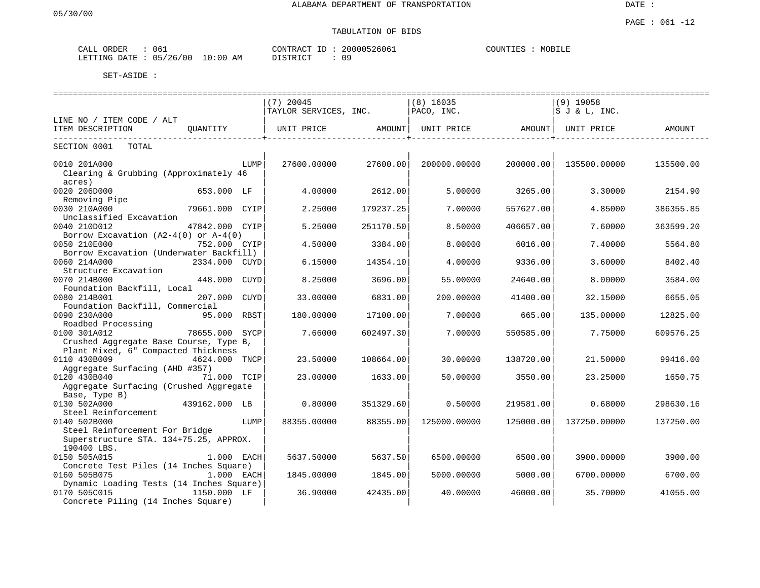# TABULATION OF BIDS

| ORDER<br>ىلىلى | 061                             | CONTRACT<br>$-1$   | 20000526061 | COUNTIES<br>MOBILE |
|----------------|---------------------------------|--------------------|-------------|--------------------|
| LETTING DATE   | 10:00<br>/26<br>'00<br>05<br>AΜ | DIAMP <sub>1</sub> | ററ<br>◡     |                    |

|                                                                          |                |             | ----------------------------- |           |                                |           |                 |           |
|--------------------------------------------------------------------------|----------------|-------------|-------------------------------|-----------|--------------------------------|-----------|-----------------|-----------|
|                                                                          |                |             | $(7)$ 20045                   |           | $(8)$ 16035                    |           | $(9)$ 19058     |           |
|                                                                          |                |             | TAYLOR SERVICES, INC.         |           | PACO, INC.                     |           | $S$ J & L, INC. |           |
| LINE NO / ITEM CODE / ALT                                                |                |             |                               |           |                                |           |                 |           |
| ITEM DESCRIPTION                                                         | OUANTITY       |             | UNIT PRICE AMOUNT             |           | UNIT PRICE AMOUNT   UNIT PRICE |           |                 | AMOUNT    |
| SECTION 0001<br>TOTAL                                                    |                |             |                               |           |                                |           |                 |           |
| 0010 201A000                                                             |                | LUMP        | 27600.00000                   | 27600.00  | 200000.00000                   | 200000.00 | 135500.00000    | 135500.00 |
| Clearing & Grubbing (Approximately 46<br>acres)                          |                |             |                               |           |                                |           |                 |           |
| 0020 206D000                                                             | 653.000 LF     |             | 4.00000                       | 2612.00   | 5.00000                        | 3265.00   | 3.30000         | 2154.90   |
| Removing Pipe<br>0030 210A000                                            | 79661.000 CYIP |             | 2.25000                       | 179237.25 | 7.00000                        | 557627.00 | 4.85000         | 386355.85 |
| Unclassified Excavation<br>0040 210D012                                  | 47842.000 CYIP |             | 5.25000                       | 251170.50 | 8.50000                        | 406657.00 | 7.60000         | 363599.20 |
| Borrow Excavation $(A2-4(0))$ or $A-4(0)$                                |                |             |                               |           |                                |           |                 |           |
| 0050 210E000<br>Borrow Excavation (Underwater Backfill)                  | 752.000 CYIP   |             | 4.50000                       | 3384.00   | 8,00000                        | 6016.00   | 7.40000         | 5564.80   |
| 0060 214A000                                                             | 2334.000 CUYD  |             | 6.15000                       | 14354.10  | 4.00000                        | 9336.00   | 3.60000         | 8402.40   |
| Structure Excavation<br>0070 214B000                                     | 448.000        | CUYD        | 8.25000                       | 3696.00   | 55.00000                       | 24640.00  | 8,00000         | 3584.00   |
| Foundation Backfill, Local                                               |                |             |                               |           |                                |           |                 |           |
| 0080 214B001<br>Foundation Backfill, Commercial                          | 207.000        | <b>CUYD</b> | 33.00000                      | 6831.00   | 200.00000                      | 41400.00  | 32.15000        | 6655.05   |
| 0090 230A000                                                             | 95.000 RBST    |             | 180.00000                     | 17100.00  | 7.00000                        | 665.00    | 135,00000       | 12825.00  |
| Roadbed Processing<br>0100 301A012                                       | 78655.000 SYCP |             | 7.66000                       | 602497.30 | 7.00000                        | 550585.00 | 7.75000         | 609576.25 |
| Crushed Aggregate Base Course, Type B,                                   |                |             |                               |           |                                |           |                 |           |
| Plant Mixed, 6" Compacted Thickness                                      |                |             |                               |           |                                |           |                 |           |
| 0110 430B009<br>Aggregate Surfacing (AHD #357)                           | 4624.000 TNCP  |             | 23.50000                      | 108664.00 | 30.00000                       | 138720.00 | 21.50000        | 99416.00  |
| 0120 430B040                                                             | 71.000 TCIP    |             | 23.00000                      | 1633.00   | 50.00000                       | 3550.00   | 23.25000        | 1650.75   |
| Aggregate Surfacing (Crushed Aggregate                                   |                |             |                               |           |                                |           |                 |           |
| Base, Type B)<br>0130 502A000                                            | 439162.000 LB  |             | 0.80000                       | 351329.60 | 0.50000                        | 219581.00 | 0.68000         | 298630.16 |
| Steel Reinforcement                                                      |                |             |                               |           |                                |           |                 |           |
| 0140 502B000                                                             |                | LUMP        | 88355.00000                   | 88355.00  | 125000.00000                   | 125000.00 | 137250.00000    | 137250.00 |
| Steel Reinforcement For Bridge<br>Superstructure STA. 134+75.25, APPROX. |                |             |                               |           |                                |           |                 |           |
| 190400 LBS.                                                              |                |             |                               |           |                                |           |                 |           |
| 0150 505A015                                                             | 1.000 EACH     |             | 5637.50000                    | 5637.50   | 6500.00000                     | 6500.00   | 3900.00000      | 3900.00   |
| Concrete Test Piles (14 Inches Square)                                   |                |             |                               |           |                                |           |                 |           |
| 0160 505B075                                                             | 1.000 EACH     |             | 1845.00000                    | 1845.00   | 5000.00000                     | 5000.00   | 6700.00000      | 6700.00   |
| Dynamic Loading Tests (14 Inches Square)<br>0170 505C015                 | 1150.000 LF    |             | 36.90000                      | 42435.00  | 40.00000                       | 46000.00  | 35.70000        | 41055.00  |
| Concrete Piling (14 Inches Square)                                       |                |             |                               |           |                                |           |                 |           |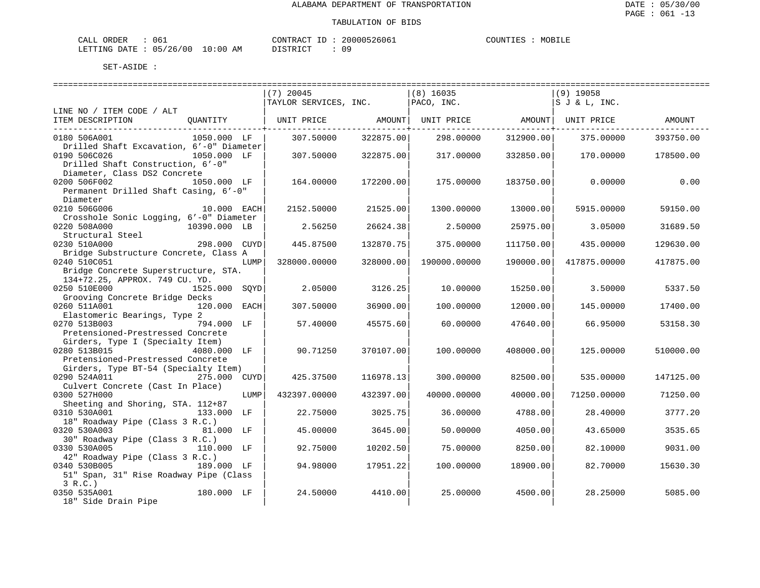| CALL ORDER                       | 061 |          |  | CONTRACT ID: 20000526061 | COUNTIES | MOBILE |
|----------------------------------|-----|----------|--|--------------------------|----------|--------|
| LETTING DATE : 05/26/00 10:00 AM |     | DISTRICT |  | n c                      |          |        |

|                                                                                                   |               |      | $(7)$ 20045<br>TAYLOR SERVICES, INC. |           | $(8)$ 16035<br>PACO, INC. |           | $(9)$ 19058<br>IS J & L, INC. |           |
|---------------------------------------------------------------------------------------------------|---------------|------|--------------------------------------|-----------|---------------------------|-----------|-------------------------------|-----------|
| LINE NO / ITEM CODE / ALT                                                                         |               |      |                                      |           |                           |           |                               |           |
| ITEM DESCRIPTION                                                                                  | OUANTITY      |      | UNIT PRICE                           | AMOUNT    | UNIT PRICE AMOUNT         |           | UNIT PRICE                    | AMOUNT    |
| 0180 506A001<br>Drilled Shaft Excavation, 6'-0" Diameter                                          | 1050.000 LF   |      | 307.50000                            | 322875.00 | 298.00000                 | 312900.00 | 375.00000                     | 393750.00 |
| 0190 506C026<br>Drilled Shaft Construction, 6'-0"                                                 | 1050.000 LF   |      | 307.50000                            | 322875.00 | 317,00000                 | 332850.00 | 170.00000                     | 178500.00 |
| Diameter, Class DS2 Concrete<br>0200 506F002<br>Permanent Drilled Shaft Casing, 6'-0"<br>Diameter | 1050.000 LF   |      | 164,00000                            | 172200.00 | 175.00000                 | 183750.00 | 0.00000                       | 0.00      |
| 0210 506G006<br>Crosshole Sonic Logging, 6'-0" Diameter                                           | 10.000 EACH   |      | 2152.50000                           | 21525.00  | 1300.00000                | 13000.00  | 5915.00000                    | 59150.00  |
| 0220 508A000<br>Structural Steel                                                                  | 10390.000 LB  |      | 2.56250                              | 26624.38  | 2.50000                   | 25975.00  | 3.05000                       | 31689.50  |
| 0230 510A000<br>Bridge Substructure Concrete, Class A                                             | 298.000 CUYD  |      | 445.87500                            | 132870.75 | 375.00000                 | 111750.00 | 435.00000                     | 129630.00 |
| 0240 510C051<br>Bridge Concrete Superstructure, STA.                                              |               | LUMP | 328000.00000                         | 328000.00 | 190000.00000              | 190000.00 | 417875.00000                  | 417875.00 |
| 134+72.25, APPROX. 749 CU. YD.<br>0250 510E000<br>Grooving Concrete Bridge Decks                  | 1525.000 SOYD |      | 2.05000                              | 3126.25   | 10.00000                  | 15250.00  | 3.50000                       | 5337.50   |
| 0260 511A001                                                                                      | 120.000 EACH  |      | 307.50000                            | 36900.00  | 100.00000                 | 12000.00  | 145.00000                     | 17400.00  |
| Elastomeric Bearings, Type 2<br>0270 513B003<br>Pretensioned-Prestressed Concrete                 | 794.000 LF    |      | 57.40000                             | 45575.60  | 60.00000                  | 47640.00  | 66.95000                      | 53158.30  |
| Girders, Type I (Specialty Item)<br>0280 513B015<br>Pretensioned-Prestressed Concrete             | 4080.000 LF   |      | 90.71250                             | 370107.00 | 100,00000                 | 408000.00 | 125,00000                     | 510000.00 |
| Girders, Type BT-54 (Specialty Item)<br>0290 524A011                                              | 275.000 CUYD  |      | 425.37500                            | 116978.13 | 300.00000                 | 82500.00  | 535.00000                     | 147125.00 |
| Culvert Concrete (Cast In Place)<br>0300 527H000                                                  |               | LUMP | 432397.00000                         | 432397.00 | 40000.00000               | 40000.00  | 71250.00000                   | 71250.00  |
| Sheeting and Shoring, STA. 112+87<br>0310 530A001<br>18" Roadway Pipe (Class 3 R.C.)              | 133.000 LF    |      | 22.75000                             | 3025.75   | 36.00000                  | 4788.00   | 28.40000                      | 3777.20   |
| 0320 530A003<br>30" Roadway Pipe (Class 3 R.C.)                                                   | 81.000 LF     |      | 45.00000                             | 3645.00   | 50.00000                  | 4050.00   | 43.65000                      | 3535.65   |
| 0330 530A005                                                                                      | 110.000 LF    |      | 92.75000                             | 10202.50  | 75.00000                  | 8250.00   | 82.10000                      | 9031.00   |
| 42" Roadway Pipe (Class 3 R.C.)<br>0340 530B005<br>51" Span, 31" Rise Roadway Pipe (Class         | 189.000 LF    |      | 94.98000                             | 17951.22  | 100.00000                 | 18900.00  | 82.70000                      | 15630.30  |
| 3 R.C.<br>0350 535A001<br>18" Side Drain Pipe                                                     | 180.000 LF    |      | 24.50000                             | 4410.00   | 25,00000                  | 4500.00   | 28.25000                      | 5085.00   |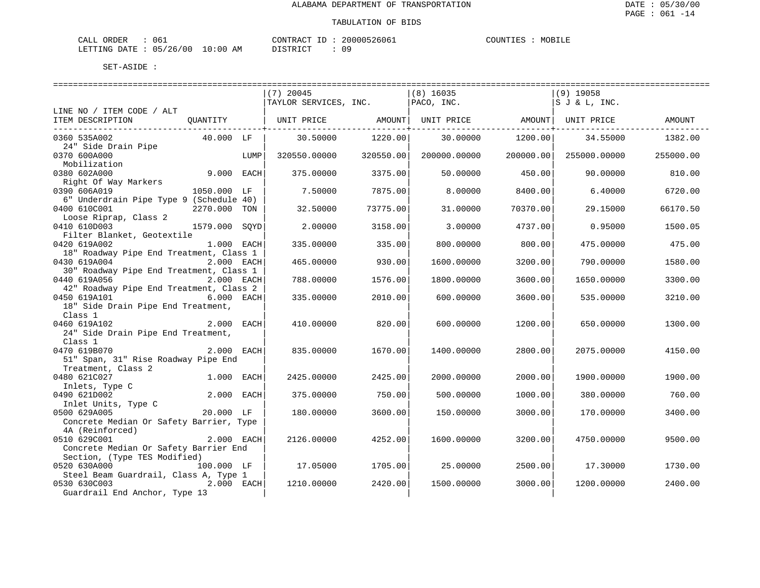| ORDER<br>CALL (                  | د06 | CONTRACT ID: | 20000526061 | COUNTIES | MOBILE |
|----------------------------------|-----|--------------|-------------|----------|--------|
| LETTING DATE : 05/26/00 10:00 AM |     | PISTRICT     |             |          |        |

|                                                                                        |              |      | $(7)$ 20045           |           | $(8)$ 16035  |           | (9) 19058          |           |
|----------------------------------------------------------------------------------------|--------------|------|-----------------------|-----------|--------------|-----------|--------------------|-----------|
|                                                                                        |              |      | TAYLOR SERVICES, INC. |           | PACO, INC.   |           | SJ & L, INC.       |           |
| LINE NO / ITEM CODE / ALT<br>ITEM DESCRIPTION                                          | QUANTITY     |      | UNIT PRICE            | AMOUNT    | UNIT PRICE   |           | AMOUNT  UNIT PRICE | AMOUNT    |
| 0360 535A002<br>24" Side Drain Pipe                                                    | 40.000 LF    |      | 30.50000              | 1220.00   | 30.00000     | 1200.00   | 34.55000           | 1382.00   |
| 0370 600A000<br>Mobilization                                                           |              | LUMP | 320550.00000          | 320550.00 | 200000.00000 | 200000.00 | 255000.00000       | 255000.00 |
| 0380 602A000<br>Right Of Way Markers                                                   | 9.000 EACH   |      | 375.00000             | 3375.00   | 50.00000     | 450.00    | 90.00000           | 810.00    |
| 0390 606A019<br>6" Underdrain Pipe Type 9 (Schedule 40)                                | 1050.000 LF  |      | 7.50000               | 7875.00   | 8.00000      | 8400.00   | 6.40000            | 6720.00   |
| 0400 610C001<br>Loose Riprap, Class 2                                                  | 2270.000 TON |      | 32.50000              | 73775.00  | 31.00000     | 70370.00  | 29.15000           | 66170.50  |
| 0410 610D003<br>Filter Blanket, Geotextile                                             | 1579.000     | SOYD | 2.00000               | 3158.00   | 3.00000      | 4737.00   | 0.95000            | 1500.05   |
| 0420 619A002<br>18" Roadway Pipe End Treatment, Class 1                                | 1.000 EACH   |      | 335.00000             | 335.00    | 800.00000    | 800.00    | 475.00000          | 475.00    |
| 0430 619A004<br>30" Roadway Pipe End Treatment, Class 1                                | 2.000 EACH   |      | 465.00000             | 930.00    | 1600.00000   | 3200.00   | 790.00000          | 1580.00   |
| 0440 619A056<br>42" Roadway Pipe End Treatment, Class 2                                | 2.000 EACH   |      | 788.00000             | 1576.00   | 1800.00000   | 3600.00   | 1650.00000         | 3300.00   |
| 0450 619A101<br>18" Side Drain Pipe End Treatment,                                     | 6.000 EACH   |      | 335.00000             | 2010.00   | 600.00000    | 3600.00   | 535.00000          | 3210.00   |
| Class 1<br>0460 619A102<br>24" Side Drain Pipe End Treatment,                          | 2.000 EACH   |      | 410.00000             | 820.00    | 600,00000    | 1200.00   | 650.00000          | 1300.00   |
| Class 1<br>0470 619B070<br>51" Span, 31" Rise Roadway Pipe End                         | 2.000 EACH   |      | 835.00000             | 1670.00   | 1400.00000   | 2800.00   | 2075.00000         | 4150.00   |
| Treatment, Class 2<br>0480 621C027                                                     | 1.000 EACH   |      | 2425.00000            | 2425.00   | 2000.00000   | 2000.00   | 1900.00000         | 1900.00   |
| Inlets, Type C<br>0490 621D002<br>Inlet Units, Type C                                  | 2.000 EACH   |      | 375.00000             | 750.00    | 500.00000    | 1000.00   | 380.00000          | 760.00    |
| 0500 629A005<br>Concrete Median Or Safety Barrier, Type                                | $20.000$ LF  |      | 180.00000             | 3600.00   | 150.00000    | 3000.00   | 170.00000          | 3400.00   |
| 4A (Reinforced)<br>0510 629C001<br>Concrete Median Or Safety Barrier End               | 2.000 EACH   |      | 2126.00000            | 4252.00   | 1600.00000   | 3200.00   | 4750.00000         | 9500.00   |
| Section, (Type TES Modified)<br>0520 630A000                                           | 100.000 LF   |      | 17.05000              | 1705.00   | 25.00000     | 2500.00   | 17.30000           | 1730.00   |
| Steel Beam Guardrail, Class A, Type 1<br>0530 630C003<br>Guardrail End Anchor, Type 13 | 2.000 EACH   |      | 1210.00000            | 2420.00   | 1500.00000   | 3000.00   | 1200.00000         | 2400.00   |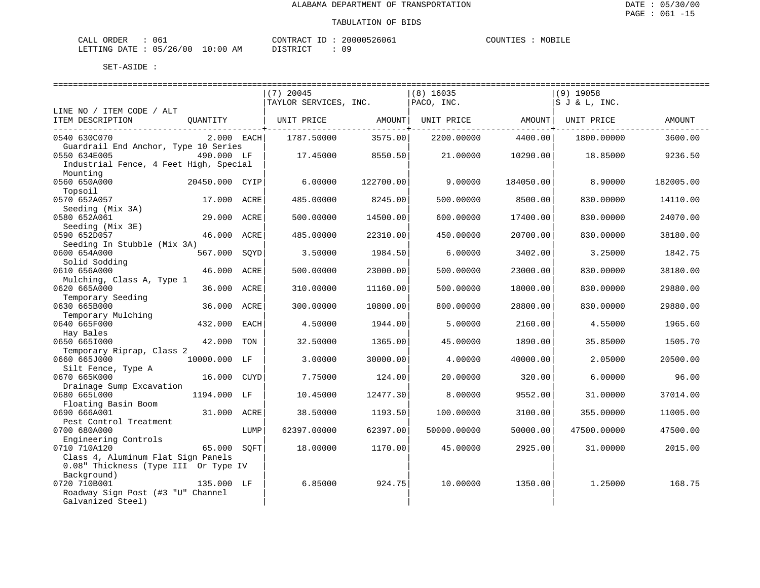| ORDER<br>CALL                | 061 |    | CONTRACT ID: | 20000526061 | COUNTIES | MOBILE |
|------------------------------|-----|----|--------------|-------------|----------|--------|
| LETTING DATE: 05/26/00 10:00 |     | ΆM | חימים דת     |             |          |        |

|                                                                            |                |      | $(7)$ 20045           |                                  | $(8)$ 16035       |                                                            | $(9)$ 19058  |           |
|----------------------------------------------------------------------------|----------------|------|-----------------------|----------------------------------|-------------------|------------------------------------------------------------|--------------|-----------|
|                                                                            |                |      | TAYLOR SERVICES, INC. |                                  | PACO, INC.        |                                                            | SJ & L, INC. |           |
| LINE NO / ITEM CODE / ALT                                                  |                |      |                       |                                  |                   |                                                            |              |           |
| ITEM DESCRIPTION                                                           | QUANTITY       |      | UNIT PRICE            | AMOUNT                           | UNIT PRICE AMOUNT |                                                            | UNIT PRICE   | AMOUNT    |
| 0540 630C070                                                               | $2.000$ EACH   |      | 1787.50000            | -------------+-------<br>3575.00 | 2200.00000        | . _ _ _ _ _ _ _ _ _ _ _ _ _ _ _ + _ _ _ _ _ _ _<br>4400.00 | 1800.00000   | 3600.00   |
| Guardrail End Anchor, Type 10 Series                                       |                |      |                       |                                  |                   |                                                            |              |           |
| 0550 634E005                                                               | 490.000 LF     |      | 17.45000              | 8550.50                          | 21,00000          | 10290.00                                                   | 18.85000     | 9236.50   |
| Industrial Fence, 4 Feet High, Special                                     |                |      |                       |                                  |                   |                                                            |              |           |
| Mounting                                                                   |                |      |                       |                                  |                   |                                                            |              |           |
| 0560 650A000                                                               | 20450.000 CYIP |      | 6.00000               | 122700.00                        | 9.00000           | 184050.00                                                  | 8.90000      | 182005.00 |
| Topsoil                                                                    |                |      |                       |                                  |                   |                                                            |              |           |
| 0570 652A057                                                               | 17.000 ACRE    |      | 485.00000             | 8245.00                          | 500.00000         | 8500.00                                                    | 830.00000    | 14110.00  |
| Seeding (Mix 3A)                                                           |                |      |                       |                                  |                   |                                                            |              |           |
| 0580 652A061                                                               | 29.000 ACRE    |      | 500.00000             | 14500.00                         | 600.00000         | 17400.00                                                   | 830.00000    | 24070.00  |
| Seeding (Mix 3E)                                                           |                |      |                       |                                  |                   |                                                            |              |           |
| 0590 652D057                                                               | 46.000 ACRE    |      | 485.00000             | 22310.00                         | 450.00000         | 20700.00                                                   | 830.00000    | 38180.00  |
| Seeding In Stubble (Mix 3A)                                                |                |      |                       |                                  |                   |                                                            |              |           |
| 0600 654A000                                                               | 567.000        | SOYD | 3.50000               | 1984.50                          | 6.00000           | 3402.00                                                    | 3.25000      | 1842.75   |
| Solid Sodding                                                              | 46.000         | ACRE | 500.00000             | 23000.00                         | 500.00000         | 23000.00                                                   |              |           |
| 0610 656A000                                                               |                |      |                       |                                  |                   |                                                            | 830.00000    | 38180.00  |
| Mulching, Class A, Type 1<br>0620 665A000                                  | 36.000 ACRE    |      | 310.00000             | 11160.00                         | 500.00000         | 18000.00                                                   | 830.00000    | 29880.00  |
| Temporary Seeding                                                          |                |      |                       |                                  |                   |                                                            |              |           |
| 0630 665B000                                                               | 36.000         | ACRE | 300.00000             | 10800.00                         | 800.00000         | 28800.00                                                   | 830.00000    | 29880.00  |
| Temporary Mulching                                                         |                |      |                       |                                  |                   |                                                            |              |           |
| 0640 665F000                                                               | 432.000 EACH   |      | 4.50000               | 1944.00                          | 5.00000           | 2160.00                                                    | 4.55000      | 1965.60   |
| Hay Bales                                                                  |                |      |                       |                                  |                   |                                                            |              |           |
| 0650 6651000                                                               | 42.000 TON     |      | 32.50000              | 1365.00                          | 45.00000          | 1890.00                                                    | 35.85000     | 1505.70   |
| Temporary Riprap, Class 2                                                  |                |      |                       |                                  |                   |                                                            |              |           |
| 0660 665J000                                                               | 10000.000 LF   |      | 3.00000               | 30000.00                         | 4.00000           | 40000.00                                                   | 2.05000      | 20500.00  |
| Silt Fence, Type A                                                         |                |      |                       |                                  |                   |                                                            |              |           |
| 0670 665K000                                                               | 16.000 CUYD    |      | 7.75000               | 124.00                           | 20.00000          | 320.00                                                     | 6.00000      | 96.00     |
| Drainage Sump Excavation                                                   |                |      |                       |                                  |                   |                                                            |              |           |
| 0680 665L000                                                               | 1194.000 LF    |      | 10.45000              | 12477.30                         | 8,00000           | 9552.00                                                    | 31.00000     | 37014.00  |
| Floating Basin Boom                                                        |                |      |                       |                                  |                   |                                                            |              |           |
| 0690 666A001                                                               | 31.000 ACRE    |      | 38.50000              | 1193.50                          | 100.00000         | 3100.00                                                    | 355.00000    | 11005.00  |
| Pest Control Treatment                                                     |                |      |                       |                                  |                   |                                                            |              |           |
| 0700 680A000                                                               |                | LUMP | 62397.00000           | 62397.00                         | 50000.00000       | 50000.00                                                   | 47500.00000  | 47500.00  |
| Engineering Controls                                                       |                |      |                       |                                  |                   |                                                            |              |           |
| 0710 710A120                                                               | 65.000 SOFT    |      | 18.00000              | 1170.00                          | 45.00000          | 2925.00                                                    | 31.00000     | 2015.00   |
| Class 4, Aluminum Flat Sign Panels<br>0.08" Thickness (Type III Or Type IV |                |      |                       |                                  |                   |                                                            |              |           |
| Background)                                                                |                |      |                       |                                  |                   |                                                            |              |           |
| 0720 710B001                                                               | 135.000 LF     |      | 6.85000               | 924.75                           | 10.00000          | 1350.00                                                    | 1.25000      | 168.75    |
| Roadway Sign Post (#3 "U" Channel                                          |                |      |                       |                                  |                   |                                                            |              |           |
| Galvanized Steel)                                                          |                |      |                       |                                  |                   |                                                            |              |           |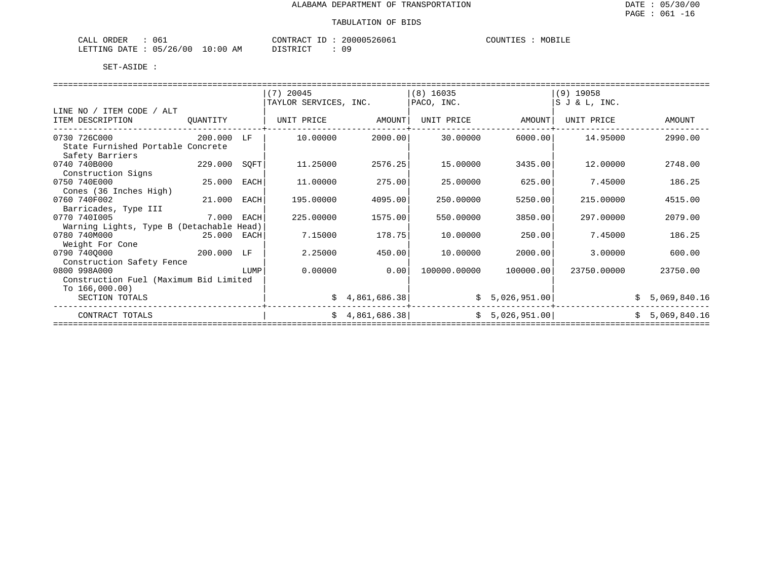| 061<br>ORDER<br>CALL         |             | CONTRACT<br>$ -$<br>л. | 20000526061 | COUNTIES<br>MOBILE |
|------------------------------|-------------|------------------------|-------------|--------------------|
| 05/26/00<br>LETTING<br>DATE. | 10:00<br>AM | חימת קידי את ה         | 09          |                    |

|                                                      |             |      | $(7)$ 20045           |                 | $(8)$ 16035  |                | $(9)$ 19058    |    |                |
|------------------------------------------------------|-------------|------|-----------------------|-----------------|--------------|----------------|----------------|----|----------------|
|                                                      |             |      | TAYLOR SERVICES, INC. |                 | PACO, INC.   |                | IS J & L, INC. |    |                |
| LINE NO / ITEM CODE / ALT                            |             |      |                       |                 |              |                |                |    |                |
| ITEM DESCRIPTION                                     | QUANTITY    |      | UNIT PRICE            | AMOUNT          | UNIT PRICE   | AMOUNT         | UNIT PRICE     |    | AMOUNT         |
| 0730 726C000                                         | 200.000     | LF   | 10.00000              | 2000.00         | 30.00000     | 6000.00        | 14.95000       |    | 2990.00        |
| State Furnished Portable Concrete<br>Safety Barriers |             |      |                       |                 |              |                |                |    |                |
| 0740 740B000                                         | 229.000     | SQFT | 11.25000              | 2576.25         | 15.00000     | 3435.00        | 12,00000       |    | 2748.00        |
| Construction Signs                                   |             |      |                       |                 |              |                |                |    |                |
| 0750 740E000                                         | 25.000      | EACH | 11,00000              | 275.00          | 25.00000     | 625.00         | 7.45000        |    | 186.25         |
| Cones (36 Inches High)                               |             |      |                       |                 |              |                |                |    |                |
| 0760 740F002                                         | 21.000      | EACH | 195.00000             | 4095.00         | 250.00000    | 5250.00        | 215,00000      |    | 4515.00        |
| Barricades, Type III                                 |             |      |                       |                 |              |                |                |    |                |
| 0770 7401005                                         | 7.000 EACH  |      | 225.00000             | 1575.00         | 550.00000    | 3850.00        | 297.00000      |    | 2079.00        |
| Warning Lights, Type B (Detachable Head)             |             |      |                       |                 |              |                |                |    |                |
| 0780 740M000                                         | 25.000 EACH |      | 7.15000               | 178.75          | 10.00000     | 250.00         | 7.45000        |    | 186.25         |
| Weight For Cone                                      |             |      |                       |                 |              |                |                |    |                |
| 0790 7400000                                         |             |      | 2.25000               | 450.00          | 10.00000     | 2000.00        | 3.00000        |    | 600.00         |
| Construction Safety Fence                            |             |      |                       |                 |              |                |                |    |                |
| 0800 998A000                                         |             | LUMP | 0.00000               | 0.00            | 100000.00000 | 100000.00      | 23750.00000    |    | 23750.00       |
| Construction Fuel (Maximum Bid Limited               |             |      |                       |                 |              |                |                |    |                |
| To $166,000.00$ )                                    |             |      |                       |                 |              |                |                |    |                |
| SECTION TOTALS                                       |             |      |                       | \$4,861,686.38] |              | \$5,026,951.00 |                |    | \$5,069,840.16 |
| CONTRACT TOTALS                                      |             |      |                       | \$4,861,686.38] |              | \$5,026,951.00 |                | Ŝ. | 5,069,840.16   |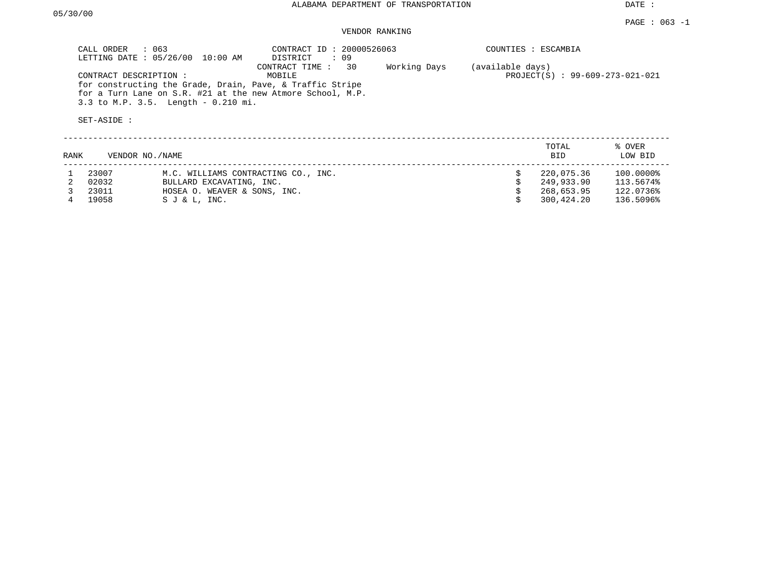DATE :

## VENDOR RANKING

| CALL ORDER $: 063$<br>LETTING DATE: 05/26/00<br>10:00 AM                                                                                                                                 | CONTRACT ID: 20000526063<br>: 09<br>DISTRICT |              | COUNTIES : ESCAMBIA |                                 |
|------------------------------------------------------------------------------------------------------------------------------------------------------------------------------------------|----------------------------------------------|--------------|---------------------|---------------------------------|
| CONTRACT DESCRIPTION:<br>for constructing the Grade, Drain, Pave, & Traffic Stripe<br>for a Turn Lane on S.R. #21 at the new Atmore School, M.P.<br>3.3 to M.P. 3.5. Length $-0.210$ mi. | CONTRACT TIME : 30<br>MOBILE                 | Working Days | (available days)    | PROJECT(S) : 99-609-273-021-021 |
| SET-ASIDE :                                                                                                                                                                              |                                              |              |                     |                                 |
|                                                                                                                                                                                          |                                              |              | TOTAL               | % OVER                          |

| RANK | VENDOR NO./NAME |                                     | <b>BID</b> | LOW BID   |
|------|-----------------|-------------------------------------|------------|-----------|
|      | 23007           | M.C. WILLIAMS CONTRACTING CO., INC. | 220,075.36 | 100.0000% |
|      | 02032           | BULLARD EXCAVATING, INC.            | 249,933.90 | 113.5674% |
|      | 23011           | HOSEA O. WEAVER & SONS, INC.        | 268,653.95 | 122.0736% |
|      | 19058           | SJ & L, INC.                        | 300,424.20 | 136.5096% |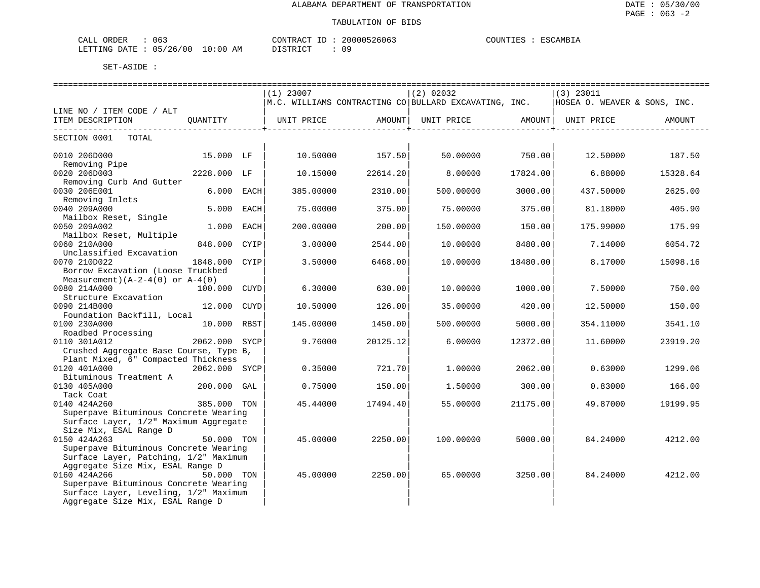| ORDER<br>- 06-<br>$\mathbf{v}$<br>ىلىلك                                                                                                                           |                                    | $\sim$<br>- - | 26065<br>20000 | COUNTIES<br>'SCAMBIA |
|-------------------------------------------------------------------------------------------------------------------------------------------------------------------|------------------------------------|---------------|----------------|----------------------|
| 0 <sup>0</sup><br>LETTING<br>DATE.<br>05<br>26<br>the contract of the contract of the contract of the contract of the contract of the contract of the contract of | $\cap$<br>ΑM<br>$\cdot$ : 0.6<br>. | $- \cap$      | ኅ ር<br>∪∴      |                      |

|                                                  |               |      | $(1)$ 23007 |          | (2) 02032                                                       |          | $(3)$ 23011                  |          |
|--------------------------------------------------|---------------|------|-------------|----------|-----------------------------------------------------------------|----------|------------------------------|----------|
|                                                  |               |      |             |          | $\,$ M.C. WILLIAMS CONTRACTING CO $\,$ BULLARD EXCAVATING, INC. |          | HOSEA O. WEAVER & SONS, INC. |          |
| LINE NO / ITEM CODE / ALT                        |               |      |             |          |                                                                 |          |                              |          |
| ITEM DESCRIPTION                                 | OUANTITY      |      |             |          |                                                                 |          |                              | AMOUNT   |
| _______________________<br>SECTION 0001<br>TOTAL |               |      |             |          |                                                                 |          |                              |          |
|                                                  |               |      |             |          |                                                                 |          |                              |          |
| 0010 206D000                                     | 15.000 LF     |      | 10.50000    | 157.50   | 50.00000                                                        | 750.00   | 12.50000                     | 187.50   |
| Removing Pipe                                    |               |      |             |          |                                                                 |          |                              |          |
| 0020 206D003                                     | 2228.000 LF   |      | 10.15000    | 22614.20 | 8,00000                                                         | 17824.00 | 6.88000                      | 15328.64 |
| Removing Curb And Gutter                         |               |      |             |          |                                                                 |          |                              |          |
| 0030 206E001                                     | 6.000 EACH    |      | 385.00000   | 2310.00  | 500.00000                                                       | 3000.00  | 437.50000                    | 2625.00  |
| Removing Inlets                                  |               |      |             |          |                                                                 |          |                              |          |
| 0040 209A000                                     | 5.000         | EACH | 75.00000    | 375.00   | 75,00000                                                        | 375.00   | 81.18000                     | 405.90   |
| Mailbox Reset, Single                            |               |      |             |          |                                                                 |          |                              |          |
| 0050 209A002                                     | 1.000         | EACH | 200.00000   | 200.00   | 150.00000                                                       | 150.00   | 175.99000                    | 175.99   |
| Mailbox Reset, Multiple                          |               |      |             |          |                                                                 |          |                              |          |
| 0060 210A000                                     | 848.000       | CYIP | 3,00000     | 2544.00  | 10,00000                                                        | 8480.00  | 7.14000                      | 6054.72  |
| Unclassified Excavation                          |               |      |             |          |                                                                 |          |                              |          |
| 0070 210D022                                     | 1848.000      | CYIP | 3.50000     | 6468.00  | 10.00000                                                        | 18480.00 | 8.17000                      | 15098.16 |
| Borrow Excavation (Loose Truckbed                |               |      |             |          |                                                                 |          |                              |          |
| Measurement) $(A-2-4(0)$ or $A-4(0)$             |               |      |             |          |                                                                 |          |                              |          |
| 0080 214A000                                     | 100.000       | CUYD | 6.30000     | 630.00   | 10.00000                                                        | 1000.00  | 7.50000                      | 750.00   |
| Structure Excavation                             |               |      |             |          |                                                                 |          |                              |          |
| 0090 214B000<br>Foundation Backfill, Local       | 12.000        | CUYD | 10.50000    | 126.00   | 35.00000                                                        | 420.00   | 12.50000                     | 150.00   |
| 0100 230A000                                     | 10.000 RBST   |      |             |          |                                                                 |          |                              |          |
| Roadbed Processing                               |               |      | 145.00000   | 1450.00  | 500.00000                                                       | 5000.00  | 354.11000                    | 3541.10  |
| 0110 301A012                                     | 2062.000 SYCP |      | 9.76000     | 20125.12 | 6.00000                                                         | 12372.00 | 11.60000                     | 23919.20 |
| Crushed Aggregate Base Course, Type B,           |               |      |             |          |                                                                 |          |                              |          |
| Plant Mixed, 6" Compacted Thickness              |               |      |             |          |                                                                 |          |                              |          |
| 0120 401A000                                     | 2062.000 SYCP |      | 0.35000     | 721.70   | 1,00000                                                         | 2062.00  | 0.63000                      | 1299.06  |
| Bituminous Treatment A                           |               |      |             |          |                                                                 |          |                              |          |
| 0130 405A000                                     | $200.000$ GAL |      | 0.75000     | 150.00   | 1,50000                                                         | 300.00   | 0.83000                      | 166.00   |
| Tack Coat                                        |               |      |             |          |                                                                 |          |                              |          |
| 0140 424A260                                     | 385.000 TON   |      | 45.44000    | 17494.40 | 55.00000                                                        | 21175.00 | 49.87000                     | 19199.95 |
| Superpave Bituminous Concrete Wearing            |               |      |             |          |                                                                 |          |                              |          |
| Surface Layer, 1/2" Maximum Aggregate            |               |      |             |          |                                                                 |          |                              |          |
| Size Mix, ESAL Range D                           |               |      |             |          |                                                                 |          |                              |          |
| 0150 424A263                                     | 50.000 TON    |      | 45.00000    | 2250.00  | 100.00000                                                       | 5000.00  | 84.24000                     | 4212.00  |
| Superpave Bituminous Concrete Wearing            |               |      |             |          |                                                                 |          |                              |          |
| Surface Layer, Patching, 1/2" Maximum            |               |      |             |          |                                                                 |          |                              |          |
| Aggregate Size Mix, ESAL Range D                 |               |      |             |          |                                                                 |          |                              |          |
| 0160 424A266                                     | 50.000 TON    |      | 45.00000    | 2250.00  | 65.00000                                                        | 3250.00  | 84.24000                     | 4212.00  |
| Superpave Bituminous Concrete Wearing            |               |      |             |          |                                                                 |          |                              |          |
| Surface Layer, Leveling, 1/2" Maximum            |               |      |             |          |                                                                 |          |                              |          |
| Aggregate Size Mix, ESAL Range D                 |               |      |             |          |                                                                 |          |                              |          |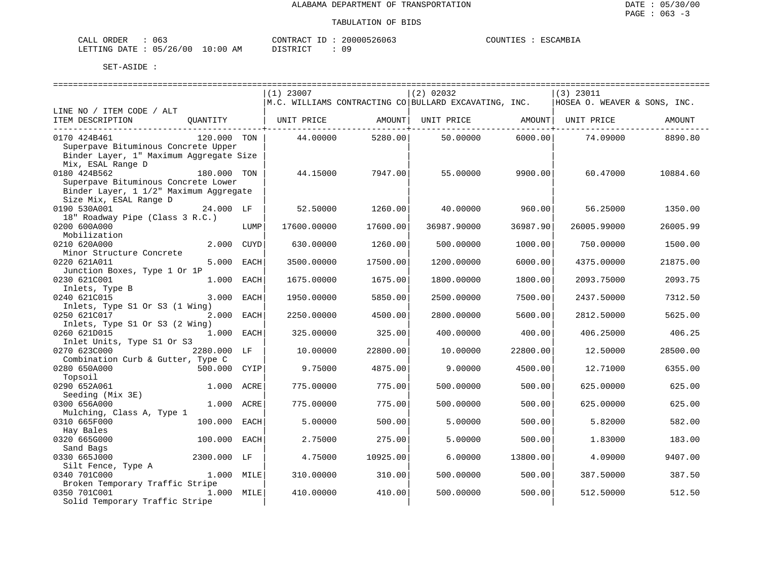| CALL ORDER                      |  | CONTRACT ID | 20000526063 | COUNTIES | : ESCAMBIA |
|---------------------------------|--|-------------|-------------|----------|------------|
| LETTING DATE: 05/26/00 10:00 AM |  | DISTRICT    | 09          |          |            |

|                                                   |              |      | $(1)$ 23007                  |                     | $(2)$ 02032                                                           |                     | $(3)$ 23011                  |          |
|---------------------------------------------------|--------------|------|------------------------------|---------------------|-----------------------------------------------------------------------|---------------------|------------------------------|----------|
|                                                   |              |      |                              |                     | $\vert$ M.C. WILLIAMS CONTRACTING CO $\vert$ BULLARD EXCAVATING, INC. |                     | HOSEA O. WEAVER & SONS, INC. |          |
| LINE NO / ITEM CODE / ALT                         |              |      |                              |                     |                                                                       |                     |                              |          |
| ITEM DESCRIPTION                                  |              |      | QUANTITY   UNIT PRICE AMOUNT |                     | UNIT PRICE AMOUNT   UNIT PRICE                                        |                     |                              | AMOUNT   |
|                                                   |              |      |                              | ------------+------ |                                                                       | ------------+------ |                              |          |
| 0170 424B461                                      | 120.000 TON  |      | 44.00000                     | 5280.00             | 50.00000                                                              | 6000.00             | 74.09000                     | 8890.80  |
| Superpave Bituminous Concrete Upper               |              |      |                              |                     |                                                                       |                     |                              |          |
| Binder Layer, 1" Maximum Aggregate Size           |              |      |                              |                     |                                                                       |                     |                              |          |
| Mix, ESAL Range D                                 |              |      |                              |                     |                                                                       |                     |                              |          |
| 0180 424B562                                      | 180.000 TON  |      | 44.15000                     | 7947.00             | 55.00000                                                              | 9900.00             | 60.47000                     | 10884.60 |
| Superpave Bituminous Concrete Lower               |              |      |                              |                     |                                                                       |                     |                              |          |
| Binder Layer, 1 1/2" Maximum Aggregate            |              |      |                              |                     |                                                                       |                     |                              |          |
| Size Mix, ESAL Range D                            |              |      |                              |                     |                                                                       |                     |                              |          |
| 0190 530A001                                      | 24.000 LF    |      | 52.50000                     | 1260.00             | 40.00000                                                              | 960.00              | 56.25000                     | 1350.00  |
| 18" Roadway Pipe (Class 3 R.C.)                   |              |      |                              |                     |                                                                       |                     |                              |          |
| 0200 600A000                                      |              | LUMP | 17600.00000                  | 17600.00            | 36987.90000                                                           | 36987.90            | 26005.99000                  | 26005.99 |
| Mobilization                                      |              |      |                              |                     |                                                                       |                     |                              |          |
| 0210 620A000                                      | 2.000        | CUYD | 630.00000                    | 1260.00             | 500.00000                                                             | 1000.00             | 750.00000                    | 1500.00  |
| Minor Structure Concrete                          |              |      |                              |                     |                                                                       |                     |                              |          |
| 0220 621A011                                      | 5.000        | EACH | 3500.00000                   | 17500.00            | 1200.00000                                                            | 6000.00             | 4375.00000                   | 21875.00 |
| Junction Boxes, Type 1 Or 1P                      |              |      |                              |                     |                                                                       |                     |                              |          |
| 0230 621C001                                      | 1.000        | EACH | 1675.00000                   | 1675.00             | 1800.00000                                                            | 1800.00             | 2093.75000                   | 2093.75  |
| Inlets, Type B                                    |              |      |                              |                     |                                                                       |                     |                              |          |
| 0240 621C015                                      | 3.000        | EACH | 1950.00000                   | 5850.00             | 2500.00000                                                            | 7500.00             | 2437.50000                   | 7312.50  |
| Inlets, Type S1 Or S3 (1 Wing)                    |              |      |                              |                     |                                                                       |                     |                              |          |
| 0250 621C017                                      | 2.000        | EACH | 2250.00000                   | 4500.00             | 2800.00000                                                            | 5600.00             | 2812.50000                   | 5625.00  |
| Inlets, Type S1 Or S3 (2 Wing)                    |              |      |                              |                     |                                                                       |                     |                              |          |
| 0260 621D015                                      | $1.000$ EACH |      | 325.00000                    | 325.00              | 400.00000                                                             | 400.00              | 406.25000                    | 406.25   |
| Inlet Units, Type S1 Or S3                        |              |      |                              |                     |                                                                       |                     |                              |          |
| 0270 623C000                                      | 2280.000 LF  |      | 10.00000                     | 22800.00            | 10.00000                                                              | 22800.00            |                              | 28500.00 |
|                                                   |              |      |                              |                     |                                                                       |                     | 12.50000                     |          |
| Combination Curb & Gutter, Type C<br>0280 650A000 |              |      | 9.75000                      | 4875.00             |                                                                       | 4500.00             |                              | 6355.00  |
|                                                   | 500.000      | CYIP |                              |                     | 9.00000                                                               |                     | 12.71000                     |          |
| Topsoil                                           |              |      |                              |                     |                                                                       |                     |                              |          |
| 0290 652A061                                      | 1.000        | ACRE | 775.00000                    | 775.00              | 500.00000                                                             | 500.00              | 625.00000                    | 625.00   |
| Seeding (Mix 3E)                                  |              |      |                              |                     |                                                                       |                     |                              |          |
| 0300 656A000                                      | 1.000 ACRE   |      | 775.00000                    | 775.00              | 500.00000                                                             | 500.00              | 625.00000                    | 625.00   |
| Mulching, Class A, Type 1                         |              |      |                              |                     |                                                                       |                     |                              |          |
| 0310 665F000                                      | 100.000      | EACH | 5.00000                      | 500.00              | 5.00000                                                               | 500.00              | 5.82000                      | 582.00   |
| Hay Bales                                         |              |      |                              |                     |                                                                       |                     |                              |          |
| 0320 665G000                                      | 100.000      | EACH | 2.75000                      | 275.00              | 5.00000                                                               | 500.00              | 1.83000                      | 183.00   |
| Sand Bags                                         |              |      |                              |                     |                                                                       |                     |                              |          |
| 0330 665J000                                      | 2300.000 LF  |      | 4.75000                      | 10925.00            | 6.00000                                                               | 13800.00            | 4.09000                      | 9407.00  |
| Silt Fence, Type A                                |              |      |                              |                     |                                                                       |                     |                              |          |
| 0340 701C000                                      | 1.000 MILE   |      | 310.00000                    | 310.00              | 500.00000                                                             | 500.00              | 387.50000                    | 387.50   |
| Broken Temporary Traffic Stripe                   |              |      |                              |                     |                                                                       |                     |                              |          |
| 0350 701C001                                      | 1.000 MILE   |      | 410.00000                    | 410.00              | 500.00000                                                             | 500.00              | 512.50000                    | 512.50   |
| Solid Temporary Traffic Stripe                    |              |      |                              |                     |                                                                       |                     |                              |          |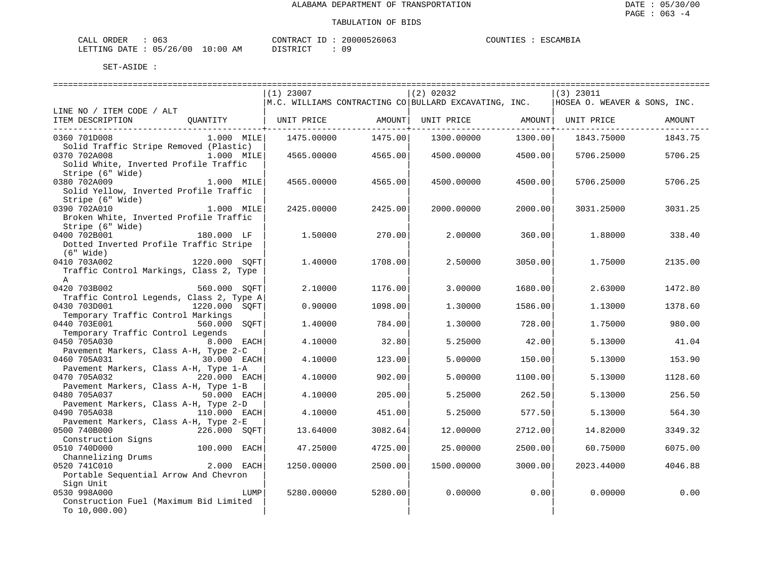| CALL ORDER                      | 063 |  | CONTRACT ID |  | 20000526063 | COUNTIES | ESCAMBIA |
|---------------------------------|-----|--|-------------|--|-------------|----------|----------|
| LETTING DATE: 05/26/00 10:00 AM |     |  | DISTRICT    |  | 09          |          |          |

|                                                         |               | $(1)$ 23007 |         | (2) 02032                                                                                                  |         | $(3)$ 23011 |         |
|---------------------------------------------------------|---------------|-------------|---------|------------------------------------------------------------------------------------------------------------|---------|-------------|---------|
|                                                         |               |             |         | $\vert$ M.C. WILLIAMS CONTRACTING CO $\vert$ BULLARD EXCAVATING, INC. $\vert$ HOSEA O. WEAVER & SONS, INC. |         |             |         |
| LINE NO / ITEM CODE / ALT                               |               |             |         |                                                                                                            |         |             |         |
| ITEM DESCRIPTION    QUANTITY      UNIT PRICE    AMOUNT  |               |             |         | UNIT PRICE AMOUNT UNIT PRICE                                                                               |         |             | AMOUNT  |
|                                                         |               |             |         |                                                                                                            |         |             |         |
| 0360 701D008                                            | $1.000$ MILE  | 1475.00000  | 1475.00 | 1300.00000                                                                                                 | 1300.00 | 1843.75000  | 1843.75 |
| Solid Traffic Stripe Removed (Plastic)<br>0370 702A008  | 1.000 MILE    | 4565.00000  | 4565.00 | 4500.00000                                                                                                 | 4500.00 | 5706.25000  | 5706.25 |
| Solid White, Inverted Profile Traffic                   |               |             |         |                                                                                                            |         |             |         |
| Stripe (6" Wide)                                        |               |             |         |                                                                                                            |         |             |         |
| 0380 702A009                                            | 1.000 MILE    | 4565.00000  | 4565.00 | 4500.00000                                                                                                 | 4500.00 | 5706.25000  | 5706.25 |
| Solid Yellow, Inverted Profile Traffic                  |               |             |         |                                                                                                            |         |             |         |
| Stripe (6" Wide)                                        |               |             |         |                                                                                                            |         |             |         |
| 0390 702A010                                            | 1.000 MILE    | 2425.00000  | 2425.00 | 2000.00000                                                                                                 | 2000.00 | 3031.25000  | 3031.25 |
| Broken White, Inverted Profile Traffic                  |               |             |         |                                                                                                            |         |             |         |
| Stripe (6" Wide)                                        |               |             |         |                                                                                                            |         |             |         |
| 0400 702B001                                            | $180.000$ LF  | 1,50000     | 270.00  | 2.00000                                                                                                    | 360.00  | 1.88000     | 338.40  |
| Dotted Inverted Profile Traffic Stripe                  |               |             |         |                                                                                                            |         |             |         |
| (6" Wide)                                               |               |             |         |                                                                                                            |         |             |         |
| 0410 703A002                                            | 1220.000 SOFT | 1,40000     | 1708.00 | 2.50000                                                                                                    | 3050.00 | 1.75000     | 2135.00 |
| Traffic Control Markings, Class 2, Type<br>$\mathbb{A}$ |               |             |         |                                                                                                            |         |             |         |
| 0420 703B002                                            | 560.000 SOFT  | 2,10000     | 1176.00 | 3,00000                                                                                                    | 1680.00 | 2.63000     | 1472.80 |
| Traffic Control Legends, Class 2, Type A                |               |             |         |                                                                                                            |         |             |         |
| 0430 703D001                                            | 1220.000 SOFT | 0.90000     | 1098.00 | 1,30000                                                                                                    | 1586.00 | 1,13000     | 1378.60 |
| Temporary Traffic Control Markings                      |               |             |         |                                                                                                            |         |             |         |
| 0440 703E001                                            | 560.000 SOFT  | 1,40000     | 784.00  | 1,30000                                                                                                    | 728.00  | 1.75000     | 980.00  |
| Temporary Traffic Control Legends                       |               |             |         |                                                                                                            |         |             |         |
| 0450 705A030                                            | 8.000 EACH    | 4.10000     | 32.80   | 5.25000                                                                                                    | 42.00   | 5.13000     | 41.04   |
| Pavement Markers, Class A-H, Type 2-C                   |               |             |         |                                                                                                            |         |             |         |
| 0460 705A031                                            | 30.000 EACH   | 4.10000     | 123.00  | 5.00000                                                                                                    | 150.00  | 5.13000     | 153.90  |
| Pavement Markers, Class A-H, Type 1-A                   |               |             |         |                                                                                                            |         |             |         |
| 0470 705A032                                            | 220.000 EACH  | 4.10000     | 902.00  | 5.00000                                                                                                    | 1100.00 | 5.13000     | 1128.60 |
| Pavement Markers, Class A-H, Type 1-B<br>0480 705A037   |               | 4.10000     | 205.00  | 5.25000                                                                                                    | 262.50  | 5.13000     | 256.50  |
| Pavement Markers, Class A-H, Type 2-D                   |               |             |         |                                                                                                            |         |             |         |
| 0490 705A038                                            | 110.000 EACH  | 4.10000     | 451.00  | 5.25000                                                                                                    | 577.50  | 5.13000     | 564.30  |
| Pavement Markers, Class A-H, Type 2-E                   |               |             |         |                                                                                                            |         |             |         |
| 0500 740B000                                            | 226.000 SOFT  | 13.64000    | 3082.64 | 12,00000                                                                                                   | 2712.00 | 14.82000    | 3349.32 |
| Construction Signs                                      |               |             |         |                                                                                                            |         |             |         |
| 0510 740D000                                            | 100.000 EACH  | 47.25000    | 4725.00 | 25,00000                                                                                                   | 2500.00 | 60.75000    | 6075.00 |
| Channelizing Drums<br>The Tilography of the 2.000 EACH  |               |             |         |                                                                                                            |         |             |         |
| 0520 741C010                                            |               | 1250.00000  | 2500.00 | 1500.00000                                                                                                 | 3000.00 | 2023.44000  | 4046.88 |
| Portable Sequential Arrow And Chevron                   |               |             |         |                                                                                                            |         |             |         |
| Sign Unit<br>0530 998A000                               | LUMP          |             | 5280.00 | 0.00000                                                                                                    | 0.00    | 0.00000     | 0.00    |
| Construction Fuel (Maximum Bid Limited                  |               | 5280.00000  |         |                                                                                                            |         |             |         |
| To $10,000.00$                                          |               |             |         |                                                                                                            |         |             |         |
|                                                         |               |             |         |                                                                                                            |         |             |         |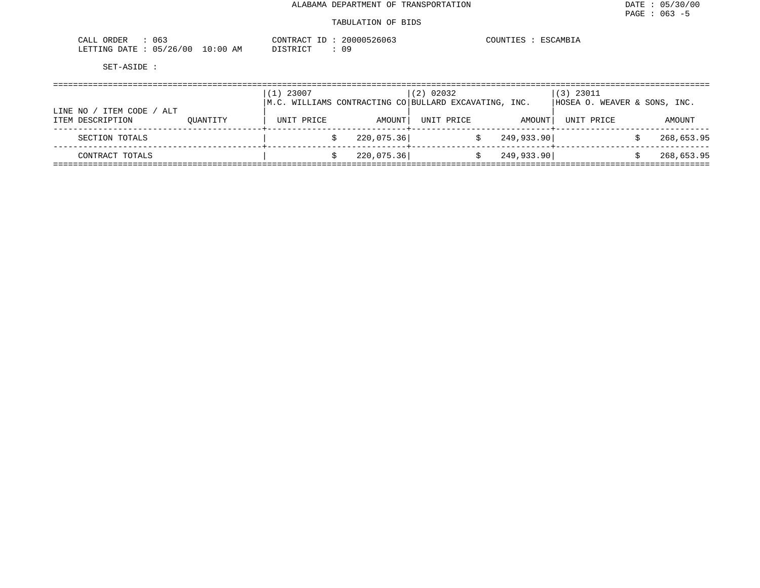| 063<br>CALL<br>ORDER     |            | CONTRACT<br>ID        | 20000526063 | COUNTIES<br>ESCAMBIA |
|--------------------------|------------|-----------------------|-------------|----------------------|
| 05/26/00<br>LETTING DATE | $10:00$ AM | חימת דאידי את<br>---- | 09          |                      |

|                                                 |          | 23007<br>1) |            | $(2)$ 02032                                                           |            | $(3)$ 23011                  |            |
|-------------------------------------------------|----------|-------------|------------|-----------------------------------------------------------------------|------------|------------------------------|------------|
|                                                 |          |             |            | $\vert$ M.C. WILLIAMS CONTRACTING CO $\vert$ BULLARD EXCAVATING, INC. |            | HOSEA O. WEAVER & SONS, INC. |            |
| ITEM CODE<br>LINE NO<br>ALT<br>ITEM DESCRIPTION | OUANTITY | UNIT PRICE  | AMOUNT     | UNIT PRICE                                                            | AMOUNT     | UNIT PRICE                   | AMOUNT     |
| SECTION TOTALS                                  |          |             | 220,075.36 |                                                                       | 249,933.90 |                              | 268,653.95 |
| CONTRACT TOTALS                                 |          |             | 220,075.36 |                                                                       | 249,933.90 |                              | 268,653.95 |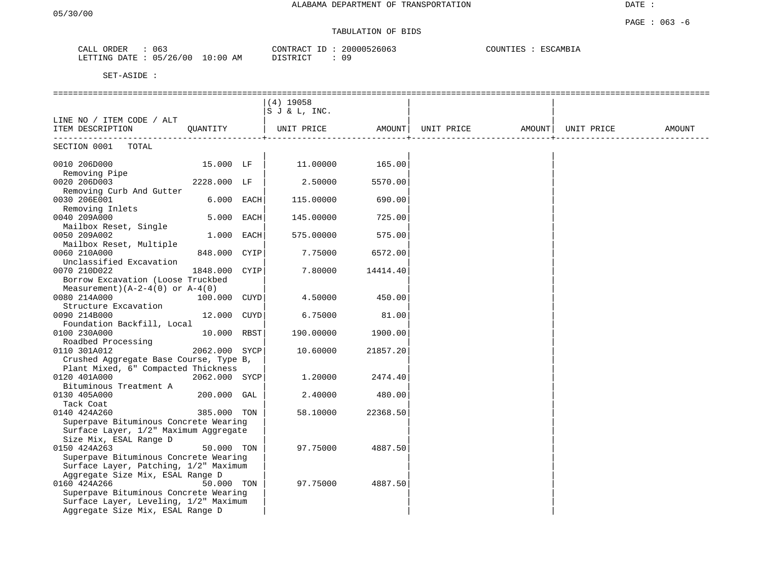## TABULATION OF BIDS

| ORDER<br>CALL  | 063      |            | CONTRACT<br>ID | 20000526063 | COUNTIES<br>ESCAMBIA |
|----------------|----------|------------|----------------|-------------|----------------------|
| LETTING DATE : | 05/26/00 | $10:00$ AM | DISTRICT       | n c         |                      |

|                                                                                                                                    |               | $(4)$ 19058<br>SJ & L, INC. |          |            |        |            |        |
|------------------------------------------------------------------------------------------------------------------------------------|---------------|-----------------------------|----------|------------|--------|------------|--------|
| LINE NO / ITEM CODE / ALT                                                                                                          |               |                             |          |            |        |            |        |
| ITEM DESCRIPTION                                                                                                                   | OUANTITY      | UNIT PRICE                  | AMOUNT   | UNIT PRICE | AMOUNT | UNIT PRICE | AMOUNT |
| SECTION 0001<br>TOTAL                                                                                                              |               |                             |          |            |        |            |        |
| 0010 206D000<br>Removing Pipe                                                                                                      | 15.000 LF     | 11.00000                    | 165.00   |            |        |            |        |
| 0020 206D003<br>Removing Curb And Gutter                                                                                           | 2228.000 LF   | 2.50000                     | 5570.00  |            |        |            |        |
| 0030 206E001<br>Removing Inlets                                                                                                    | 6.000 EACH    | 115.00000                   | 690.00   |            |        |            |        |
| 0040 209A000<br>Mailbox Reset, Single                                                                                              | 5.000 EACH    | 145.00000                   | 725.00   |            |        |            |        |
| 0050 209A002<br>Mailbox Reset, Multiple                                                                                            | 1.000 EACH    | 575.00000                   | 575.00   |            |        |            |        |
| 0060 210A000<br>Unclassified Excavation                                                                                            | 848.000 CYIP  | 7.75000                     | 6572.00  |            |        |            |        |
| 0070 210D022<br>Borrow Excavation (Loose Truckbed                                                                                  | 1848.000 CYIP | 7.80000                     | 14414.40 |            |        |            |        |
| Measurement) $(A-2-4(0)$ or $A-4(0)$<br>0080 214A000                                                                               | 100.000 CUYD  | 4.50000                     | 450.00   |            |        |            |        |
| Structure Excavation<br>0090 214B000                                                                                               | 12.000 CUYD   | 6.75000                     | 81.00    |            |        |            |        |
| Foundation Backfill, Local<br>0100 230A000                                                                                         | 10.000 RBST   | 190.00000                   | 1900.00  |            |        |            |        |
| Roadbed Processing<br>0110 301A012                                                                                                 | 2062.000 SYCP | 10.60000                    | 21857.20 |            |        |            |        |
| Crushed Aggregate Base Course, Type B,<br>Plant Mixed, 6" Compacted Thickness                                                      |               |                             |          |            |        |            |        |
| 0120 401A000<br>Bituminous Treatment A                                                                                             | 2062.000 SYCP | 1,20000                     | 2474.40  |            |        |            |        |
| 0130 405A000<br>Tack Coat                                                                                                          | 200.000 GAL   | 2.40000                     | 480.00   |            |        |            |        |
| 0140 424A260<br>Superpave Bituminous Concrete Wearing                                                                              | 385.000 TON   | 58.10000                    | 22368.50 |            |        |            |        |
| Surface Layer, 1/2" Maximum Aggregate<br>Size Mix, ESAL Range D                                                                    |               |                             |          |            |        |            |        |
| 0150 424A263<br>Superpave Bituminous Concrete Wearing<br>Surface Layer, Patching, 1/2" Maximum<br>Aggregate Size Mix, ESAL Range D | 50.000 TON    | 97.75000                    | 4887.50  |            |        |            |        |
| 0160 424A266<br>Superpave Bituminous Concrete Wearing<br>Surface Layer, Leveling, 1/2" Maximum<br>Aggregate Size Mix, ESAL Range D | 50.000 TON    | 97.75000                    | 4887.50  |            |        |            |        |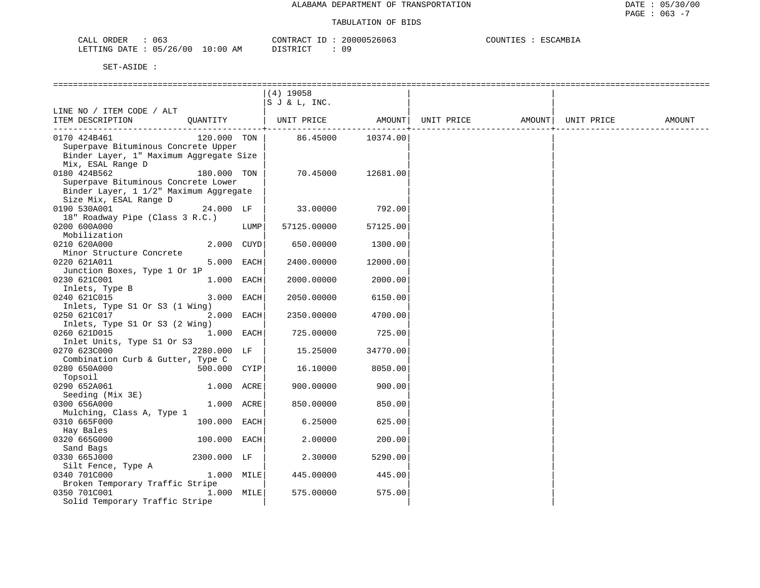ESCAMBIA

| CALL ORDER                      |  |          | CONTRACT ID: 20000526063 | COUNTIES : ESCAMBIA |  |
|---------------------------------|--|----------|--------------------------|---------------------|--|
| LETTING DATE: 05/26/00 10:00 AM |  | DISTRICT | 09                       |                     |  |

|                                                     |              |      | $(4)$ 19058  |          |                   |            |        |
|-----------------------------------------------------|--------------|------|--------------|----------|-------------------|------------|--------|
|                                                     |              |      | SJ & L, INC. |          |                   |            |        |
| LINE NO / ITEM CODE / ALT                           |              |      |              |          |                   |            |        |
| ITEM DESCRIPTION                                    | OUANTITY     |      | UNIT PRICE   | AMOUNT   | UNIT PRICE AMOUNT | UNIT PRICE | AMOUNT |
|                                                     |              |      |              |          |                   |            |        |
| 0170 424B461<br>Superpave Bituminous Concrete Upper | 120.000 TON  |      | 86.45000     | 10374.00 |                   |            |        |
| Binder Layer, 1" Maximum Aggregate Size             |              |      |              |          |                   |            |        |
| Mix, ESAL Range D                                   |              |      |              |          |                   |            |        |
| 0180 424B562                                        | 180.000 TON  |      | 70.45000     | 12681.00 |                   |            |        |
| Superpave Bituminous Concrete Lower                 |              |      |              |          |                   |            |        |
| Binder Layer, 1 1/2" Maximum Aggregate              |              |      |              |          |                   |            |        |
| Size Mix, ESAL Range D                              |              |      |              |          |                   |            |        |
| 0190 530A001                                        | 24.000 LF    |      | 33.00000     | 792.00   |                   |            |        |
| 18" Roadway Pipe (Class 3 R.C.)                     |              |      |              |          |                   |            |        |
| 0200 600A000                                        |              | LUMP | 57125.00000  | 57125.00 |                   |            |        |
| Mobilization                                        |              |      |              |          |                   |            |        |
| 0210 620A000                                        | 2.000 CUYD   |      | 650.00000    | 1300.00  |                   |            |        |
| Minor Structure Concrete                            |              |      |              |          |                   |            |        |
| 0220 621A011                                        | 5.000 EACH   |      | 2400.00000   | 12000.00 |                   |            |        |
| Junction Boxes, Type 1 Or 1P                        |              |      |              |          |                   |            |        |
| 0230 621C001                                        | 1.000 EACH   |      | 2000.00000   | 2000.00  |                   |            |        |
| Inlets, Type B                                      |              |      |              |          |                   |            |        |
| 0240 621C015                                        | 3.000 EACH   |      | 2050.00000   | 6150.00  |                   |            |        |
| Inlets, Type S1 Or S3 (1 Wing)                      |              |      |              |          |                   |            |        |
| 0250 621C017                                        | 2.000 EACH   |      | 2350.00000   | 4700.00  |                   |            |        |
| Inlets, Type S1 Or S3 (2 Wing)                      |              |      |              |          |                   |            |        |
| 0260 621D015<br>Inlet Units, Type S1 Or S3          | 1.000 EACH   |      | 725.00000    | 725.00   |                   |            |        |
| 0270 623C000                                        | 2280.000 LF  |      | 15.25000     | 34770.00 |                   |            |        |
| Combination Curb & Gutter, Type C                   |              |      |              |          |                   |            |        |
| 0280 650A000                                        | 500.000 CYIP |      | 16.10000     | 8050.00  |                   |            |        |
| Topsoil                                             |              |      |              |          |                   |            |        |
| 0290 652A061                                        | 1.000 ACRE   |      | 900.00000    | 900.00   |                   |            |        |
| Seeding (Mix 3E)                                    |              |      |              |          |                   |            |        |
| 0300 656A000                                        | 1.000 ACRE   |      | 850.00000    | 850.00   |                   |            |        |
| Mulching, Class A, Type 1                           |              |      |              |          |                   |            |        |
| 0310 665F000                                        | 100.000 EACH |      | 6.25000      | 625.00   |                   |            |        |
| Hay Bales                                           |              |      |              |          |                   |            |        |
| 0320 665G000                                        | 100.000 EACH |      | 2.00000      | 200.00   |                   |            |        |
| Sand Bags                                           |              |      |              |          |                   |            |        |
| 0330 665J000                                        | 2300.000 LF  |      | 2.30000      | 5290.00  |                   |            |        |
| Silt Fence, Type A                                  |              |      |              |          |                   |            |        |
| 0340 701C000<br>Broken Temporary Traffic Stripe     | 1.000 MILE   |      | 445.00000    | 445.00   |                   |            |        |
| 0350 701C001                                        | 1.000 MILE   |      | 575.00000    | 575.00   |                   |            |        |
| Solid Temporary Traffic Stripe                      |              |      |              |          |                   |            |        |
|                                                     |              |      |              |          |                   |            |        |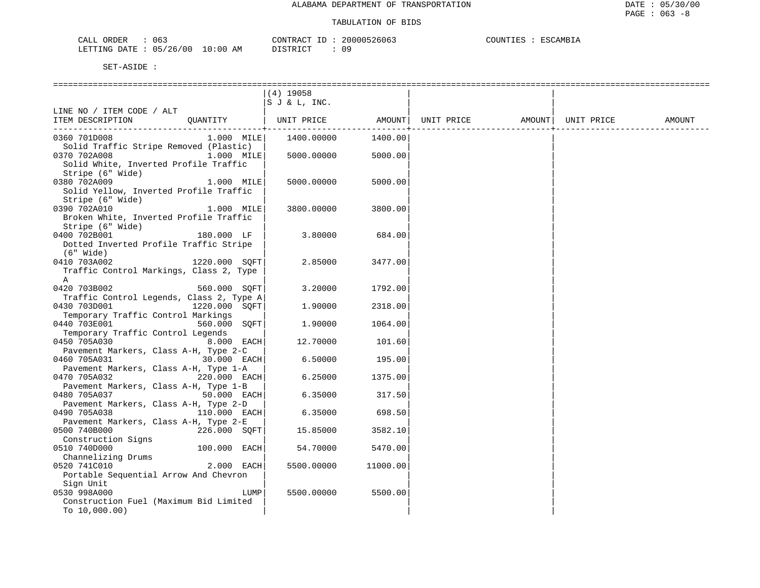| 063<br>PRDER)<br>للسلط                                      |             | $\wedge \wedge \neg \neg$<br>יחד גר | (11)<br>3606 | ידוחדורי<br>AMF<br>. |
|-------------------------------------------------------------|-------------|-------------------------------------|--------------|----------------------|
| ነд ጥፑ<br>LETT<br>'NG<br>ᅚ<br>$\overline{\phantom{a}}$<br>∠∪ | 10:00<br>АM | $\sim$<br>1.77                      | ◡ ◡          |                      |

|                                                       |               | $(4)$ 19058  |             |            |                    |        |
|-------------------------------------------------------|---------------|--------------|-------------|------------|--------------------|--------|
|                                                       |               | SJ & L, INC. |             |            |                    |        |
| LINE NO / ITEM CODE / ALT                             |               |              |             |            |                    |        |
| ITEM DESCRIPTION                                      | OUANTITY      | UNIT PRICE   | AMOUNT      | UNIT PRICE | AMOUNT  UNIT PRICE | AMOUNT |
|                                                       |               |              | ----------- |            |                    |        |
| 0360 701D008                                          | $1.000$ MILE  | 1400.00000   | 1400.00     |            |                    |        |
| Solid Traffic Stripe Removed (Plastic)                |               |              |             |            |                    |        |
| 0370 702A008                                          | 1.000 MILE    | 5000.00000   | 5000.00     |            |                    |        |
| Solid White, Inverted Profile Traffic                 |               |              |             |            |                    |        |
| Stripe (6" Wide)                                      |               |              |             |            |                    |        |
| 0380 702A009                                          | 1.000 MILE    | 5000.00000   | 5000.00     |            |                    |        |
| Solid Yellow, Inverted Profile Traffic                |               |              |             |            |                    |        |
| Stripe (6" Wide)                                      |               |              |             |            |                    |        |
| 0390 702A010                                          | 1.000 MILE    | 3800.00000   | 3800.00     |            |                    |        |
| Broken White, Inverted Profile Traffic                |               |              |             |            |                    |        |
| Stripe (6" Wide)                                      |               |              |             |            |                    |        |
| 0400 702B001                                          | 180.000 LF    | 3.80000      | 684.00      |            |                    |        |
| Dotted Inverted Profile Traffic Stripe                |               |              |             |            |                    |        |
| (6" Wide)                                             |               |              |             |            |                    |        |
| 0410 703A002                                          | 1220.000 SOFT | 2.85000      | 3477.00     |            |                    |        |
| Traffic Control Markings, Class 2, Type               |               |              |             |            |                    |        |
| A                                                     |               |              |             |            |                    |        |
| 0420 703B002                                          | 560.000 SOFT  | 3.20000      | 1792.00     |            |                    |        |
| Traffic Control Legends, Class 2, Type A              |               |              |             |            |                    |        |
| 0430 703D001                                          | 1220.000 SOFT | 1.90000      | 2318.00     |            |                    |        |
| Temporary Traffic Control Markings                    |               |              |             |            |                    |        |
| 0440 703E001                                          | 560.000 SOFT  | 1,90000      | 1064.00     |            |                    |        |
| Temporary Traffic Control Legends                     |               |              |             |            |                    |        |
| 0450 705A030                                          | 8.000 EACH    | 12.70000     | 101.60      |            |                    |        |
| Pavement Markers, Class A-H, Type 2-C                 |               |              |             |            |                    |        |
| 0460 705A031                                          | 30.000 EACH   | 6.50000      | 195.00      |            |                    |        |
| Pavement Markers, Class A-H, Type 1-A                 |               |              |             |            |                    |        |
| 0470 705A032                                          | 220.000 EACH  | 6.25000      | 1375.00     |            |                    |        |
| Pavement Markers, Class A-H, Type 1-B                 |               |              |             |            |                    |        |
| 0480 705A037                                          | 50.000 EACH   | 6.35000      | 317.50      |            |                    |        |
| Pavement Markers, Class A-H, Type 2-D<br>0490 705A038 | 110.000 EACH  | 6.35000      | 698.50      |            |                    |        |
| Pavement Markers, Class A-H, Type 2-E                 |               |              |             |            |                    |        |
| 0500 740B000                                          | 226.000 SQFT  | 15.85000     | 3582.10     |            |                    |        |
| Construction Signs                                    |               |              |             |            |                    |        |
| 0510 740D000                                          | 100.000 EACH  | 54.70000     | 5470.00     |            |                    |        |
| Channelizing Drums                                    |               |              |             |            |                    |        |
| 0520 741C010                                          | 2.000 EACH    | 5500.00000   | 11000.00    |            |                    |        |
| Portable Sequential Arrow And Chevron                 |               |              |             |            |                    |        |
| Sign Unit                                             |               |              |             |            |                    |        |
| 0530 998A000                                          | LUMP          | 5500.00000   | 5500.00     |            |                    |        |
| Construction Fuel (Maximum Bid Limited                |               |              |             |            |                    |        |
| To $10,000.00$ )                                      |               |              |             |            |                    |        |
|                                                       |               |              |             |            |                    |        |